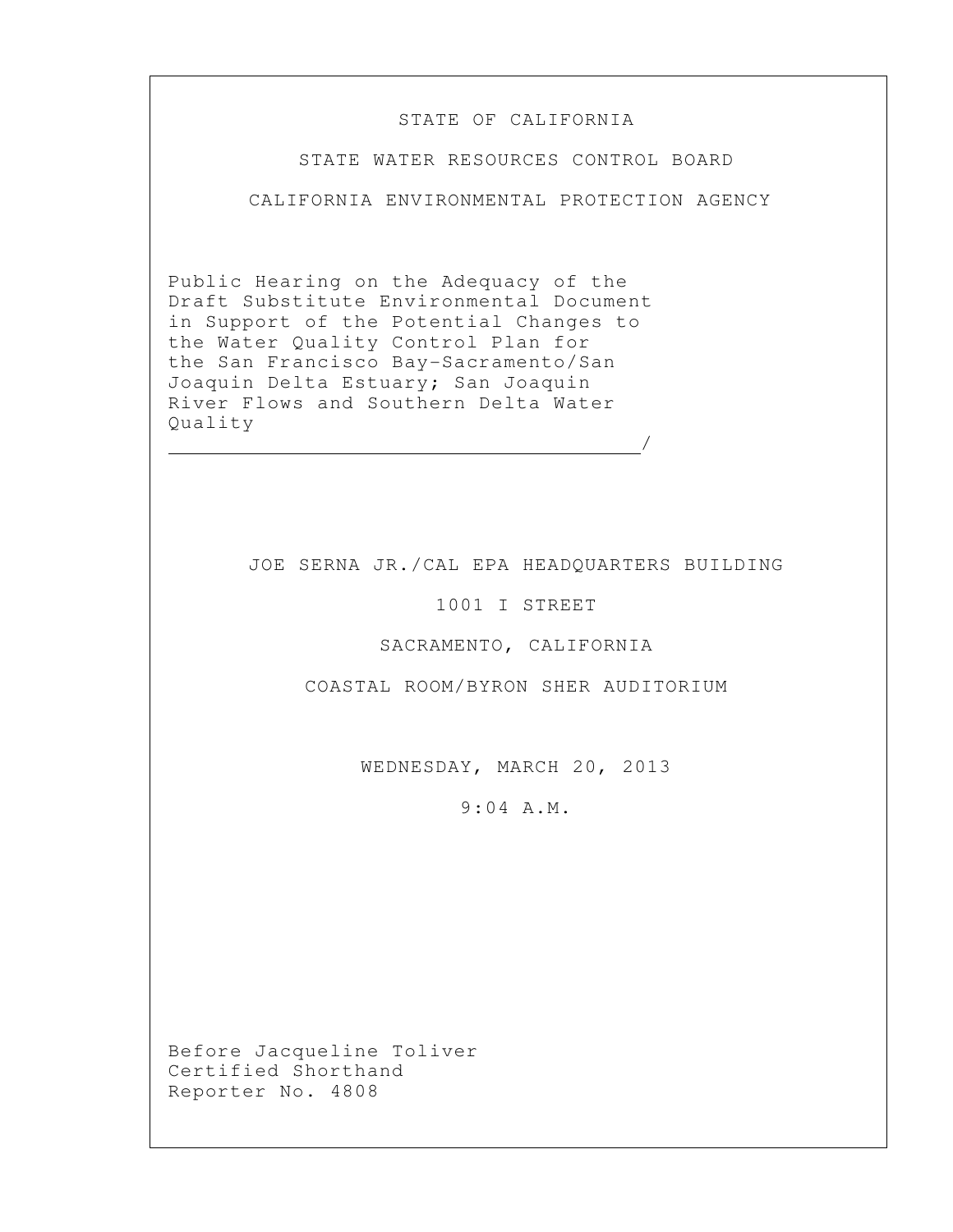## STATE OF CALIFORNIA

STATE WATER RESOURCES CONTROL BOARD

CALIFORNIA ENVIRONMENTAL PROTECTION AGENCY

Public Hearing on the Adequacy of the Draft Substitute Environmental Document in Support of the Potential Changes to the Water Quality Control Plan for the San Francisco Bay-Sacramento/San Joaquin Delta Estuary; San Joaquin River Flows and Southern Delta Water Quality /

## JOE SERNA JR./CAL EPA HEADQUARTERS BUILDING

1001 I STREET

## SACRAMENTO, CALIFORNIA

COASTAL ROOM/BYRON SHER AUDITORIUM

WEDNESDAY, MARCH 20, 2013

9:04 A.M.

Before Jacqueline Toliver Certified Shorthand Reporter No. 4808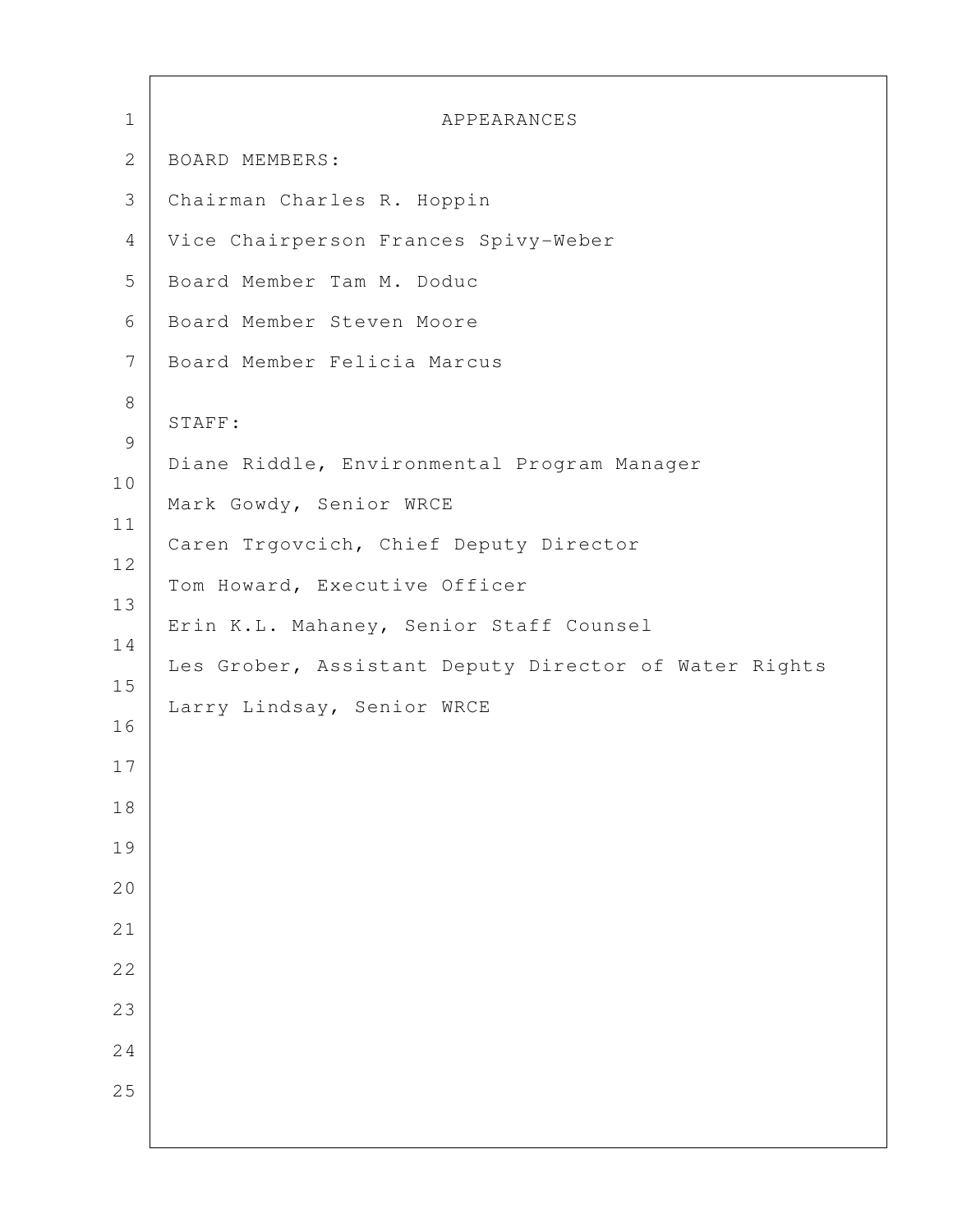| $\mathbf 1$   | APPEARANCES                                           |
|---------------|-------------------------------------------------------|
| $\mathbf{2}$  | BOARD MEMBERS:                                        |
| 3             | Chairman Charles R. Hoppin                            |
| 4             | Vice Chairperson Frances Spivy-Weber                  |
| 5             | Board Member Tam M. Doduc                             |
| 6             | Board Member Steven Moore                             |
| 7             | Board Member Felicia Marcus                           |
| $\,8\,$       |                                                       |
| $\mathcal{G}$ | STAFF:                                                |
| 10            | Diane Riddle, Environmental Program Manager           |
| 11            | Mark Gowdy, Senior WRCE                               |
| 12            | Caren Trgovcich, Chief Deputy Director                |
| 13            | Tom Howard, Executive Officer                         |
| 14            | Erin K.L. Mahaney, Senior Staff Counsel               |
| 15            | Les Grober, Assistant Deputy Director of Water Rights |
|               | Larry Lindsay, Senior WRCE                            |
| 16            |                                                       |
| 17            |                                                       |
| 18            |                                                       |
| 19            |                                                       |
| 20            |                                                       |
| 21            |                                                       |
| 22            |                                                       |
| 23            |                                                       |
| 24            |                                                       |
| 25            |                                                       |
|               |                                                       |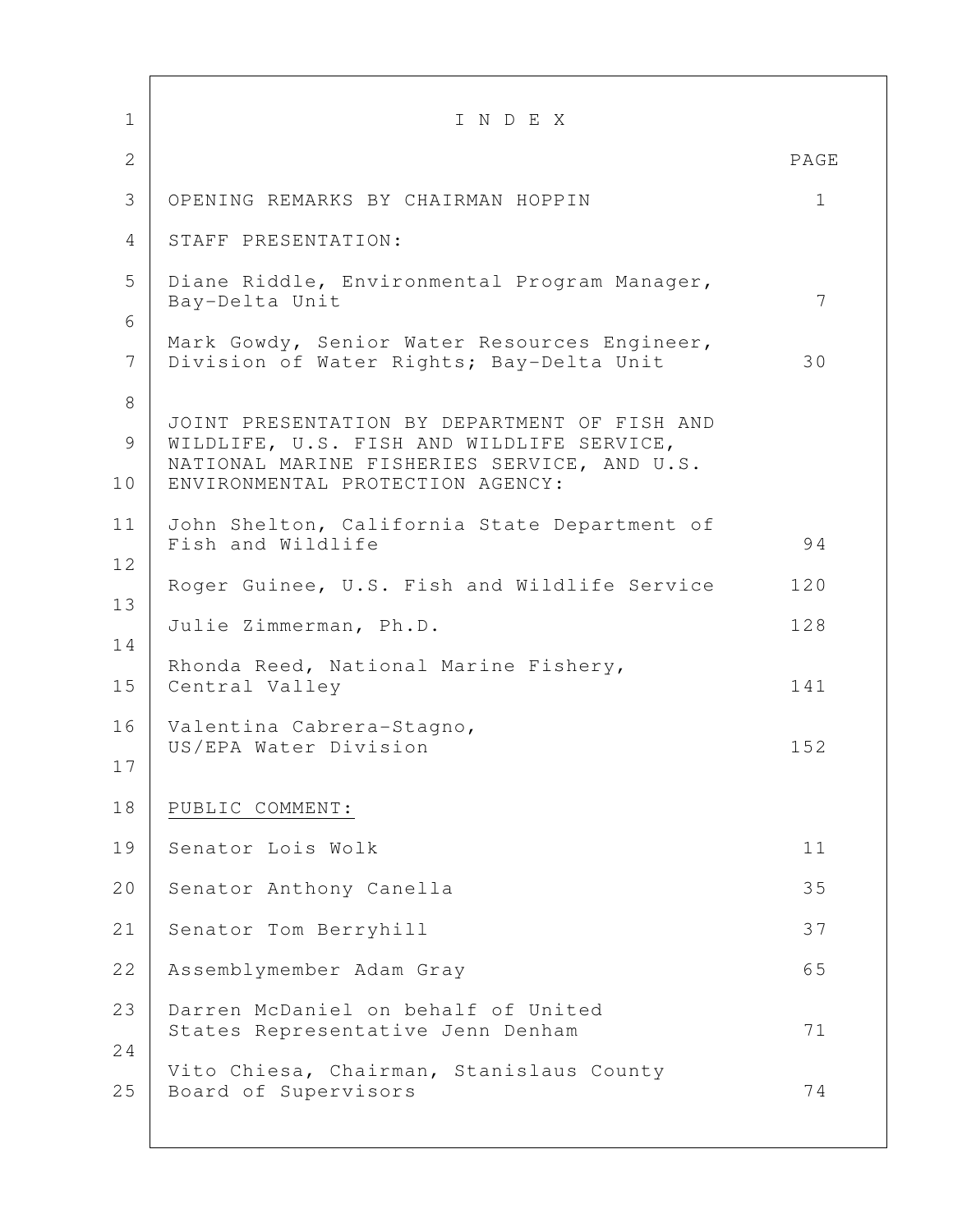| $\mathbf 1$          | INDEX                                                                                                                                                                        |             |
|----------------------|------------------------------------------------------------------------------------------------------------------------------------------------------------------------------|-------------|
| $\mathbf{2}$         |                                                                                                                                                                              | PAGE        |
| 3                    | OPENING REMARKS BY CHAIRMAN HOPPIN                                                                                                                                           | $\mathbf 1$ |
| 4                    | STAFF PRESENTATION:                                                                                                                                                          |             |
| 5                    | Diane Riddle, Environmental Program Manager,<br>Bay-Delta Unit                                                                                                               | 7           |
| 6<br>$7\phantom{.0}$ | Mark Gowdy, Senior Water Resources Engineer,<br>Division of Water Rights; Bay-Delta Unit                                                                                     | 30          |
| 8<br>9<br>10         | JOINT PRESENTATION BY DEPARTMENT OF FISH AND<br>WILDLIFE, U.S. FISH AND WILDLIFE SERVICE,<br>NATIONAL MARINE FISHERIES SERVICE, AND U.S.<br>ENVIRONMENTAL PROTECTION AGENCY: |             |
| 11                   | John Shelton, California State Department of<br>Fish and Wildlife                                                                                                            | 94          |
| 12                   | Roger Guinee, U.S. Fish and Wildlife Service                                                                                                                                 | 120         |
| 13                   | Julie Zimmerman, Ph.D.                                                                                                                                                       | 128         |
| 14<br>15             | Rhonda Reed, National Marine Fishery,<br>Central Valley                                                                                                                      | 141         |
| 16<br>17             | Valentina Cabrera-Stagno,<br>US/EPA Water Division                                                                                                                           | 152         |
| 18                   | PUBLIC COMMENT:                                                                                                                                                              |             |
| 19                   | Senator Lois Wolk                                                                                                                                                            | 11          |
| 20                   | Senator Anthony Canella                                                                                                                                                      | 35          |
| 21                   | Senator Tom Berryhill                                                                                                                                                        | 37          |
| 22                   | Assemblymember Adam Gray                                                                                                                                                     | 65          |
| 23                   | Darren McDaniel on behalf of United<br>States Representative Jenn Denham                                                                                                     | 71          |
| 24<br>25             | Vito Chiesa, Chairman, Stanislaus County<br>Board of Supervisors                                                                                                             | 74          |
|                      |                                                                                                                                                                              |             |

 $\Gamma$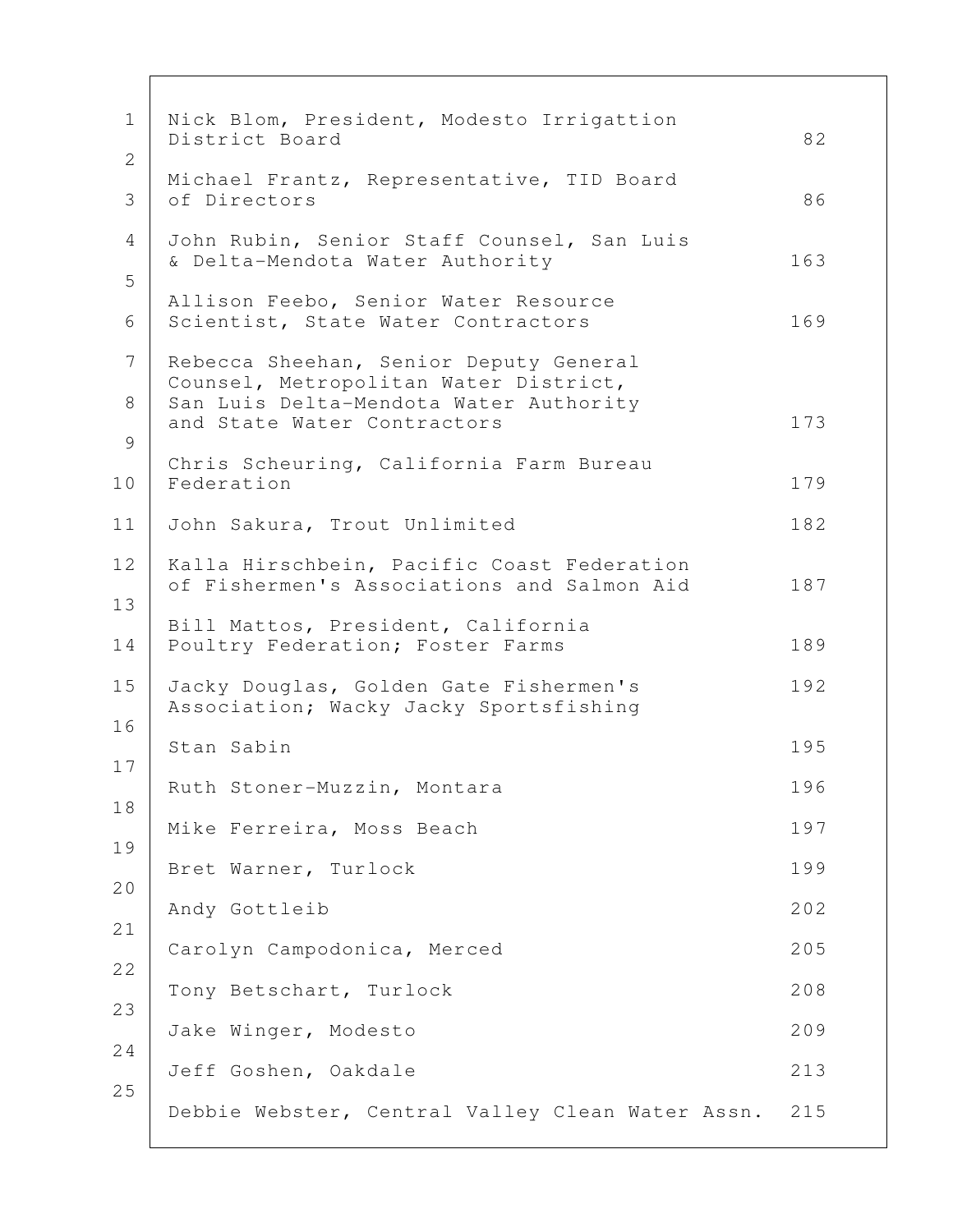| $\mathbf 1$         | Nick Blom, President, Modesto Irrigattion<br>District Board                              | 82  |
|---------------------|------------------------------------------------------------------------------------------|-----|
| $\overline{2}$<br>3 | Michael Frantz, Representative, TID Board<br>of Directors                                | 86  |
| 4                   | John Rubin, Senior Staff Counsel, San Luis<br>& Delta-Mendota Water Authority            | 163 |
| 5<br>6              | Allison Feebo, Senior Water Resource<br>Scientist, State Water Contractors               | 169 |
| 7                   | Rebecca Sheehan, Senior Deputy General<br>Counsel, Metropolitan Water District,          |     |
| 8<br>9              | San Luis Delta-Mendota Water Authority<br>and State Water Contractors                    | 173 |
| 10                  | Chris Scheuring, California Farm Bureau<br>Federation                                    | 179 |
| 11                  | John Sakura, Trout Unlimited                                                             | 182 |
| 12<br>13            | Kalla Hirschbein, Pacific Coast Federation<br>of Fishermen's Associations and Salmon Aid | 187 |
| 14                  | Bill Mattos, President, California<br>Poultry Federation; Foster Farms                   | 189 |
| 15<br>16            | Jacky Douglas, Golden Gate Fishermen's<br>Association; Wacky Jacky Sportsfishing         | 192 |
| 17                  | Stan Sabin                                                                               | 195 |
| 18                  | Ruth Stoner-Muzzin, Montara                                                              | 196 |
| 19                  | Mike Ferreira, Moss Beach                                                                | 197 |
| 20                  | Bret Warner, Turlock                                                                     | 199 |
| 21                  | Andy Gottleib                                                                            | 202 |
| 22                  | Carolyn Campodonica, Merced                                                              | 205 |
| 23                  | Tony Betschart, Turlock                                                                  | 208 |
| 24                  | Jake Winger, Modesto                                                                     | 209 |
| 25                  | Jeff Goshen, Oakdale                                                                     | 213 |
|                     | Debbie Webster, Central Valley Clean Water Assn.                                         | 215 |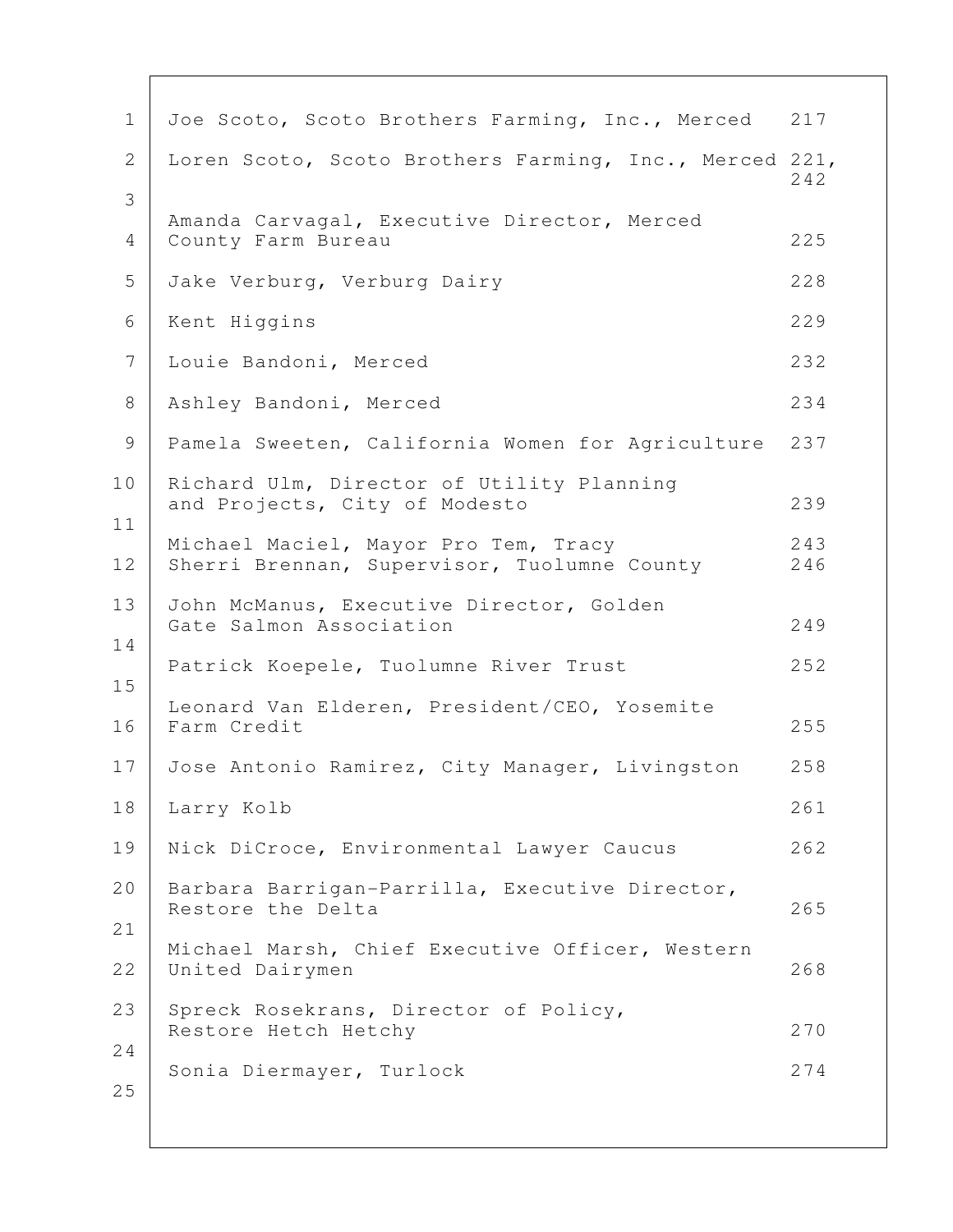| $\mathbf 1$  | Joe Scoto, Scoto Brothers Farming, Inc., Merced                                     | 217        |
|--------------|-------------------------------------------------------------------------------------|------------|
| $\mathbf{2}$ | Loren Scoto, Scoto Brothers Farming, Inc., Merced 221,                              | 242        |
| 3            |                                                                                     |            |
| 4            | Amanda Carvagal, Executive Director, Merced<br>County Farm Bureau                   | 225        |
| 5            | Jake Verburg, Verburg Dairy                                                         | 228        |
| 6            | Kent Higgins                                                                        | 229        |
| 7            | Louie Bandoni, Merced                                                               | 232        |
| 8            | Ashley Bandoni, Merced                                                              | 234        |
| 9            | Pamela Sweeten, California Women for Agriculture                                    | 237        |
| 10           | Richard Ulm, Director of Utility Planning<br>and Projects, City of Modesto          | 239        |
| 11<br>12     | Michael Maciel, Mayor Pro Tem, Tracy<br>Sherri Brennan, Supervisor, Tuolumne County | 243<br>246 |
| 13<br>14     | John McManus, Executive Director, Golden<br>Gate Salmon Association                 | 249        |
| 15           | Patrick Koepele, Tuolumne River Trust                                               | 252        |
| 16           | Leonard Van Elderen, President/CEO, Yosemite<br>Farm Credit                         | 255        |
| 17           | Jose Antonio Ramirez, City Manager, Livingston                                      | 258        |
| 18           | Larry Kolb                                                                          | 261        |
| 19           | Nick DiCroce, Environmental Lawyer Caucus                                           | 262        |
| 20           | Barbara Barrigan-Parrilla, Executive Director,<br>Restore the Delta                 | 265        |
| 21<br>22     | Michael Marsh, Chief Executive Officer, Western<br>United Dairymen                  | 268        |
| 23           | Spreck Rosekrans, Director of Policy,<br>Restore Hetch Hetchy                       | 270        |
| 24           |                                                                                     |            |
| 25           | Sonia Diermayer, Turlock                                                            | 274        |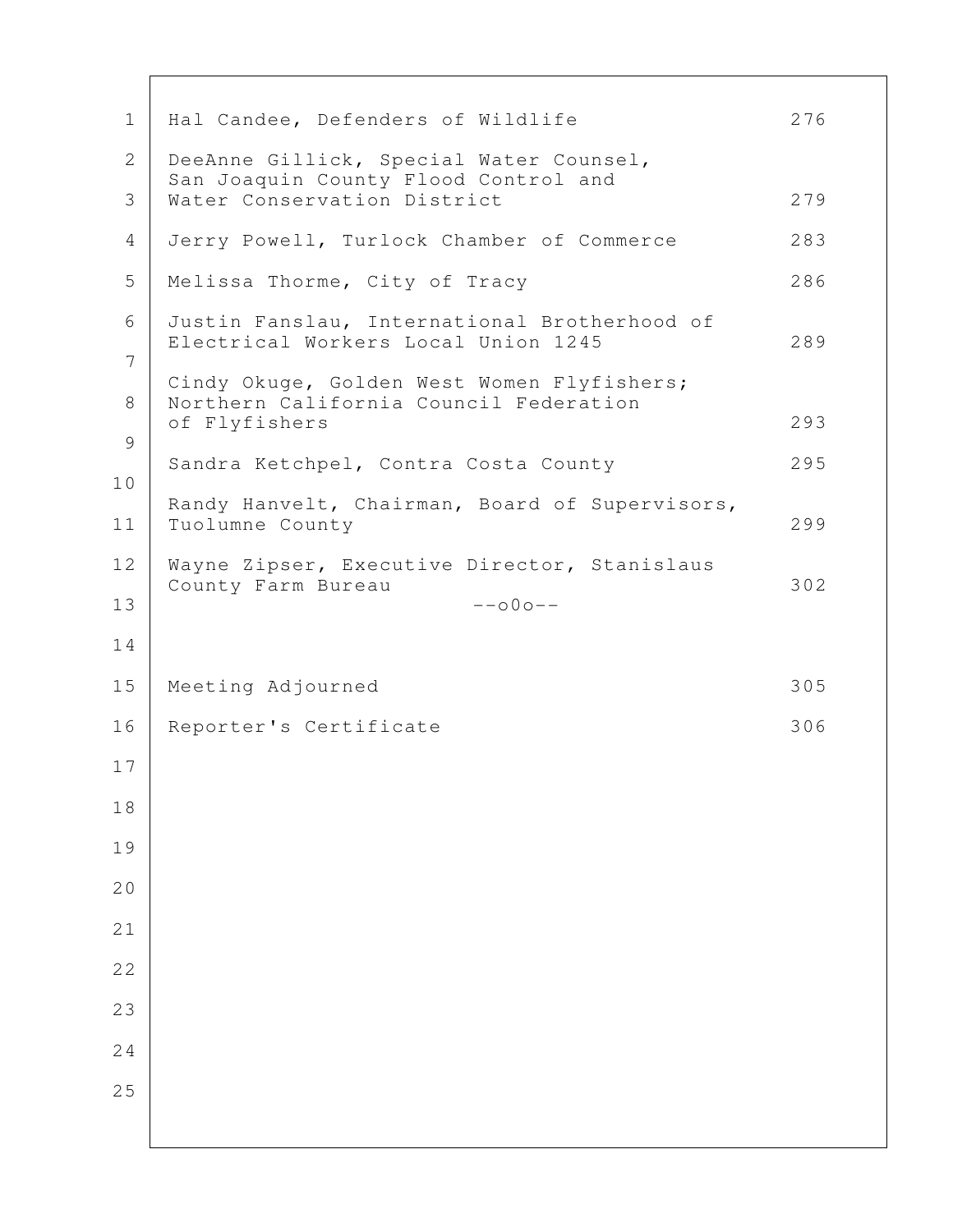| $\mathbf 1$    | Hal Candee, Defenders of Wildlife                                                                     | 276 |
|----------------|-------------------------------------------------------------------------------------------------------|-----|
| $\overline{2}$ | DeeAnne Gillick, Special Water Counsel,<br>San Joaquin County Flood Control and                       |     |
| 3              | Water Conservation District                                                                           | 279 |
| 4              | Jerry Powell, Turlock Chamber of Commerce                                                             | 283 |
| 5              | Melissa Thorme, City of Tracy                                                                         | 286 |
| 6<br>7         | Justin Fanslau, International Brotherhood of<br>Electrical Workers Local Union 1245                   | 289 |
| 8              | Cindy Okuge, Golden West Women Flyfishers;<br>Northern California Council Federation<br>of Flyfishers | 293 |
| 9              | Sandra Ketchpel, Contra Costa County                                                                  | 295 |
| 10<br>11       | Randy Hanvelt, Chairman, Board of Supervisors,<br>Tuolumne County                                     | 299 |
| 12             | Wayne Zipser, Executive Director, Stanislaus                                                          |     |
| 13             | County Farm Bureau<br>$--000--$                                                                       | 302 |
| 14             |                                                                                                       |     |
| 15             | Meeting Adjourned                                                                                     | 305 |
| 16             | Reporter's Certificate                                                                                | 306 |
| 17             |                                                                                                       |     |
| 18             |                                                                                                       |     |
| 19             |                                                                                                       |     |
| 20             |                                                                                                       |     |
| 21             |                                                                                                       |     |
| 22             |                                                                                                       |     |
| 23             |                                                                                                       |     |
| 24             |                                                                                                       |     |
| 25             |                                                                                                       |     |
|                |                                                                                                       |     |

 $\mathbf{I}$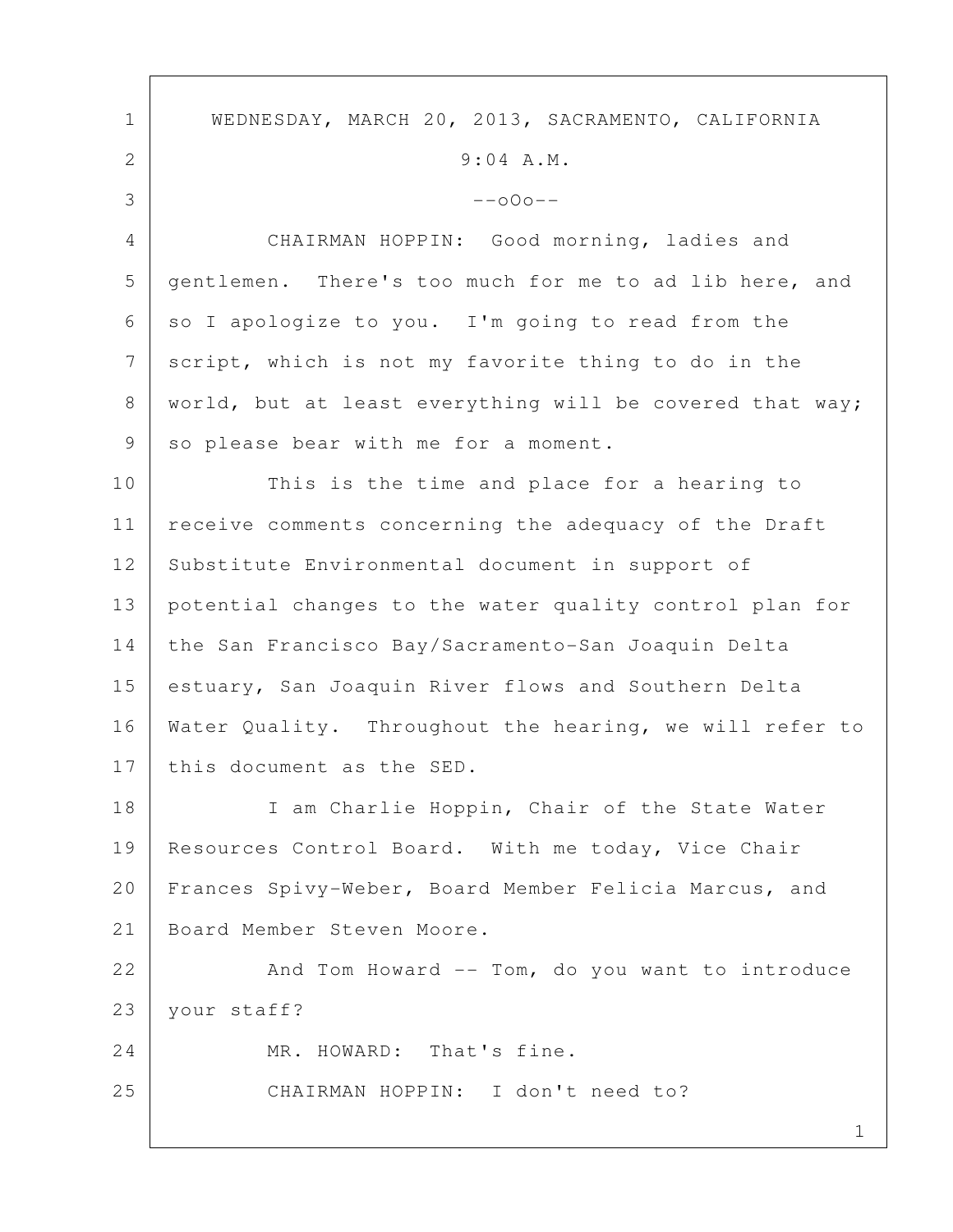1 1 WEDNESDAY, MARCH 20, 2013, SACRAMENTO, CALIFORNIA 2 9:04 A.M.  $3$  --000-- 4 CHAIRMAN HOPPIN: Good morning, ladies and 5 gentlemen. There's too much for me to ad lib here, and  $6 \mid$  so I apologize to you. I'm going to read from the 7 script, which is not my favorite thing to do in the 8 | world, but at least everything will be covered that way; 9 so please bear with me for a moment. 10 This is the time and place for a hearing to 11 | receive comments concerning the adequacy of the Draft 12 Substitute Environmental document in support of 13 potential changes to the water quality control plan for 14 the San Francisco Bay/Sacramento-San Joaquin Delta 15 estuary, San Joaquin River flows and Southern Delta 16 Water Quality. Throughout the hearing, we will refer to 17 this document as the SED. 18 | I am Charlie Hoppin, Chair of the State Water 19 | Resources Control Board. With me today, Vice Chair 20 Frances Spivy-Weber, Board Member Felicia Marcus, and 21 Board Member Steven Moore. 22 And Tom Howard -- Tom, do you want to introduce 23 your staff? 24 MR. HOWARD: That's fine. 25 CHAIRMAN HOPPIN: I don't need to?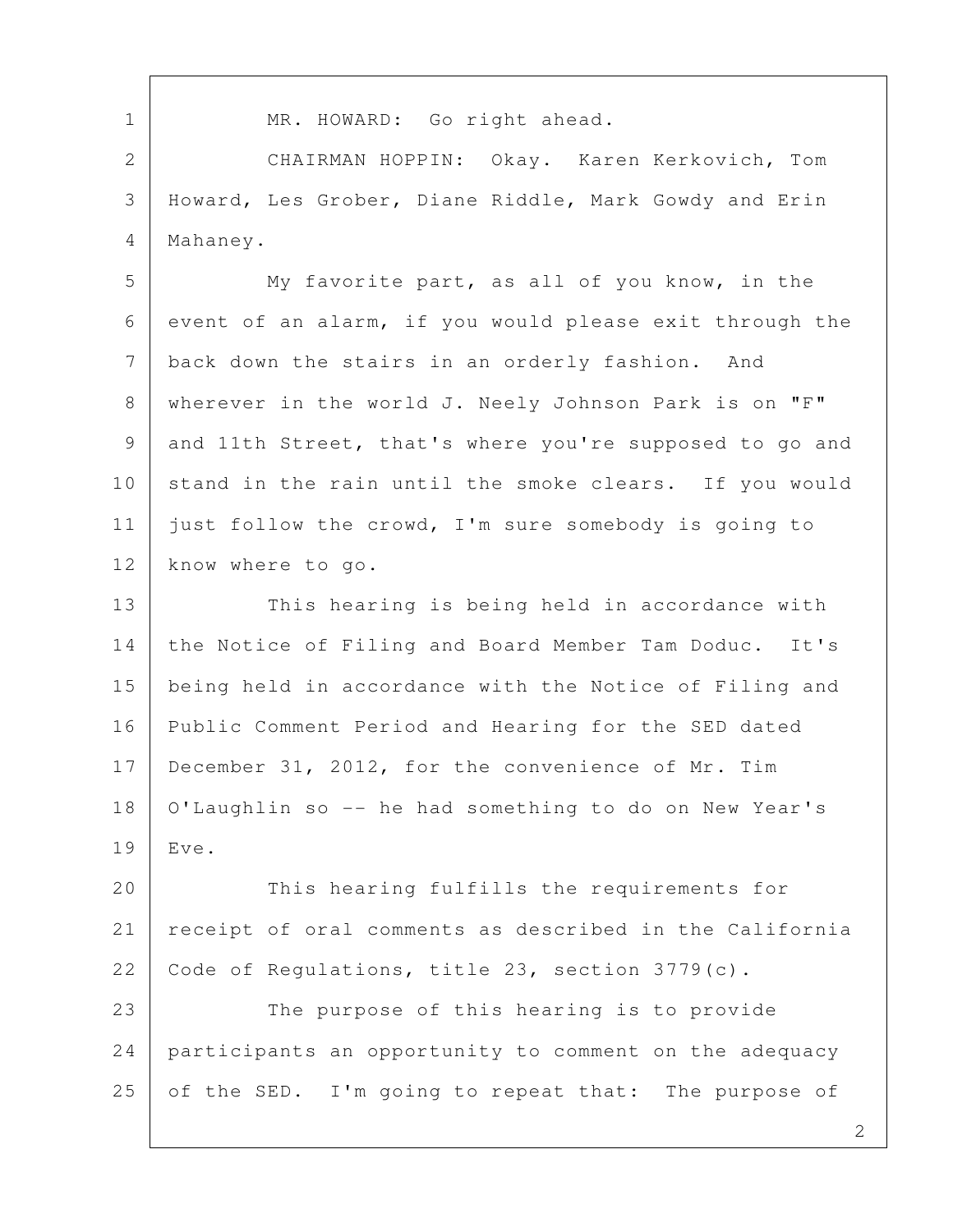1 | MR. HOWARD: Go right ahead. 2 CHAIRMAN HOPPIN: Okay. Karen Kerkovich, Tom 3 Howard, Les Grober, Diane Riddle, Mark Gowdy and Erin 4 Mahaney. 5 My favorite part, as all of you know, in the 6 event of an alarm, if you would please exit through the 7 back down the stairs in an orderly fashion. And 8 | wherever in the world J. Neely Johnson Park is on "F" 9 and 11th Street, that's where you're supposed to go and 10 stand in the rain until the smoke clears. If you would 11 just follow the crowd, I'm sure somebody is going to 12 | know where to go. 13 This hearing is being held in accordance with 14 the Notice of Filing and Board Member Tam Doduc. It's 15 being held in accordance with the Notice of Filing and 16 Public Comment Period and Hearing for the SED dated 17 December 31, 2012, for the convenience of Mr. Tim 18 O'Laughlin so -- he had something to do on New Year's 19 Eve. 20 This hearing fulfills the requirements for 21 receipt of oral comments as described in the California 22 Code of Regulations, title 23, section  $3779(c)$ . 23 The purpose of this hearing is to provide 24 participants an opportunity to comment on the adequacy 25 of the SED. I'm going to repeat that: The purpose of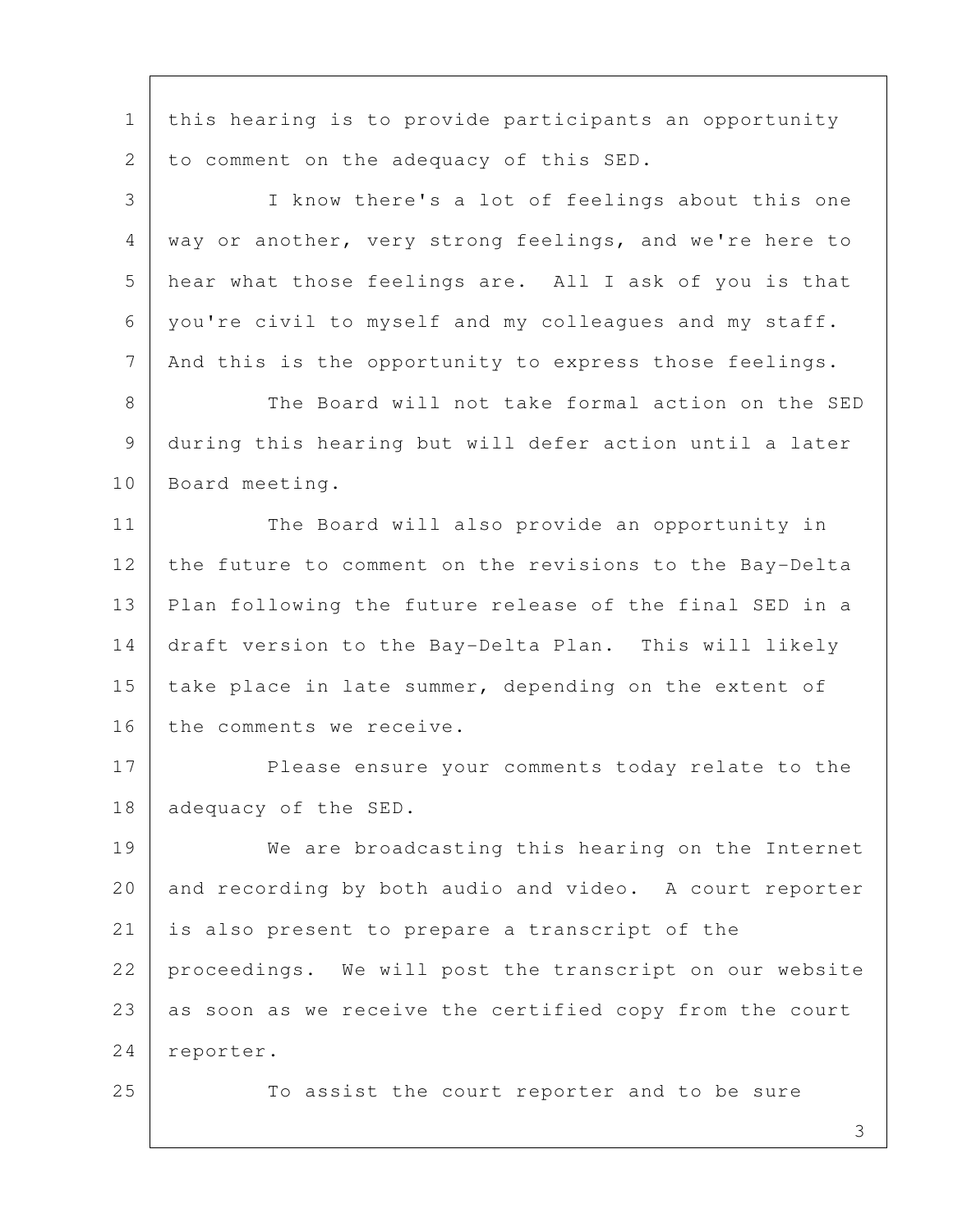1 this hearing is to provide participants an opportunity 2 | to comment on the adequacy of this SED.

 3 I know there's a lot of feelings about this one 4 | way or another, very strong feelings, and we're here to 5 hear what those feelings are. All I ask of you is that 6 you're civil to myself and my colleagues and my staff. 7 | And this is the opportunity to express those feelings.

8 The Board will not take formal action on the SED 9 during this hearing but will defer action until a later 10 Board meeting.

11 | The Board will also provide an opportunity in 12 the future to comment on the revisions to the Bay-Delta 13 Plan following the future release of the final SED in a 14 draft version to the Bay-Delta Plan. This will likely 15 | take place in late summer, depending on the extent of 16 the comments we receive.

17 Please ensure your comments today relate to the 18 adequacy of the SED.

19 We are broadcasting this hearing on the Internet 20 and recording by both audio and video. A court reporter 21 is also present to prepare a transcript of the 22 proceedings. We will post the transcript on our website 23 as soon as we receive the certified copy from the court 24 reporter.

25 To assist the court reporter and to be sure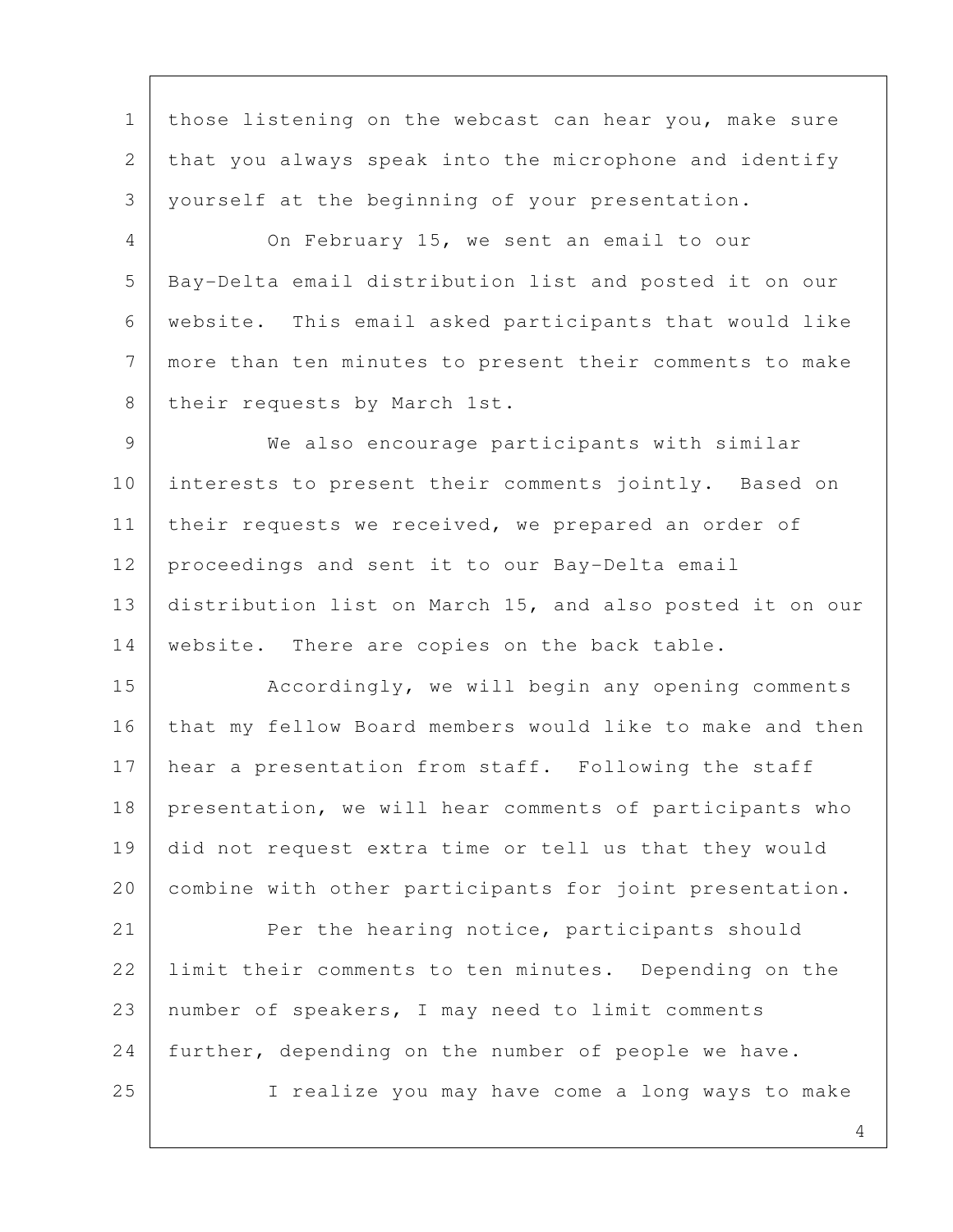1 | those listening on the webcast can hear you, make sure 2 that you always speak into the microphone and identify 3 yourself at the beginning of your presentation.

 4 On February 15, we sent an email to our 5 Bay-Delta email distribution list and posted it on our 6 website. This email asked participants that would like 7 more than ten minutes to present their comments to make 8 their requests by March 1st.

 9 We also encourage participants with similar 10 interests to present their comments jointly. Based on 11 | their requests we received, we prepared an order of 12 | proceedings and sent it to our Bay-Delta email 13 distribution list on March 15, and also posted it on our 14 website. There are copies on the back table.

15 | Accordingly, we will begin any opening comments 16 that my fellow Board members would like to make and then 17 hear a presentation from staff. Following the staff 18 presentation, we will hear comments of participants who 19 did not request extra time or tell us that they would 20 combine with other participants for joint presentation.

21 Per the hearing notice, participants should 22 Iimit their comments to ten minutes. Depending on the 23 number of speakers, I may need to limit comments 24 further, depending on the number of people we have. 25 I realize you may have come a long ways to make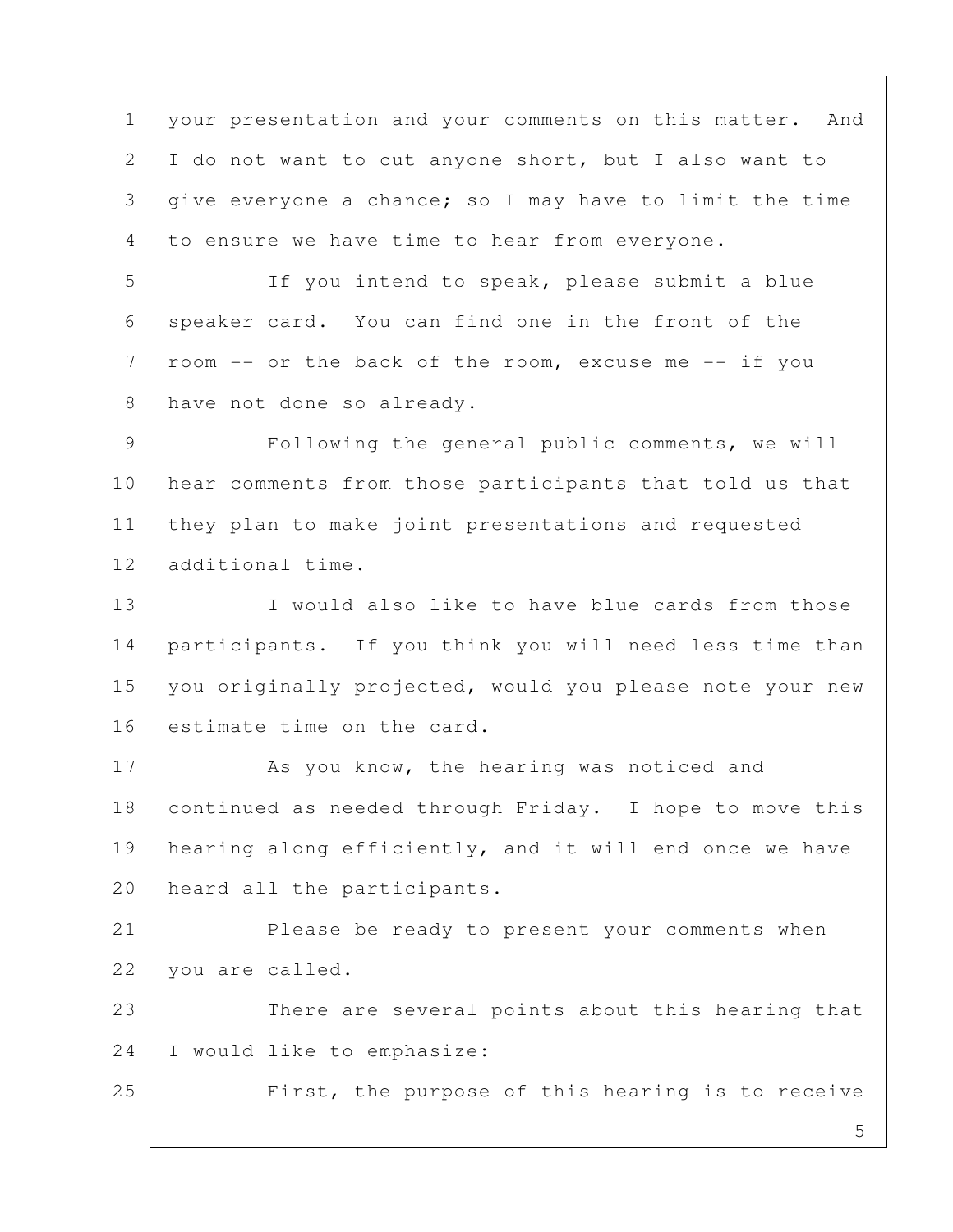1 | your presentation and your comments on this matter. And 2 I do not want to cut anyone short, but I also want to 3 give everyone a chance; so I may have to limit the time 4 to ensure we have time to hear from everyone.

 5 If you intend to speak, please submit a blue 6 speaker card. You can find one in the front of the  $7$  room -- or the back of the room, excuse me -- if you 8 have not done so already.

9 | Following the general public comments, we will 10 | hear comments from those participants that told us that 11 they plan to make joint presentations and requested 12 additional time.

13 I would also like to have blue cards from those 14 participants. If you think you will need less time than 15 | you originally projected, would you please note your new 16 estimate time on the card.

17 As you know, the hearing was noticed and 18 continued as needed through Friday. I hope to move this 19 | hearing along efficiently, and it will end once we have 20 heard all the participants.

21 Please be ready to present your comments when 22 vou are called.

23 There are several points about this hearing that 24 I would like to emphasize:

25 First, the purpose of this hearing is to receive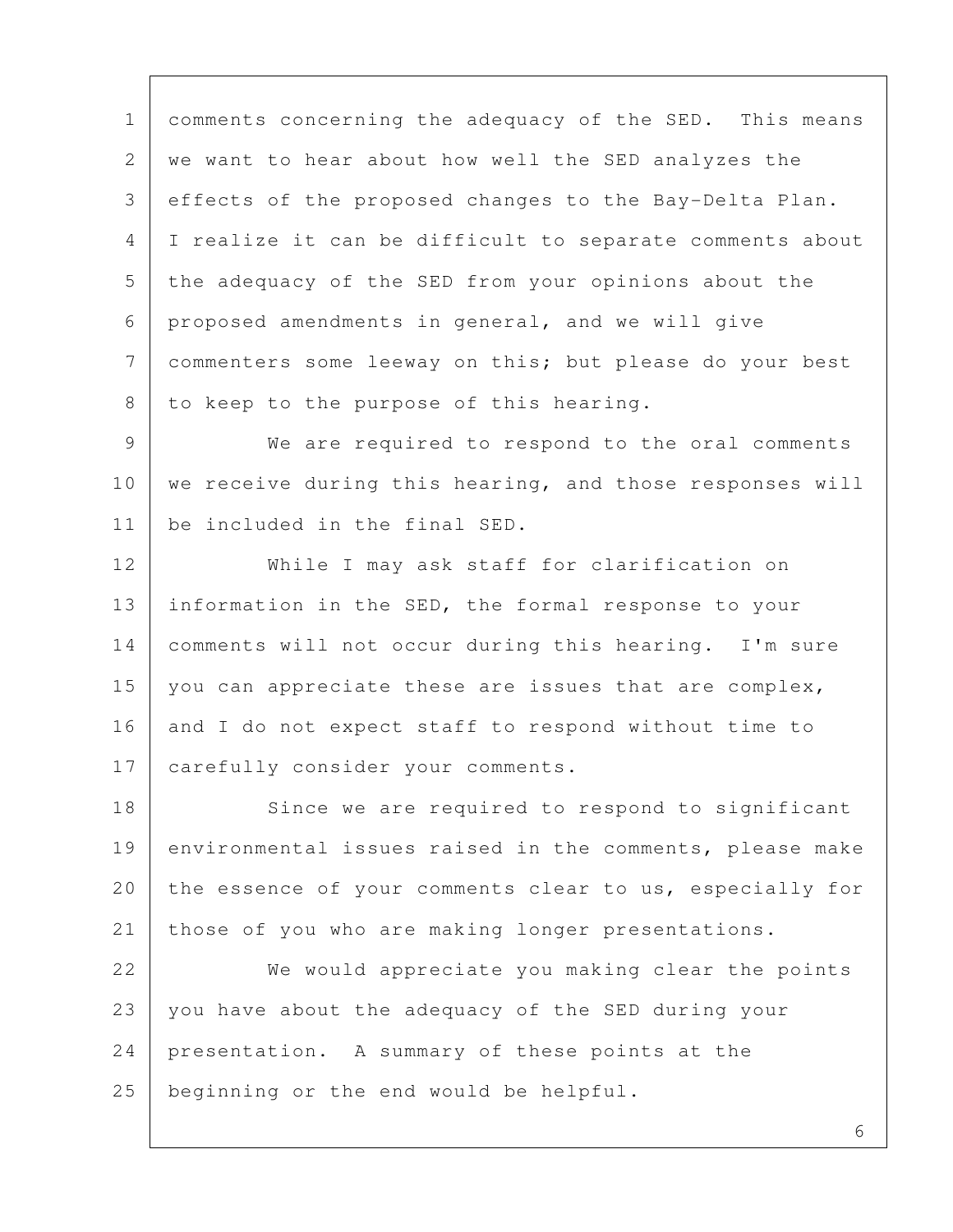1 comments concerning the adequacy of the SED. This means 2 we want to hear about how well the SED analyzes the 3 effects of the proposed changes to the Bay-Delta Plan. 4 I realize it can be difficult to separate comments about 5 the adequacy of the SED from your opinions about the 6 proposed amendments in general, and we will give 7 | commenters some leeway on this; but please do your best 8 to keep to the purpose of this hearing.

 9 We are required to respond to the oral comments 10 | we receive during this hearing, and those responses will 11 be included in the final SED.

12 While I may ask staff for clarification on 13 information in the SED, the formal response to your 14 comments will not occur during this hearing. I'm sure 15 you can appreciate these are issues that are complex, 16 and I do not expect staff to respond without time to 17 | carefully consider your comments.

18 Since we are required to respond to significant 19 environmental issues raised in the comments, please make 20 the essence of your comments clear to us, especially for 21 those of you who are making longer presentations.

22 We would appreciate you making clear the points 23 you have about the adequacy of the SED during your 24 presentation. A summary of these points at the 25 beginning or the end would be helpful.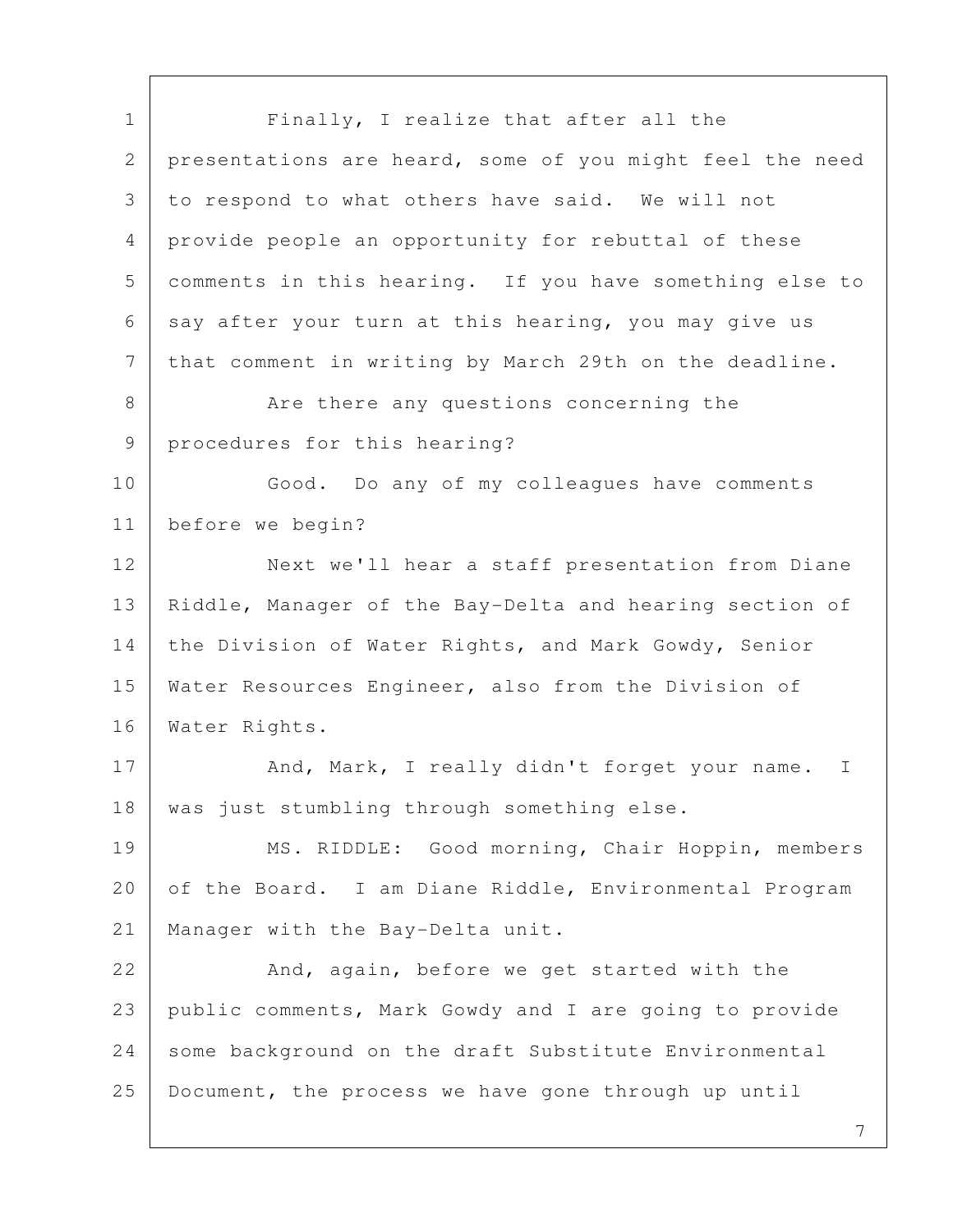7 1 Finally, I realize that after all the 2 presentations are heard, some of you might feel the need 3 to respond to what others have said. We will not 4 provide people an opportunity for rebuttal of these 5 comments in this hearing. If you have something else to 6 say after your turn at this hearing, you may give us 7 | that comment in writing by March 29th on the deadline. 8 | Are there any questions concerning the 9 procedures for this hearing? 10 Good. Do any of my colleagues have comments 11 before we begin? 12 Next we'll hear a staff presentation from Diane 13 | Riddle, Manager of the Bay-Delta and hearing section of 14 the Division of Water Rights, and Mark Gowdy, Senior 15 Water Resources Engineer, also from the Division of 16 Water Rights. 17 And, Mark, I really didn't forget your name. I 18 | was just stumbling through something else. 19 MS. RIDDLE: Good morning, Chair Hoppin, members 20 of the Board. I am Diane Riddle, Environmental Program 21 Manager with the Bay-Delta unit. 22 And, again, before we get started with the 23 public comments, Mark Gowdy and I are going to provide 24 some background on the draft Substitute Environmental 25 Document, the process we have gone through up until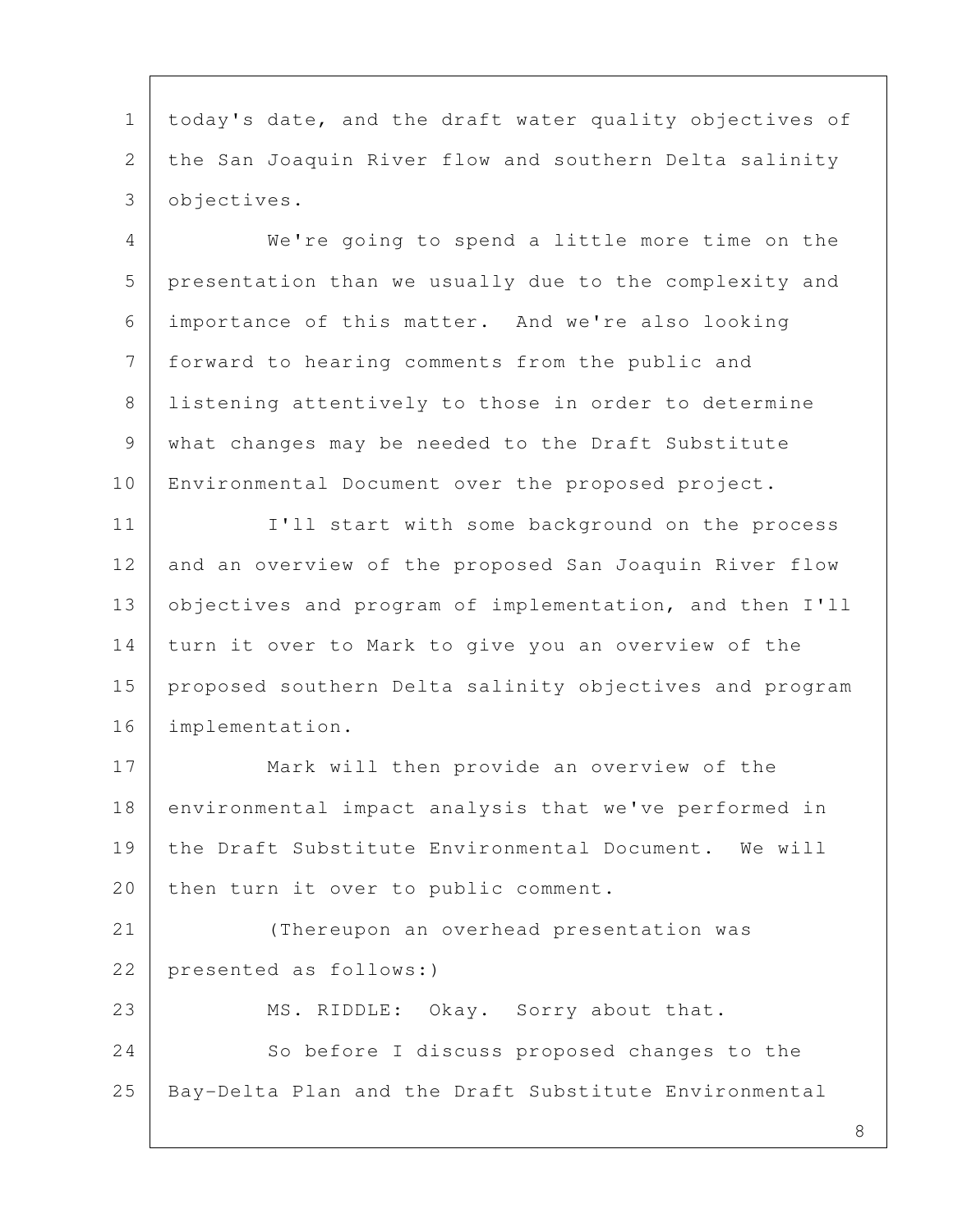1 today's date, and the draft water quality objectives of 2 the San Joaquin River flow and southern Delta salinity 3 objectives.

 4 We're going to spend a little more time on the 5 presentation than we usually due to the complexity and 6 importance of this matter. And we're also looking 7 forward to hearing comments from the public and 8 | listening attentively to those in order to determine 9 what changes may be needed to the Draft Substitute 10 | Environmental Document over the proposed project.

11 | I'll start with some background on the process 12 and an overview of the proposed San Joaquin River flow 13 objectives and program of implementation, and then I'll 14 turn it over to Mark to give you an overview of the 15 proposed southern Delta salinity objectives and program 16 implementation.

17 Mark will then provide an overview of the 18 environmental impact analysis that we've performed in 19 the Draft Substitute Environmental Document. We will 20 | then turn it over to public comment.

21 (Thereupon an overhead presentation was 22 presented as follows:)

23 MS. RIDDLE: Okay. Sorry about that. 24 So before I discuss proposed changes to the 25 Bay-Delta Plan and the Draft Substitute Environmental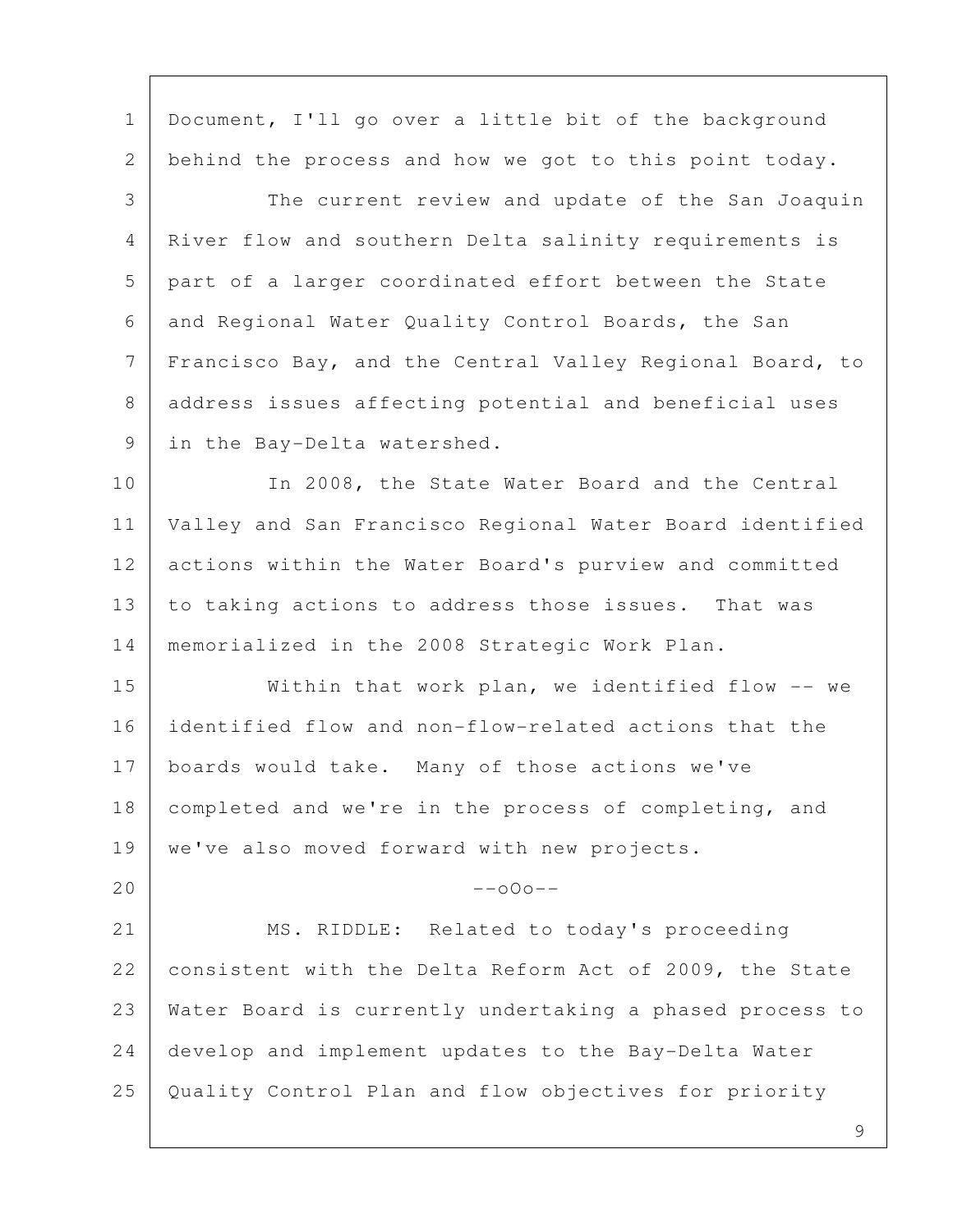1 | Document, I'll go over a little bit of the background 2 behind the process and how we got to this point today. 3 The current review and update of the San Joaquin 4 River flow and southern Delta salinity requirements is 5 part of a larger coordinated effort between the State 6 and Regional Water Quality Control Boards, the San 7 | Francisco Bay, and the Central Valley Regional Board, to 8 address issues affecting potential and beneficial uses 9 in the Bay-Delta watershed. 10 In 2008, the State Water Board and the Central 11 Valley and San Francisco Regional Water Board identified 12 actions within the Water Board's purview and committed 13 to taking actions to address those issues. That was 14 memorialized in the 2008 Strategic Work Plan. 15 Within that work plan, we identified flow -- we 16 identified flow and non-flow-related actions that the 17 | boards would take. Many of those actions we've 18 completed and we're in the process of completing, and 19 | we've also moved forward with new projects.  $20$  --o0o--21 MS. RIDDLE: Related to today's proceeding 22 consistent with the Delta Reform Act of 2009, the State 23 Water Board is currently undertaking a phased process to 24 develop and implement updates to the Bay-Delta Water 25 Quality Control Plan and flow objectives for priority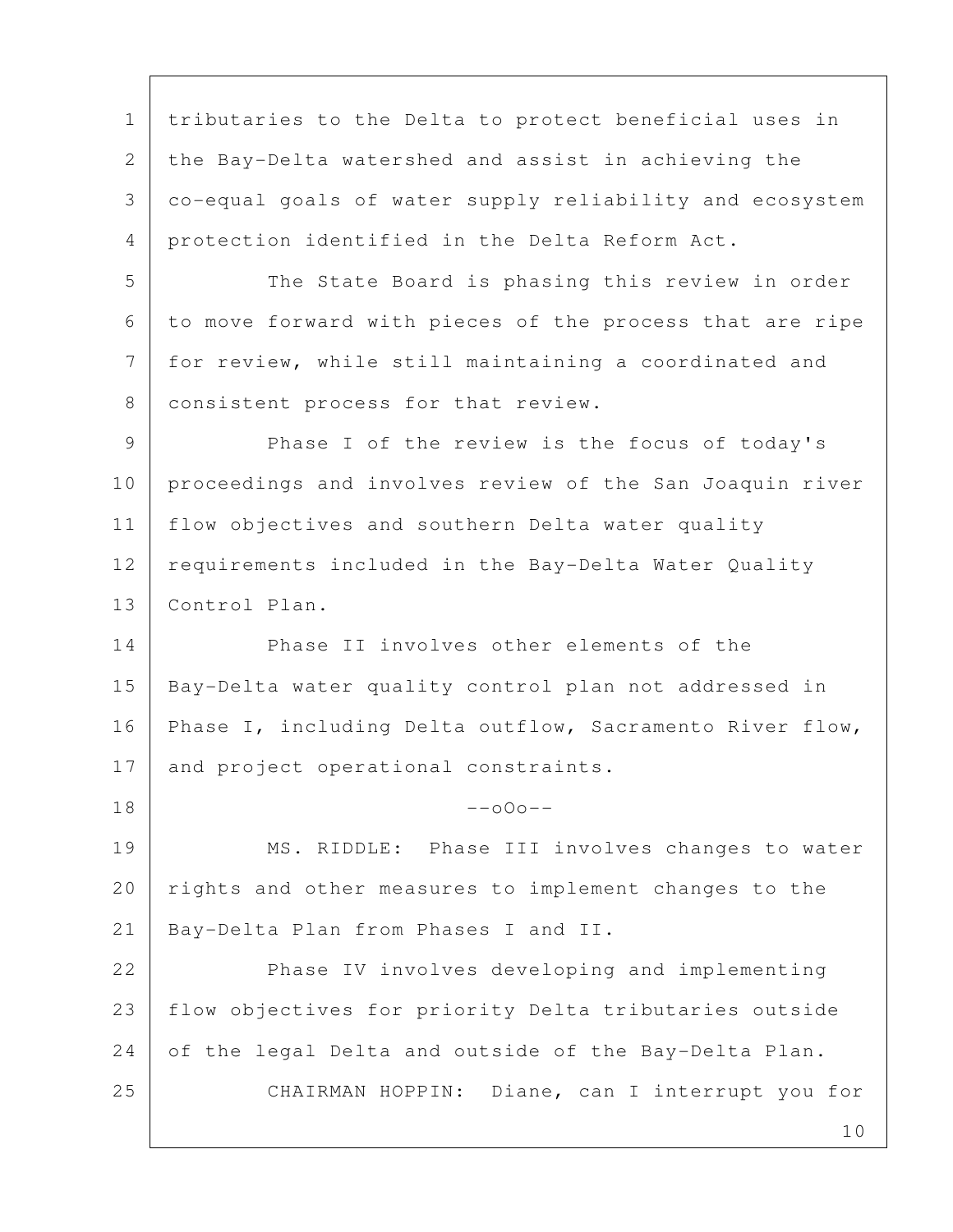1 tributaries to the Delta to protect beneficial uses in 2 the Bay-Delta watershed and assist in achieving the 3 co-equal goals of water supply reliability and ecosystem 4 protection identified in the Delta Reform Act.

5 The State Board is phasing this review in order 6 to move forward with pieces of the process that are ripe 7 for review, while still maintaining a coordinated and 8 | consistent process for that review.

 9 Phase I of the review is the focus of today's 10 proceedings and involves review of the San Joaquin river 11 | flow objectives and southern Delta water quality 12 requirements included in the Bay-Delta Water Quality 13 Control Plan.

14 Phase II involves other elements of the 15 Bay-Delta water quality control plan not addressed in 16 | Phase I, including Delta outflow, Sacramento River flow, 17 and project operational constraints.

19 | MS. RIDDLE: Phase III involves changes to water 20 rights and other measures to implement changes to the 21 | Bay-Delta Plan from Phases I and II.

 $18$  --000--

22 Phase IV involves developing and implementing 23 flow objectives for priority Delta tributaries outside 24 of the legal Delta and outside of the Bay-Delta Plan. 25 CHAIRMAN HOPPIN: Diane, can I interrupt you for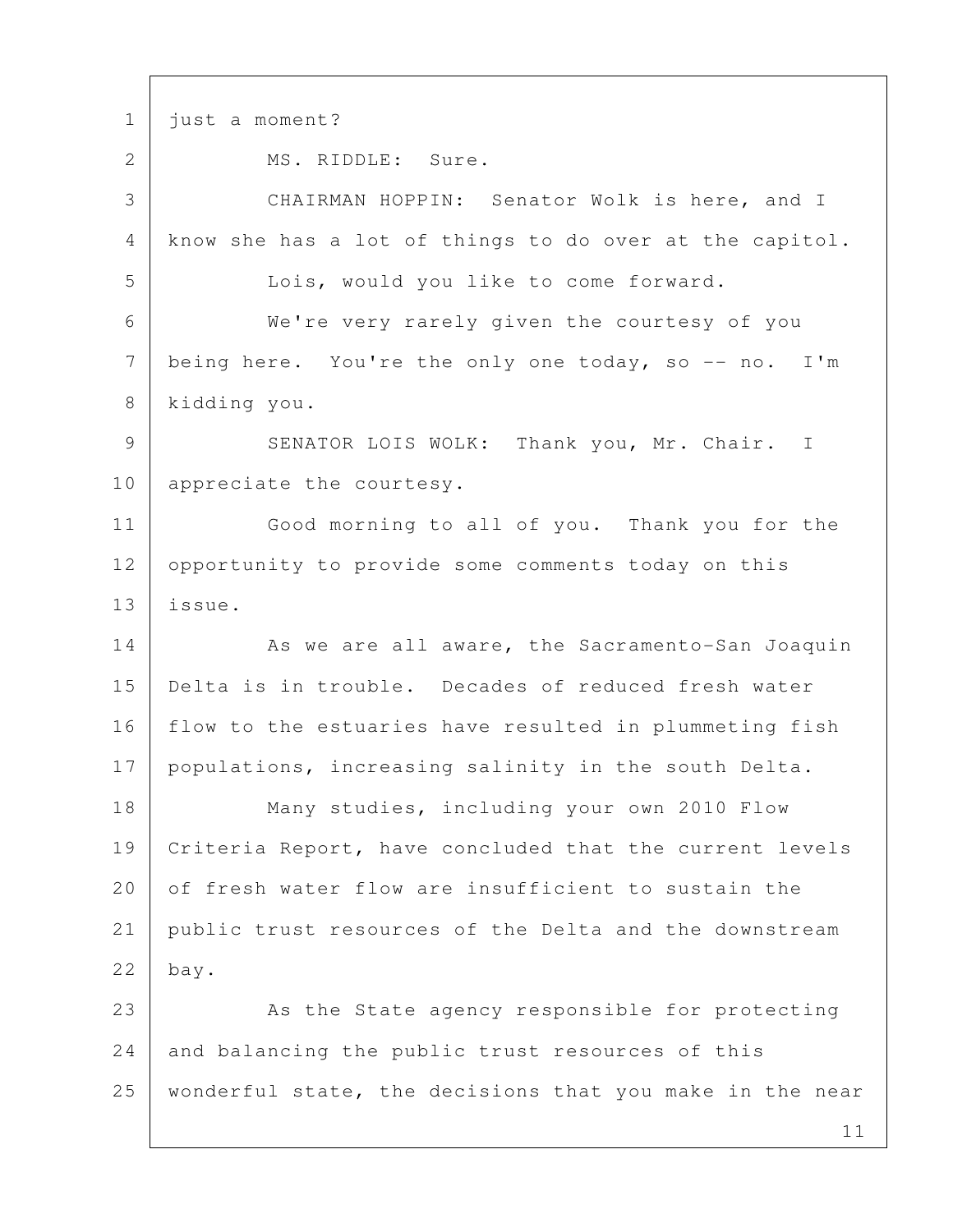11 1 just a moment? 2 MS. RIDDLE: Sure. 3 CHAIRMAN HOPPIN: Senator Wolk is here, and I 4 know she has a lot of things to do over at the capitol. 5 Lois, would you like to come forward. 6 We're very rarely given the courtesy of you 7 being here. You're the only one today, so  $-$  no. I'm 8 kidding you. 9 SENATOR LOIS WOLK: Thank you, Mr. Chair. I 10 appreciate the courtesy. 11 Good morning to all of you. Thank you for the 12 opportunity to provide some comments today on this 13 issue. 14 As we are all aware, the Sacramento-San Joaquin 15 Delta is in trouble. Decades of reduced fresh water 16 | flow to the estuaries have resulted in plummeting fish 17 populations, increasing salinity in the south Delta. 18 Many studies, including your own 2010 Flow 19 Criteria Report, have concluded that the current levels 20 of fresh water flow are insufficient to sustain the 21 public trust resources of the Delta and the downstream 22 bay. 23 As the State agency responsible for protecting 24 and balancing the public trust resources of this 25 | wonderful state, the decisions that you make in the near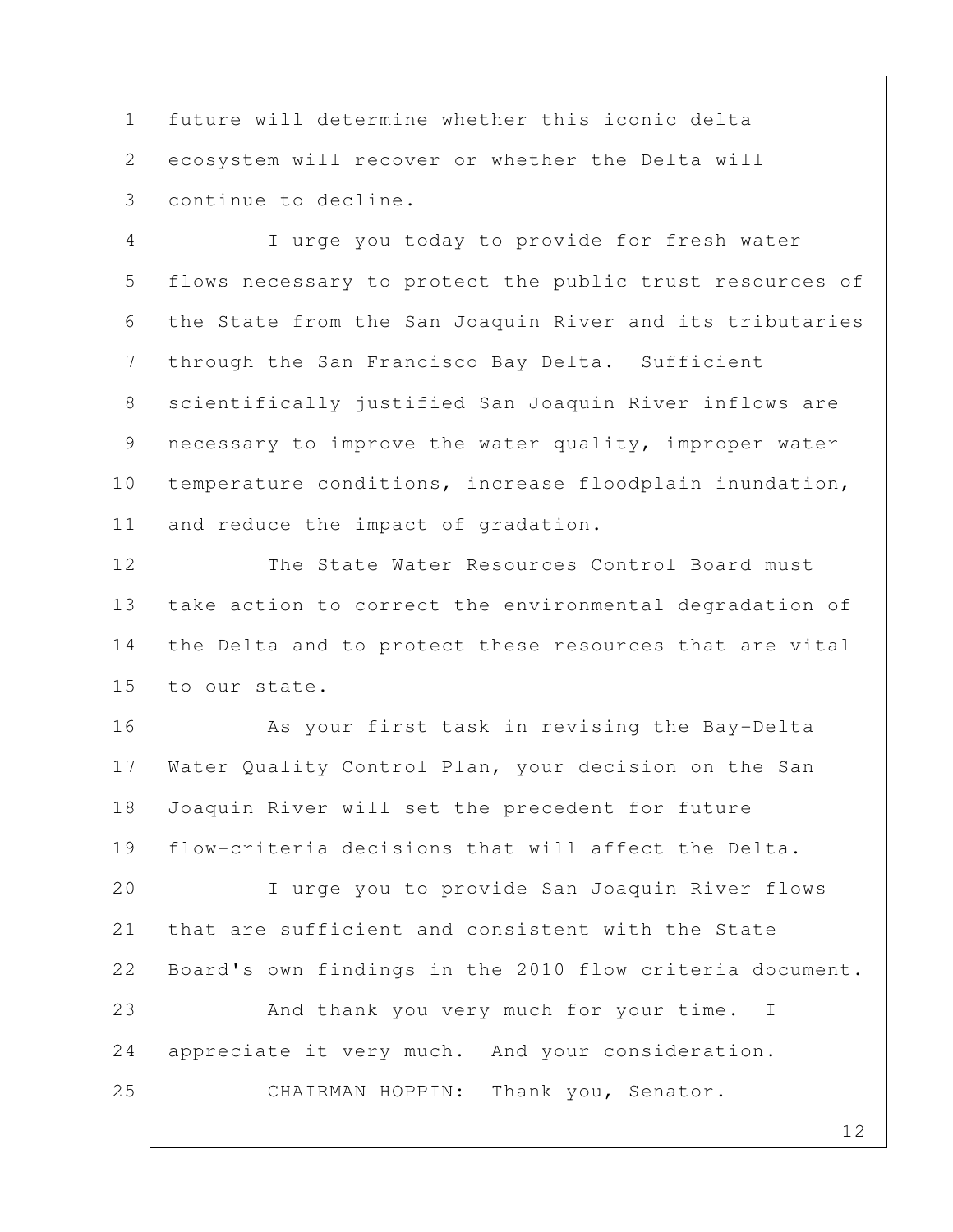1 future will determine whether this iconic delta 2 ecosystem will recover or whether the Delta will 3 continue to decline.

 4 I urge you today to provide for fresh water 5 flows necessary to protect the public trust resources of 6 the State from the San Joaquin River and its tributaries 7 | through the San Francisco Bay Delta. Sufficient 8 | scientifically justified San Joaquin River inflows are 9 necessary to improve the water quality, improper water 10 temperature conditions, increase floodplain inundation, 11 and reduce the impact of gradation.

12 The State Water Resources Control Board must 13 take action to correct the environmental degradation of 14 the Delta and to protect these resources that are vital 15 to our state.

16 | River That task in revising the Bay-Delta 17 Water Quality Control Plan, your decision on the San 18 Joaquin River will set the precedent for future 19 flow-criteria decisions that will affect the Delta.

20 I urge you to provide San Joaquin River flows 21 that are sufficient and consistent with the State 22 Board's own findings in the 2010 flow criteria document.

23 And thank you very much for your time. I 24 appreciate it very much. And your consideration. 25 CHAIRMAN HOPPIN: Thank you, Senator.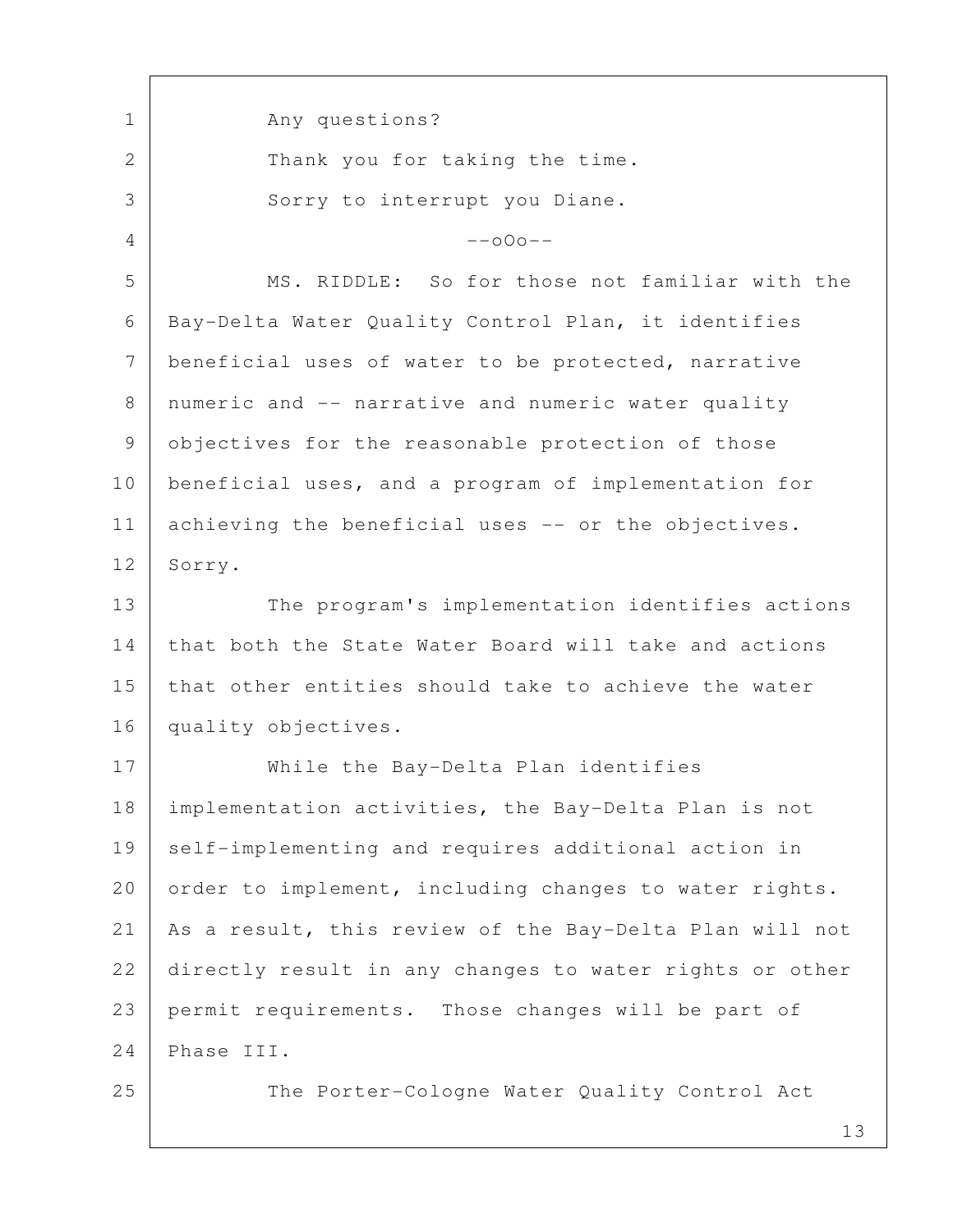1 Any questions? 2 Thank you for taking the time. 3 Sorry to interrupt you Diane.  $4$  --000-- 5 MS. RIDDLE: So for those not familiar with the 6 Bay-Delta Water Quality Control Plan, it identifies 7 beneficial uses of water to be protected, narrative 8 | numeric and -- narrative and numeric water quality 9 objectives for the reasonable protection of those 10 beneficial uses, and a program of implementation for 11 achieving the beneficial uses -- or the objectives. 12 Sorry. 13 The program's implementation identifies actions 14 that both the State Water Board will take and actions 15 that other entities should take to achieve the water 16 quality objectives. 17 While the Bay-Delta Plan identifies 18 implementation activities, the Bay-Delta Plan is not 19 self-implementing and requires additional action in 20 order to implement, including changes to water rights. 21 As a result, this review of the Bay-Delta Plan will not 22 directly result in any changes to water rights or other 23 permit requirements. Those changes will be part of 24 Phase III. 25 The Porter-Cologne Water Quality Control Act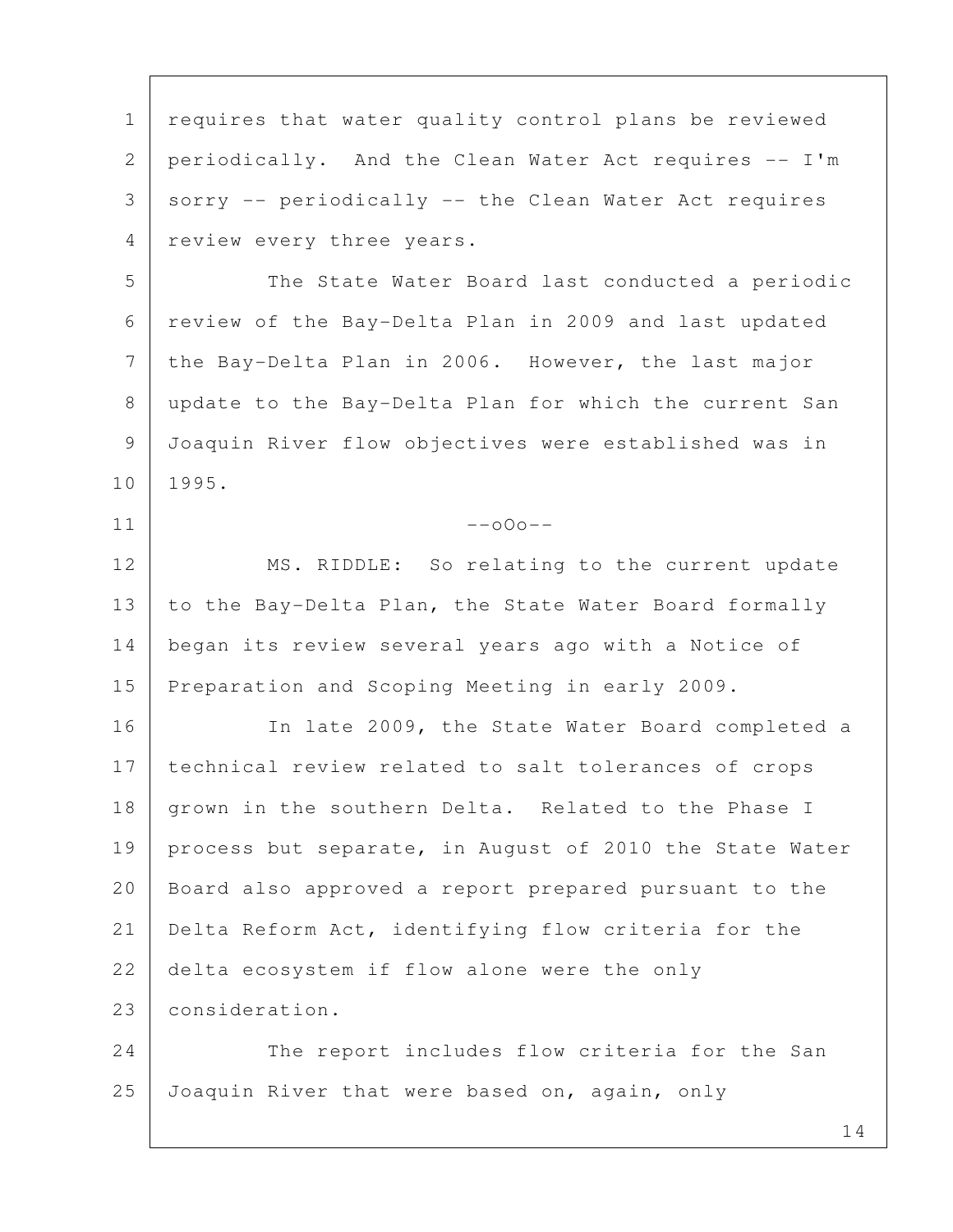1 | requires that water quality control plans be reviewed 2 periodically. And the Clean Water Act requires -- I'm  $3$  sorry -- periodically -- the Clean Water Act requires 4 | review every three years. 5 | The State Water Board last conducted a periodic 6 review of the Bay-Delta Plan in 2009 and last updated 7 the Bay-Delta Plan in 2006. However, the last major 8 update to the Bay-Delta Plan for which the current San 9 Joaquin River flow objectives were established was in 10 1995.  $11$  --000--12 MS. RIDDLE: So relating to the current update 13 to the Bay-Delta Plan, the State Water Board formally 14 began its review several years ago with a Notice of 15 Preparation and Scoping Meeting in early 2009. 16 | The late 2009, the State Water Board completed a 17 technical review related to salt tolerances of crops 18 grown in the southern Delta. Related to the Phase I 19 | process but separate, in August of 2010 the State Water 20 Board also approved a report prepared pursuant to the 21 Delta Reform Act, identifying flow criteria for the 22 delta ecosystem if flow alone were the only 23 consideration. 24 The report includes flow criteria for the San 25 Joaquin River that were based on, again, only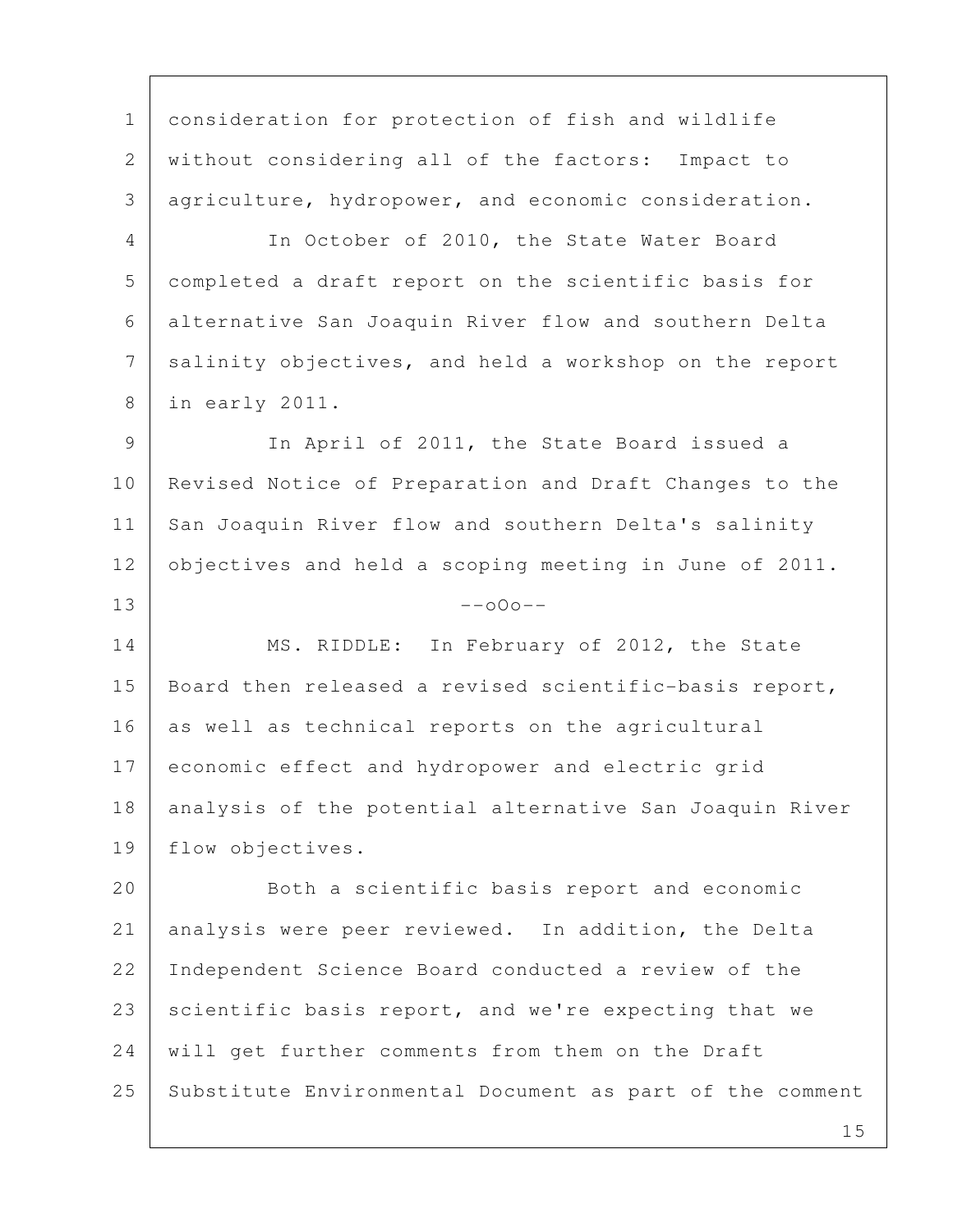1 consideration for protection of fish and wildlife 2 without considering all of the factors: Impact to 3 agriculture, hydropower, and economic consideration.

4 In October of 2010, the State Water Board 5 completed a draft report on the scientific basis for 6 alternative San Joaquin River flow and southern Delta 7 salinity objectives, and held a workshop on the report 8 in early 2011.

 9 In April of 2011, the State Board issued a 10 Revised Notice of Preparation and Draft Changes to the 11 San Joaquin River flow and southern Delta's salinity 12 objectives and held a scoping meeting in June of 2011.  $13$  --000--

14 MS. RIDDLE: In February of 2012, the State 15 | Board then released a revised scientific-basis report, 16 as well as technical reports on the agricultural 17 economic effect and hydropower and electric grid 18 analysis of the potential alternative San Joaquin River 19 flow objectives.

20 Both a scientific basis report and economic 21 analysis were peer reviewed. In addition, the Delta 22 Independent Science Board conducted a review of the 23 scientific basis report, and we're expecting that we 24 will get further comments from them on the Draft 25 Substitute Environmental Document as part of the comment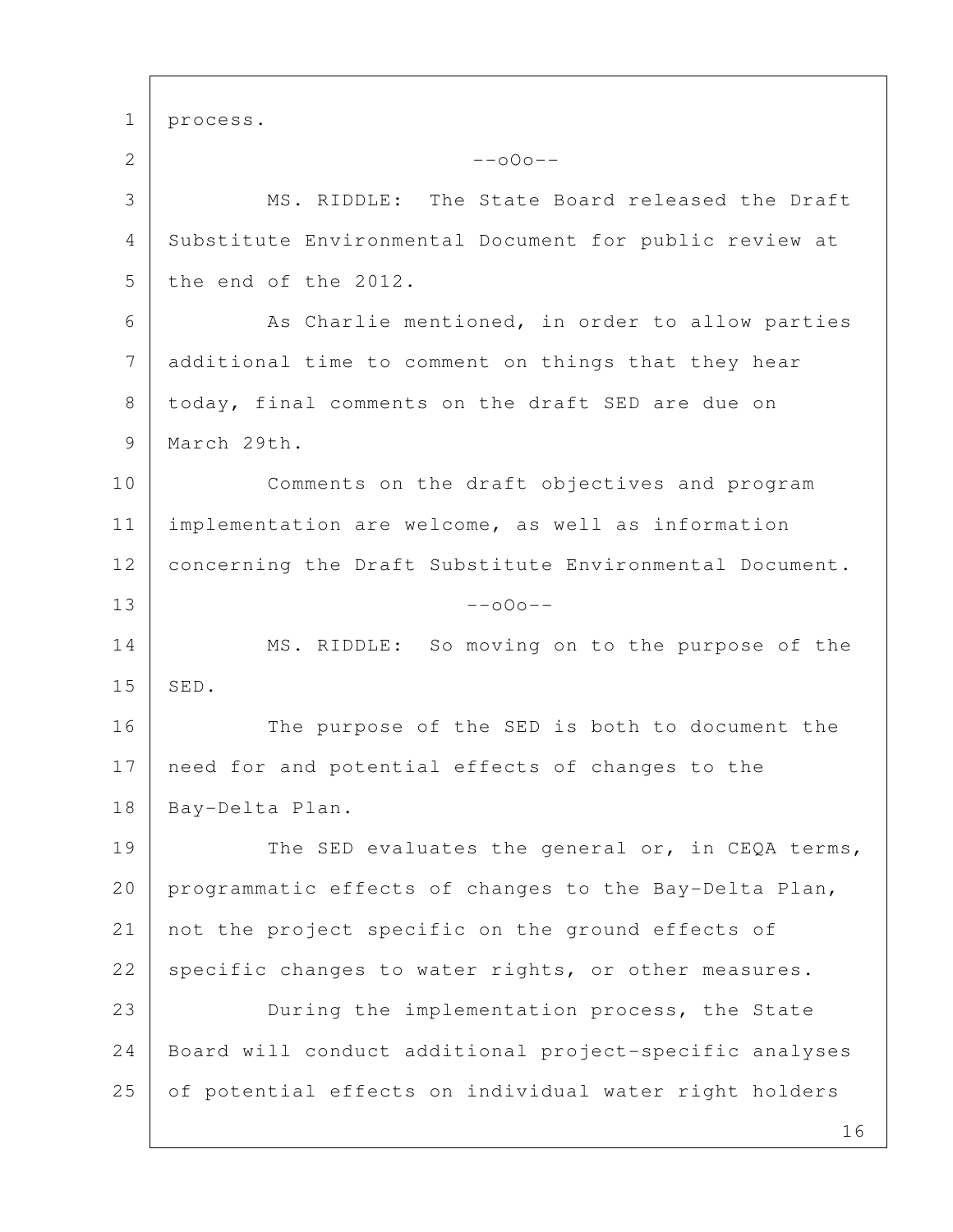1 process. 2  $-000--$  3 MS. RIDDLE: The State Board released the Draft 4 Substitute Environmental Document for public review at 5 the end of the 2012. 6 As Charlie mentioned, in order to allow parties 7 additional time to comment on things that they hear 8 today, final comments on the draft SED are due on 9 | March 29th. 10 Comments on the draft objectives and program 11 implementation are welcome, as well as information 12 | concerning the Draft Substitute Environmental Document.  $13$  --000--14 MS. RIDDLE: So moving on to the purpose of the 15 SED. 16 The purpose of the SED is both to document the 17 need for and potential effects of changes to the 18 Bay-Delta Plan. 19 The SED evaluates the general or, in CEQA terms, 20 programmatic effects of changes to the Bay-Delta Plan, 21 not the project specific on the ground effects of 22 specific changes to water rights, or other measures. 23 During the implementation process, the State 24 Board will conduct additional project-specific analyses 25 of potential effects on individual water right holders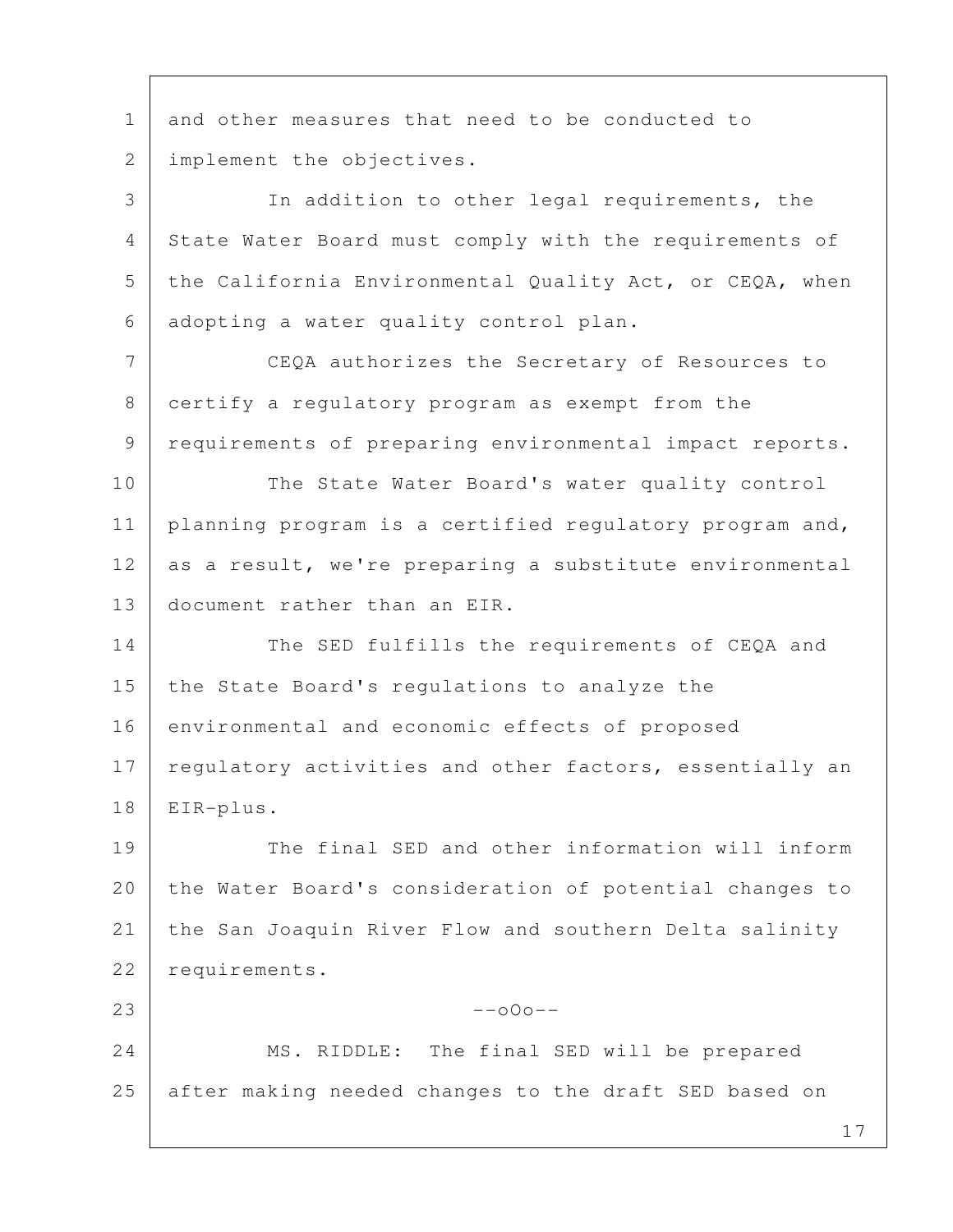1 and other measures that need to be conducted to 2 | implement the objectives.

 3 In addition to other legal requirements, the 4 State Water Board must comply with the requirements of 5 the California Environmental Quality Act, or CEQA, when 6 adopting a water quality control plan.

 7 CEQA authorizes the Secretary of Resources to 8 certify a regulatory program as exempt from the 9 | requirements of preparing environmental impact reports.

10 The State Water Board's water quality control 11 | planning program is a certified regulatory program and, 12 as a result, we're preparing a substitute environmental 13 document rather than an EIR.

14 The SED fulfills the requirements of CEQA and 15 the State Board's regulations to analyze the 16 environmental and economic effects of proposed 17 regulatory activities and other factors, essentially an 18 EIR-plus.

19 The final SED and other information will inform 20 the Water Board's consideration of potential changes to 21 the San Joaquin River Flow and southern Delta salinity 22 requirements.

24 MS. RIDDLE: The final SED will be prepared 25 after making needed changes to the draft SED based on

 $23$  --o0o--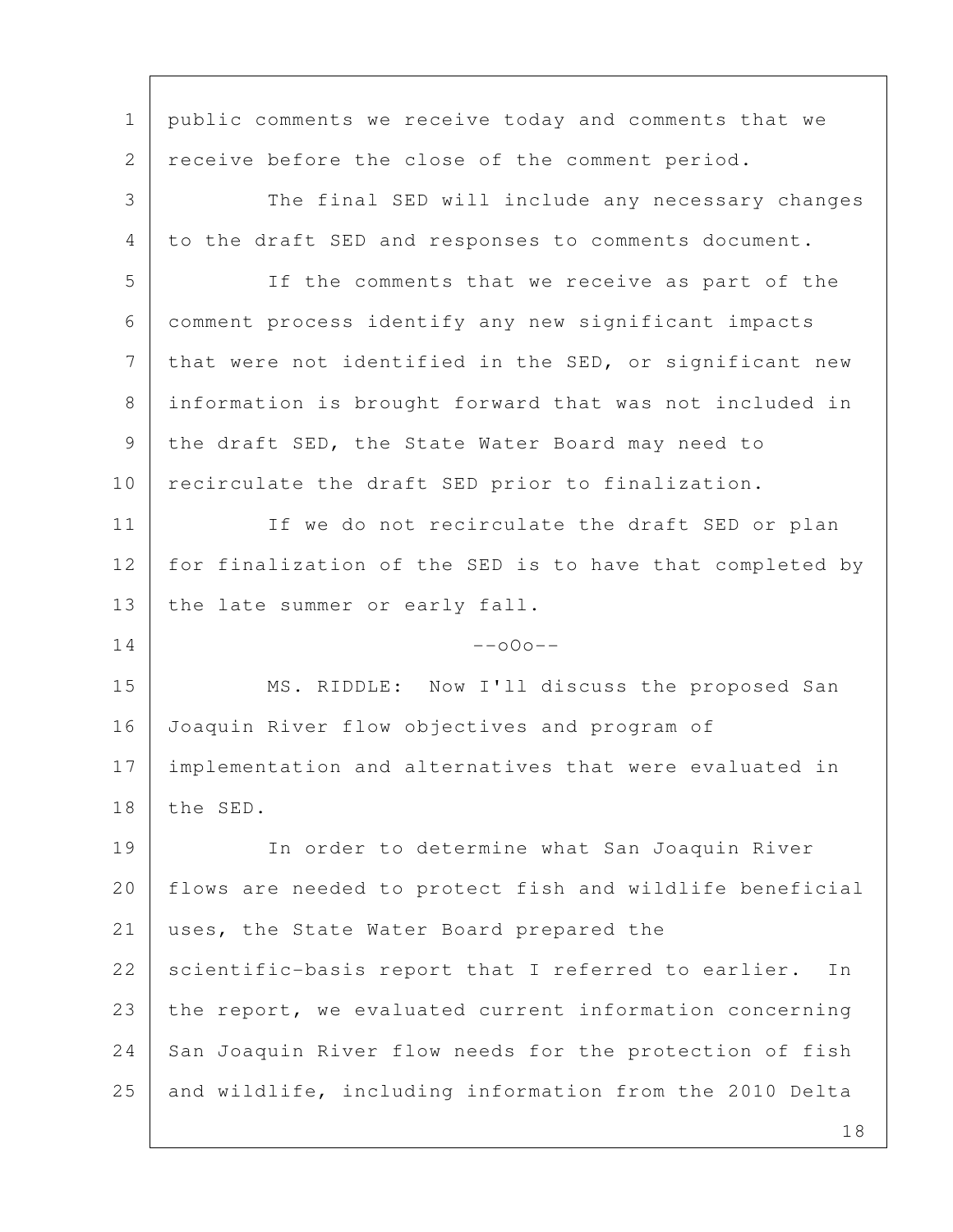1 | public comments we receive today and comments that we 2 receive before the close of the comment period. 3 The final SED will include any necessary changes 4 to the draft SED and responses to comments document. 5 If the comments that we receive as part of the 6 comment process identify any new significant impacts 7 | that were not identified in the SED, or significant new 8 information is brought forward that was not included in 9 the draft SED, the State Water Board may need to 10 recirculate the draft SED prior to finalization. 11 | If we do not recirculate the draft SED or plan 12 for finalization of the SED is to have that completed by 13 | the late summer or early fall.  $14$  --000--15 MS. RIDDLE: Now I'll discuss the proposed San 16 Joaquin River flow objectives and program of 17 implementation and alternatives that were evaluated in 18 the SED. 19 In order to determine what San Joaquin River 20 flows are needed to protect fish and wildlife beneficial 21 uses, the State Water Board prepared the 22 scientific-basis report that I referred to earlier. In 23 the report, we evaluated current information concerning 24 San Joaquin River flow needs for the protection of fish 25 and wildlife, including information from the 2010 Delta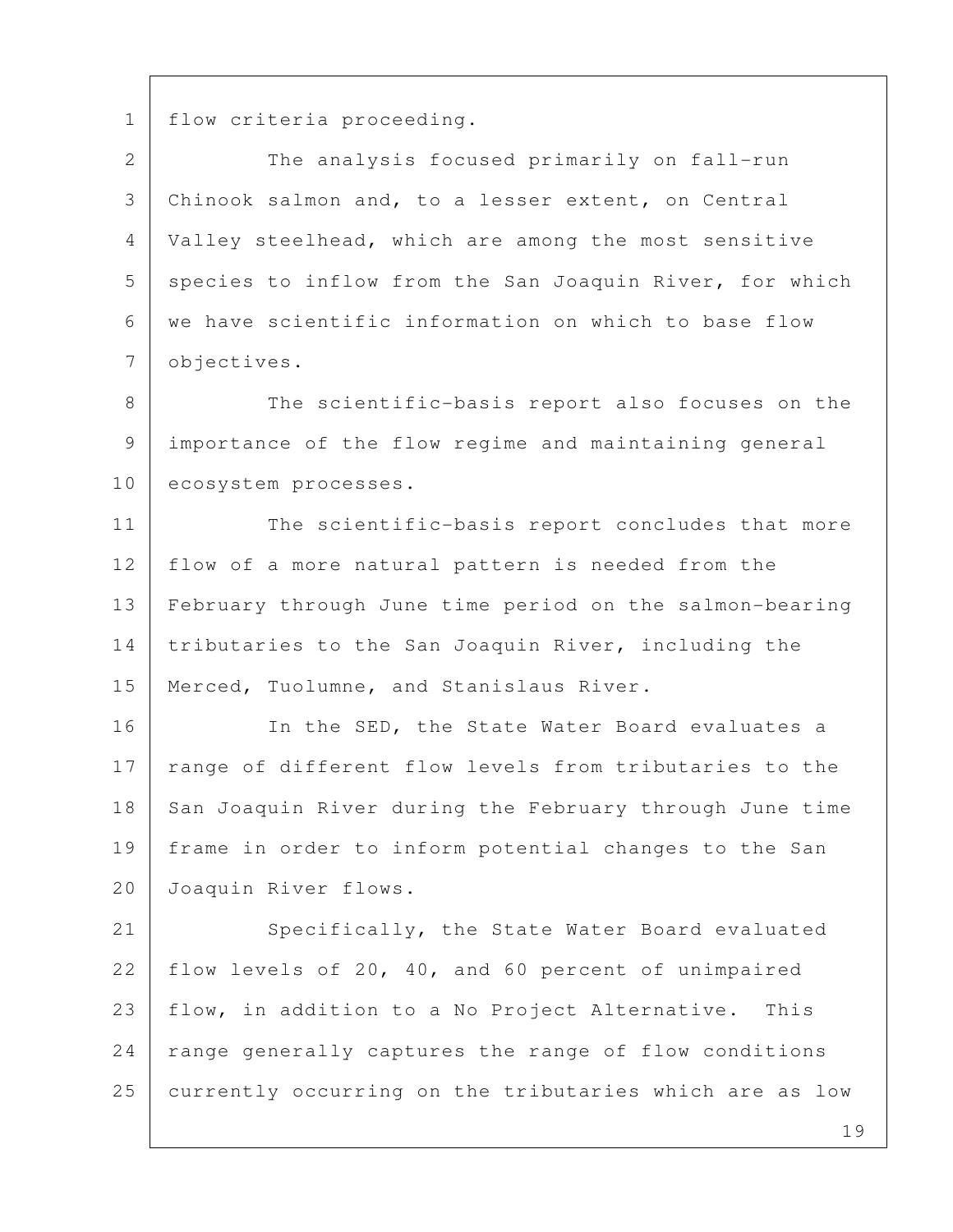1 | flow criteria proceeding.

2 The analysis focused primarily on fall-run 3 Chinook salmon and, to a lesser extent, on Central 4 Valley steelhead, which are among the most sensitive 5 species to inflow from the San Joaquin River, for which 6 we have scientific information on which to base flow 7 objectives.

8 The scientific-basis report also focuses on the 9 importance of the flow regime and maintaining general 10 ecosystem processes.

11 The scientific-basis report concludes that more 12 | flow of a more natural pattern is needed from the 13 February through June time period on the salmon-bearing 14 tributaries to the San Joaquin River, including the 15 | Merced, Tuolumne, and Stanislaus River.

16 In the SED, the State Water Board evaluates a 17 range of different flow levels from tributaries to the 18 San Joaquin River during the February through June time 19 frame in order to inform potential changes to the San 20 Joaquin River flows.

21 Specifically, the State Water Board evaluated 22 flow levels of 20, 40, and 60 percent of unimpaired 23 flow, in addition to a No Project Alternative. This 24 | range generally captures the range of flow conditions 25 currently occurring on the tributaries which are as low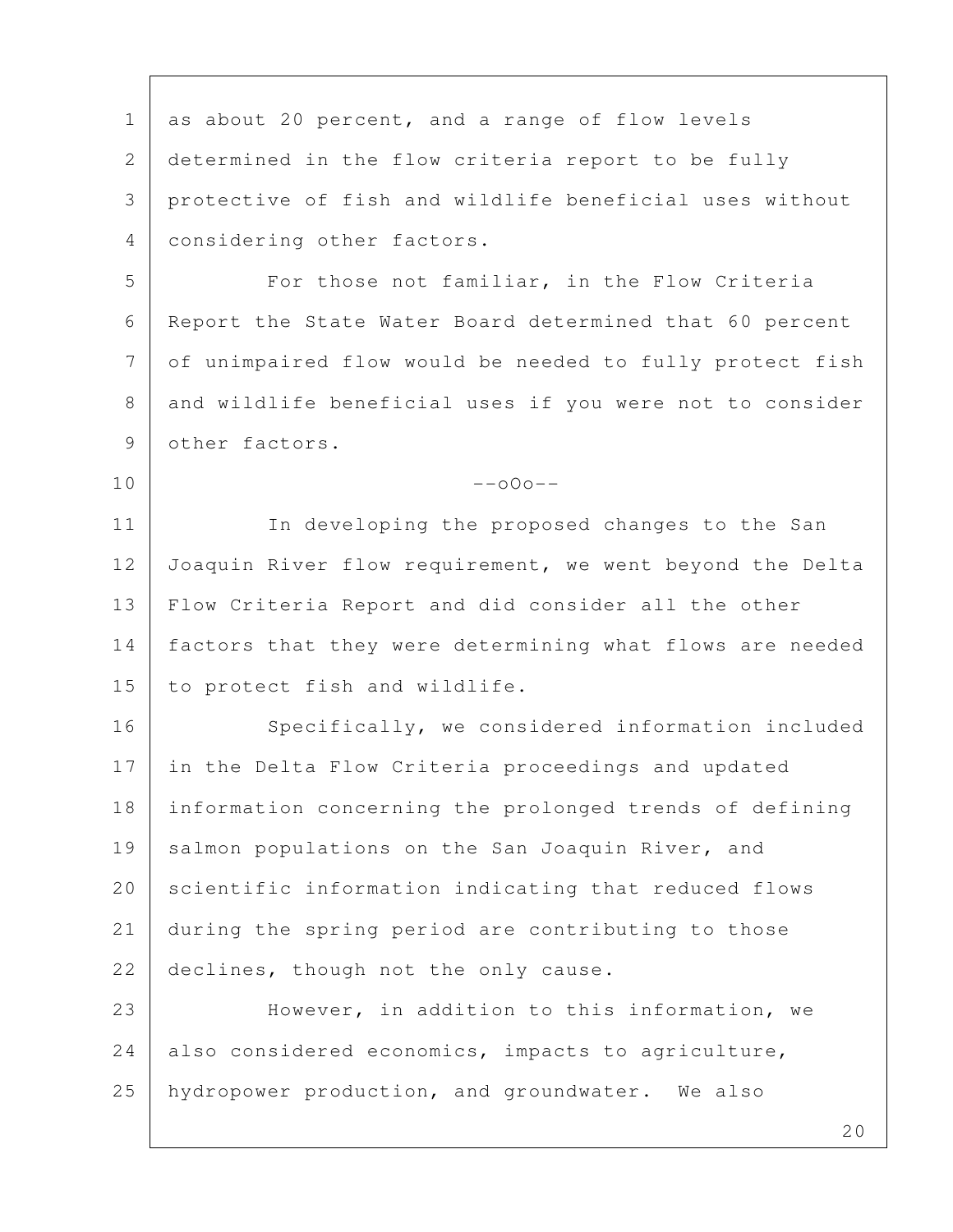1 as about 20 percent, and a range of flow levels 2 determined in the flow criteria report to be fully 3 protective of fish and wildlife beneficial uses without 4 considering other factors. 5 For those not familiar, in the Flow Criteria 6 Report the State Water Board determined that 60 percent 7 of unimpaired flow would be needed to fully protect fish 8 and wildlife beneficial uses if you were not to consider 9 other factors.  $10$  --o $0$ o--11 In developing the proposed changes to the San 12 Joaquin River flow requirement, we went beyond the Delta 13 Flow Criteria Report and did consider all the other 14 | factors that they were determining what flows are needed 15 to protect fish and wildlife. 16 Specifically, we considered information included 17 in the Delta Flow Criteria proceedings and updated 18 information concerning the prolonged trends of defining 19 salmon populations on the San Joaquin River, and 20 scientific information indicating that reduced flows 21 during the spring period are contributing to those 22 declines, though not the only cause. 23 However, in addition to this information, we 24 also considered economics, impacts to agriculture, 25 hydropower production, and groundwater. We also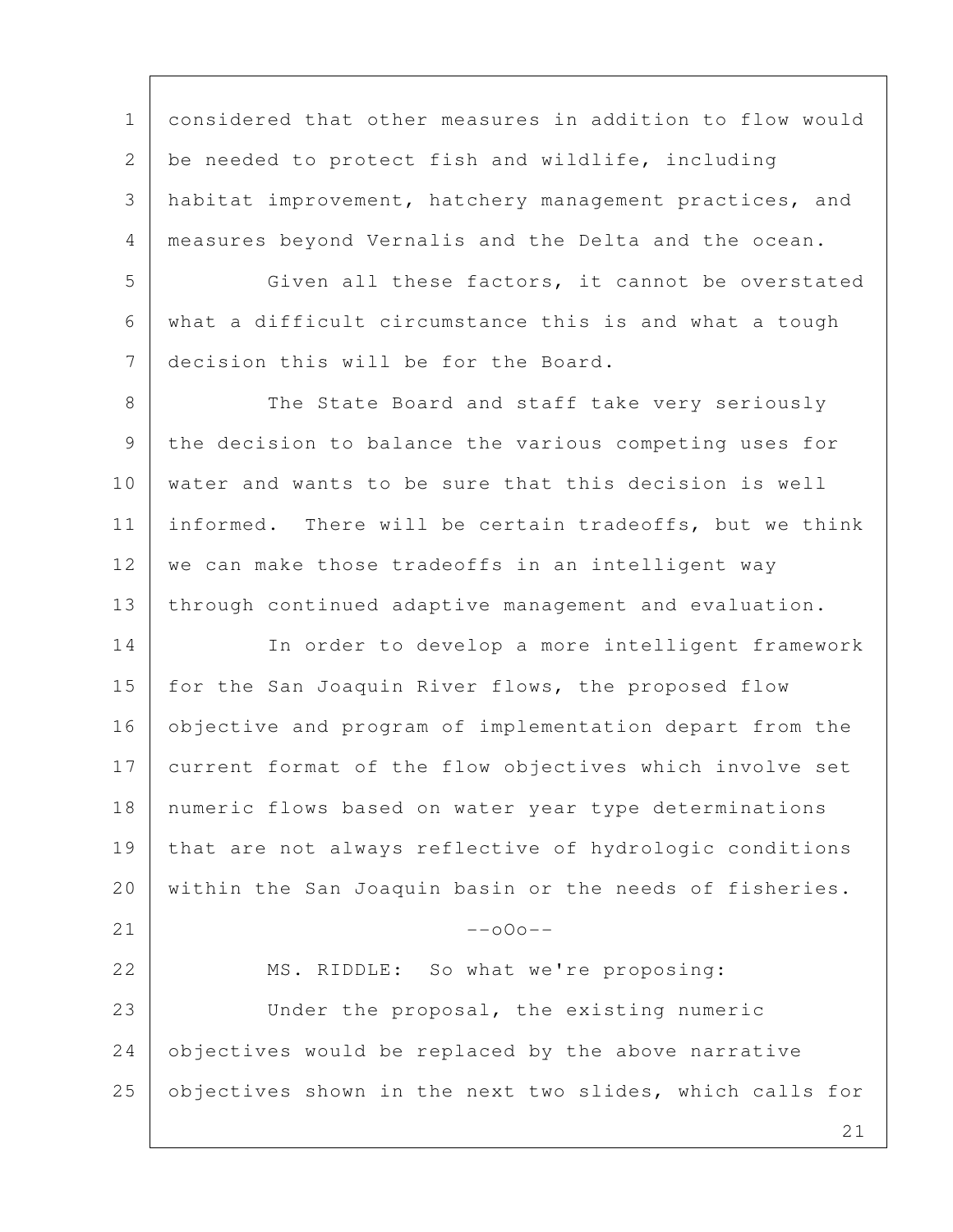1 considered that other measures in addition to flow would 2 be needed to protect fish and wildlife, including 3 habitat improvement, hatchery management practices, and 4 measures beyond Vernalis and the Delta and the ocean.

5 Given all these factors, it cannot be overstated 6 what a difficult circumstance this is and what a tough 7 decision this will be for the Board.

8 The State Board and staff take very seriously 9 the decision to balance the various competing uses for 10 water and wants to be sure that this decision is well 11 | informed. There will be certain tradeoffs, but we think 12 we can make those tradeoffs in an intelligent way 13 through continued adaptive management and evaluation.

14 In order to develop a more intelligent framework 15 for the San Joaquin River flows, the proposed flow 16 objective and program of implementation depart from the 17 current format of the flow objectives which involve set 18 numeric flows based on water year type determinations 19 that are not always reflective of hydrologic conditions 20 within the San Joaquin basin or the needs of fisheries.  $21$  --000--22 MS. RIDDLE: So what we're proposing: 23 Under the proposal, the existing numeric

25 objectives shown in the next two slides, which calls for

24 objectives would be replaced by the above narrative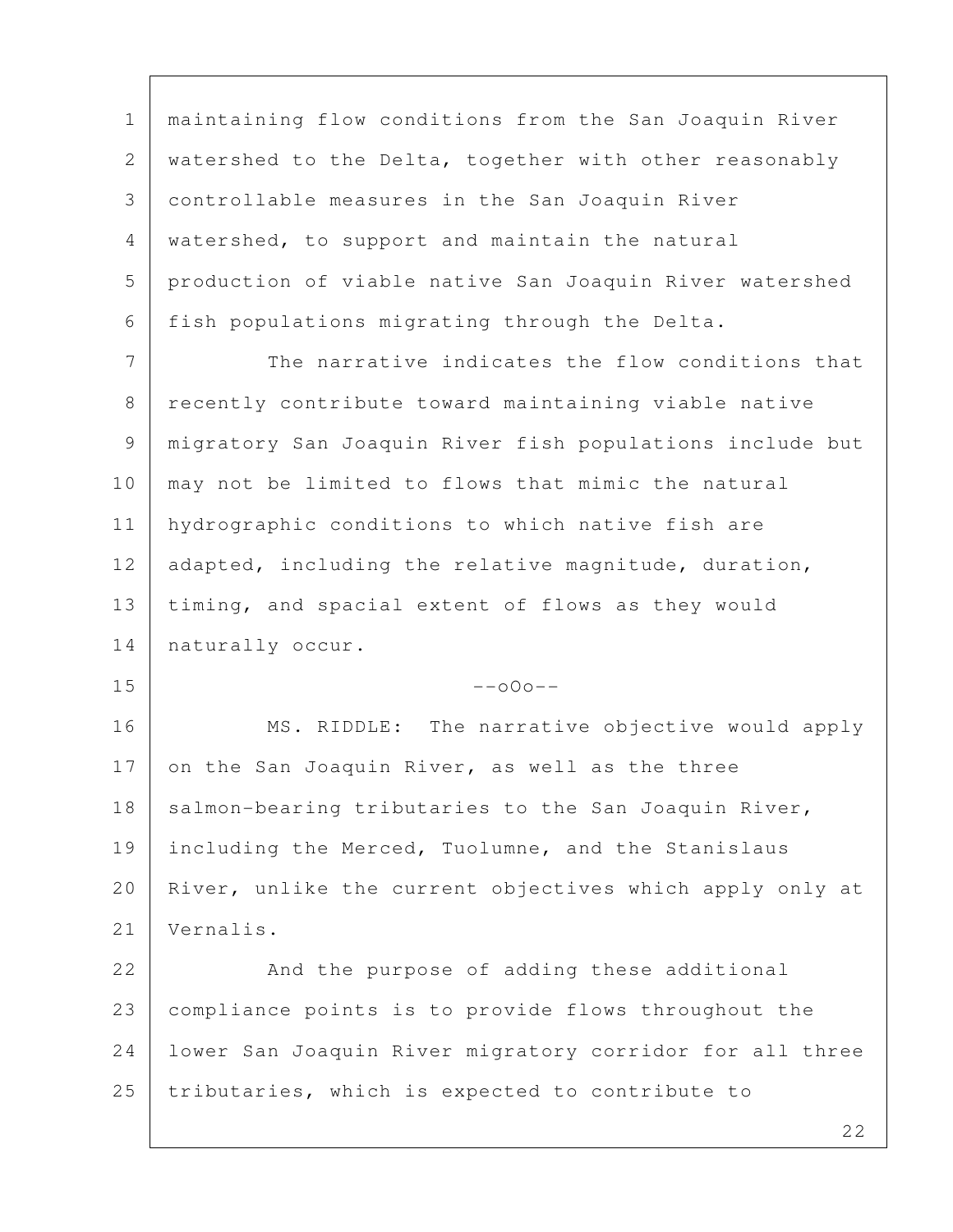1 maintaining flow conditions from the San Joaquin River 2 watershed to the Delta, together with other reasonably 3 controllable measures in the San Joaquin River 4 watershed, to support and maintain the natural 5 production of viable native San Joaquin River watershed 6 fish populations migrating through the Delta.

7 The narrative indicates the flow conditions that 8 recently contribute toward maintaining viable native 9 migratory San Joaquin River fish populations include but 10 may not be limited to flows that mimic the natural 11 | hydrographic conditions to which native fish are 12 adapted, including the relative magnitude, duration, 13 timing, and spacial extent of flows as they would 14 | naturally occur.

 $15$  --000--

16 | MS. RIDDLE: The narrative objective would apply 17 on the San Joaquin River, as well as the three 18 | salmon-bearing tributaries to the San Joaquin River, 19 including the Merced, Tuolumne, and the Stanislaus 20 | River, unlike the current objectives which apply only at 21 Vernalis.

22 And the purpose of adding these additional 23 compliance points is to provide flows throughout the 24 lower San Joaquin River migratory corridor for all three 25 tributaries, which is expected to contribute to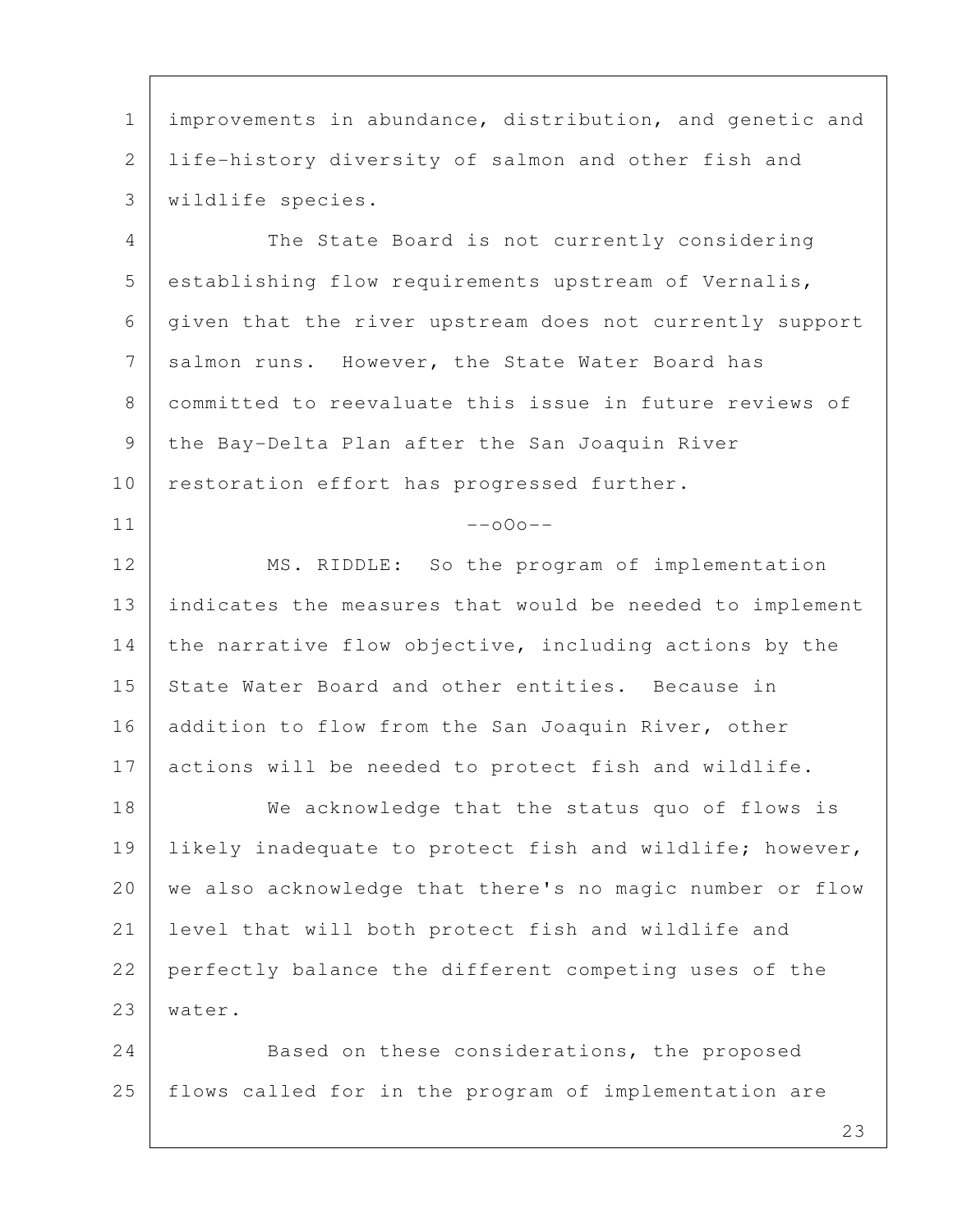1 | improvements in abundance, distribution, and genetic and 2 life-history diversity of salmon and other fish and 3 wildlife species.

 4 The State Board is not currently considering 5 establishing flow requirements upstream of Vernalis, 6 given that the river upstream does not currently support 7 salmon runs. However, the State Water Board has 8 committed to reevaluate this issue in future reviews of 9 the Bay-Delta Plan after the San Joaquin River 10 restoration effort has progressed further.

## $11$  --000--

12 MS. RIDDLE: So the program of implementation 13 indicates the measures that would be needed to implement 14 the narrative flow objective, including actions by the 15 | State Water Board and other entities. Because in 16 addition to flow from the San Joaquin River, other 17 actions will be needed to protect fish and wildlife.

18 We acknowledge that the status quo of flows is 19 Iikely inadequate to protect fish and wildlife; however, 20 | we also acknowledge that there's no magic number or flow 21 level that will both protect fish and wildlife and 22 perfectly balance the different competing uses of the 23 water.

24 Based on these considerations, the proposed 25 flows called for in the program of implementation are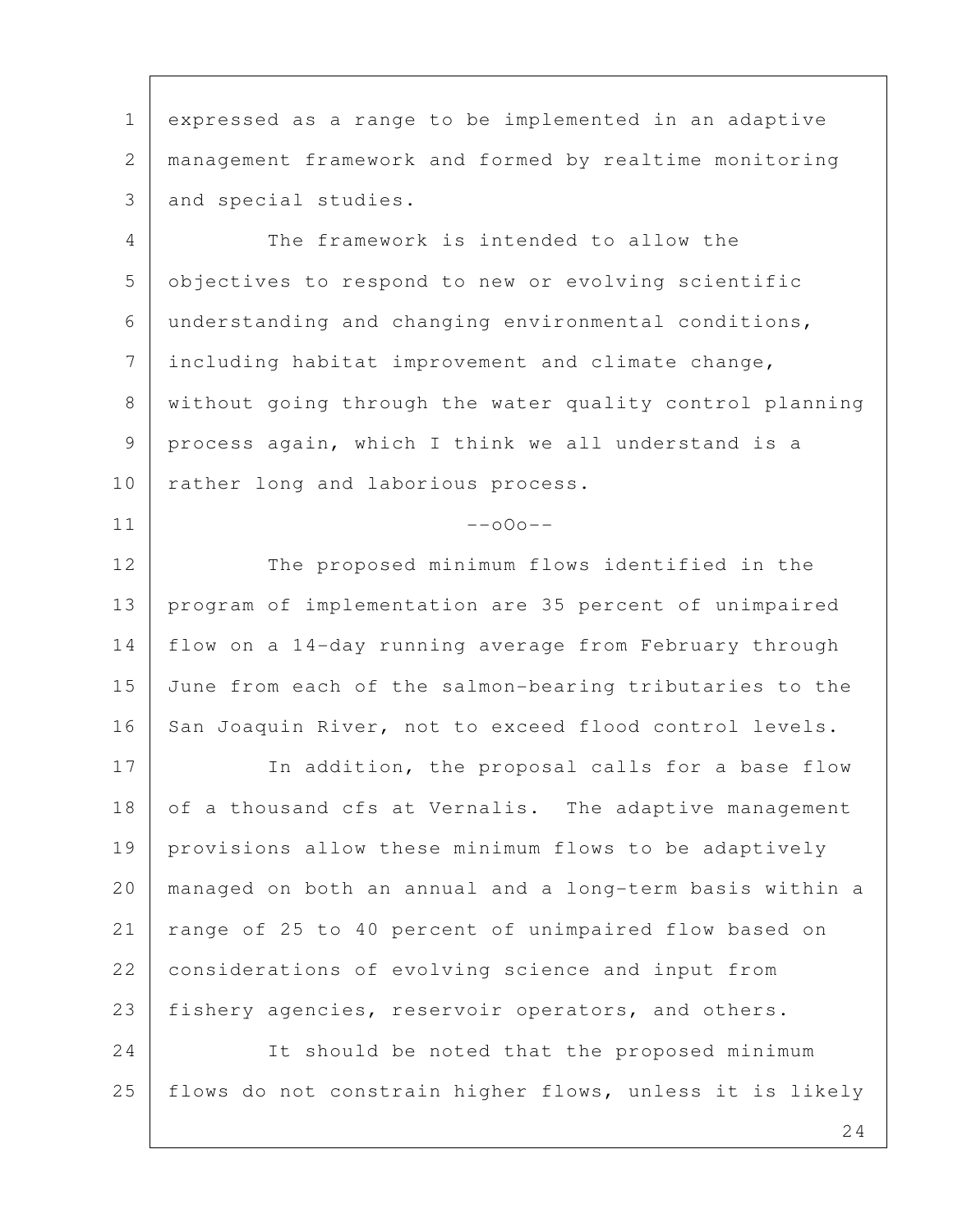1 expressed as a range to be implemented in an adaptive 2 management framework and formed by realtime monitoring 3 and special studies.

 4 The framework is intended to allow the 5 objectives to respond to new or evolving scientific 6 understanding and changing environmental conditions, 7 including habitat improvement and climate change, 8 | without going through the water quality control planning 9 process again, which I think we all understand is a 10 | rather long and laborious process.

 $11$  --000--

12 The proposed minimum flows identified in the 13 program of implementation are 35 percent of unimpaired 14 flow on a 14-day running average from February through 15 June from each of the salmon-bearing tributaries to the 16 San Joaquin River, not to exceed flood control levels.

17 In addition, the proposal calls for a base flow 18 of a thousand cfs at Vernalis. The adaptive management 19 provisions allow these minimum flows to be adaptively 20 managed on both an annual and a long-term basis within a 21 range of 25 to 40 percent of unimpaired flow based on 22 considerations of evolving science and input from 23 fishery agencies, reservoir operators, and others.

24 It should be noted that the proposed minimum 25 | flows do not constrain higher flows, unless it is likely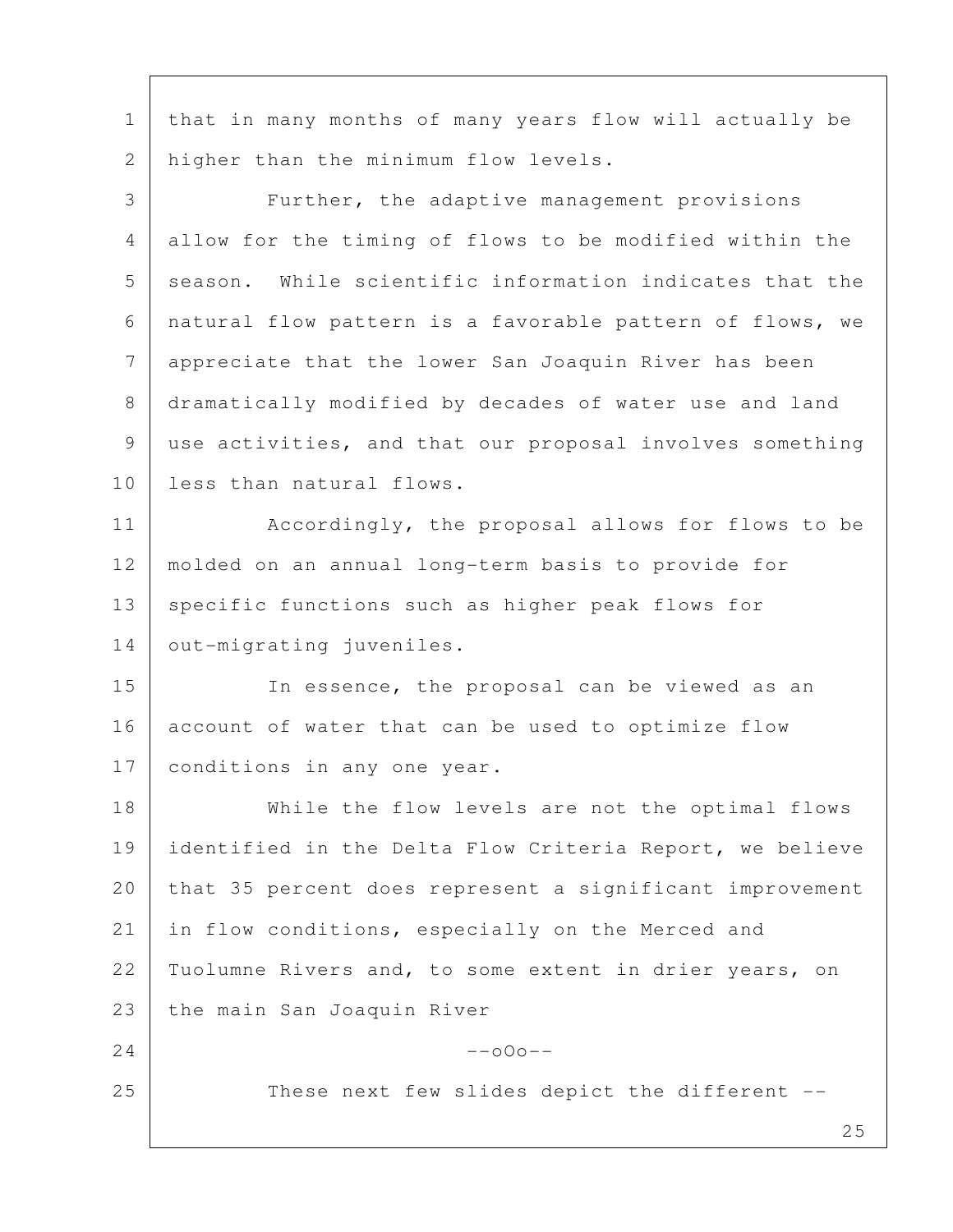1 that in many months of many years flow will actually be 2 higher than the minimum flow levels.

 25 3 Further, the adaptive management provisions 4 allow for the timing of flows to be modified within the 5 season. While scientific information indicates that the 6 natural flow pattern is a favorable pattern of flows, we 7 appreciate that the lower San Joaquin River has been 8 | dramatically modified by decades of water use and land 9 use activities, and that our proposal involves something 10 less than natural flows. 11 Accordingly, the proposal allows for flows to be 12 molded on an annual long-term basis to provide for 13 specific functions such as higher peak flows for 14 | out-migrating juveniles. 15 In essence, the proposal can be viewed as an 16 account of water that can be used to optimize flow 17 | conditions in any one year. 18 | While the flow levels are not the optimal flows 19 identified in the Delta Flow Criteria Report, we believe 20 that 35 percent does represent a significant improvement 21 in flow conditions, especially on the Merced and 22 Tuolumne Rivers and, to some extent in drier years, on 23 the main San Joaquin River  $24$  --000--25 These next few slides depict the different --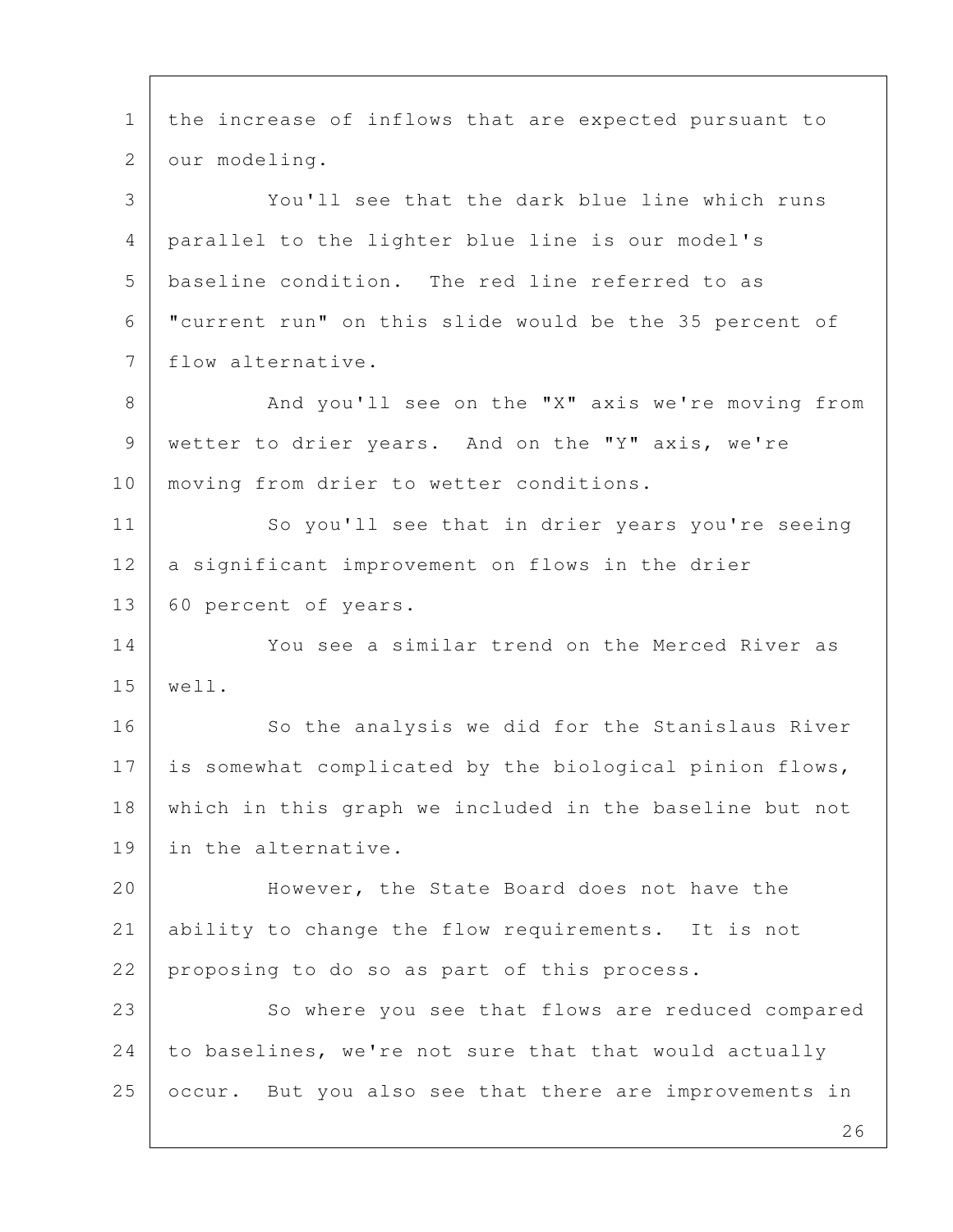26 1 the increase of inflows that are expected pursuant to 2 our modeling. 3 You'll see that the dark blue line which runs 4 parallel to the lighter blue line is our model's 5 baseline condition. The red line referred to as 6 "current run" on this slide would be the 35 percent of 7 flow alternative. 8 And you'll see on the "X" axis we're moving from 9 wetter to drier years. And on the "Y" axis, we're 10 | moving from drier to wetter conditions. 11 So you'll see that in drier years you're seeing 12 a significant improvement on flows in the drier 13 | 60 percent of years. 14 You see a similar trend on the Merced River as 15 well. 16 So the analysis we did for the Stanislaus River 17 is somewhat complicated by the biological pinion flows, 18 which in this graph we included in the baseline but not 19 in the alternative. 20 | However, the State Board does not have the 21 ability to change the flow requirements. It is not 22 proposing to do so as part of this process. 23 So where you see that flows are reduced compared 24 to baselines, we're not sure that that would actually 25 occur. But you also see that there are improvements in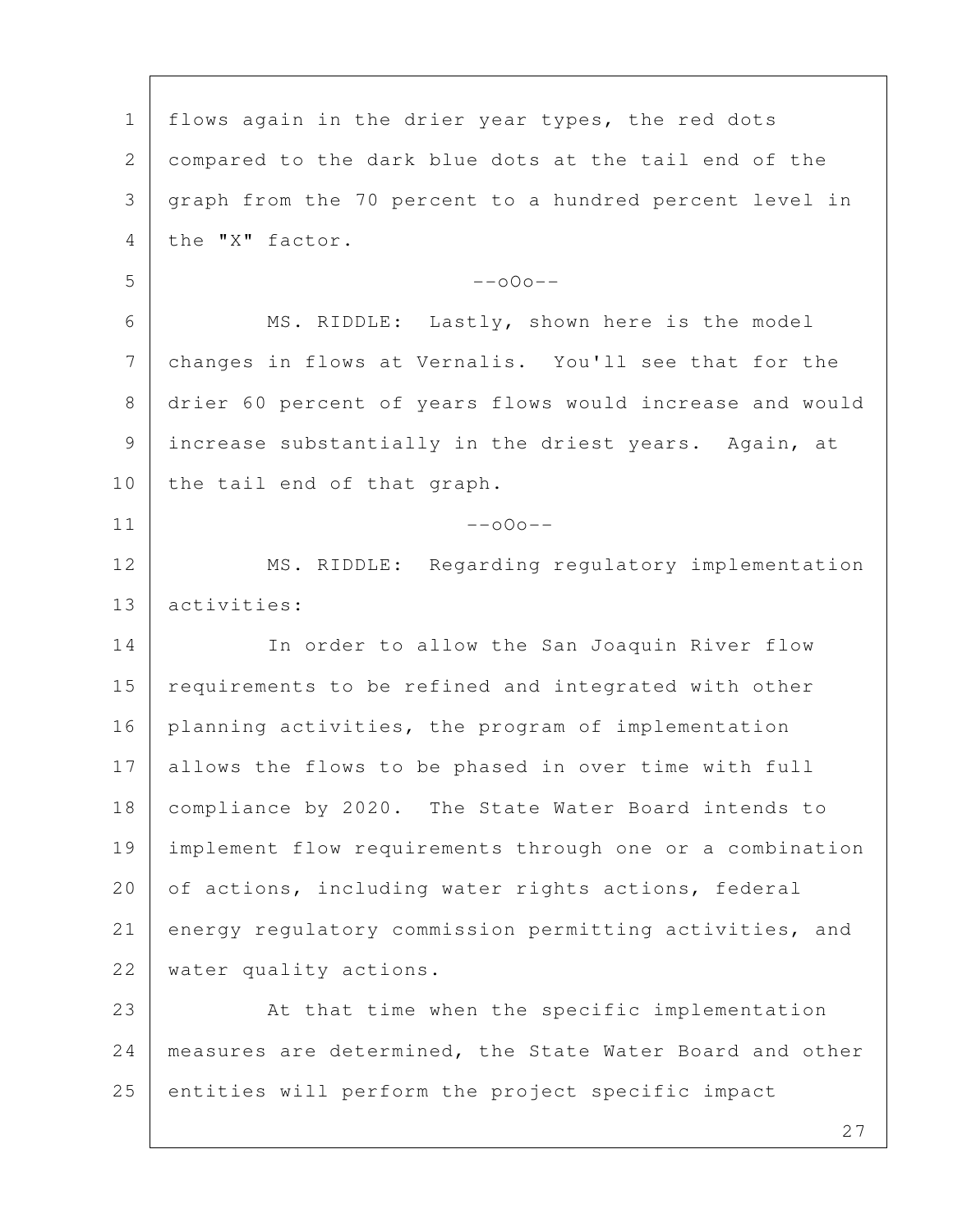1 | flows again in the drier year types, the red dots 2 compared to the dark blue dots at the tail end of the 3 graph from the 70 percent to a hundred percent level in 4 the "X" factor.  $5$  --000-- 6 MS. RIDDLE: Lastly, shown here is the model 7 changes in flows at Vernalis. You'll see that for the 8 drier 60 percent of years flows would increase and would 9 increase substantially in the driest years. Again, at 10 the tail end of that graph.  $11$  --000--12 MS. RIDDLE: Regarding regulatory implementation 13 activities: 14 | In order to allow the San Joaquin River flow 15 requirements to be refined and integrated with other 16 planning activities, the program of implementation 17 allows the flows to be phased in over time with full 18 | compliance by 2020. The State Water Board intends to 19 implement flow requirements through one or a combination 20 of actions, including water rights actions, federal 21 energy regulatory commission permitting activities, and 22 | water quality actions. 23 At that time when the specific implementation 24 measures are determined, the State Water Board and other 25 entities will perform the project specific impact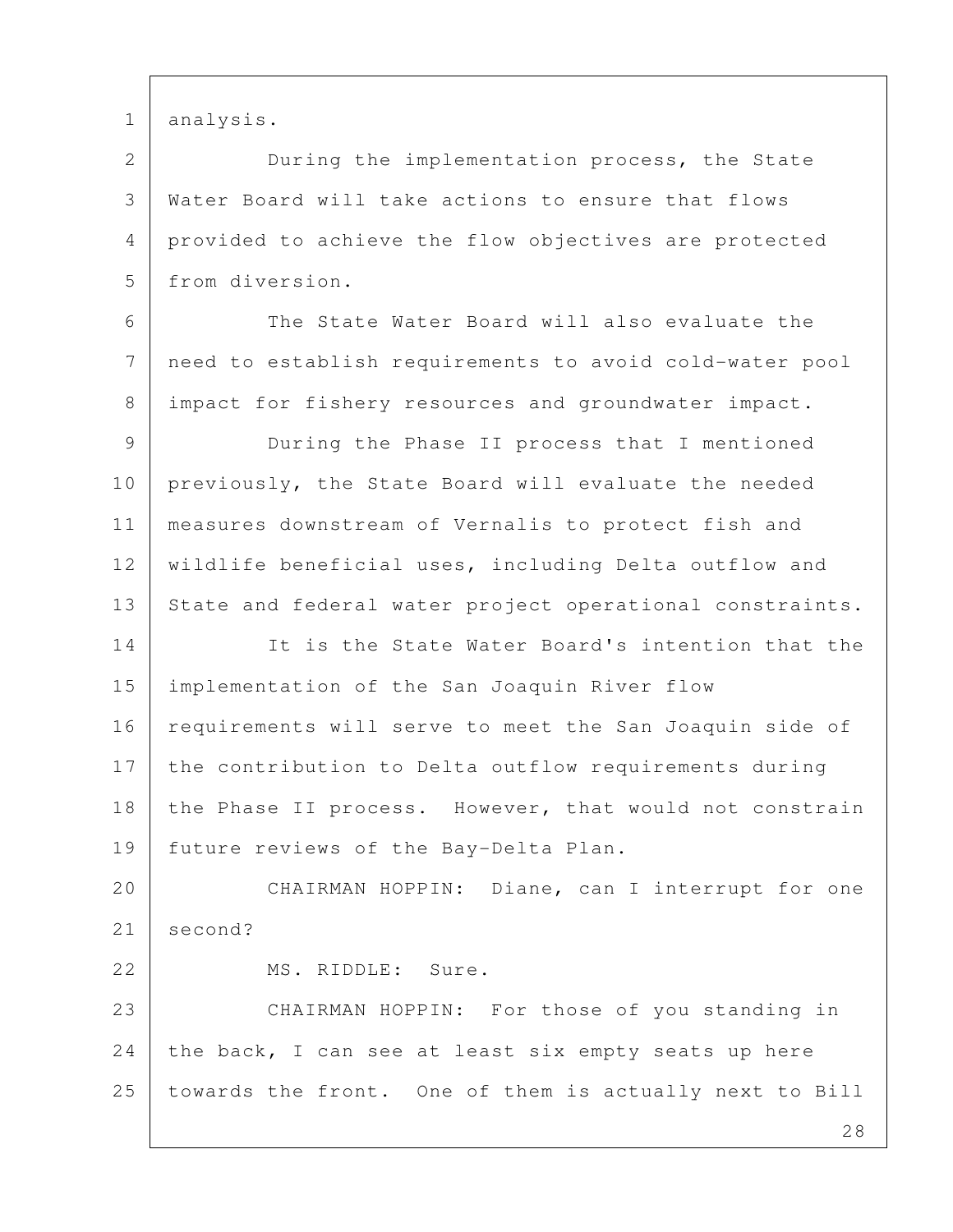1 analysis.

 2 During the implementation process, the State 3 Water Board will take actions to ensure that flows 4 provided to achieve the flow objectives are protected 5 from diversion.

 6 The State Water Board will also evaluate the 7 need to establish requirements to avoid cold-water pool 8 | impact for fishery resources and groundwater impact.

 9 During the Phase II process that I mentioned 10 previously, the State Board will evaluate the needed 11 measures downstream of Vernalis to protect fish and 12 | wildlife beneficial uses, including Delta outflow and 13 State and federal water project operational constraints.

14 It is the State Water Board's intention that the 15 implementation of the San Joaquin River flow 16 requirements will serve to meet the San Joaquin side of 17 the contribution to Delta outflow requirements during 18 the Phase II process. However, that would not constrain 19 | future reviews of the Bay-Delta Plan.

20 CHAIRMAN HOPPIN: Diane, can I interrupt for one 21 second?

23 CHAIRMAN HOPPIN: For those of you standing in 24 the back, I can see at least six empty seats up here 25 towards the front. One of them is actually next to Bill

22 MS. RIDDLE: Sure.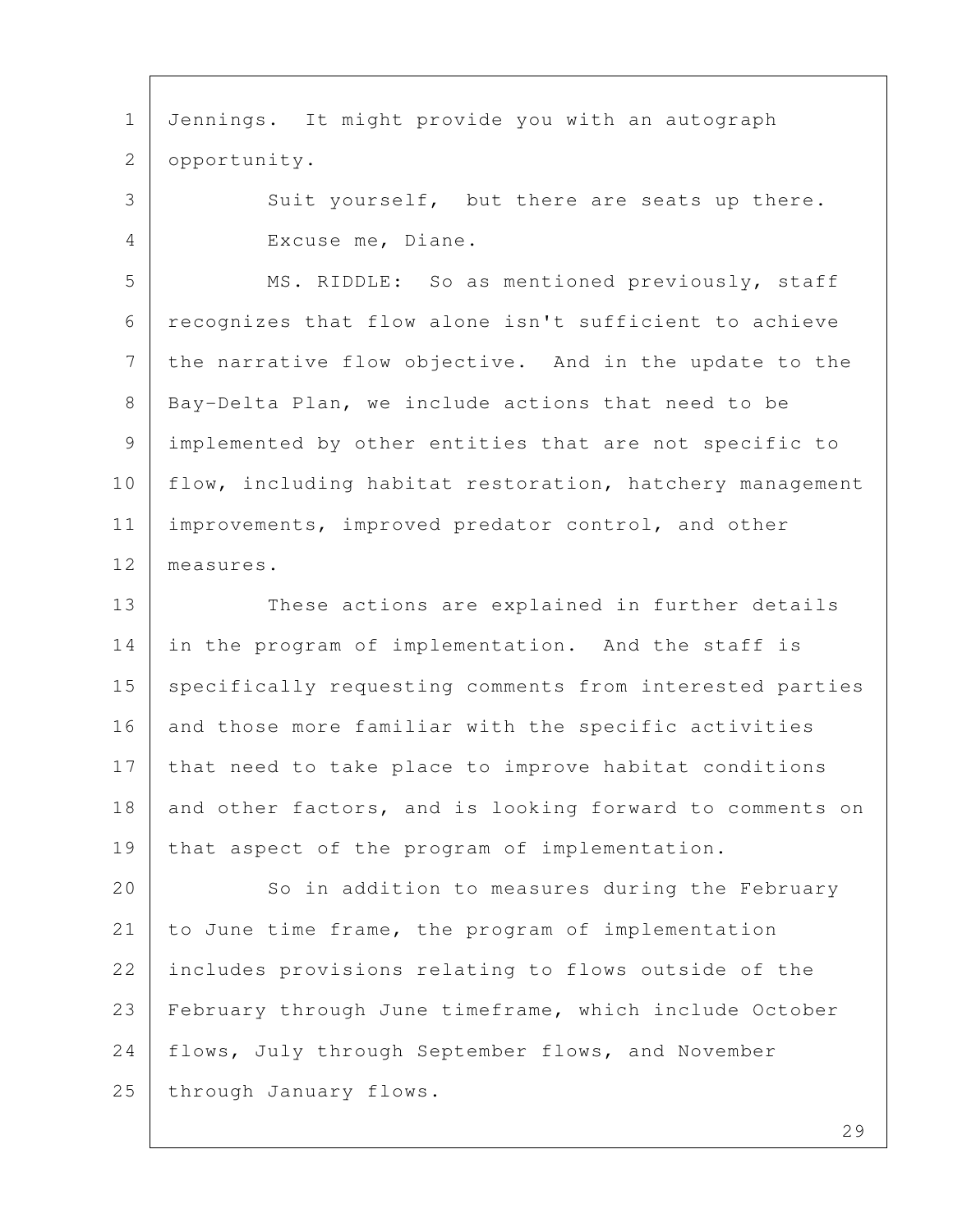1 Jennings. It might provide you with an autograph 2 opportunity. 3 Suit yourself, but there are seats up there. 4 Excuse me, Diane. 5 MS. RIDDLE: So as mentioned previously, staff 6 recognizes that flow alone isn't sufficient to achieve 7 the narrative flow objective. And in the update to the 8 | Bay-Delta Plan, we include actions that need to be 9 implemented by other entities that are not specific to 10 flow, including habitat restoration, hatchery management 11 | improvements, improved predator control, and other 12 measures. 13 These actions are explained in further details 14 in the program of implementation. And the staff is 15 specifically requesting comments from interested parties 16 and those more familiar with the specific activities 17 that need to take place to improve habitat conditions 18 and other factors, and is looking forward to comments on 19 that aspect of the program of implementation. 20 So in addition to measures during the February 21 to June time frame, the program of implementation 22 includes provisions relating to flows outside of the 23 February through June timeframe, which include October 24 flows, July through September flows, and November 25 through January flows.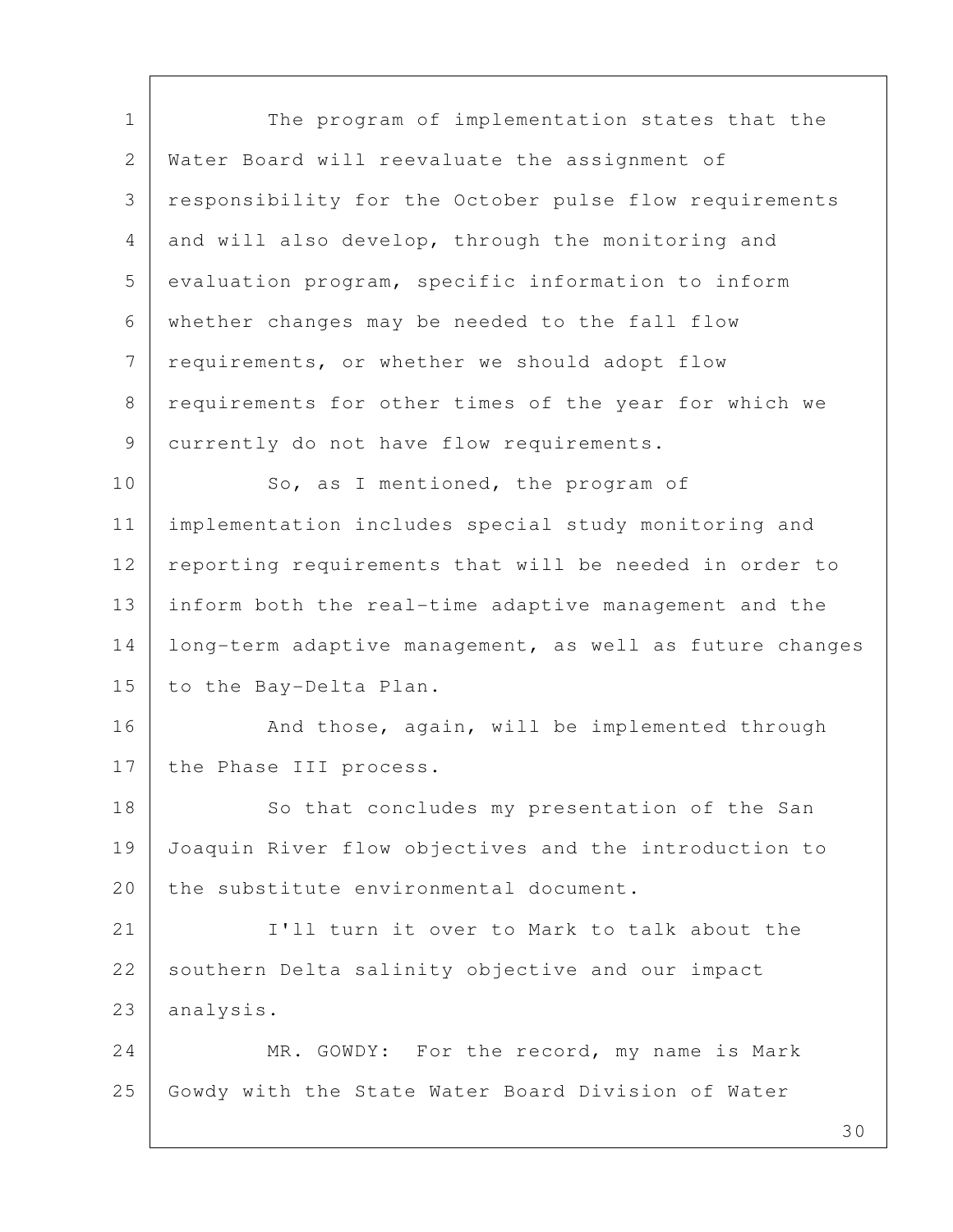1 The program of implementation states that the 2 Water Board will reevaluate the assignment of 3 responsibility for the October pulse flow requirements 4 and will also develop, through the monitoring and 5 evaluation program, specific information to inform 6 whether changes may be needed to the fall flow 7 requirements, or whether we should adopt flow 8 requirements for other times of the year for which we 9 currently do not have flow requirements. 10 So, as I mentioned, the program of 11 implementation includes special study monitoring and 12 reporting requirements that will be needed in order to 13 inform both the real-time adaptive management and the 14 long-term adaptive management, as well as future changes 15 to the Bay-Delta Plan. 16 | Rand those, again, will be implemented through 17 the Phase III process. 18 So that concludes my presentation of the San 19 Joaquin River flow objectives and the introduction to 20 | the substitute environmental document. 21 Itll turn it over to Mark to talk about the 22 southern Delta salinity objective and our impact 23 analysis. 24 MR. GOWDY: For the record, my name is Mark 25 Gowdy with the State Water Board Division of Water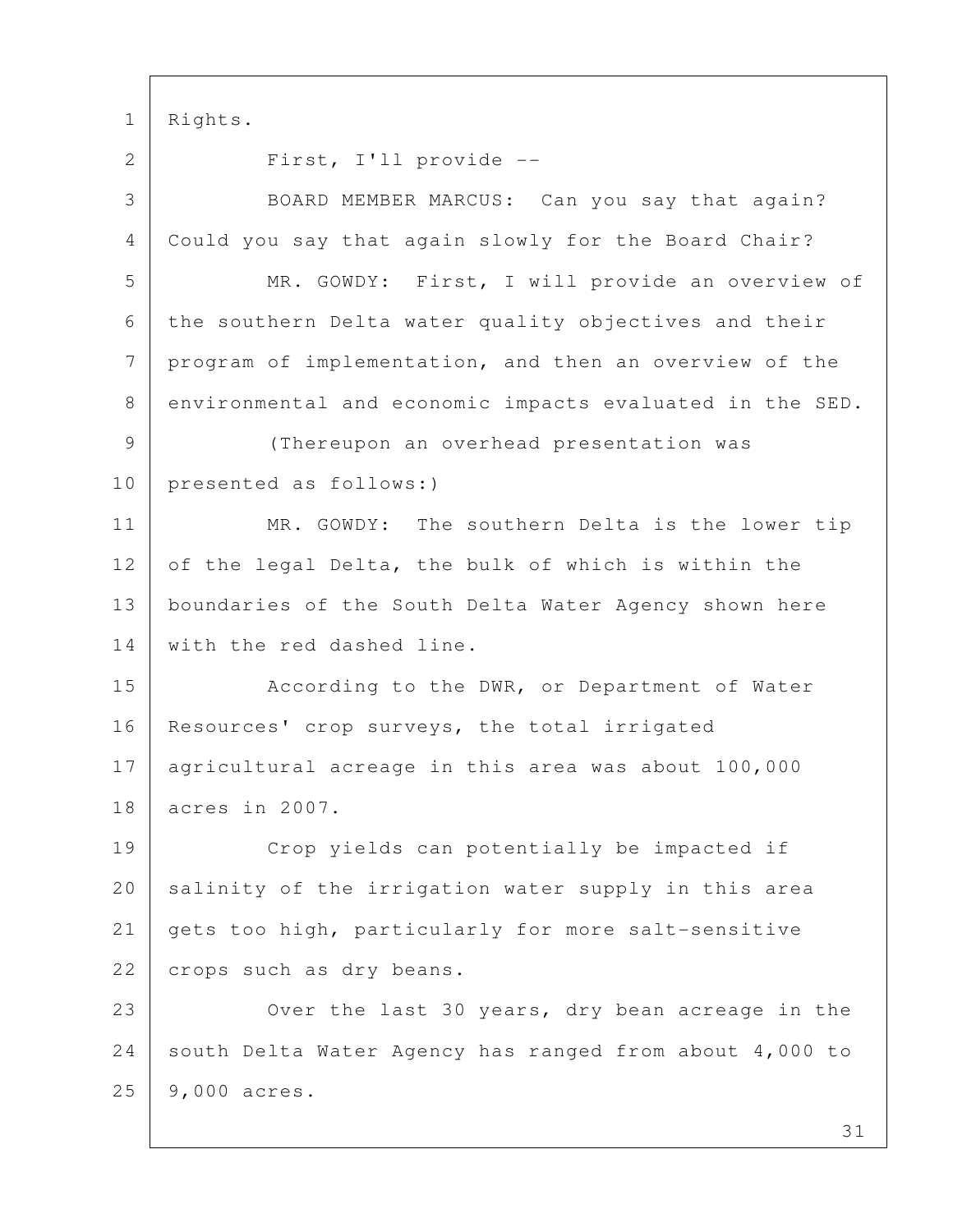1 Rights. 2 First, I'll provide -- 3 BOARD MEMBER MARCUS: Can you say that again? 4 Could you say that again slowly for the Board Chair? 5 | MR. GOWDY: First, I will provide an overview of 6 the southern Delta water quality objectives and their 7 program of implementation, and then an overview of the 8 environmental and economic impacts evaluated in the SED. 9 (Thereupon an overhead presentation was 10 presented as follows:) 11 MR. GOWDY: The southern Delta is the lower tip 12 of the legal Delta, the bulk of which is within the 13 boundaries of the South Delta Water Agency shown here 14 with the red dashed line. 15 | According to the DWR, or Department of Water 16 | Resources' crop surveys, the total irrigated 17 agricultural acreage in this area was about 100,000 18 acres in 2007. 19 Crop yields can potentially be impacted if 20 salinity of the irrigation water supply in this area 21 gets too high, particularly for more salt-sensitive 22 crops such as dry beans. 23 | Over the last 30 years, dry bean acreage in the 24 south Delta Water Agency has ranged from about 4,000 to 25 9,000 acres.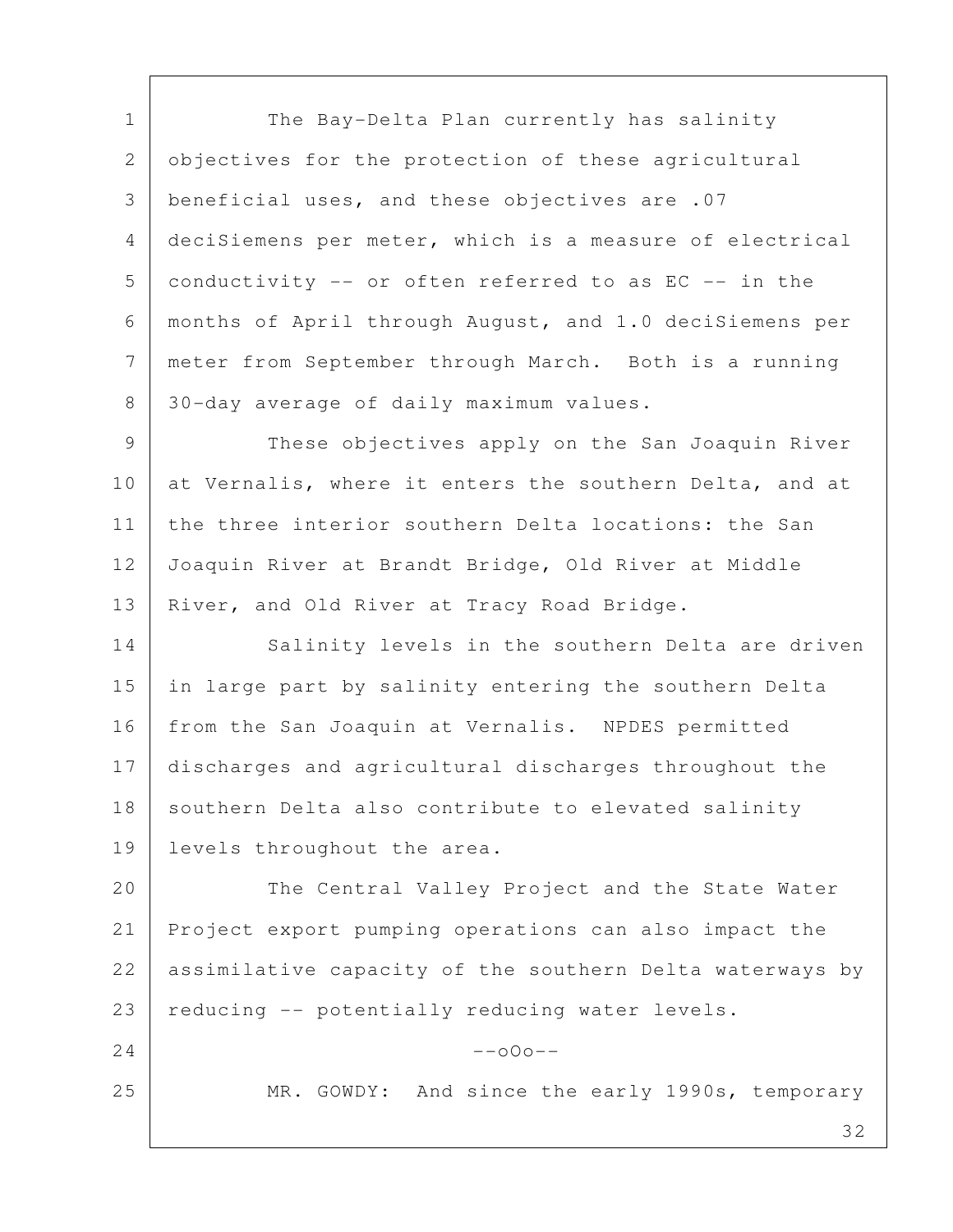1 The Bay-Delta Plan currently has salinity 2 objectives for the protection of these agricultural 3 beneficial uses, and these objectives are .07 4 deciSiemens per meter, which is a measure of electrical  $5$  conductivity -- or often referred to as EC -- in the 6 months of April through August, and 1.0 deciSiemens per 7 meter from September through March. Both is a running 8 30-day average of daily maximum values.

 9 These objectives apply on the San Joaquin River 10 at Vernalis, where it enters the southern Delta, and at 11 the three interior southern Delta locations: the San 12 Joaquin River at Brandt Bridge, Old River at Middle 13 | River, and Old River at Tracy Road Bridge.

14 Salinity levels in the southern Delta are driven 15 in large part by salinity entering the southern Delta 16 | from the San Joaquin at Vernalis. NPDES permitted 17 discharges and agricultural discharges throughout the 18 southern Delta also contribute to elevated salinity 19 levels throughout the area.

20 The Central Valley Project and the State Water 21 Project export pumping operations can also impact the 22 | assimilative capacity of the southern Delta waterways by 23 | reducing  $-$  potentially reducing water levels.

 $24$  --000--

25 | MR. GOWDY: And since the early 1990s, temporary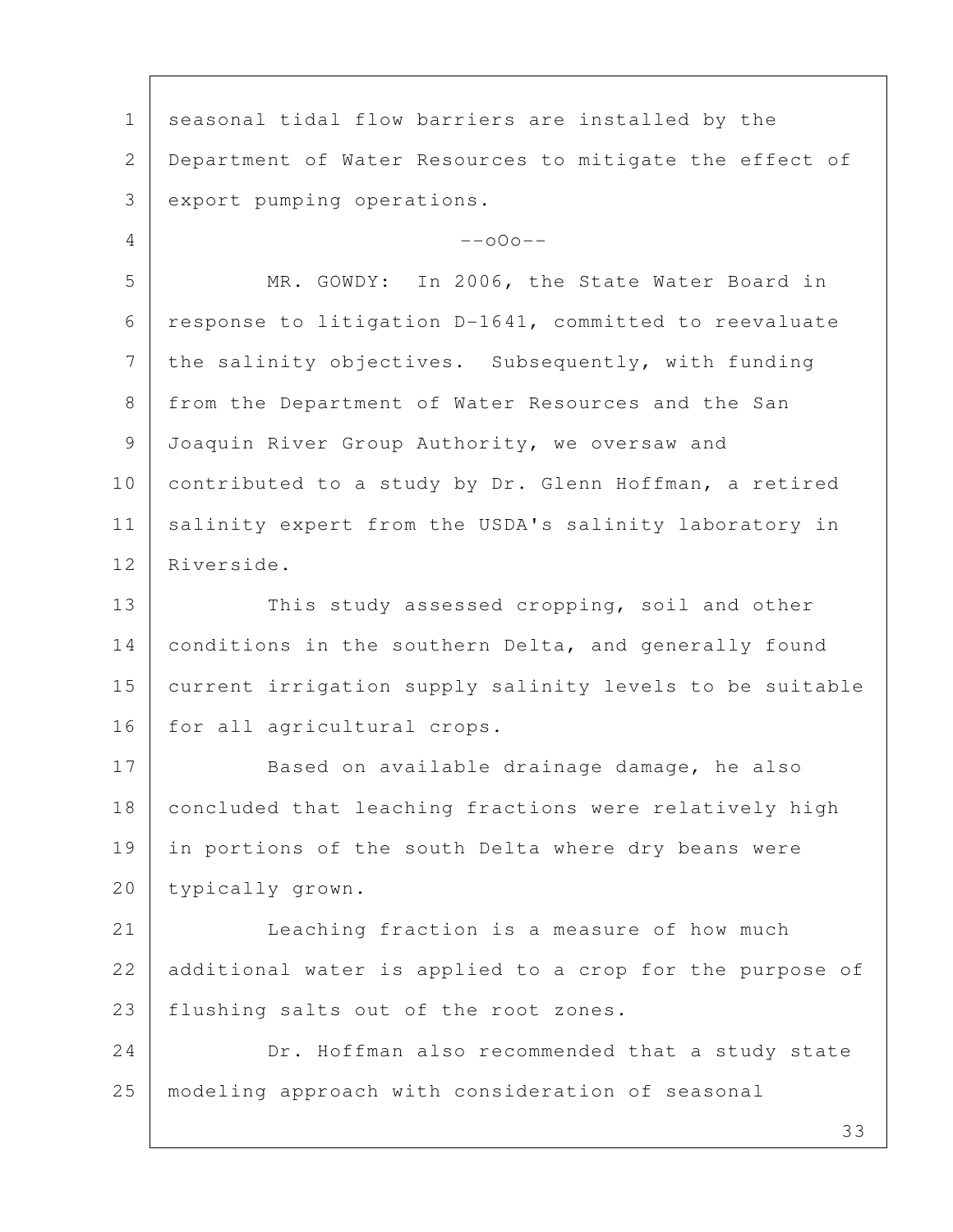1 seasonal tidal flow barriers are installed by the 2 Department of Water Resources to mitigate the effect of 3 export pumping operations.  $4$  --000-- 5 MR. GOWDY: In 2006, the State Water Board in 6 response to litigation D-1641, committed to reevaluate 7 the salinity objectives. Subsequently, with funding 8 | from the Department of Water Resources and the San 9 Joaquin River Group Authority, we oversaw and 10 contributed to a study by Dr. Glenn Hoffman, a retired 11 | salinity expert from the USDA's salinity laboratory in 12 Riverside. 13 This study assessed cropping, soil and other 14 conditions in the southern Delta, and generally found 15 current irrigation supply salinity levels to be suitable 16 for all agricultural crops. 17 Based on available drainage damage, he also 18 concluded that leaching fractions were relatively high 19 in portions of the south Delta where dry beans were 20 | typically grown. 21 Leaching fraction is a measure of how much 22 additional water is applied to a crop for the purpose of 23 | flushing salts out of the root zones. 24 Dr. Hoffman also recommended that a study state 25 modeling approach with consideration of seasonal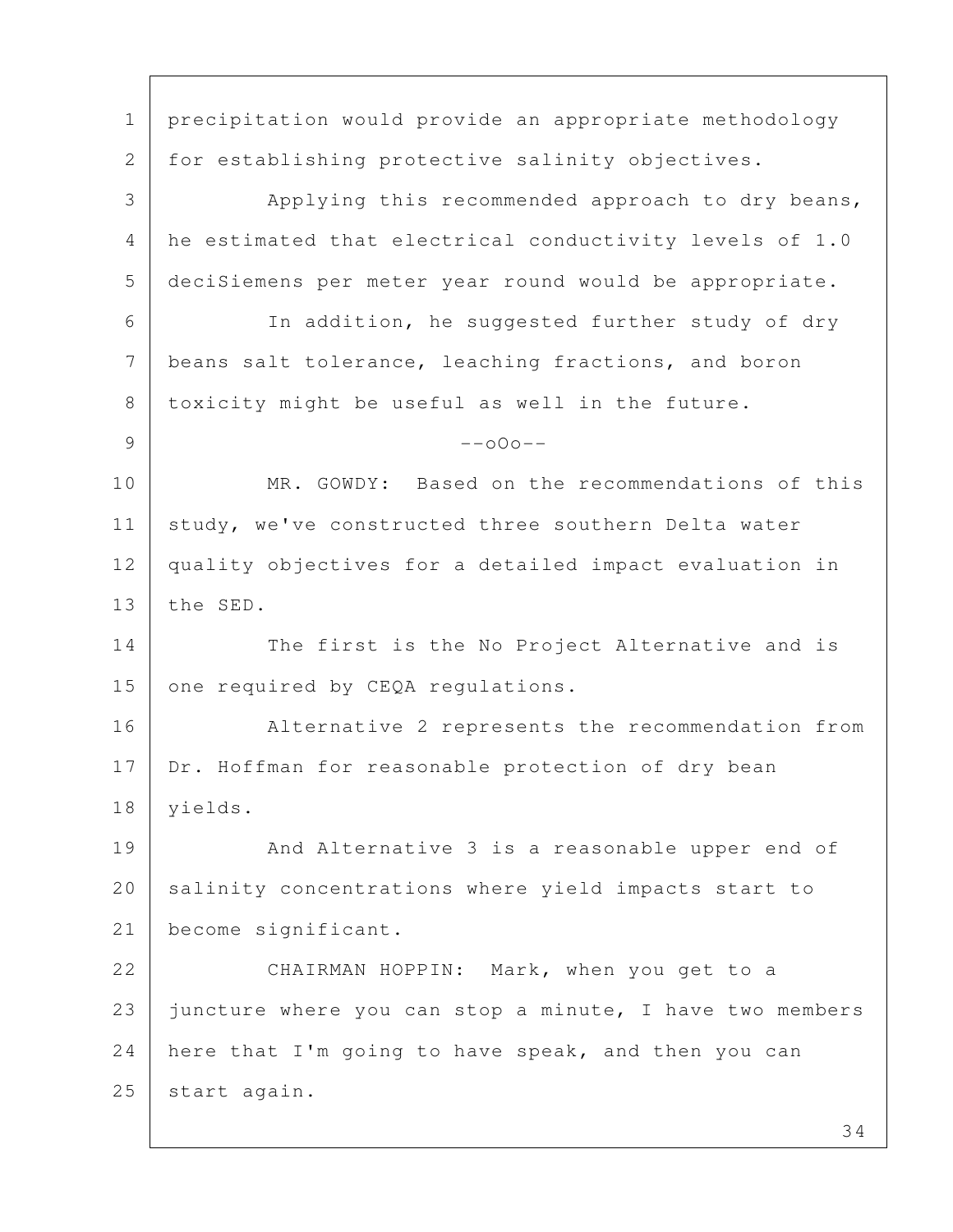1 precipitation would provide an appropriate methodology 2 for establishing protective salinity objectives. 3 Applying this recommended approach to dry beans, 4 he estimated that electrical conductivity levels of 1.0 5 deciSiemens per meter year round would be appropriate. 6 In addition, he suggested further study of dry 7 beans salt tolerance, leaching fractions, and boron 8 toxicity might be useful as well in the future.  $9$  --o0o--10 MR. GOWDY: Based on the recommendations of this 11 | study, we've constructed three southern Delta water 12 quality objectives for a detailed impact evaluation in 13 the SED. 14 The first is the No Project Alternative and is 15 one required by CEQA regulations. 16 Alternative 2 represents the recommendation from 17 Dr. Hoffman for reasonable protection of dry bean 18 yields. 19 And Alternative 3 is a reasonable upper end of 20 salinity concentrations where yield impacts start to 21 become significant. 22 CHAIRMAN HOPPIN: Mark, when you get to a 23 juncture where you can stop a minute, I have two members 24 here that I'm going to have speak, and then you can 25 start again.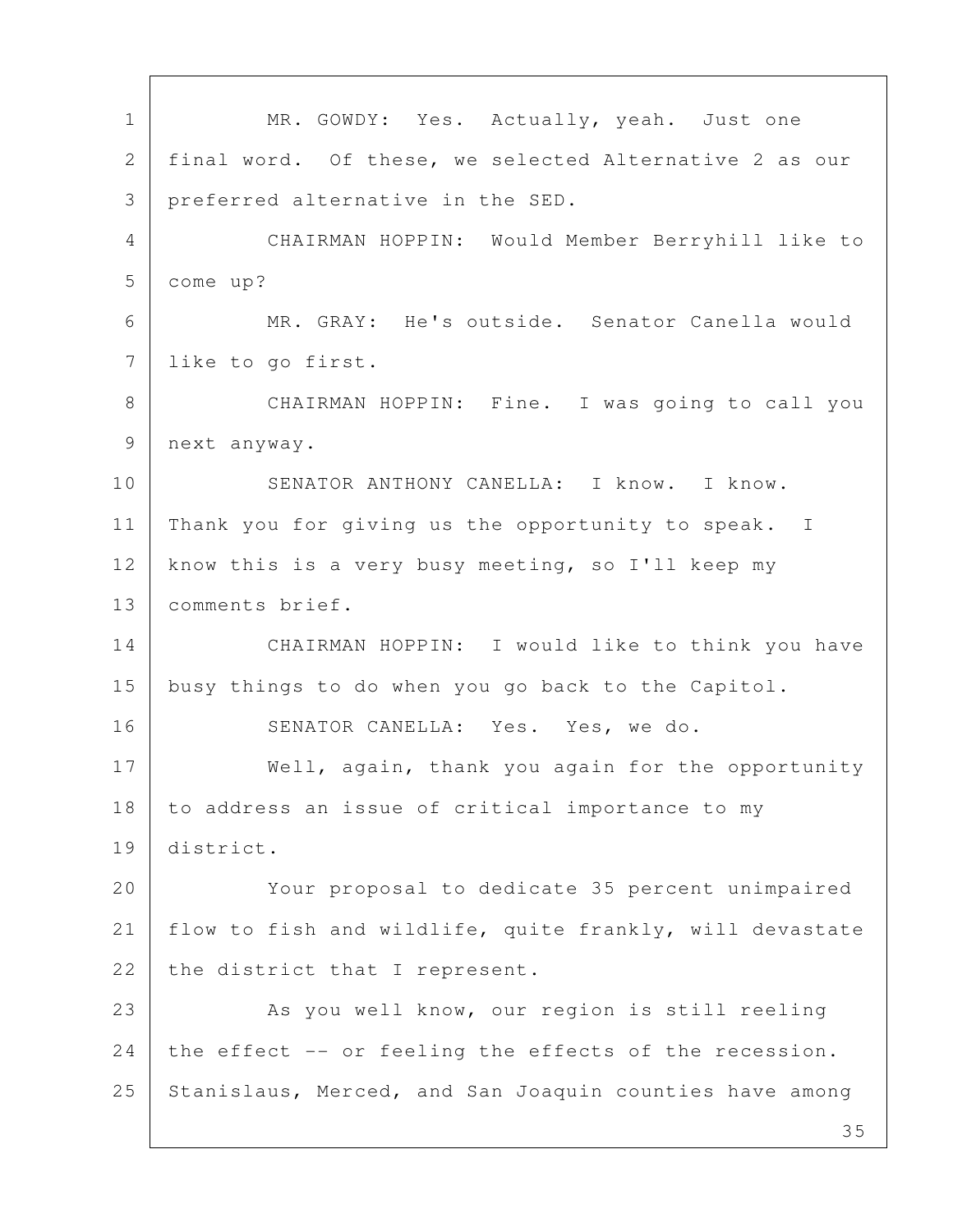1 | MR. GOWDY: Yes. Actually, yeah. Just one 2 final word. Of these, we selected Alternative 2 as our 3 preferred alternative in the SED. 4 CHAIRMAN HOPPIN: Would Member Berryhill like to 5 come up? 6 MR. GRAY: He's outside. Senator Canella would 7 like to go first. 8 CHAIRMAN HOPPIN: Fine. I was going to call you 9 next anyway. 10 SENATOR ANTHONY CANELLA: I know. I know. 11 | Thank you for giving us the opportunity to speak. I 12 know this is a very busy meeting, so I'll keep my 13 | comments brief. 14 CHAIRMAN HOPPIN: I would like to think you have 15 busy things to do when you go back to the Capitol. 16 SENATOR CANELLA: Yes. Yes, we do. 17 Well, again, thank you again for the opportunity 18 to address an issue of critical importance to my 19 district. 20 Your proposal to dedicate 35 percent unimpaired 21 flow to fish and wildlife, quite frankly, will devastate 22 the district that I represent. 23 | As you well know, our region is still reeling 24 the effect -- or feeling the effects of the recession. 25 Stanislaus, Merced, and San Joaquin counties have among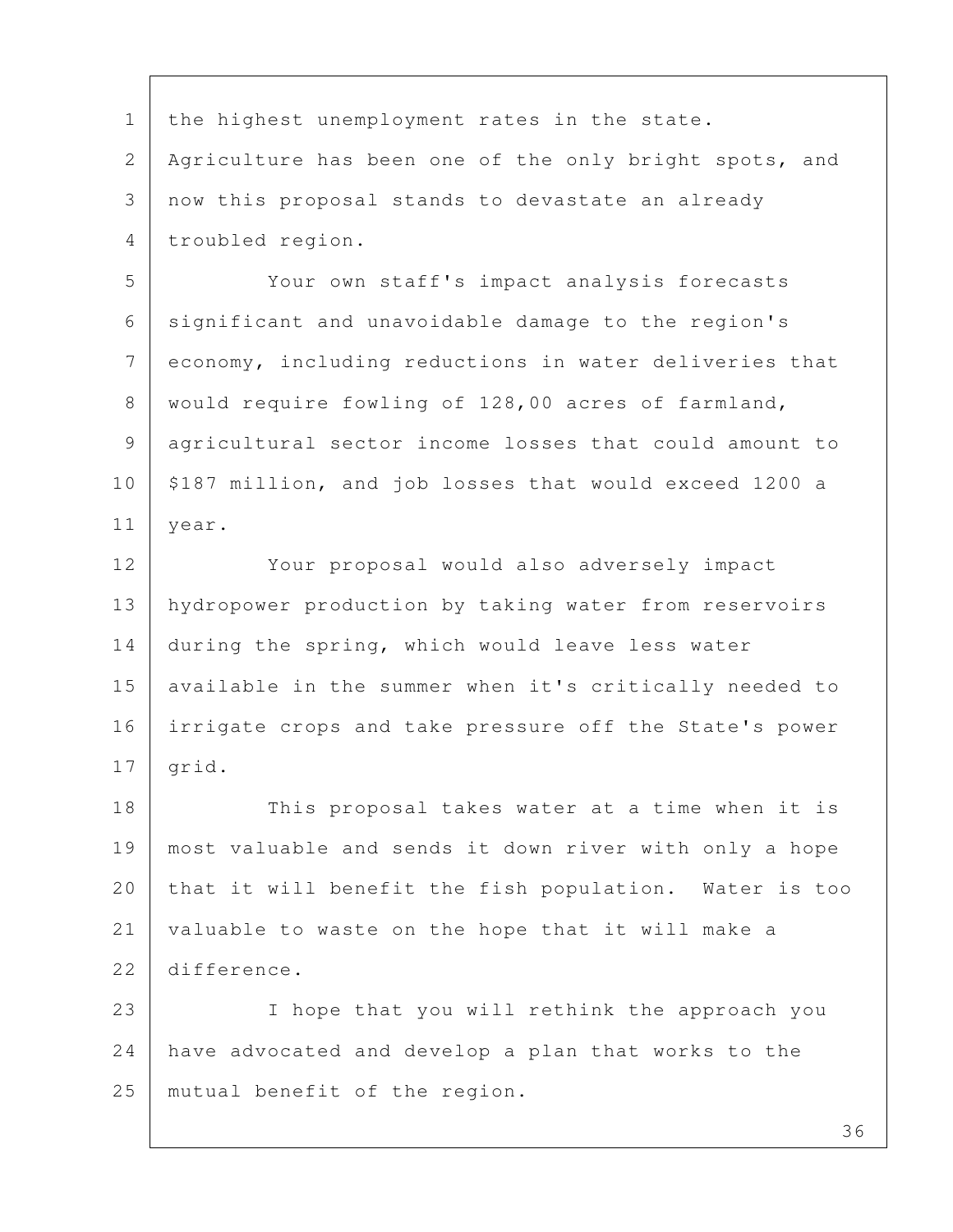1 | the highest unemployment rates in the state. 2 Agriculture has been one of the only bright spots, and 3 now this proposal stands to devastate an already 4 troubled region.

 5 Your own staff's impact analysis forecasts 6 significant and unavoidable damage to the region's 7 economy, including reductions in water deliveries that 8 | would require fowling of 128,00 acres of farmland, 9 agricultural sector income losses that could amount to 10 \$187 million, and job losses that would exceed 1200 a 11 year.

12 Your proposal would also adversely impact 13 hydropower production by taking water from reservoirs 14 during the spring, which would leave less water 15 available in the summer when it's critically needed to 16 irrigate crops and take pressure off the State's power  $17$  grid.

18 This proposal takes water at a time when it is 19 most valuable and sends it down river with only a hope 20 that it will benefit the fish population. Water is too 21 valuable to waste on the hope that it will make a 22 difference.

23 | I hope that you will rethink the approach you 24 have advocated and develop a plan that works to the 25 mutual benefit of the region.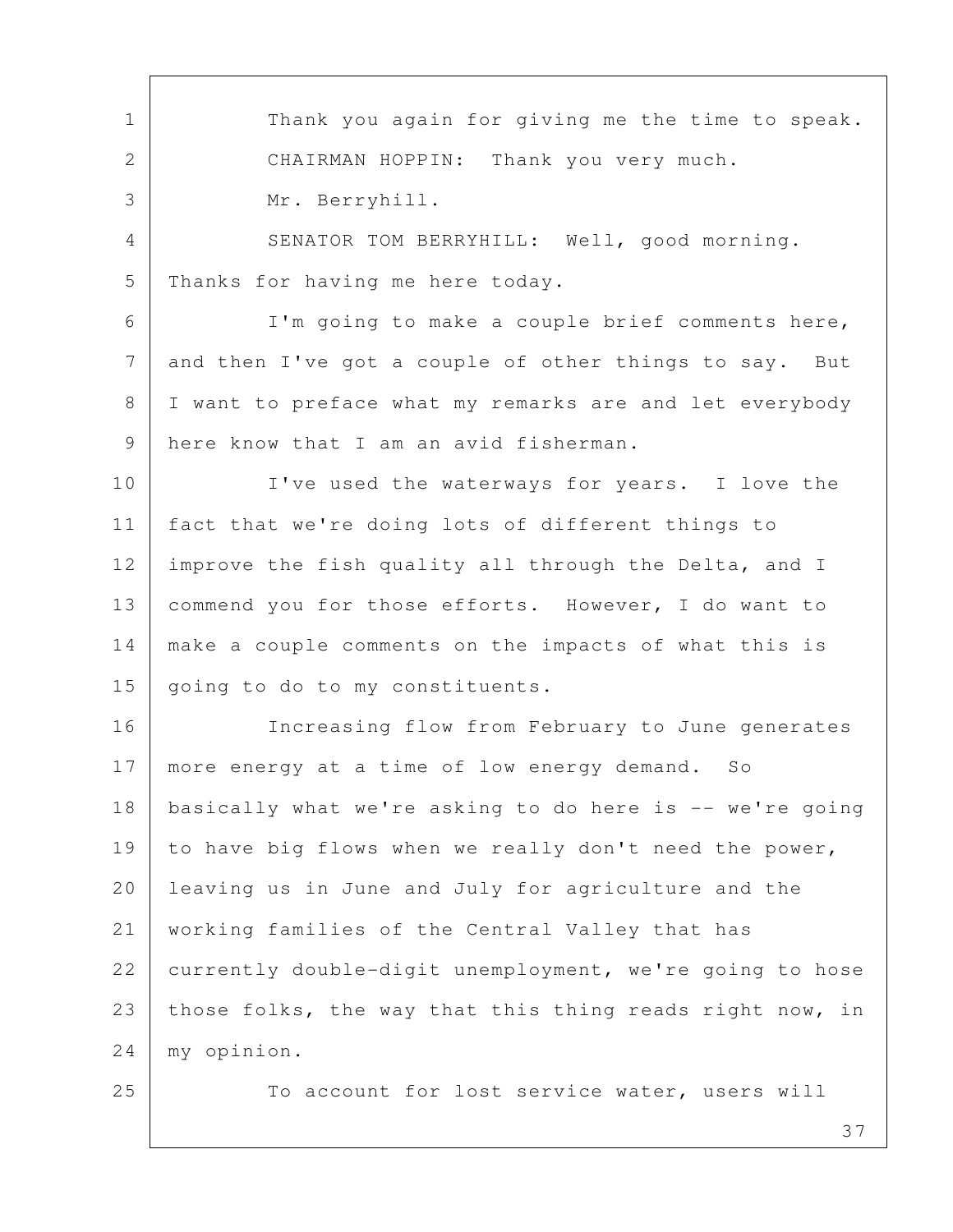1 Thank you again for giving me the time to speak. 2 CHAIRMAN HOPPIN: Thank you very much. 3 Mr. Berryhill. 4 SENATOR TOM BERRYHILL: Well, good morning. 5 Thanks for having me here today. 6 I'm going to make a couple brief comments here, 7 and then I've got a couple of other things to say. But 8 I want to preface what my remarks are and let everybody 9 here know that I am an avid fisherman. 10 I've used the waterways for years. I love the 11 fact that we're doing lots of different things to 12 improve the fish quality all through the Delta, and I 13 | commend you for those efforts. However, I do want to 14 make a couple comments on the impacts of what this is 15 | going to do to my constituents. 16 Increasing flow from February to June generates 17 | more energy at a time of low energy demand. So 18 basically what we're asking to do here is -- we're going 19 to have big flows when we really don't need the power, 20 leaving us in June and July for agriculture and the 21 working families of the Central Valley that has 22 currently double-digit unemployment, we're going to hose 23 | those folks, the way that this thing reads right now, in 24 my opinion. 25 To account for lost service water, users will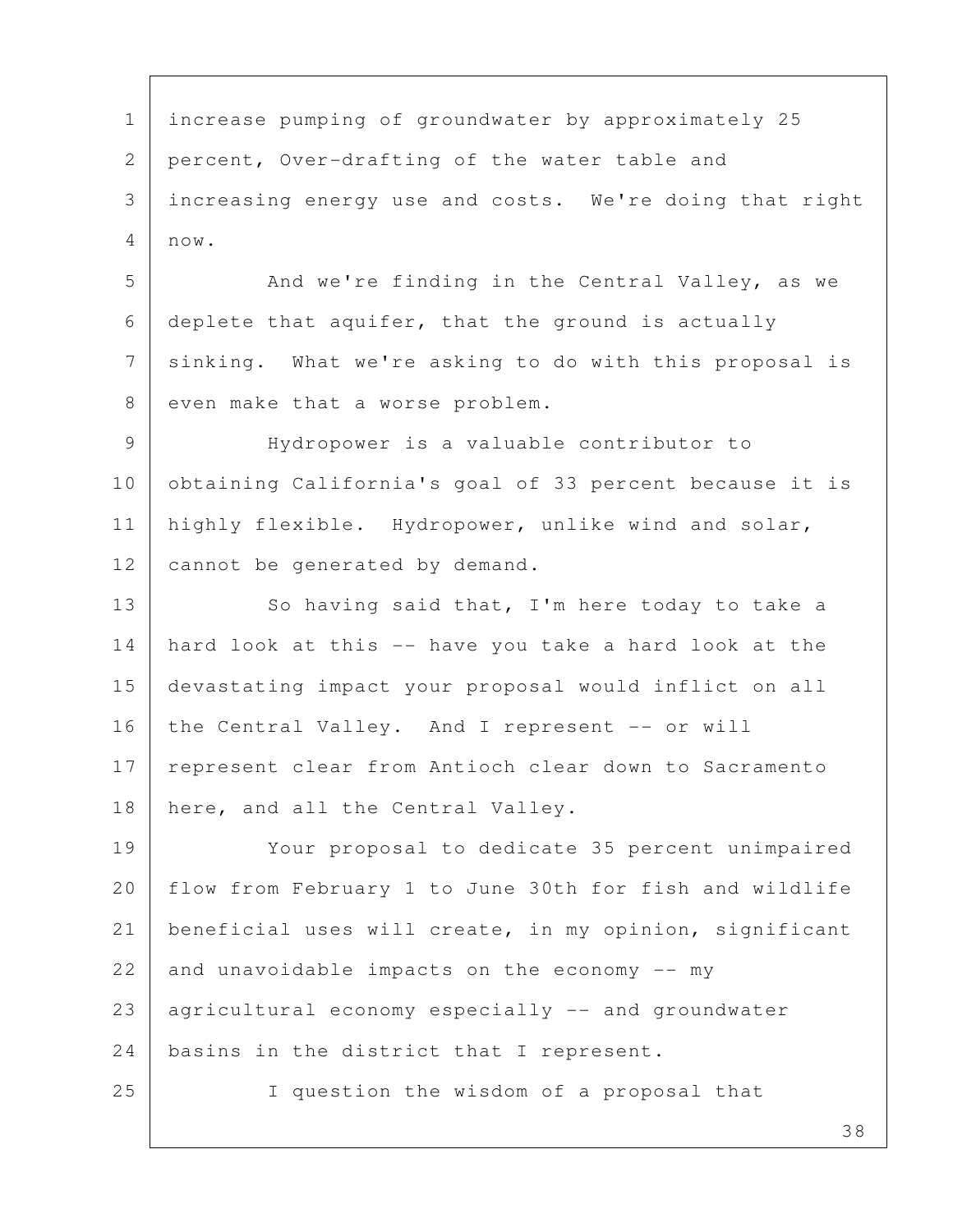1 increase pumping of groundwater by approximately 25 2 percent, Over-drafting of the water table and 3 increasing energy use and costs. We're doing that right 4 now.

5 And we're finding in the Central Valley, as we 6 deplete that aquifer, that the ground is actually 7 | sinking. What we're asking to do with this proposal is 8 even make that a worse problem.

 9 Hydropower is a valuable contributor to 10 obtaining California's goal of 33 percent because it is 11 | highly flexible. Hydropower, unlike wind and solar, 12 | cannot be generated by demand.

13 So having said that, I'm here today to take a 14 hard look at this -- have you take a hard look at the 15 devastating impact your proposal would inflict on all 16 the Central Valley. And I represent -- or will 17 | represent clear from Antioch clear down to Sacramento 18 | here, and all the Central Valley.

19 Your proposal to dedicate 35 percent unimpaired 20 | flow from February 1 to June 30th for fish and wildlife 21 beneficial uses will create, in my opinion, significant 22 and unavoidable impacts on the economy  $--$  my 23 agricultural economy especially -- and groundwater 24 | basins in the district that I represent. 25 I question the wisdom of a proposal that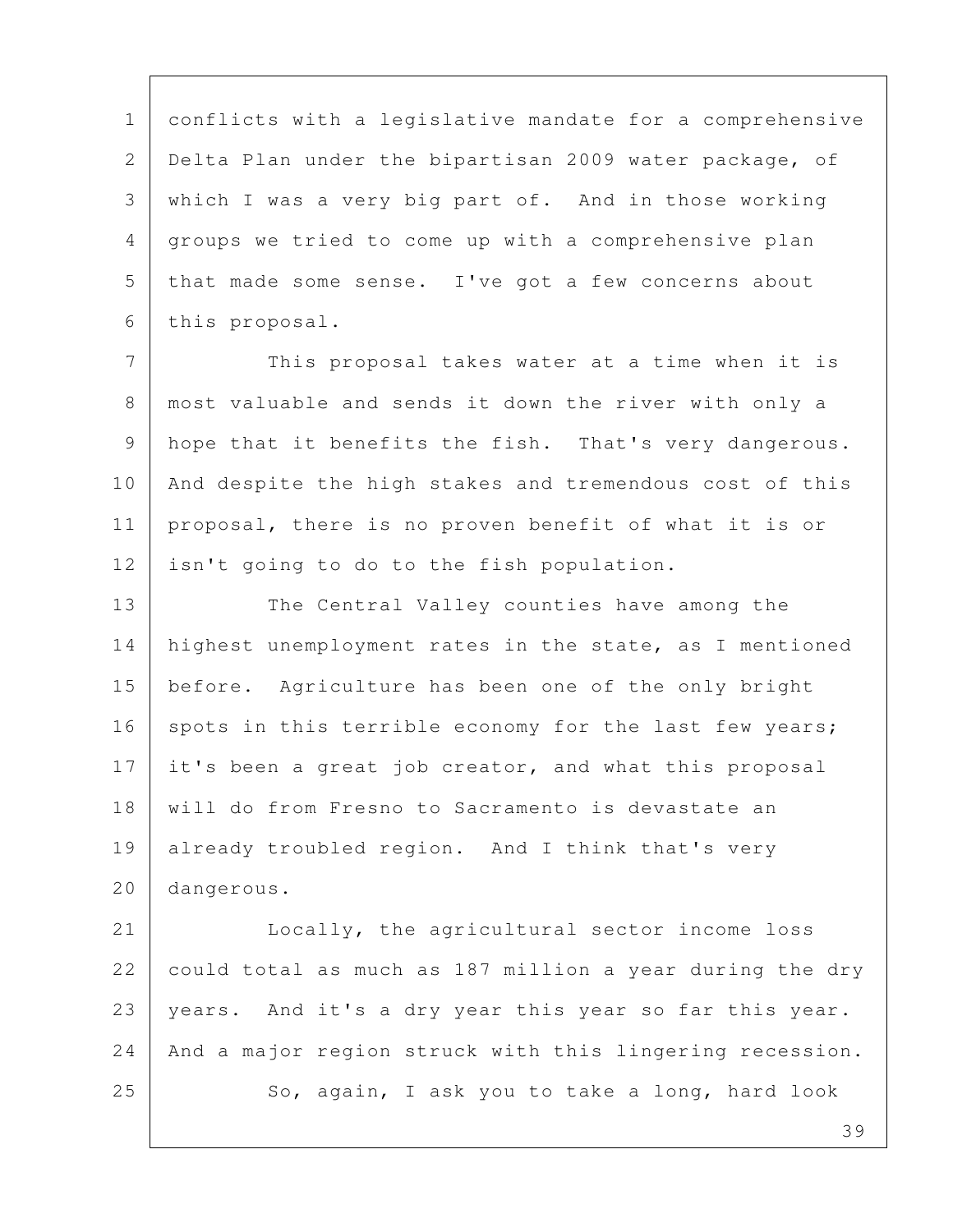1 conflicts with a legislative mandate for a comprehensive 2 Delta Plan under the bipartisan 2009 water package, of 3 which I was a very big part of. And in those working 4 groups we tried to come up with a comprehensive plan 5 that made some sense. I've got a few concerns about 6 this proposal.

7 This proposal takes water at a time when it is 8 most valuable and sends it down the river with only a 9 hope that it benefits the fish. That's very dangerous. 10 And despite the high stakes and tremendous cost of this 11 proposal, there is no proven benefit of what it is or 12 isn't going to do to the fish population.

13 The Central Valley counties have among the 14 highest unemployment rates in the state, as I mentioned 15 before. Agriculture has been one of the only bright 16 spots in this terrible economy for the last few years; 17 it's been a great job creator, and what this proposal 18 will do from Fresno to Sacramento is devastate an 19 already troubled region. And I think that's very 20 dangerous.

21 Locally, the agricultural sector income loss 22 could total as much as 187 million a year during the dry 23 years. And it's a dry year this year so far this year. 24 | And a major region struck with this lingering recession. 25 So, again, I ask you to take a long, hard look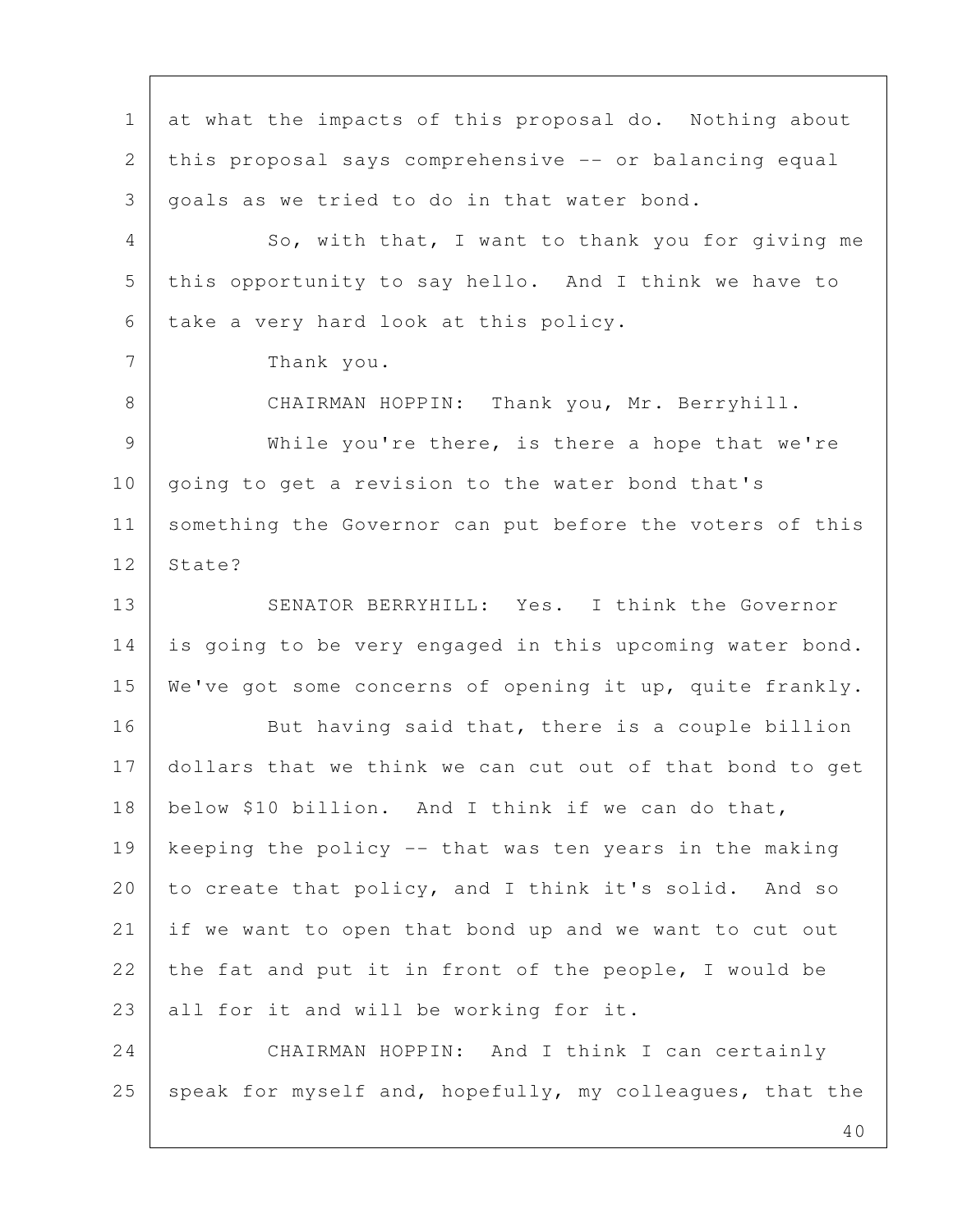1 at what the impacts of this proposal do. Nothing about 2 this proposal says comprehensive -- or balancing equal  $3$  goals as we tried to do in that water bond. 4 So, with that, I want to thank you for giving me 5 this opportunity to say hello. And I think we have to 6 take a very hard look at this policy. 7 Thank you. 8 CHAIRMAN HOPPIN: Thank you, Mr. Berryhill. 9 While you're there, is there a hope that we're 10 | going to get a revision to the water bond that's 11 | something the Governor can put before the voters of this 12 | State? 13 SENATOR BERRYHILL: Yes. I think the Governor 14 is going to be very engaged in this upcoming water bond. 15 We've got some concerns of opening it up, quite frankly. 16 But having said that, there is a couple billion 17 dollars that we think we can cut out of that bond to get 18 below \$10 billion. And I think if we can do that, 19 keeping the policy -- that was ten years in the making 20 to create that policy, and I think it's solid. And so 21 if we want to open that bond up and we want to cut out 22 the fat and put it in front of the people, I would be  $23$  all for it and will be working for it. 24 CHAIRMAN HOPPIN: And I think I can certainly 25 speak for myself and, hopefully, my colleagues, that the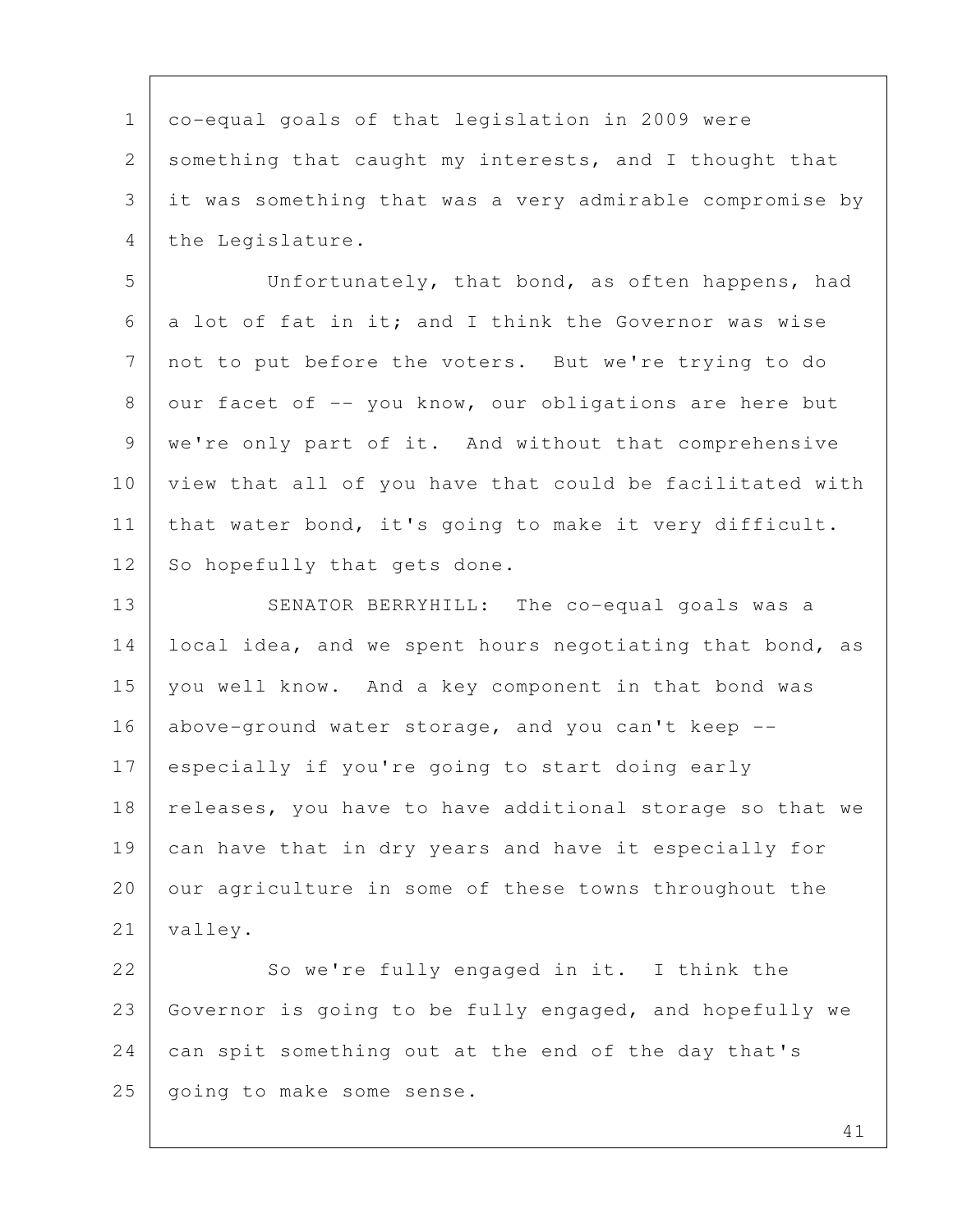1 co-equal goals of that legislation in 2009 were 2 something that caught my interests, and I thought that 3 it was something that was a very admirable compromise by 4 the Legislature.

 5 Unfortunately, that bond, as often happens, had 6 a lot of fat in it; and I think the Governor was wise 7 not to put before the voters. But we're trying to do 8 our facet of  $-$  you know, our obligations are here but 9 we're only part of it. And without that comprehensive 10 view that all of you have that could be facilitated with 11 | that water bond, it's going to make it very difficult. 12 So hopefully that gets done.

13 SENATOR BERRYHILL: The co-equal goals was a 14 | local idea, and we spent hours negotiating that bond, as 15 you well know. And a key component in that bond was 16 above-ground water storage, and you can't keep -- 17 especially if you're going to start doing early 18 | releases, you have to have additional storage so that we 19 can have that in dry years and have it especially for 20 | our agriculture in some of these towns throughout the 21 | valley.

22 So we're fully engaged in it. I think the 23 Governor is going to be fully engaged, and hopefully we 24 can spit something out at the end of the day that's 25 | going to make some sense.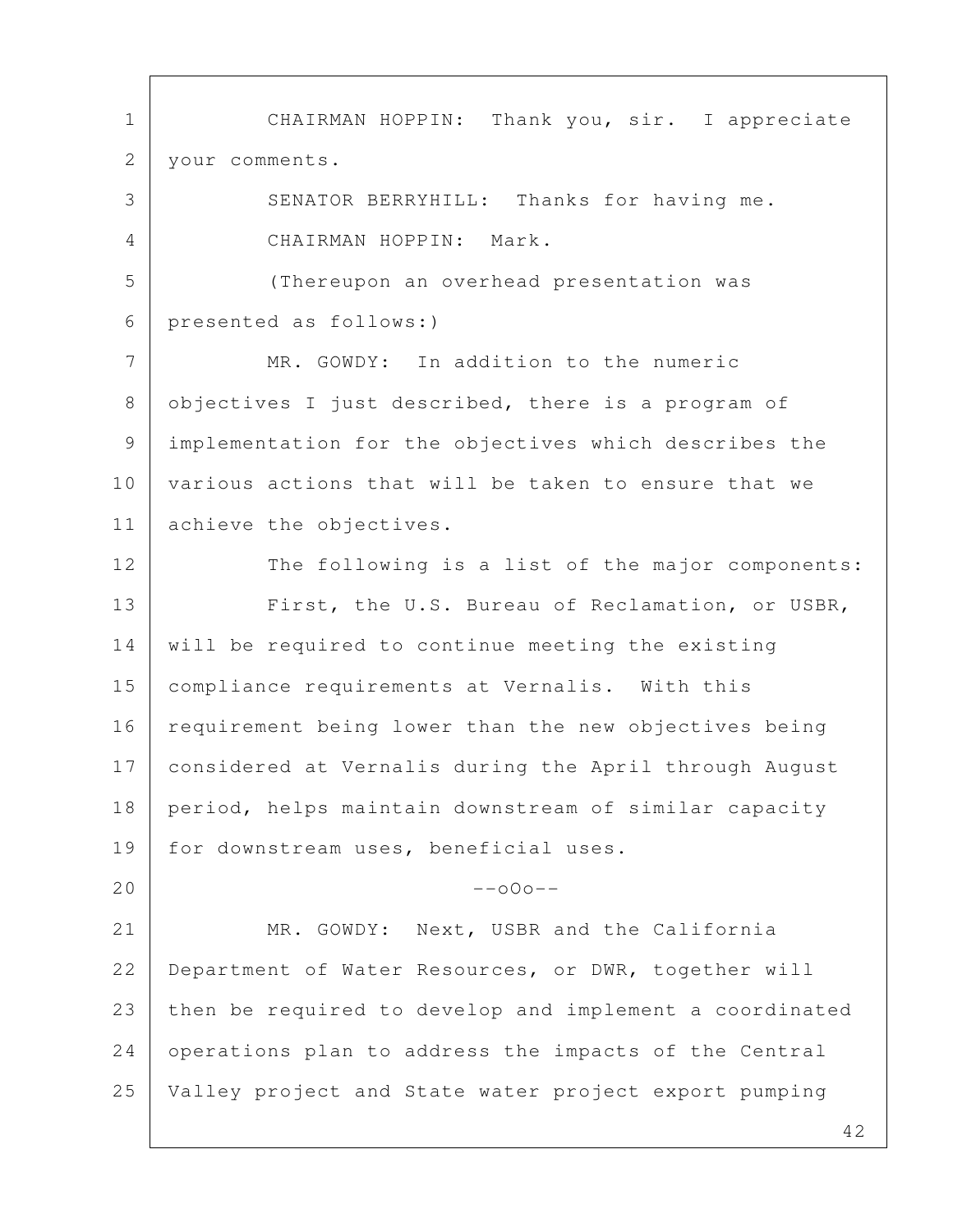1 CHAIRMAN HOPPIN: Thank you, sir. I appreciate 2 your comments. 3 SENATOR BERRYHILL: Thanks for having me. 4 CHAIRMAN HOPPIN: Mark. 5 (Thereupon an overhead presentation was 6 presented as follows:) 7 MR. GOWDY: In addition to the numeric 8 objectives I just described, there is a program of 9 implementation for the objectives which describes the 10 various actions that will be taken to ensure that we 11 achieve the objectives. 12 The following is a list of the major components: 13 First, the U.S. Bureau of Reclamation, or USBR, 14 will be required to continue meeting the existing 15 | compliance requirements at Vernalis. With this 16 requirement being lower than the new objectives being 17 considered at Vernalis during the April through August 18 period, helps maintain downstream of similar capacity 19 for downstream uses, beneficial uses.  $20$  --o0o--21 MR. GOWDY: Next, USBR and the California 22 Department of Water Resources, or DWR, together will 23 then be required to develop and implement a coordinated 24 operations plan to address the impacts of the Central 25 Valley project and State water project export pumping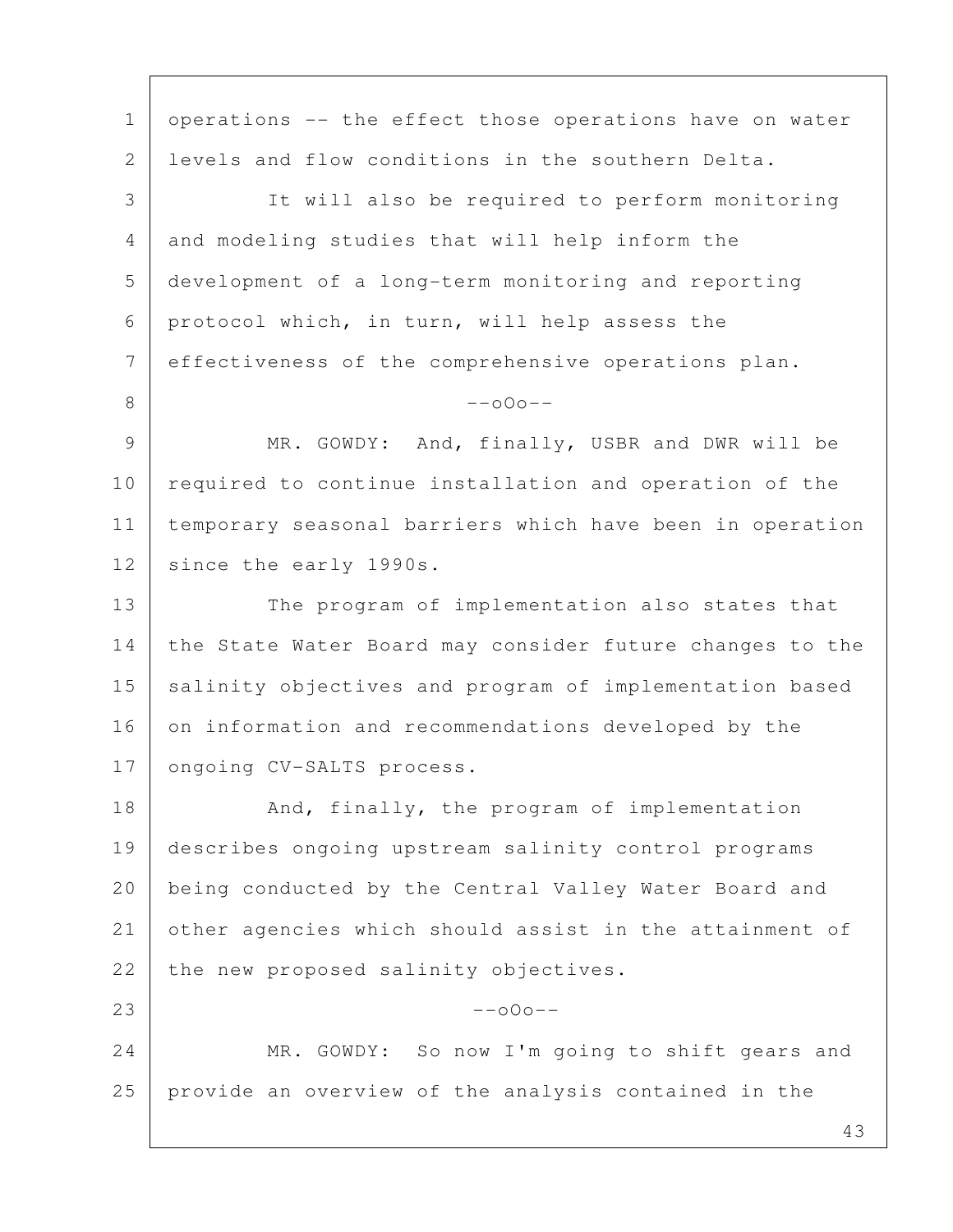43 1 | operations -- the effect those operations have on water 2 levels and flow conditions in the southern Delta. 3 It will also be required to perform monitoring 4 and modeling studies that will help inform the 5 development of a long-term monitoring and reporting 6 protocol which, in turn, will help assess the 7 effectiveness of the comprehensive operations plan.  $8$  --000--9 MR. GOWDY: And, finally, USBR and DWR will be 10 required to continue installation and operation of the 11 temporary seasonal barriers which have been in operation 12 since the early 1990s. 13 The program of implementation also states that 14 the State Water Board may consider future changes to the 15 salinity objectives and program of implementation based 16 on information and recommendations developed by the 17 | ongoing CV-SALTS process. 18 And, finally, the program of implementation 19 describes ongoing upstream salinity control programs 20 being conducted by the Central Valley Water Board and 21 other agencies which should assist in the attainment of 22 the new proposed salinity objectives.  $23$  --o0o--24 MR. GOWDY: So now I'm going to shift gears and 25 provide an overview of the analysis contained in the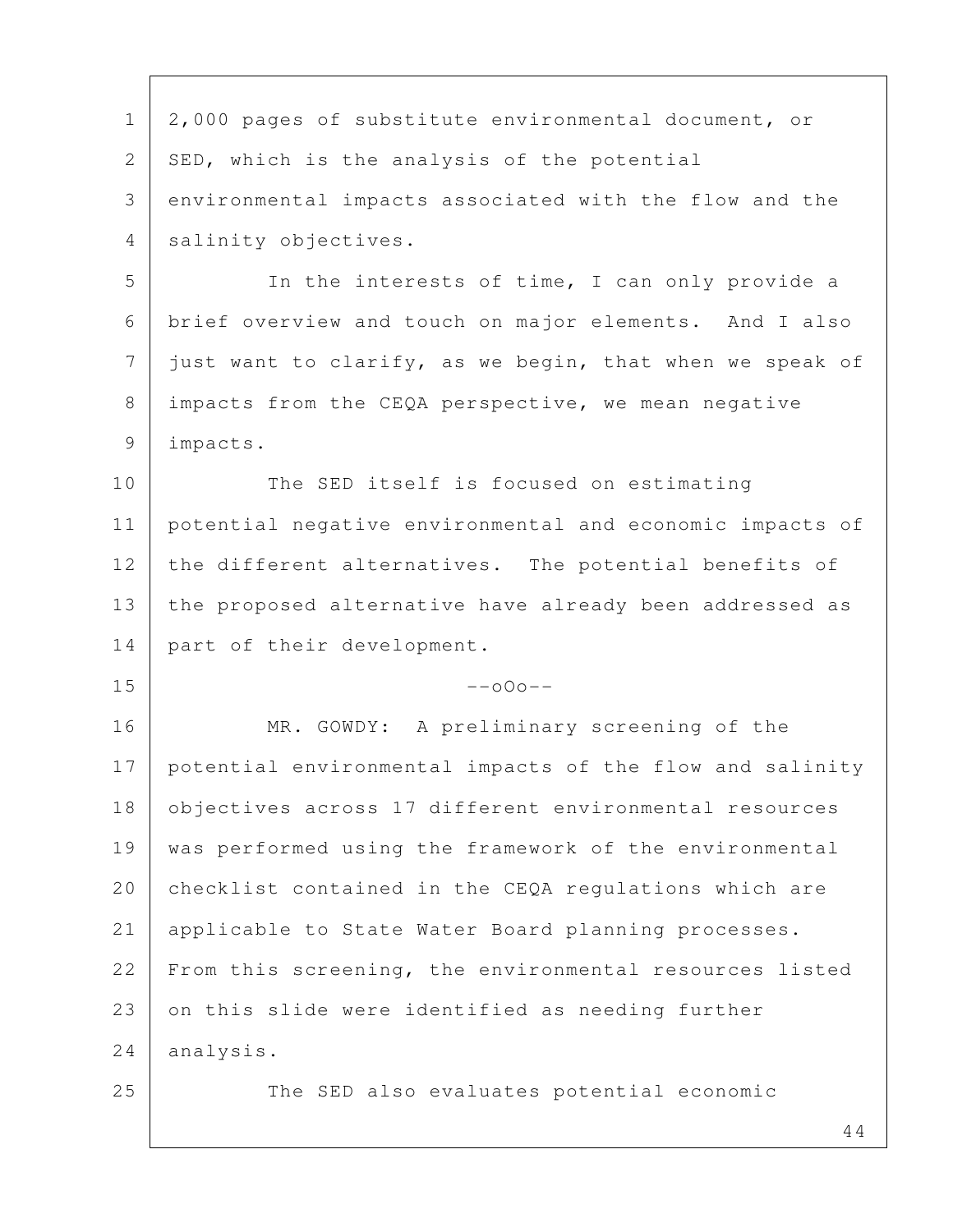44 1 2,000 pages of substitute environmental document, or 2 | SED, which is the analysis of the potential 3 environmental impacts associated with the flow and the 4 salinity objectives. 5 In the interests of time, I can only provide a 6 brief overview and touch on major elements. And I also  $7$  just want to clarify, as we begin, that when we speak of 8 impacts from the CEQA perspective, we mean negative 9 impacts. 10 The SED itself is focused on estimating 11 potential negative environmental and economic impacts of 12 the different alternatives. The potential benefits of 13 the proposed alternative have already been addressed as 14 part of their development.  $15$  --000--16 MR. GOWDY: A preliminary screening of the 17 potential environmental impacts of the flow and salinity 18 | objectives across 17 different environmental resources 19 was performed using the framework of the environmental 20 checklist contained in the CEQA regulations which are 21 applicable to State Water Board planning processes. 22 From this screening, the environmental resources listed 23 on this slide were identified as needing further 24 analysis. 25 The SED also evaluates potential economic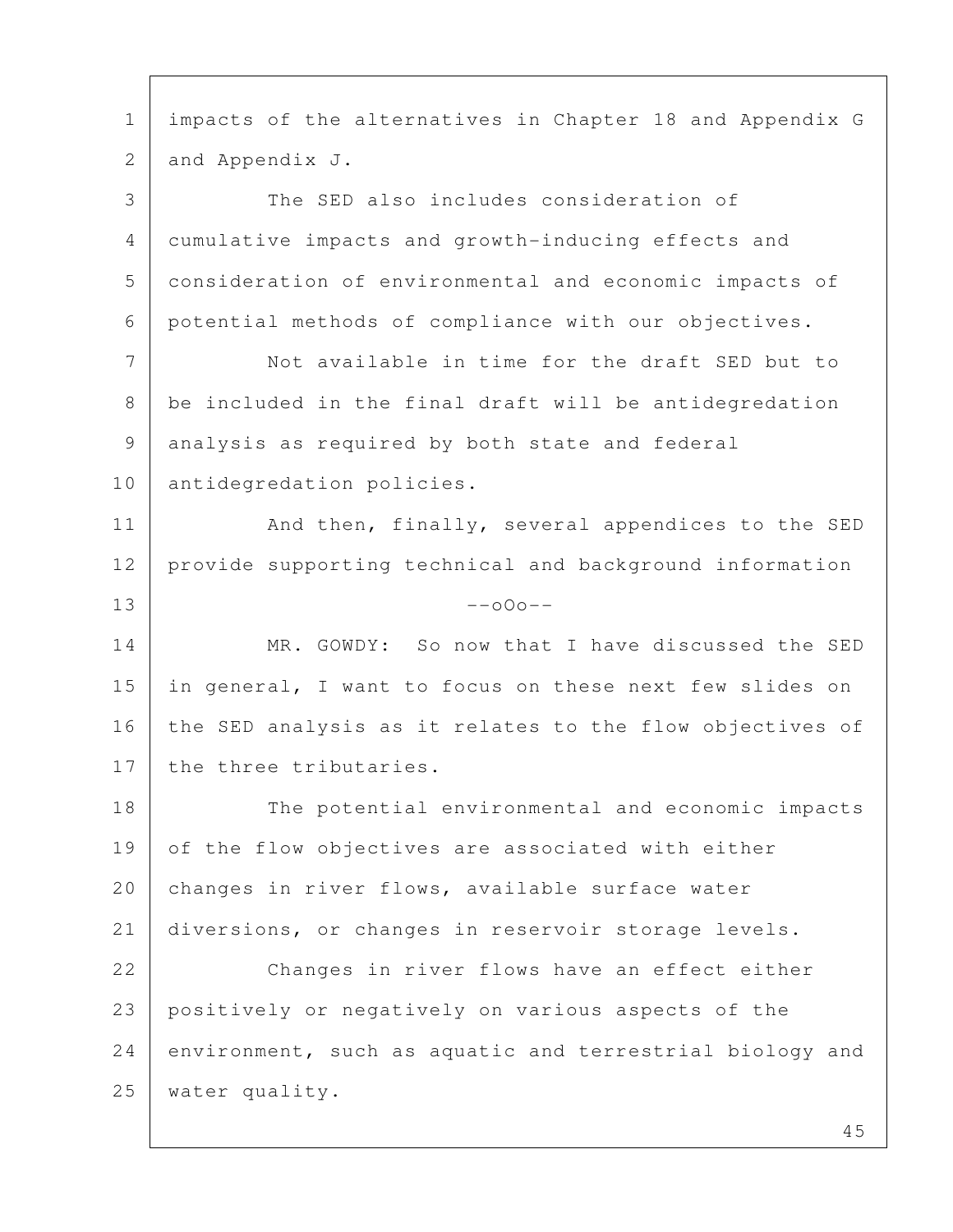1 impacts of the alternatives in Chapter 18 and Appendix G 2 and Appendix J. 3 The SED also includes consideration of 4 cumulative impacts and growth-inducing effects and 5 consideration of environmental and economic impacts of 6 potential methods of compliance with our objectives. 7 Not available in time for the draft SED but to 8 be included in the final draft will be antidegredation 9 analysis as required by both state and federal 10 antidegredation policies. 11 | And then, finally, several appendices to the SED 12 provide supporting technical and background information  $13$  --000--14 MR. GOWDY: So now that I have discussed the SED 15 in general, I want to focus on these next few slides on 16 the SED analysis as it relates to the flow objectives of 17 the three tributaries. 18 The potential environmental and economic impacts 19 of the flow objectives are associated with either 20 changes in river flows, available surface water 21 diversions, or changes in reservoir storage levels. 22 Changes in river flows have an effect either 23 positively or negatively on various aspects of the 24 environment, such as aquatic and terrestrial biology and 25 water quality.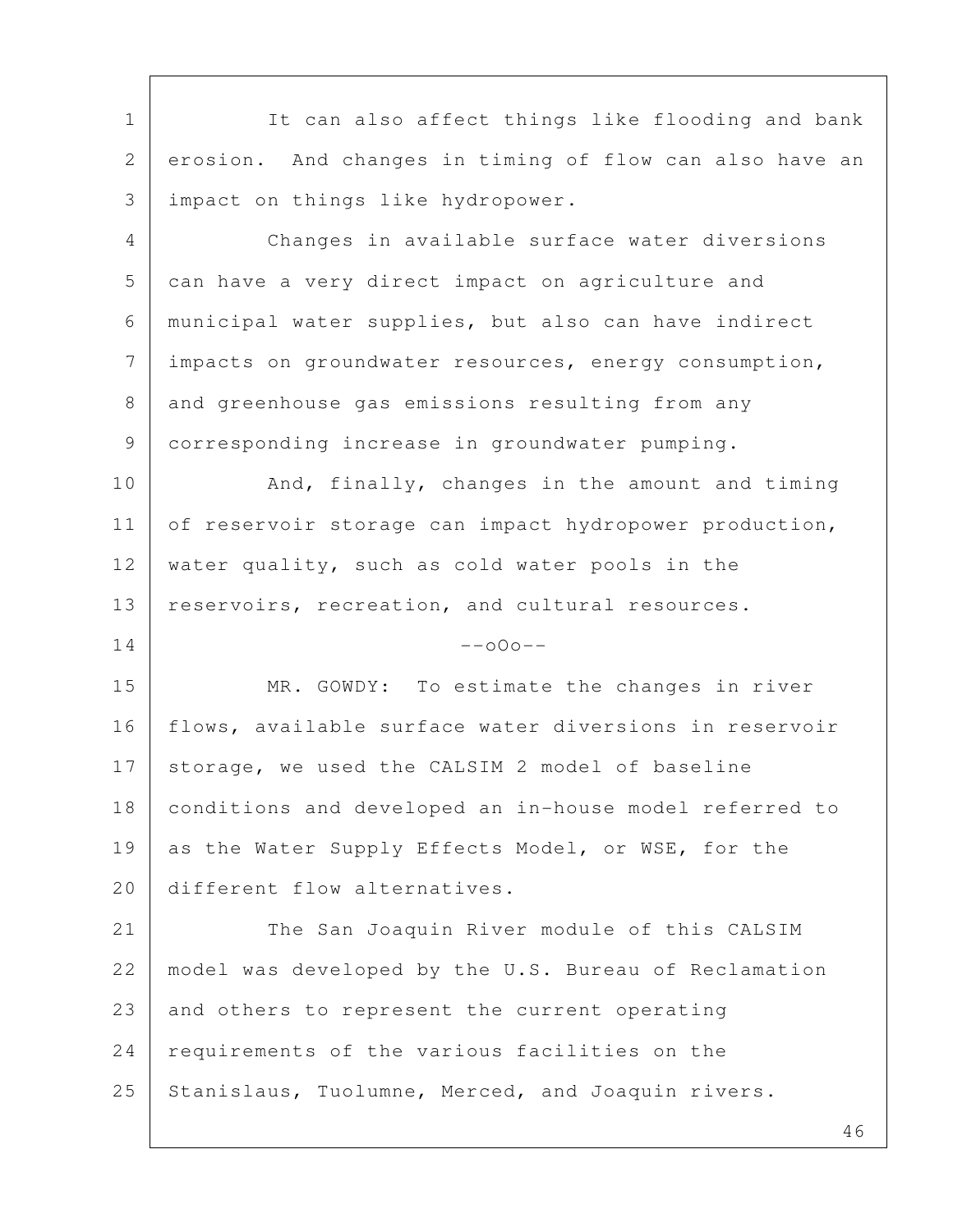1 It can also affect things like flooding and bank 2 erosion. And changes in timing of flow can also have an 3 impact on things like hydropower. 4 Changes in available surface water diversions 5 can have a very direct impact on agriculture and 6 municipal water supplies, but also can have indirect 7 | impacts on groundwater resources, energy consumption, 8 and greenhouse gas emissions resulting from any 9 corresponding increase in groundwater pumping. 10 And, finally, changes in the amount and timing 11 of reservoir storage can impact hydropower production, 12 water quality, such as cold water pools in the 13 reservoirs, recreation, and cultural resources.  $14$  --000--15 MR. GOWDY: To estimate the changes in river 16 | flows, available surface water diversions in reservoir 17 | storage, we used the CALSIM 2 model of baseline 18 conditions and developed an in-house model referred to 19 as the Water Supply Effects Model, or WSE, for the 20 different flow alternatives. 21 The San Joaquin River module of this CALSIM 22 model was developed by the U.S. Bureau of Reclamation 23 and others to represent the current operating 24 | requirements of the various facilities on the 25 Stanislaus, Tuolumne, Merced, and Joaquin rivers.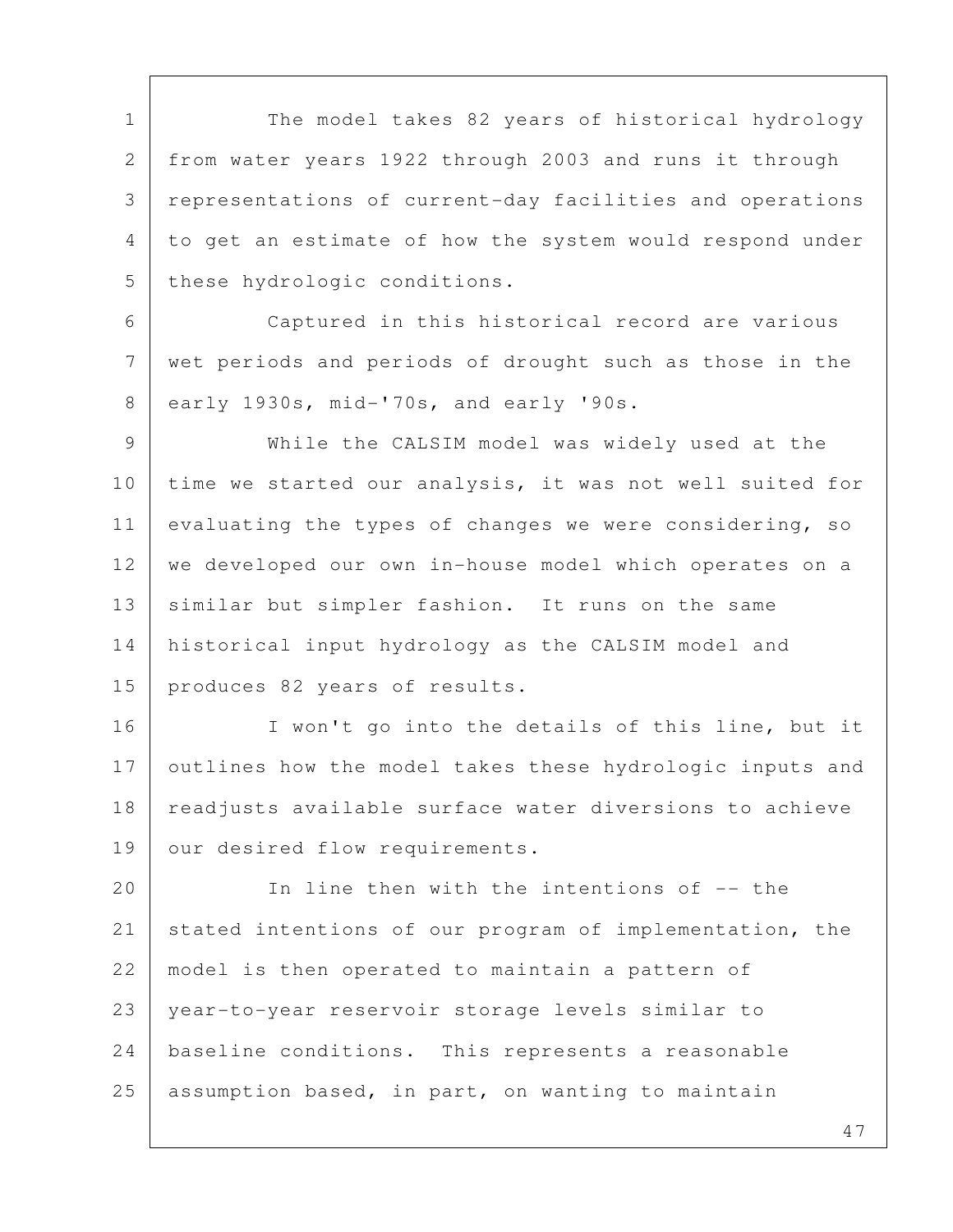1 The model takes 82 years of historical hydrology 2 from water years 1922 through 2003 and runs it through 3 representations of current-day facilities and operations 4 to get an estimate of how the system would respond under 5 these hydrologic conditions.

 6 Captured in this historical record are various 7 wet periods and periods of drought such as those in the 8 early 1930s, mid-'70s, and early '90s.

 9 While the CALSIM model was widely used at the 10 time we started our analysis, it was not well suited for 11 evaluating the types of changes we were considering, so 12 we developed our own in-house model which operates on a 13 similar but simpler fashion. It runs on the same 14 historical input hydrology as the CALSIM model and 15 produces 82 years of results.

16 | I won't go into the details of this line, but it 17 outlines how the model takes these hydrologic inputs and 18 | readjusts available surface water diversions to achieve 19 | our desired flow requirements.

20 In line then with the intentions of -- the 21 stated intentions of our program of implementation, the 22 | model is then operated to maintain a pattern of 23 year-to-year reservoir storage levels similar to 24 baseline conditions. This represents a reasonable 25 assumption based, in part, on wanting to maintain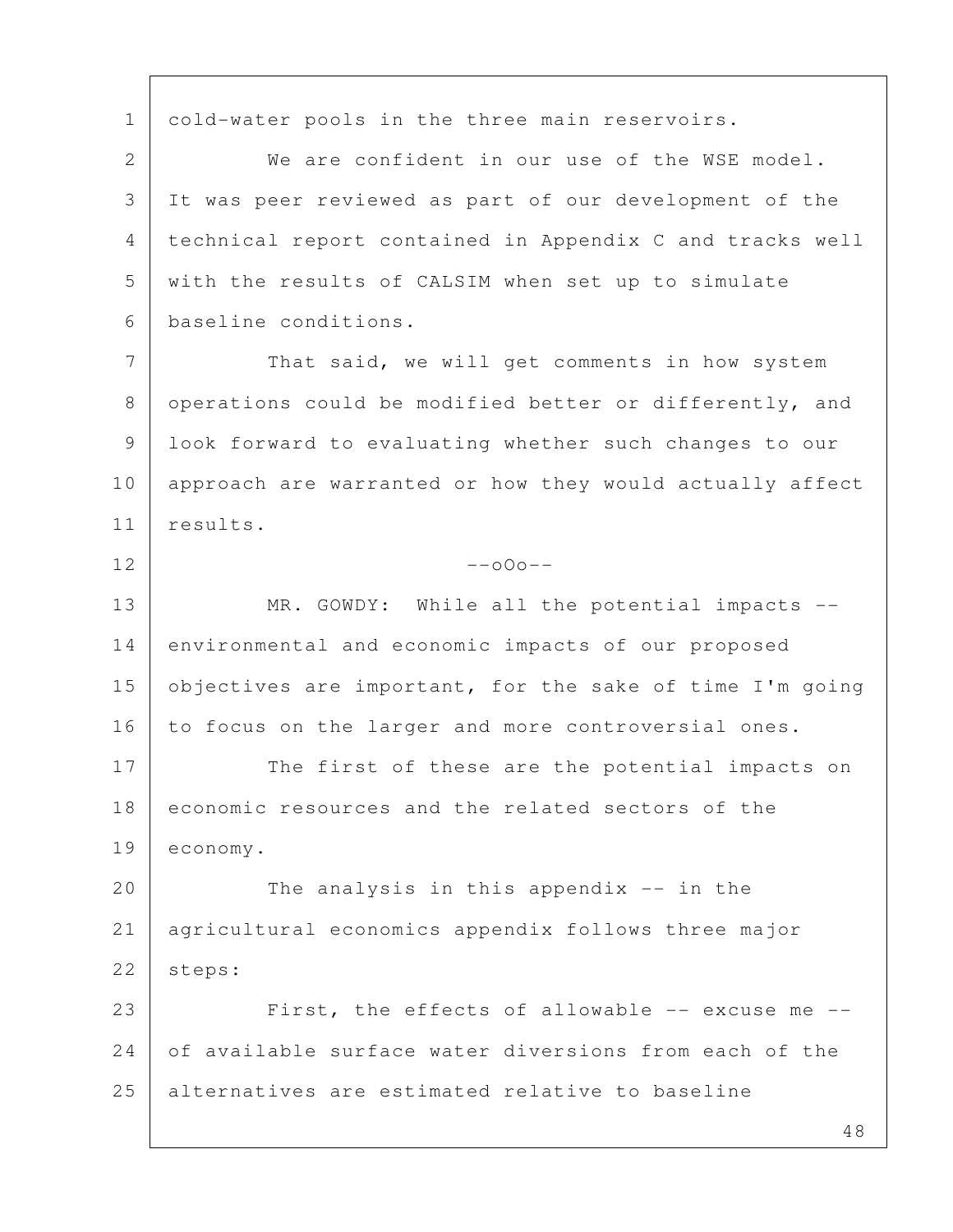1 cold-water pools in the three main reservoirs. 2 We are confident in our use of the WSE model. 3 It was peer reviewed as part of our development of the 4 technical report contained in Appendix C and tracks well 5 with the results of CALSIM when set up to simulate 6 baseline conditions. 7 That said, we will get comments in how system 8 operations could be modified better or differently, and 9 look forward to evaluating whether such changes to our 10 approach are warranted or how they would actually affect 11 results.  $12$  --000--13 MR. GOWDY: While all the potential impacts --14 environmental and economic impacts of our proposed 15 objectives are important, for the sake of time I'm going 16 to focus on the larger and more controversial ones. 17 The first of these are the potential impacts on 18 economic resources and the related sectors of the 19 economy. 20 The analysis in this appendix -- in the 21 agricultural economics appendix follows three major 22 | steps: 23 First, the effects of allowable -- excuse me --24 of available surface water diversions from each of the 25 alternatives are estimated relative to baseline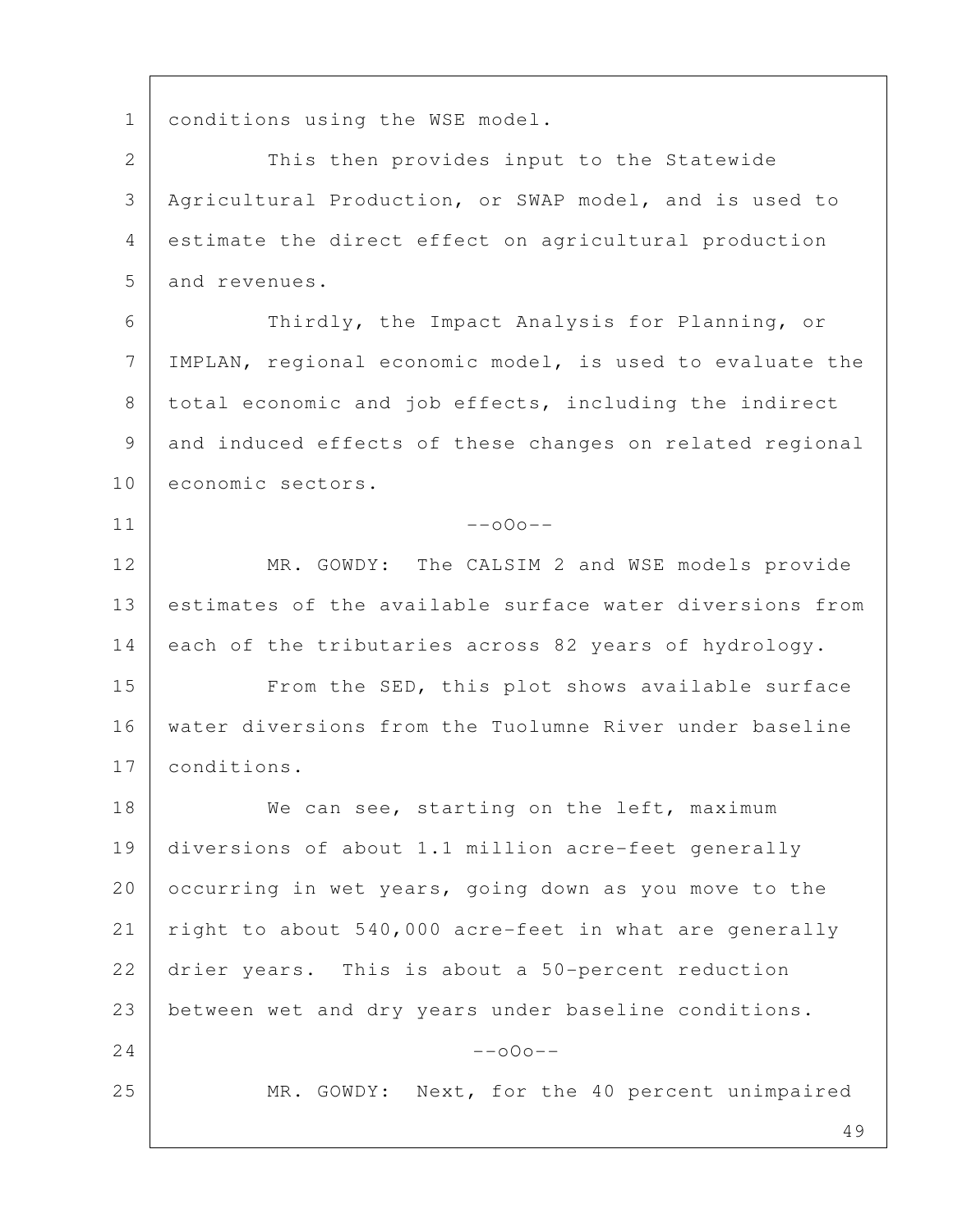1 conditions using the WSE model.

2 This then provides input to the Statewide 3 Agricultural Production, or SWAP model, and is used to 4 estimate the direct effect on agricultural production 5 and revenues.

 6 Thirdly, the Impact Analysis for Planning, or 7 IMPLAN, regional economic model, is used to evaluate the 8 total economic and job effects, including the indirect 9 and induced effects of these changes on related regional 10 economic sectors.

 $11$  --000--

12 MR. GOWDY: The CALSIM 2 and WSE models provide 13 estimates of the available surface water diversions from 14 each of the tributaries across 82 years of hydrology.

15 From the SED, this plot shows available surface 16 water diversions from the Tuolumne River under baseline 17 conditions.

18 We can see, starting on the left, maximum 19 diversions of about 1.1 million acre-feet generally 20 occurring in wet years, going down as you move to the 21 right to about 540,000 acre-feet in what are generally 22 drier years. This is about a 50-percent reduction 23 between wet and dry years under baseline conditions.  $24$  --000--25 MR. GOWDY: Next, for the 40 percent unimpaired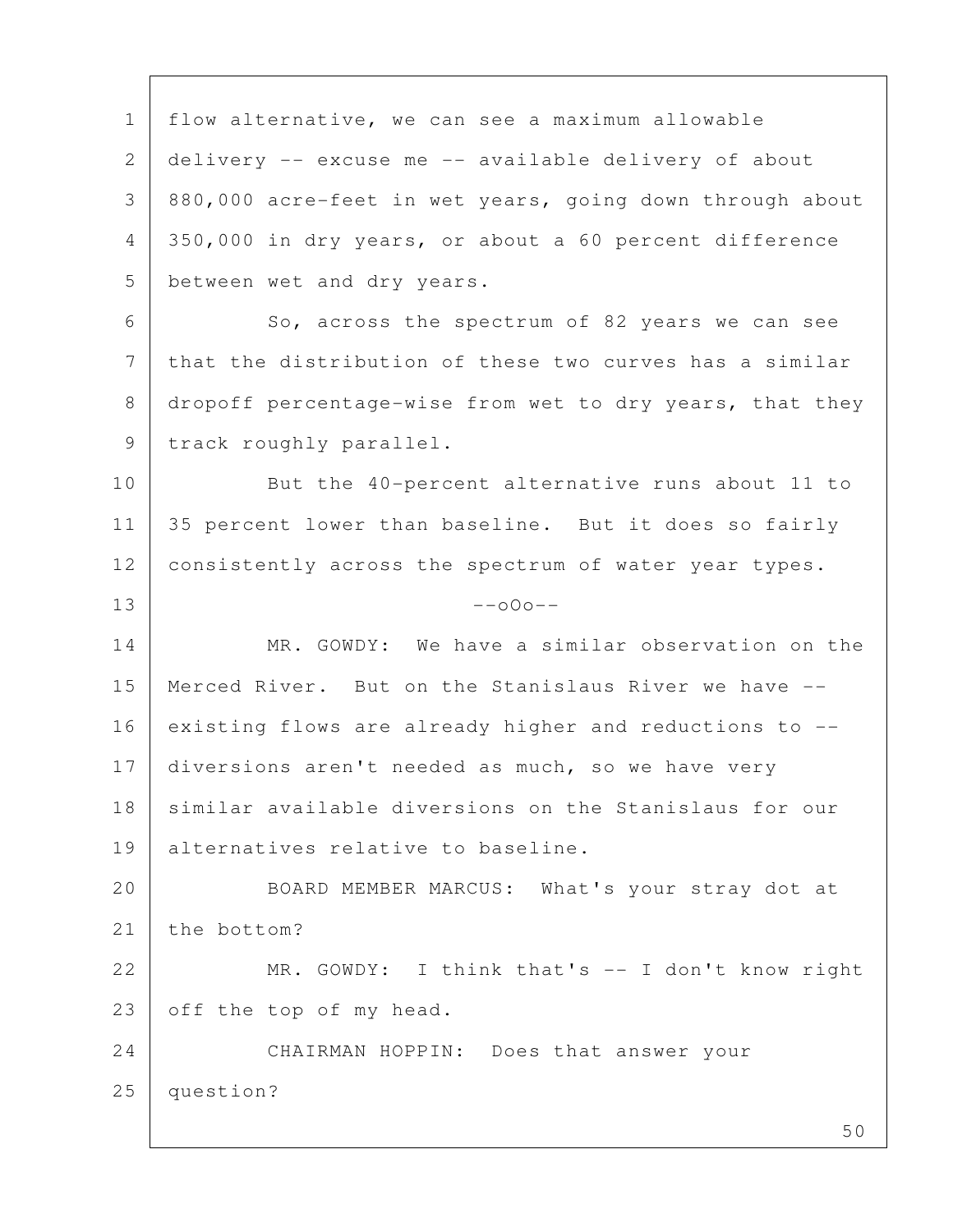1 flow alternative, we can see a maximum allowable 2 delivery -- excuse me -- available delivery of about 3 880,000 acre-feet in wet years, going down through about 4 350,000 in dry years, or about a 60 percent difference 5 between wet and dry years. 6 So, across the spectrum of 82 years we can see 7 that the distribution of these two curves has a similar 8 dropoff percentage-wise from wet to dry years, that they 9 track roughly parallel. 10 But the 40-percent alternative runs about 11 to 11 | 35 percent lower than baseline. But it does so fairly 12 consistently across the spectrum of water year types.  $13$  --000--14 MR. GOWDY: We have a similar observation on the 15 Merced River. But on the Stanislaus River we have -- 16 existing flows are already higher and reductions to  $-$ -17 diversions aren't needed as much, so we have very 18 similar available diversions on the Stanislaus for our 19 alternatives relative to baseline. 20 BOARD MEMBER MARCUS: What's your stray dot at 21 the bottom? 22 MR. GOWDY: I think that's -- I don't know right 23 off the top of my head. 24 CHAIRMAN HOPPIN: Does that answer your 25 question?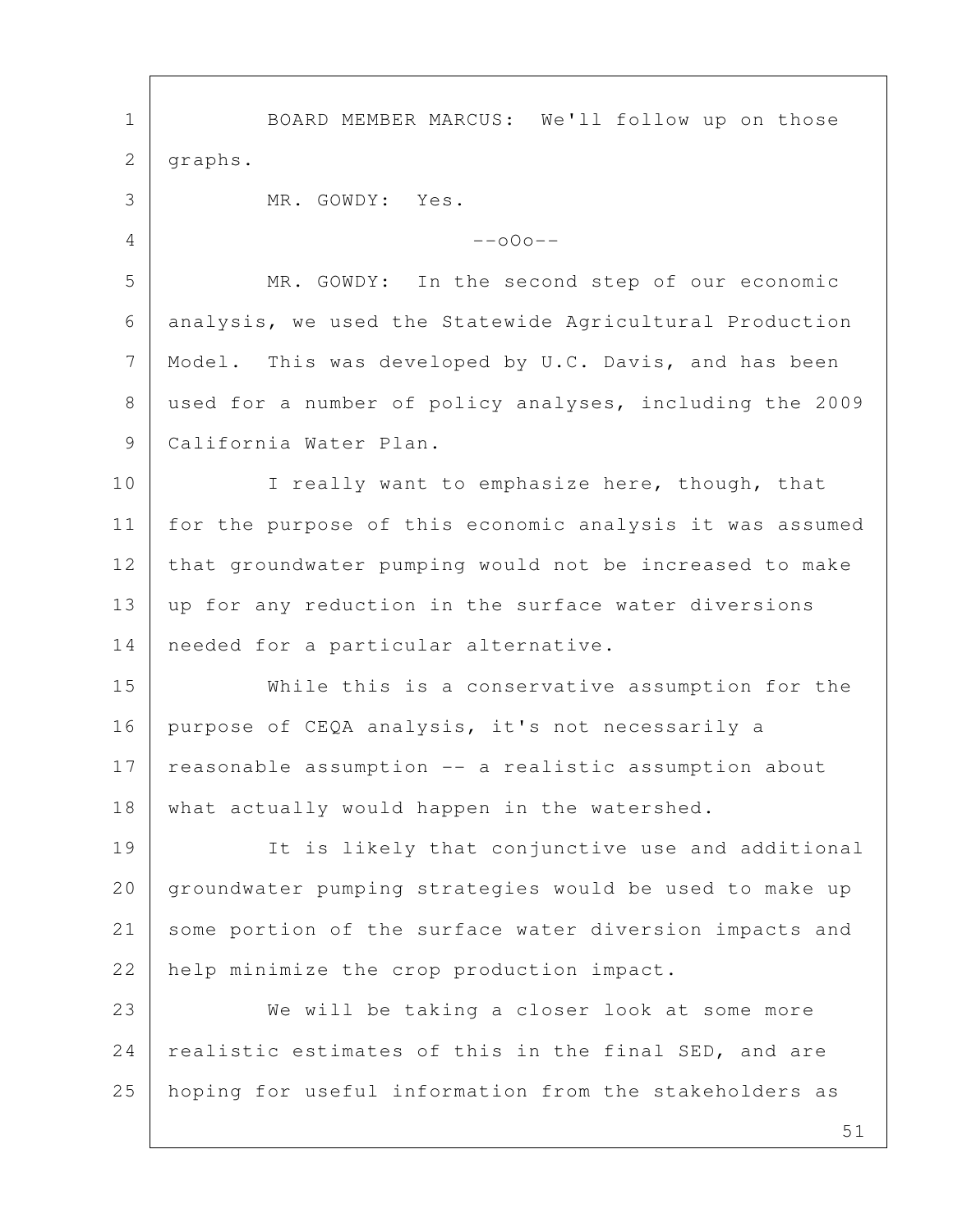1 BOARD MEMBER MARCUS: We'll follow up on those 2 graphs. 3 MR. GOWDY: Yes.  $4$  --000-- 5 MR. GOWDY: In the second step of our economic 6 analysis, we used the Statewide Agricultural Production 7 | Model. This was developed by U.C. Davis, and has been 8 used for a number of policy analyses, including the 2009 9 | California Water Plan. 10 I really want to emphasize here, though, that 11 for the purpose of this economic analysis it was assumed 12 that groundwater pumping would not be increased to make 13 up for any reduction in the surface water diversions 14 | needed for a particular alternative. 15 While this is a conservative assumption for the 16 purpose of CEQA analysis, it's not necessarily a 17 reasonable assumption -- a realistic assumption about 18 | what actually would happen in the watershed. 19 It is likely that conjunctive use and additional 20 groundwater pumping strategies would be used to make up 21 some portion of the surface water diversion impacts and 22 help minimize the crop production impact. 23 We will be taking a closer look at some more 24 | realistic estimates of this in the final SED, and are 25 hoping for useful information from the stakeholders as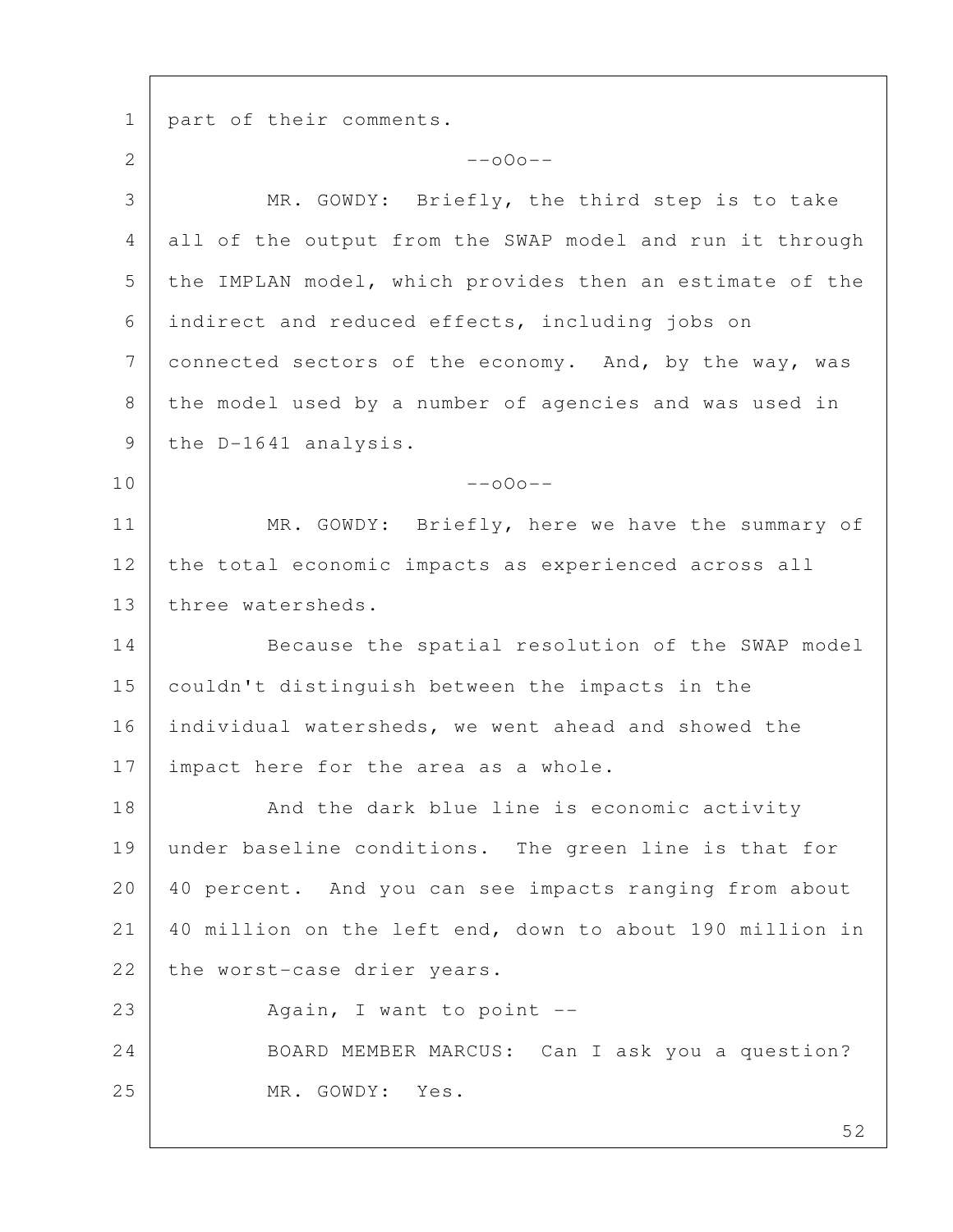1 | part of their comments. 2  $-$ o $0$ o $-$  3 MR. GOWDY: Briefly, the third step is to take 4 all of the output from the SWAP model and run it through 5 the IMPLAN model, which provides then an estimate of the 6 indirect and reduced effects, including jobs on 7 connected sectors of the economy. And, by the way, was 8 the model used by a number of agencies and was used in 9 | the D-1641 analysis.  $10$  --000--11 | MR. GOWDY: Briefly, here we have the summary of 12 the total economic impacts as experienced across all 13 three watersheds. 14 Because the spatial resolution of the SWAP model 15 couldn't distinguish between the impacts in the 16 individual watersheds, we went ahead and showed the 17 | impact here for the area as a whole. 18 And the dark blue line is economic activity 19 under baseline conditions. The green line is that for 20 40 percent. And you can see impacts ranging from about 21 40 million on the left end, down to about 190 million in 22 the worst-case drier years. 23 Again, I want to point --24 BOARD MEMBER MARCUS: Can I ask you a question? 25 MR. GOWDY: Yes.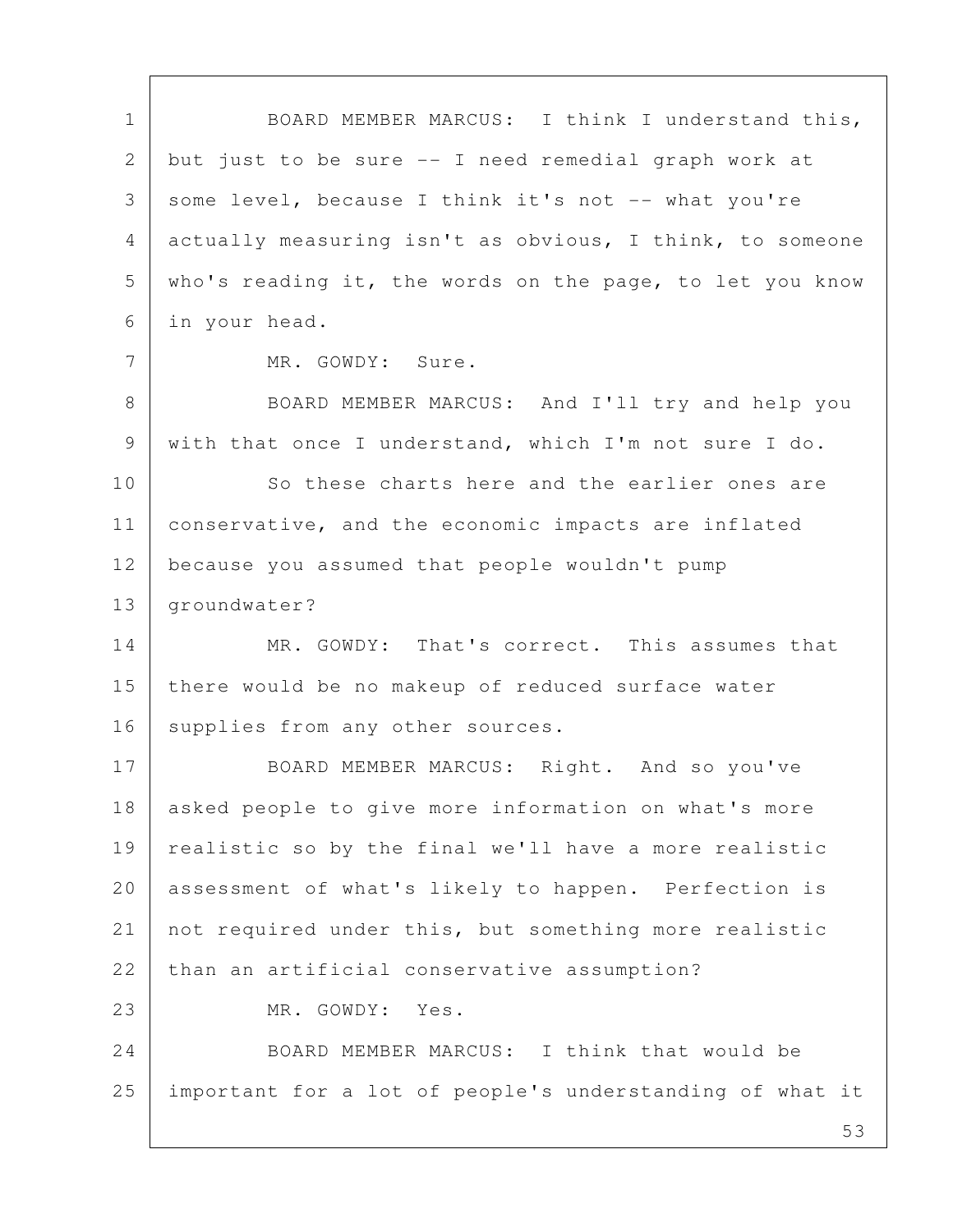1 BOARD MEMBER MARCUS: I think I understand this, 2 but just to be sure -- I need remedial graph work at 3 some level, because I think it's not -- what you're 4 actually measuring isn't as obvious, I think, to someone 5 who's reading it, the words on the page, to let you know 6 in your head. 7 MR. GOWDY: Sure. 8 | BOARD MEMBER MARCUS: And I'll try and help you 9 with that once I understand, which I'm not sure I do. 10 So these charts here and the earlier ones are 11 | conservative, and the economic impacts are inflated 12 because you assumed that people wouldn't pump 13 | groundwater? 14 MR. GOWDY: That's correct. This assumes that 15 there would be no makeup of reduced surface water 16 | supplies from any other sources. 17 BOARD MEMBER MARCUS: Right. And so you've 18 asked people to give more information on what's more 19 | realistic so by the final we'll have a more realistic 20 assessment of what's likely to happen. Perfection is 21 not required under this, but something more realistic 22 than an artificial conservative assumption? 23 MR. GOWDY: Yes. 24 BOARD MEMBER MARCUS: I think that would be 25 important for a lot of people's understanding of what it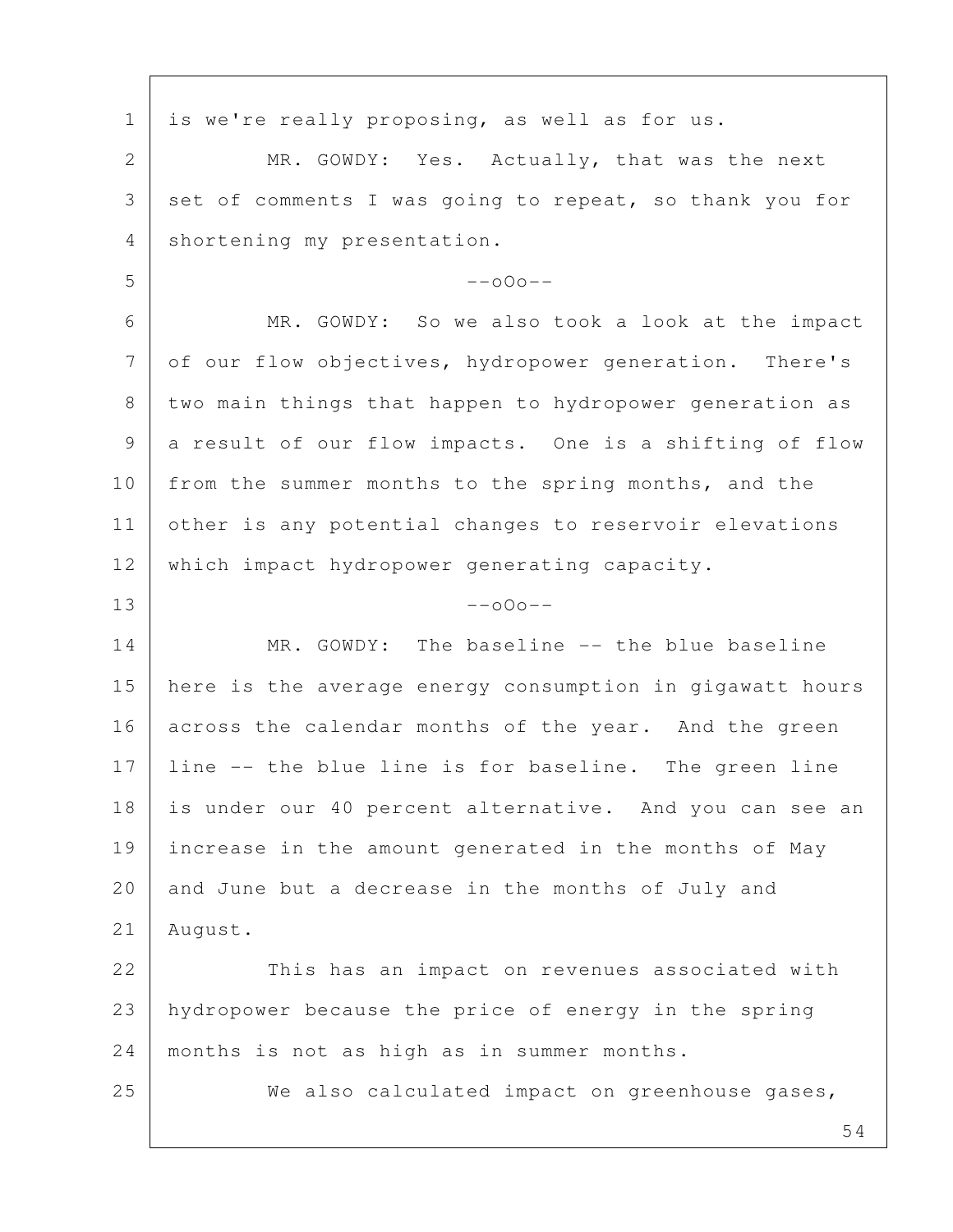1 is we're really proposing, as well as for us. 2 MR. GOWDY: Yes. Actually, that was the next 3 set of comments I was going to repeat, so thank you for 4 shortening my presentation.  $5$  --000-- 6 MR. GOWDY: So we also took a look at the impact 7 of our flow objectives, hydropower generation. There's 8 two main things that happen to hydropower generation as 9 a result of our flow impacts. One is a shifting of flow 10 from the summer months to the spring months, and the 11 other is any potential changes to reservoir elevations 12 which impact hydropower generating capacity.  $13$  --000--14 MR. GOWDY: The baseline -- the blue baseline 15 here is the average energy consumption in gigawatt hours 16 across the calendar months of the year. And the green 17 line -- the blue line is for baseline. The green line 18 is under our 40 percent alternative. And you can see an 19 | increase in the amount generated in the months of May 20 and June but a decrease in the months of July and 21 August. 22 This has an impact on revenues associated with 23 hydropower because the price of energy in the spring 24 | months is not as high as in summer months. 25 We also calculated impact on greenhouse gases,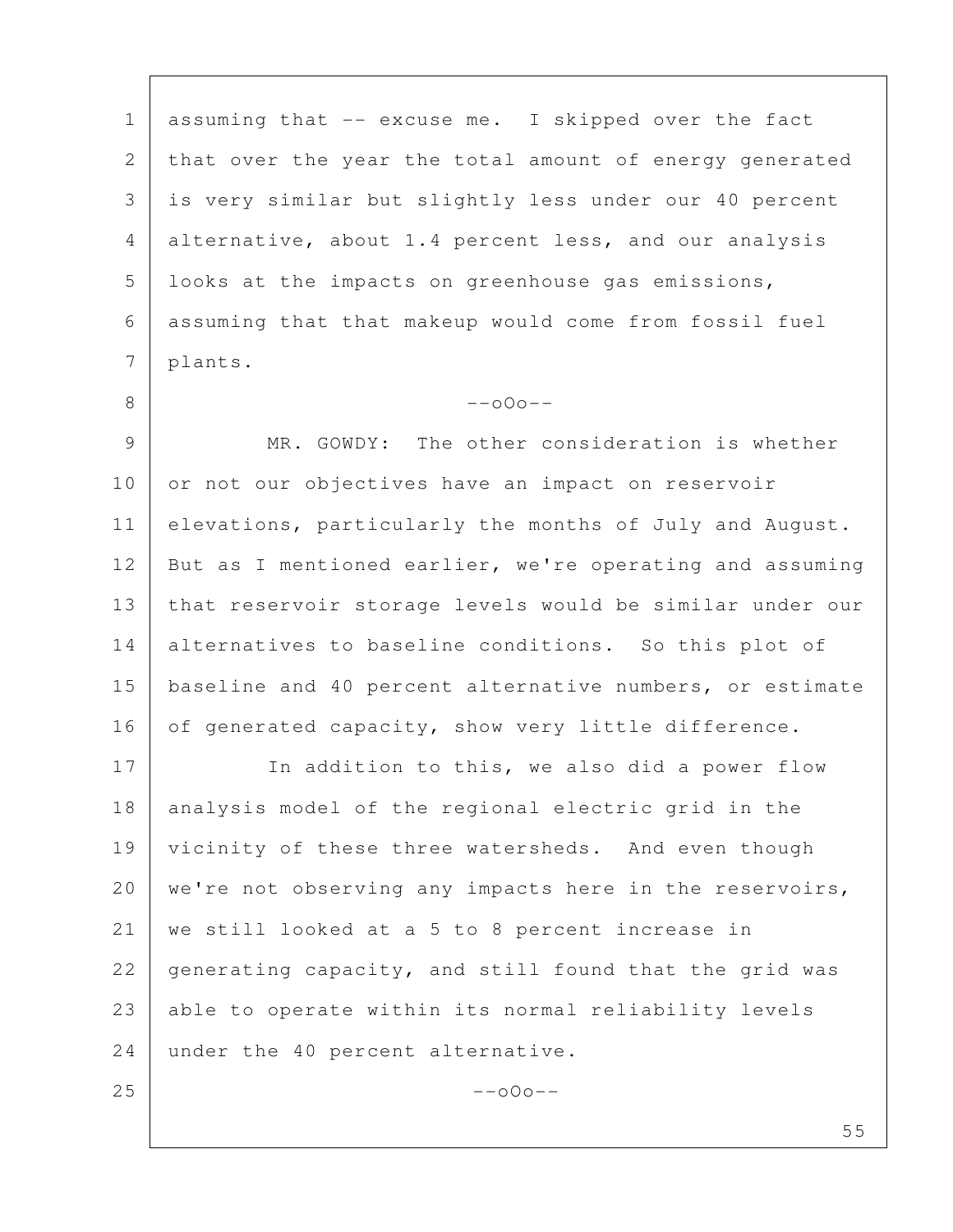1 assuming that -- excuse me. I skipped over the fact 2 that over the year the total amount of energy generated 3 is very similar but slightly less under our 40 percent 4 alternative, about 1.4 percent less, and our analysis 5 | looks at the impacts on greenhouse gas emissions, 6 assuming that that makeup would come from fossil fuel 7 plants.

 9 MR. GOWDY: The other consideration is whether 10 or not our objectives have an impact on reservoir 11 elevations, particularly the months of July and August. 12 But as I mentioned earlier, we're operating and assuming 13 that reservoir storage levels would be similar under our 14 alternatives to baseline conditions. So this plot of 15 baseline and 40 percent alternative numbers, or estimate 16 of generated capacity, show very little difference.

 $8$  --o0o--

17 In addition to this, we also did a power flow 18 analysis model of the regional electric grid in the 19 vicinity of these three watersheds. And even though 20 | we're not observing any impacts here in the reservoirs, 21 we still looked at a 5 to 8 percent increase in 22 generating capacity, and still found that the grid was 23 able to operate within its normal reliability levels 24 under the 40 percent alternative.  $25$  --000--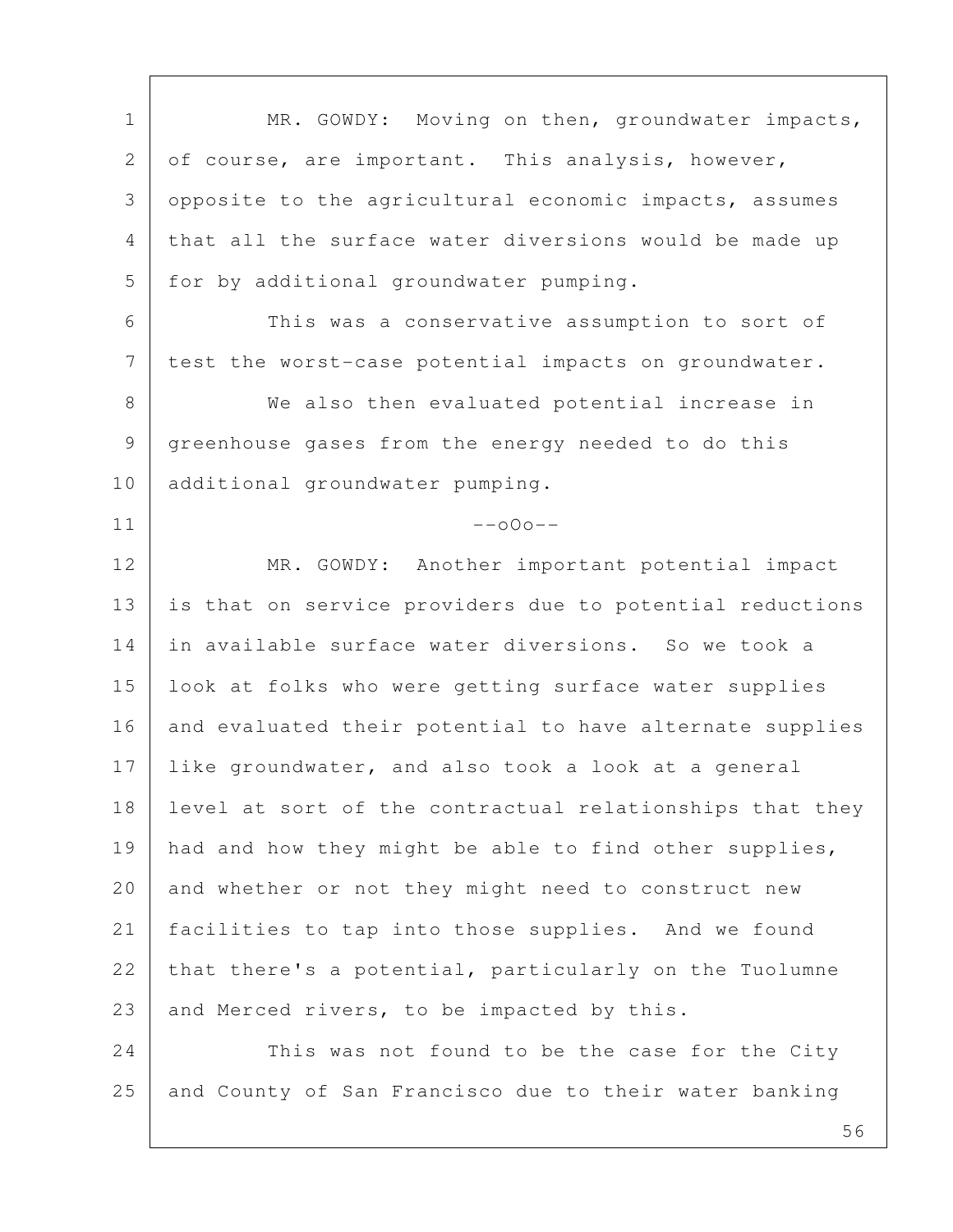1 | MR. GOWDY: Moving on then, groundwater impacts, 2 of course, are important. This analysis, however, 3 opposite to the agricultural economic impacts, assumes 4 that all the surface water diversions would be made up 5 for by additional groundwater pumping. 6 This was a conservative assumption to sort of 7 | test the worst-case potential impacts on groundwater. 8 We also then evaluated potential increase in 9 greenhouse gases from the energy needed to do this 10 additional groundwater pumping.  $11$  --000--12 MR. GOWDY: Another important potential impact 13 is that on service providers due to potential reductions 14 in available surface water diversions. So we took a 15 look at folks who were getting surface water supplies 16 and evaluated their potential to have alternate supplies 17 like groundwater, and also took a look at a general 18 level at sort of the contractual relationships that they 19 | had and how they might be able to find other supplies, 20 and whether or not they might need to construct new 21 facilities to tap into those supplies. And we found 22 that there's a potential, particularly on the Tuolumne 23 and Merced rivers, to be impacted by this. 24 This was not found to be the case for the City 25 and County of San Francisco due to their water banking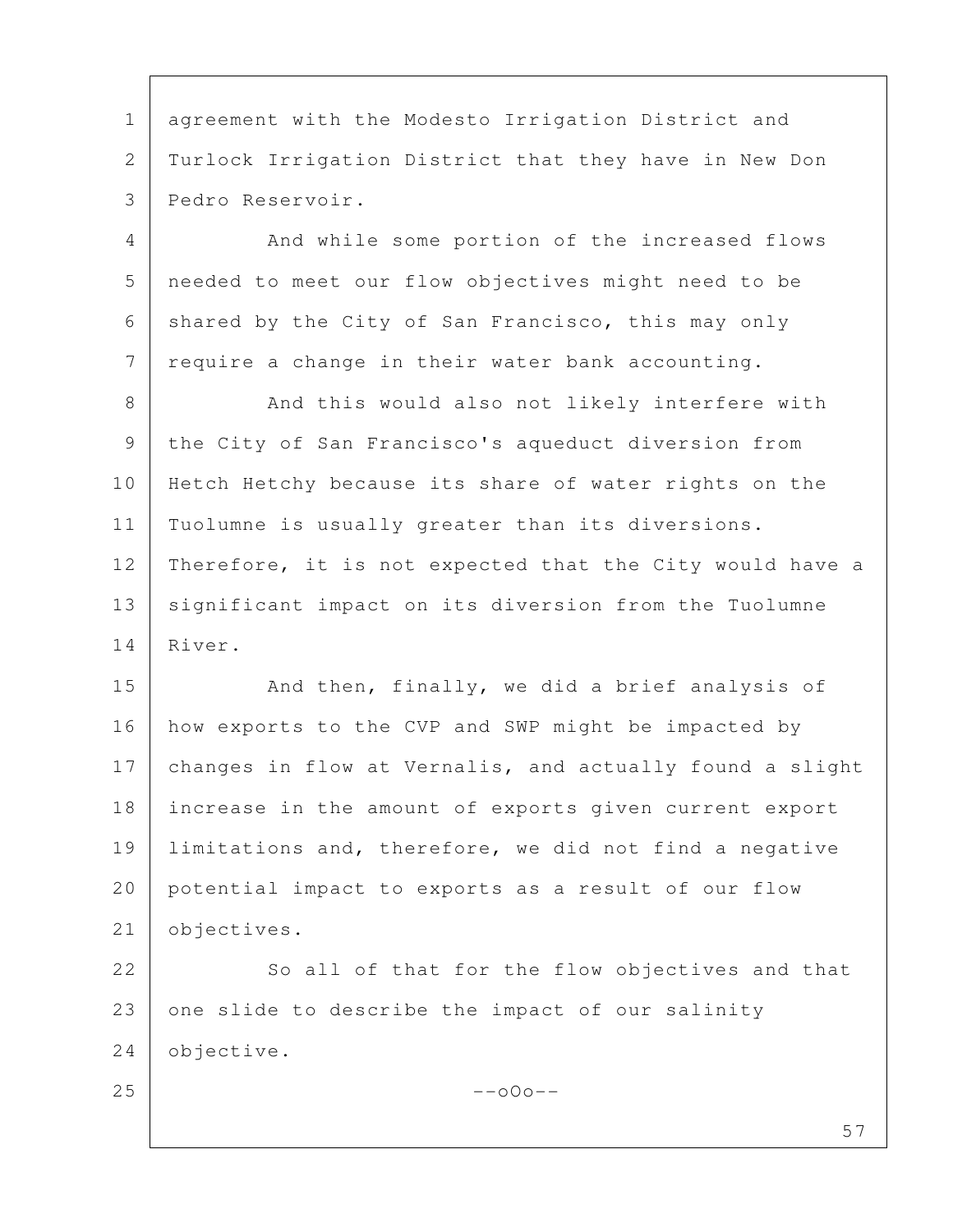1 agreement with the Modesto Irrigation District and 2 Turlock Irrigation District that they have in New Don 3 Pedro Reservoir.

4 And while some portion of the increased flows 5 needed to meet our flow objectives might need to be 6 shared by the City of San Francisco, this may only 7 require a change in their water bank accounting.

8 And this would also not likely interfere with 9 the City of San Francisco's aqueduct diversion from 10 Hetch Hetchy because its share of water rights on the 11 | Tuolumne is usually greater than its diversions. 12 | Therefore, it is not expected that the City would have a 13 | significant impact on its diversion from the Tuolumne 14 River.

15 And then, finally, we did a brief analysis of 16 | how exports to the CVP and SWP might be impacted by 17 changes in flow at Vernalis, and actually found a slight 18 increase in the amount of exports given current export 19 limitations and, therefore, we did not find a negative 20 potential impact to exports as a result of our flow 21 objectives.

22 So all of that for the flow objectives and that 23 one slide to describe the impact of our salinity 24 objective.

 $25$  --000--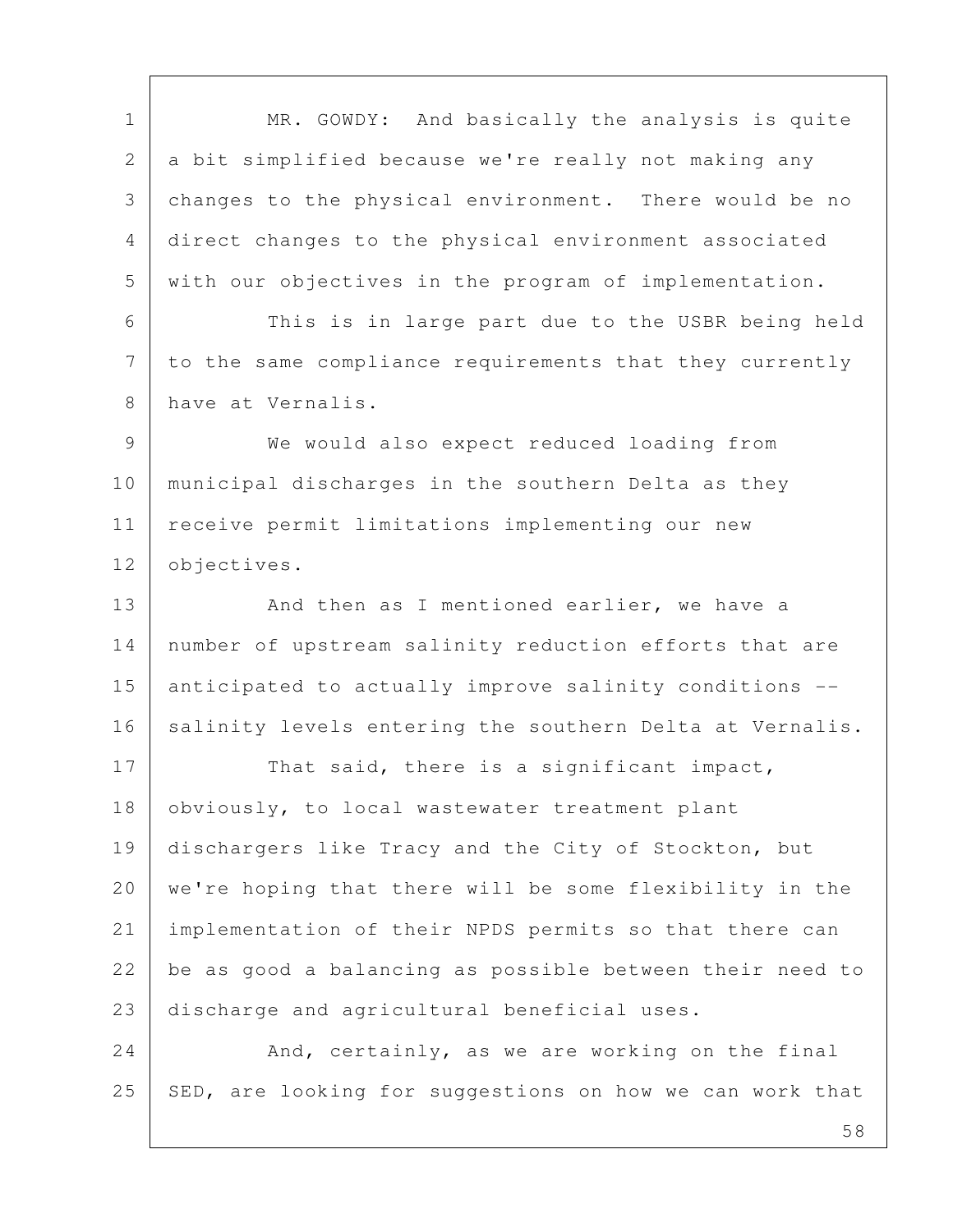1 MR. GOWDY: And basically the analysis is quite 2 a bit simplified because we're really not making any 3 changes to the physical environment. There would be no 4 direct changes to the physical environment associated 5 with our objectives in the program of implementation. 6 This is in large part due to the USBR being held 7 to the same compliance requirements that they currently 8 have at Vernalis. 9 We would also expect reduced loading from 10 municipal discharges in the southern Delta as they 11 | receive permit limitations implementing our new 12 **objectives**. 13 And then as I mentioned earlier, we have a 14 | number of upstream salinity reduction efforts that are 15 anticipated to actually improve salinity conditions -- 16 | salinity levels entering the southern Delta at Vernalis. 17 That said, there is a significant impact, 18 obviously, to local wastewater treatment plant 19 dischargers like Tracy and the City of Stockton, but 20 | we're hoping that there will be some flexibility in the 21 implementation of their NPDS permits so that there can 22 be as good a balancing as possible between their need to 23 discharge and agricultural beneficial uses. 24 And, certainly, as we are working on the final  $25$  SED, are looking for suggestions on how we can work that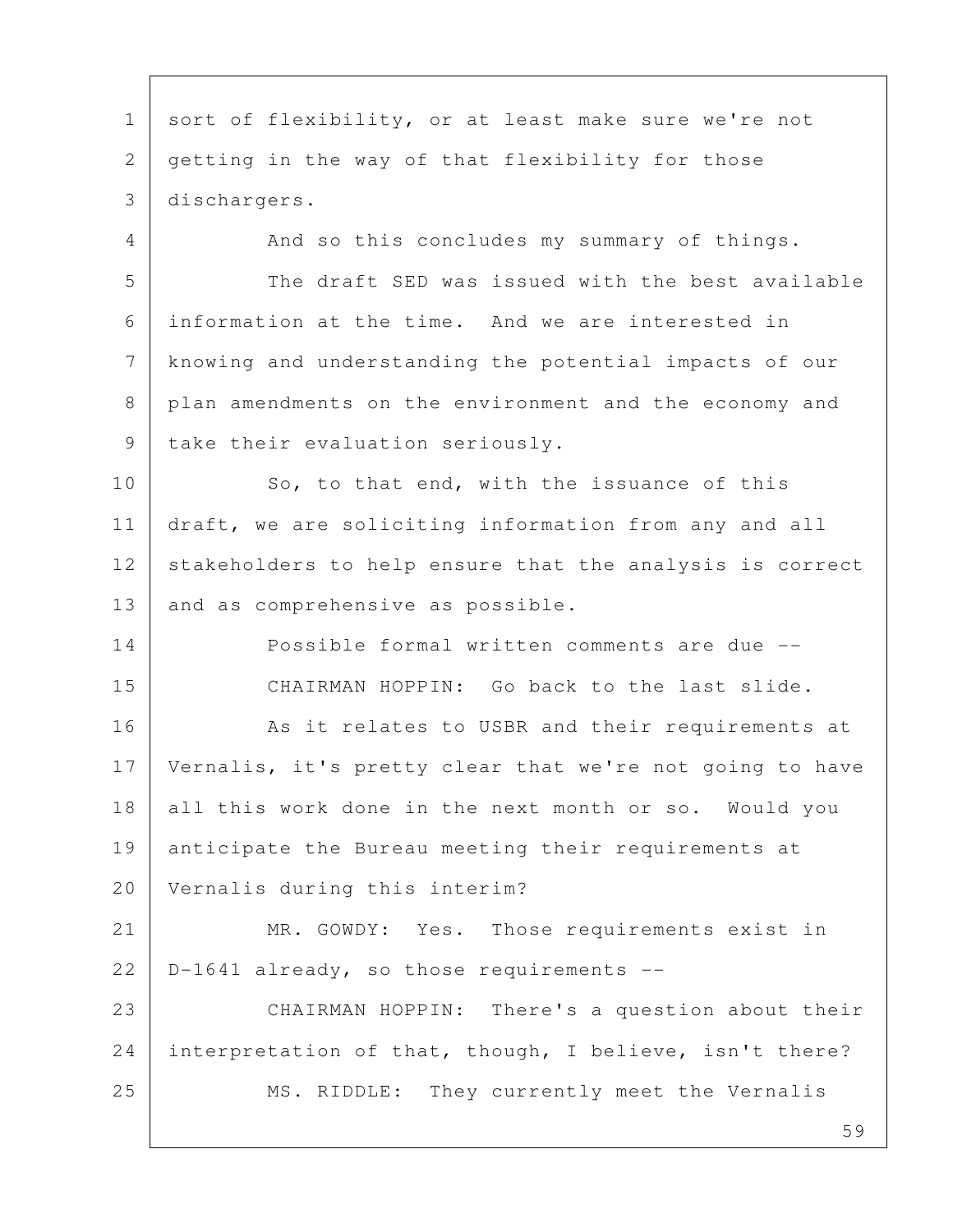1 sort of flexibility, or at least make sure we're not 2 getting in the way of that flexibility for those 3 dischargers.

4 And so this concludes my summary of things. 5 The draft SED was issued with the best available 6 information at the time. And we are interested in 7 knowing and understanding the potential impacts of our 8 plan amendments on the environment and the economy and 9 | take their evaluation seriously.

10 So, to that end, with the issuance of this 11 draft, we are soliciting information from any and all 12 stakeholders to help ensure that the analysis is correct 13 and as comprehensive as possible.

14 Possible formal written comments are due -- 15 CHAIRMAN HOPPIN: Go back to the last slide.

16 | Result relates to USBR and their requirements at 17 Vernalis, it's pretty clear that we're not going to have 18 all this work done in the next month or so. Would you 19 anticipate the Bureau meeting their requirements at 20 Vernalis during this interim?

21 MR. GOWDY: Yes. Those requirements exist in  $22$  | D-1641 already, so those requirements --

23 CHAIRMAN HOPPIN: There's a question about their 24 interpretation of that, though, I believe, isn't there? 25 | MS. RIDDLE: They currently meet the Vernalis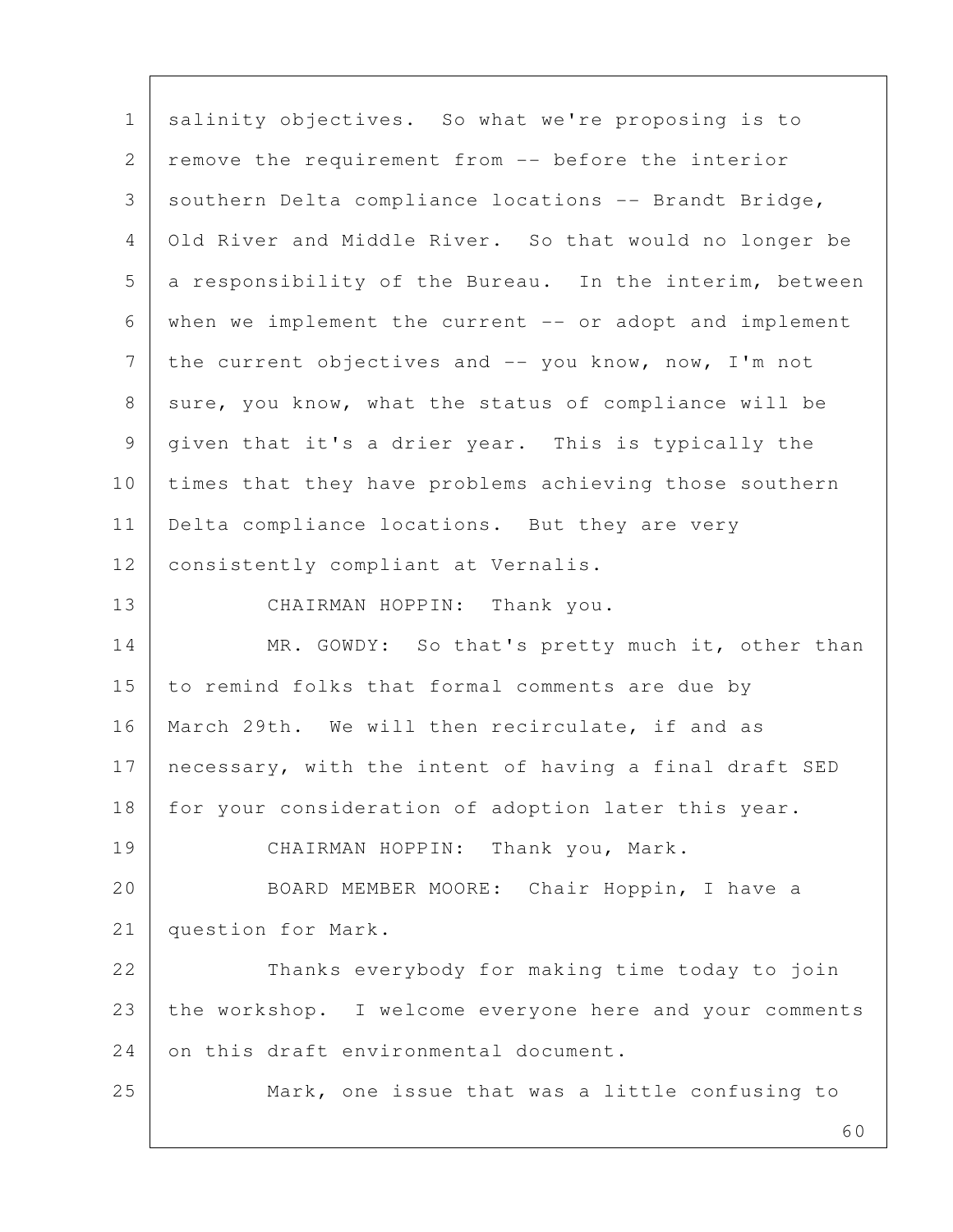60 1 salinity objectives. So what we're proposing is to 2 remove the requirement from -- before the interior 3 southern Delta compliance locations -- Brandt Bridge, 4 Old River and Middle River. So that would no longer be 5 a responsibility of the Bureau. In the interim, between 6 when we implement the current -- or adopt and implement  $7$  the current objectives and  $-$  you know, now, I'm not 8 | sure, you know, what the status of compliance will be 9 given that it's a drier year. This is typically the 10 times that they have problems achieving those southern 11 | Delta compliance locations. But they are very 12 | consistently compliant at Vernalis. 13 CHAIRMAN HOPPIN: Thank you. 14 MR. GOWDY: So that's pretty much it, other than 15 to remind folks that formal comments are due by 16 | March 29th. We will then recirculate, if and as 17 necessary, with the intent of having a final draft SED 18 for your consideration of adoption later this year. 19 CHAIRMAN HOPPIN: Thank you, Mark. 20 BOARD MEMBER MOORE: Chair Hoppin, I have a 21 question for Mark. 22 Thanks everybody for making time today to join 23 the workshop. I welcome everyone here and your comments 24 on this draft environmental document. 25 Mark, one issue that was a little confusing to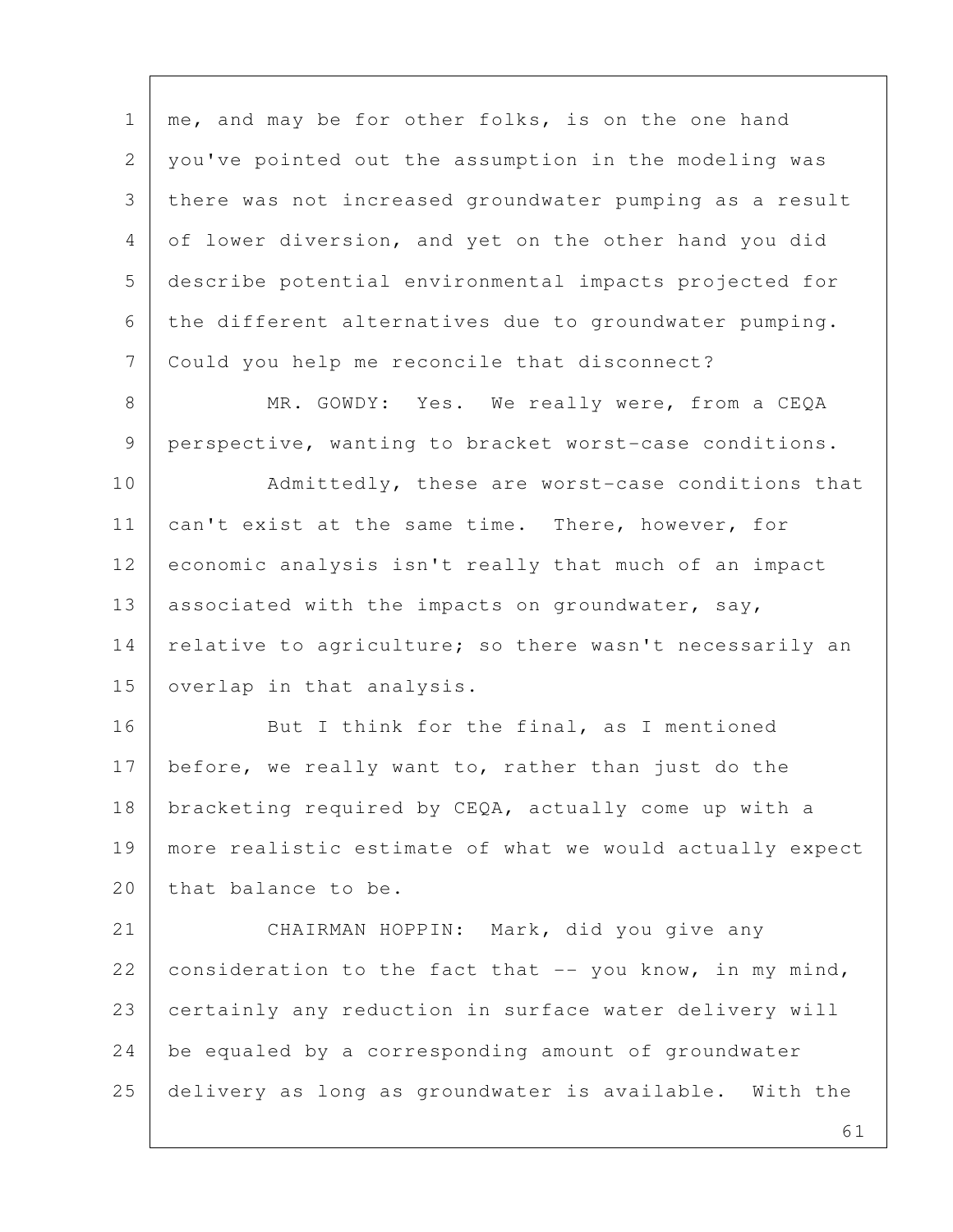1 | me, and may be for other folks, is on the one hand 2 you've pointed out the assumption in the modeling was 3 there was not increased groundwater pumping as a result 4 of lower diversion, and yet on the other hand you did 5 describe potential environmental impacts projected for 6 the different alternatives due to groundwater pumping. 7 Could you help me reconcile that disconnect?

8 | MR. GOWDY: Yes. We really were, from a CEQA 9 perspective, wanting to bracket worst-case conditions.

10 Admittedly, these are worst-case conditions that 11 can't exist at the same time. There, however, for 12 economic analysis isn't really that much of an impact 13 | associated with the impacts on groundwater, say, 14 relative to agriculture; so there wasn't necessarily an 15 | overlap in that analysis.

16 But I think for the final, as I mentioned 17 before, we really want to, rather than just do the 18 bracketing required by CEQA, actually come up with a 19 more realistic estimate of what we would actually expect 20 | that balance to be.

21 CHAIRMAN HOPPIN: Mark, did you give any 22 consideration to the fact that  $-$  you know, in my mind, 23 certainly any reduction in surface water delivery will 24 be equaled by a corresponding amount of groundwater 25 delivery as long as groundwater is available. With the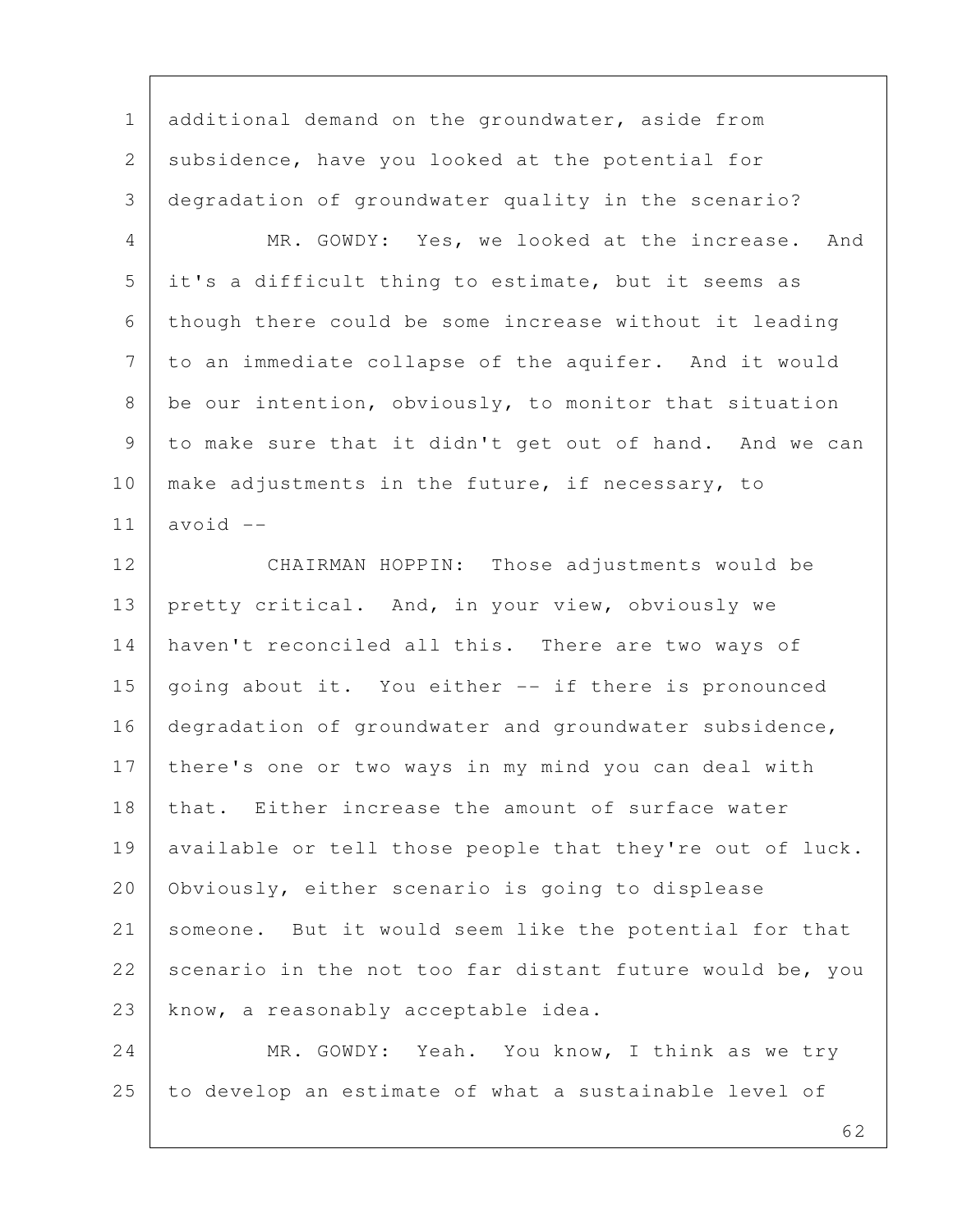1 additional demand on the groundwater, aside from 2 subsidence, have you looked at the potential for 3 degradation of groundwater quality in the scenario?

 4 MR. GOWDY: Yes, we looked at the increase. And 5 it's a difficult thing to estimate, but it seems as 6 though there could be some increase without it leading 7 to an immediate collapse of the aquifer. And it would 8 be our intention, obviously, to monitor that situation 9 to make sure that it didn't get out of hand. And we can 10 make adjustments in the future, if necessary, to  $11$  avoid  $-$ 

12 CHAIRMAN HOPPIN: Those adjustments would be 13 pretty critical. And, in your view, obviously we 14 haven't reconciled all this. There are two ways of 15 going about it. You either -- if there is pronounced 16 degradation of groundwater and groundwater subsidence, 17 there's one or two ways in my mind you can deal with 18 | that. Either increase the amount of surface water 19 available or tell those people that they're out of luck. 20 Obviously, either scenario is going to displease 21 someone. But it would seem like the potential for that 22 scenario in the not too far distant future would be, you 23 | know, a reasonably acceptable idea.

24 MR. GOWDY: Yeah. You know, I think as we try 25 to develop an estimate of what a sustainable level of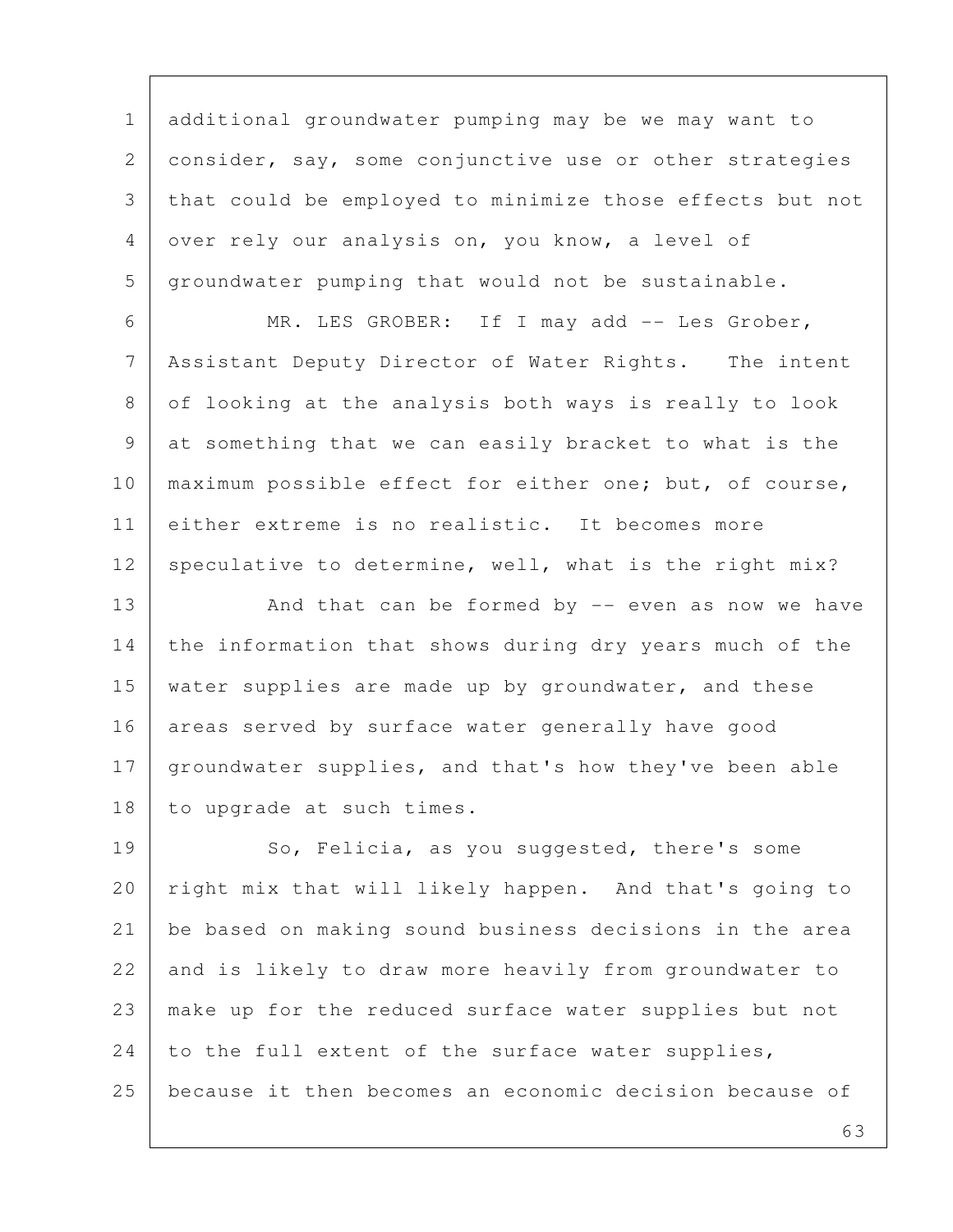1 additional groundwater pumping may be we may want to 2 consider, say, some conjunctive use or other strategies 3 that could be employed to minimize those effects but not 4 over rely our analysis on, you know, a level of 5 groundwater pumping that would not be sustainable.

 6 MR. LES GROBER: If I may add -- Les Grober, 7 Assistant Deputy Director of Water Rights. The intent 8 of looking at the analysis both ways is really to look 9 at something that we can easily bracket to what is the 10 maximum possible effect for either one; but, of course, 11 either extreme is no realistic. It becomes more 12 speculative to determine, well, what is the right mix?

13 And that can be formed by -- even as now we have 14 the information that shows during dry years much of the 15 water supplies are made up by groundwater, and these 16 areas served by surface water generally have good 17 groundwater supplies, and that's how they've been able 18 to upgrade at such times.

19 So, Felicia, as you suggested, there's some 20 | right mix that will likely happen. And that's going to 21 be based on making sound business decisions in the area 22 and is likely to draw more heavily from groundwater to 23 make up for the reduced surface water supplies but not 24 to the full extent of the surface water supplies, 25 because it then becomes an economic decision because of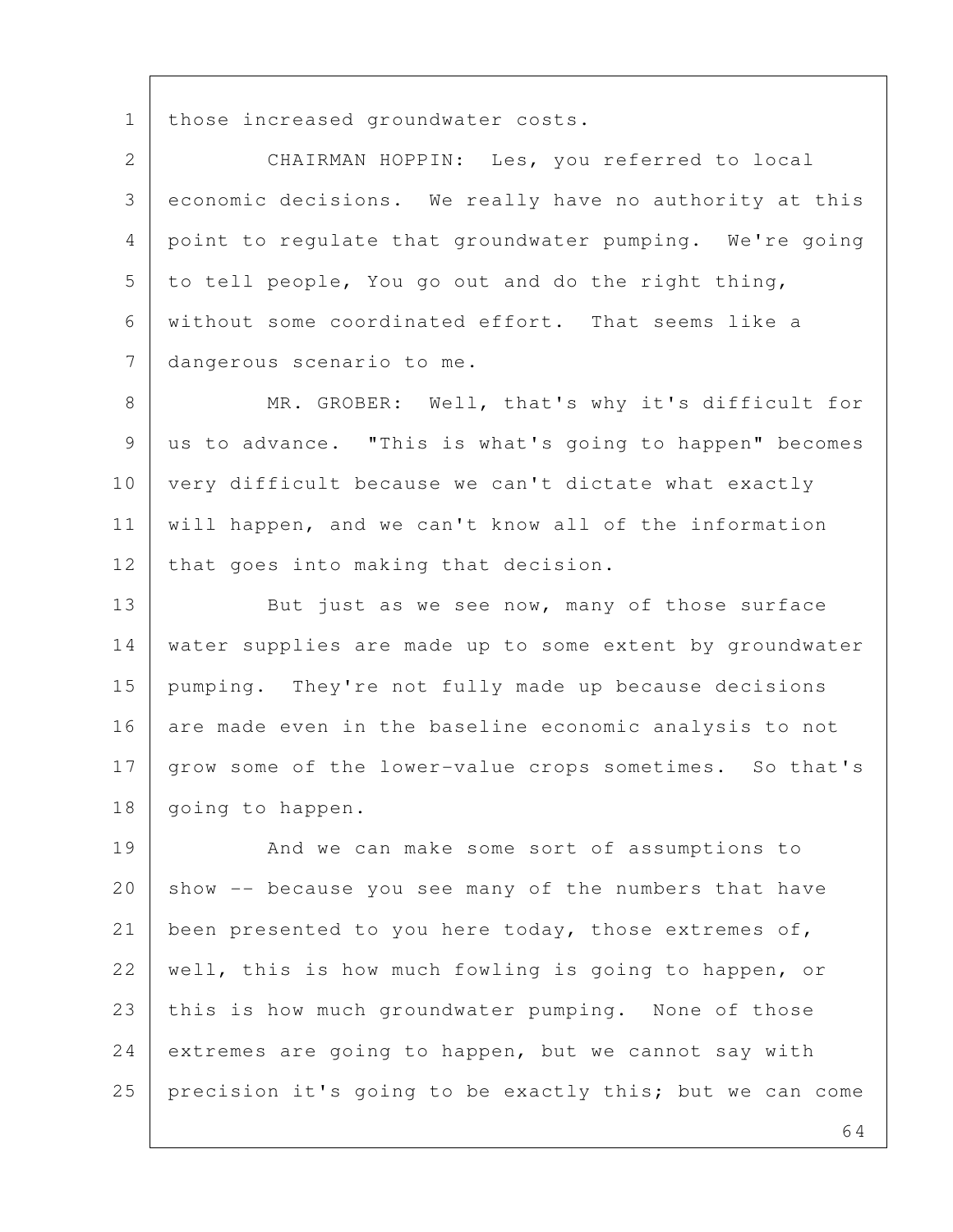1 | those increased groundwater costs.

 2 CHAIRMAN HOPPIN: Les, you referred to local 3 economic decisions. We really have no authority at this 4 point to regulate that groundwater pumping. We're going  $5$  to tell people, You go out and do the right thing, 6 without some coordinated effort. That seems like a 7 dangerous scenario to me.

8 MR. GROBER: Well, that's why it's difficult for 9 us to advance. "This is what's going to happen" becomes 10 very difficult because we can't dictate what exactly 11 will happen, and we can't know all of the information 12 that goes into making that decision.

13 But just as we see now, many of those surface 14 water supplies are made up to some extent by groundwater 15 pumping. They're not fully made up because decisions 16 are made even in the baseline economic analysis to not 17 grow some of the lower-value crops sometimes. So that's 18 | going to happen.

19 And we can make some sort of assumptions to  $20$  show  $-$  because you see many of the numbers that have 21 been presented to you here today, those extremes of, 22 | well, this is how much fowling is going to happen, or 23 this is how much groundwater pumping. None of those 24 extremes are going to happen, but we cannot say with 25 precision it's going to be exactly this; but we can come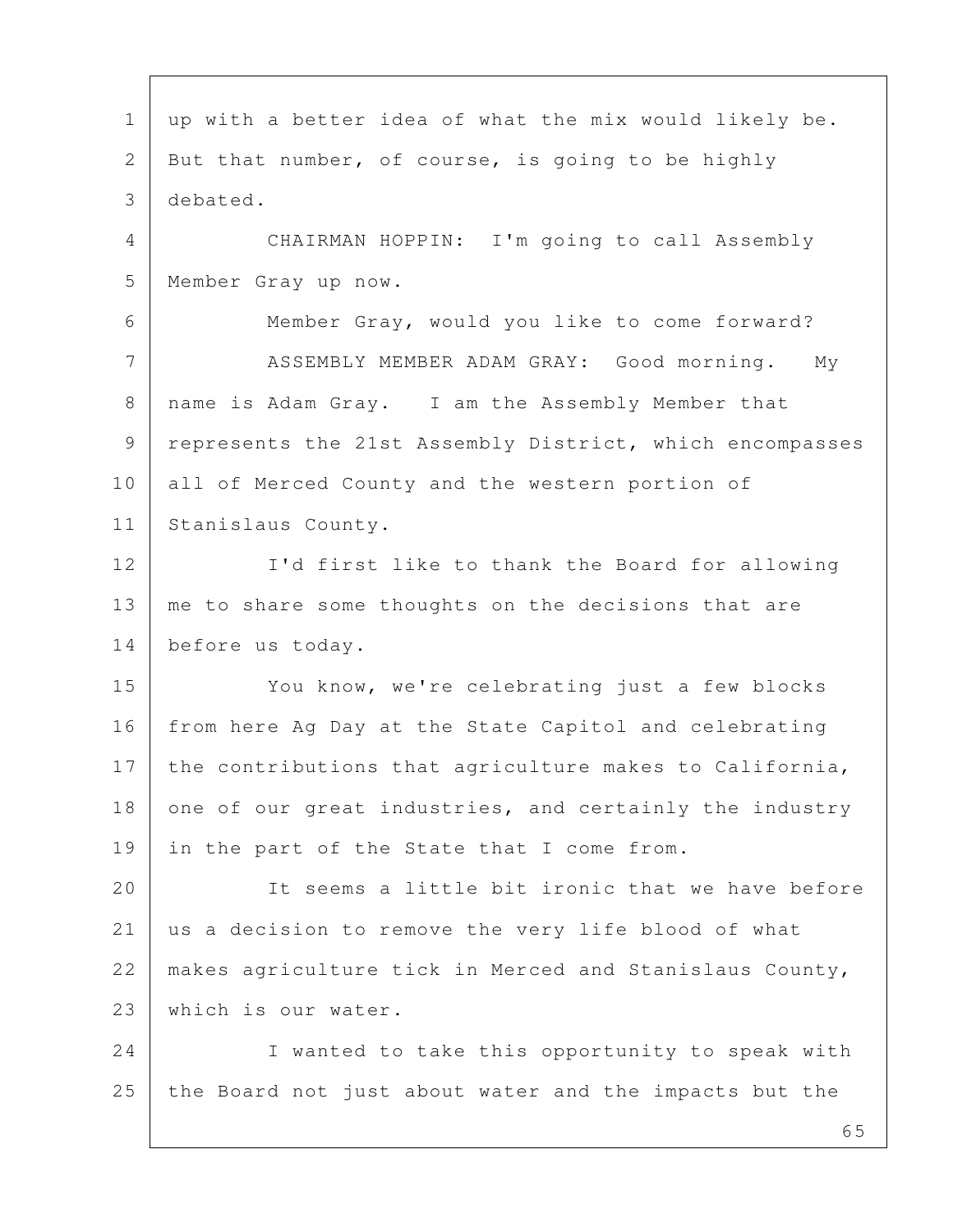1 | up with a better idea of what the mix would likely be. 2 But that number, of course, is going to be highly 3 debated. 4 CHAIRMAN HOPPIN: I'm going to call Assembly 5 Member Gray up now. 6 Member Gray, would you like to come forward? 7 | ASSEMBLY MEMBER ADAM GRAY: Good morning. My 8 | name is Adam Gray. I am the Assembly Member that 9 | represents the 21st Assembly District, which encompasses 10 all of Merced County and the western portion of 11 Stanislaus County. 12 I'd first like to thank the Board for allowing 13 me to share some thoughts on the decisions that are 14 before us today. 15 You know, we're celebrating just a few blocks 16 from here Ag Day at the State Capitol and celebrating 17 the contributions that agriculture makes to California, 18 one of our great industries, and certainly the industry 19 in the part of the State that I come from. 20 It seems a little bit ironic that we have before 21 us a decision to remove the very life blood of what 22 | makes agriculture tick in Merced and Stanislaus County, 23 which is our water. 24 I wanted to take this opportunity to speak with 25 the Board not just about water and the impacts but the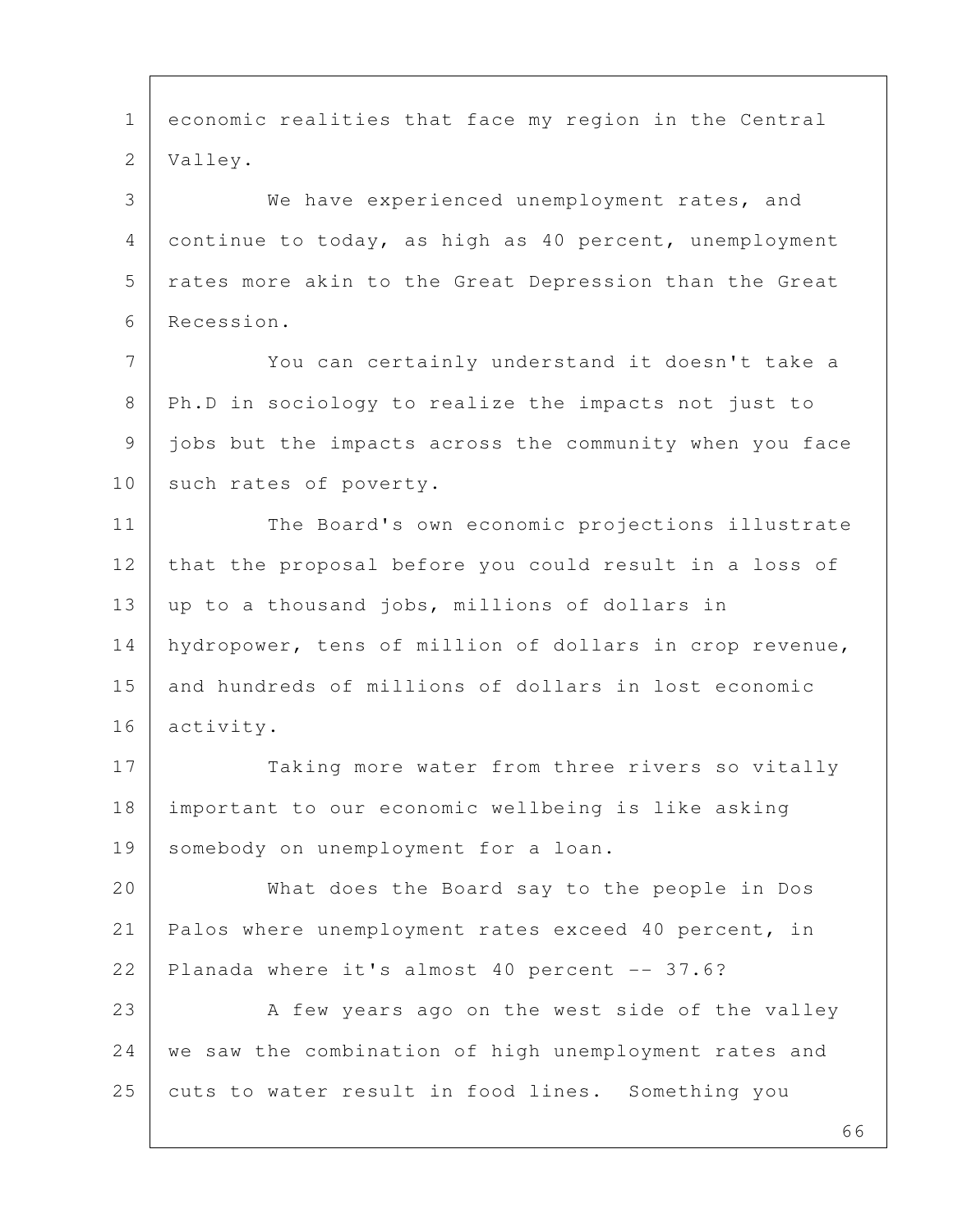66 1 economic realities that face my region in the Central 2 Valley. 3 We have experienced unemployment rates, and 4 continue to today, as high as 40 percent, unemployment 5 | rates more akin to the Great Depression than the Great 6 Recession. 7 You can certainly understand it doesn't take a 8 | Ph.D in sociology to realize the impacts not just to 9 jobs but the impacts across the community when you face 10 such rates of poverty. 11 The Board's own economic projections illustrate 12 that the proposal before you could result in a loss of 13 | up to a thousand jobs, millions of dollars in 14 hydropower, tens of million of dollars in crop revenue, 15 and hundreds of millions of dollars in lost economic 16 activity. 17 Taking more water from three rivers so vitally 18 important to our economic wellbeing is like asking 19 somebody on unemployment for a loan. 20 What does the Board say to the people in Dos 21 Palos where unemployment rates exceed 40 percent, in 22 Planada where it's almost 40 percent -- 37.6? 23 A few years ago on the west side of the valley 24 we saw the combination of high unemployment rates and 25 cuts to water result in food lines. Something you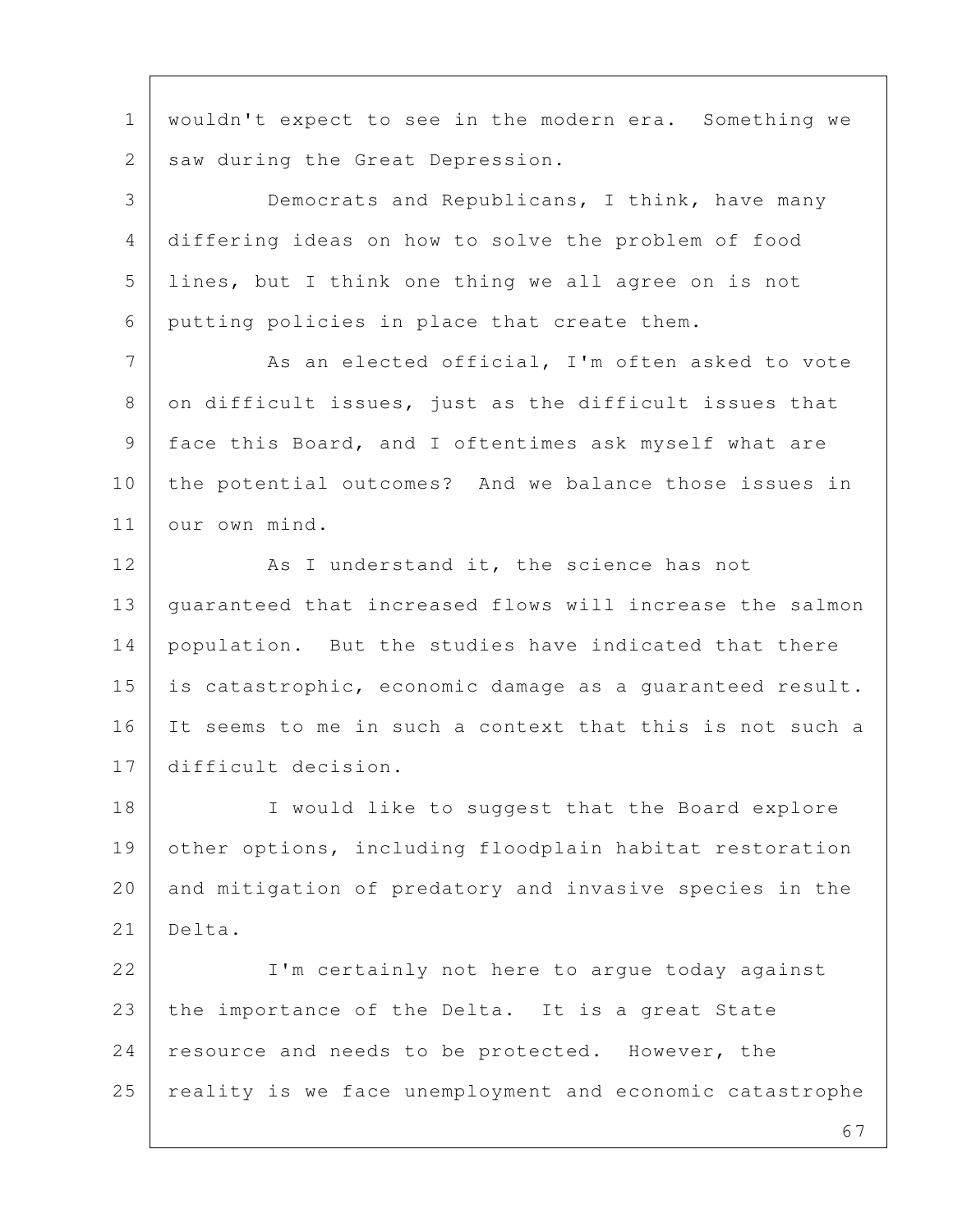1 wouldn't expect to see in the modern era. Something we 2 | saw during the Great Depression.

 3 Democrats and Republicans, I think, have many 4 differing ideas on how to solve the problem of food 5 lines, but I think one thing we all agree on is not 6 putting policies in place that create them.

7 As an elected official, I'm often asked to vote 8 on difficult issues, just as the difficult issues that 9 face this Board, and I oftentimes ask myself what are 10 the potential outcomes? And we balance those issues in 11 our own mind.

12 As I understand it, the science has not 13 guaranteed that increased flows will increase the salmon 14 population. But the studies have indicated that there 15 is catastrophic, economic damage as a quaranteed result. 16 It seems to me in such a context that this is not such a 17 difficult decision.

18 I would like to suggest that the Board explore 19 other options, including floodplain habitat restoration 20 and mitigation of predatory and invasive species in the  $21$  Delta.

22 I'm certainly not here to argue today against 23 the importance of the Delta. It is a great State 24 resource and needs to be protected. However, the 25 reality is we face unemployment and economic catastrophe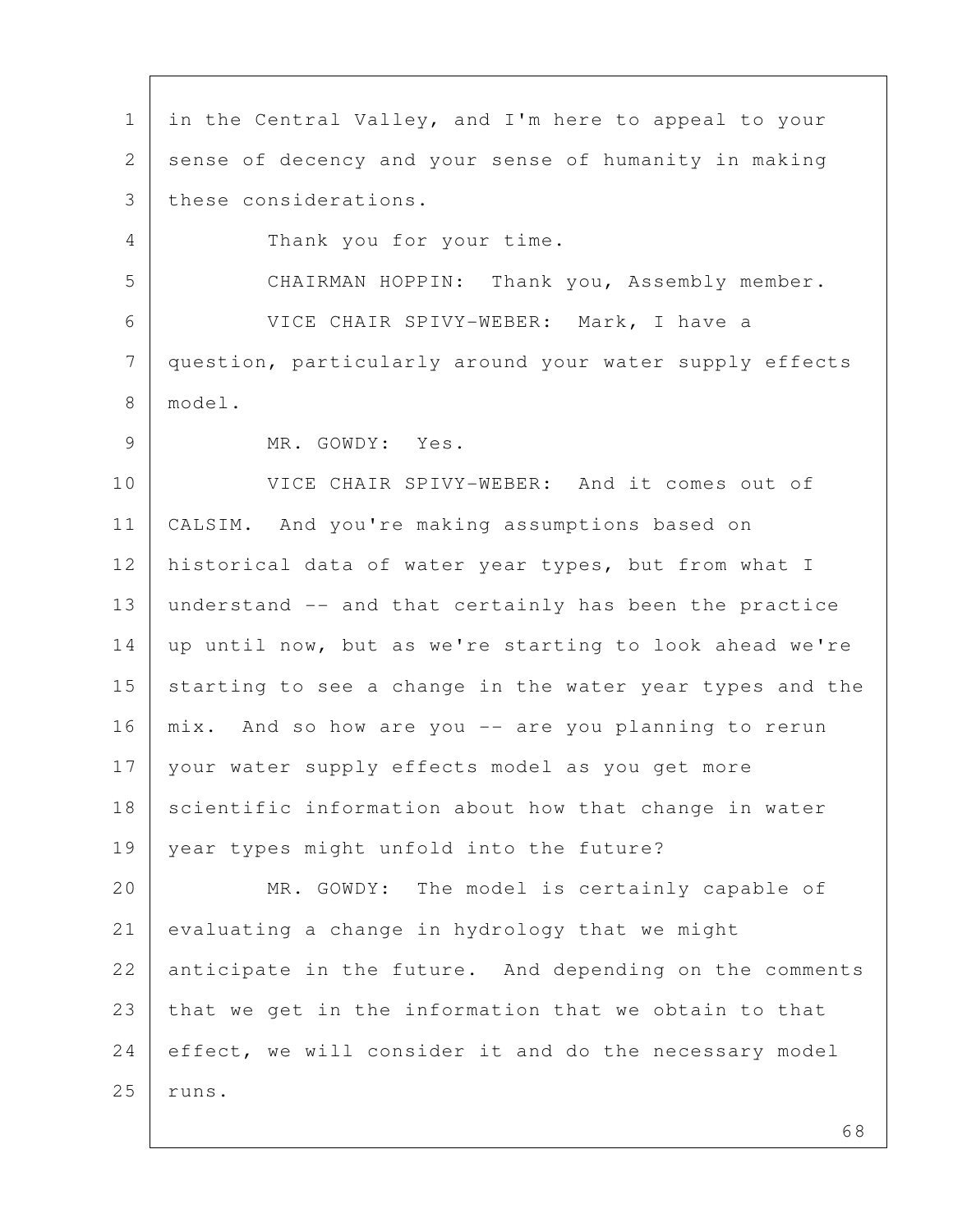1 in the Central Valley, and I'm here to appeal to your 2 sense of decency and your sense of humanity in making 3 these considerations. 4 Thank you for your time. 5 CHAIRMAN HOPPIN: Thank you, Assembly member. 6 VICE CHAIR SPIVY-WEBER: Mark, I have a 7 question, particularly around your water supply effects 8 model. 9 MR. GOWDY: Yes. 10 VICE CHAIR SPIVY-WEBER: And it comes out of 11 CALSIM. And you're making assumptions based on 12 | historical data of water year types, but from what I 13 understand -- and that certainly has been the practice 14 | up until now, but as we're starting to look ahead we're 15 starting to see a change in the water year types and the 16 | mix. And so how are you -- are you planning to rerun 17 your water supply effects model as you get more 18 scientific information about how that change in water 19 year types might unfold into the future? 20 MR. GOWDY: The model is certainly capable of 21 evaluating a change in hydrology that we might 22 anticipate in the future. And depending on the comments 23 that we get in the information that we obtain to that 24 effect, we will consider it and do the necessary model  $25$  runs.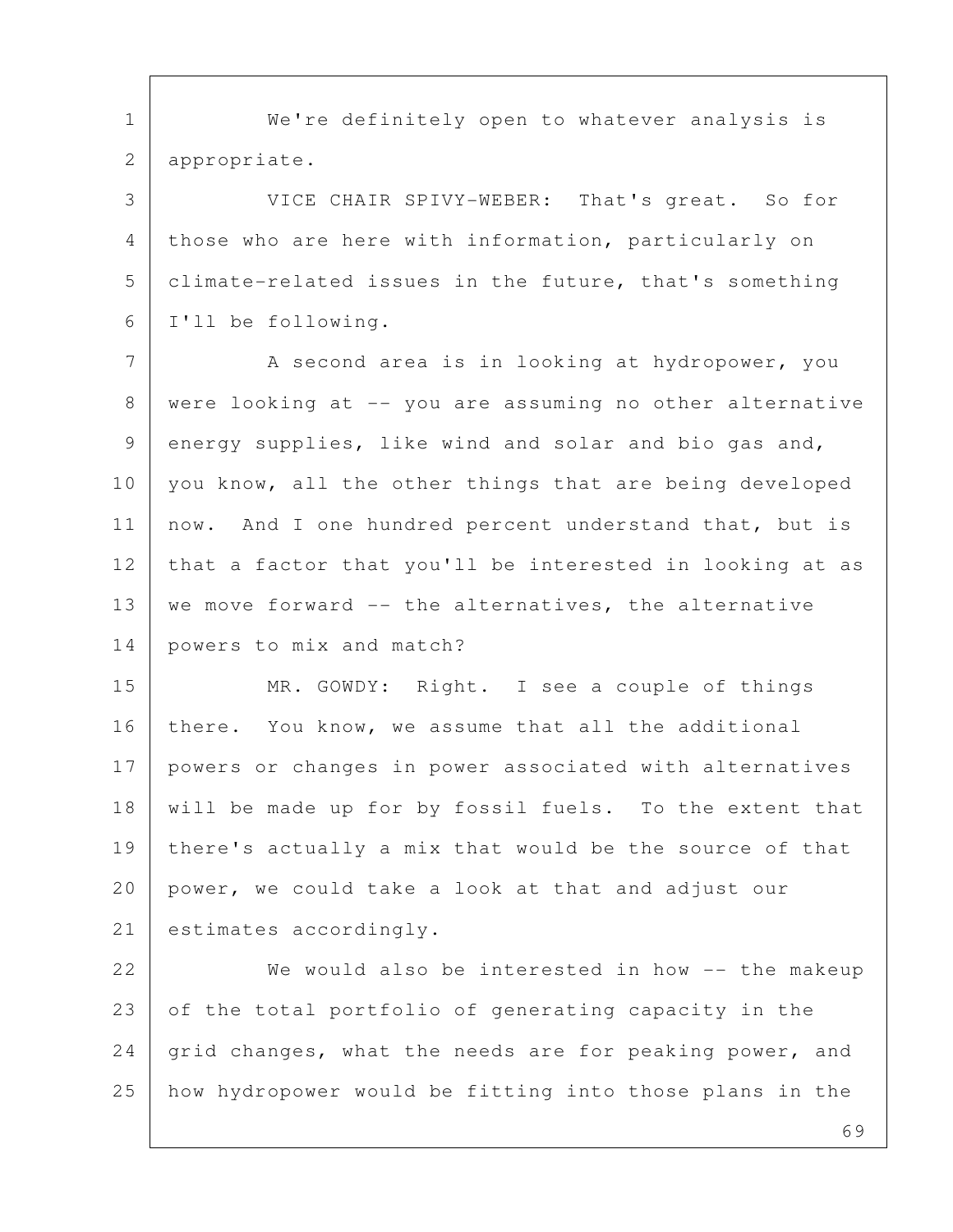1 | We're definitely open to whatever analysis is 2 appropriate.

 3 VICE CHAIR SPIVY-WEBER: That's great. So for 4 those who are here with information, particularly on 5 climate-related issues in the future, that's something 6 I'll be following.

7 | A second area is in looking at hydropower, you 8 were looking at -- you are assuming no other alternative 9 energy supplies, like wind and solar and bio gas and, 10 you know, all the other things that are being developed 11 | now. And I one hundred percent understand that, but is 12 that a factor that you'll be interested in looking at as 13 | we move forward -- the alternatives, the alternative 14 powers to mix and match?

15 MR. GOWDY: Right. I see a couple of things 16 | there. You know, we assume that all the additional 17 powers or changes in power associated with alternatives 18 will be made up for by fossil fuels. To the extent that 19 | there's actually a mix that would be the source of that 20 power, we could take a look at that and adjust our 21 estimates accordingly.

22 We would also be interested in how -- the makeup 23 of the total portfolio of generating capacity in the 24 grid changes, what the needs are for peaking power, and 25 how hydropower would be fitting into those plans in the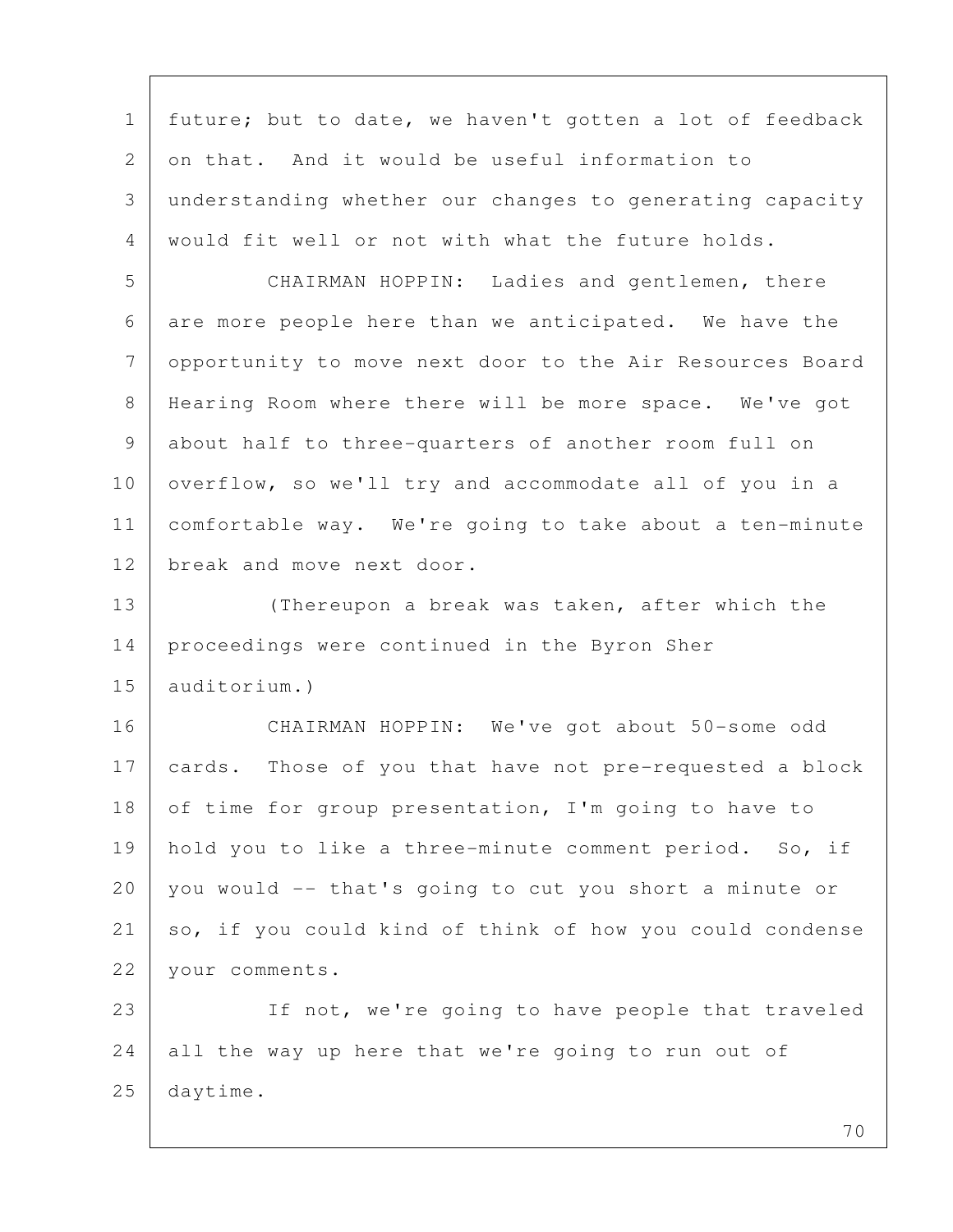1 future; but to date, we haven't gotten a lot of feedback 2 on that. And it would be useful information to 3 understanding whether our changes to generating capacity 4 would fit well or not with what the future holds.

 5 CHAIRMAN HOPPIN: Ladies and gentlemen, there 6 are more people here than we anticipated. We have the 7 opportunity to move next door to the Air Resources Board 8 Hearing Room where there will be more space. We've got 9 about half to three-quarters of another room full on 10 overflow, so we'll try and accommodate all of you in a 11 comfortable way. We're going to take about a ten-minute 12 break and move next door.

13 (Thereupon a break was taken, after which the 14 proceedings were continued in the Byron Sher 15 auditorium.)

16 CHAIRMAN HOPPIN: We've got about 50-some odd 17 cards. Those of you that have not pre-requested a block 18 of time for group presentation, I'm going to have to 19 | hold you to like a three-minute comment period. So, if 20 you would -- that's going to cut you short a minute or 21 so, if you could kind of think of how you could condense 22 vour comments.

23 If not, we're going to have people that traveled 24 all the way up here that we're going to run out of 25 daytime.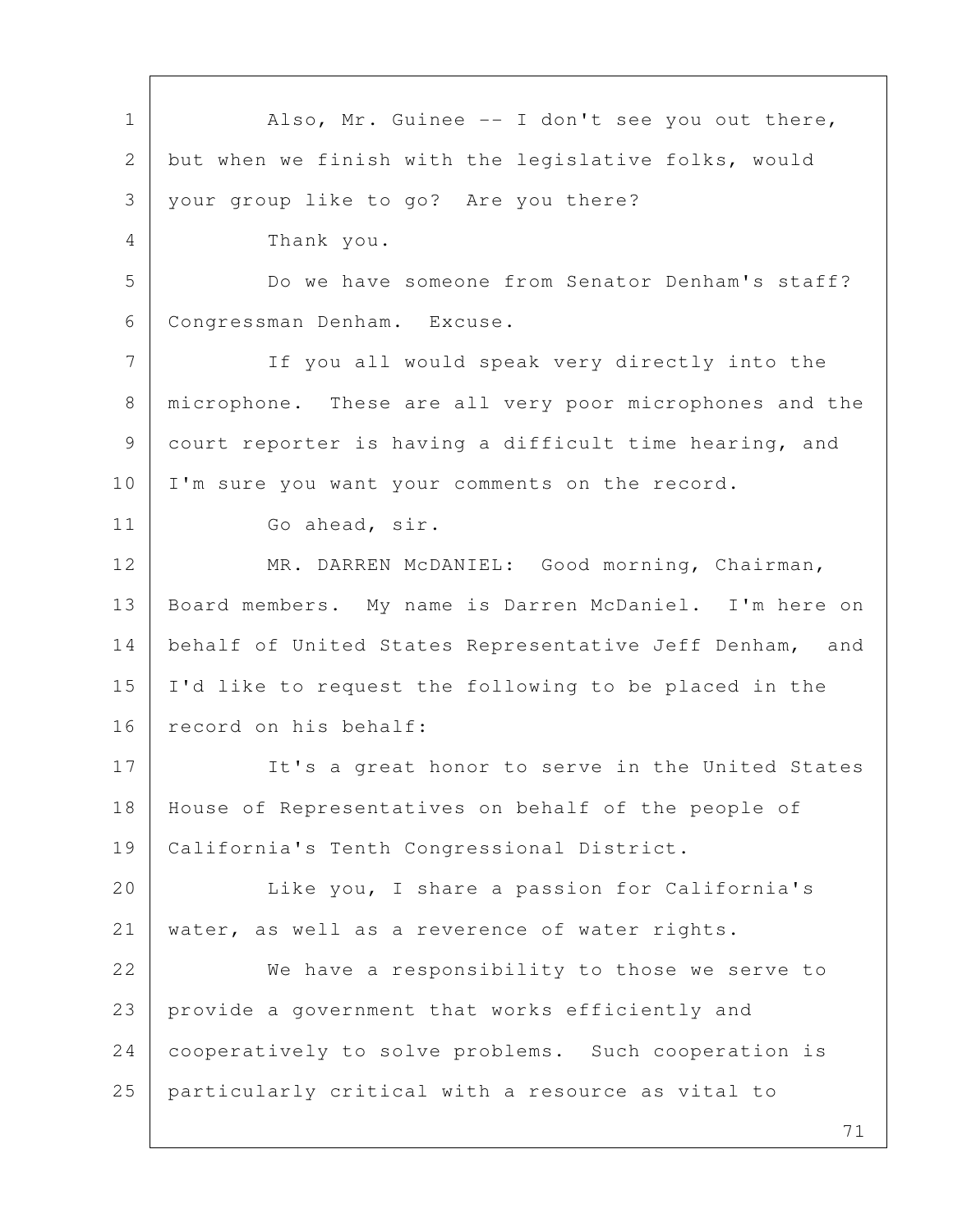1 | Also, Mr. Guinee -- I don't see you out there, 2 but when we finish with the legislative folks, would 3 your group like to go? Are you there? 4 Thank you. 5 Do we have someone from Senator Denham's staff? 6 Congressman Denham. Excuse. 7 If you all would speak very directly into the 8 microphone. These are all very poor microphones and the 9 court reporter is having a difficult time hearing, and 10 | I'm sure you want your comments on the record. 11 Go ahead, sir. 12 MR. DARREN McDANIEL: Good morning, Chairman, 13 Board members. My name is Darren McDaniel. I'm here on 14 behalf of United States Representative Jeff Denham, and 15 I'd like to request the following to be placed in the 16 record on his behalf: 17 It's a great honor to serve in the United States 18 House of Representatives on behalf of the people of 19 California's Tenth Congressional District. 20 | Like you, I share a passion for California's 21 water, as well as a reverence of water rights. 22 We have a responsibility to those we serve to 23 provide a government that works efficiently and 24 cooperatively to solve problems. Such cooperation is 25 particularly critical with a resource as vital to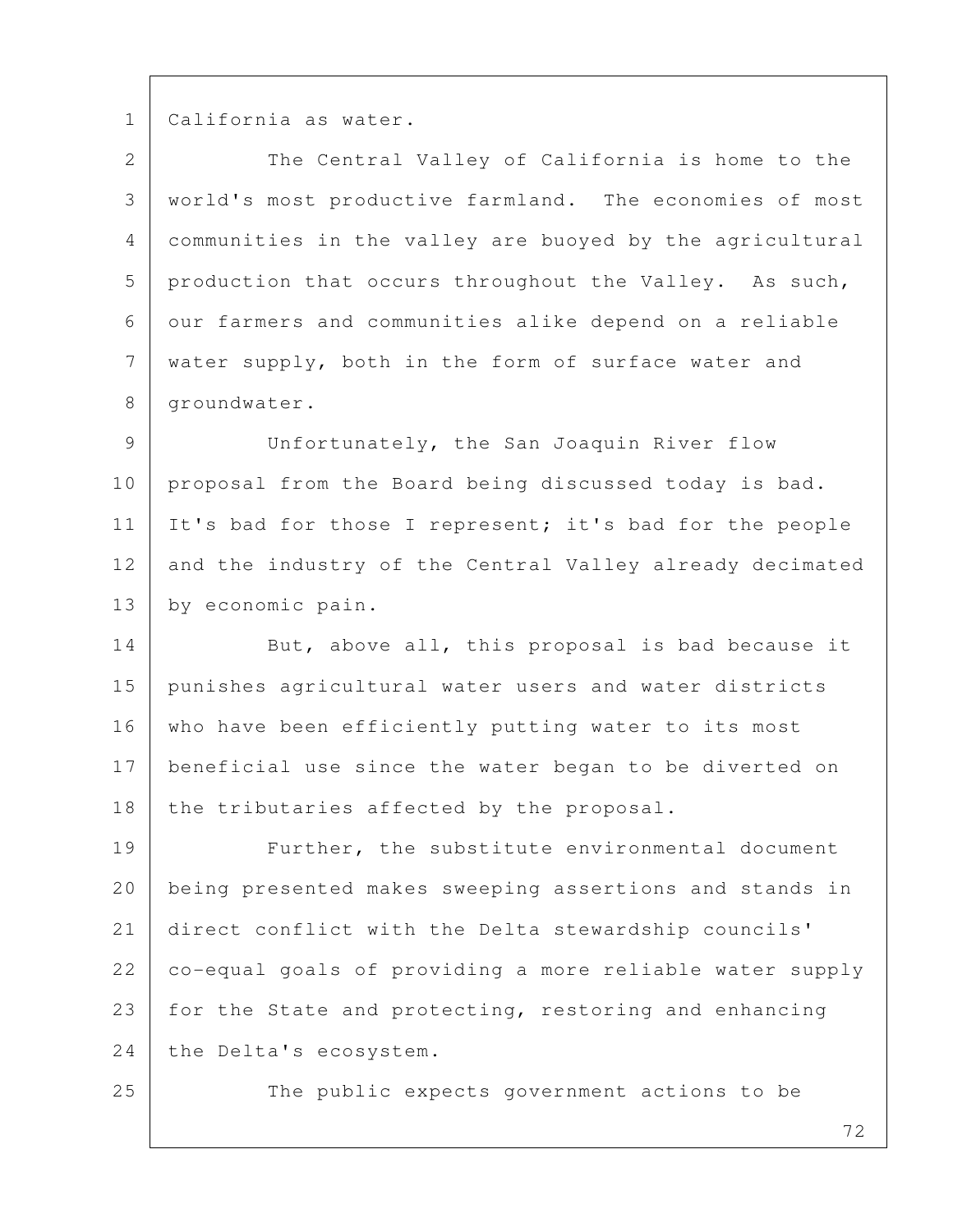1 California as water.

2 The Central Valley of California is home to the 3 world's most productive farmland. The economies of most 4 communities in the valley are buoyed by the agricultural 5 production that occurs throughout the Valley. As such, 6 our farmers and communities alike depend on a reliable 7 water supply, both in the form of surface water and 8 | groundwater.

 9 Unfortunately, the San Joaquin River flow 10 proposal from the Board being discussed today is bad. 11 It's bad for those I represent; it's bad for the people 12 and the industry of the Central Valley already decimated 13 by economic pain.

14 But, above all, this proposal is bad because it 15 punishes agricultural water users and water districts 16 | who have been efficiently putting water to its most 17 beneficial use since the water began to be diverted on 18 the tributaries affected by the proposal.

19 Further, the substitute environmental document 20 being presented makes sweeping assertions and stands in 21 direct conflict with the Delta stewardship councils' 22 co-equal goals of providing a more reliable water supply 23 for the State and protecting, restoring and enhancing 24 the Delta's ecosystem.

25 The public expects government actions to be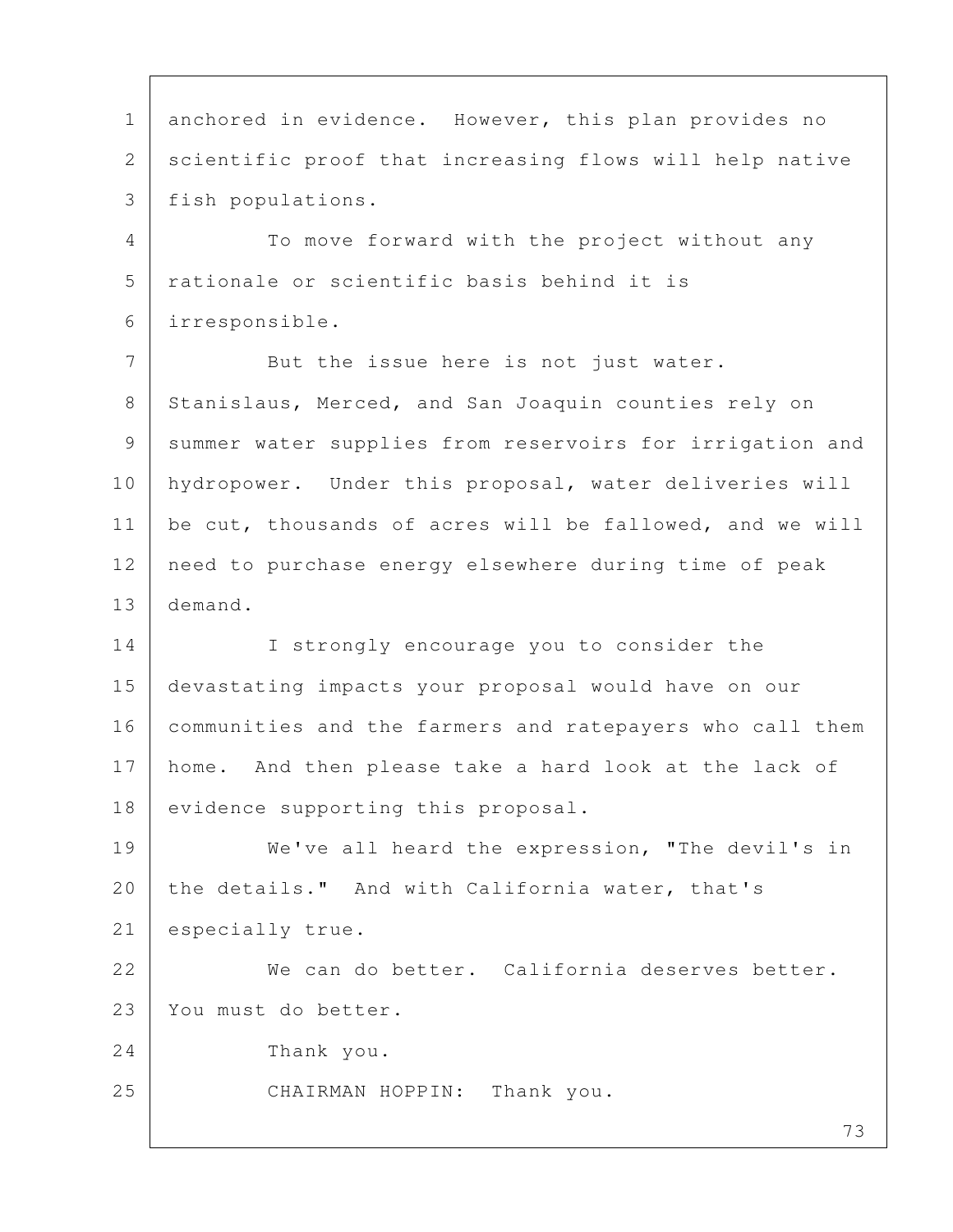73 1 anchored in evidence. However, this plan provides no 2 scientific proof that increasing flows will help native 3 fish populations. 4 To move forward with the project without any 5 rationale or scientific basis behind it is 6 irresponsible. 7 But the issue here is not just water. 8 Stanislaus, Merced, and San Joaquin counties rely on 9 summer water supplies from reservoirs for irrigation and 10 hydropower. Under this proposal, water deliveries will 11 be cut, thousands of acres will be fallowed, and we will 12 need to purchase energy elsewhere during time of peak 13 demand. 14 I strongly encourage you to consider the 15 devastating impacts your proposal would have on our 16 | communities and the farmers and ratepayers who call them 17 home. And then please take a hard look at the lack of 18 evidence supporting this proposal. 19 We've all heard the expression, "The devil's in 20 the details." And with California water, that's 21 especially true. 22 We can do better. California deserves better. 23 You must do better. 24 Thank you. 25 CHAIRMAN HOPPIN: Thank you.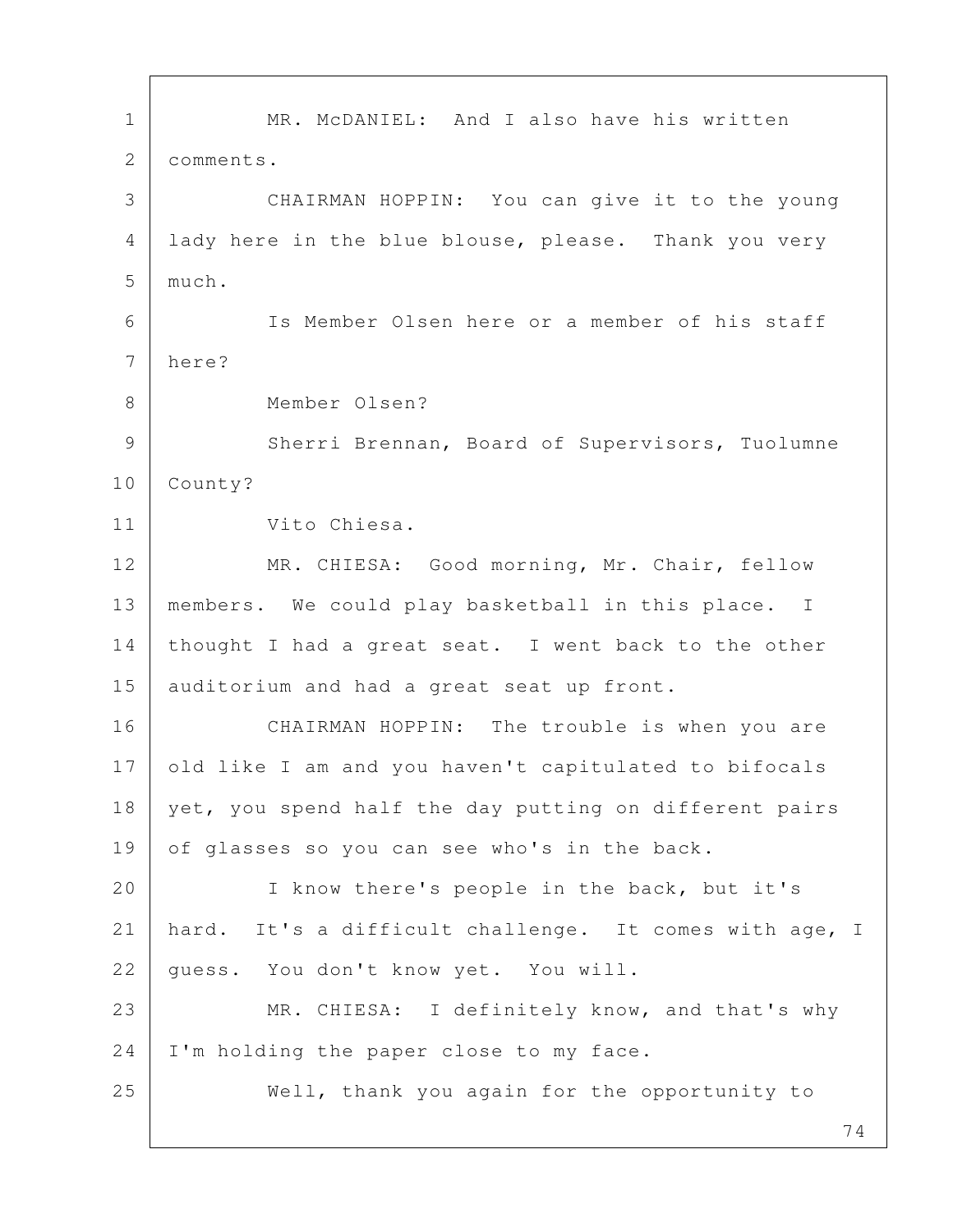74 1 | MR. McDANIEL: And I also have his written 2 | comments. 3 CHAIRMAN HOPPIN: You can give it to the young 4 lady here in the blue blouse, please. Thank you very 5 much. 6 Is Member Olsen here or a member of his staff 7 here? 8 Member Olsen? 9 Sherri Brennan, Board of Supervisors, Tuolumne 10 County? 11 Vito Chiesa. 12 MR. CHIESA: Good morning, Mr. Chair, fellow 13 members. We could play basketball in this place. I 14 thought I had a great seat. I went back to the other 15 auditorium and had a great seat up front. 16 | CHAIRMAN HOPPIN: The trouble is when you are 17 old like I am and you haven't capitulated to bifocals 18 yet, you spend half the day putting on different pairs 19 of glasses so you can see who's in the back. 20 | I know there's people in the back, but it's 21 hard. It's a difficult challenge. It comes with age, I 22 | guess. You don't know yet. You will. 23 MR. CHIESA: I definitely know, and that's why 24 | I'm holding the paper close to my face. 25 Well, thank you again for the opportunity to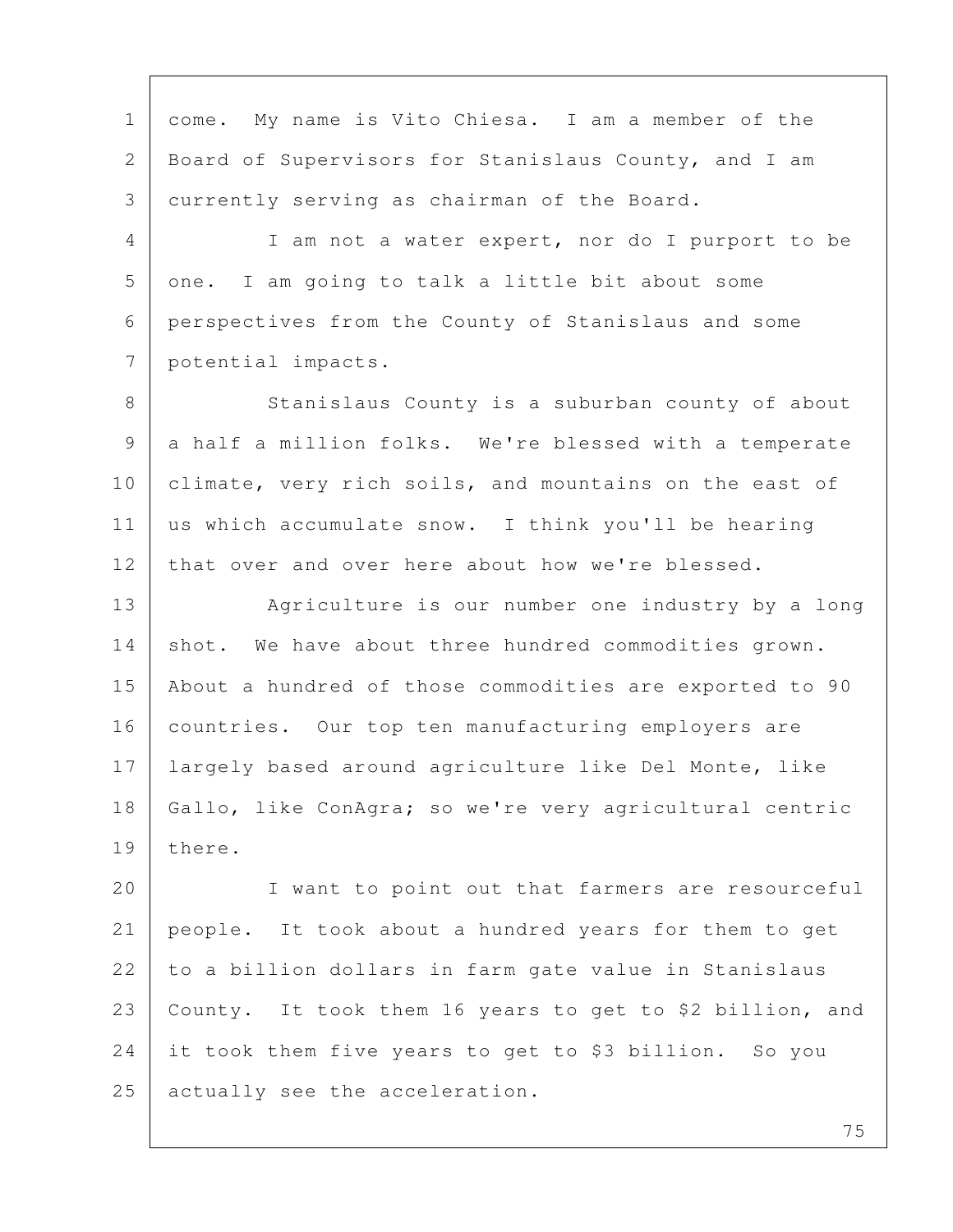1 come. My name is Vito Chiesa. I am a member of the 2 Board of Supervisors for Stanislaus County, and I am 3 currently serving as chairman of the Board. 4 I am not a water expert, nor do I purport to be 5 one. I am going to talk a little bit about some 6 perspectives from the County of Stanislaus and some 7 potential impacts. 8 Stanislaus County is a suburban county of about 9 a half a million folks. We're blessed with a temperate 10 climate, very rich soils, and mountains on the east of 11 us which accumulate snow. I think you'll be hearing 12 that over and over here about how we're blessed. 13 Agriculture is our number one industry by a long 14 shot. We have about three hundred commodities grown. 15 About a hundred of those commodities are exported to 90 16 | countries. Our top ten manufacturing employers are 17 largely based around agriculture like Del Monte, like 18 Gallo, like ConAgra; so we're very agricultural centric 19 there. 20 | I want to point out that farmers are resourceful 21 people. It took about a hundred years for them to get 22 to a billion dollars in farm gate value in Stanislaus 23 County. It took them 16 years to get to \$2 billion, and 24 it took them five years to get to \$3 billion. So you 25 actually see the acceleration.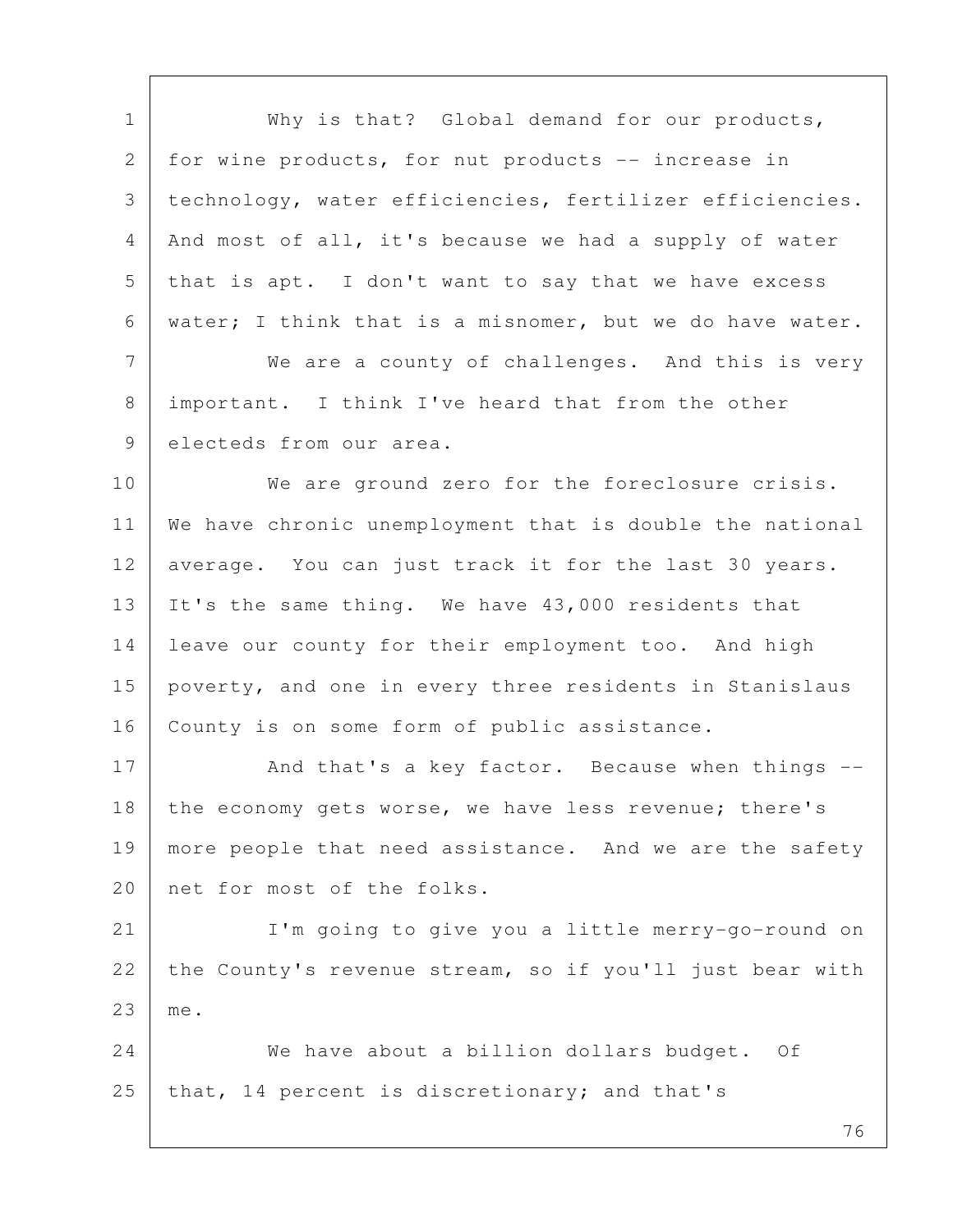76 1 | Why is that? Global demand for our products, 2 for wine products, for nut products -- increase in 3 technology, water efficiencies, fertilizer efficiencies. 4 And most of all, it's because we had a supply of water  $5$  that is apt. I don't want to say that we have excess 6 water; I think that is a misnomer, but we do have water. 7 We are a county of challenges. And this is very 8 | important. I think I've heard that from the other 9 electeds from our area. 10 We are ground zero for the foreclosure crisis. 11 We have chronic unemployment that is double the national 12 average. You can just track it for the last 30 years. 13 It's the same thing. We have 43,000 residents that 14 leave our county for their employment too. And high 15 poverty, and one in every three residents in Stanislaus 16 | County is on some form of public assistance. 17 And that's a key factor. Because when things --18 the economy gets worse, we have less revenue; there's 19 | more people that need assistance. And we are the safety 20 net for most of the folks. 21 I'm going to give you a little merry-go-round on 22 the County's revenue stream, so if you'll just bear with 23 me. 24 We have about a billion dollars budget. Of 25 that, 14 percent is discretionary; and that's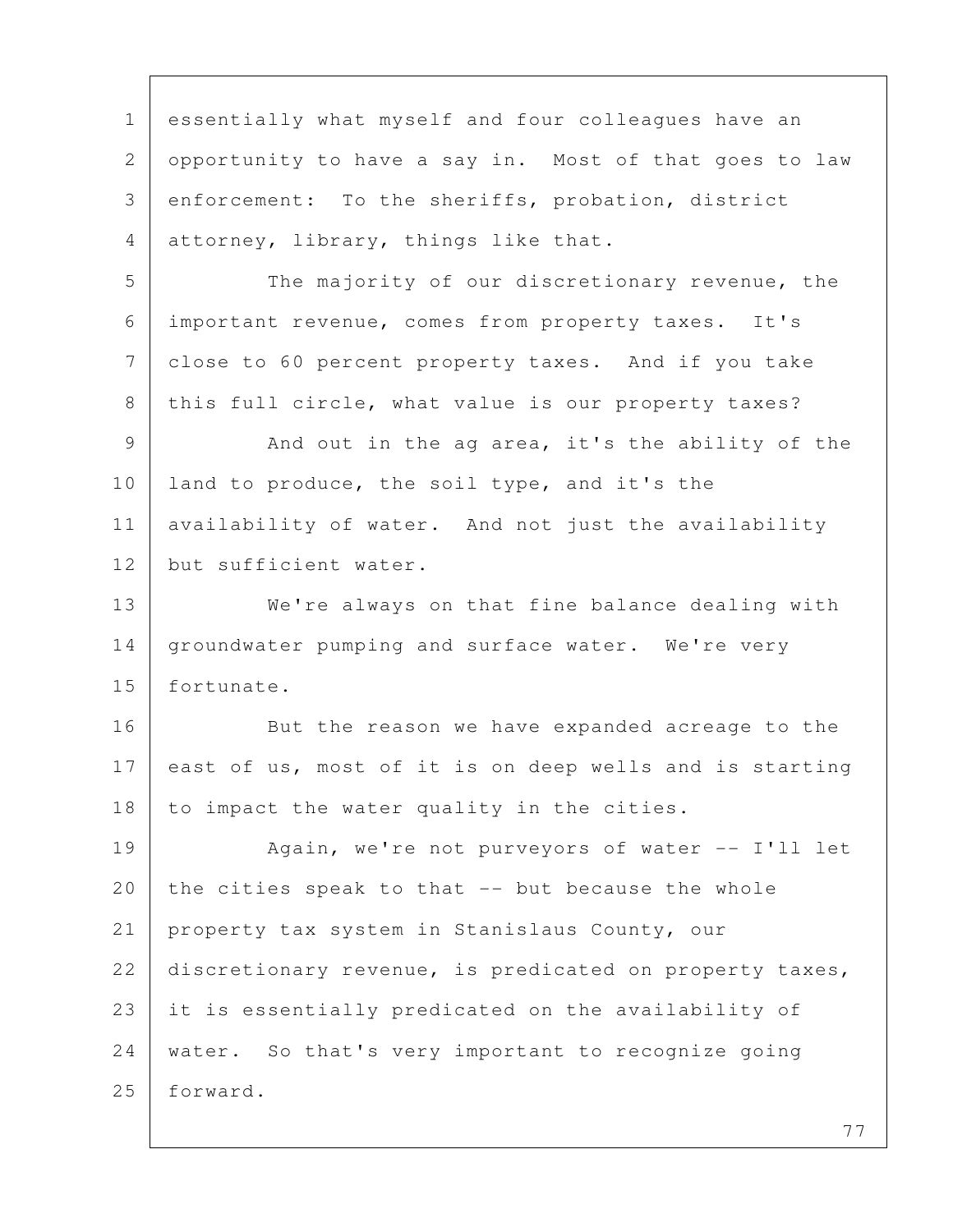1 essentially what myself and four colleagues have an 2 opportunity to have a say in. Most of that goes to law 3 enforcement: To the sheriffs, probation, district 4 attorney, library, things like that.

5 The majority of our discretionary revenue, the 6 important revenue, comes from property taxes. It's 7 close to 60 percent property taxes. And if you take 8 | this full circle, what value is our property taxes?

9 And out in the ag area, it's the ability of the 10 | land to produce, the soil type, and it's the 11 availability of water. And not just the availability 12 but sufficient water.

13 We're always on that fine balance dealing with 14 | groundwater pumping and surface water. We're very 15 fortunate.

16 But the reason we have expanded acreage to the 17 east of us, most of it is on deep wells and is starting 18 to impact the water quality in the cities.

19 Again, we're not purveyors of water -- I'll let  $20$  the cities speak to that  $-$  but because the whole 21 property tax system in Stanislaus County, our 22 discretionary revenue, is predicated on property taxes, 23 it is essentially predicated on the availability of 24 water. So that's very important to recognize going 25 forward.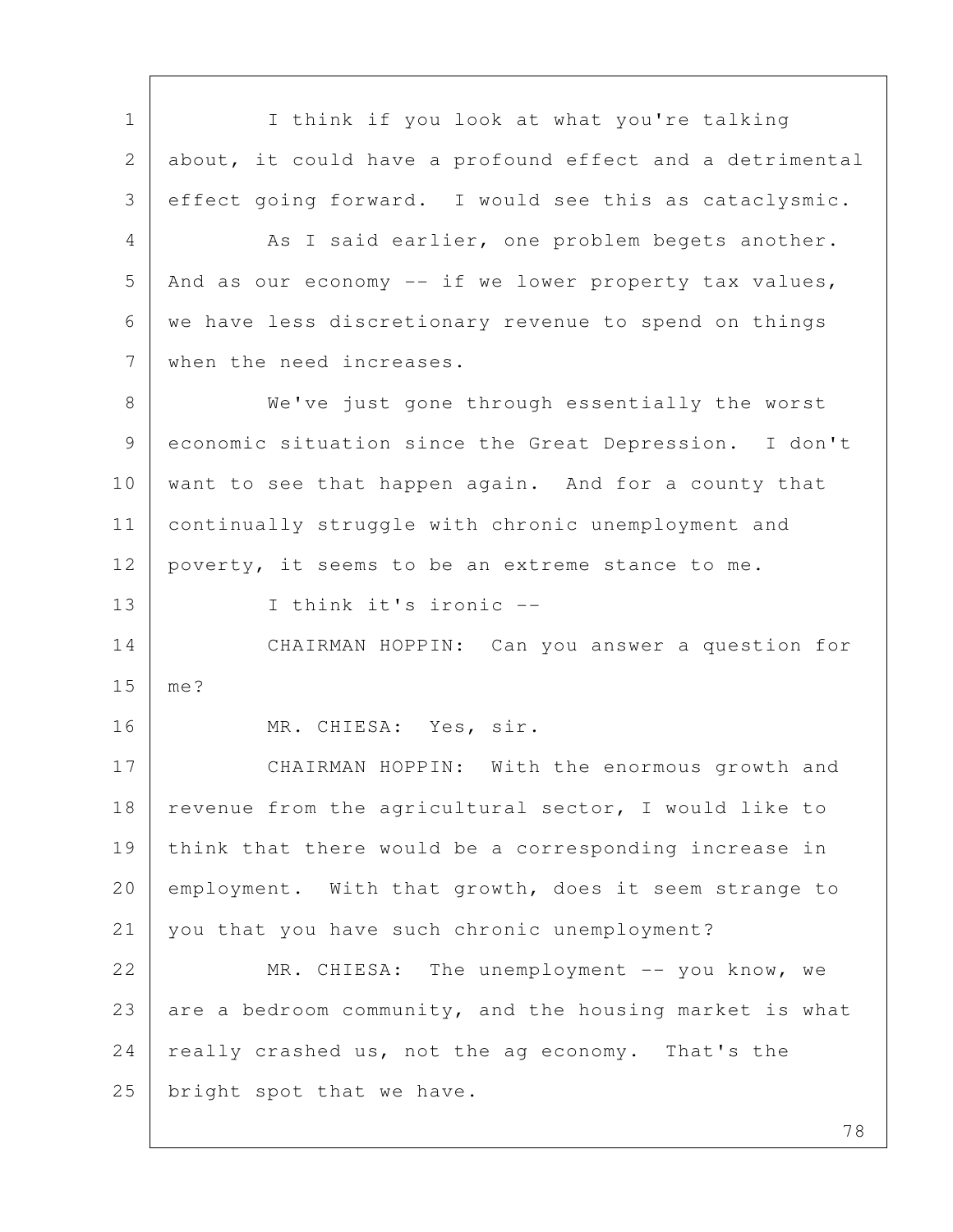1 | I think if you look at what you're talking 2 about, it could have a profound effect and a detrimental 3 effect going forward. I would see this as cataclysmic. 4 As I said earlier, one problem begets another.  $5$  And as our economy  $-$  if we lower property tax values, 6 we have less discretionary revenue to spend on things 7 when the need increases. 8 | We've just gone through essentially the worst 9 economic situation since the Great Depression. I don't 10 want to see that happen again. And for a county that 11 continually struggle with chronic unemployment and 12 poverty, it seems to be an extreme stance to me. 13 I think it's ironic -- 14 CHAIRMAN HOPPIN: Can you answer a question for 15 me? 16 | MR. CHIESA: Yes, sir. 17 CHAIRMAN HOPPIN: With the enormous growth and 18 | revenue from the agricultural sector, I would like to 19 think that there would be a corresponding increase in 20 employment. With that growth, does it seem strange to 21 you that you have such chronic unemployment? 22 MR. CHIESA: The unemployment -- you know, we 23 are a bedroom community, and the housing market is what 24 really crashed us, not the ag economy. That's the 25 | bright spot that we have.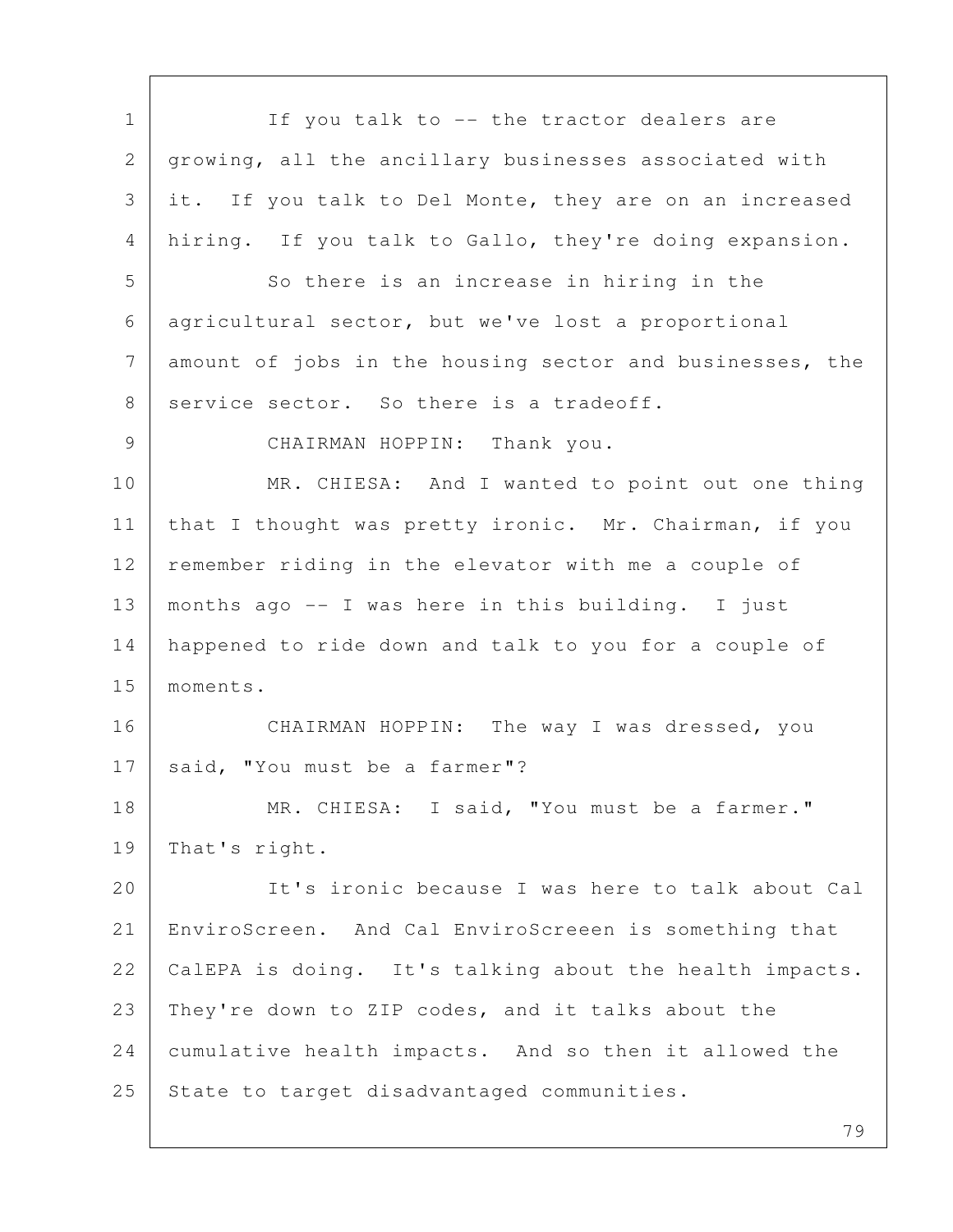| $\mathbf 1$  | If you talk to -- the tractor dealers are                |
|--------------|----------------------------------------------------------|
| $\mathbf{2}$ | growing, all the ancillary businesses associated with    |
| 3            | it. If you talk to Del Monte, they are on an increased   |
| 4            | hiring. If you talk to Gallo, they're doing expansion.   |
| 5            | So there is an increase in hiring in the                 |
| 6            | agricultural sector, but we've lost a proportional       |
| 7            | amount of jobs in the housing sector and businesses, the |
| 8            | service sector. So there is a tradeoff.                  |
| 9            | CHAIRMAN HOPPIN: Thank you.                              |
| 10           | MR. CHIESA: And I wanted to point out one thing          |
| 11           | that I thought was pretty ironic. Mr. Chairman, if you   |
| 12           | remember riding in the elevator with me a couple of      |
| 13           | months ago -- I was here in this building. I just        |
| 14           | happened to ride down and talk to you for a couple of    |
| 15           | moments.                                                 |
| 16           | CHAIRMAN HOPPIN: The way I was dressed, you              |
| 17           | said, "You must be a farmer"?                            |
| 18           | MR. CHIESA: I said, "You must be a farmer."              |
| 19           | That's right.                                            |
| 20           | It's ironic because I was here to talk about Cal         |
| 21           | EnviroScreen. And Cal EnviroScreeen is something that    |
| 22           | CalEPA is doing. It's talking about the health impacts.  |
| 23           | They're down to ZIP codes, and it talks about the        |
| 24           | cumulative health impacts. And so then it allowed the    |
| 25           | State to target disadvantaged communities.               |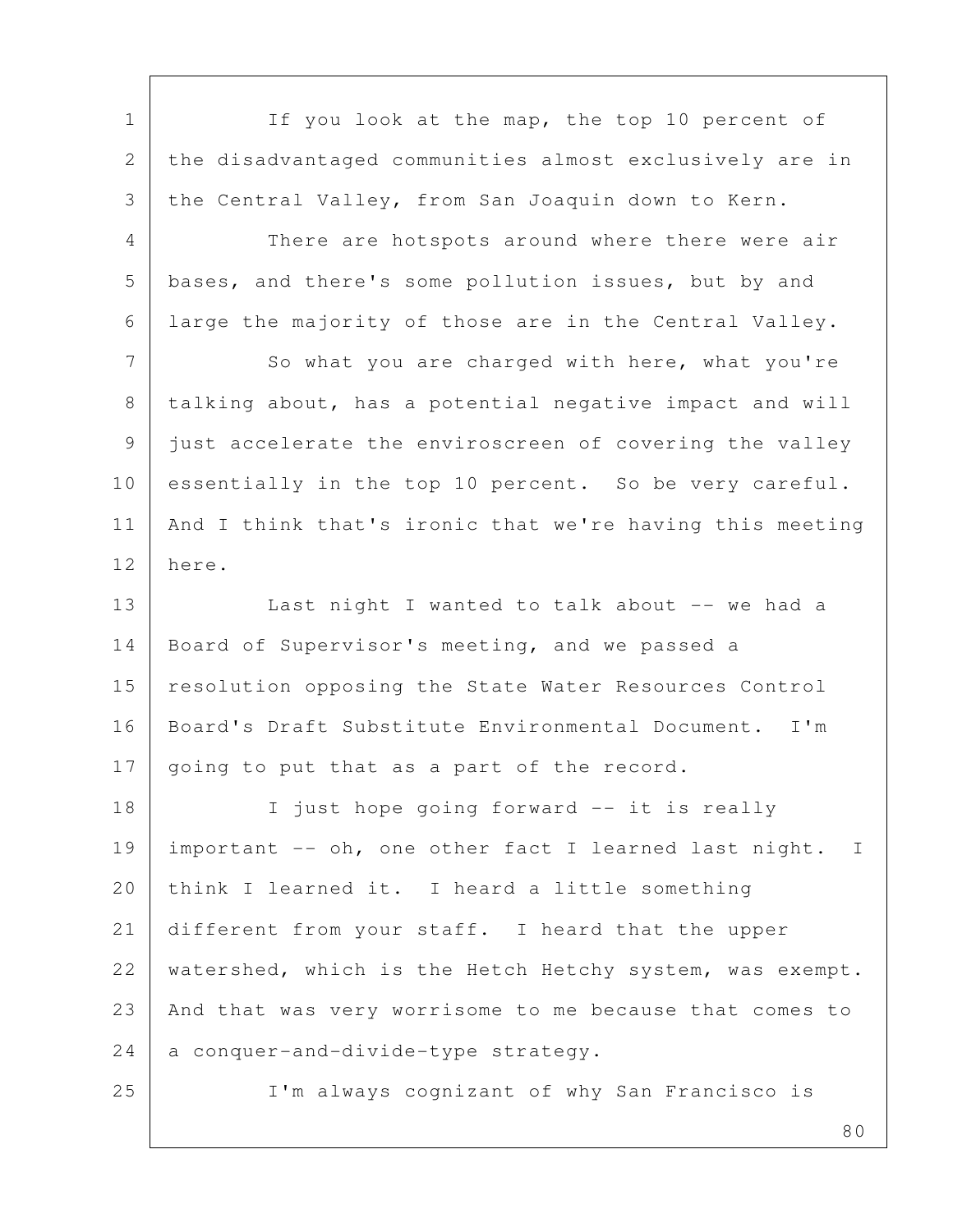1 If you look at the map, the top 10 percent of 2 the disadvantaged communities almost exclusively are in 3 the Central Valley, from San Joaquin down to Kern. 4 There are hotspots around where there were air 5 bases, and there's some pollution issues, but by and 6 large the majority of those are in the Central Valley. 7 So what you are charged with here, what you're 8 | talking about, has a potential negative impact and will 9 just accelerate the enviroscreen of covering the valley 10 essentially in the top 10 percent. So be very careful. 11 And I think that's ironic that we're having this meeting 12 here. 13 | Last night I wanted to talk about -- we had a 14 | Board of Supervisor's meeting, and we passed a 15 | resolution opposing the State Water Resources Control 16 | Board's Draft Substitute Environmental Document. I'm 17 going to put that as a part of the record. 18 | I just hope going forward -- it is really 19 important -- oh, one other fact I learned last night. I 20 think I learned it. I heard a little something 21 different from your staff. I heard that the upper 22 | watershed, which is the Hetch Hetchy system, was exempt. 23 And that was very worrisome to me because that comes to  $24$  a conquer-and-divide-type strategy. 25 I'm always cognizant of why San Francisco is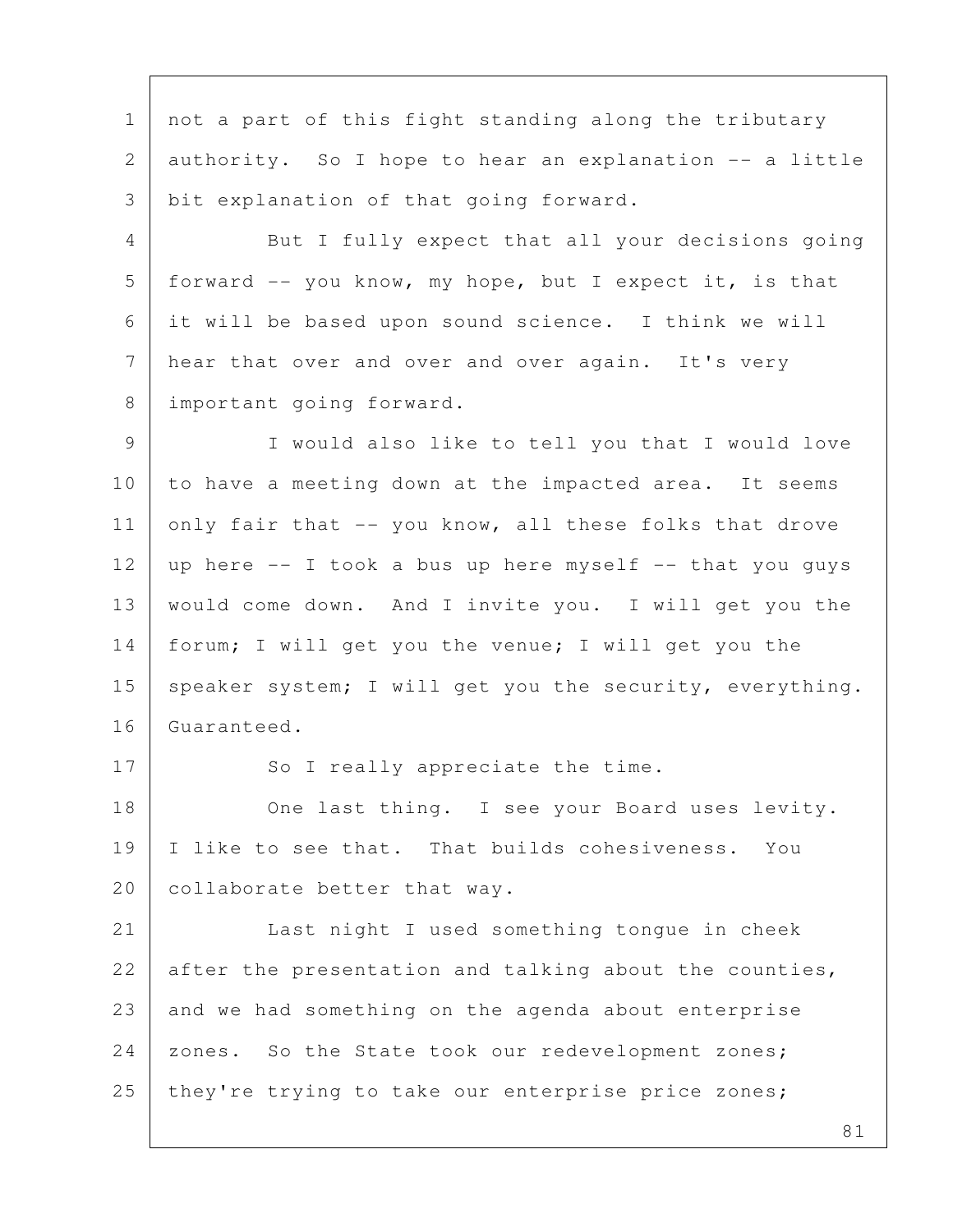1 not a part of this fight standing along the tributary 2 authority. So I hope to hear an explanation -- a little 3 bit explanation of that going forward.

 4 But I fully expect that all your decisions going 5 | forward  $-$  you know, my hope, but I expect it, is that 6 it will be based upon sound science. I think we will 7 hear that over and over and over again. It's very 8 important going forward.

 9 I would also like to tell you that I would love 10 to have a meeting down at the impacted area. It seems 11 only fair that  $-$ - you know, all these folks that drove 12 | up here  $-$  I took a bus up here myself  $-$  that you guys 13 | would come down. And I invite you. I will get you the 14 forum; I will get you the venue; I will get you the 15 speaker system; I will get you the security, everything. 16 Guaranteed.

17 So I really appreciate the time.

18 One last thing. I see your Board uses levity. 19 | I like to see that. That builds cohesiveness. You 20 | collaborate better that way.

21 Last night I used something tongue in cheek 22 after the presentation and talking about the counties, 23 and we had something on the agenda about enterprise 24 zones. So the State took our redevelopment zones; 25 they're trying to take our enterprise price zones;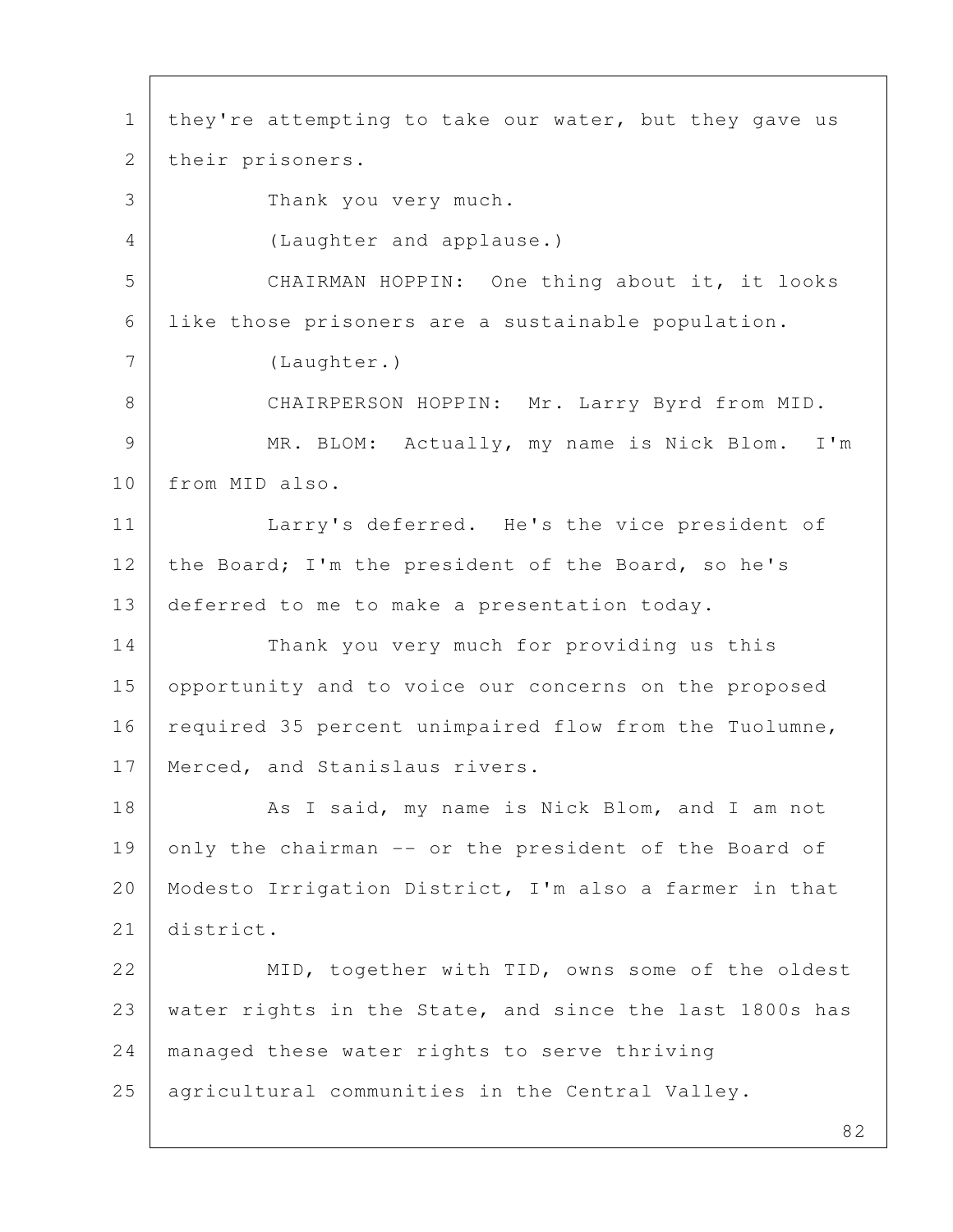82 1 | they're attempting to take our water, but they gave us 2 | their prisoners. 3 Thank you very much. 4 (Laughter and applause.) 5 CHAIRMAN HOPPIN: One thing about it, it looks 6 like those prisoners are a sustainable population. 7 (Laughter.) 8 | CHAIRPERSON HOPPIN: Mr. Larry Byrd from MID. 9 | MR. BLOM: Actually, my name is Nick Blom. I'm 10 from MID also. 11 | Larry's deferred. He's the vice president of 12 the Board; I'm the president of the Board, so he's 13 deferred to me to make a presentation today. 14 Thank you very much for providing us this 15 opportunity and to voice our concerns on the proposed 16 required 35 percent unimpaired flow from the Tuolumne, 17 | Merced, and Stanislaus rivers. 18 As I said, my name is Nick Blom, and I am not 19 only the chairman -- or the president of the Board of 20 Modesto Irrigation District, I'm also a farmer in that 21 district. 22 MID, together with TID, owns some of the oldest 23 water rights in the State, and since the last 1800s has 24 managed these water rights to serve thriving 25 agricultural communities in the Central Valley.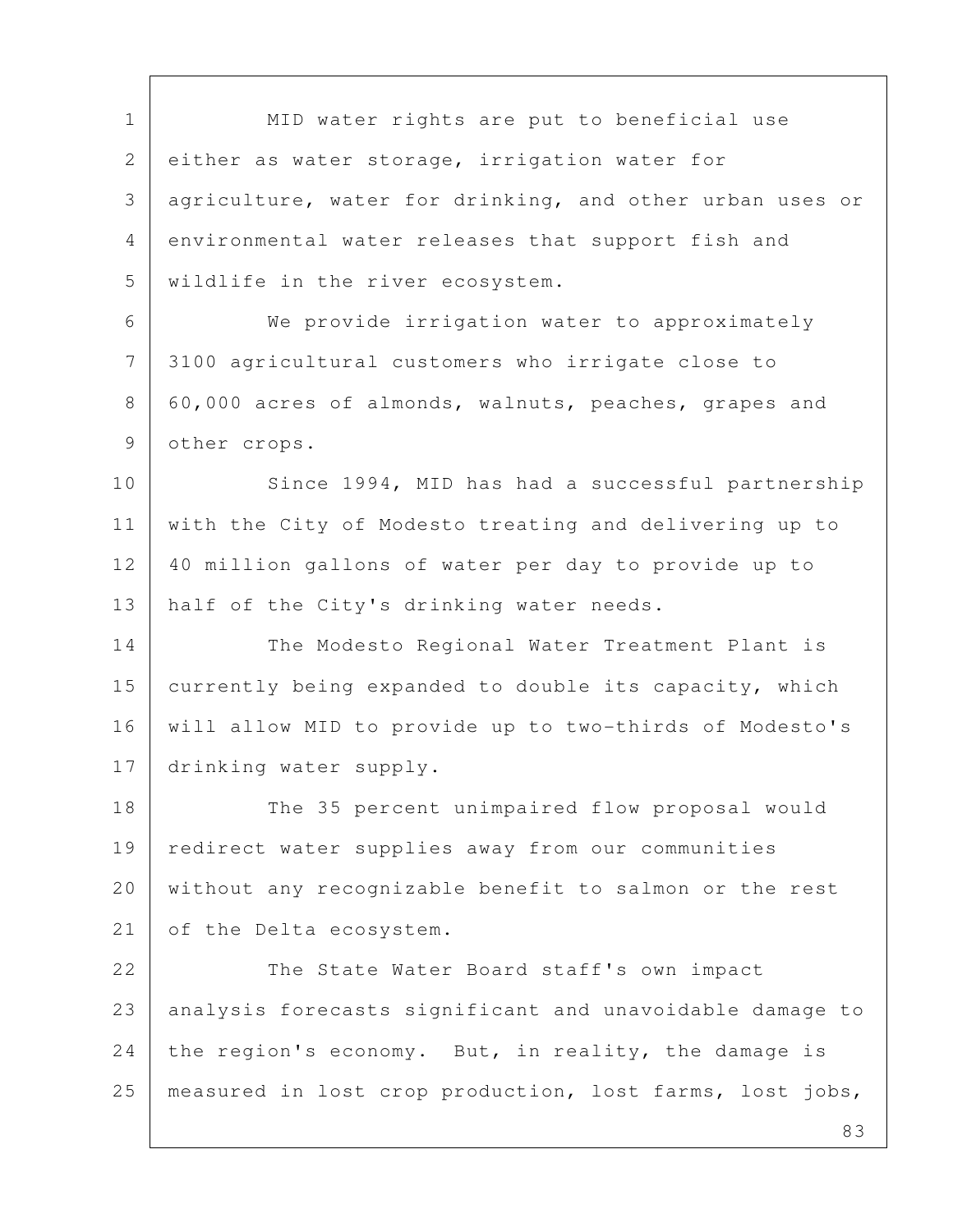1 | MID water rights are put to beneficial use 2 either as water storage, irrigation water for 3 agriculture, water for drinking, and other urban uses or 4 environmental water releases that support fish and 5 wildlife in the river ecosystem. 6 We provide irrigation water to approximately 7 3100 agricultural customers who irrigate close to

8 60,000 acres of almonds, walnuts, peaches, grapes and 9 other crops.

10 Since 1994, MID has had a successful partnership 11 with the City of Modesto treating and delivering up to 12 40 million gallons of water per day to provide up to 13 | half of the City's drinking water needs.

14 The Modesto Regional Water Treatment Plant is 15 currently being expanded to double its capacity, which 16 will allow MID to provide up to two-thirds of Modesto's 17 drinking water supply.

18 The 35 percent unimpaired flow proposal would 19 redirect water supplies away from our communities 20 without any recognizable benefit to salmon or the rest 21 of the Delta ecosystem.

22 The State Water Board staff's own impact 23 analysis forecasts significant and unavoidable damage to 24 the region's economy. But, in reality, the damage is 25 measured in lost crop production, lost farms, lost jobs,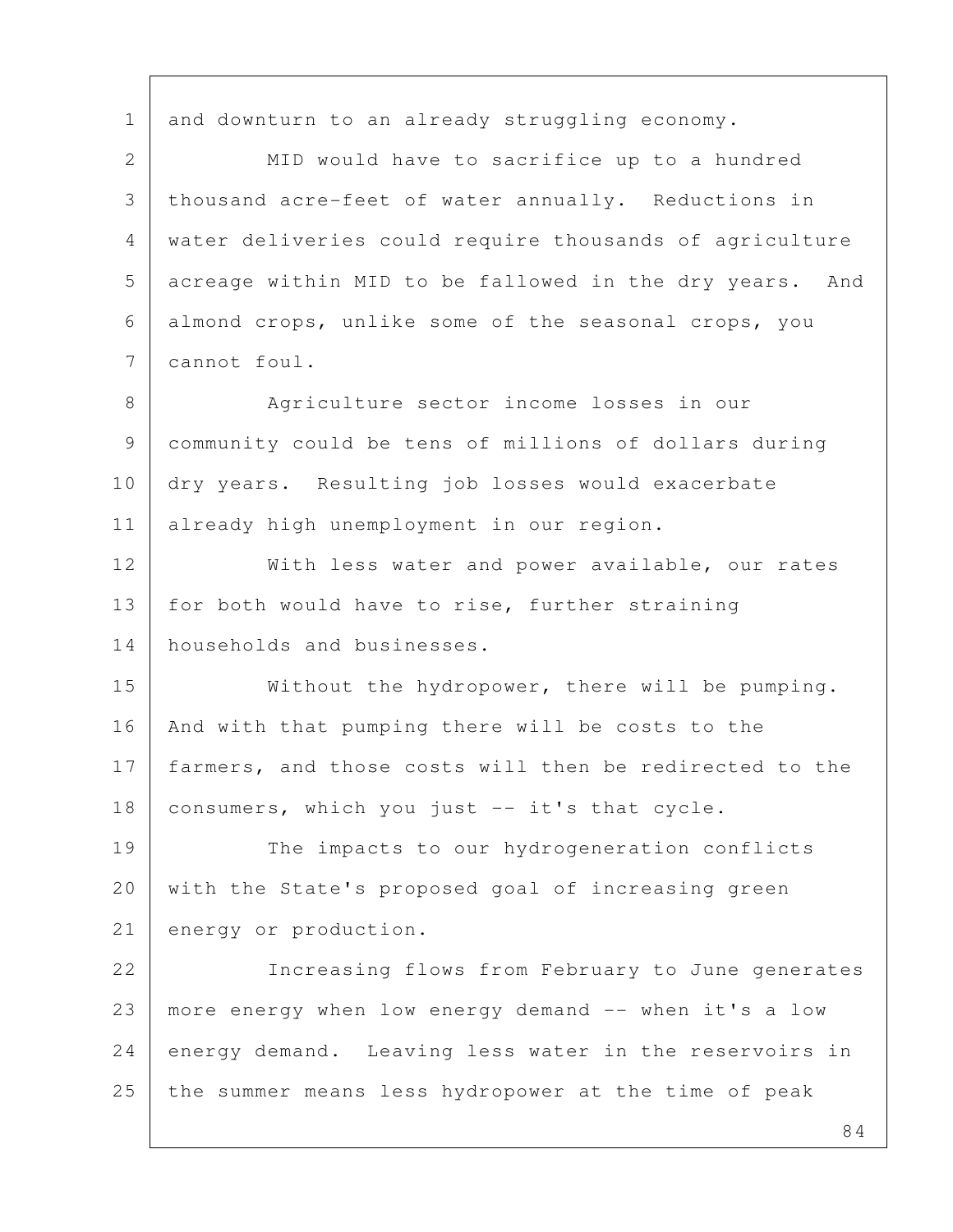1 and downturn to an already struggling economy.

2 MID would have to sacrifice up to a hundred 3 thousand acre-feet of water annually. Reductions in 4 water deliveries could require thousands of agriculture 5 acreage within MID to be fallowed in the dry years. And 6 almond crops, unlike some of the seasonal crops, you 7 cannot foul.

8 Agriculture sector income losses in our 9 community could be tens of millions of dollars during 10 dry years. Resulting job losses would exacerbate 11 already high unemployment in our region.

12 | With less water and power available, our rates 13 | for both would have to rise, further straining 14 households and businesses.

15 | Without the hydropower, there will be pumping. 16 | And with that pumping there will be costs to the 17 farmers, and those costs will then be redirected to the 18 consumers, which you just -- it's that cycle.

19 The impacts to our hydrogeneration conflicts 20 with the State's proposed goal of increasing green 21 energy or production.

22 | Increasing flows from February to June generates 23 more energy when low energy demand -- when it's a low 24 energy demand. Leaving less water in the reservoirs in 25 the summer means less hydropower at the time of peak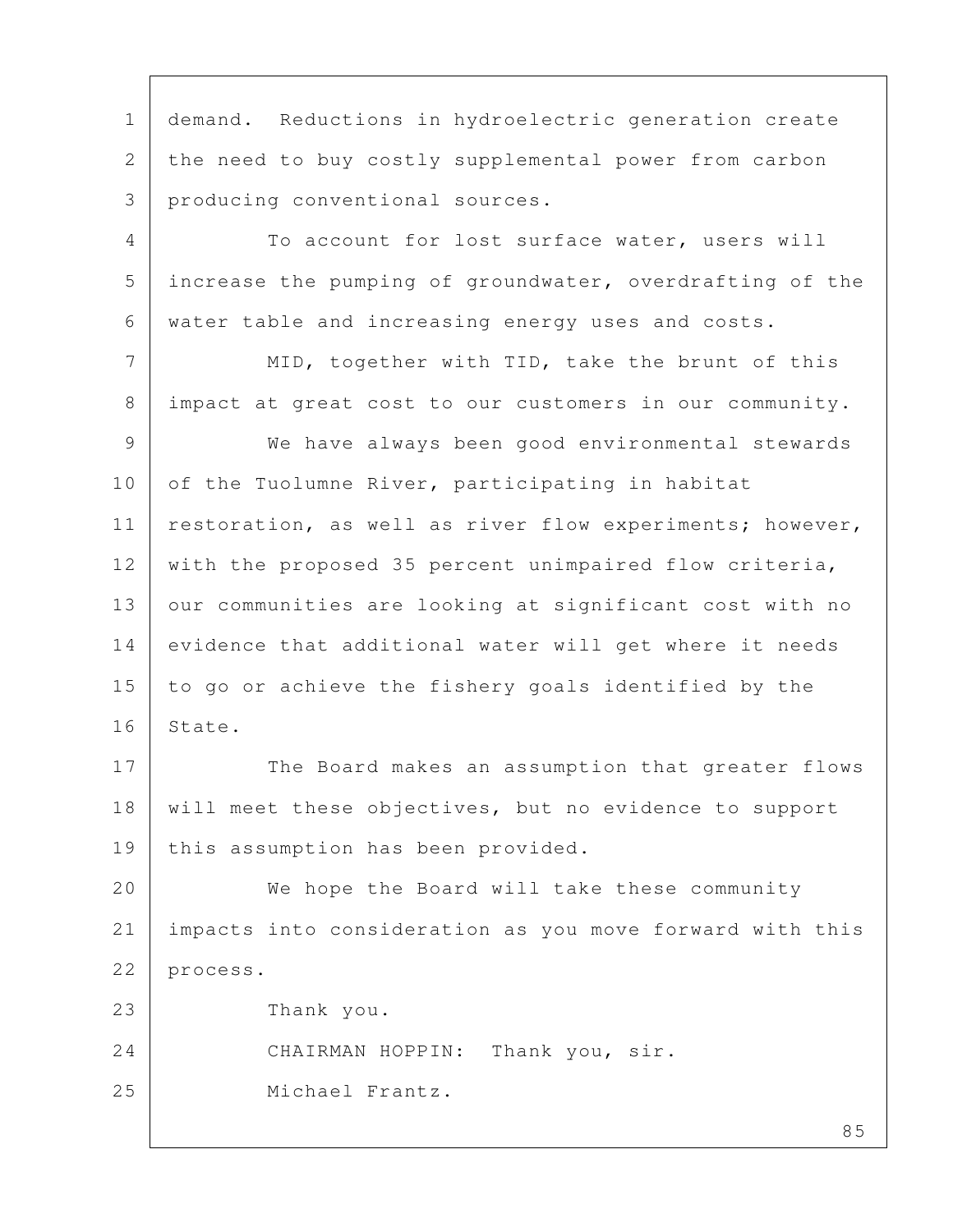1 demand. Reductions in hydroelectric generation create 2 the need to buy costly supplemental power from carbon 3 producing conventional sources.

4 To account for lost surface water, users will 5 increase the pumping of groundwater, overdrafting of the 6 water table and increasing energy uses and costs.

7 MID, together with TID, take the brunt of this 8 impact at great cost to our customers in our community.

 9 We have always been good environmental stewards 10 of the Tuolumne River, participating in habitat 11 | restoration, as well as river flow experiments; however, 12 with the proposed 35 percent unimpaired flow criteria, 13 our communities are looking at significant cost with no 14 evidence that additional water will get where it needs 15 to go or achieve the fishery goals identified by the 16 State.

17 The Board makes an assumption that greater flows 18 will meet these objectives, but no evidence to support 19 | this assumption has been provided.

20 We hope the Board will take these community 21 impacts into consideration as you move forward with this 22 process.

23 Thank you.

24 CHAIRMAN HOPPIN: Thank you, sir.

25 Michael Frantz.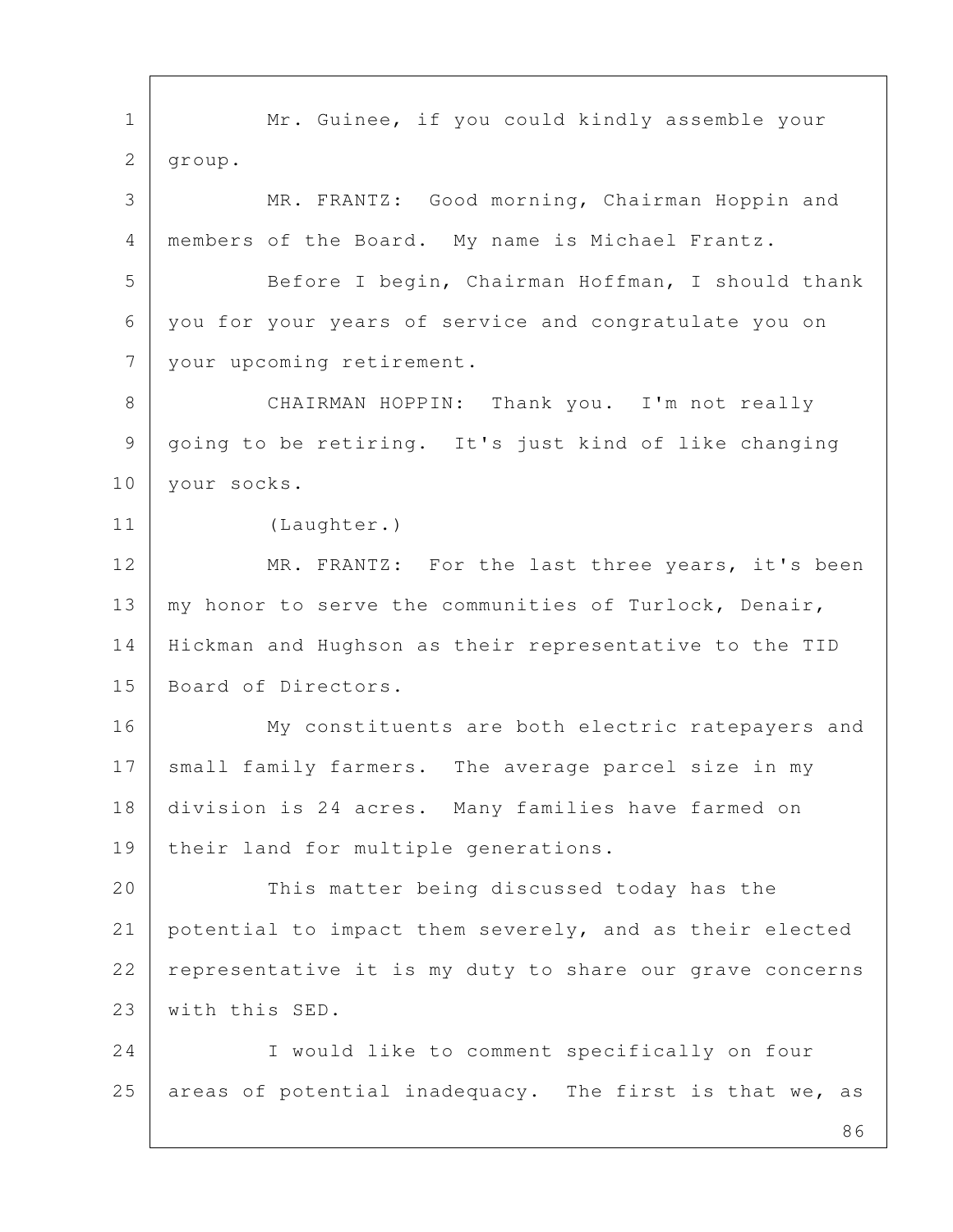86 1 Mr. Guinee, if you could kindly assemble your 2 group. 3 MR. FRANTZ: Good morning, Chairman Hoppin and 4 members of the Board. My name is Michael Frantz. 5 Before I begin, Chairman Hoffman, I should thank 6 you for your years of service and congratulate you on 7 your upcoming retirement. 8 | CHAIRMAN HOPPIN: Thank you. I'm not really 9 going to be retiring. It's just kind of like changing 10 | your socks. 11 (Laughter.) 12 MR. FRANTZ: For the last three years, it's been 13 | my honor to serve the communities of Turlock, Denair, 14 Hickman and Hughson as their representative to the TID 15 Board of Directors. 16 My constituents are both electric ratepayers and 17 small family farmers. The average parcel size in my 18 division is 24 acres. Many families have farmed on 19 | their land for multiple generations. 20 This matter being discussed today has the 21 potential to impact them severely, and as their elected 22 representative it is my duty to share our grave concerns 23 | with this SED. 24 I would like to comment specifically on four 25 areas of potential inadequacy. The first is that we, as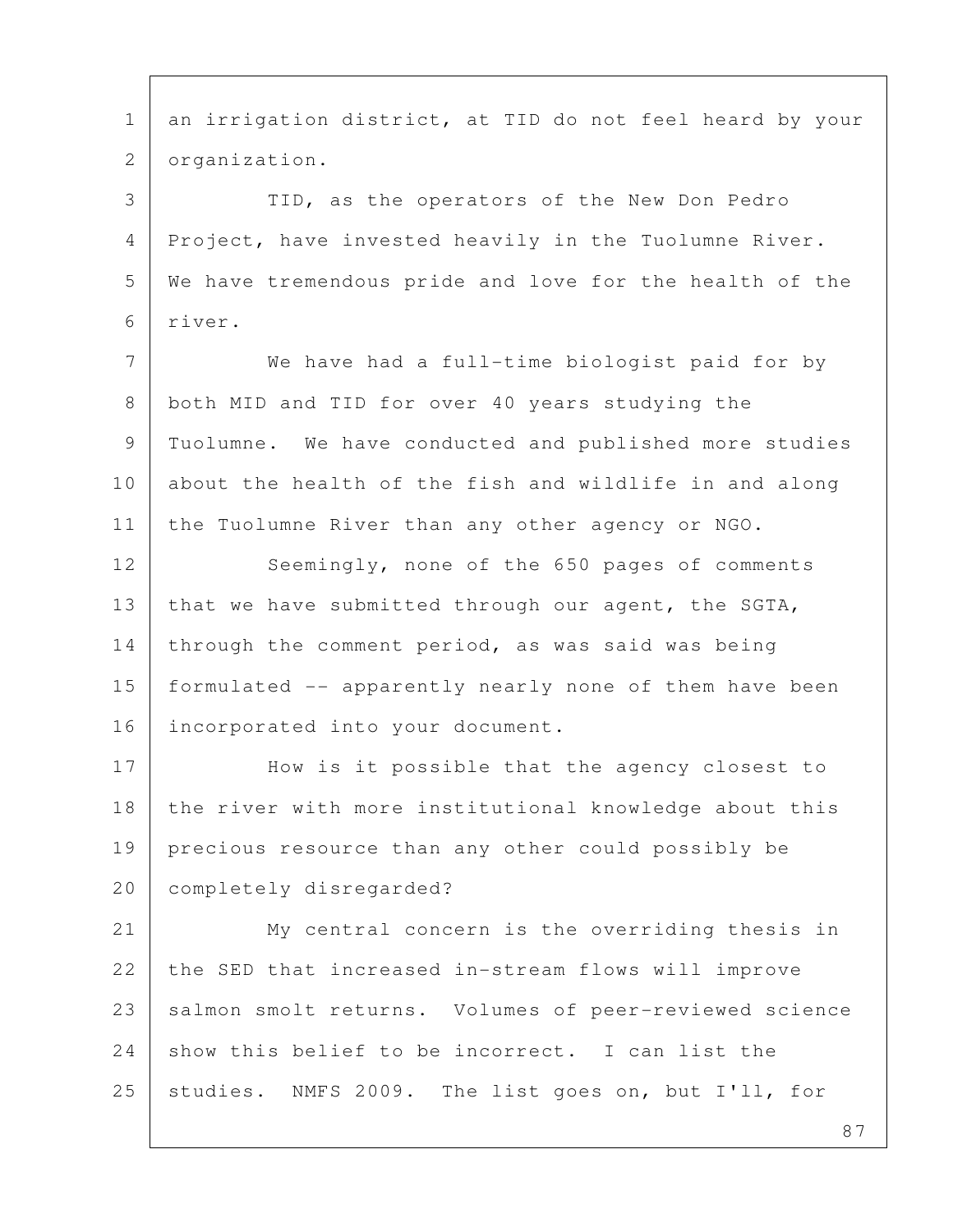1 an irrigation district, at TID do not feel heard by your 2 organization. 3 TID, as the operators of the New Don Pedro 4 Project, have invested heavily in the Tuolumne River. 5 We have tremendous pride and love for the health of the 6 river. 7 We have had a full-time biologist paid for by 8 both MID and TID for over 40 years studying the 9 Tuolumne. We have conducted and published more studies 10 about the health of the fish and wildlife in and along 11 the Tuolumne River than any other agency or NGO. 12 Seemingly, none of the 650 pages of comments 13 | that we have submitted through our agent, the SGTA, 14 through the comment period, as was said was being 15 formulated -- apparently nearly none of them have been 16 | incorporated into your document. 17 How is it possible that the agency closest to 18 the river with more institutional knowledge about this 19 precious resource than any other could possibly be 20 completely disregarded? 21 My central concern is the overriding thesis in 22 the SED that increased in-stream flows will improve 23 salmon smolt returns. Volumes of peer-reviewed science 24 show this belief to be incorrect. I can list the 25 studies. NMFS 2009. The list goes on, but I'll, for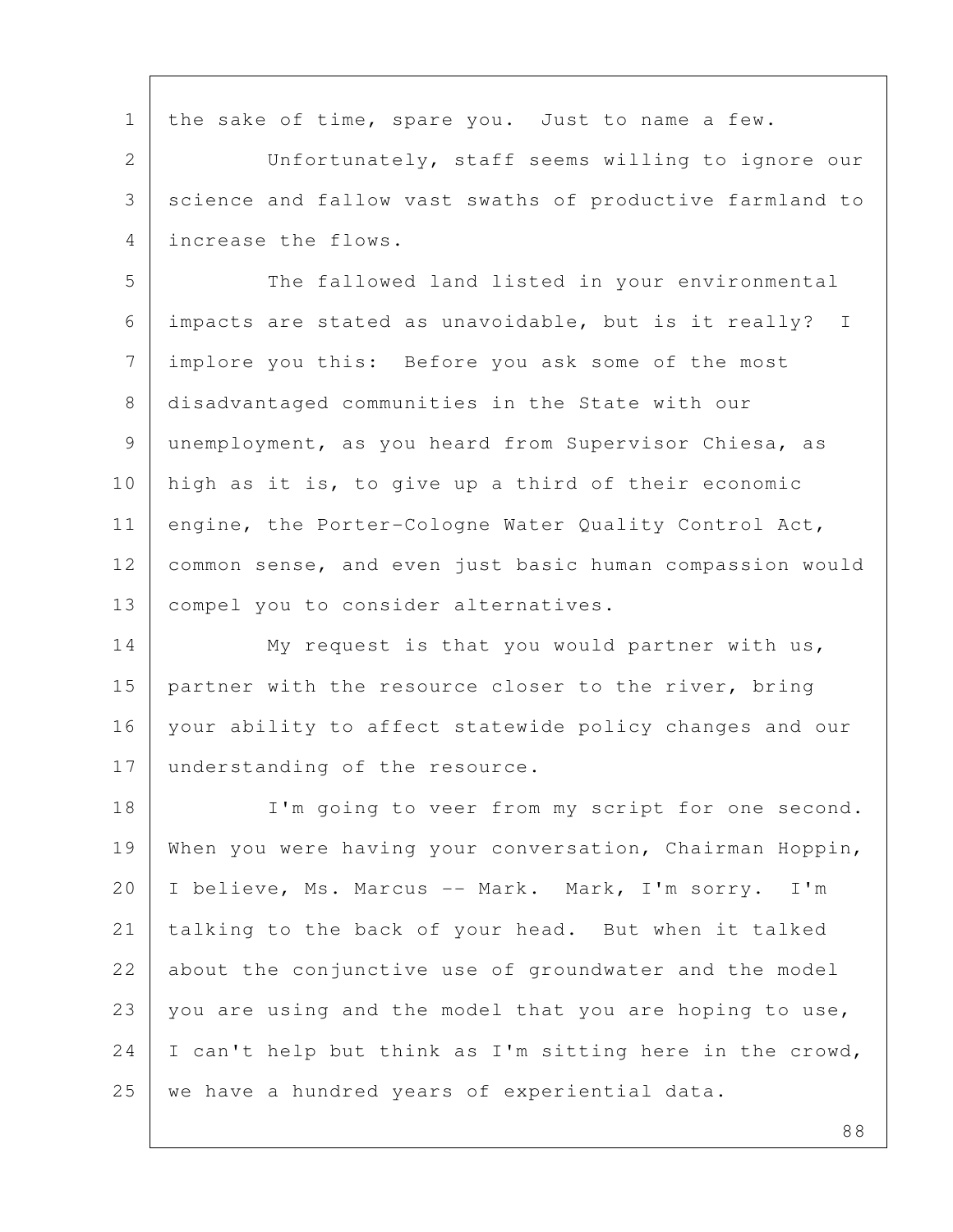1 | the sake of time, spare you. Just to name a few.

 2 Unfortunately, staff seems willing to ignore our 3 science and fallow vast swaths of productive farmland to 4 increase the flows.

5 The fallowed land listed in your environmental 6 impacts are stated as unavoidable, but is it really? I 7 implore you this: Before you ask some of the most 8 disadvantaged communities in the State with our 9 unemployment, as you heard from Supervisor Chiesa, as 10 high as it is, to give up a third of their economic 11 engine, the Porter-Cologne Water Quality Control Act, 12 common sense, and even just basic human compassion would 13 compel you to consider alternatives.

14 My request is that you would partner with us, 15 | partner with the resource closer to the river, bring 16 your ability to affect statewide policy changes and our 17 understanding of the resource.

18 I'm going to veer from my script for one second. 19 When you were having your conversation, Chairman Hoppin, 20 | I believe, Ms. Marcus -- Mark. Mark, I'm sorry. I'm 21 talking to the back of your head. But when it talked 22 about the conjunctive use of groundwater and the model 23 you are using and the model that you are hoping to use, 24 | I can't help but think as I'm sitting here in the crowd, 25 | we have a hundred years of experiential data.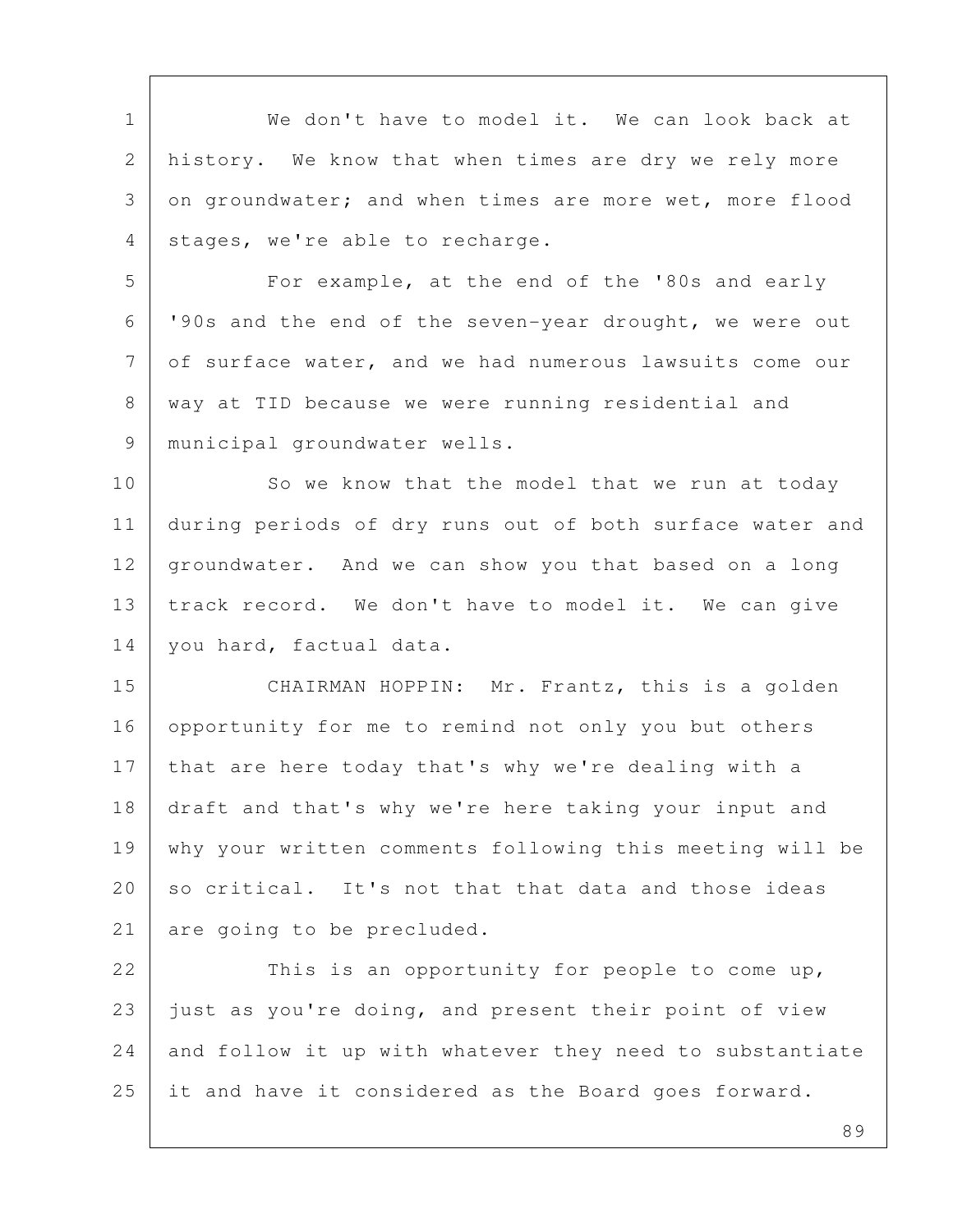1 We don't have to model it. We can look back at 2 history. We know that when times are dry we rely more 3 on groundwater; and when times are more wet, more flood 4 | stages, we're able to recharge.

5 | For example, at the end of the '80s and early 6 '90s and the end of the seven-year drought, we were out 7 of surface water, and we had numerous lawsuits come our 8 | way at TID because we were running residential and 9 | municipal groundwater wells.

10 So we know that the model that we run at today 11 during periods of dry runs out of both surface water and 12 groundwater. And we can show you that based on a long 13 track record. We don't have to model it. We can give 14 | you hard, factual data.

15 CHAIRMAN HOPPIN: Mr. Frantz, this is a golden 16 opportunity for me to remind not only you but others 17 that are here today that's why we're dealing with a 18 draft and that's why we're here taking your input and 19 why your written comments following this meeting will be 20 so critical. It's not that that data and those ideas 21 are going to be precluded.

22 This is an opportunity for people to come up, 23 just as you're doing, and present their point of view  $24$  and follow it up with whatever they need to substantiate 25 it and have it considered as the Board goes forward.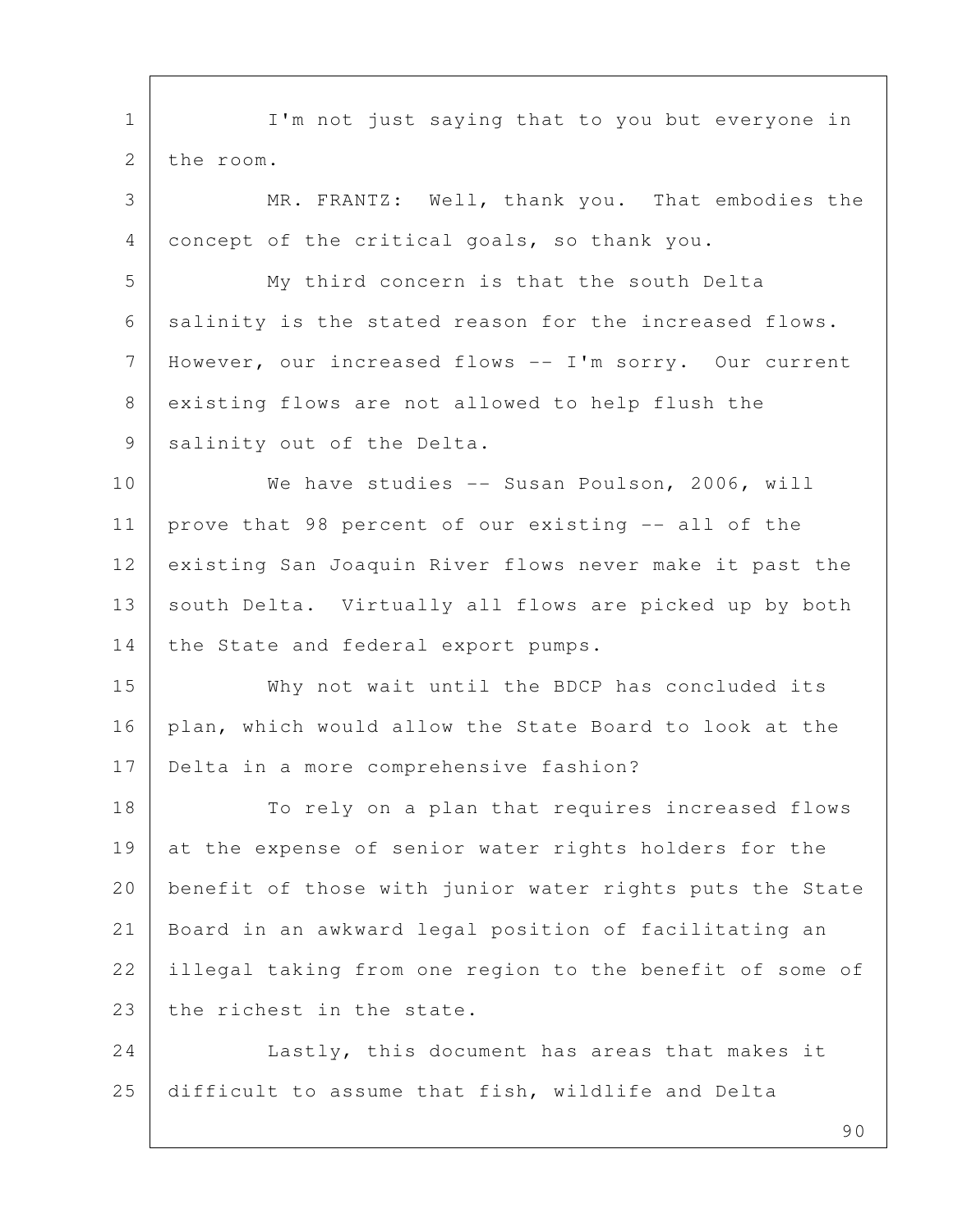1 | I'm not just saying that to you but everyone in 2 the room. 3 MR. FRANTZ: Well, thank you. That embodies the 4 concept of the critical goals, so thank you. 5 My third concern is that the south Delta 6 salinity is the stated reason for the increased flows. 7 However, our increased flows -- I'm sorry. Our current 8 existing flows are not allowed to help flush the 9 salinity out of the Delta. 10 We have studies -- Susan Poulson, 2006, will 11 prove that 98 percent of our existing -- all of the 12 existing San Joaquin River flows never make it past the 13 south Delta. Virtually all flows are picked up by both 14 | the State and federal export pumps. 15 Why not wait until the BDCP has concluded its 16 plan, which would allow the State Board to look at the 17 Delta in a more comprehensive fashion? 18 To rely on a plan that requires increased flows 19 at the expense of senior water rights holders for the 20 benefit of those with junior water rights puts the State 21 Board in an awkward legal position of facilitating an 22 illegal taking from one region to the benefit of some of 23 the richest in the state. 24 Lastly, this document has areas that makes it 25 difficult to assume that fish, wildlife and Delta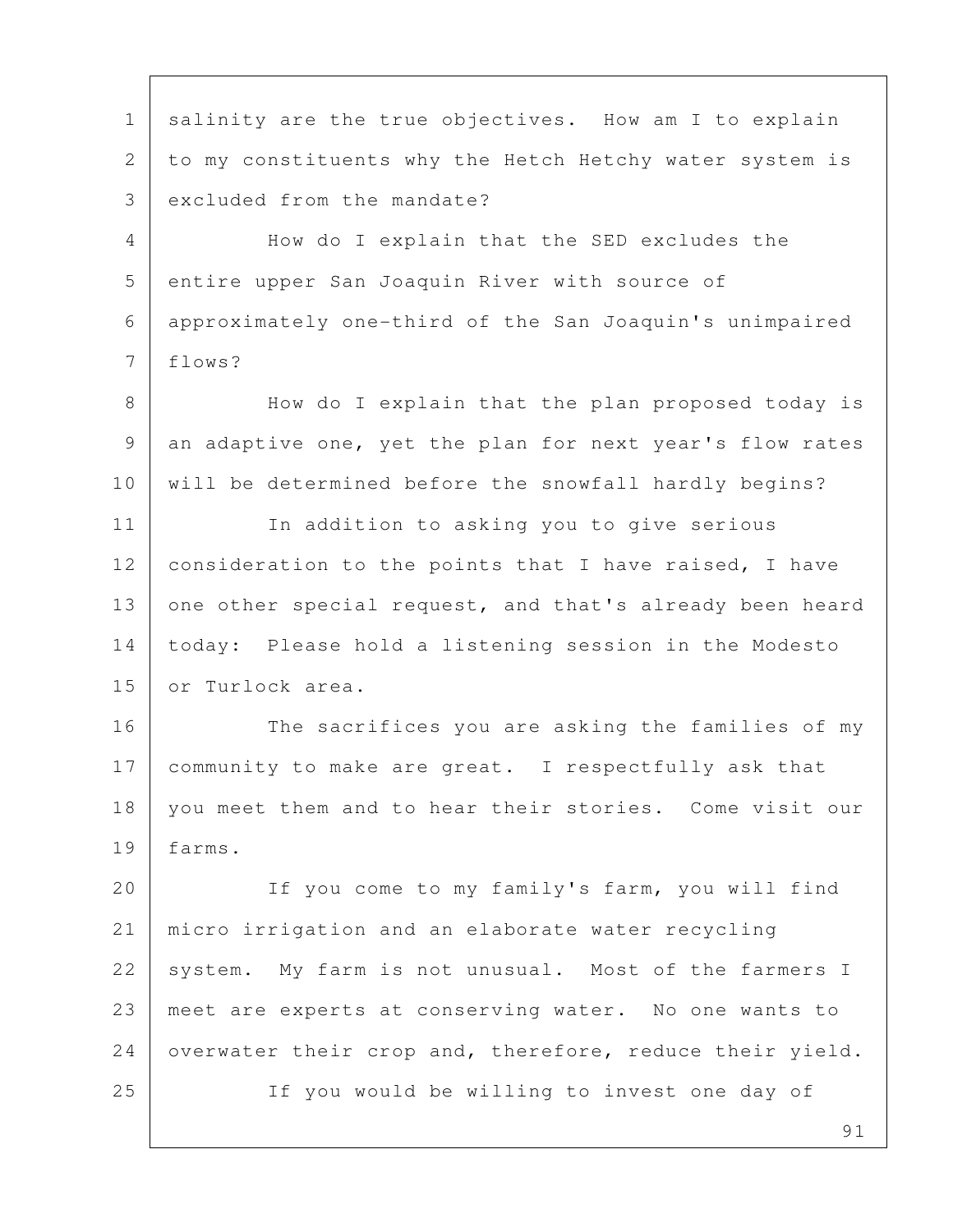1 | salinity are the true objectives. How am I to explain 2 to my constituents why the Hetch Hetchy water system is 3 excluded from the mandate? 4 How do I explain that the SED excludes the 5 entire upper San Joaquin River with source of 6 approximately one-third of the San Joaquin's unimpaired 7 flows? 8 | How do I explain that the plan proposed today is 9 an adaptive one, yet the plan for next year's flow rates 10 will be determined before the snowfall hardly begins? 11 In addition to asking you to give serious 12 consideration to the points that I have raised, I have 13 one other special request, and that's already been heard 14 today: Please hold a listening session in the Modesto 15 or Turlock area. 16 The sacrifices you are asking the families of my 17 community to make are great. I respectfully ask that 18 you meet them and to hear their stories. Come visit our 19 farms. 20 | If you come to my family's farm, you will find 21 micro irrigation and an elaborate water recycling 22 system. My farm is not unusual. Most of the farmers I 23 meet are experts at conserving water. No one wants to 24 overwater their crop and, therefore, reduce their yield. 25 If you would be willing to invest one day of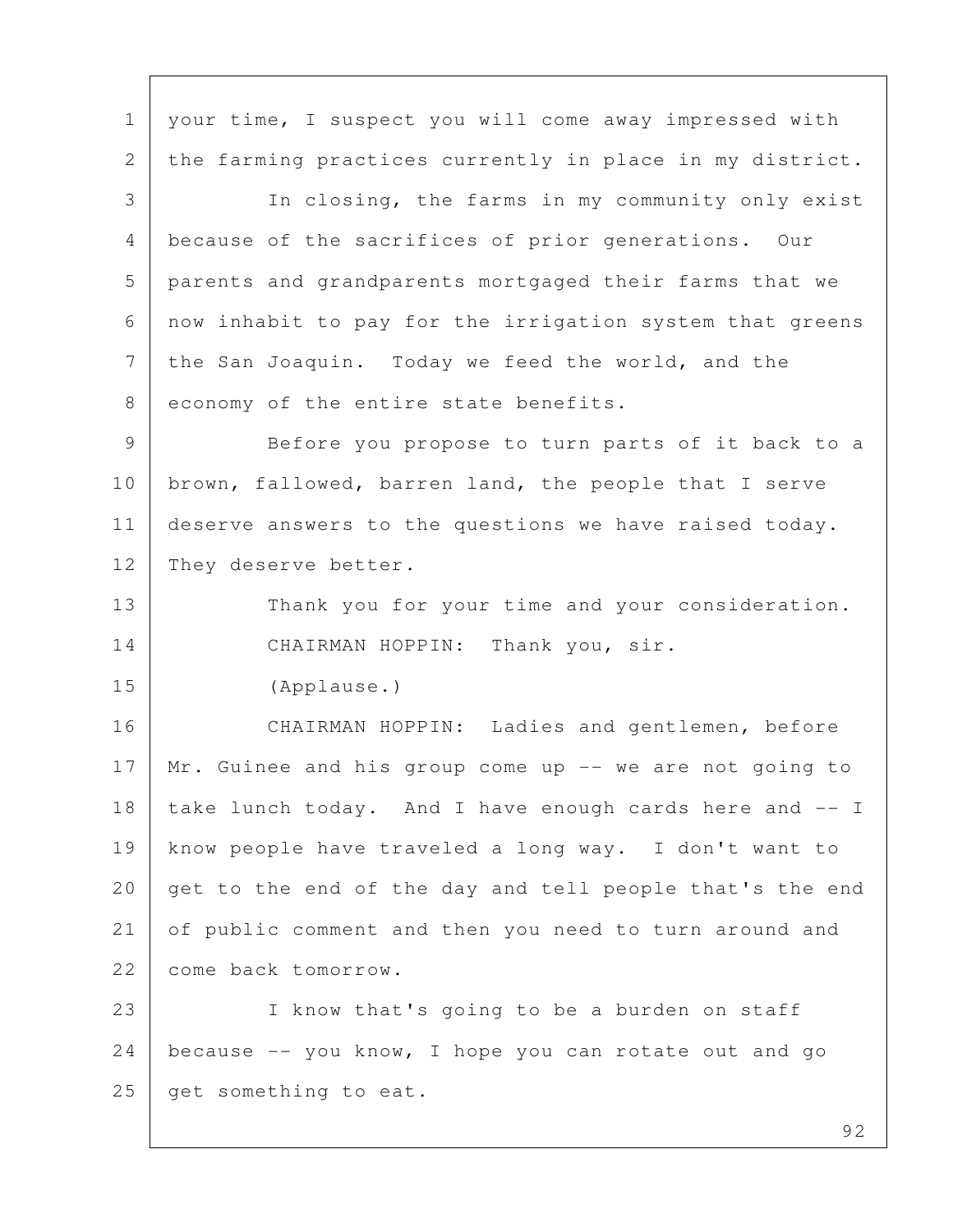1 | your time, I suspect you will come away impressed with 2 the farming practices currently in place in my district. 3 In closing, the farms in my community only exist 4 because of the sacrifices of prior generations. Our 5 parents and grandparents mortgaged their farms that we 6 now inhabit to pay for the irrigation system that greens 7 the San Joaquin. Today we feed the world, and the 8 economy of the entire state benefits. 9 Before you propose to turn parts of it back to a 10 | brown, fallowed, barren land, the people that I serve 11 deserve answers to the questions we have raised today. 12 They deserve better. 13 Thank you for your time and your consideration. 14 CHAIRMAN HOPPIN: Thank you, sir. 15 (Applause.) 16 CHAIRMAN HOPPIN: Ladies and gentlemen, before 17 | Mr. Guinee and his group come up -- we are not going to 18 take lunch today. And I have enough cards here and -- I 19 know people have traveled a long way. I don't want to 20 get to the end of the day and tell people that's the end 21 of public comment and then you need to turn around and 22 come back tomorrow. 23 I know that's going to be a burden on staff 24 because -- you know, I hope you can rotate out and go 25 get something to eat.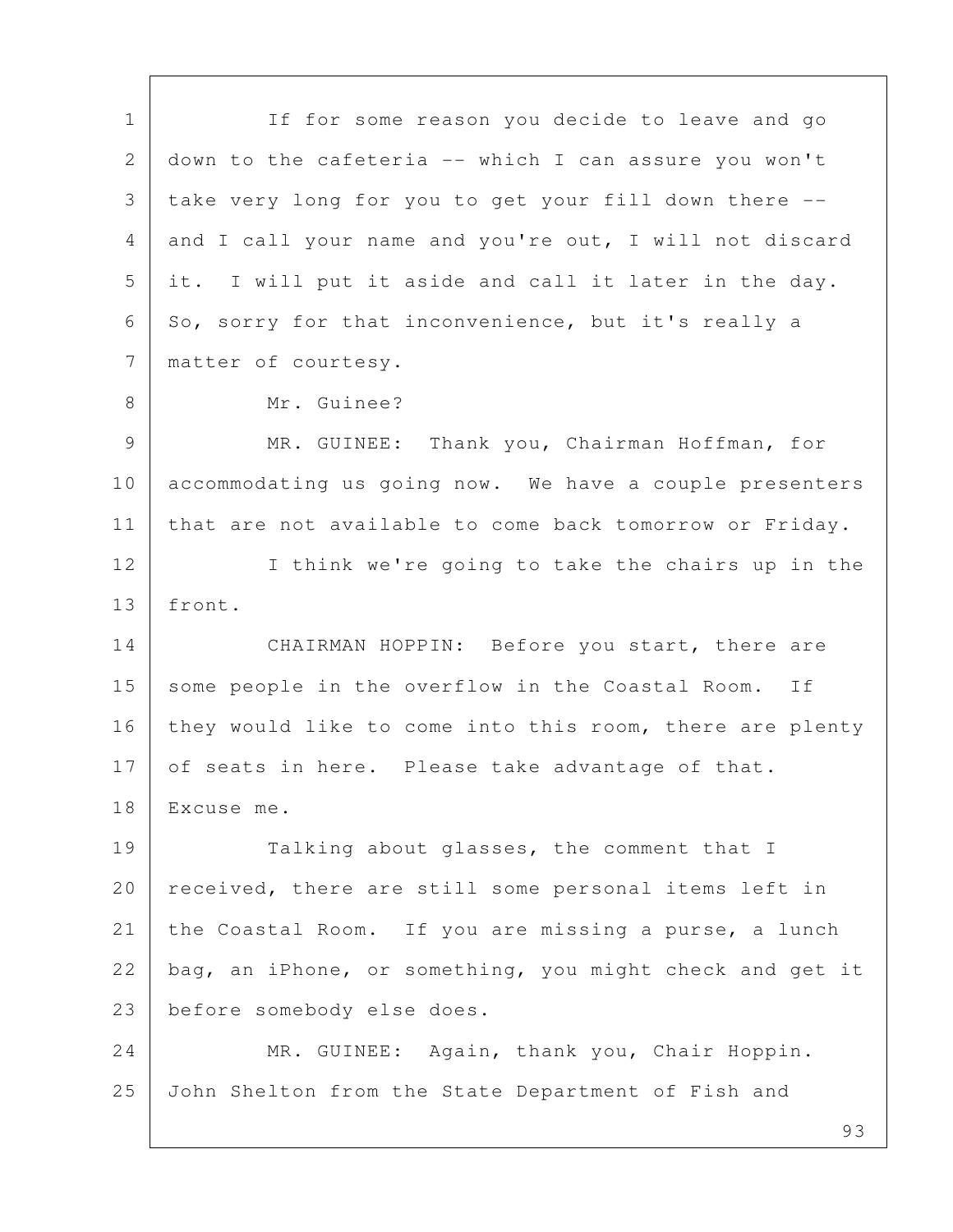1 If for some reason you decide to leave and go 2 down to the cafeteria -- which I can assure you won't 3 take very long for you to get your fill down there -- 4 and I call your name and you're out, I will not discard 5 it. I will put it aside and call it later in the day. 6 So, sorry for that inconvenience, but it's really a 7 | matter of courtesy. 8 Mr. Guinee? 9 MR. GUINEE: Thank you, Chairman Hoffman, for 10 accommodating us going now. We have a couple presenters 11 | that are not available to come back tomorrow or Friday. 12 I think we're going to take the chairs up in the 13 front. 14 CHAIRMAN HOPPIN: Before you start, there are 15 some people in the overflow in the Coastal Room. If 16 they would like to come into this room, there are plenty 17 of seats in here. Please take advantage of that. 18 Excuse me. 19 Talking about glasses, the comment that I 20 | received, there are still some personal items left in 21 the Coastal Room. If you are missing a purse, a lunch 22 bag, an iPhone, or something, you might check and get it 23 before somebody else does. 24 MR. GUINEE: Again, thank you, Chair Hoppin. 25 John Shelton from the State Department of Fish and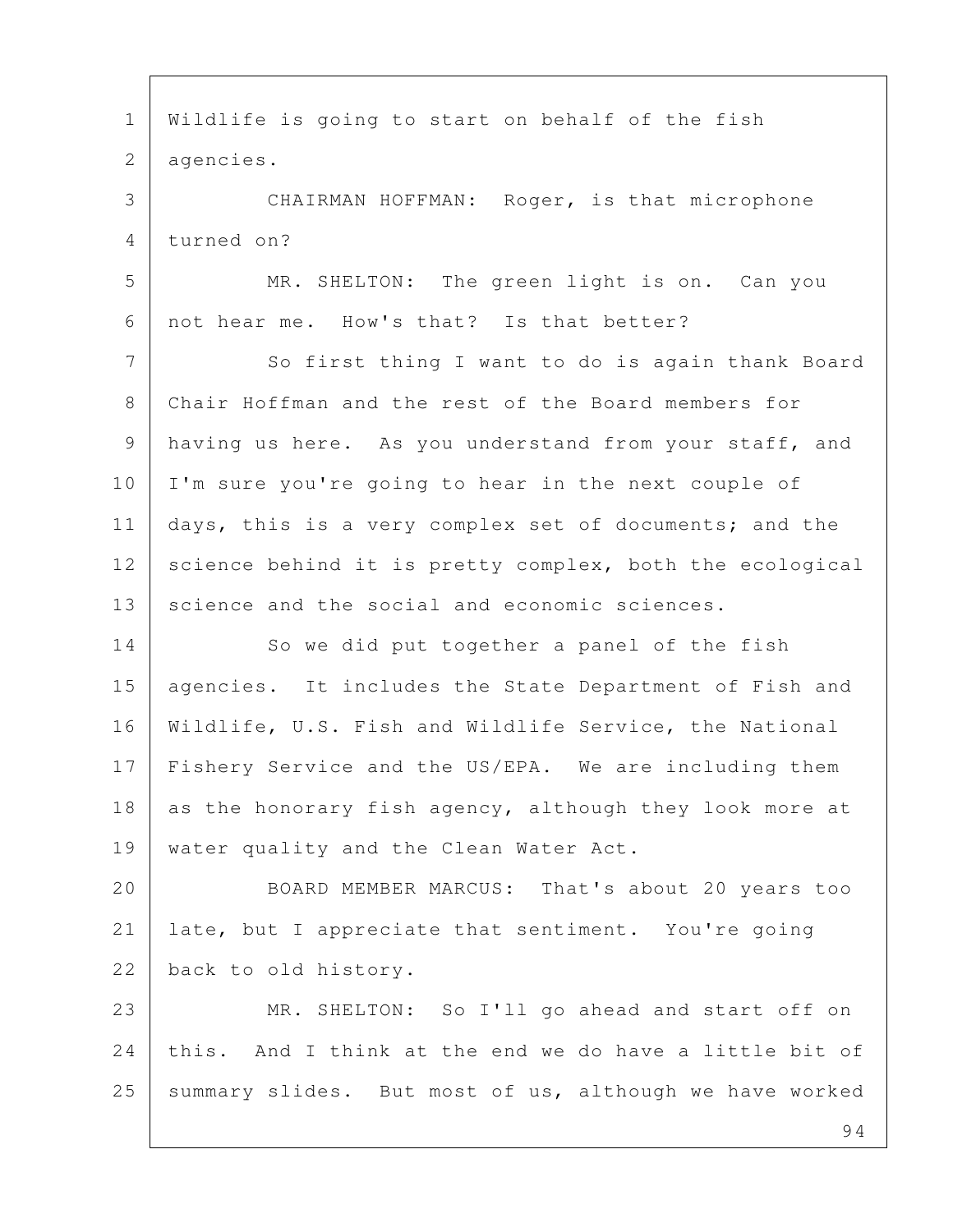94 1 Wildlife is going to start on behalf of the fish 2 agencies. 3 CHAIRMAN HOFFMAN: Roger, is that microphone 4 turned on? 5 MR. SHELTON: The green light is on. Can you 6 not hear me. How's that? Is that better? 7 So first thing I want to do is again thank Board 8 Chair Hoffman and the rest of the Board members for 9 having us here. As you understand from your staff, and 10 I'm sure you're going to hear in the next couple of 11 days, this is a very complex set of documents; and the 12 science behind it is pretty complex, both the ecological 13 science and the social and economic sciences. 14 So we did put together a panel of the fish 15 | agencies. It includes the State Department of Fish and 16 Wildlife, U.S. Fish and Wildlife Service, the National 17 | Fishery Service and the US/EPA. We are including them 18 as the honorary fish agency, although they look more at 19 | water quality and the Clean Water Act. 20 BOARD MEMBER MARCUS: That's about 20 years too 21 late, but I appreciate that sentiment. You're going 22 back to old history. 23 MR. SHELTON: So I'll go ahead and start off on 24 this. And I think at the end we do have a little bit of 25 | summary slides. But most of us, although we have worked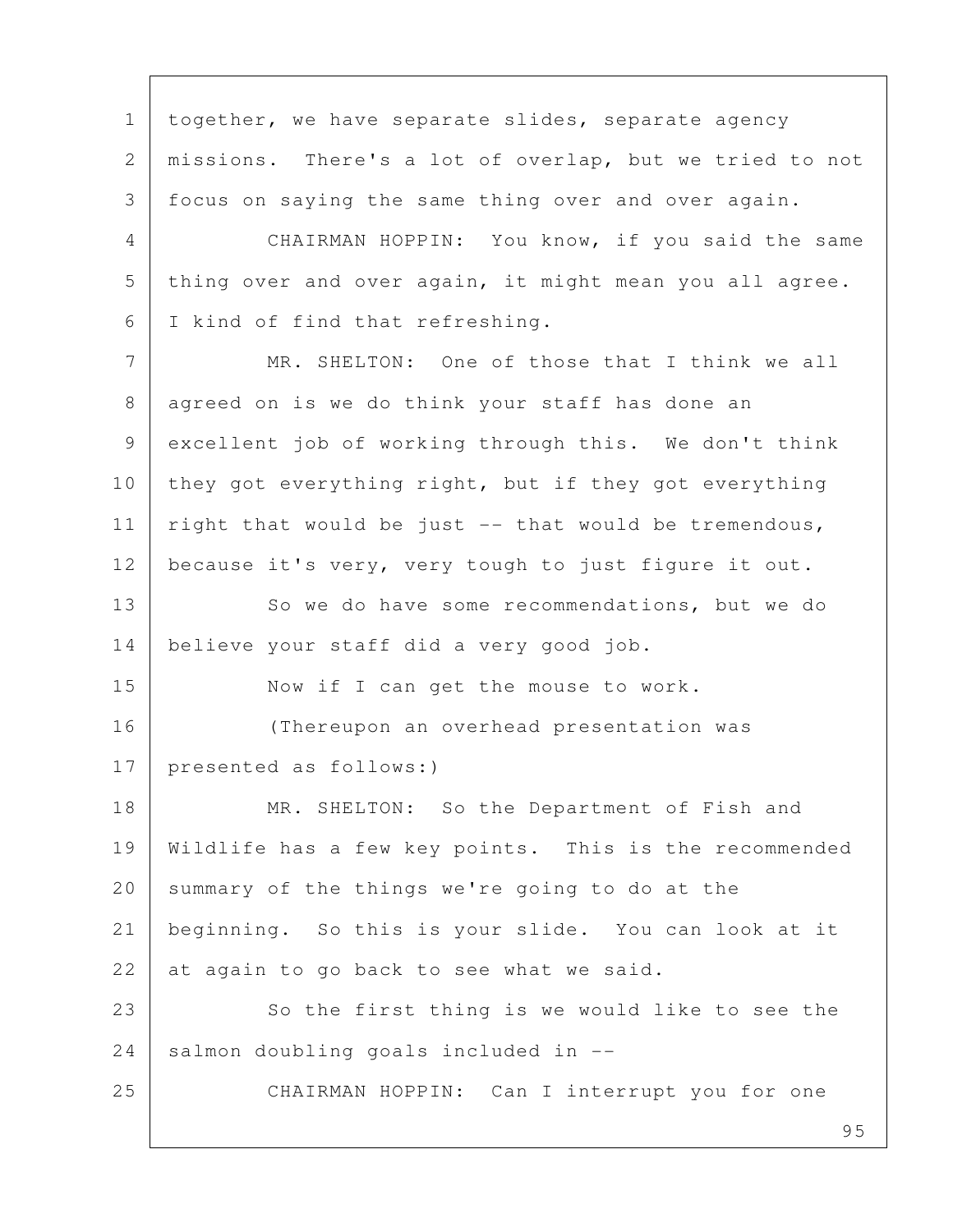1 | together, we have separate slides, separate agency 2 missions. There's a lot of overlap, but we tried to not 3 focus on saying the same thing over and over again. 4 CHAIRMAN HOPPIN: You know, if you said the same 5 thing over and over again, it might mean you all agree. 6 I kind of find that refreshing. 7 MR. SHELTON: One of those that I think we all 8 agreed on is we do think your staff has done an 9 excellent job of working through this. We don't think 10 they got everything right, but if they got everything 11 right that would be just  $-$  that would be tremendous, 12 because it's very, very tough to just figure it out. 13 So we do have some recommendations, but we do 14 believe your staff did a very good job. 15 Now if I can get the mouse to work. 16 (Thereupon an overhead presentation was 17 presented as follows:) 18 MR. SHELTON: So the Department of Fish and 19 Wildlife has a few key points. This is the recommended 20 summary of the things we're going to do at the 21 beginning. So this is your slide. You can look at it 22 at again to go back to see what we said. 23 So the first thing is we would like to see the  $24$  salmon doubling goals included in  $-$ 25 CHAIRMAN HOPPIN: Can I interrupt you for one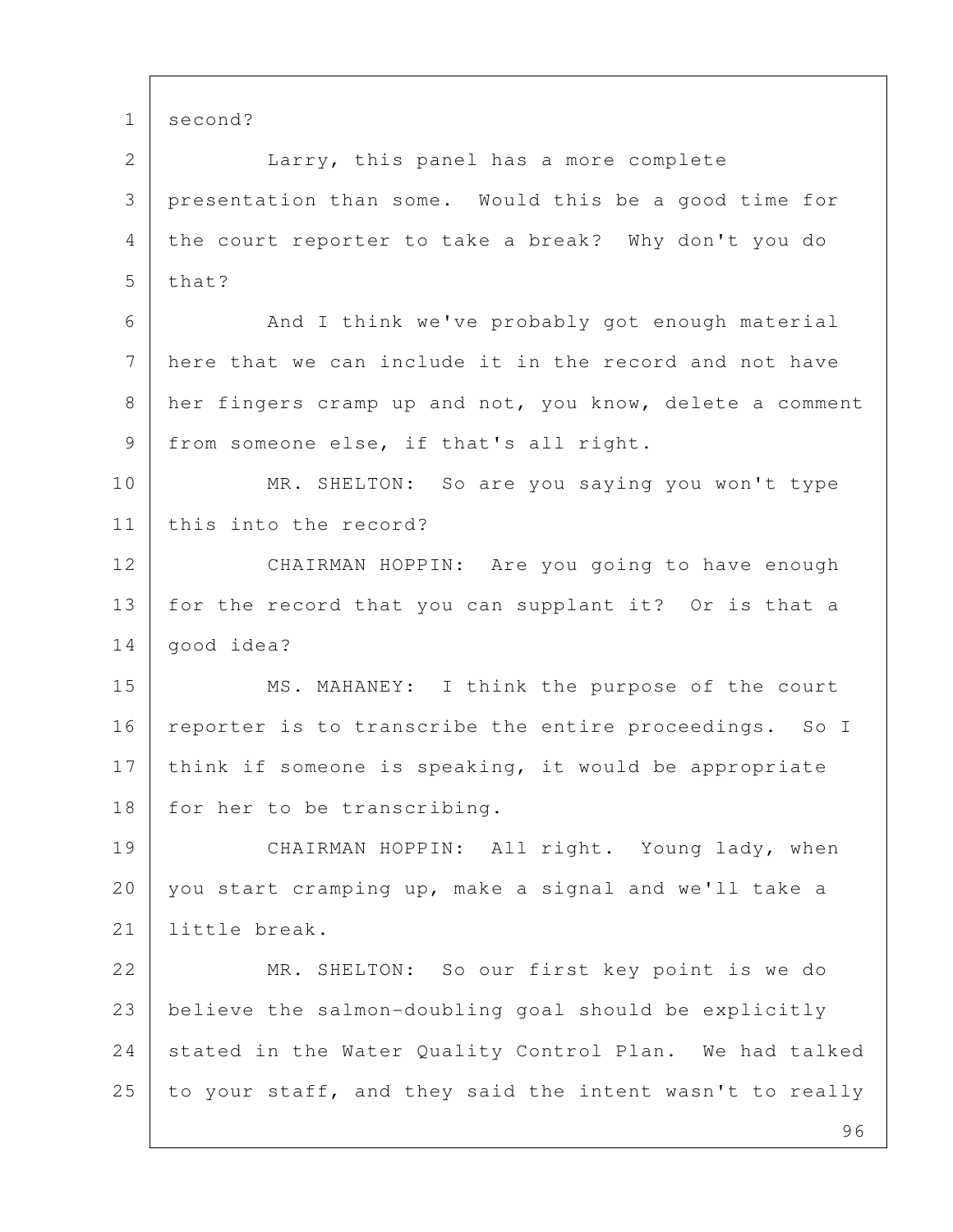1 second?

 2 Larry, this panel has a more complete 3 presentation than some. Would this be a good time for 4 the court reporter to take a break? Why don't you do  $5$  that?

6 And I think we've probably got enough material 7 here that we can include it in the record and not have 8 her fingers cramp up and not, you know, delete a comment 9 | from someone else, if that's all right.

10 MR. SHELTON: So are you saying you won't type 11 this into the record?

12 CHAIRMAN HOPPIN: Are you going to have enough 13 for the record that you can supplant it? Or is that a 14 | good idea?

15 MS. MAHANEY: I think the purpose of the court 16 | reporter is to transcribe the entire proceedings. So I 17 think if someone is speaking, it would be appropriate 18 for her to be transcribing.

19 CHAIRMAN HOPPIN: All right. Young lady, when 20 you start cramping up, make a signal and we'll take a 21 little break.

22 MR. SHELTON: So our first key point is we do 23 believe the salmon-doubling goal should be explicitly 24 stated in the Water Quality Control Plan. We had talked 25 to your staff, and they said the intent wasn't to really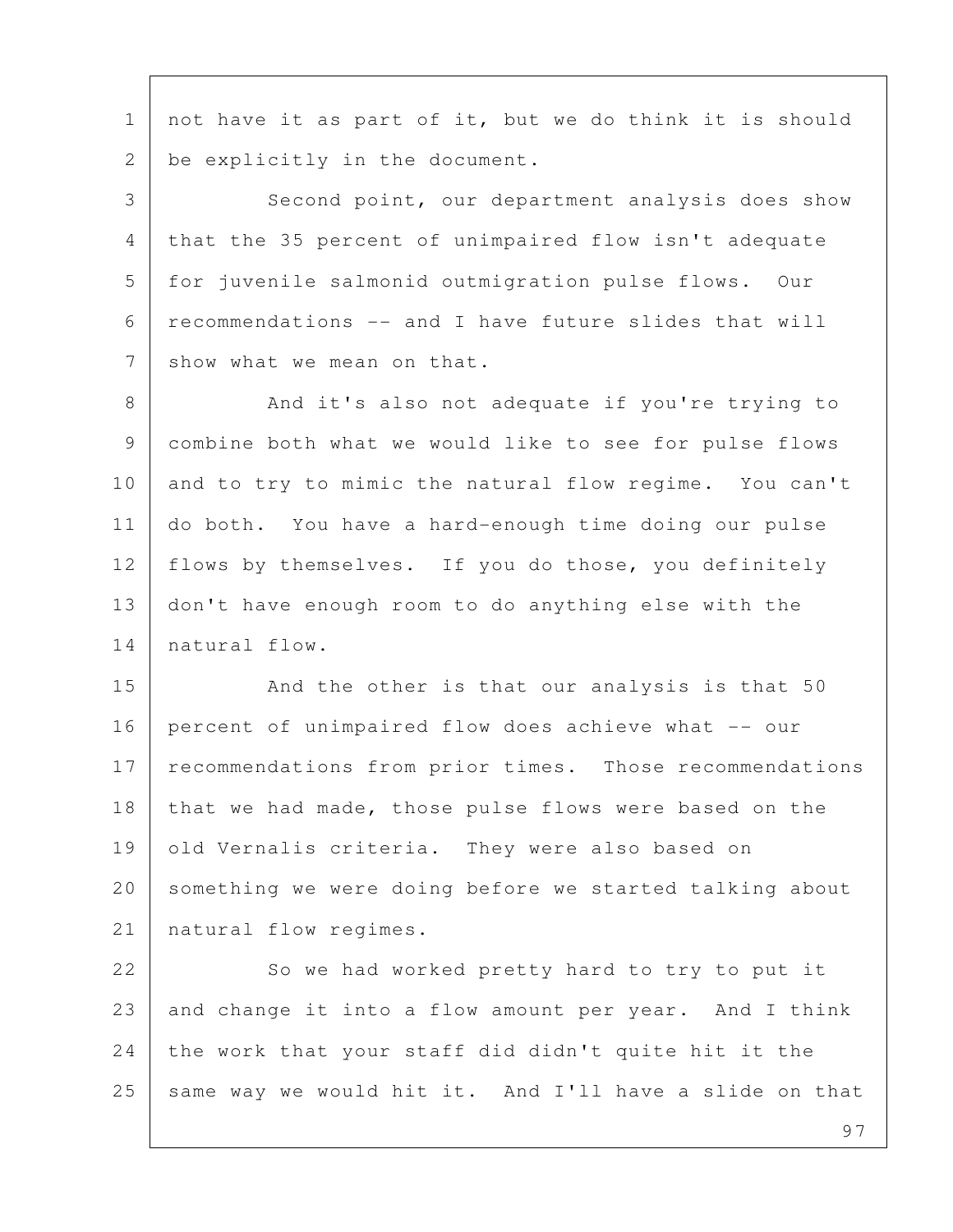1 not have it as part of it, but we do think it is should 2 be explicitly in the document.

3 Second point, our department analysis does show 4 that the 35 percent of unimpaired flow isn't adequate 5 for juvenile salmonid outmigration pulse flows. Our 6 recommendations -- and I have future slides that will 7 show what we mean on that.

8 And it's also not adequate if you're trying to 9 combine both what we would like to see for pulse flows 10 and to try to mimic the natural flow regime. You can't 11 do both. You have a hard-enough time doing our pulse 12 | flows by themselves. If you do those, you definitely 13 don't have enough room to do anything else with the 14 natural flow.

15 And the other is that our analysis is that 50 16 percent of unimpaired flow does achieve what -- our 17 recommendations from prior times. Those recommendations 18 that we had made, those pulse flows were based on the 19 old Vernalis criteria. They were also based on 20 something we were doing before we started talking about 21 | natural flow regimes.

22 So we had worked pretty hard to try to put it 23 and change it into a flow amount per year. And I think 24 the work that your staff did didn't quite hit it the 25 same way we would hit it. And I'll have a slide on that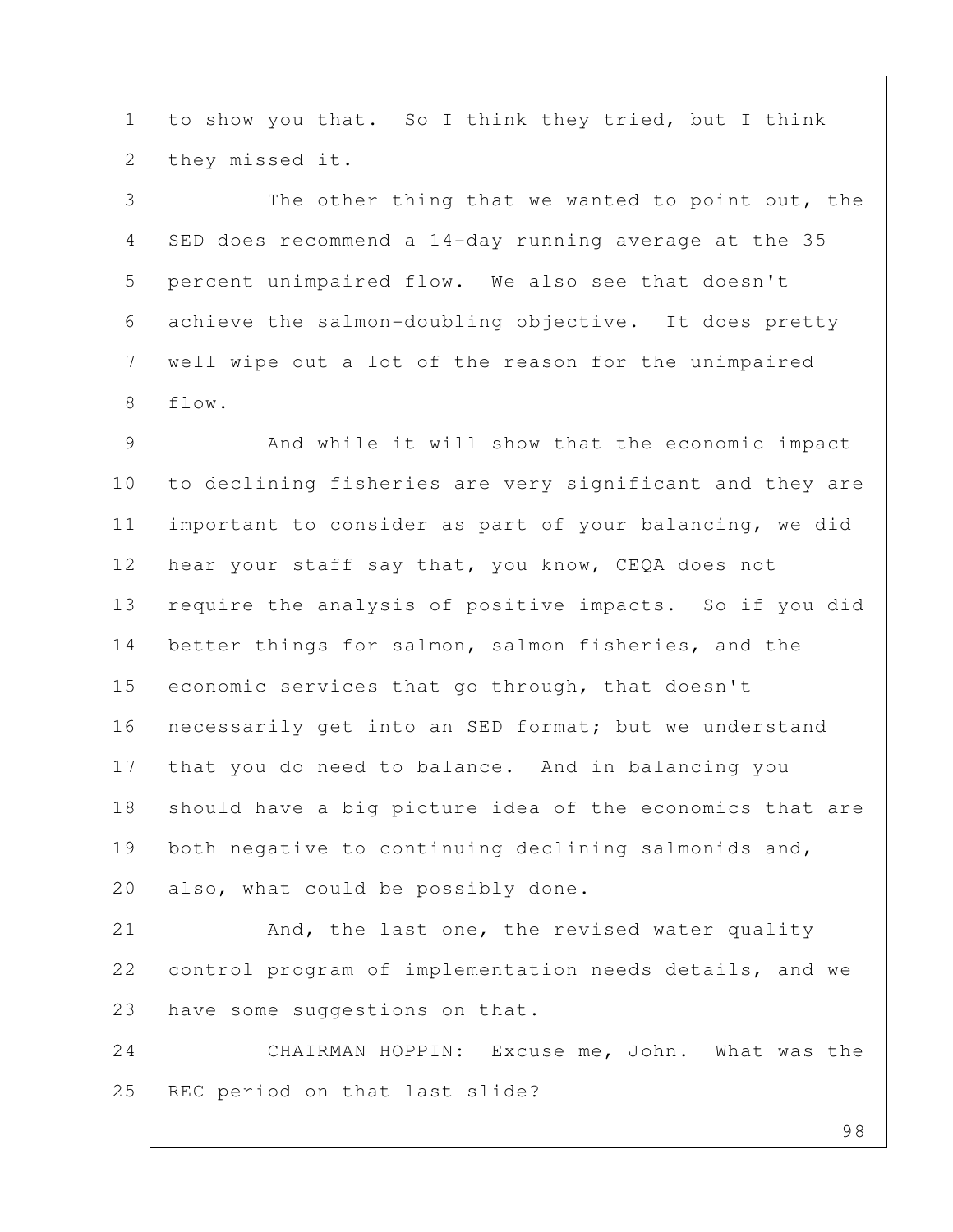1 to show you that. So I think they tried, but I think 2 | they missed it.

3 The other thing that we wanted to point out, the 4 SED does recommend a 14-day running average at the 35 5 percent unimpaired flow. We also see that doesn't 6 achieve the salmon-doubling objective. It does pretty 7 well wipe out a lot of the reason for the unimpaired 8 flow.

9 And while it will show that the economic impact 10 to declining fisheries are very significant and they are 11 important to consider as part of your balancing, we did 12 hear your staff say that, you know, CEQA does not 13 | require the analysis of positive impacts. So if you did 14 better things for salmon, salmon fisheries, and the 15 economic services that go through, that doesn't 16 | necessarily get into an SED format; but we understand 17 that you do need to balance. And in balancing you 18 should have a big picture idea of the economics that are 19 | both negative to continuing declining salmonids and, 20 also, what could be possibly done.

21 And, the last one, the revised water quality 22 control program of implementation needs details, and we 23 have some suggestions on that.

24 CHAIRMAN HOPPIN: Excuse me, John. What was the 25 | REC period on that last slide?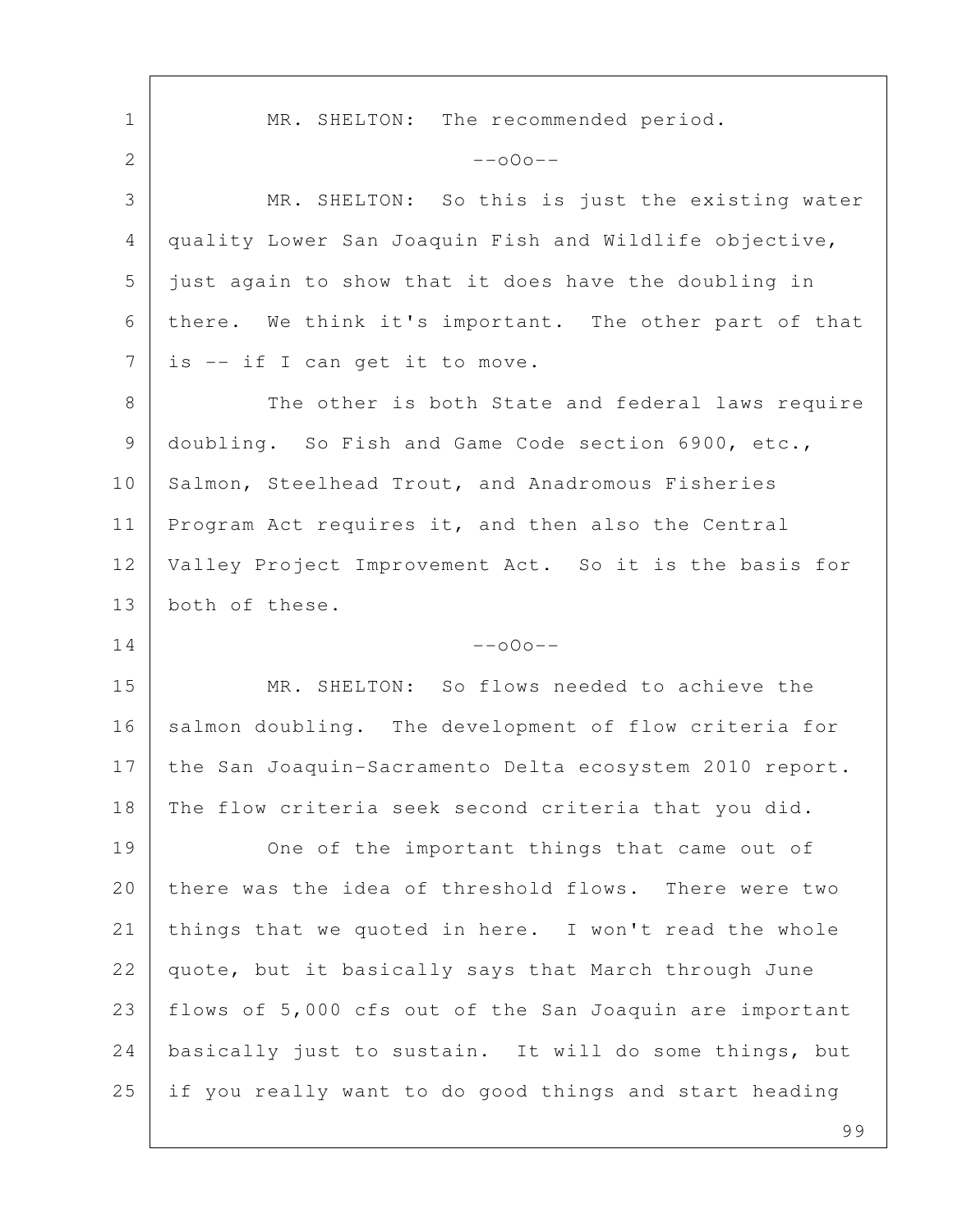1 | MR. SHELTON: The recommended period. 2  $-000--$  3 MR. SHELTON: So this is just the existing water 4 quality Lower San Joaquin Fish and Wildlife objective, 5 just again to show that it does have the doubling in 6 there. We think it's important. The other part of that 7 | is -- if I can get it to move. 8 The other is both State and federal laws require 9 doubling. So Fish and Game Code section 6900, etc., 10 Salmon, Steelhead Trout, and Anadromous Fisheries 11 Program Act requires it, and then also the Central 12 Valley Project Improvement Act. So it is the basis for 13 both of these.  $14$  --000--15 MR. SHELTON: So flows needed to achieve the 16 salmon doubling. The development of flow criteria for 17 the San Joaquin-Sacramento Delta ecosystem 2010 report. 18 The flow criteria seek second criteria that you did. 19 One of the important things that came out of 20 there was the idea of threshold flows. There were two 21 things that we quoted in here. I won't read the whole 22 quote, but it basically says that March through June 23 flows of 5,000 cfs out of the San Joaquin are important 24 | basically just to sustain. It will do some things, but 25 if you really want to do good things and start heading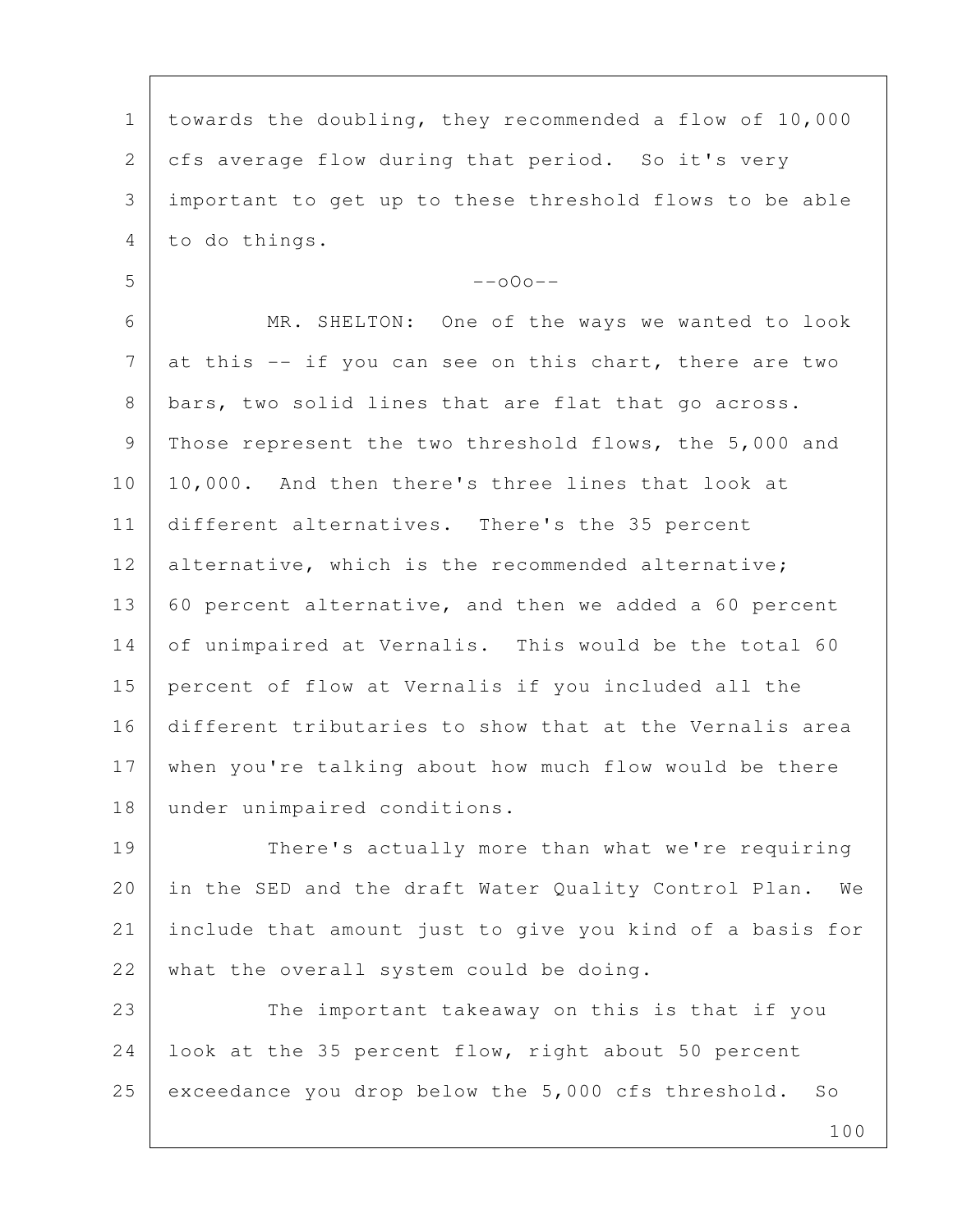1 towards the doubling, they recommended a flow of 10,000 2 | cfs average flow during that period. So it's very 3 important to get up to these threshold flows to be able 4 to do things.  $5$  --000-- 6 MR. SHELTON: One of the ways we wanted to look  $7$  at this  $-$  if you can see on this chart, there are two 8 bars, two solid lines that are flat that go across. 9 Those represent the two threshold flows, the 5,000 and 10 10,000. And then there's three lines that look at 11 different alternatives. There's the 35 percent 12 alternative, which is the recommended alternative; 13 60 percent alternative, and then we added a 60 percent 14 of unimpaired at Vernalis. This would be the total 60 15 percent of flow at Vernalis if you included all the 16 different tributaries to show that at the Vernalis area 17 when you're talking about how much flow would be there 18 under unimpaired conditions. 19 There's actually more than what we're requiring 20 in the SED and the draft Water Quality Control Plan. We 21 include that amount just to give you kind of a basis for

23 The important takeaway on this is that if you 24 look at the 35 percent flow, right about 50 percent 25 exceedance you drop below the 5,000 cfs threshold. So

22 what the overall system could be doing.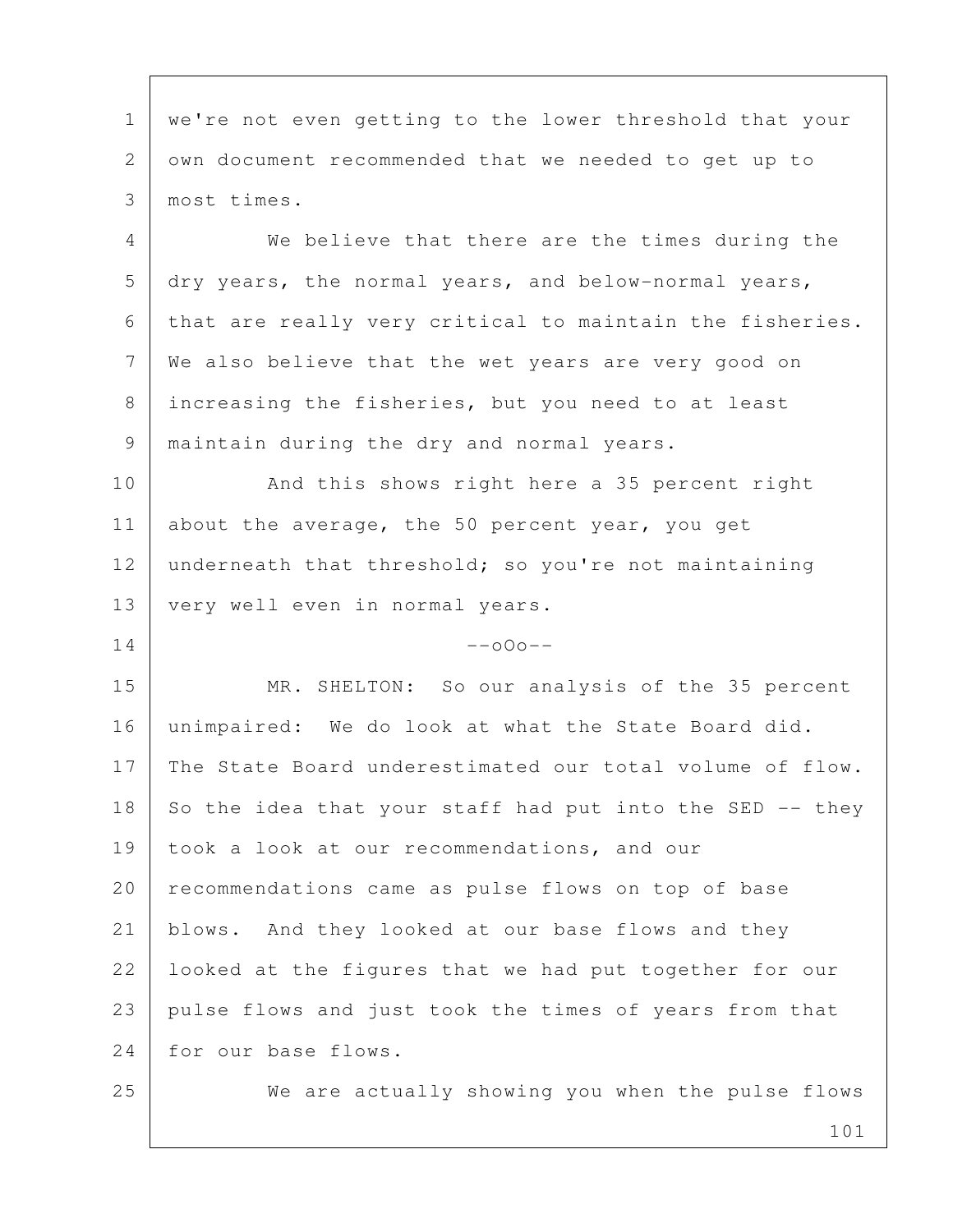1 | we're not even getting to the lower threshold that your 2 own document recommended that we needed to get up to 3 most times.

 4 We believe that there are the times during the  $5$  dry years, the normal years, and below-normal years, 6 that are really very critical to maintain the fisheries. 7 We also believe that the wet years are very good on 8 increasing the fisheries, but you need to at least 9 maintain during the dry and normal years.

10 And this shows right here a 35 percent right 11 about the average, the 50 percent year, you get 12 underneath that threshold; so you're not maintaining 13 very well even in normal years.

## $14$  --000--

15 MR. SHELTON: So our analysis of the 35 percent 16 unimpaired: We do look at what the State Board did. 17 The State Board underestimated our total volume of flow. 18 So the idea that your staff had put into the SED  $-$  they 19 took a look at our recommendations, and our 20 recommendations came as pulse flows on top of base 21 blows. And they looked at our base flows and they 22 | looked at the figures that we had put together for our 23 pulse flows and just took the times of years from that 24 for our base flows.

25 We are actually showing you when the pulse flows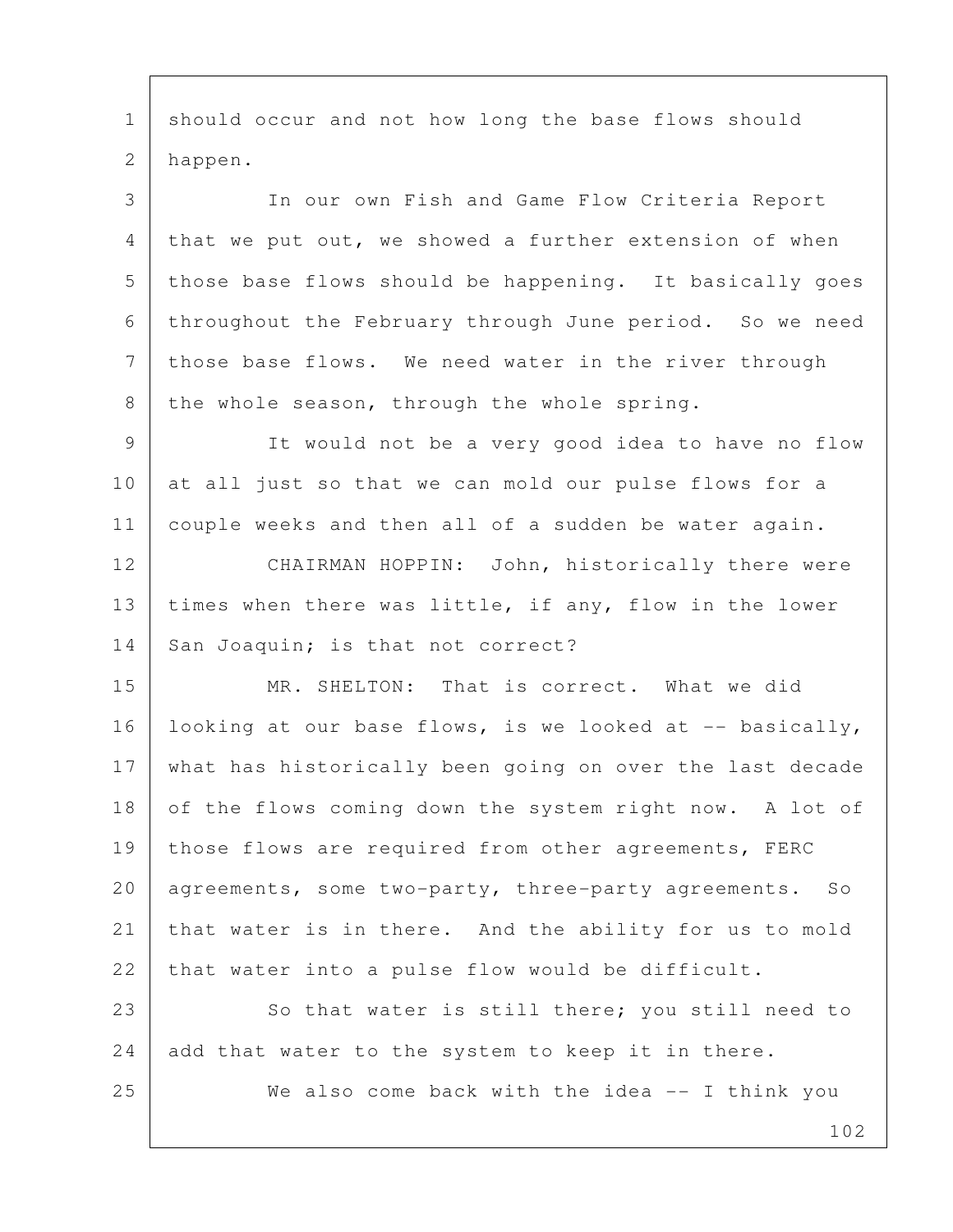1 | should occur and not how long the base flows should 2 happen.

 3 In our own Fish and Game Flow Criteria Report 4 that we put out, we showed a further extension of when 5 | those base flows should be happening. It basically goes 6 throughout the February through June period. So we need 7 those base flows. We need water in the river through 8 the whole season, through the whole spring.

 9 It would not be a very good idea to have no flow 10 at all just so that we can mold our pulse flows for a 11 couple weeks and then all of a sudden be water again.

12 CHAIRMAN HOPPIN: John, historically there were 13 | times when there was little, if any, flow in the lower 14 | San Joaquin; is that not correct?

15 MR. SHELTON: That is correct. What we did 16 | looking at our base flows, is we looked at  $-$ - basically, 17 what has historically been going on over the last decade 18 of the flows coming down the system right now. A lot of 19 | those flows are required from other agreements, FERC 20 | agreements, some two-party, three-party agreements. So 21 that water is in there. And the ability for us to mold 22 that water into a pulse flow would be difficult.

23 So that water is still there; you still need to 24 add that water to the system to keep it in there.

25 We also come back with the idea -- I think you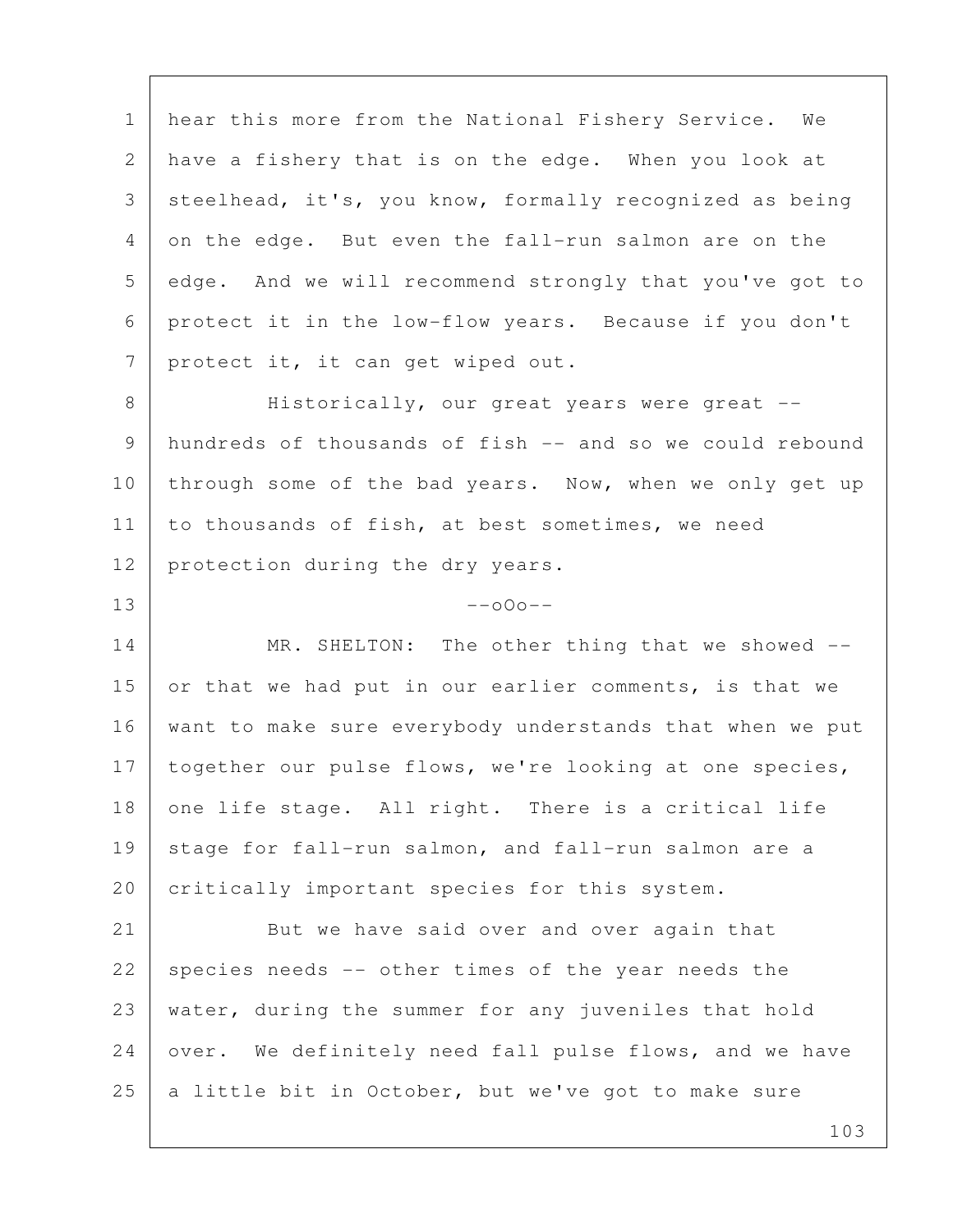1 | hear this more from the National Fishery Service. We 2 have a fishery that is on the edge. When you look at 3 steelhead, it's, you know, formally recognized as being 4 on the edge. But even the fall-run salmon are on the 5 edge. And we will recommend strongly that you've got to 6 protect it in the low-flow years. Because if you don't 7 protect it, it can get wiped out.

8 | Historically, our great years were great -- 9 hundreds of thousands of fish -- and so we could rebound 10 through some of the bad years. Now, when we only get up 11 | to thousands of fish, at best sometimes, we need 12 | protection during the dry years.

 $13$  --000--

14 MR. SHELTON: The other thing that we showed --15 or that we had put in our earlier comments, is that we 16 want to make sure everybody understands that when we put 17 together our pulse flows, we're looking at one species, 18 one life stage. All right. There is a critical life 19 stage for fall-run salmon, and fall-run salmon are a 20 critically important species for this system.

21 But we have said over and over again that 22 species needs -- other times of the year needs the 23 water, during the summer for any juveniles that hold 24 over. We definitely need fall pulse flows, and we have 25  $\vert$  a little bit in October, but we've got to make sure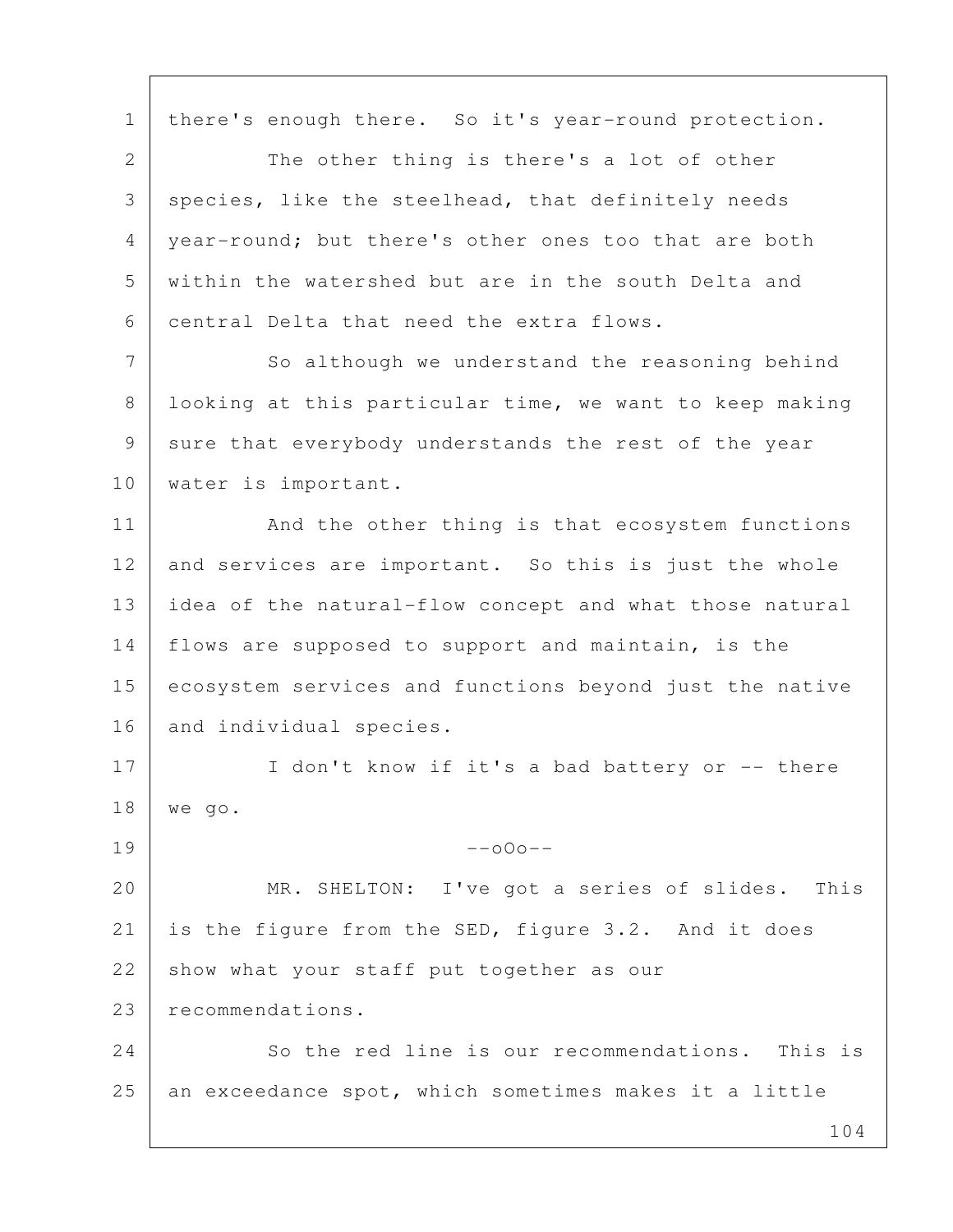1 | there's enough there. So it's year-round protection. 2 The other thing is there's a lot of other 3 species, like the steelhead, that definitely needs 4 | year-round; but there's other ones too that are both 5 within the watershed but are in the south Delta and 6 central Delta that need the extra flows. 7 So although we understand the reasoning behind 8 looking at this particular time, we want to keep making 9 sure that everybody understands the rest of the year 10 | water is important. 11 | And the other thing is that ecosystem functions 12 and services are important. So this is just the whole 13 idea of the natural-flow concept and what those natural 14 flows are supposed to support and maintain, is the 15 ecosystem services and functions beyond just the native 16 and individual species. 17 I don't know if it's a bad battery or -- there 18 we go.  $19$  --000--20 MR. SHELTON: I've got a series of slides. This 21 is the figure from the SED, figure 3.2. And it does 22 show what your staff put together as our 23 recommendations. 24 So the red line is our recommendations. This is 25 an exceedance spot, which sometimes makes it a little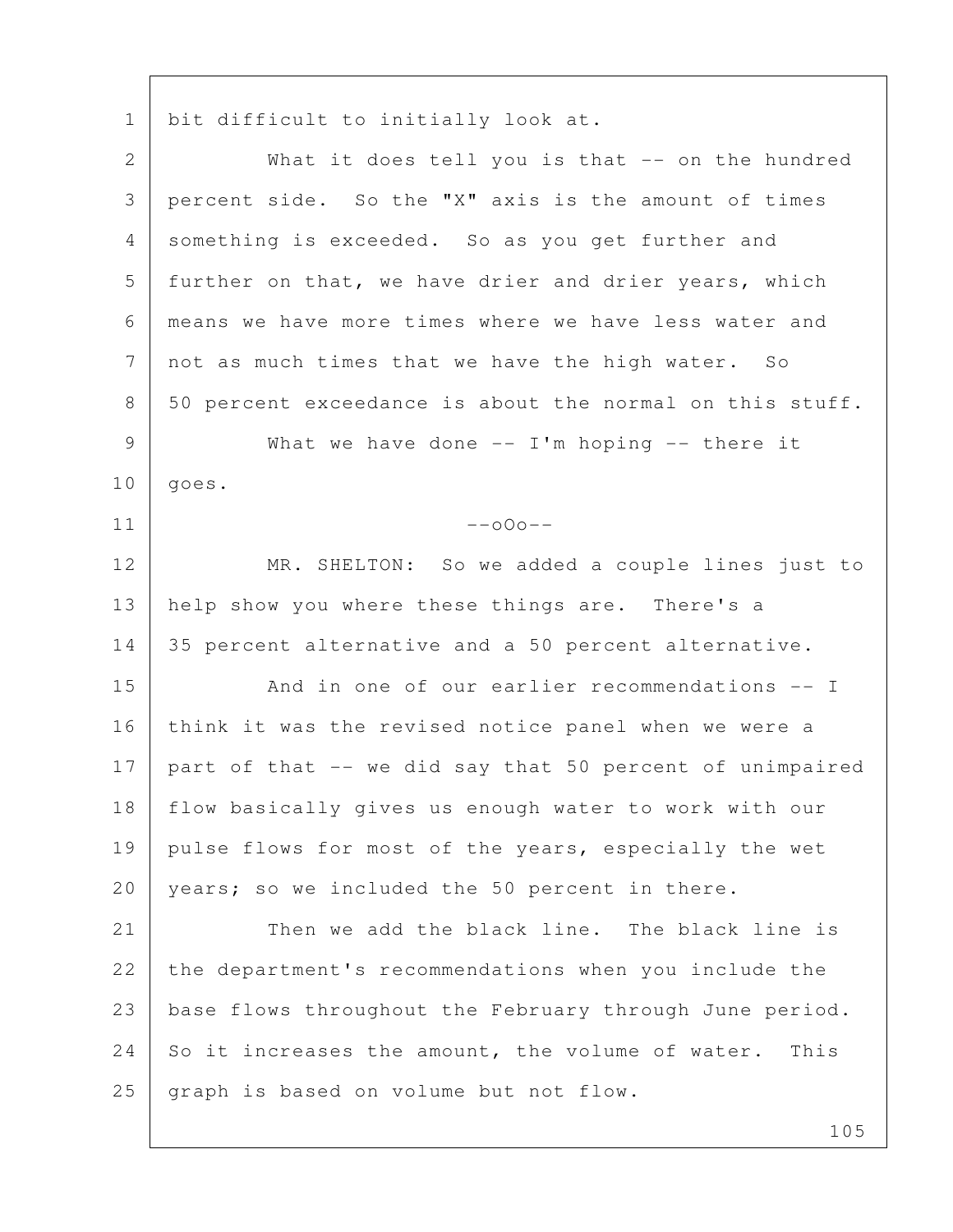1 | bit difficult to initially look at.

2 What it does tell you is that -- on the hundred 3 percent side. So the "X" axis is the amount of times 4 something is exceeded. So as you get further and 5 further on that, we have drier and drier years, which 6 means we have more times where we have less water and 7 not as much times that we have the high water. So 8 50 percent exceedance is about the normal on this stuff. 9 What we have done -- I'm hoping -- there it  $10$  goes.  $11$  --000--12 MR. SHELTON: So we added a couple lines just to 13 | help show you where these things are. There's a 14 35 percent alternative and a 50 percent alternative. 15 And in one of our earlier recommendations -- I 16 think it was the revised notice panel when we were a  $17$  part of that  $--$  we did say that 50 percent of unimpaired 18 flow basically gives us enough water to work with our 19 pulse flows for most of the years, especially the wet 20 years; so we included the 50 percent in there. 21 Then we add the black line. The black line is 22 the department's recommendations when you include the 23 base flows throughout the February through June period. 24 So it increases the amount, the volume of water. This 25 graph is based on volume but not flow.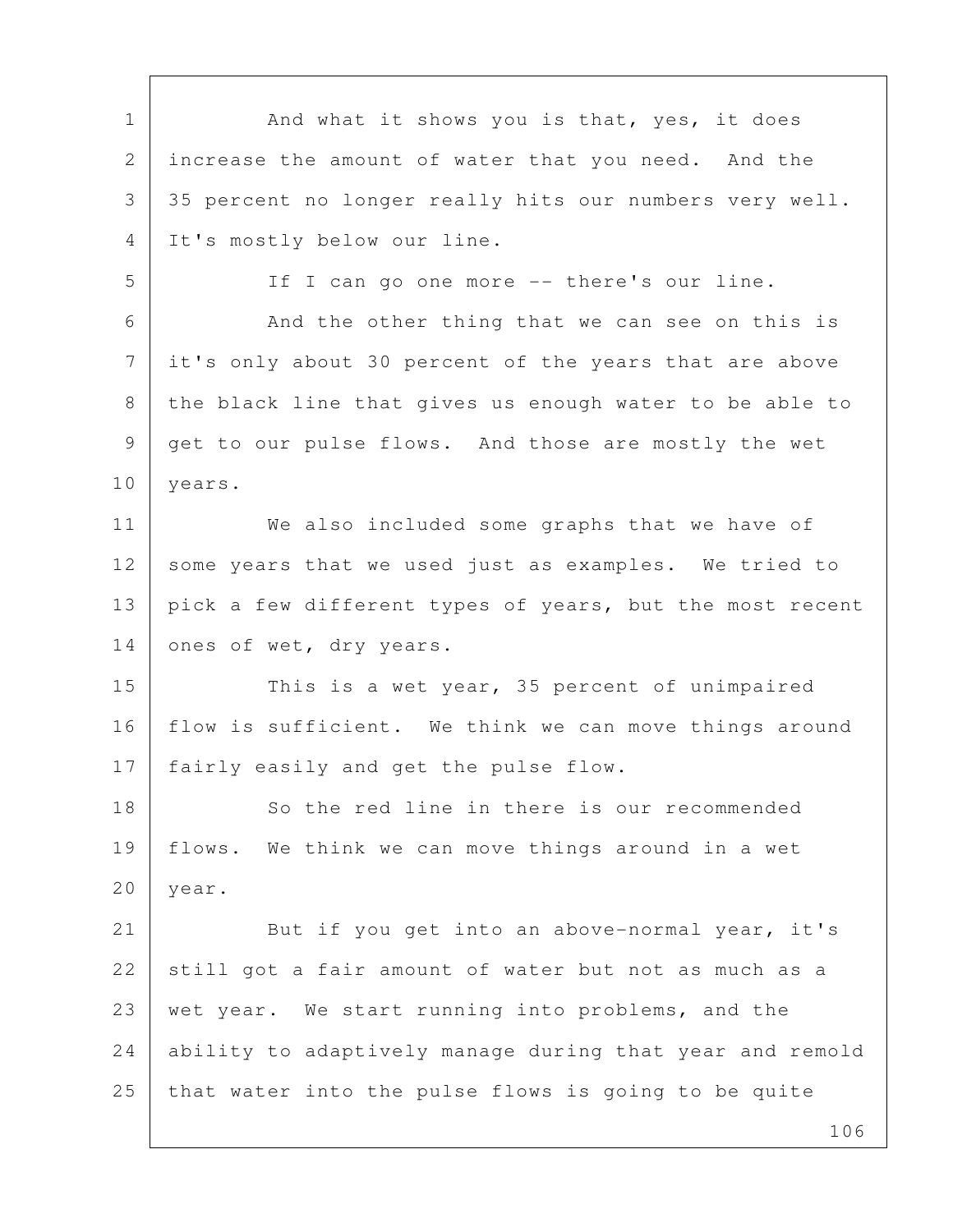1 | And what it shows you is that, yes, it does 2 increase the amount of water that you need. And the 3 35 percent no longer really hits our numbers very well. 4 It's mostly below our line. 5 | If I can go one more -- there's our line. 6 And the other thing that we can see on this is 7 it's only about 30 percent of the years that are above 8 the black line that gives us enough water to be able to 9 get to our pulse flows. And those are mostly the wet 10 | years. 11 We also included some graphs that we have of 12 some years that we used just as examples. We tried to 13 pick a few different types of years, but the most recent 14 ones of wet, dry years. 15 This is a wet year, 35 percent of unimpaired 16 | flow is sufficient. We think we can move things around 17 | fairly easily and get the pulse flow. 18 So the red line in there is our recommended 19 flows. We think we can move things around in a wet 20 year. 21 But if you get into an above-normal year, it's 22 still got a fair amount of water but not as much as a 23 wet year. We start running into problems, and the 24 ability to adaptively manage during that year and remold 25 that water into the pulse flows is going to be quite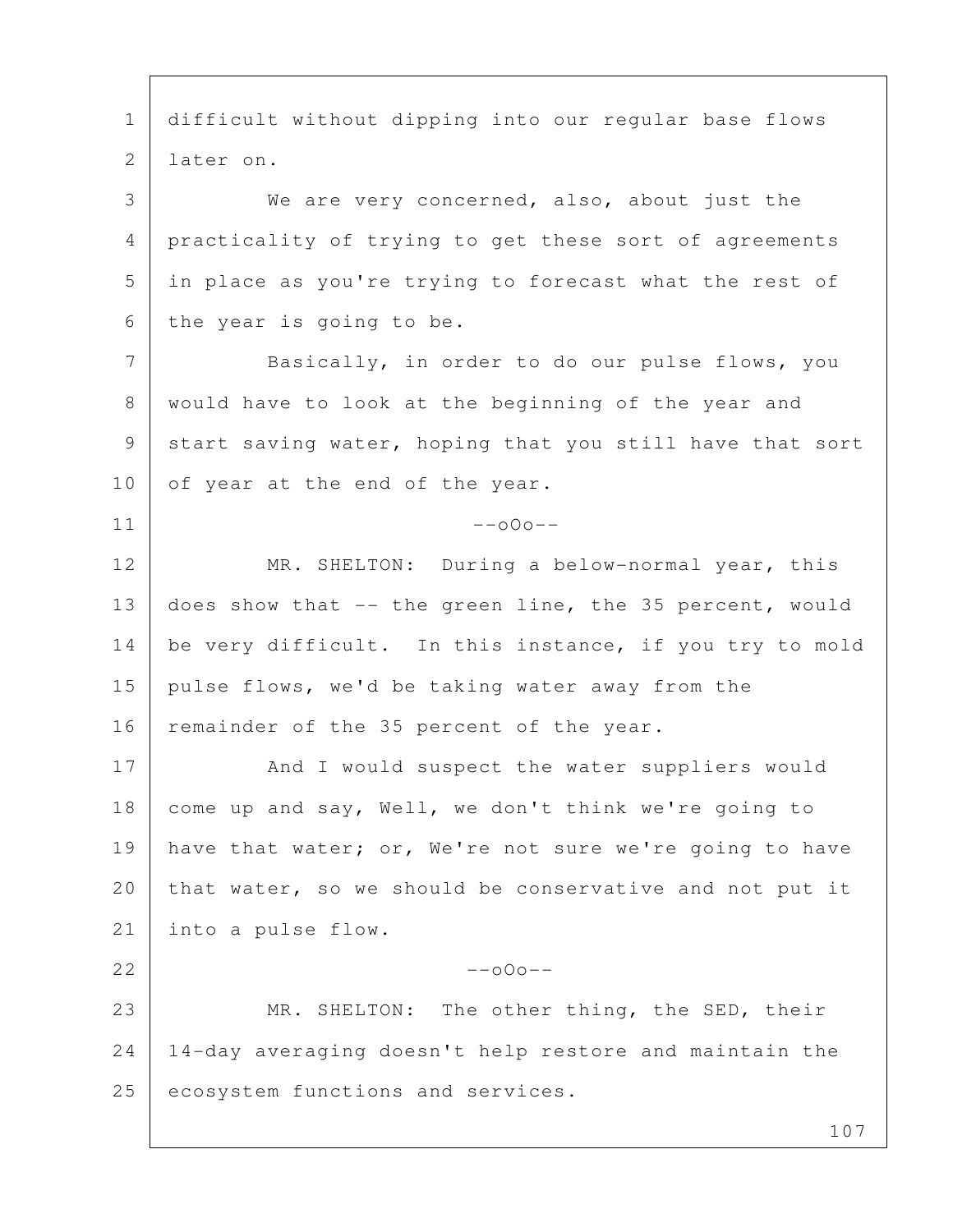107 1 difficult without dipping into our regular base flows 2 later on. 3 We are very concerned, also, about just the 4 practicality of trying to get these sort of agreements 5 in place as you're trying to forecast what the rest of 6 the year is going to be. 7 Basically, in order to do our pulse flows, you 8 would have to look at the beginning of the year and 9 start saving water, hoping that you still have that sort 10 of year at the end of the year.  $11$  --000--12 MR. SHELTON: During a below-normal year, this 13 does show that -- the green line, the 35 percent, would 14 be very difficult. In this instance, if you try to mold 15 pulse flows, we'd be taking water away from the 16 | remainder of the 35 percent of the year. 17 And I would suspect the water suppliers would 18 come up and say, Well, we don't think we're going to 19 have that water; or, We're not sure we're going to have 20 | that water, so we should be conservative and not put it 21 into a pulse flow.  $22$  --000--23 MR. SHELTON: The other thing, the SED, their 24 14-day averaging doesn't help restore and maintain the 25 ecosystem functions and services.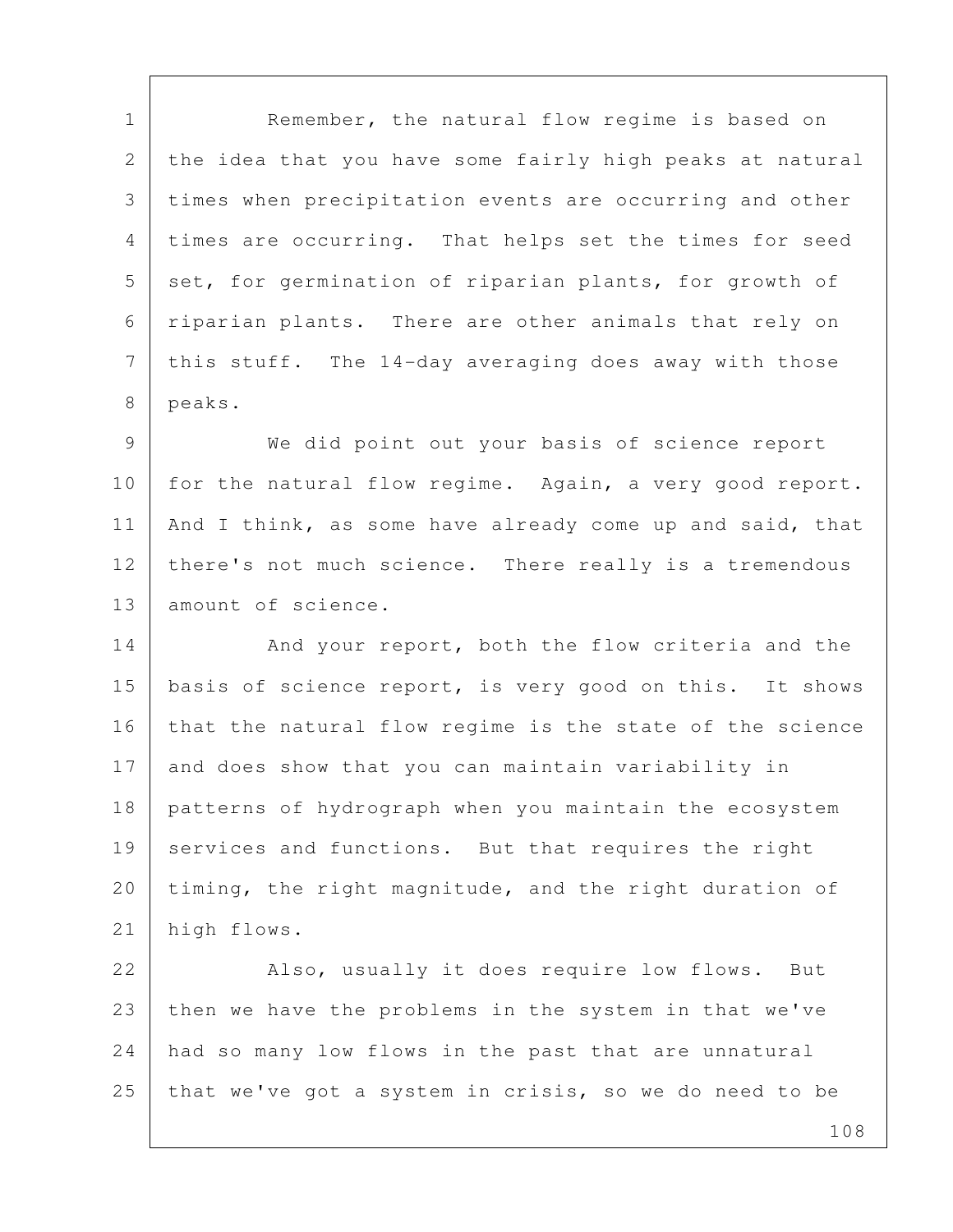1 Remember, the natural flow regime is based on 2 the idea that you have some fairly high peaks at natural 3 times when precipitation events are occurring and other 4 times are occurring. That helps set the times for seed 5 set, for germination of riparian plants, for growth of 6 riparian plants. There are other animals that rely on 7 | this stuff. The 14-day averaging does away with those 8 peaks.

 9 We did point out your basis of science report 10 for the natural flow regime. Again, a very good report. 11 | And I think, as some have already come up and said, that 12 there's not much science. There really is a tremendous 13 amount of science.

14 And your report, both the flow criteria and the 15 basis of science report, is very good on this. It shows 16 that the natural flow regime is the state of the science 17 and does show that you can maintain variability in 18 patterns of hydrograph when you maintain the ecosystem 19 services and functions. But that requires the right 20 timing, the right magnitude, and the right duration of 21 high flows.

22 Also, usually it does require low flows. But 23 then we have the problems in the system in that we've 24 had so many low flows in the past that are unnatural 25 that we've got a system in crisis, so we do need to be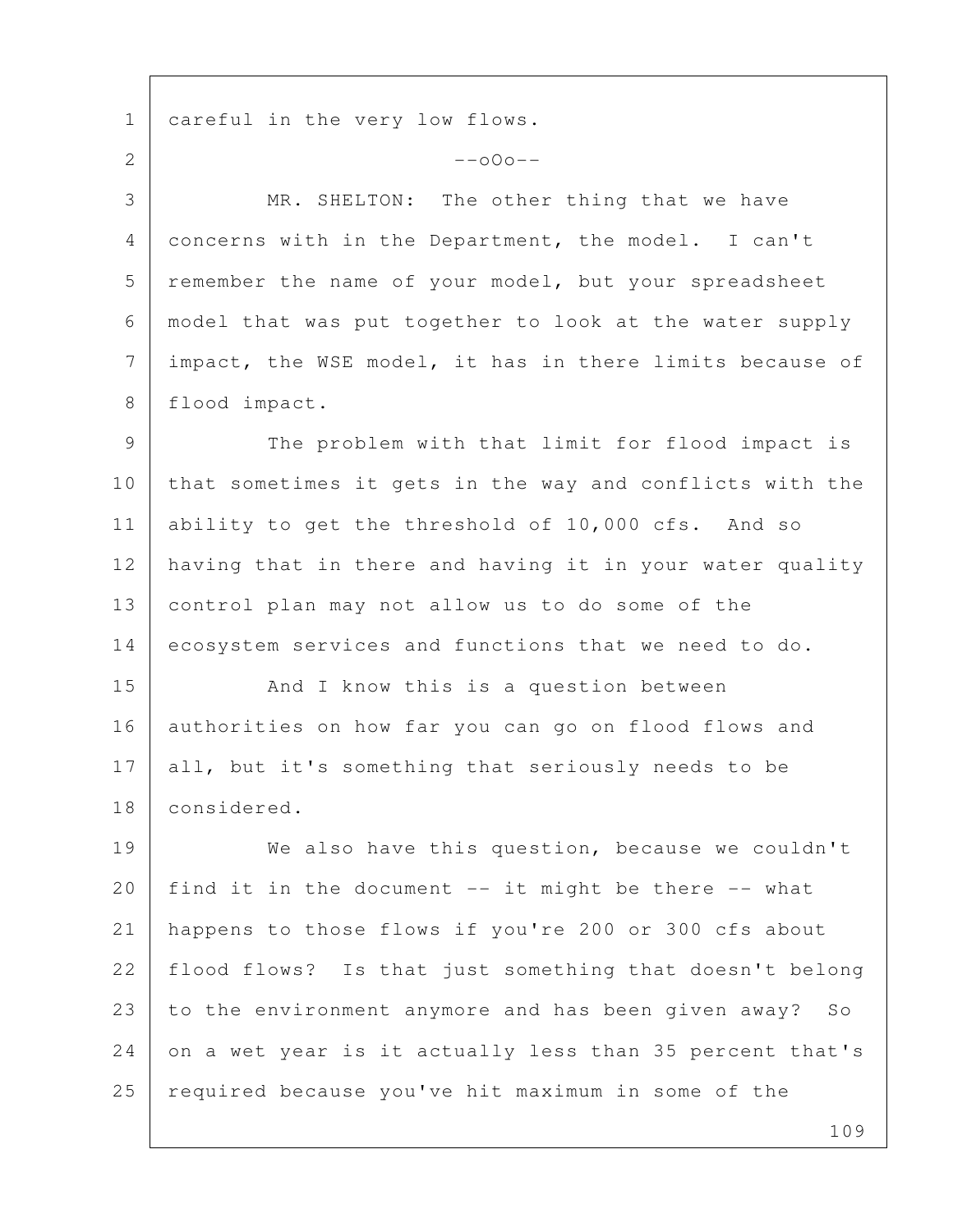1 careful in the very low flows.  $2$  --000--3 MR. SHELTON: The other thing that we have 4 concerns with in the Department, the model. I can't 5 remember the name of your model, but your spreadsheet 6 model that was put together to look at the water supply 7 | impact, the WSE model, it has in there limits because of 8 flood impact. 9 The problem with that limit for flood impact is 10 that sometimes it gets in the way and conflicts with the 11 ability to get the threshold of 10,000 cfs. And so 12 having that in there and having it in your water quality 13 control plan may not allow us to do some of the 14 ecosystem services and functions that we need to do. 15 | And I know this is a question between 16 authorities on how far you can go on flood flows and 17 all, but it's something that seriously needs to be 18 considered. 19 We also have this question, because we couldn't 20 | find it in the document  $--$  it might be there  $--$  what 21 happens to those flows if you're 200 or 300 cfs about 22 | flood flows? Is that just something that doesn't belong 23 to the environment anymore and has been given away? So 24 on a wet year is it actually less than 35 percent that's 25 required because you've hit maximum in some of the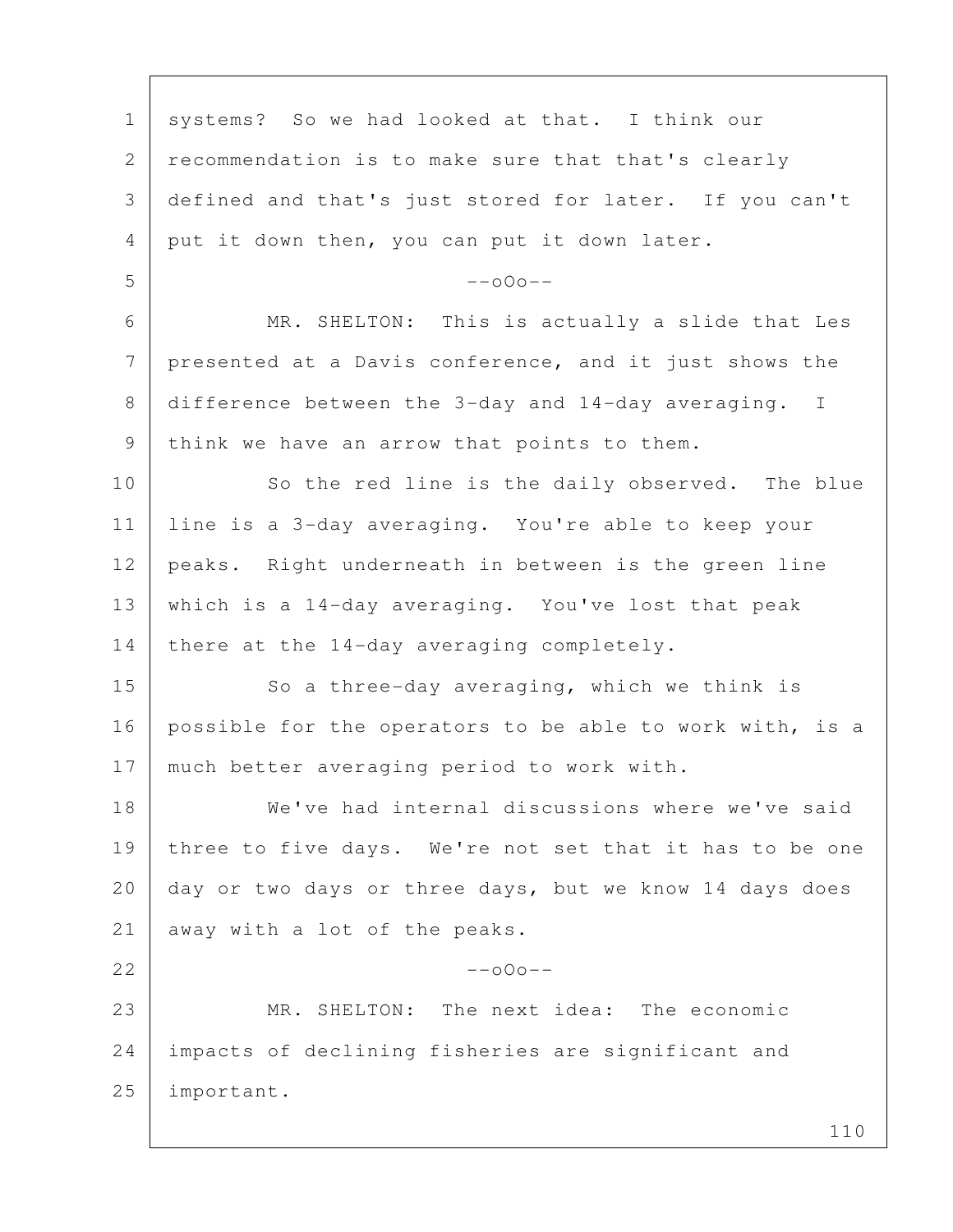| $\mathbf 1$ | systems? So we had looked at that. I think our           |
|-------------|----------------------------------------------------------|
| 2           | recommendation is to make sure that that's clearly       |
| 3           | defined and that's just stored for later. If you can't   |
| 4           | put it down then, you can put it down later.             |
| 5           | $--000--$                                                |
| 6           | MR. SHELTON: This is actually a slide that Les           |
| 7           | presented at a Davis conference, and it just shows the   |
| 8           | difference between the 3-day and 14-day averaging. I     |
| 9           | think we have an arrow that points to them.              |
| 10          | So the red line is the daily observed. The blue          |
| 11          | line is a 3-day averaging. You're able to keep your      |
| 12          | peaks. Right underneath in between is the green line     |
| 13          | which is a 14-day averaging. You've lost that peak       |
| 14          | there at the 14-day averaging completely.                |
| 15          | So a three-day averaging, which we think is              |
| 16          | possible for the operators to be able to work with, is a |
| 17          | much better averaging period to work with.               |
| 18          | We've had internal discussions where we've said          |
| 19          | three to five days. We're not set that it has to be one  |
| 20          | day or two days or three days, but we know 14 days does  |
| 21          | away with a lot of the peaks.                            |
| 22          | $--000--$                                                |
| 23          | MR. SHELTON: The next idea: The economic                 |
| 24          | impacts of declining fisheries are significant and       |
| 25          | important.                                               |
|             | 110                                                      |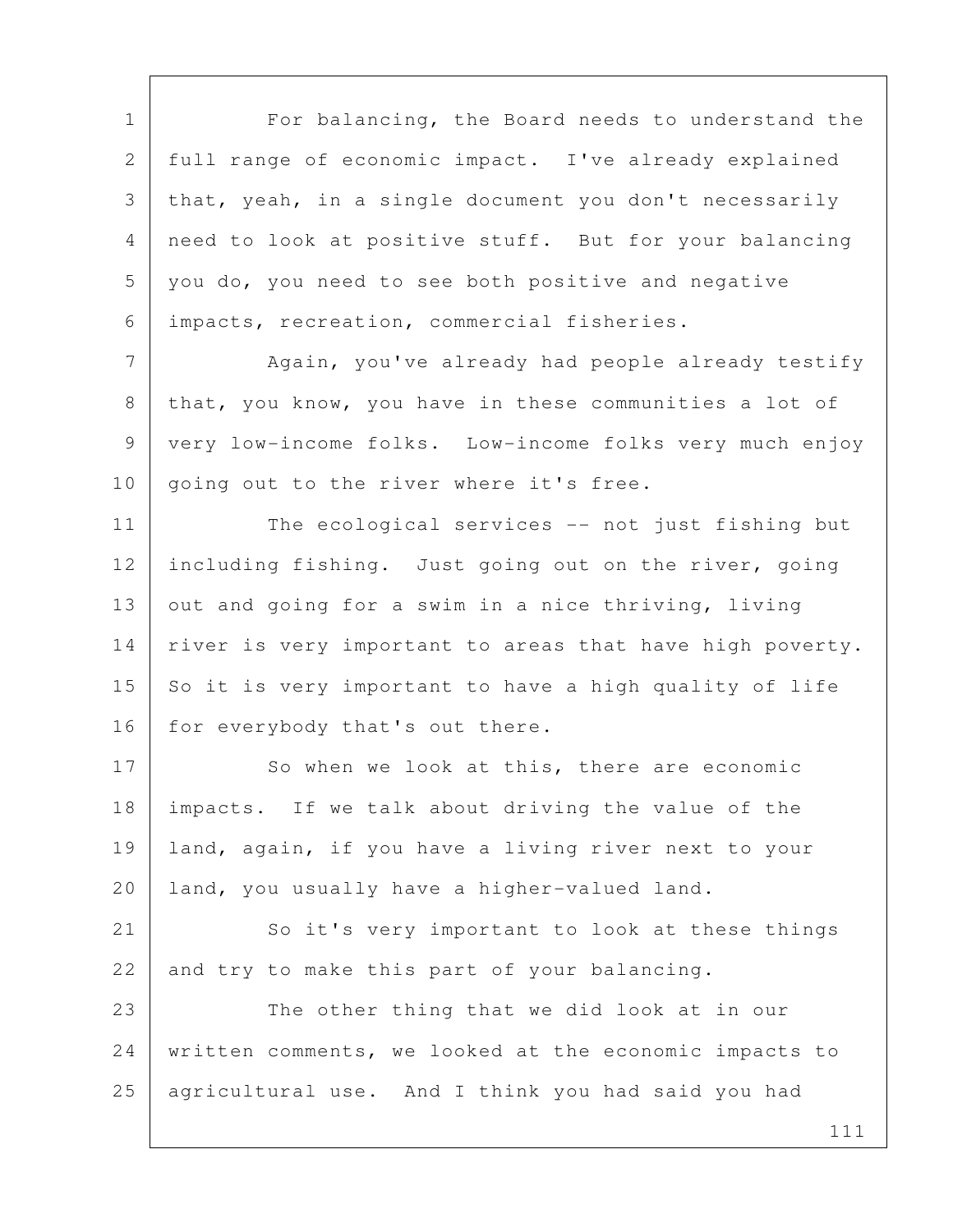111 1 For balancing, the Board needs to understand the 2 full range of economic impact. I've already explained 3 that, yeah, in a single document you don't necessarily 4 need to look at positive stuff. But for your balancing 5 you do, you need to see both positive and negative 6 impacts, recreation, commercial fisheries. 7 Again, you've already had people already testify 8 that, you know, you have in these communities a lot of 9 very low-income folks. Low-income folks very much enjoy 10 | going out to the river where it's free. 11 The ecological services -- not just fishing but 12 including fishing. Just going out on the river, going 13 out and going for a swim in a nice thriving, living 14 | river is very important to areas that have high poverty.  $15$  So it is very important to have a high quality of life 16 for everybody that's out there. 17 So when we look at this, there are economic 18 impacts. If we talk about driving the value of the 19 land, again, if you have a living river next to your 20 land, you usually have a higher-valued land. 21 So it's very important to look at these things 22 and try to make this part of your balancing. 23 The other thing that we did look at in our 24 written comments, we looked at the economic impacts to 25 agricultural use. And I think you had said you had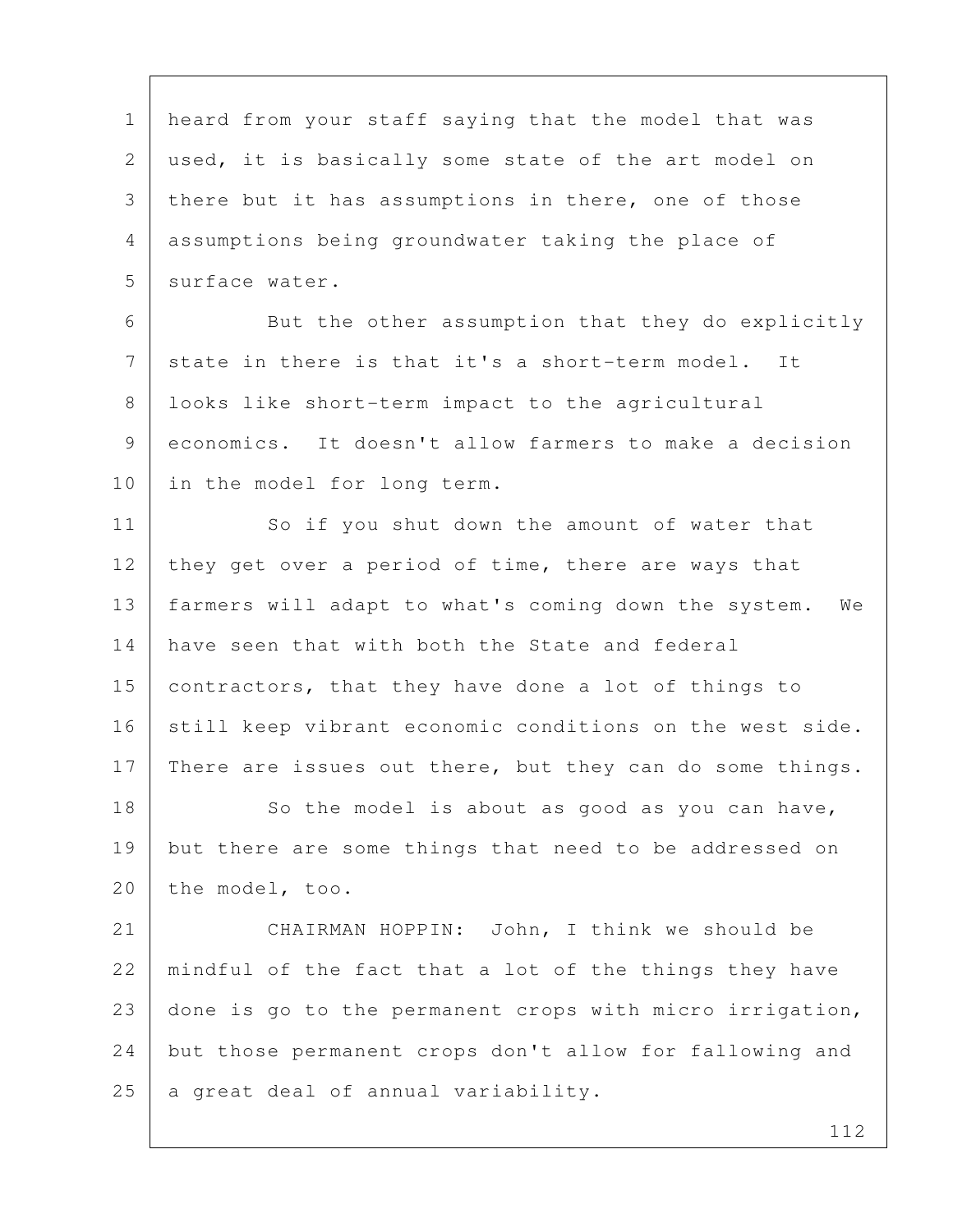1 heard from your staff saying that the model that was 2 used, it is basically some state of the art model on 3 there but it has assumptions in there, one of those 4 assumptions being groundwater taking the place of 5 surface water. 6 But the other assumption that they do explicitly 7 state in there is that it's a short-term model. It 8 looks like short-term impact to the agricultural 9 economics. It doesn't allow farmers to make a decision 10 in the model for long term. 11 So if you shut down the amount of water that 12 they get over a period of time, there are ways that 13 farmers will adapt to what's coming down the system. We 14 have seen that with both the State and federal 15 contractors, that they have done a lot of things to 16 still keep vibrant economic conditions on the west side. 17 There are issues out there, but they can do some things. 18 So the model is about as good as you can have, 19 but there are some things that need to be addressed on 20 the model, too. 21 CHAIRMAN HOPPIN: John, I think we should be 22 | mindful of the fact that a lot of the things they have 23 done is go to the permanent crops with micro irrigation, 24 but those permanent crops don't allow for fallowing and  $25$  a great deal of annual variability.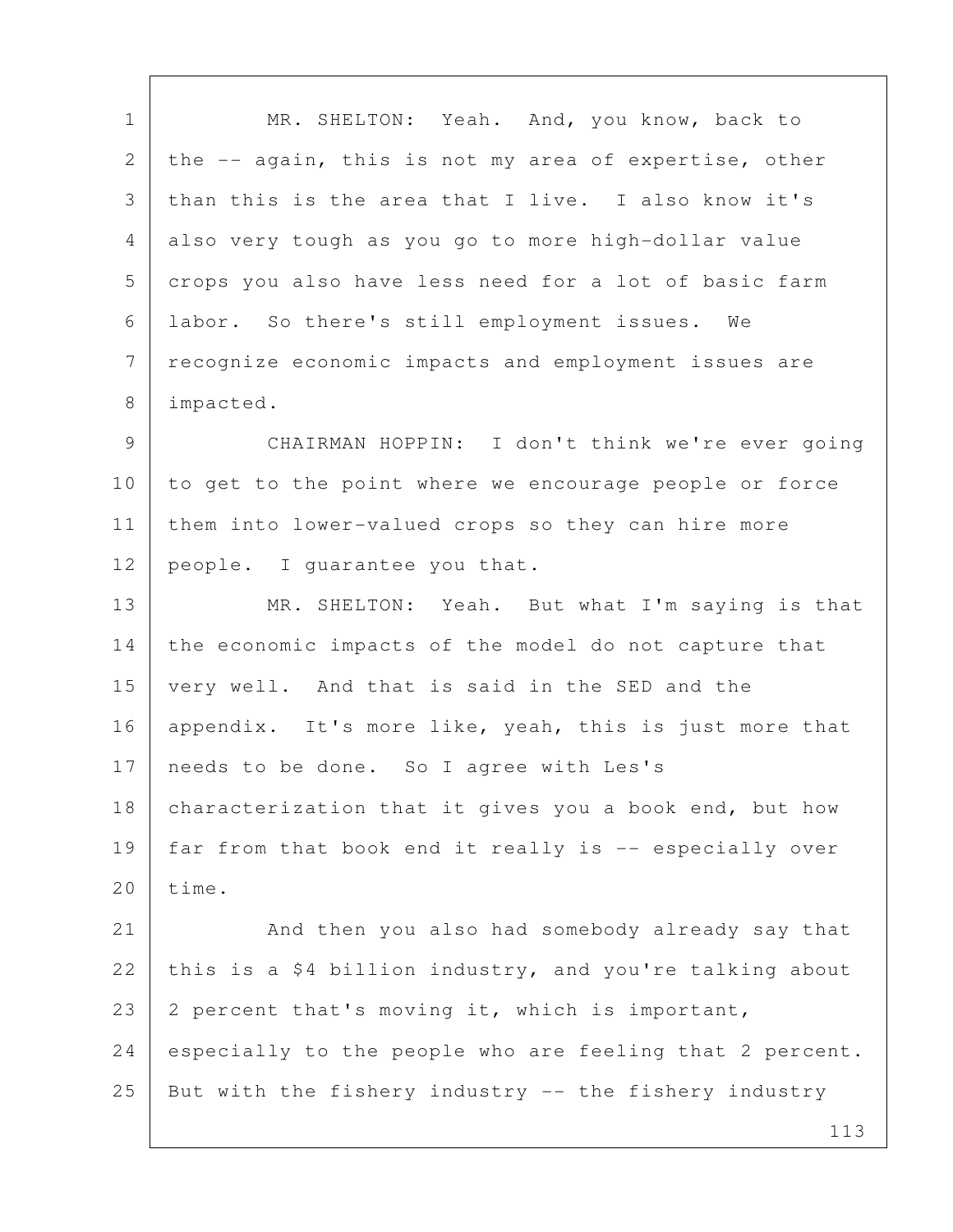| $\mathbf{1}$    | MR. SHELTON: Yeah. And, you know, back to                |
|-----------------|----------------------------------------------------------|
| 2               | the -- again, this is not my area of expertise, other    |
| 3               | than this is the area that I live. I also know it's      |
| 4               | also very tough as you go to more high-dollar value      |
| 5               | crops you also have less need for a lot of basic farm    |
| 6               | labor. So there's still employment issues. We            |
| $7\phantom{.0}$ | recognize economic impacts and employment issues are     |
| 8               | impacted.                                                |
| 9               | CHAIRMAN HOPPIN: I don't think we're ever going          |
| 10              | to get to the point where we encourage people or force   |
| 11              | them into lower-valued crops so they can hire more       |
| 12              | people. I quarantee you that.                            |
| 13              | MR. SHELTON: Yeah. But what I'm saying is that           |
| 14              | the economic impacts of the model do not capture that    |
| 15              | very well. And that is said in the SED and the           |
| 16              | appendix. It's more like, yeah, this is just more that   |
| 17              | needs to be done. So I agree with Les's                  |
| 18              | characterization that it gives you a book end, but how   |
| 19              | far from that book end it really is -- especially over   |
| 20              | time.                                                    |
| 21              | And then you also had somebody already say that          |
| 22              | this is a \$4 billion industry, and you're talking about |
| 23              | 2 percent that's moving it, which is important,          |
| 24              | especially to the people who are feeling that 2 percent. |
| 25              | But with the fishery industry -- the fishery industry    |
|                 | 113                                                      |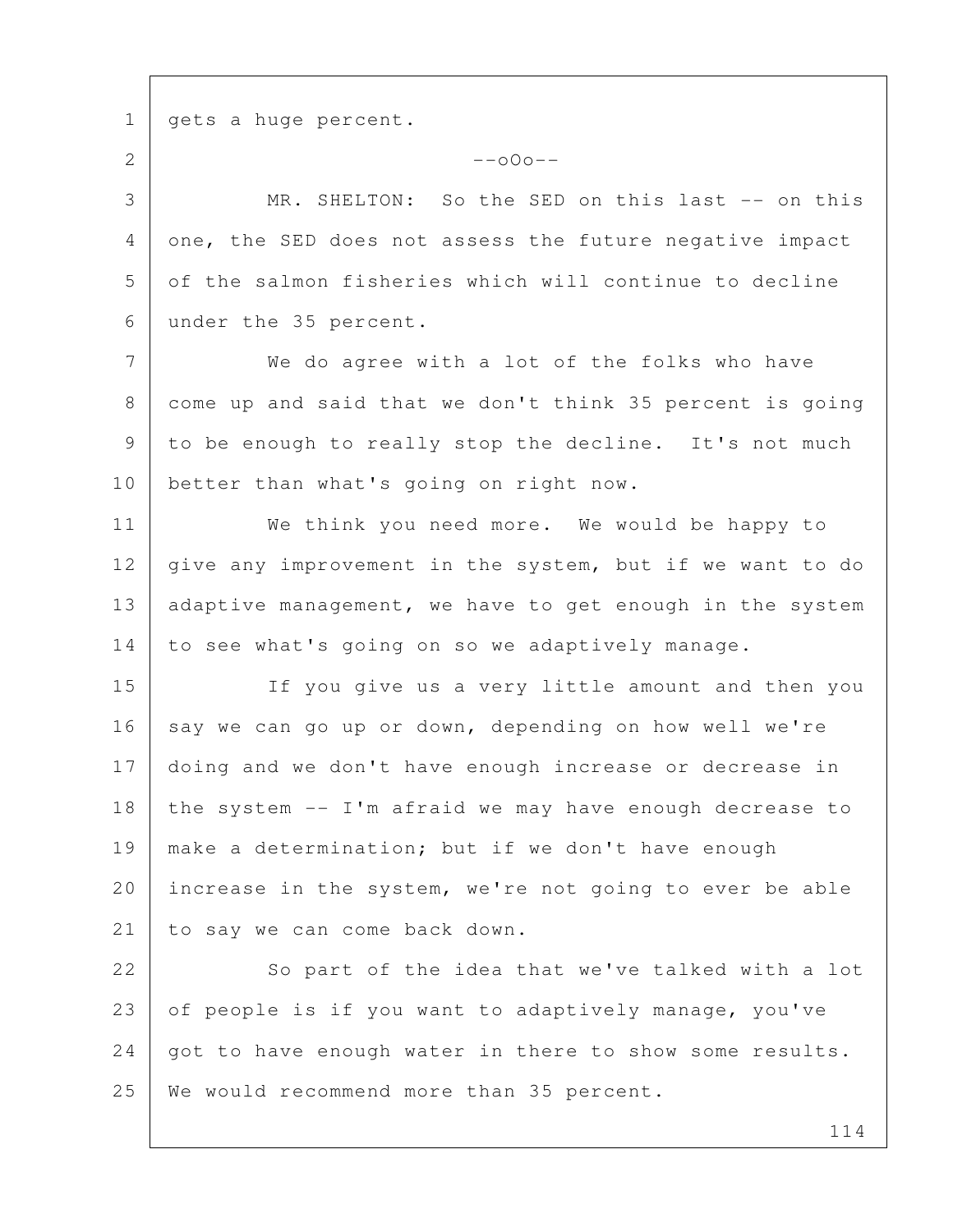1 | gets a huge percent. 2  $-$ o $0$ o $-$  3 MR. SHELTON: So the SED on this last -- on this 4 one, the SED does not assess the future negative impact 5 of the salmon fisheries which will continue to decline 6 under the 35 percent. 7 We do agree with a lot of the folks who have 8 come up and said that we don't think 35 percent is going 9 to be enough to really stop the decline. It's not much 10 better than what's going on right now. 11 We think you need more. We would be happy to 12 | give any improvement in the system, but if we want to do 13 adaptive management, we have to get enough in the system 14 to see what's going on so we adaptively manage. 15 If you give us a very little amount and then you 16 say we can go up or down, depending on how well we're 17 doing and we don't have enough increase or decrease in 18 the system -- I'm afraid we may have enough decrease to 19 make a determination; but if we don't have enough 20 increase in the system, we're not going to ever be able 21 to say we can come back down. 22 So part of the idea that we've talked with a lot 23 of people is if you want to adaptively manage, you've 24 | got to have enough water in there to show some results. 25 | We would recommend more than 35 percent.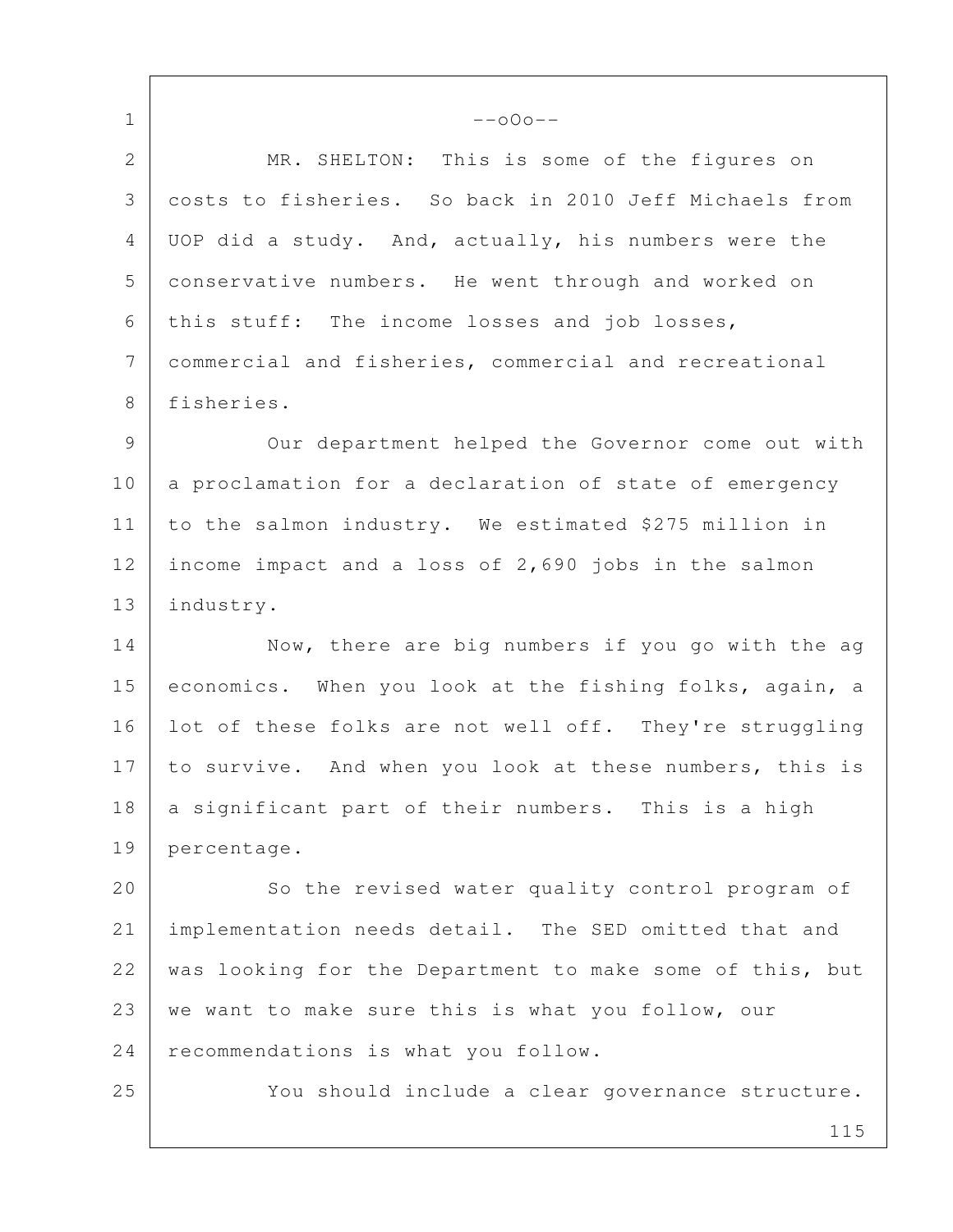$1$  --000-- 2 MR. SHELTON: This is some of the figures on 3 costs to fisheries. So back in 2010 Jeff Michaels from 4 UOP did a study. And, actually, his numbers were the 5 conservative numbers. He went through and worked on 6 this stuff: The income losses and job losses, 7 commercial and fisheries, commercial and recreational 8 fisheries. 9 | Our department helped the Governor come out with 10 a proclamation for a declaration of state of emergency 11 to the salmon industry. We estimated \$275 million in 12 income impact and a loss of 2,690 jobs in the salmon 13 | industry. 14 Now, there are big numbers if you go with the ag 15 economics. When you look at the fishing folks, again, a 16 Iot of these folks are not well off. They're struggling 17 to survive. And when you look at these numbers, this is 18 a significant part of their numbers. This is a high 19 percentage. 20 So the revised water quality control program of 21 implementation needs detail. The SED omitted that and 22 | was looking for the Department to make some of this, but 23 we want to make sure this is what you follow, our 24 recommendations is what you follow. 25 You should include a clear governance structure.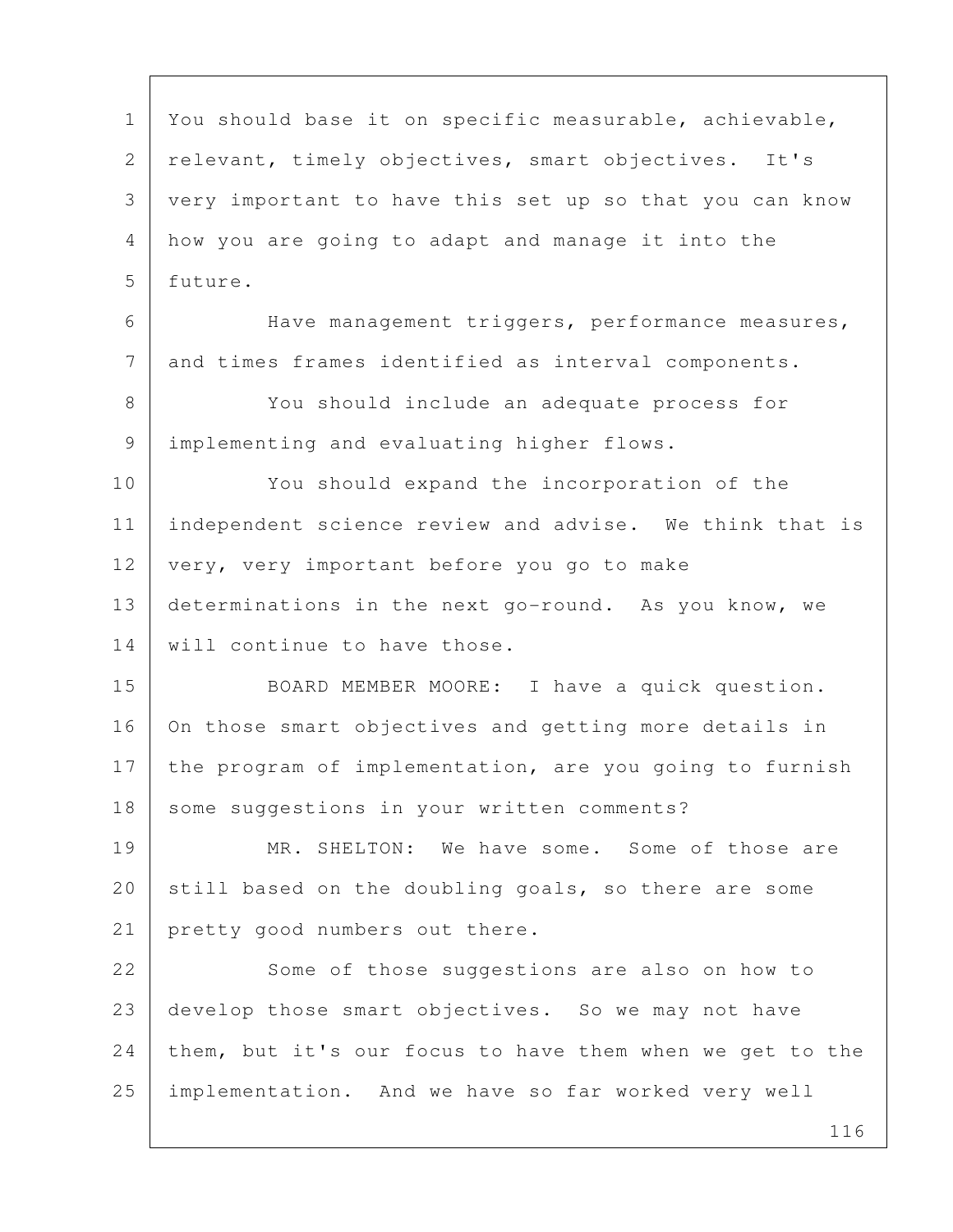116 1 You should base it on specific measurable, achievable, 2 relevant, timely objectives, smart objectives. It's 3 very important to have this set up so that you can know 4 how you are going to adapt and manage it into the 5 future. 6 Have management triggers, performance measures, 7 and times frames identified as interval components. 8 You should include an adequate process for 9 implementing and evaluating higher flows. 10 You should expand the incorporation of the 11 independent science review and advise. We think that is 12 very, very important before you go to make 13 determinations in the next go-round. As you know, we 14 | will continue to have those. 15 BOARD MEMBER MOORE: I have a quick question. 16 On those smart objectives and getting more details in 17 the program of implementation, are you going to furnish 18 some suggestions in your written comments? 19 MR. SHELTON: We have some. Some of those are 20 still based on the doubling goals, so there are some 21 pretty good numbers out there. 22 Some of those suggestions are also on how to 23 develop those smart objectives. So we may not have 24 them, but it's our focus to have them when we get to the 25 implementation. And we have so far worked very well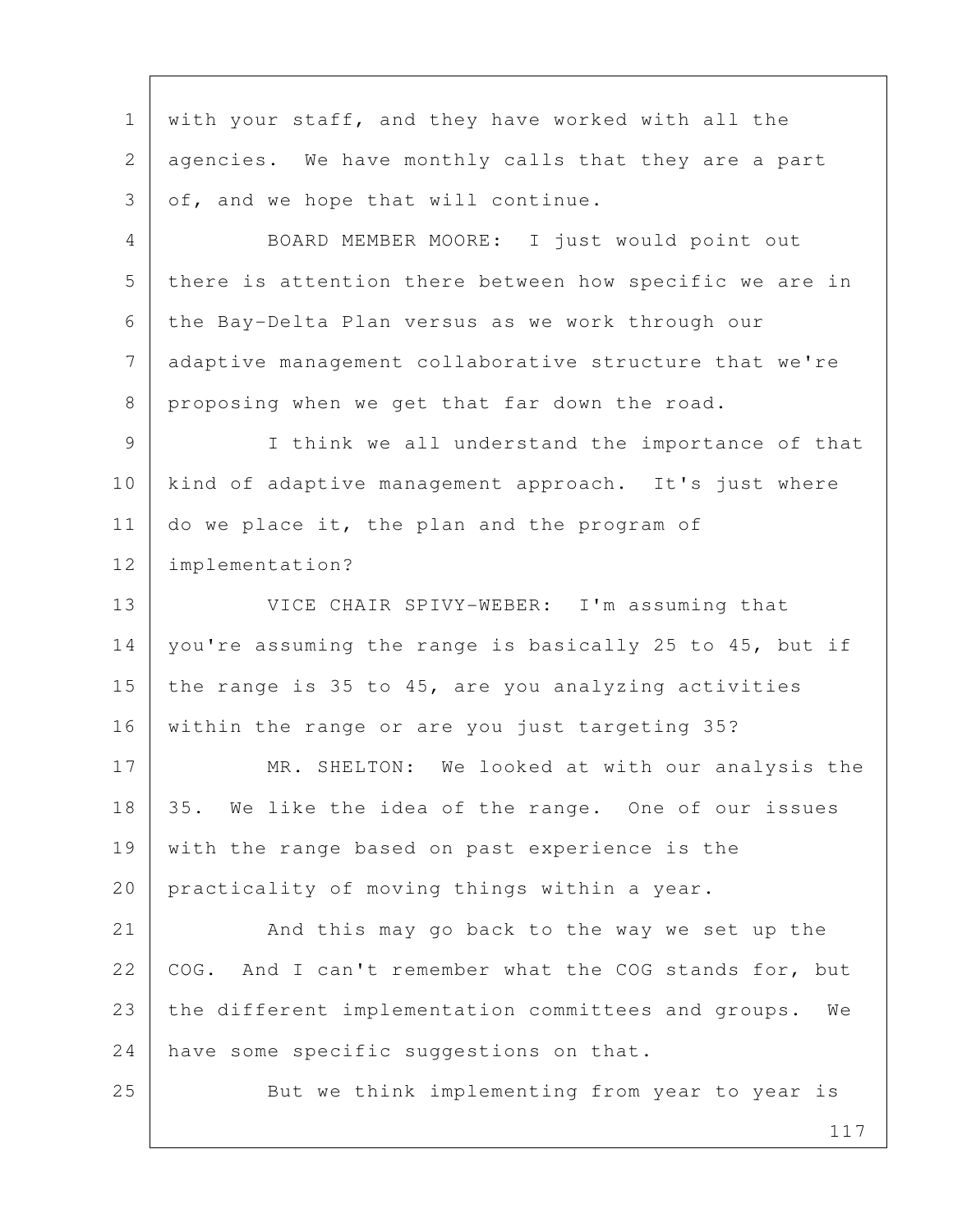117 1 with your staff, and they have worked with all the 2 agencies. We have monthly calls that they are a part  $3$  of, and we hope that will continue. 4 BOARD MEMBER MOORE: I just would point out 5 there is attention there between how specific we are in 6 the Bay-Delta Plan versus as we work through our 7 adaptive management collaborative structure that we're 8 proposing when we get that far down the road. 9 I think we all understand the importance of that 10 kind of adaptive management approach. It's just where 11 do we place it, the plan and the program of 12 implementation? 13 VICE CHAIR SPIVY-WEBER: I'm assuming that 14 | you're assuming the range is basically 25 to 45, but if 15 the range is 35 to 45, are you analyzing activities 16 within the range or are you just targeting 35? 17 MR. SHELTON: We looked at with our analysis the 18 35. We like the idea of the range. One of our issues 19 with the range based on past experience is the 20 practicality of moving things within a year. 21 And this may go back to the way we set up the 22 | COG. And I can't remember what the COG stands for, but 23 the different implementation committees and groups. We 24 have some specific suggestions on that. 25 But we think implementing from year to year is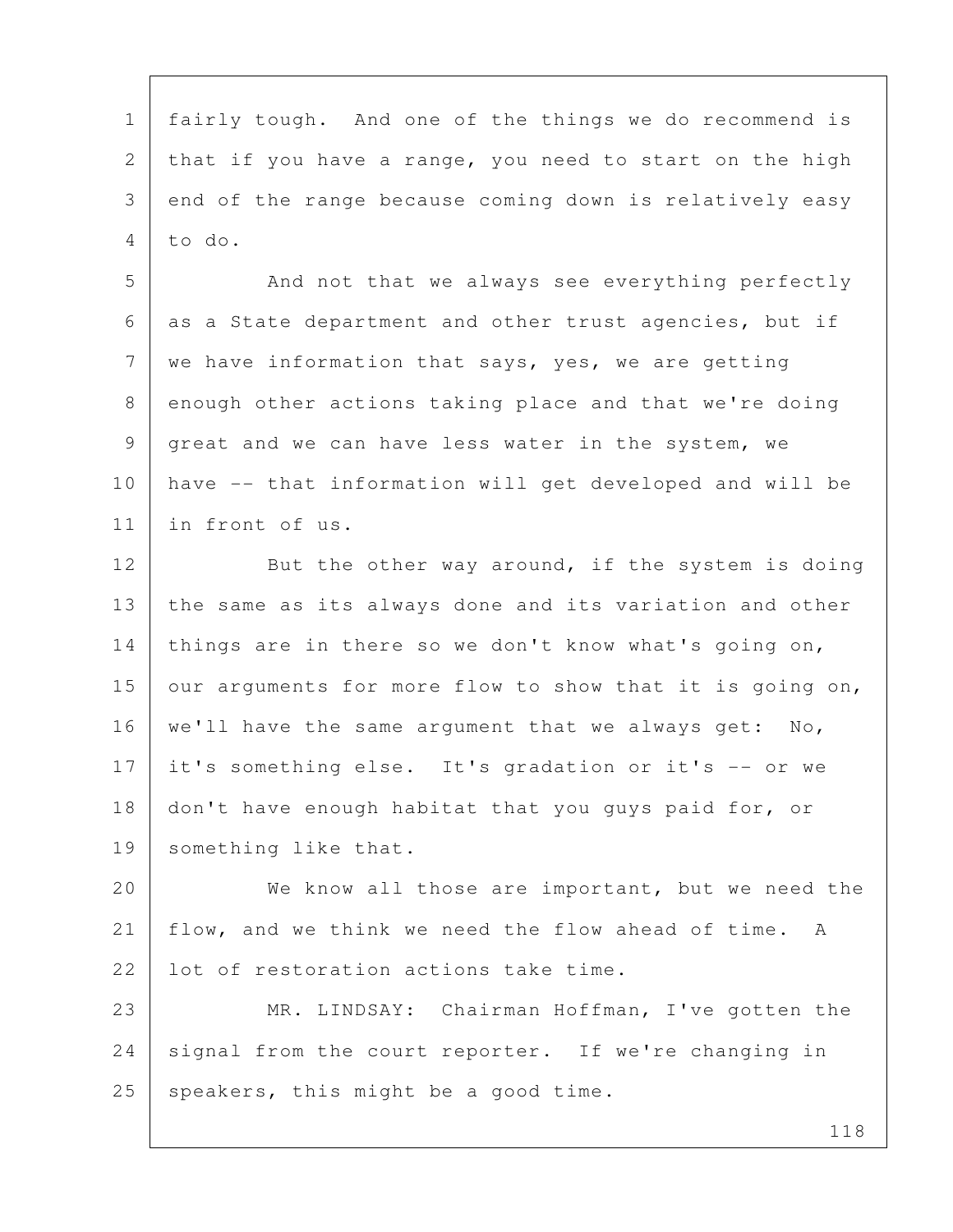1 fairly tough. And one of the things we do recommend is 2 that if you have a range, you need to start on the high 3 end of the range because coming down is relatively easy 4 to do.

5 And not that we always see everything perfectly 6 as a State department and other trust agencies, but if 7 | we have information that says, yes, we are getting 8 enough other actions taking place and that we're doing 9 great and we can have less water in the system, we 10 have -- that information will get developed and will be 11 in front of us.

12 But the other way around, if the system is doing 13 the same as its always done and its variation and other 14 things are in there so we don't know what's going on, 15 | our arguments for more flow to show that it is going on, 16 | we'll have the same argument that we always get: No, 17 | it's something else. It's gradation or it's -- or we 18 don't have enough habitat that you guys paid for, or 19 something like that.

20 We know all those are important, but we need the 21 flow, and we think we need the flow ahead of time. A 22 l lot of restoration actions take time.

23 MR. LINDSAY: Chairman Hoffman, I've gotten the 24 signal from the court reporter. If we're changing in  $25$  speakers, this might be a good time.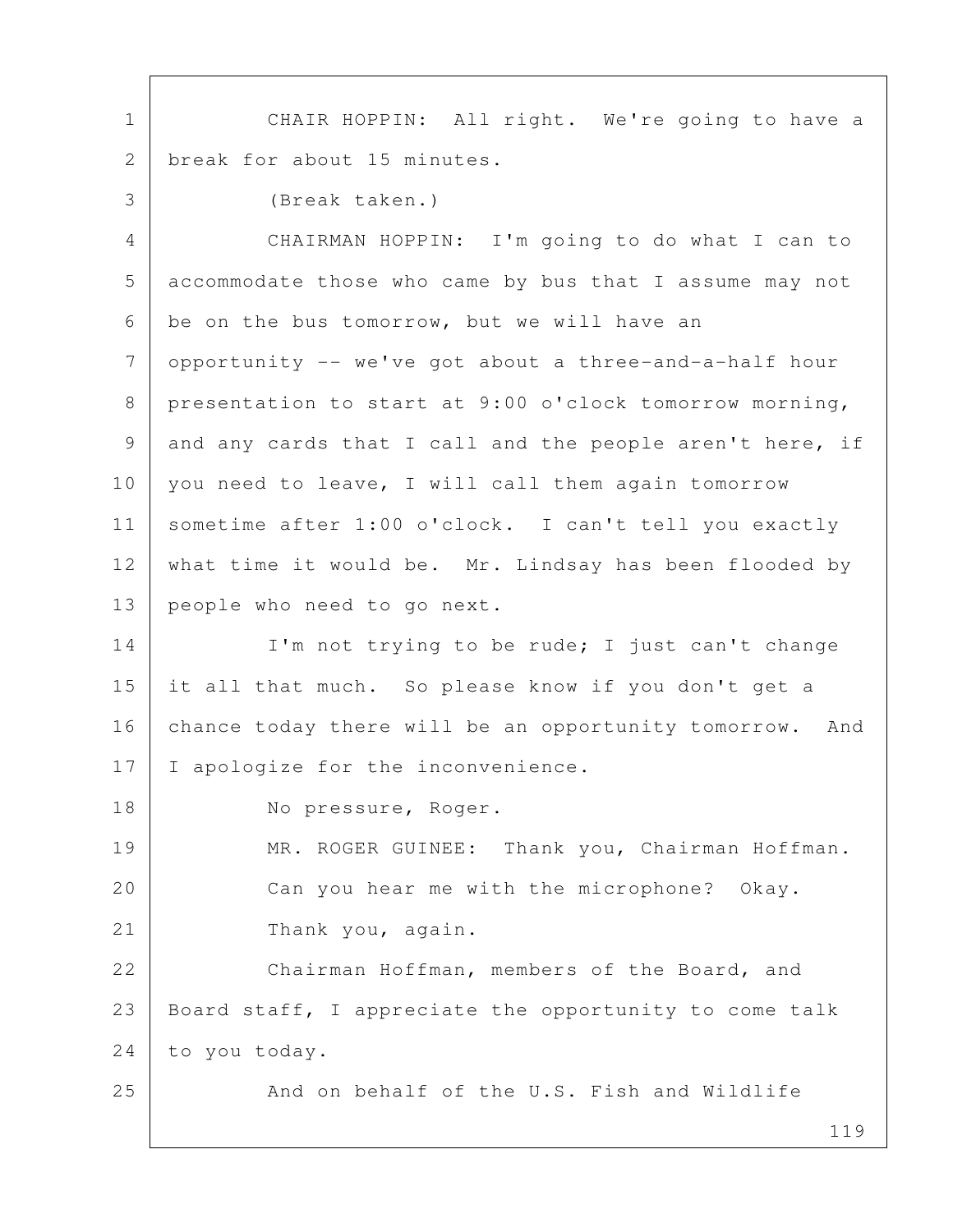1 | CHAIR HOPPIN: All right. We're going to have a 2 break for about 15 minutes.

 3 (Break taken.) 4 CHAIRMAN HOPPIN: I'm going to do what I can to 5 accommodate those who came by bus that I assume may not  $6$  be on the bus tomorrow, but we will have an 7 opportunity -- we've got about a three-and-a-half hour 8 presentation to start at 9:00 o'clock tomorrow morning, 9 and any cards that I call and the people aren't here, if 10 you need to leave, I will call them again tomorrow 11 sometime after 1:00 o'clock. I can't tell you exactly 12 what time it would be. Mr. Lindsay has been flooded by 13 people who need to go next.

14 I'm not trying to be rude; I just can't change 15 it all that much. So please know if you don't get a 16 chance today there will be an opportunity tomorrow. And 17 | I apologize for the inconvenience.

18 No pressure, Roger.

19 MR. ROGER GUINEE: Thank you, Chairman Hoffman. 20 Can you hear me with the microphone? Okay. 21 Thank you, again.

22 Chairman Hoffman, members of the Board, and 23 | Board staff, I appreciate the opportunity to come talk 24 to you today.

25 And on behalf of the U.S. Fish and Wildlife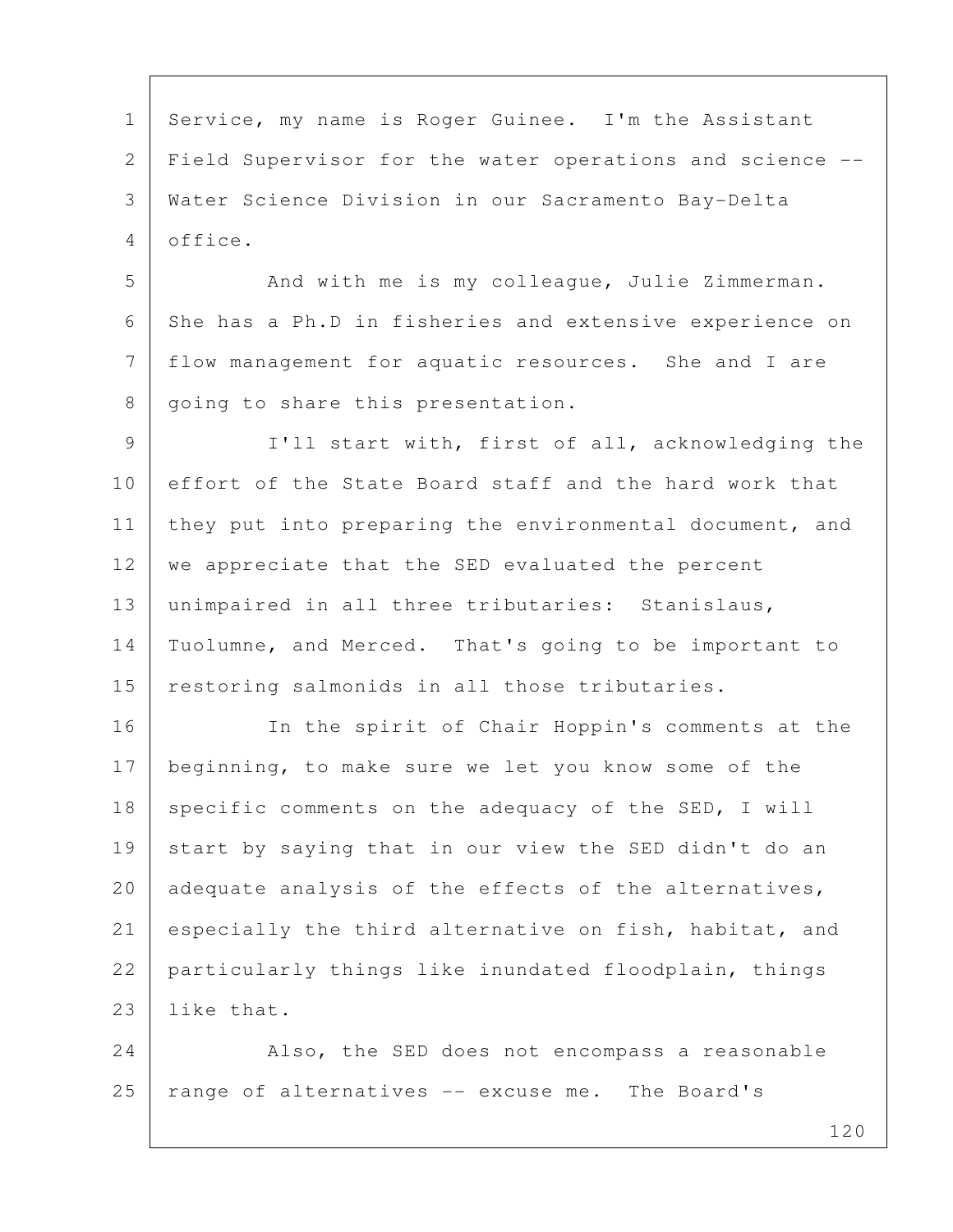1 Service, my name is Roger Guinee. I'm the Assistant 2 Field Supervisor for the water operations and science -- 3 Water Science Division in our Sacramento Bay-Delta 4 office.

5 And with me is my colleague, Julie Zimmerman. 6 She has a Ph.D in fisheries and extensive experience on 7 flow management for aquatic resources. She and I are 8 | going to share this presentation.

9 | I'll start with, first of all, acknowledging the 10 effort of the State Board staff and the hard work that 11 | they put into preparing the environmental document, and 12 we appreciate that the SED evaluated the percent 13 unimpaired in all three tributaries: Stanislaus, 14 Tuolumne, and Merced. That's going to be important to 15 restoring salmonids in all those tributaries.

16 In the spirit of Chair Hoppin's comments at the 17 beginning, to make sure we let you know some of the 18 specific comments on the adequacy of the SED, I will 19 start by saying that in our view the SED didn't do an 20 adequate analysis of the effects of the alternatives, 21 especially the third alternative on fish, habitat, and 22 particularly things like inundated floodplain, things 23 like that.

24 Also, the SED does not encompass a reasonable  $25$  range of alternatives  $-$  excuse me. The Board's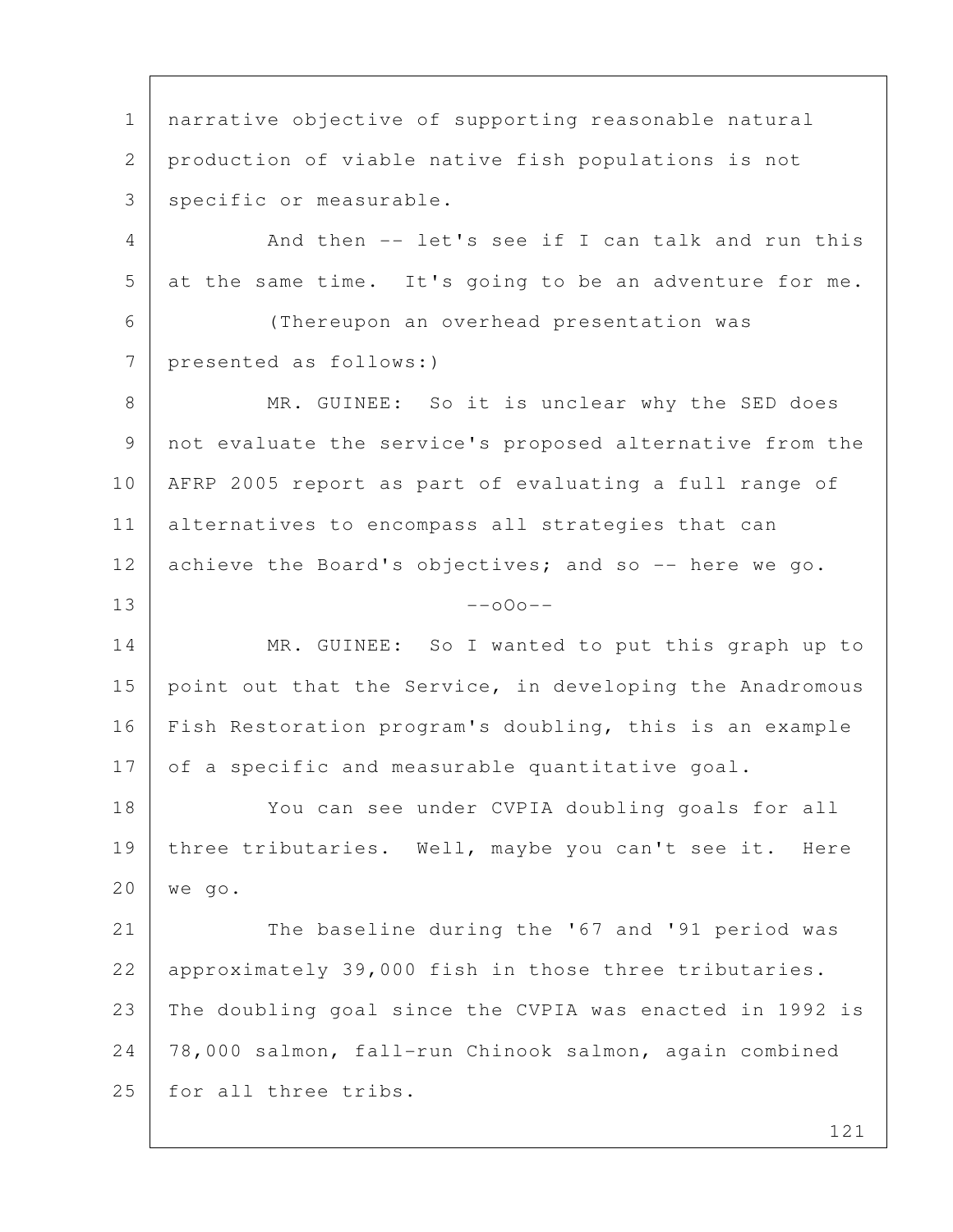1 narrative objective of supporting reasonable natural 2 production of viable native fish populations is not 3 specific or measurable. 4 And then -- let's see if I can talk and run this 5 at the same time. It's going to be an adventure for me. 6 (Thereupon an overhead presentation was 7 presented as follows:) 8 MR. GUINEE: So it is unclear why the SED does 9 not evaluate the service's proposed alternative from the 10 AFRP 2005 report as part of evaluating a full range of 11 alternatives to encompass all strategies that can 12 achieve the Board's objectives; and so -- here we go.  $13$  --000--14 MR. GUINEE: So I wanted to put this graph up to 15 point out that the Service, in developing the Anadromous 16 Fish Restoration program's doubling, this is an example 17 of a specific and measurable quantitative goal. 18 You can see under CVPIA doubling goals for all 19 | three tributaries. Well, maybe you can't see it. Here 20 we go. 21 The baseline during the '67 and '91 period was 22 | approximately 39,000 fish in those three tributaries. 23 The doubling goal since the CVPIA was enacted in 1992 is 24 78,000 salmon, fall-run Chinook salmon, again combined 25 for all three tribs.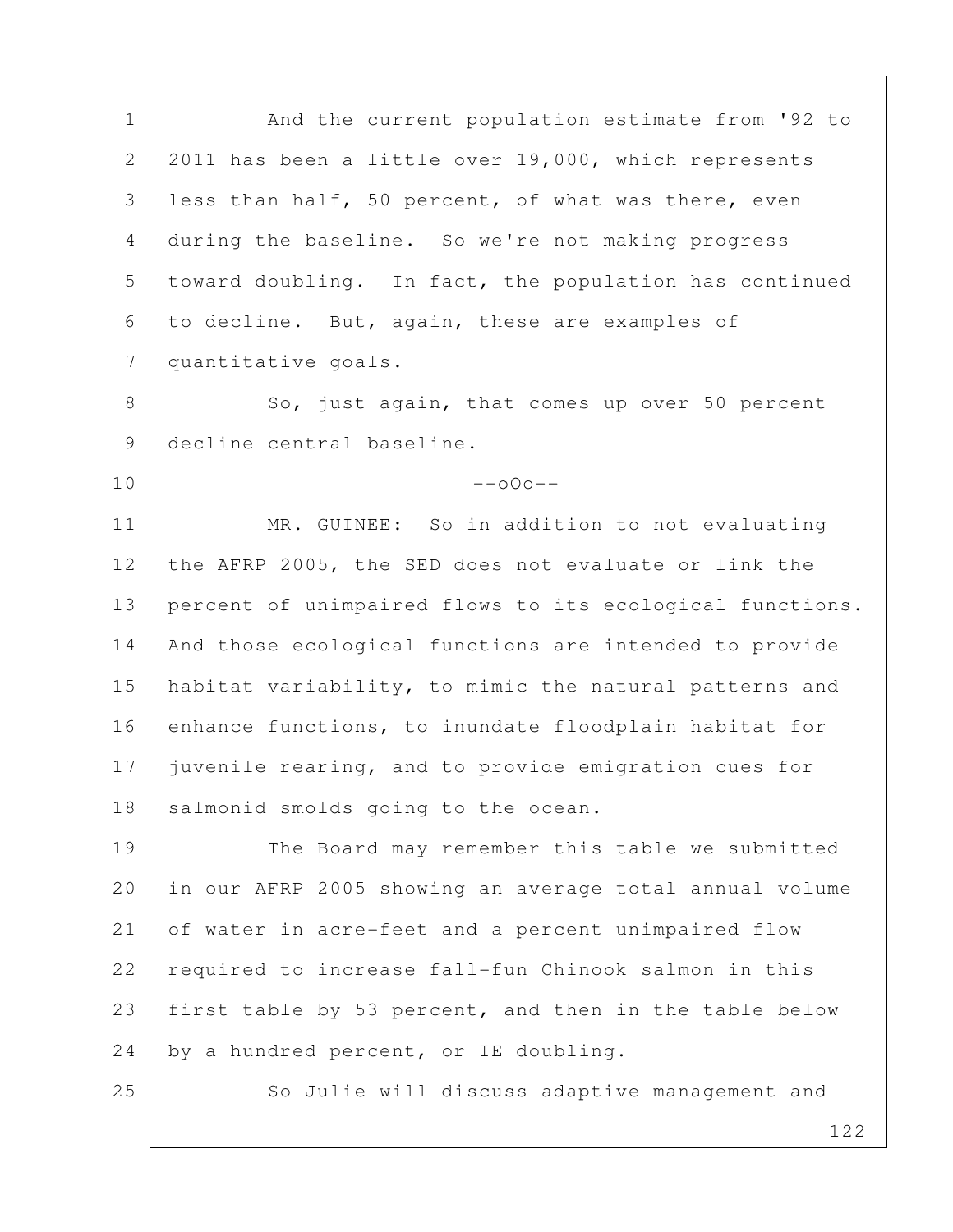1 | And the current population estimate from '92 to 2 2011 has been a little over 19,000, which represents 3 less than half, 50 percent, of what was there, even 4 during the baseline. So we're not making progress 5 toward doubling. In fact, the population has continued 6 to decline. But, again, these are examples of 7 quantitative goals. 8 So, just again, that comes up over 50 percent 9 decline central baseline.  $10$  --o $0$ o--11 | MR. GUINEE: So in addition to not evaluating 12 the AFRP 2005, the SED does not evaluate or link the 13 percent of unimpaired flows to its ecological functions. 14 And those ecological functions are intended to provide 15 | habitat variability, to mimic the natural patterns and 16 enhance functions, to inundate floodplain habitat for 17 juvenile rearing, and to provide emigration cues for 18 | salmonid smolds going to the ocean. 19 The Board may remember this table we submitted 20 in our AFRP 2005 showing an average total annual volume 21 of water in acre-feet and a percent unimpaired flow 22 required to increase fall-fun Chinook salmon in this 23 first table by 53 percent, and then in the table below  $24$  by a hundred percent, or IE doubling. 25 So Julie will discuss adaptive management and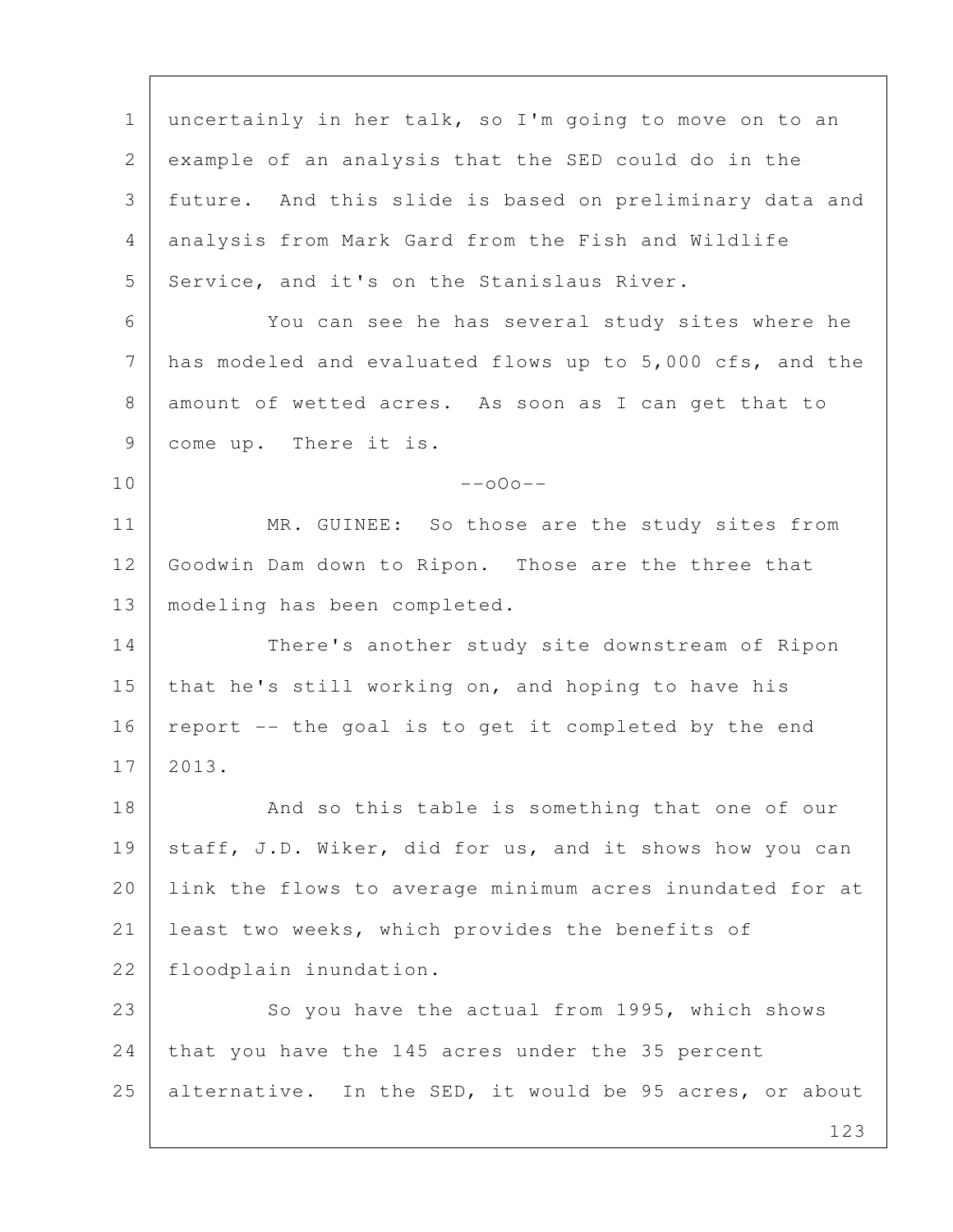123 1 uncertainly in her talk, so I'm going to move on to an 2 example of an analysis that the SED could do in the 3 future. And this slide is based on preliminary data and 4 analysis from Mark Gard from the Fish and Wildlife 5 Service, and it's on the Stanislaus River. 6 You can see he has several study sites where he 7 has modeled and evaluated flows up to 5,000 cfs, and the 8 amount of wetted acres. As soon as I can get that to 9 come up. There it is.  $10$  --o $0$ o--11 MR. GUINEE: So those are the study sites from 12 Goodwin Dam down to Ripon. Those are the three that 13 modeling has been completed. 14 There's another study site downstream of Ripon 15 that he's still working on, and hoping to have his 16 | report  $-$ - the goal is to get it completed by the end 17 2013. 18 And so this table is something that one of our 19 staff, J.D. Wiker, did for us, and it shows how you can 20 link the flows to average minimum acres inundated for at 21 least two weeks, which provides the benefits of 22 floodplain inundation. 23 So you have the actual from 1995, which shows 24 that you have the 145 acres under the 35 percent 25 alternative. In the SED, it would be 95 acres, or about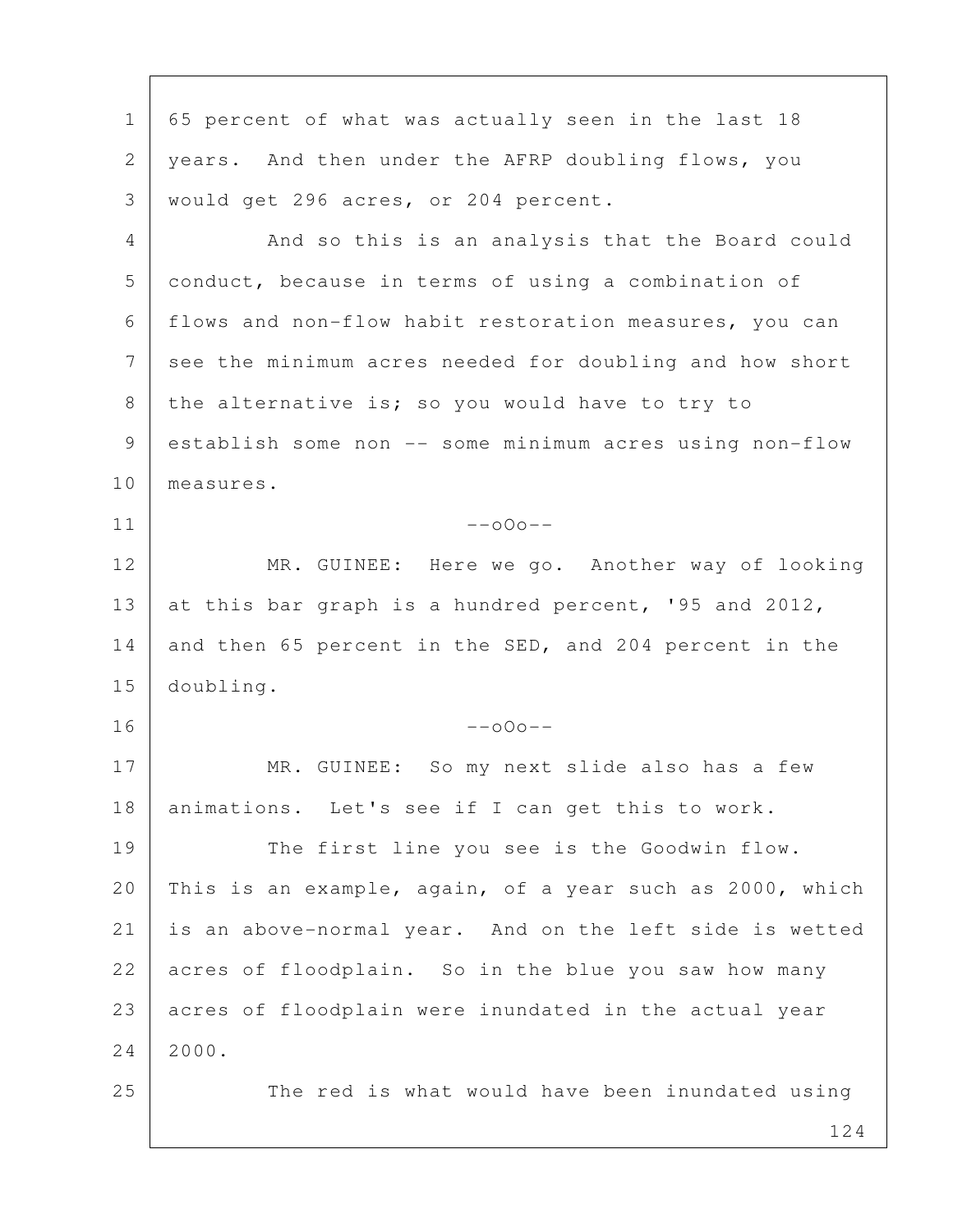124 1 65 percent of what was actually seen in the last 18 2 years. And then under the AFRP doubling flows, you 3 would get 296 acres, or 204 percent. 4 And so this is an analysis that the Board could 5 conduct, because in terms of using a combination of 6 flows and non-flow habit restoration measures, you can 7 see the minimum acres needed for doubling and how short 8 the alternative is; so you would have to try to 9 establish some non -- some minimum acres using non-flow 10 measures.  $11$  --000--12 MR. GUINEE: Here we go. Another way of looking 13 at this bar graph is a hundred percent, '95 and 2012, 14 and then 65 percent in the SED, and 204 percent in the 15 doubling.  $16$  --000--17 MR. GUINEE: So my next slide also has a few 18 animations. Let's see if I can get this to work. 19 The first line you see is the Goodwin flow. 20 This is an example, again, of a year such as 2000, which 21 is an above-normal year. And on the left side is wetted 22 acres of floodplain. So in the blue you saw how many 23 acres of floodplain were inundated in the actual year 24 2000. 25 The red is what would have been inundated using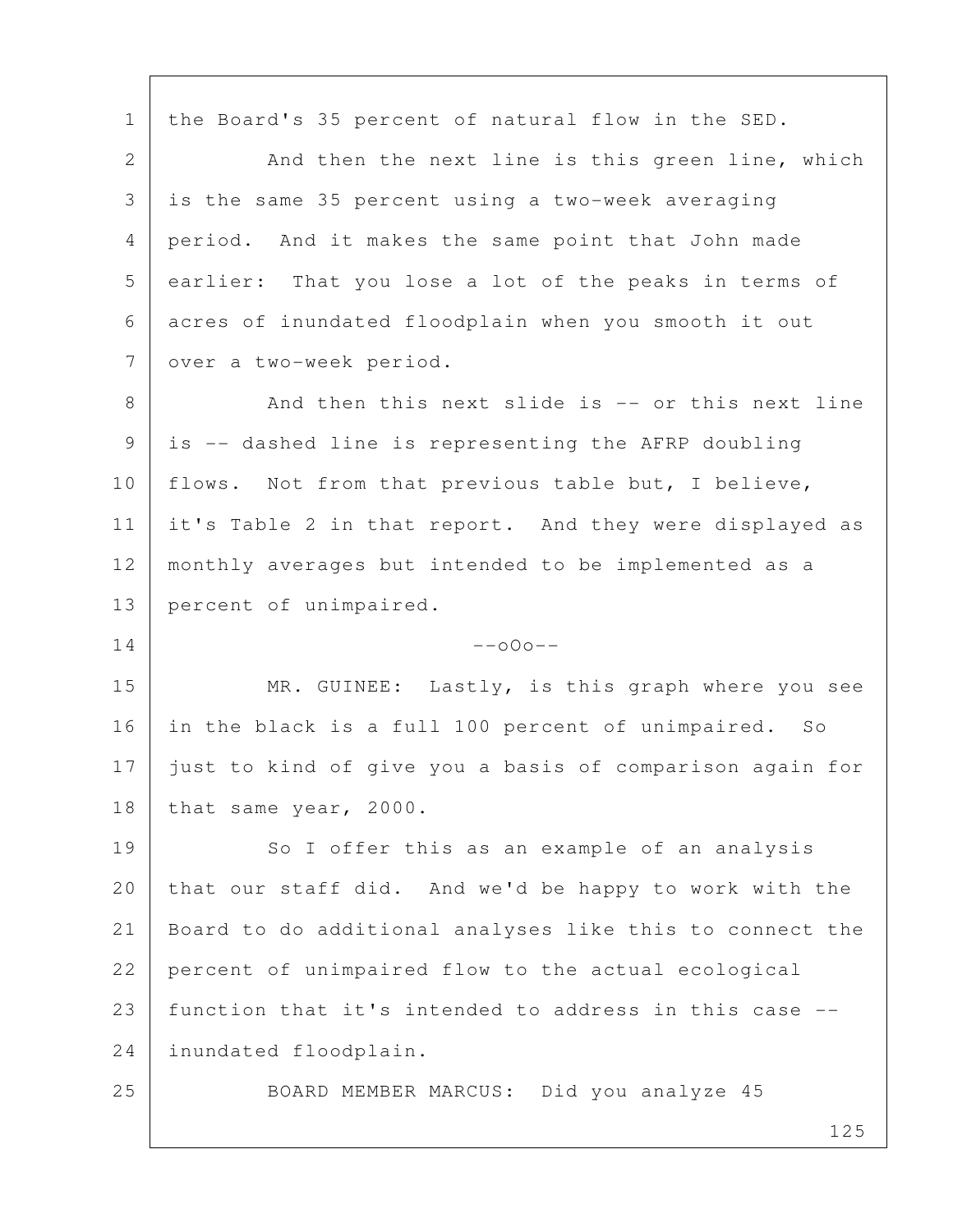1 | the Board's 35 percent of natural flow in the SED.

2 And then the next line is this green line, which 3 is the same 35 percent using a two-week averaging 4 period. And it makes the same point that John made 5 earlier: That you lose a lot of the peaks in terms of 6 acres of inundated floodplain when you smooth it out 7 over a two-week period.

8 And then this next slide is -- or this next line 9 is -- dashed line is representing the AFRP doubling 10 | flows. Not from that previous table but, I believe, 11 it's Table 2 in that report. And they were displayed as 12 monthly averages but intended to be implemented as a 13 percent of unimpaired.

 $14$  --000--

15 MR. GUINEE: Lastly, is this graph where you see 16 in the black is a full 100 percent of unimpaired. So 17 just to kind of give you a basis of comparison again for 18 | that same year, 2000.

19 So I offer this as an example of an analysis 20 that our staff did. And we'd be happy to work with the 21 Board to do additional analyses like this to connect the 22 percent of unimpaired flow to the actual ecological 23 function that it's intended to address in this case -- 24 inundated floodplain.

25 BOARD MEMBER MARCUS: Did you analyze 45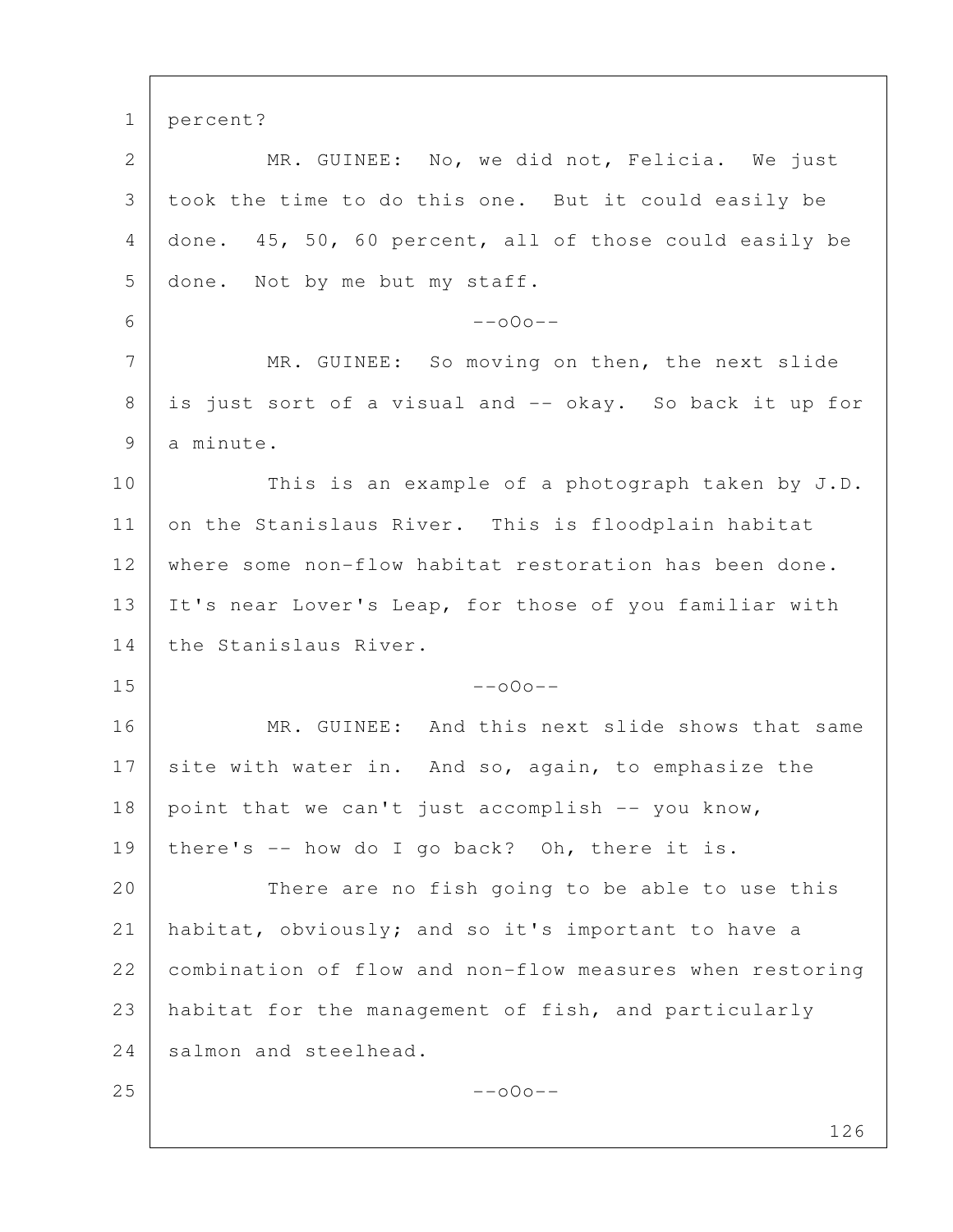126 1 percent? 2 MR. GUINEE: No, we did not, Felicia. We just 3 took the time to do this one. But it could easily be 4 done. 45, 50, 60 percent, all of those could easily be 5 done. Not by me but my staff.  $6 - -000 -$ 7 MR. GUINEE: So moving on then, the next slide 8 is just sort of a visual and -- okay. So back it up for 9 a minute. 10 This is an example of a photograph taken by J.D. 11 on the Stanislaus River. This is floodplain habitat 12 | where some non-flow habitat restoration has been done. 13 It's near Lover's Leap, for those of you familiar with 14 the Stanislaus River.  $15$  --000--16 MR. GUINEE: And this next slide shows that same 17 site with water in. And so, again, to emphasize the  $18$  point that we can't just accomplish  $-$ - you know, 19 | there's  $-$  how do I go back? Oh, there it is. 20 There are no fish going to be able to use this 21 habitat, obviously; and so it's important to have a 22 combination of flow and non-flow measures when restoring 23 habitat for the management of fish, and particularly 24 salmon and steelhead.  $25$  --000--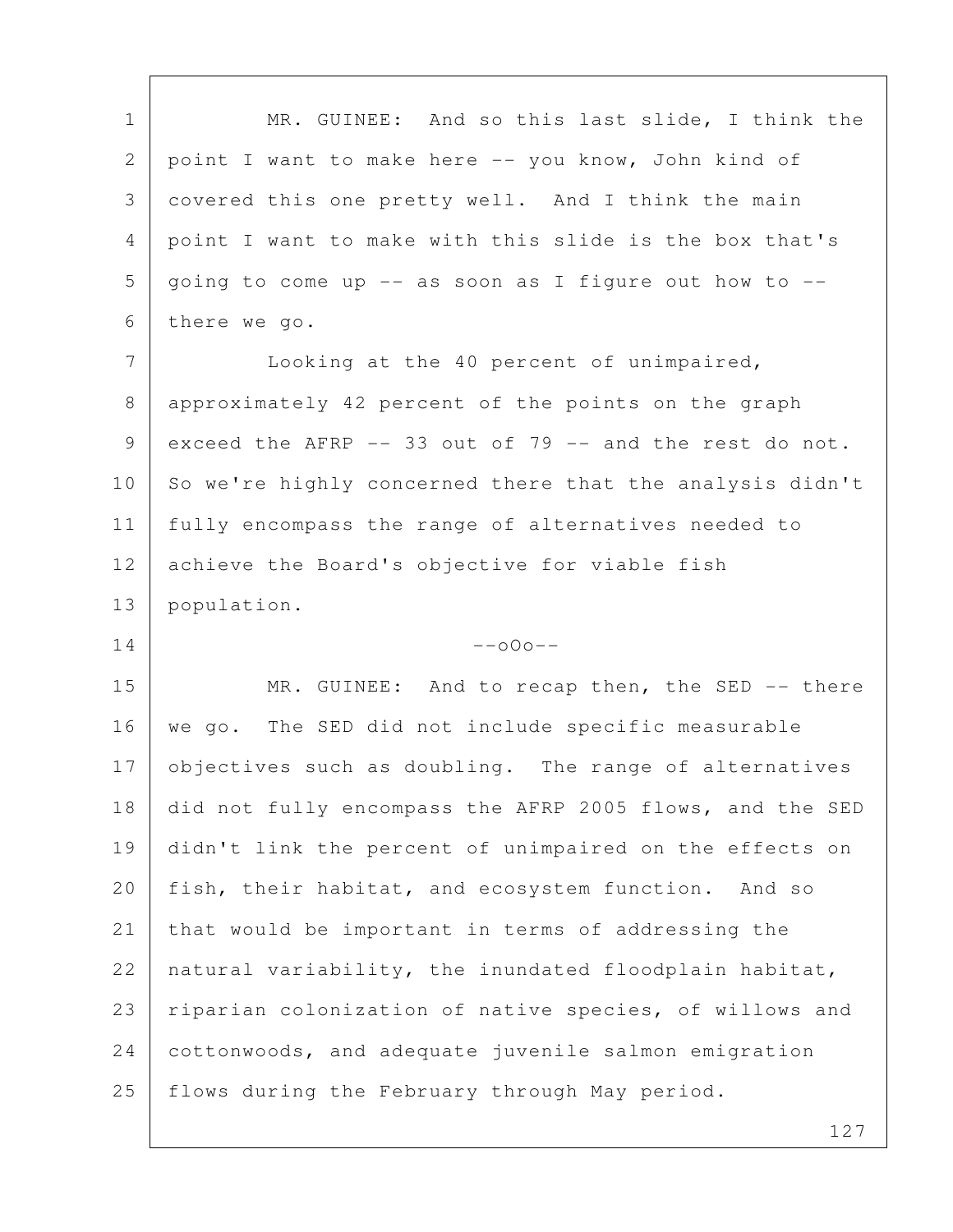| $\mathbf 1$    | MR. GUINEE: And so this last slide, I think the          |
|----------------|----------------------------------------------------------|
| $\mathbf{2}$   | point I want to make here -- you know, John kind of      |
| 3              | covered this one pretty well. And I think the main       |
| 4              | point I want to make with this slide is the box that's   |
| 5              | going to come up -- as soon as I figure out how to --    |
| 6              | there we go.                                             |
| 7              | Looking at the 40 percent of unimpaired,                 |
| 8              | approximately 42 percent of the points on the graph      |
| 9              | exceed the AFRP -- 33 out of 79 -- and the rest do not.  |
| 10             | So we're highly concerned there that the analysis didn't |
| 11             | fully encompass the range of alternatives needed to      |
| 12             | achieve the Board's objective for viable fish            |
|                |                                                          |
|                | population.                                              |
| 13<br>14       | $--000--$                                                |
|                | MR. GUINEE: And to recap then, the SED -- there          |
| 15<br>16       | we go. The SED did not include specific measurable       |
|                | objectives such as doubling. The range of alternatives   |
| 18             | did not fully encompass the AFRP 2005 flows, and the SED |
| 19             | didn't link the percent of unimpaired on the effects on  |
|                | fish, their habitat, and ecosystem function. And so      |
| 17<br>20<br>21 | that would be important in terms of addressing the       |
|                | natural variability, the inundated floodplain habitat,   |
| 22<br>23       | riparian colonization of native species, of willows and  |
| 24             | cottonwoods, and adequate juvenile salmon emigration     |

 $\overline{\Gamma}$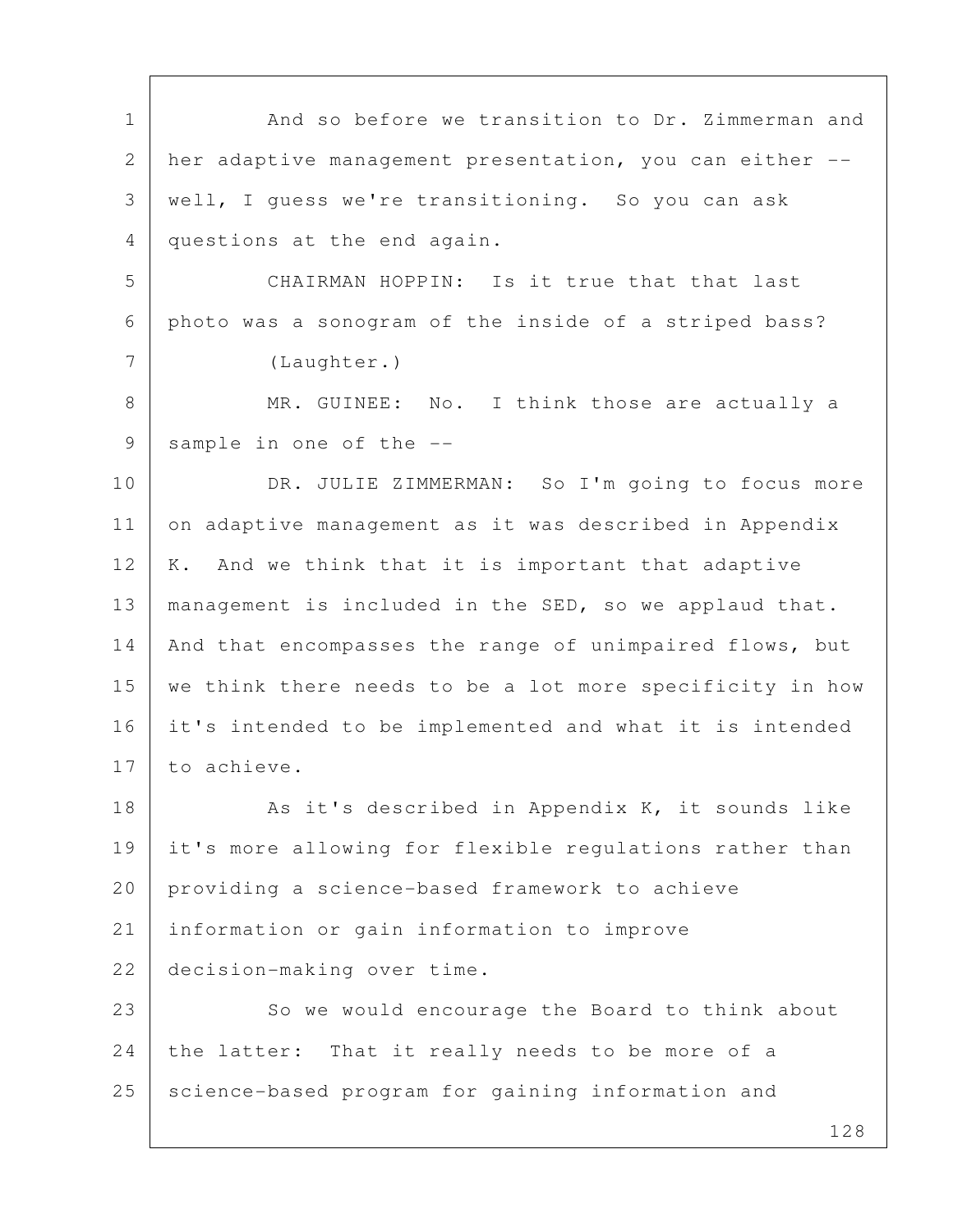128 1 And so before we transition to Dr. Zimmerman and 2 her adaptive management presentation, you can either -- 3 well, I guess we're transitioning. So you can ask 4 questions at the end again. 5 CHAIRMAN HOPPIN: Is it true that that last 6 photo was a sonogram of the inside of a striped bass? 7 (Laughter.) 8 MR. GUINEE: No. I think those are actually a 9 sample in one of the --10 DR. JULIE ZIMMERMAN: So I'm going to focus more 11 on adaptive management as it was described in Appendix 12 | K. And we think that it is important that adaptive 13 management is included in the SED, so we applaud that. 14 | And that encompasses the range of unimpaired flows, but 15 | we think there needs to be a lot more specificity in how 16 it's intended to be implemented and what it is intended 17 to achieve. 18 As it's described in Appendix K, it sounds like 19 it's more allowing for flexible regulations rather than 20 providing a science-based framework to achieve 21 information or gain information to improve 22 decision-making over time. 23 So we would encourage the Board to think about 24 the latter: That it really needs to be more of a 25 science-based program for gaining information and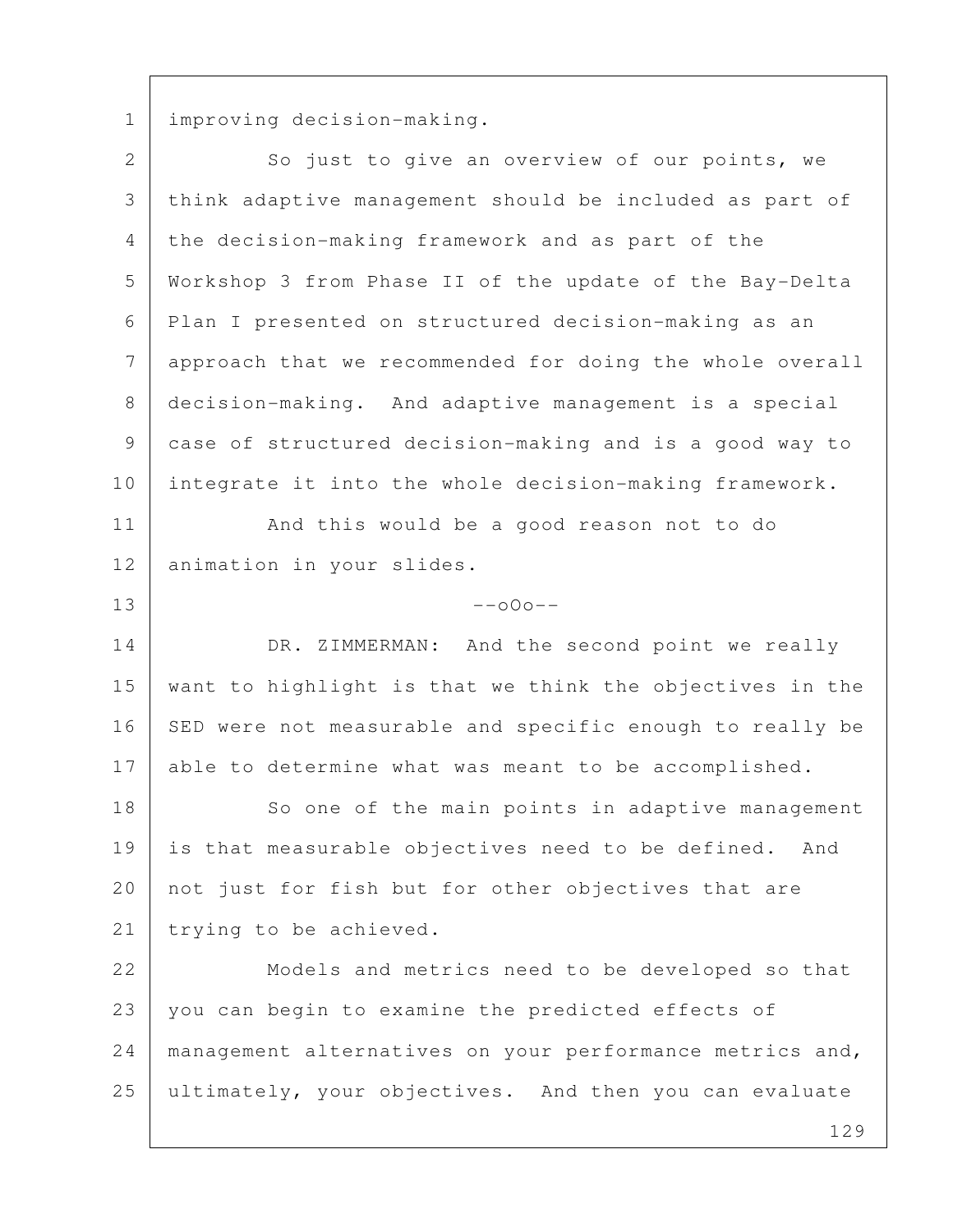1 improving decision-making.

| $\overline{2}$ | So just to give an overview of our points, we            |
|----------------|----------------------------------------------------------|
| $\mathcal{S}$  | think adaptive management should be included as part of  |
| $\overline{4}$ | the decision-making framework and as part of the         |
| 5              | Workshop 3 from Phase II of the update of the Bay-Delta  |
| 6              | Plan I presented on structured decision-making as an     |
| 7              | approach that we recommended for doing the whole overall |
| $8\,$          | decision-making. And adaptive management is a special    |
| $\mathsf 9$    | case of structured decision-making and is a good way to  |
| 10             | integrate it into the whole decision-making framework.   |
| 11             | And this would be a good reason not to do                |
| 12             | animation in your slides.                                |
| 13             | $--000--$                                                |
| 14             | DR. ZIMMERMAN: And the second point we really            |
| 15             | want to highlight is that we think the objectives in the |
| 16             | SED were not measurable and specific enough to really be |
| 17             | able to determine what was meant to be accomplished.     |
| 18             | So one of the main points in adaptive management         |
| 19             | is that measurable objectives need to be defined.<br>And |
| 20             | not just for fish but for other objectives that are      |
| 21             | trying to be achieved.                                   |
| 22             | Models and metrics need to be developed so that          |
| 23             | you can begin to examine the predicted effects of        |
| 24             | management alternatives on your performance metrics and, |
| 25             | ultimately, your objectives. And then you can evaluate   |
|                | 129                                                      |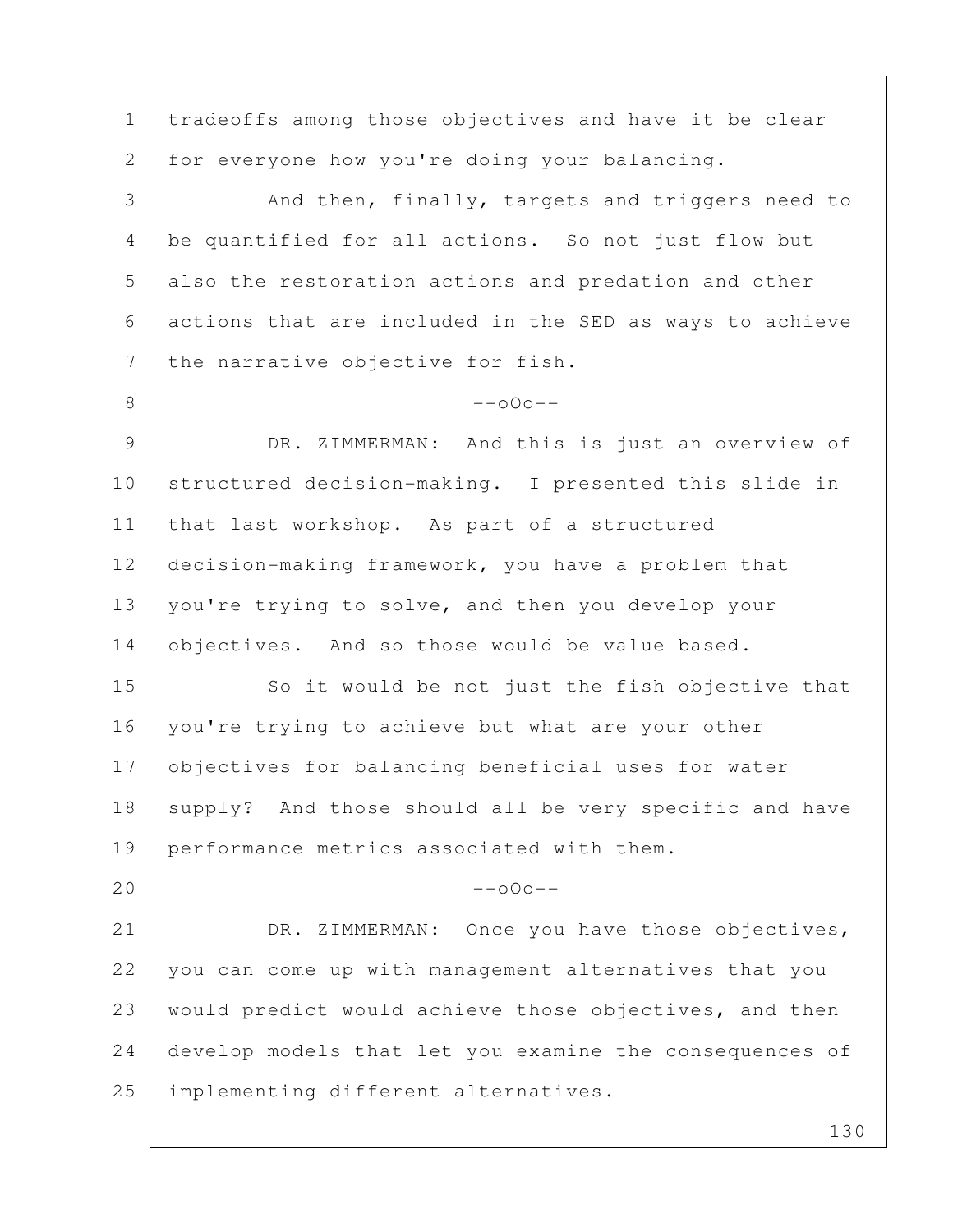1 | tradeoffs among those objectives and have it be clear 2 for everyone how you're doing your balancing. 3 And then, finally, targets and triggers need to 4 be quantified for all actions. So not just flow but 5 also the restoration actions and predation and other 6 actions that are included in the SED as ways to achieve 7 the narrative objective for fish.  $8$  --000--9 DR. ZIMMERMAN: And this is just an overview of 10 structured decision-making. I presented this slide in 11 | that last workshop. As part of a structured 12 decision-making framework, you have a problem that 13 | you're trying to solve, and then you develop your 14 objectives. And so those would be value based. 15 So it would be not just the fish objective that 16 | you're trying to achieve but what are your other 17 objectives for balancing beneficial uses for water 18 | supply? And those should all be very specific and have 19 performance metrics associated with them.  $20$  --o0o--21 DR. ZIMMERMAN: Once you have those objectives, 22 you can come up with management alternatives that you 23 would predict would achieve those objectives, and then 24 develop models that let you examine the consequences of 25 | implementing different alternatives.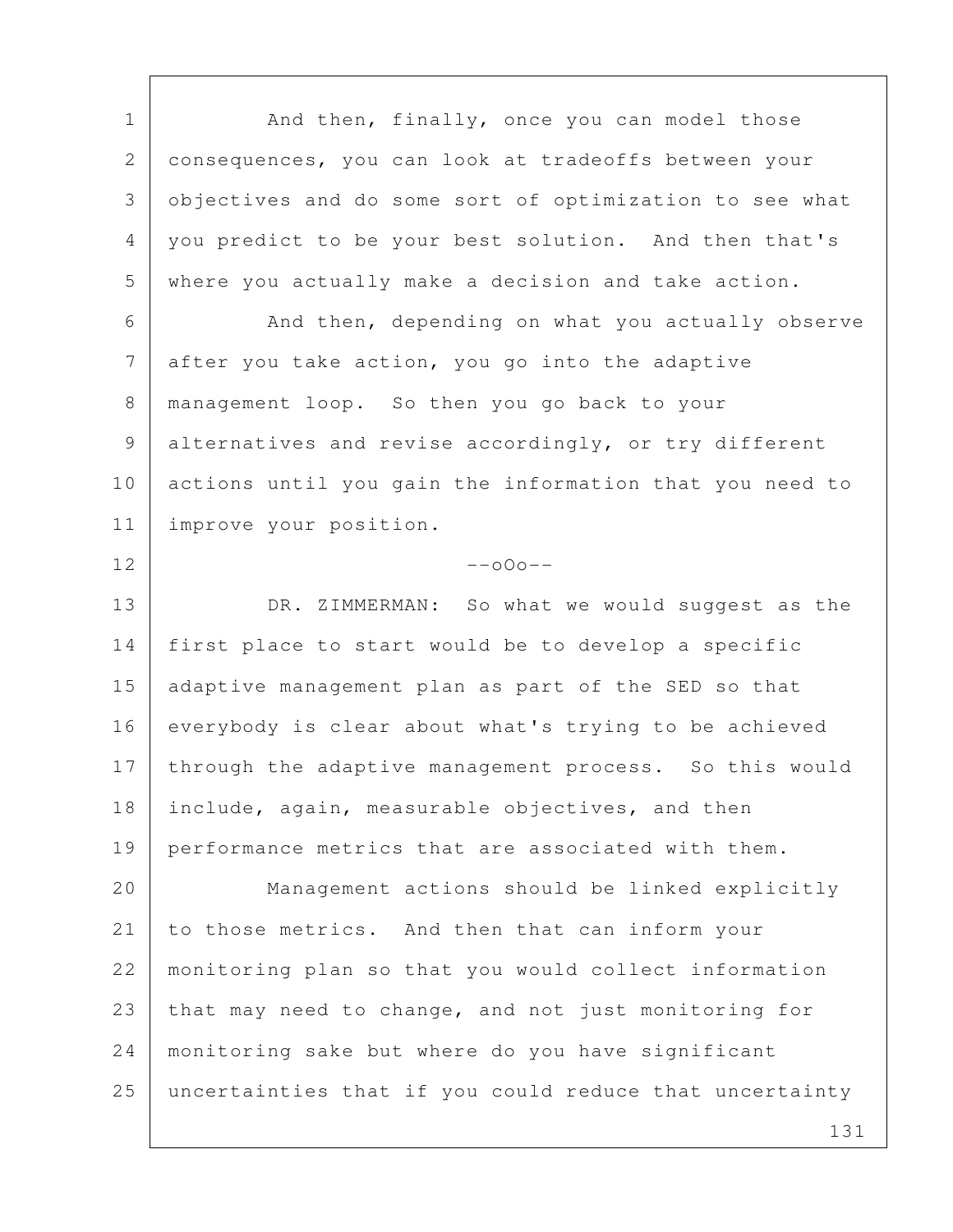1 | And then, finally, once you can model those 2 consequences, you can look at tradeoffs between your 3 objectives and do some sort of optimization to see what 4 you predict to be your best solution. And then that's 5 where you actually make a decision and take action. 6 And then, depending on what you actually observe 7 after you take action, you go into the adaptive 8 management loop. So then you go back to your 9 alternatives and revise accordingly, or try different 10 actions until you gain the information that you need to 11 improve your position.  $12$  --000--13 DR. ZIMMERMAN: So what we would suggest as the 14 first place to start would be to develop a specific 15 adaptive management plan as part of the SED so that 16 everybody is clear about what's trying to be achieved 17 through the adaptive management process. So this would 18 include, again, measurable objectives, and then 19 performance metrics that are associated with them. 20 Management actions should be linked explicitly 21 to those metrics. And then that can inform your 22 monitoring plan so that you would collect information 23 that may need to change, and not just monitoring for 24 monitoring sake but where do you have significant 25 uncertainties that if you could reduce that uncertainty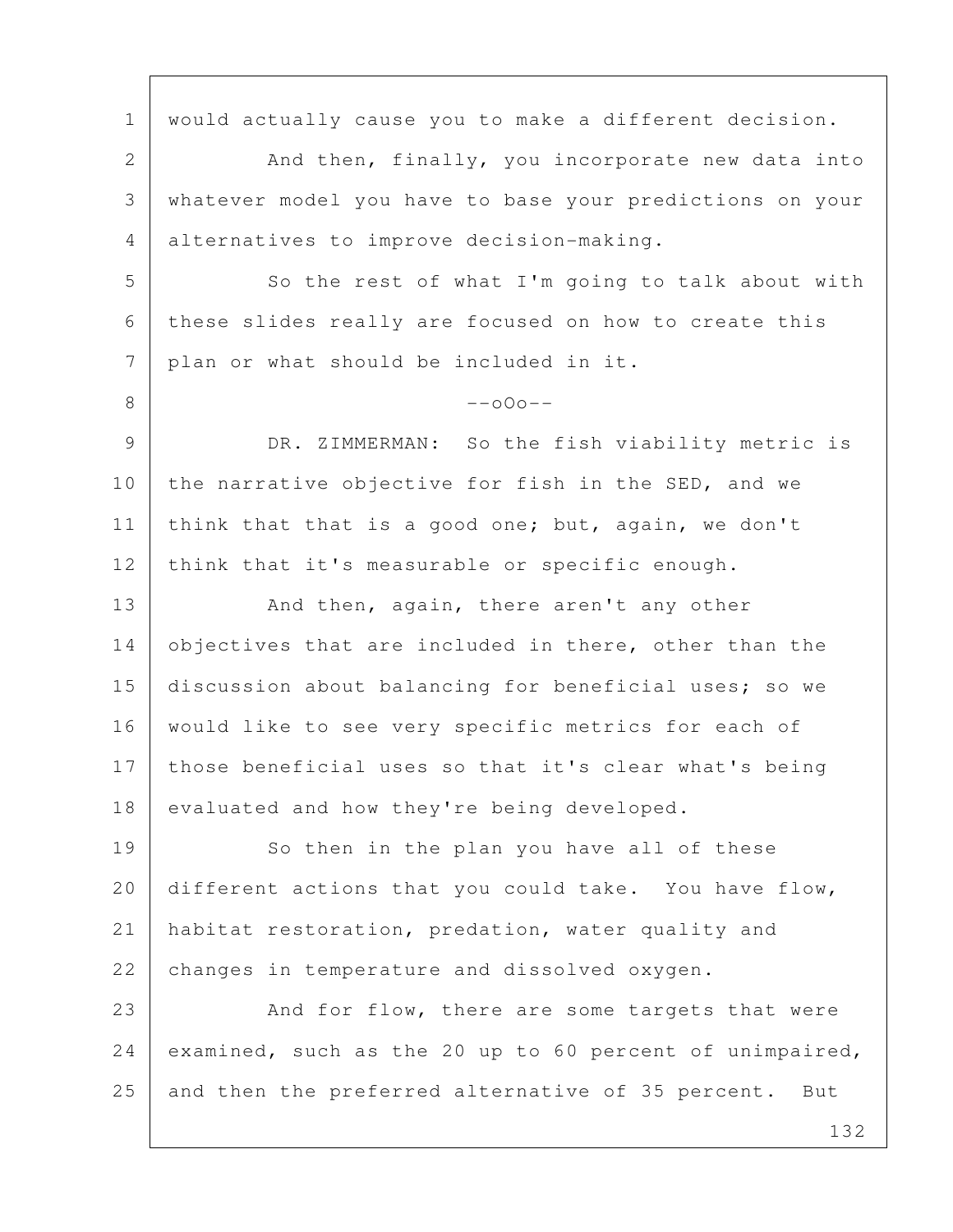1 | would actually cause you to make a different decision. 2 And then, finally, you incorporate new data into 3 whatever model you have to base your predictions on your 4 alternatives to improve decision-making. 5 So the rest of what I'm going to talk about with 6 these slides really are focused on how to create this 7 plan or what should be included in it.  $8$  --000--9 DR. ZIMMERMAN: So the fish viability metric is 10 the narrative objective for fish in the SED, and we 11 | think that that is a good one; but, again, we don't 12 think that it's measurable or specific enough. 13 And then, again, there aren't any other 14 objectives that are included in there, other than the 15 discussion about balancing for beneficial uses; so we 16 | would like to see very specific metrics for each of 17 those beneficial uses so that it's clear what's being 18 evaluated and how they're being developed. 19 So then in the plan you have all of these 20 different actions that you could take. You have flow, 21 habitat restoration, predation, water quality and 22 changes in temperature and dissolved oxygen. 23 And for flow, there are some targets that were 24 examined, such as the 20 up to 60 percent of unimpaired, 25 and then the preferred alternative of 35 percent. But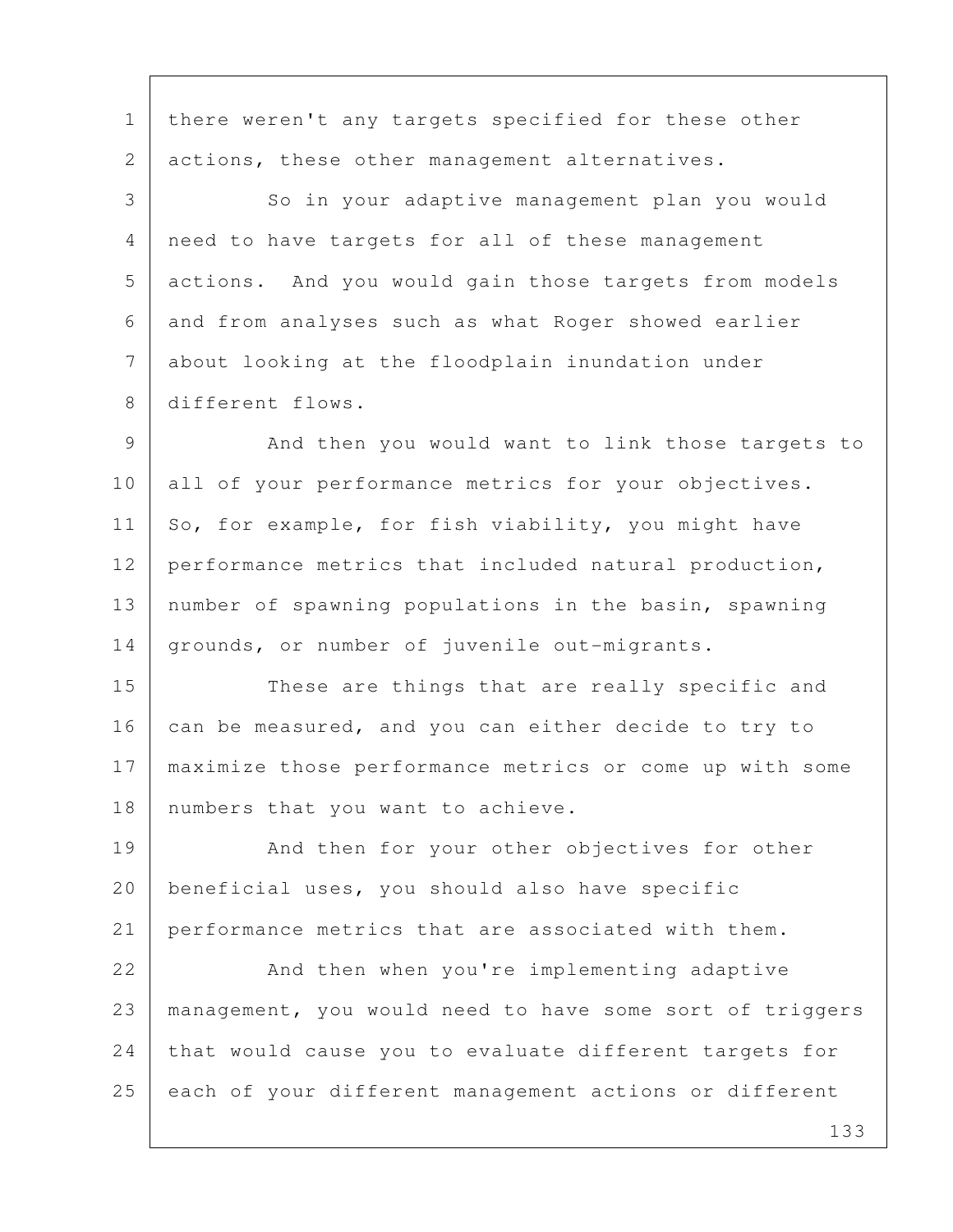1 | there weren't any targets specified for these other 2 actions, these other management alternatives.

3 So in your adaptive management plan you would 4 need to have targets for all of these management 5 actions. And you would gain those targets from models 6 and from analyses such as what Roger showed earlier 7 about looking at the floodplain inundation under 8 different flows.

9 And then you would want to link those targets to 10 all of your performance metrics for your objectives. 11 So, for example, for fish viability, you might have 12 performance metrics that included natural production, 13 number of spawning populations in the basin, spawning 14 grounds, or number of juvenile out-migrants.

15 These are things that are really specific and 16 can be measured, and you can either decide to try to 17 maximize those performance metrics or come up with some 18 | numbers that you want to achieve.

19 | And then for your other objectives for other 20 | beneficial uses, you should also have specific 21 performance metrics that are associated with them.

22 And then when you're implementing adaptive 23 management, you would need to have some sort of triggers 24 that would cause you to evaluate different targets for 25 each of your different management actions or different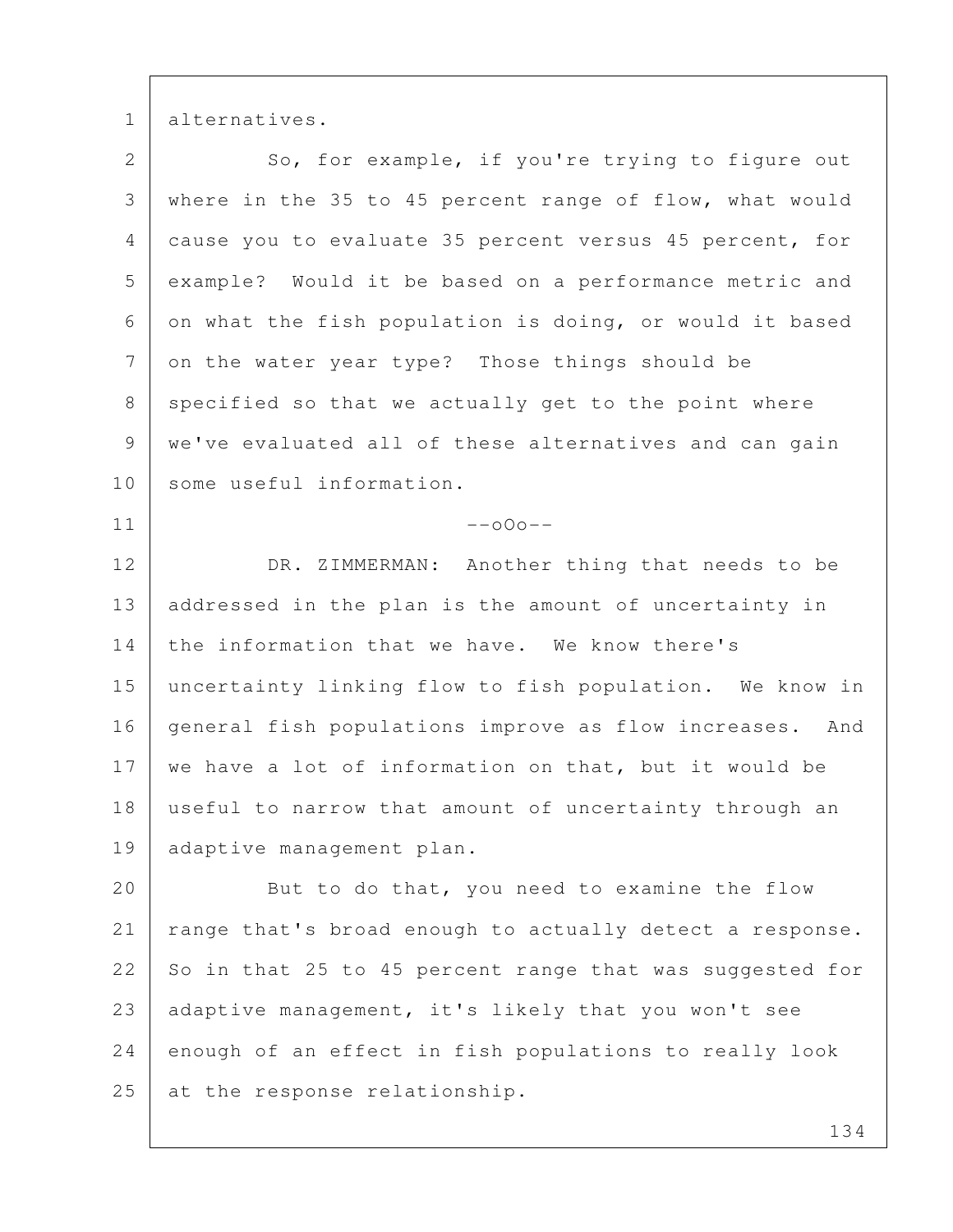1 alternatives.

| $\overline{2}$ | So, for example, if you're trying to figure out          |
|----------------|----------------------------------------------------------|
| 3              | where in the 35 to 45 percent range of flow, what would  |
| 4              | cause you to evaluate 35 percent versus 45 percent, for  |
| 5              | example? Would it be based on a performance metric and   |
| 6              | on what the fish population is doing, or would it based  |
| 7              | on the water year type? Those things should be           |
| 8              | specified so that we actually get to the point where     |
| 9              | we've evaluated all of these alternatives and can gain   |
| 10             | some useful information.                                 |
| 11             | $--000--$                                                |
| 12             | DR. ZIMMERMAN: Another thing that needs to be            |
| 13             | addressed in the plan is the amount of uncertainty in    |
| 14             | the information that we have. We know there's            |
| 15             | uncertainty linking flow to fish population. We know in  |
| 16             | general fish populations improve as flow increases. And  |
| 17             | we have a lot of information on that, but it would be    |
| 18             | useful to narrow that amount of uncertainty through an   |
|                | 19   adaptive management plan.                           |
| 20             | But to do that, you need to examine the flow             |
| 21             | range that's broad enough to actually detect a response. |
| 22             | So in that 25 to 45 percent range that was suggested for |
| 23             | adaptive management, it's likely that you won't see      |
| 24             | enough of an effect in fish populations to really look   |
| 25             | at the response relationship.                            |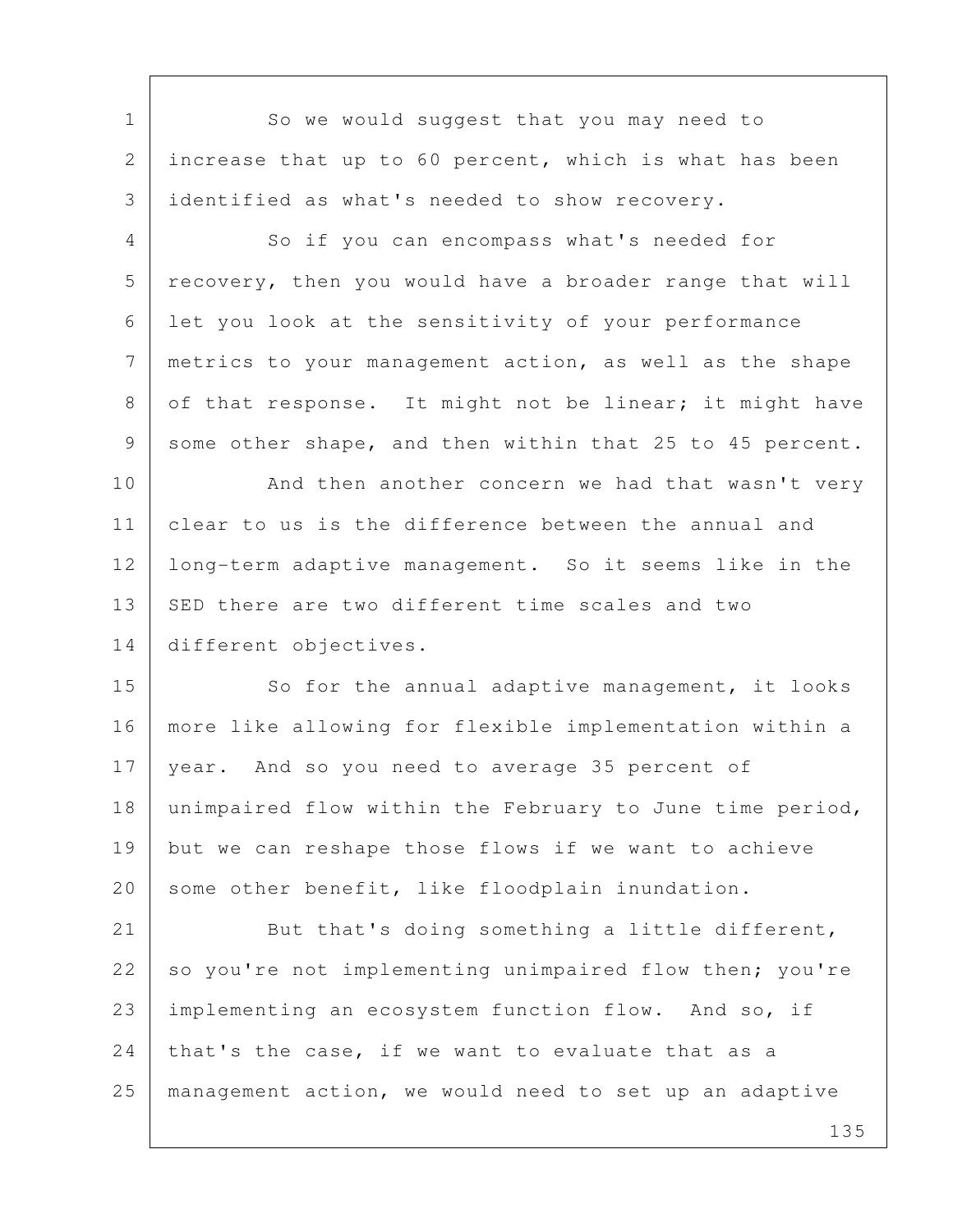1 So we would suggest that you may need to 2 increase that up to 60 percent, which is what has been 3 identified as what's needed to show recovery.

4 So if you can encompass what's needed for 5 recovery, then you would have a broader range that will 6 let you look at the sensitivity of your performance 7 metrics to your management action, as well as the shape 8 of that response. It might not be linear; it might have 9 some other shape, and then within that 25 to 45 percent.

10 And then another concern we had that wasn't very 11 clear to us is the difference between the annual and 12 long-term adaptive management. So it seems like in the 13 SED there are two different time scales and two 14 different objectives.

15 So for the annual adaptive management, it looks 16 more like allowing for flexible implementation within a 17 year. And so you need to average 35 percent of 18 unimpaired flow within the February to June time period, 19 but we can reshape those flows if we want to achieve 20 some other benefit, like floodplain inundation.

21 But that's doing something a little different, 22 so you're not implementing unimpaired flow then; you're 23 implementing an ecosystem function flow. And so, if 24 that's the case, if we want to evaluate that as a 25 management action, we would need to set up an adaptive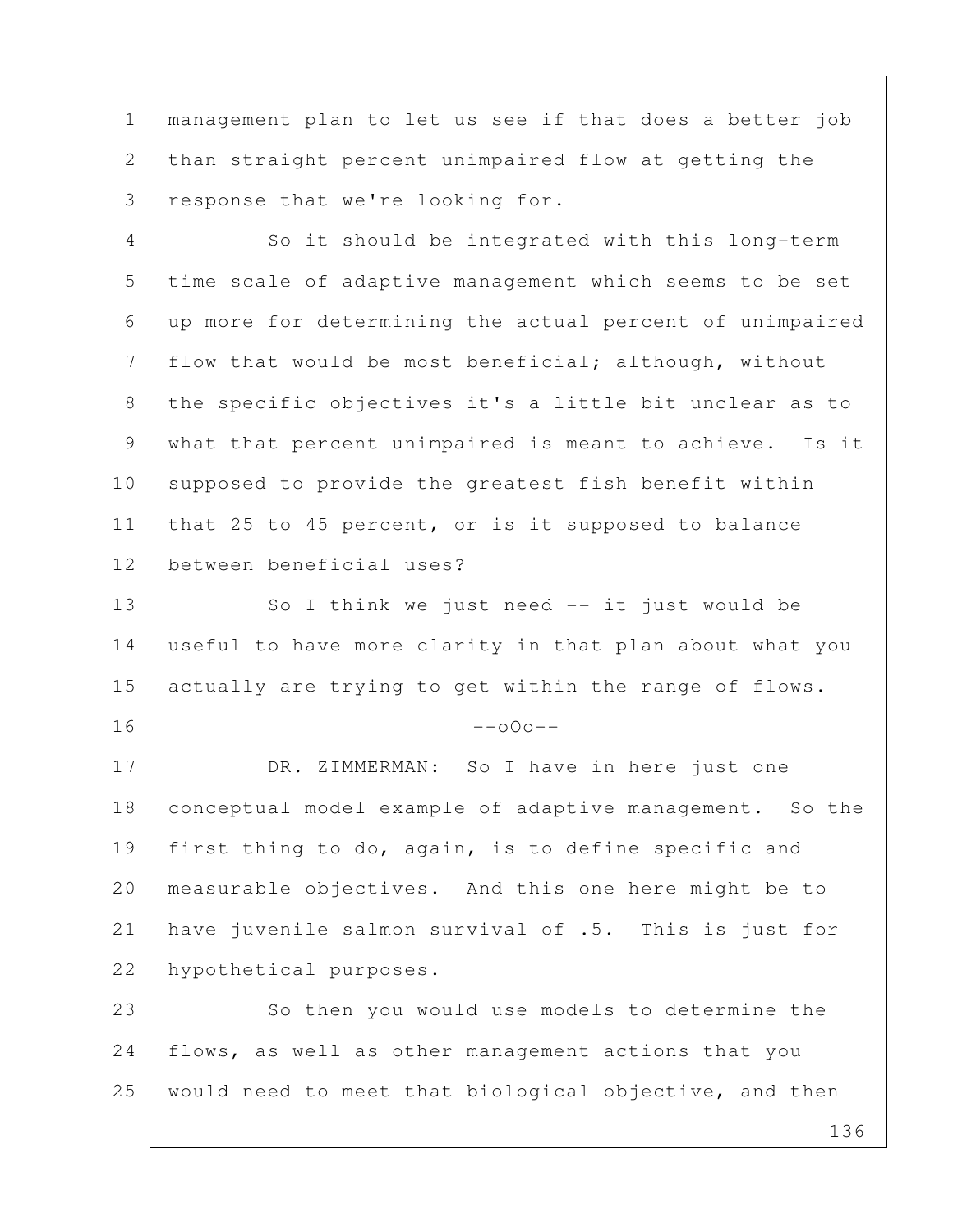1 management plan to let us see if that does a better job 2 than straight percent unimpaired flow at getting the 3 response that we're looking for.

4 So it should be integrated with this long-term 5 time scale of adaptive management which seems to be set 6 up more for determining the actual percent of unimpaired 7 | flow that would be most beneficial; although, without 8 | the specific objectives it's a little bit unclear as to 9 what that percent unimpaired is meant to achieve. Is it 10 supposed to provide the greatest fish benefit within 11 | that 25 to 45 percent, or is it supposed to balance 12 between beneficial uses?

13 So I think we just need -- it just would be 14 useful to have more clarity in that plan about what you 15 actually are trying to get within the range of flows.

## $16$  --000--

17 DR. ZIMMERMAN: So I have in here just one 18 conceptual model example of adaptive management. So the 19 | first thing to do, again, is to define specific and 20 measurable objectives. And this one here might be to 21 have juvenile salmon survival of .5. This is just for 22 hypothetical purposes.

23 So then you would use models to determine the 24 | flows, as well as other management actions that you 25 would need to meet that biological objective, and then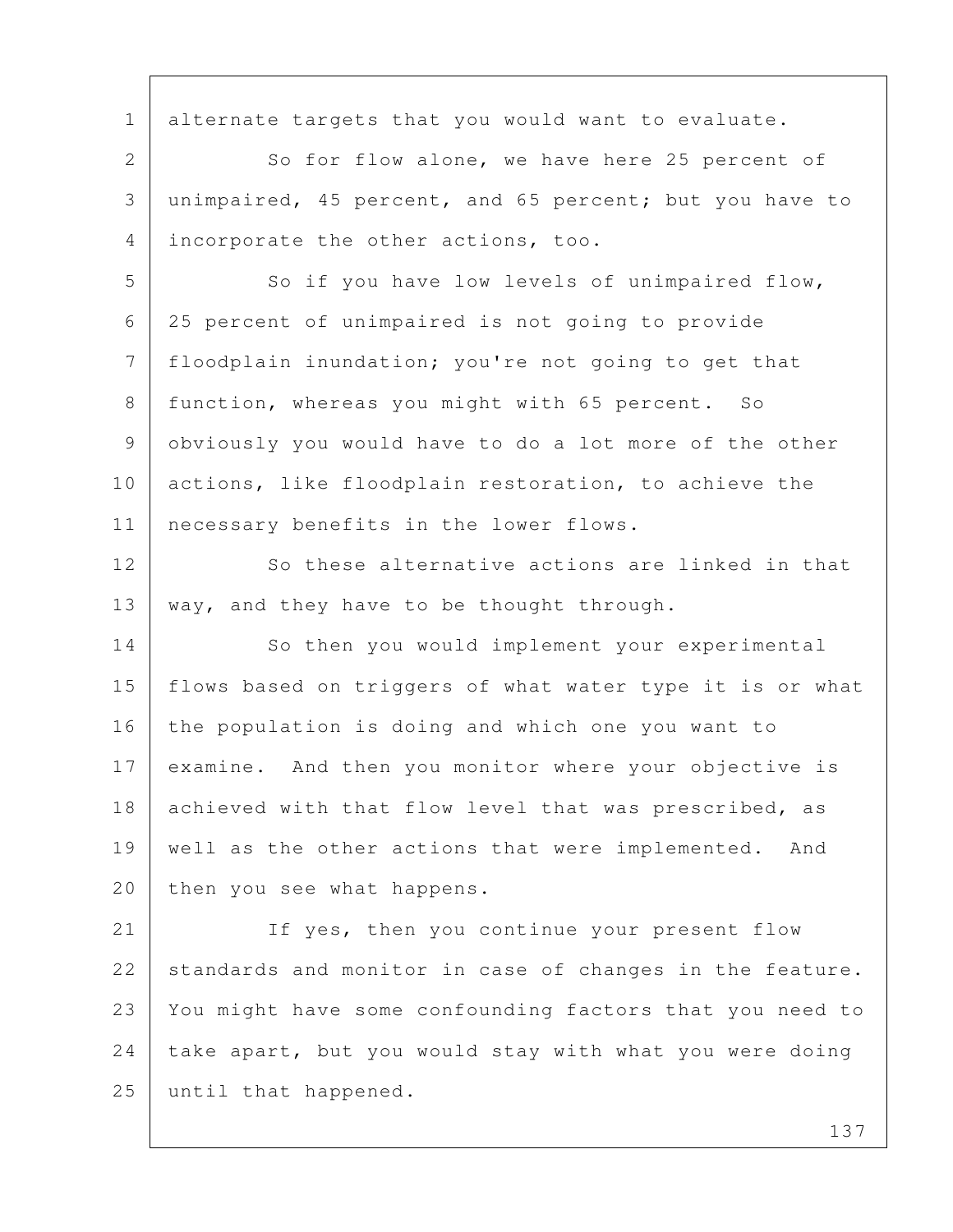1 alternate targets that you would want to evaluate. 2 So for flow alone, we have here 25 percent of 3 unimpaired, 45 percent, and 65 percent; but you have to 4 incorporate the other actions, too. 5 So if you have low levels of unimpaired flow, 6 25 percent of unimpaired is not going to provide 7 floodplain inundation; you're not going to get that 8 | function, whereas you might with 65 percent. So 9 obviously you would have to do a lot more of the other 10 actions, like floodplain restoration, to achieve the 11 necessary benefits in the lower flows. 12 So these alternative actions are linked in that 13 | way, and they have to be thought through. 14 So then you would implement your experimental 15 flows based on triggers of what water type it is or what 16 the population is doing and which one you want to 17 examine. And then you monitor where your objective is 18 achieved with that flow level that was prescribed, as 19 well as the other actions that were implemented. And 20 then you see what happens. 21 If yes, then you continue your present flow 22 standards and monitor in case of changes in the feature. 23 You might have some confounding factors that you need to 24 take apart, but you would stay with what you were doing 25 until that happened.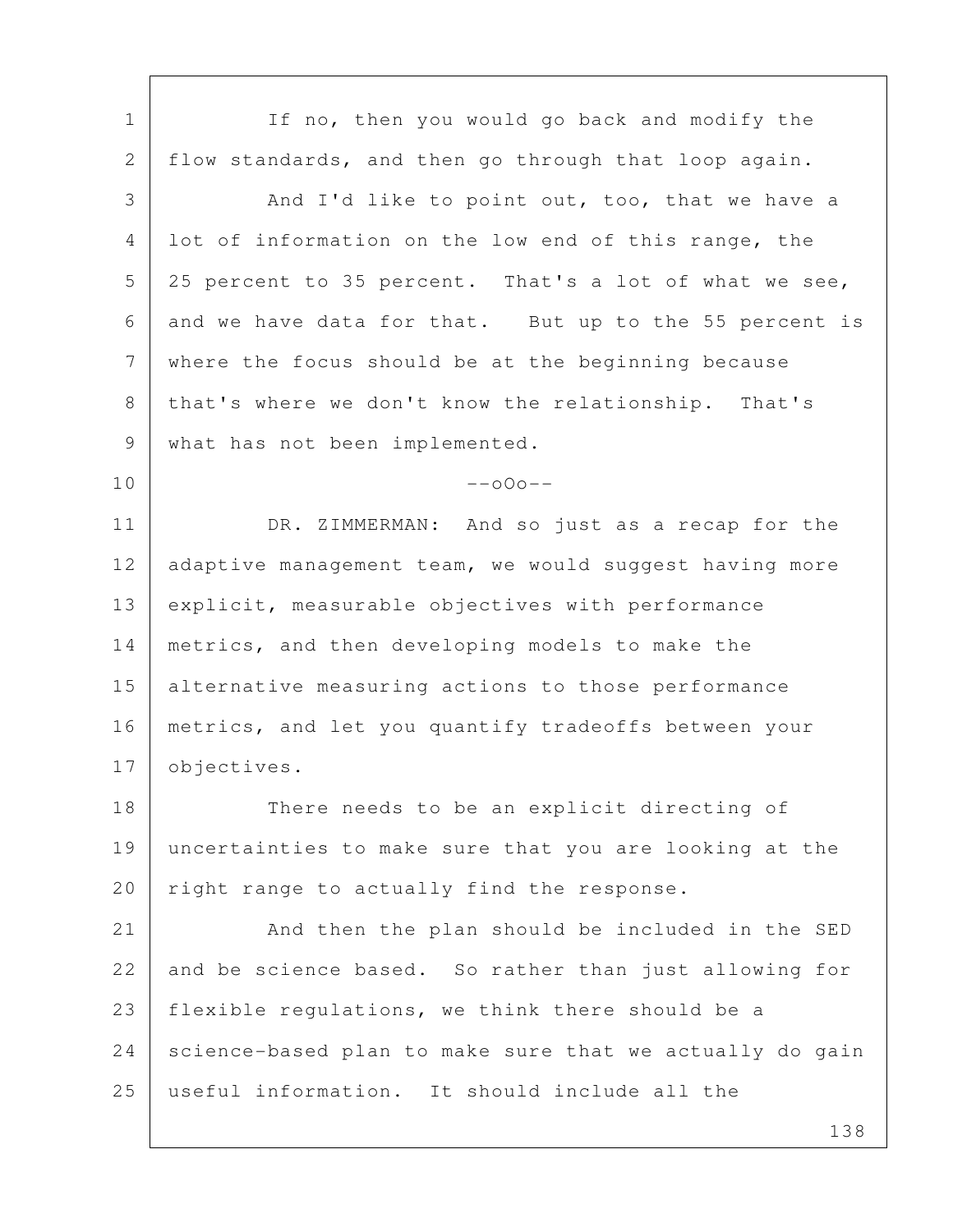138 1 If no, then you would go back and modify the 2 flow standards, and then go through that loop again. 3 And I'd like to point out, too, that we have a 4 lot of information on the low end of this range, the 5 25 percent to 35 percent. That's a lot of what we see, 6 and we have data for that. But up to the 55 percent is 7 where the focus should be at the beginning because 8 | that's where we don't know the relationship. That's 9 | what has not been implemented.  $10$  --000--11 DR. ZIMMERMAN: And so just as a recap for the 12 adaptive management team, we would suggest having more 13 explicit, measurable objectives with performance 14 metrics, and then developing models to make the 15 alternative measuring actions to those performance 16 metrics, and let you quantify tradeoffs between your 17 objectives. 18 There needs to be an explicit directing of 19 uncertainties to make sure that you are looking at the 20 | right range to actually find the response. 21 And then the plan should be included in the SED 22 and be science based. So rather than just allowing for 23 | flexible regulations, we think there should be a 24 science-based plan to make sure that we actually do gain 25 useful information. It should include all the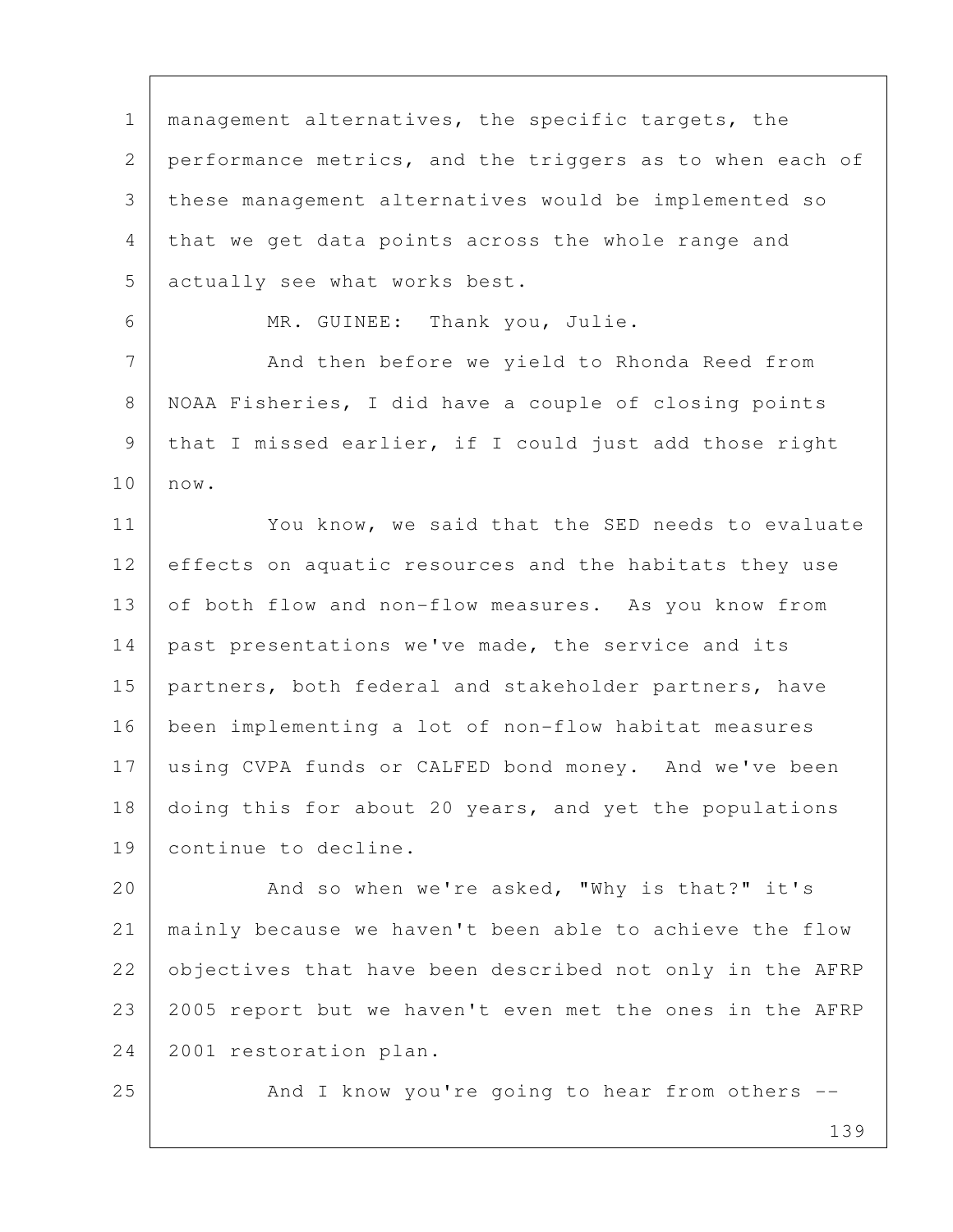1 | management alternatives, the specific targets, the 2 performance metrics, and the triggers as to when each of 3 these management alternatives would be implemented so 4 that we get data points across the whole range and 5 actually see what works best. 6 MR. GUINEE: Thank you, Julie.

7 And then before we yield to Rhonda Reed from 8 NOAA Fisheries, I did have a couple of closing points 9 that I missed earlier, if I could just add those right 10 now.

11 You know, we said that the SED needs to evaluate 12 effects on aquatic resources and the habitats they use 13 of both flow and non-flow measures. As you know from 14 | past presentations we've made, the service and its 15 | partners, both federal and stakeholder partners, have 16 been implementing a lot of non-flow habitat measures 17 using CVPA funds or CALFED bond money. And we've been 18 doing this for about 20 years, and yet the populations 19 continue to decline.

20 And so when we're asked, "Why is that?" it's 21 mainly because we haven't been able to achieve the flow 22 objectives that have been described not only in the AFRP 23 2005 report but we haven't even met the ones in the AFRP 24 2001 restoration plan.

25 And I know you're going to hear from others --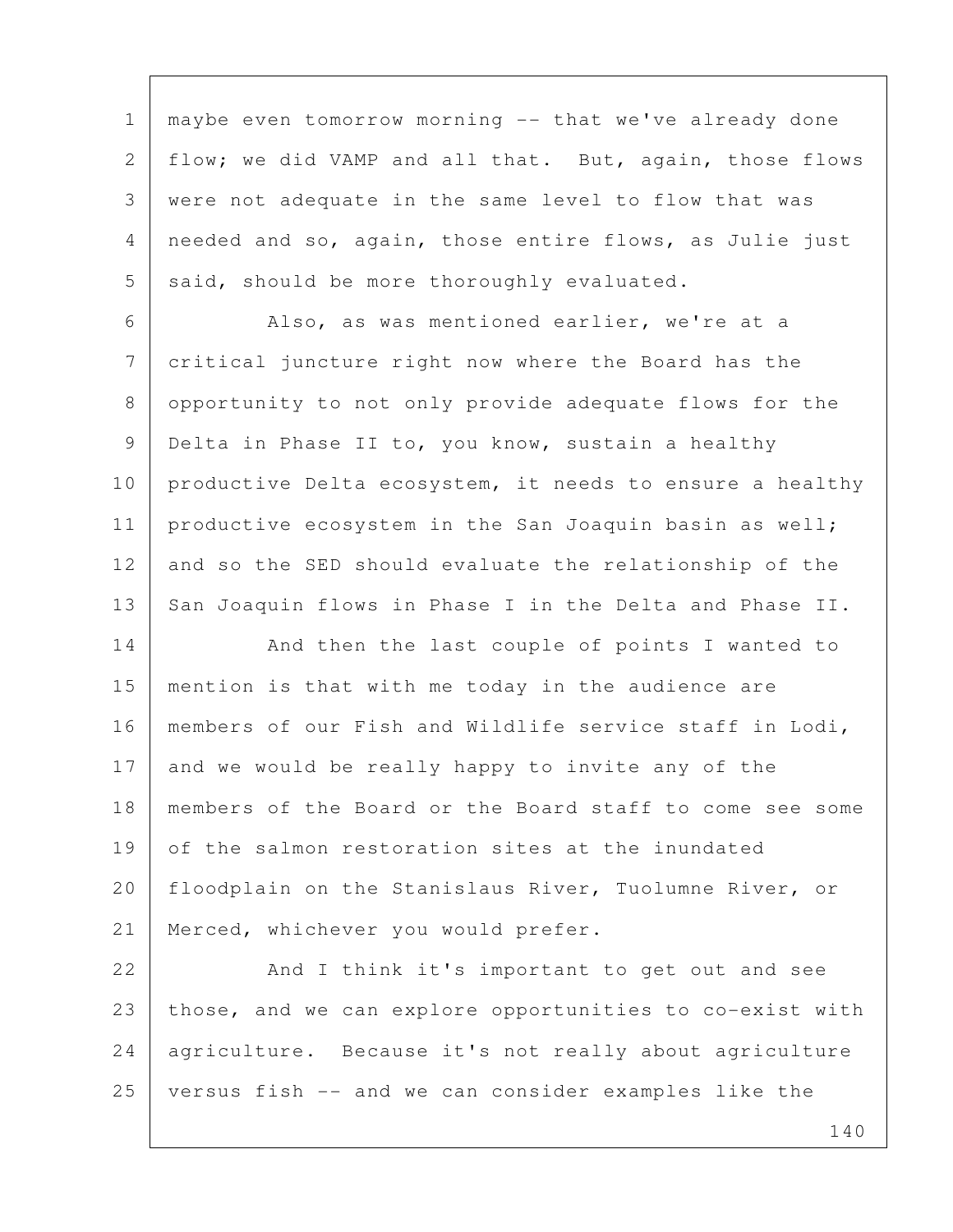1 | maybe even tomorrow morning -- that we've already done 2 | flow; we did VAMP and all that. But, again, those flows 3 were not adequate in the same level to flow that was 4 needed and so, again, those entire flows, as Julie just  $5$  said, should be more thoroughly evaluated.

 6 Also, as was mentioned earlier, we're at a 7 critical juncture right now where the Board has the 8 opportunity to not only provide adequate flows for the 9 Delta in Phase II to, you know, sustain a healthy 10 productive Delta ecosystem, it needs to ensure a healthy 11 | productive ecosystem in the San Joaquin basin as well; 12 and so the SED should evaluate the relationship of the 13 San Joaquin flows in Phase I in the Delta and Phase II.

14 And then the last couple of points I wanted to 15 mention is that with me today in the audience are 16 members of our Fish and Wildlife service staff in Lodi, 17 and we would be really happy to invite any of the 18 members of the Board or the Board staff to come see some 19 of the salmon restoration sites at the inundated 20 | floodplain on the Stanislaus River, Tuolumne River, or 21 Merced, whichever you would prefer.

22 And I think it's important to get out and see 23 those, and we can explore opportunities to co-exist with 24 | agriculture. Because it's not really about agriculture 25 versus fish -- and we can consider examples like the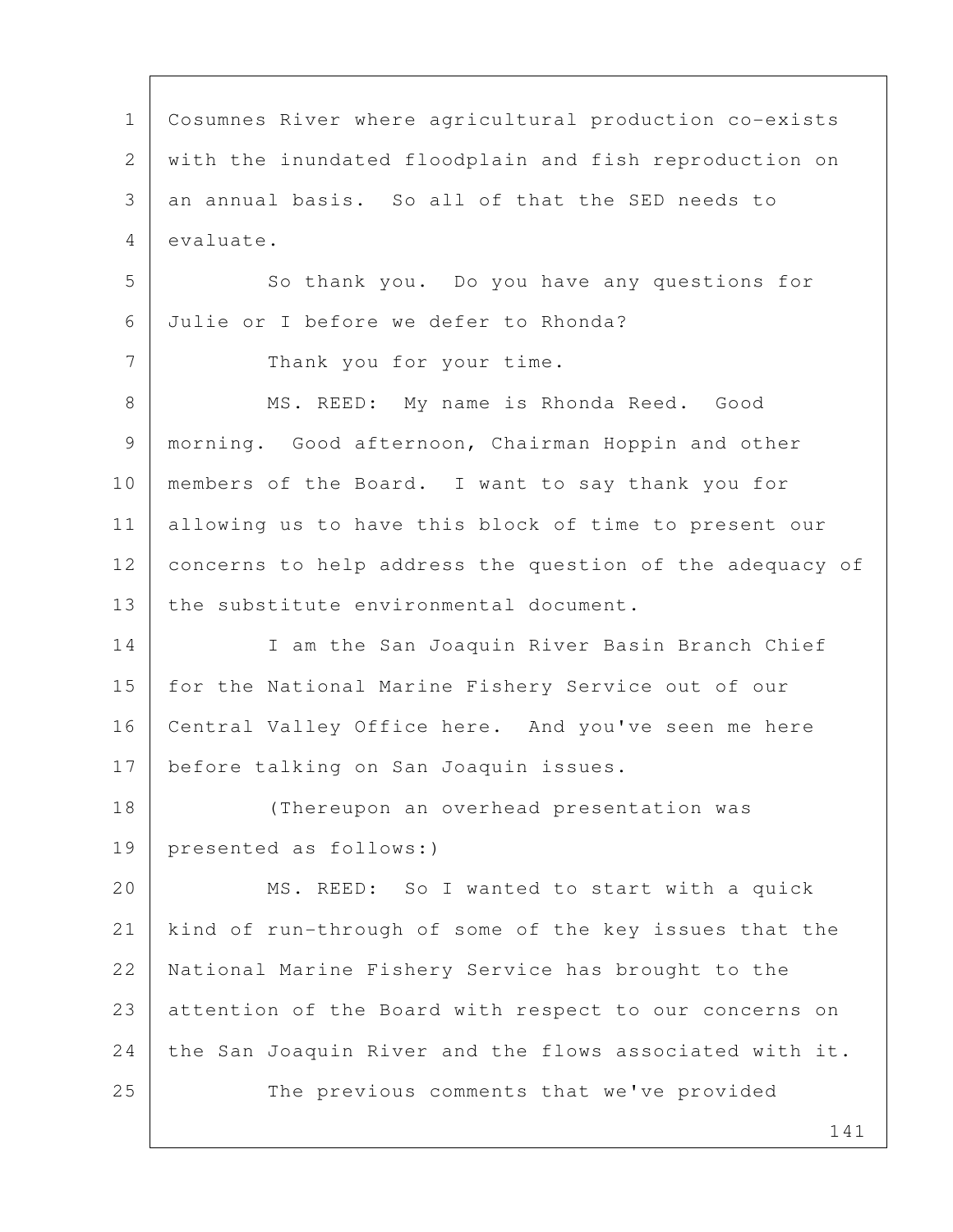1 Cosumnes River where agricultural production co-exists 2 with the inundated floodplain and fish reproduction on 3 an annual basis. So all of that the SED needs to 4 evaluate. 5 So thank you. Do you have any questions for 6 Julie or I before we defer to Rhonda? 7 Thank you for your time. 8 MS. REED: My name is Rhonda Reed. Good 9 morning. Good afternoon, Chairman Hoppin and other 10 members of the Board. I want to say thank you for 11 allowing us to have this block of time to present our 12 concerns to help address the question of the adequacy of 13 the substitute environmental document. 14 I am the San Joaquin River Basin Branch Chief 15 | for the National Marine Fishery Service out of our 16 | Central Valley Office here. And you've seen me here 17 | before talking on San Joaquin issues. 18 (Thereupon an overhead presentation was 19 presented as follows:) 20 | MS. REED: So I wanted to start with a quick 21 kind of run-through of some of the key issues that the 22 National Marine Fishery Service has brought to the 23 attention of the Board with respect to our concerns on 24 the San Joaquin River and the flows associated with it. 25 The previous comments that we've provided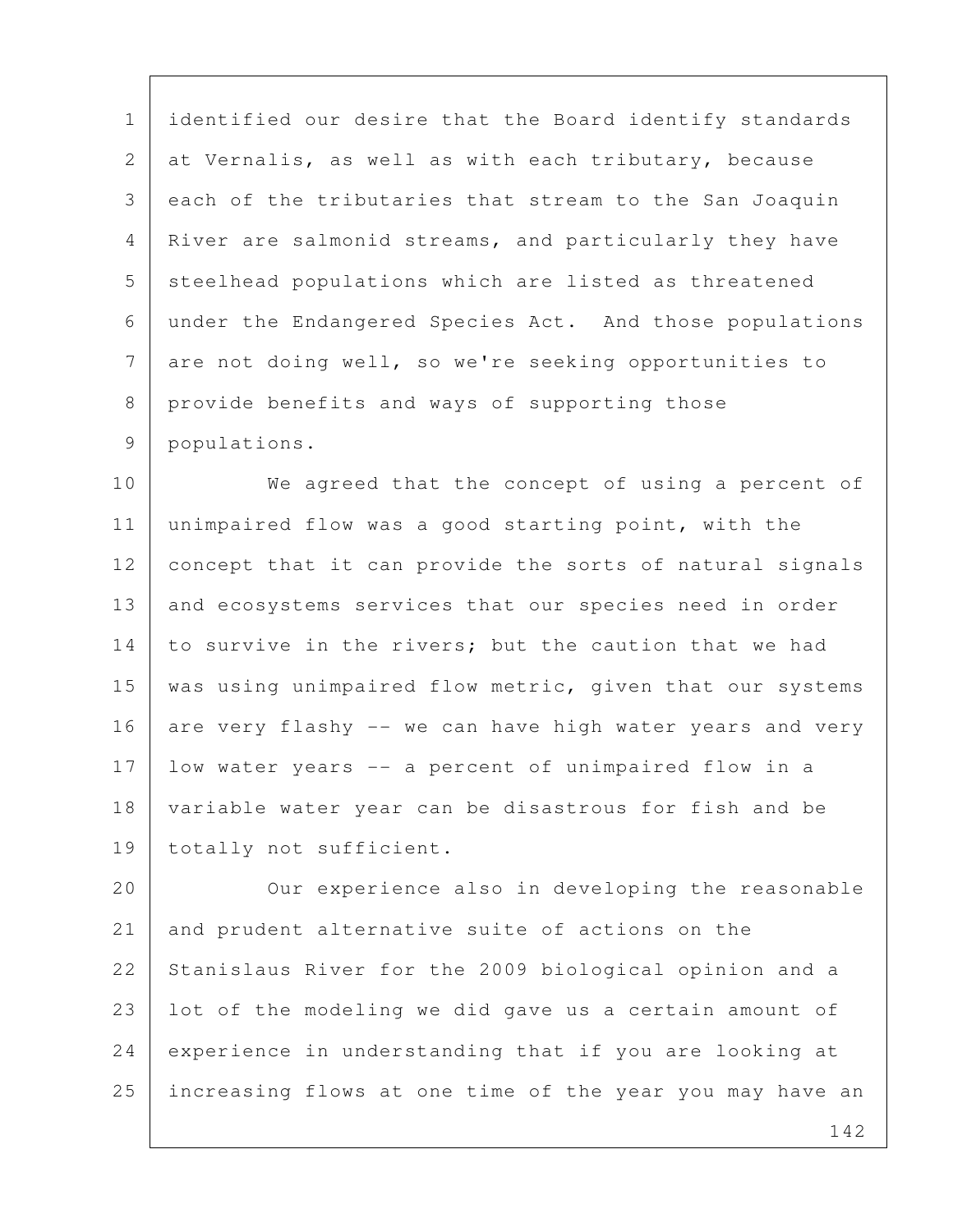1 | identified our desire that the Board identify standards 2 at Vernalis, as well as with each tributary, because 3 each of the tributaries that stream to the San Joaquin 4 River are salmonid streams, and particularly they have 5 steelhead populations which are listed as threatened 6 under the Endangered Species Act. And those populations 7 are not doing well, so we're seeking opportunities to 8 provide benefits and ways of supporting those 9 populations.

10 We agreed that the concept of using a percent of 11 unimpaired flow was a good starting point, with the 12 concept that it can provide the sorts of natural signals 13 and ecosystems services that our species need in order 14 to survive in the rivers; but the caution that we had 15 | was using unimpaired flow metric, given that our systems 16 are very flashy -- we can have high water years and very 17 low water years -- a percent of unimpaired flow in a 18 variable water year can be disastrous for fish and be 19 totally not sufficient.

20 | Our experience also in developing the reasonable 21 and prudent alternative suite of actions on the 22 Stanislaus River for the 2009 biological opinion and a 23 lot of the modeling we did gave us a certain amount of 24 experience in understanding that if you are looking at 25 increasing flows at one time of the year you may have an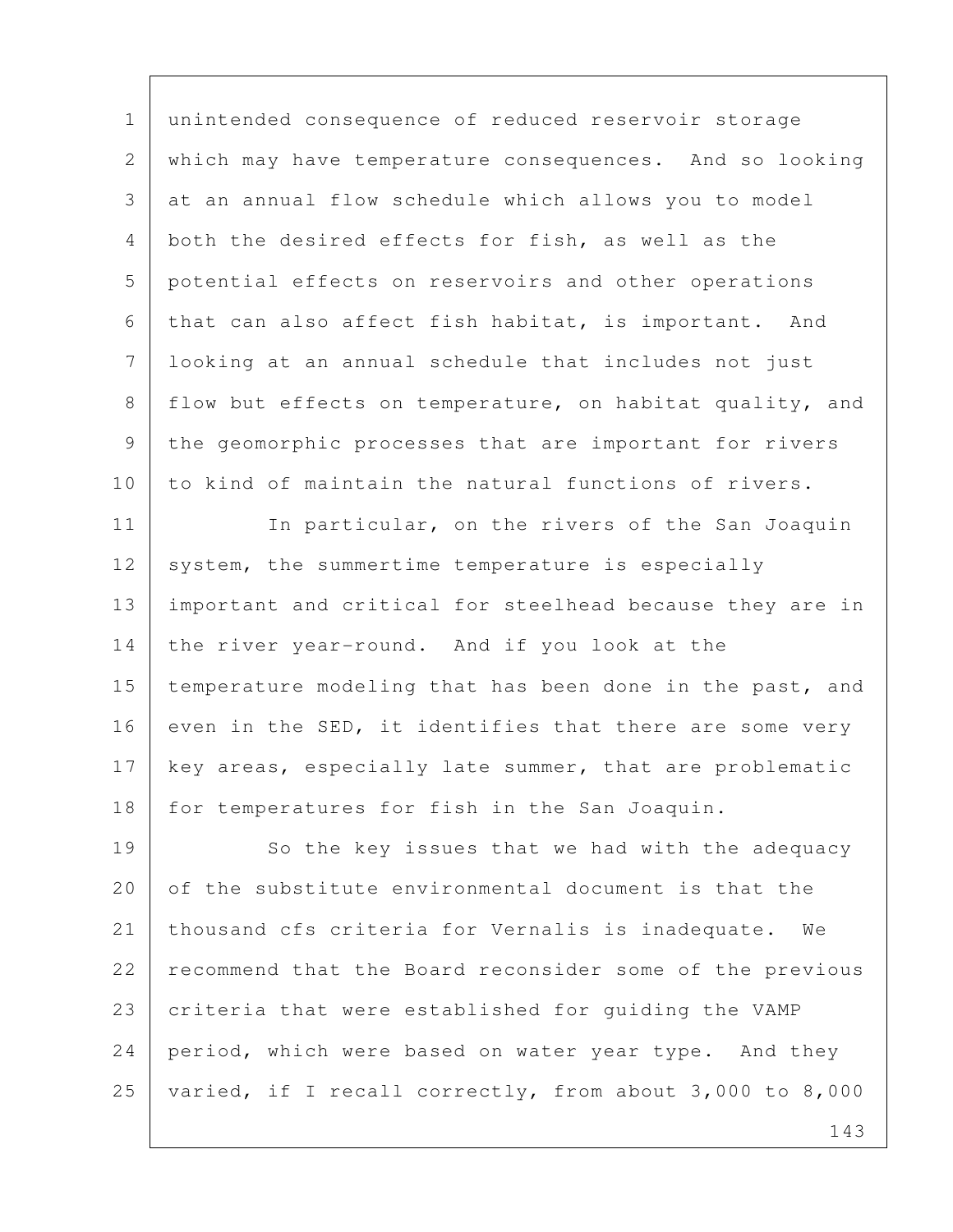1 unintended consequence of reduced reservoir storage 2 which may have temperature consequences. And so looking 3 at an annual flow schedule which allows you to model 4 both the desired effects for fish, as well as the 5 potential effects on reservoirs and other operations 6 that can also affect fish habitat, is important. And 7 looking at an annual schedule that includes not just 8 flow but effects on temperature, on habitat quality, and 9 the geomorphic processes that are important for rivers 10 to kind of maintain the natural functions of rivers.

11 In particular, on the rivers of the San Joaquin 12 system, the summertime temperature is especially 13 important and critical for steelhead because they are in 14 the river year-round. And if you look at the 15 temperature modeling that has been done in the past, and 16 even in the SED, it identifies that there are some very 17 key areas, especially late summer, that are problematic 18 for temperatures for fish in the San Joaquin.

19 So the key issues that we had with the adequacy 20 of the substitute environmental document is that the 21 thousand cfs criteria for Vernalis is inadequate. We 22 recommend that the Board reconsider some of the previous 23 criteria that were established for guiding the VAMP 24 period, which were based on water year type. And they 25 varied, if I recall correctly, from about 3,000 to 8,000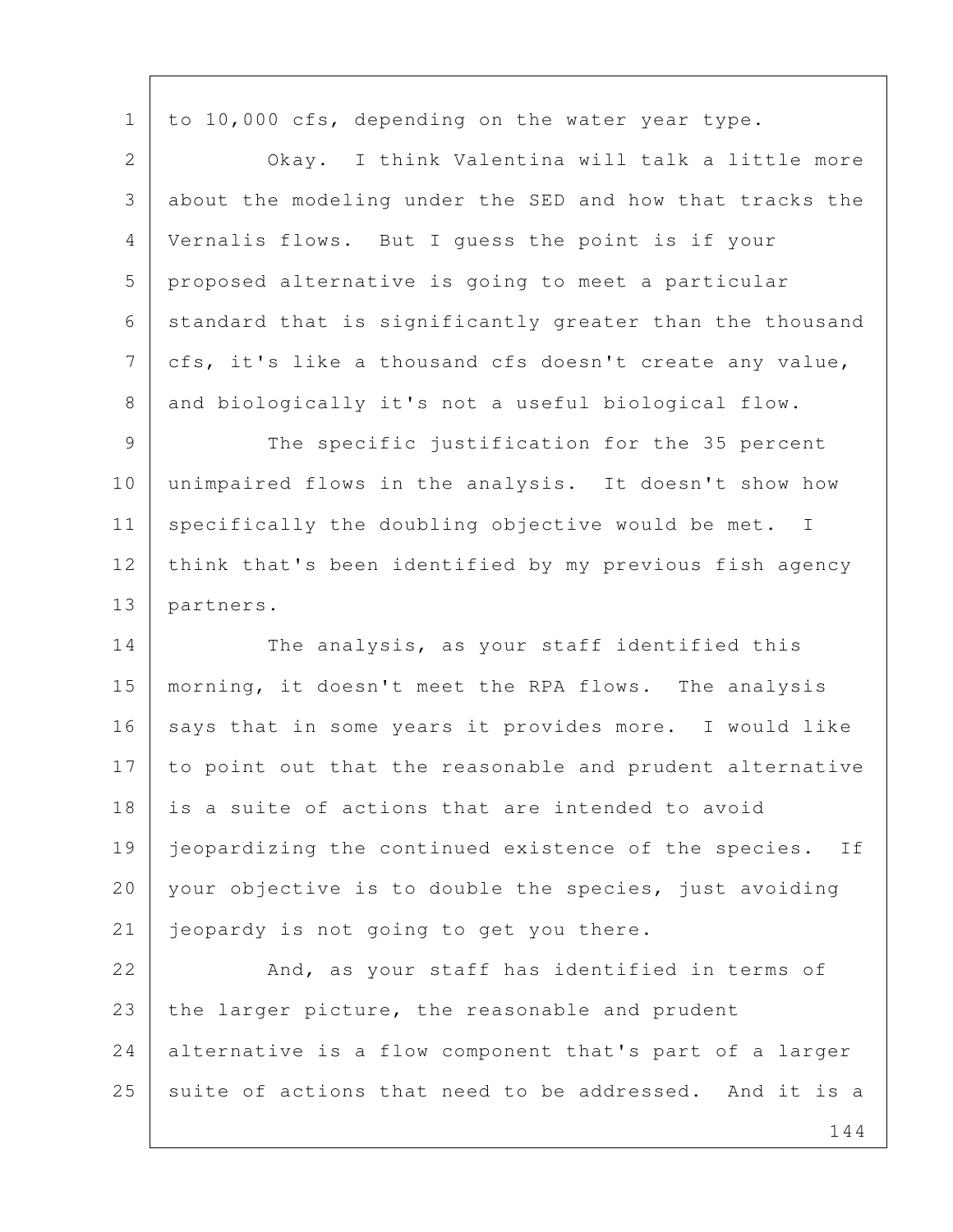1 to 10,000 cfs, depending on the water year type.

 2 Okay. I think Valentina will talk a little more 3 about the modeling under the SED and how that tracks the 4 Vernalis flows. But I guess the point is if your 5 proposed alternative is going to meet a particular 6 standard that is significantly greater than the thousand 7 cfs, it's like a thousand cfs doesn't create any value, 8 and biologically it's not a useful biological flow.

9 | The specific justification for the 35 percent 10 unimpaired flows in the analysis. It doesn't show how 11 specifically the doubling objective would be met. I 12 think that's been identified by my previous fish agency 13 partners.

14 The analysis, as your staff identified this 15 morning, it doesn't meet the RPA flows. The analysis 16 says that in some years it provides more. I would like 17 to point out that the reasonable and prudent alternative 18 is a suite of actions that are intended to avoid 19 | jeopardizing the continued existence of the species. If 20 your objective is to double the species, just avoiding 21 | jeopardy is not going to get you there.

22 And, as your staff has identified in terms of 23 the larger picture, the reasonable and prudent 24 alternative is a flow component that's part of a larger 25 suite of actions that need to be addressed. And it is a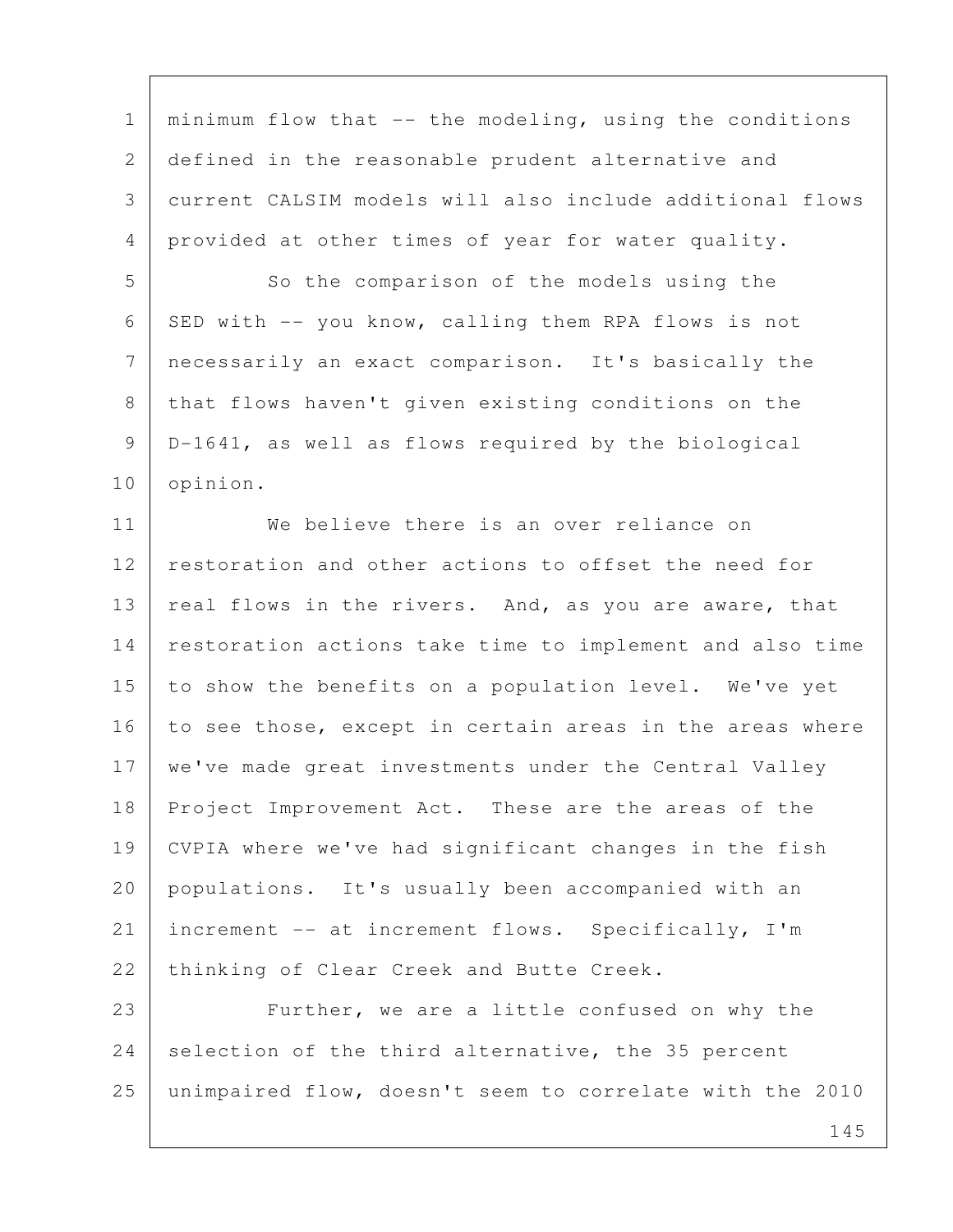1 | minimum flow that  $--$  the modeling, using the conditions 2 defined in the reasonable prudent alternative and 3 current CALSIM models will also include additional flows 4 provided at other times of year for water quality. 5 So the comparison of the models using the 6 SED with  $--$  you know, calling them RPA flows is not 7 necessarily an exact comparison. It's basically the 8 that flows haven't given existing conditions on the 9 D-1641, as well as flows required by the biological 10 opinion. 11 We believe there is an over reliance on 12 restoration and other actions to offset the need for 13 | real flows in the rivers. And, as you are aware, that 14 restoration actions take time to implement and also time 15 to show the benefits on a population level. We've yet 16 to see those, except in certain areas in the areas where 17 | we've made great investments under the Central Valley 18 Project Improvement Act. These are the areas of the 19 CVPIA where we've had significant changes in the fish 20 populations. It's usually been accompanied with an 21 increment -- at increment flows. Specifically, I'm 22 thinking of Clear Creek and Butte Creek. 23 Further, we are a little confused on why the 24 selection of the third alternative, the 35 percent 25 unimpaired flow, doesn't seem to correlate with the 2010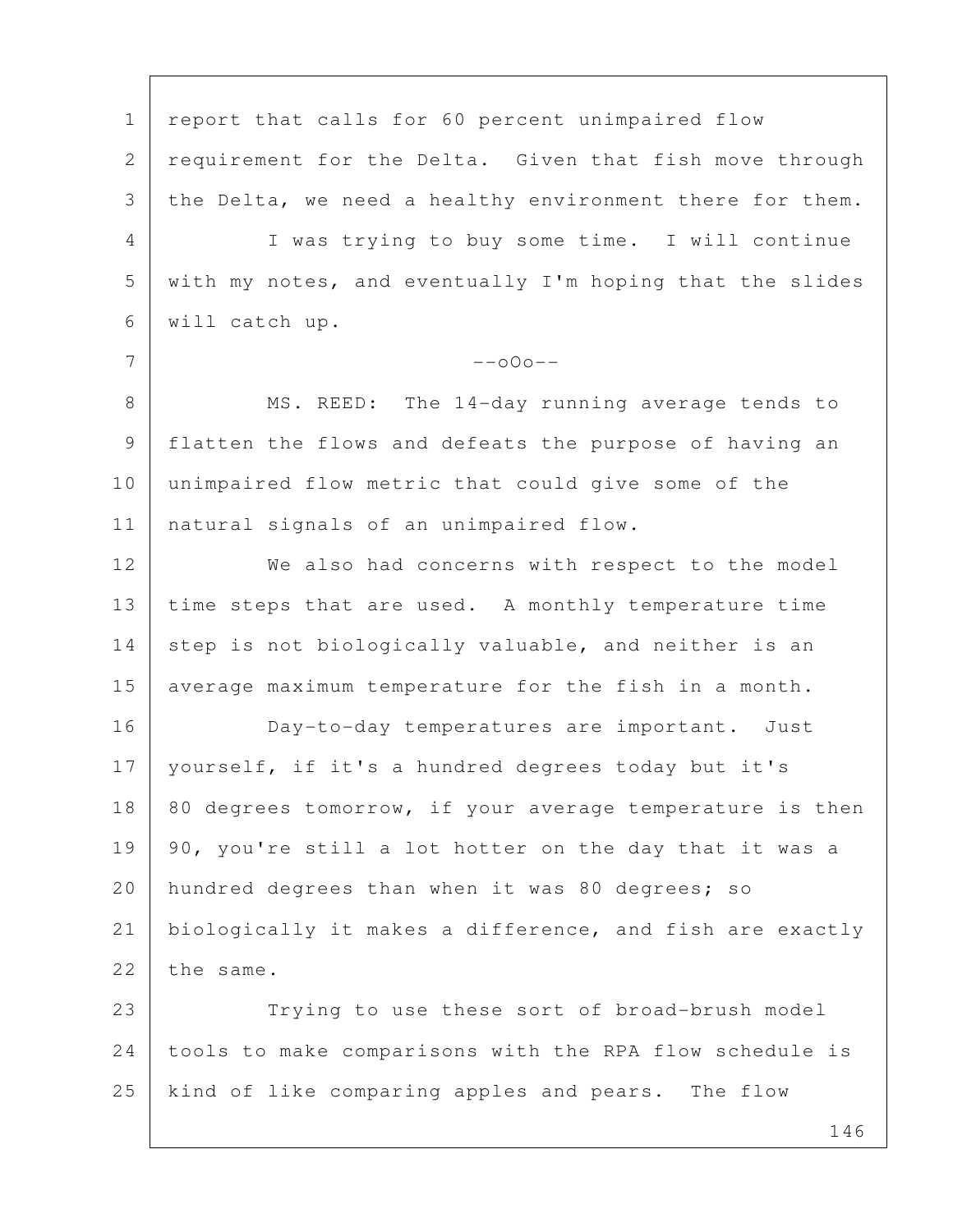1 | report that calls for 60 percent unimpaired flow 2 requirement for the Delta. Given that fish move through 3 the Delta, we need a healthy environment there for them. 4 I was trying to buy some time. I will continue 5 with my notes, and eventually I'm hoping that the slides 6 will catch up.  $7$  --000--8 | MS. REED: The 14-day running average tends to 9 flatten the flows and defeats the purpose of having an 10 unimpaired flow metric that could give some of the 11 natural signals of an unimpaired flow. 12 We also had concerns with respect to the model 13 time steps that are used. A monthly temperature time 14 step is not biologically valuable, and neither is an 15 average maximum temperature for the fish in a month. 16 Day-to-day temperatures are important. Just 17 yourself, if it's a hundred degrees today but it's  $18$  80 degrees tomorrow, if your average temperature is then  $19$  | 90, you're still a lot hotter on the day that it was a 20 | hundred degrees than when it was 80 degrees; so 21 biologically it makes a difference, and fish are exactly  $22$  the same. 23 Trying to use these sort of broad-brush model 24 tools to make comparisons with the RPA flow schedule is 25 kind of like comparing apples and pears. The flow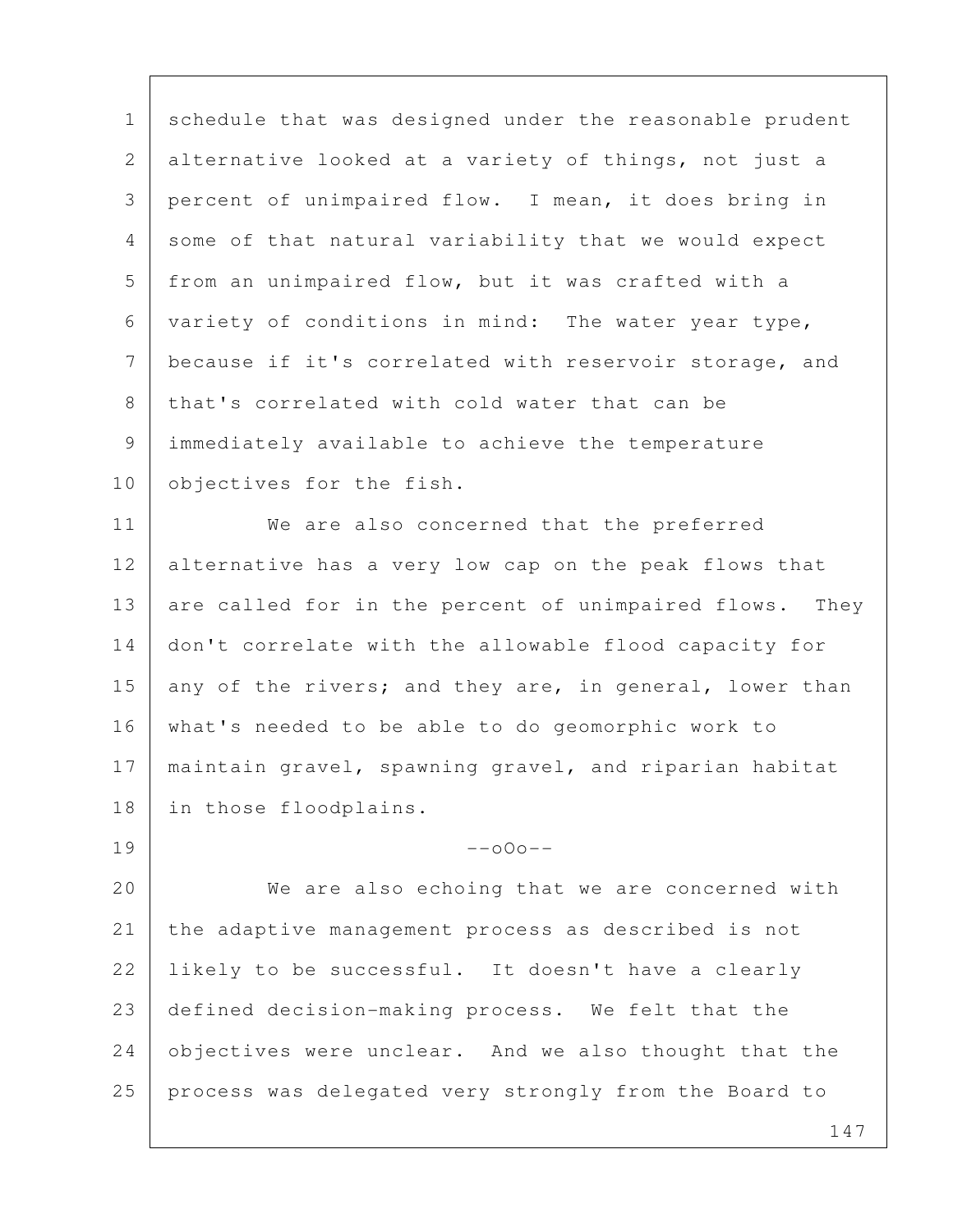1 schedule that was designed under the reasonable prudent 2 alternative looked at a variety of things, not just a 3 percent of unimpaired flow. I mean, it does bring in 4 some of that natural variability that we would expect 5 | from an unimpaired flow, but it was crafted with a 6 variety of conditions in mind: The water year type, 7 | because if it's correlated with reservoir storage, and 8 that's correlated with cold water that can be 9 immediately available to achieve the temperature 10 objectives for the fish.

11 We are also concerned that the preferred 12 alternative has a very low cap on the peak flows that 13 are called for in the percent of unimpaired flows. They 14 don't correlate with the allowable flood capacity for 15 any of the rivers; and they are, in general, lower than 16 what's needed to be able to do geomorphic work to 17 maintain gravel, spawning gravel, and riparian habitat 18 in those floodplains.

20 We are also echoing that we are concerned with 21 the adaptive management process as described is not 22 I likely to be successful. It doesn't have a clearly 23 defined decision-making process. We felt that the 24 objectives were unclear. And we also thought that the 25 process was delegated very strongly from the Board to

 $19$  --000--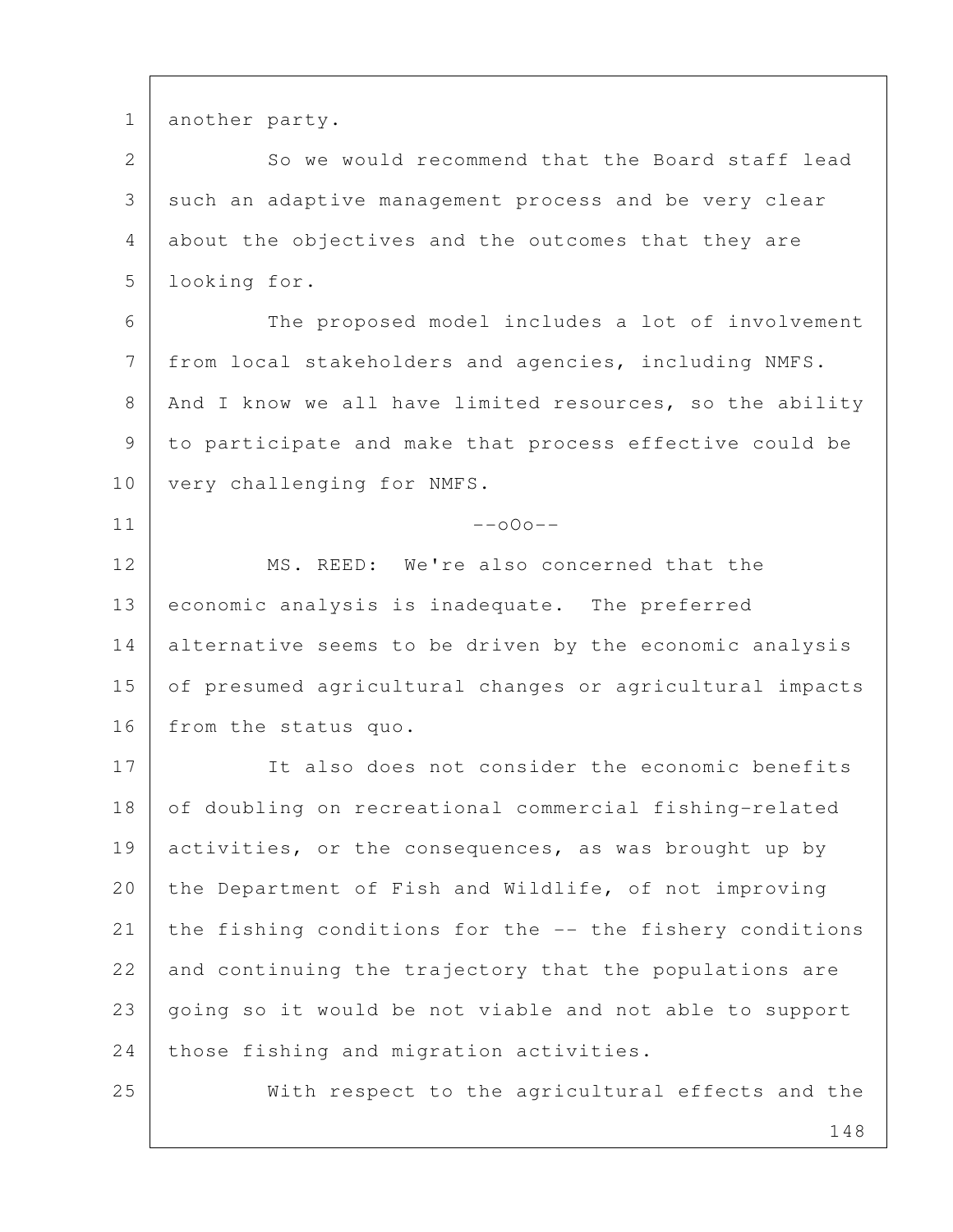1 another party.

2 So we would recommend that the Board staff lead 3 such an adaptive management process and be very clear 4 about the objectives and the outcomes that they are 5 looking for.

6 | The proposed model includes a lot of involvement 7 from local stakeholders and agencies, including NMFS. 8 | And I know we all have limited resources, so the ability 9 to participate and make that process effective could be 10 | very challenging for NMFS.

 $11$  --000--

12 MS. REED: We're also concerned that the 13 economic analysis is inadequate. The preferred 14 alternative seems to be driven by the economic analysis 15 of presumed agricultural changes or agricultural impacts 16 from the status quo.

17 It also does not consider the economic benefits 18 of doubling on recreational commercial fishing-related 19 activities, or the consequences, as was brought up by 20 the Department of Fish and Wildlife, of not improving 21 the fishing conditions for the -- the fishery conditions 22 and continuing the trajectory that the populations are 23 going so it would be not viable and not able to support 24 those fishing and migration activities.

25 With respect to the agricultural effects and the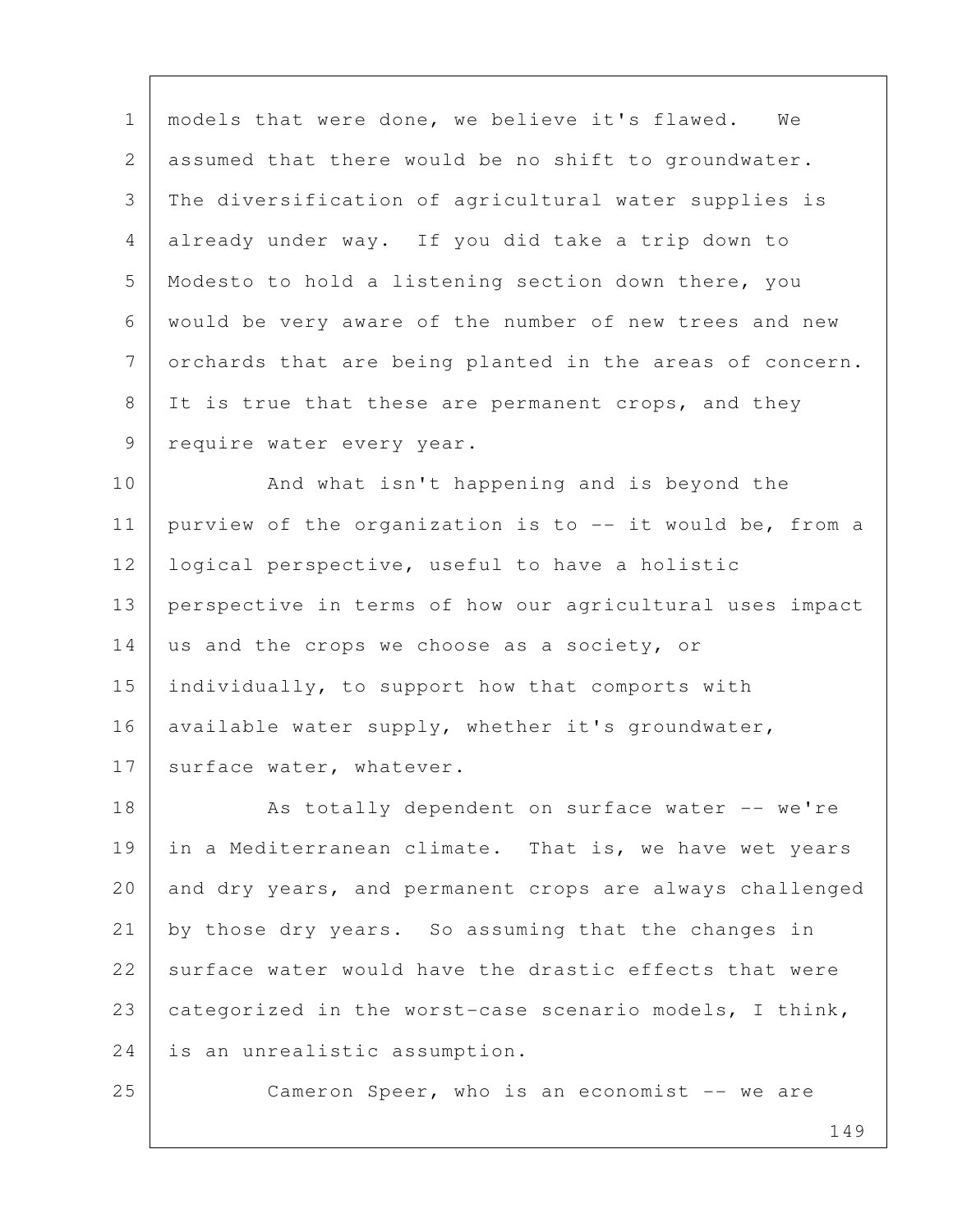1 | models that were done, we believe it's flawed. We 2 assumed that there would be no shift to groundwater. 3 The diversification of agricultural water supplies is 4 already under way. If you did take a trip down to 5 Modesto to hold a listening section down there, you 6 would be very aware of the number of new trees and new 7 orchards that are being planted in the areas of concern. 8 It is true that these are permanent crops, and they 9 | require water every year.

10 And what isn't happening and is beyond the 11 | purview of the organization is to  $-$  it would be, from a 12 | logical perspective, useful to have a holistic 13 perspective in terms of how our agricultural uses impact 14 us and the crops we choose as a society, or 15 individually, to support how that comports with 16 available water supply, whether it's groundwater, 17 | surface water, whatever.

18 As totally dependent on surface water -- we're 19 in a Mediterranean climate. That is, we have wet years 20 and dry years, and permanent crops are always challenged 21 by those dry years. So assuming that the changes in  $22$  surface water would have the drastic effects that were 23 categorized in the worst-case scenario models, I think, 24 is an unrealistic assumption.

25 Cameron Speer, who is an economist -- we are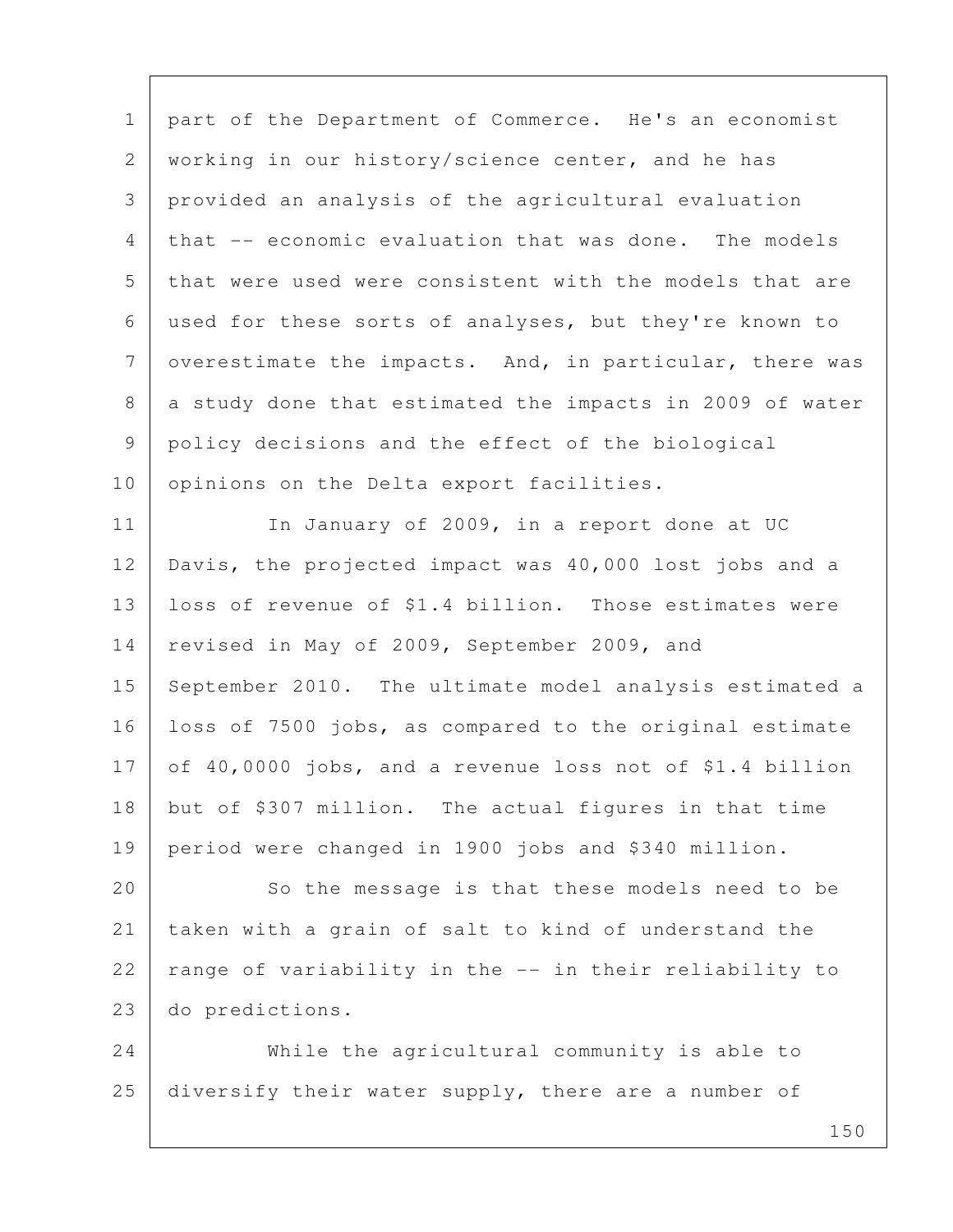1 | part of the Department of Commerce. He's an economist 2 working in our history/science center, and he has 3 provided an analysis of the agricultural evaluation 4 that -- economic evaluation that was done. The models 5 that were used were consistent with the models that are 6 used for these sorts of analyses, but they're known to  $7$  overestimate the impacts. And, in particular, there was 8 a study done that estimated the impacts in 2009 of water 9 policy decisions and the effect of the biological 10 | opinions on the Delta export facilities. 11 In January of 2009, in a report done at UC 12 Davis, the projected impact was 40,000 lost jobs and a 13 loss of revenue of \$1.4 billion. Those estimates were 14 revised in May of 2009, September 2009, and 15 September 2010. The ultimate model analysis estimated a 16 loss of 7500 jobs, as compared to the original estimate 17 of 40,0000 jobs, and a revenue loss not of \$1.4 billion 18 but of \$307 million. The actual figures in that time 19 period were changed in 1900 jobs and \$340 million. 20 So the message is that these models need to be 21 taken with a grain of salt to kind of understand the 22  $\vert$  range of variability in the  $\vert$ -- in their reliability to 23 do predictions. 24 While the agricultural community is able to 25 diversify their water supply, there are a number of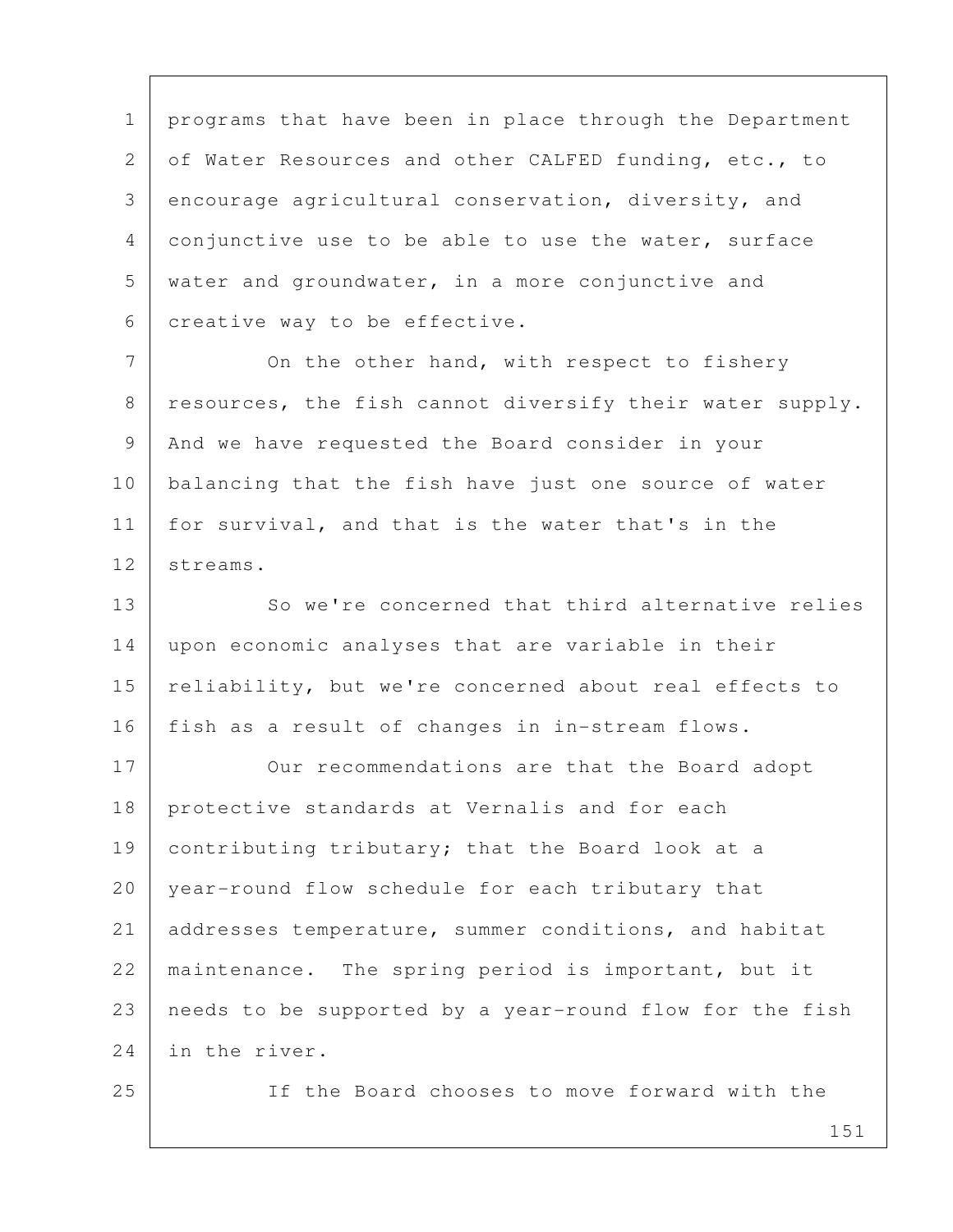1 | programs that have been in place through the Department 2 of Water Resources and other CALFED funding, etc., to 3 encourage agricultural conservation, diversity, and 4 conjunctive use to be able to use the water, surface 5 water and groundwater, in a more conjunctive and 6 creative way to be effective.

7 On the other hand, with respect to fishery 8 resources, the fish cannot diversify their water supply. 9 And we have requested the Board consider in your 10 balancing that the fish have just one source of water 11 for survival, and that is the water that's in the 12 streams.

13 So we're concerned that third alternative relies 14 upon economic analyses that are variable in their 15 | reliability, but we're concerned about real effects to 16 | fish as a result of changes in in-stream flows.

17 Our recommendations are that the Board adopt 18 protective standards at Vernalis and for each 19 contributing tributary; that the Board look at a 20 year-round flow schedule for each tributary that 21 addresses temperature, summer conditions, and habitat 22 | maintenance. The spring period is important, but it 23 needs to be supported by a year-round flow for the fish 24 in the river.

25 If the Board chooses to move forward with the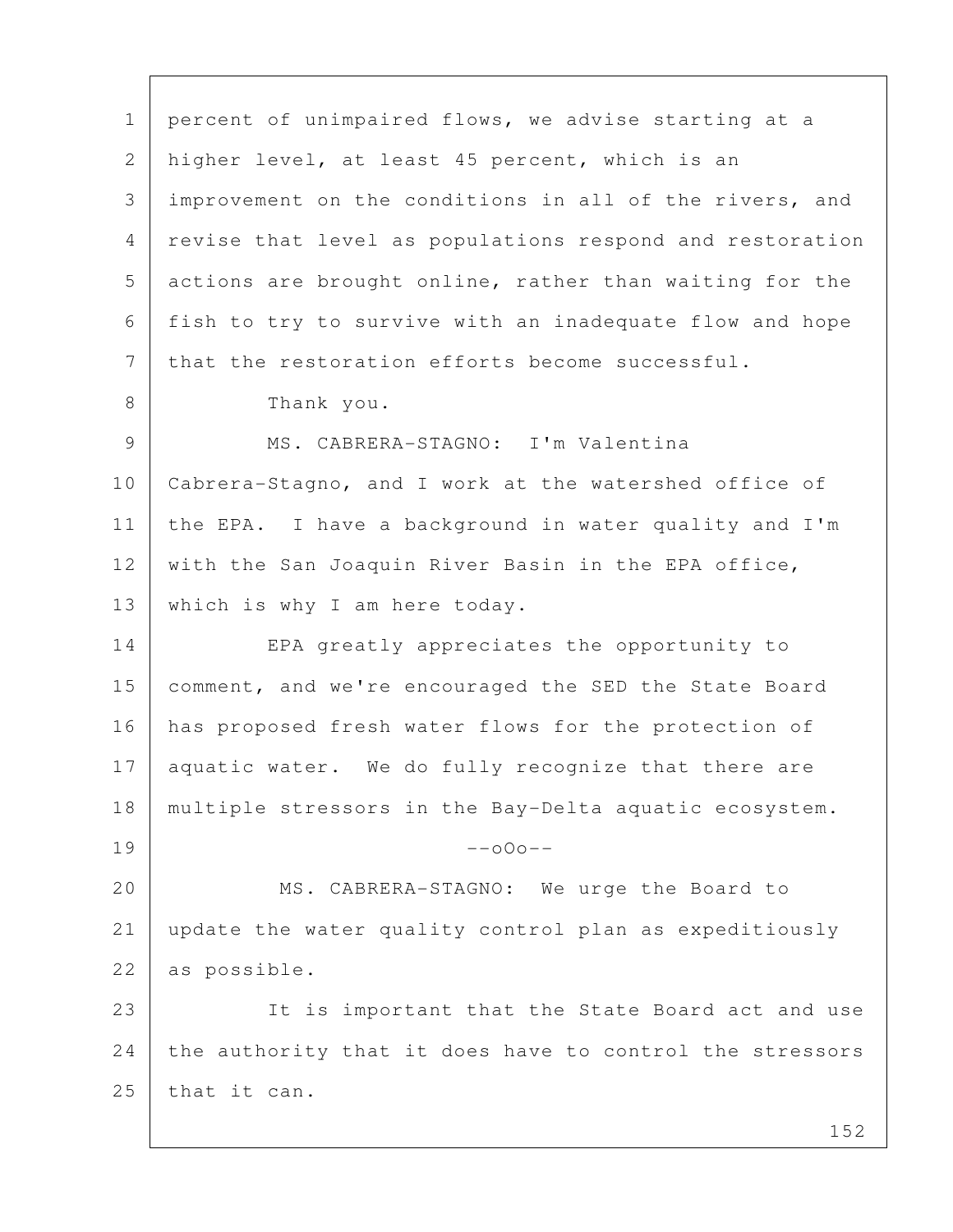152 1 percent of unimpaired flows, we advise starting at a 2 higher level, at least 45 percent, which is an 3 improvement on the conditions in all of the rivers, and 4 revise that level as populations respond and restoration 5 actions are brought online, rather than waiting for the 6 fish to try to survive with an inadequate flow and hope 7 that the restoration efforts become successful. 8 Thank you. 9 MS. CABRERA-STAGNO: I'm Valentina 10 Cabrera-Stagno, and I work at the watershed office of 11 the EPA. I have a background in water quality and I'm 12 with the San Joaquin River Basin in the EPA office, 13 | which is why I am here today. 14 EPA greatly appreciates the opportunity to 15 | comment, and we're encouraged the SED the State Board 16 has proposed fresh water flows for the protection of 17 aquatic water. We do fully recognize that there are 18 multiple stressors in the Bay-Delta aquatic ecosystem.  $19$  --000--20 MS. CABRERA-STAGNO: We urge the Board to 21 update the water quality control plan as expeditiously 22 as possible. 23 It is important that the State Board act and use 24 the authority that it does have to control the stressors 25 that it can.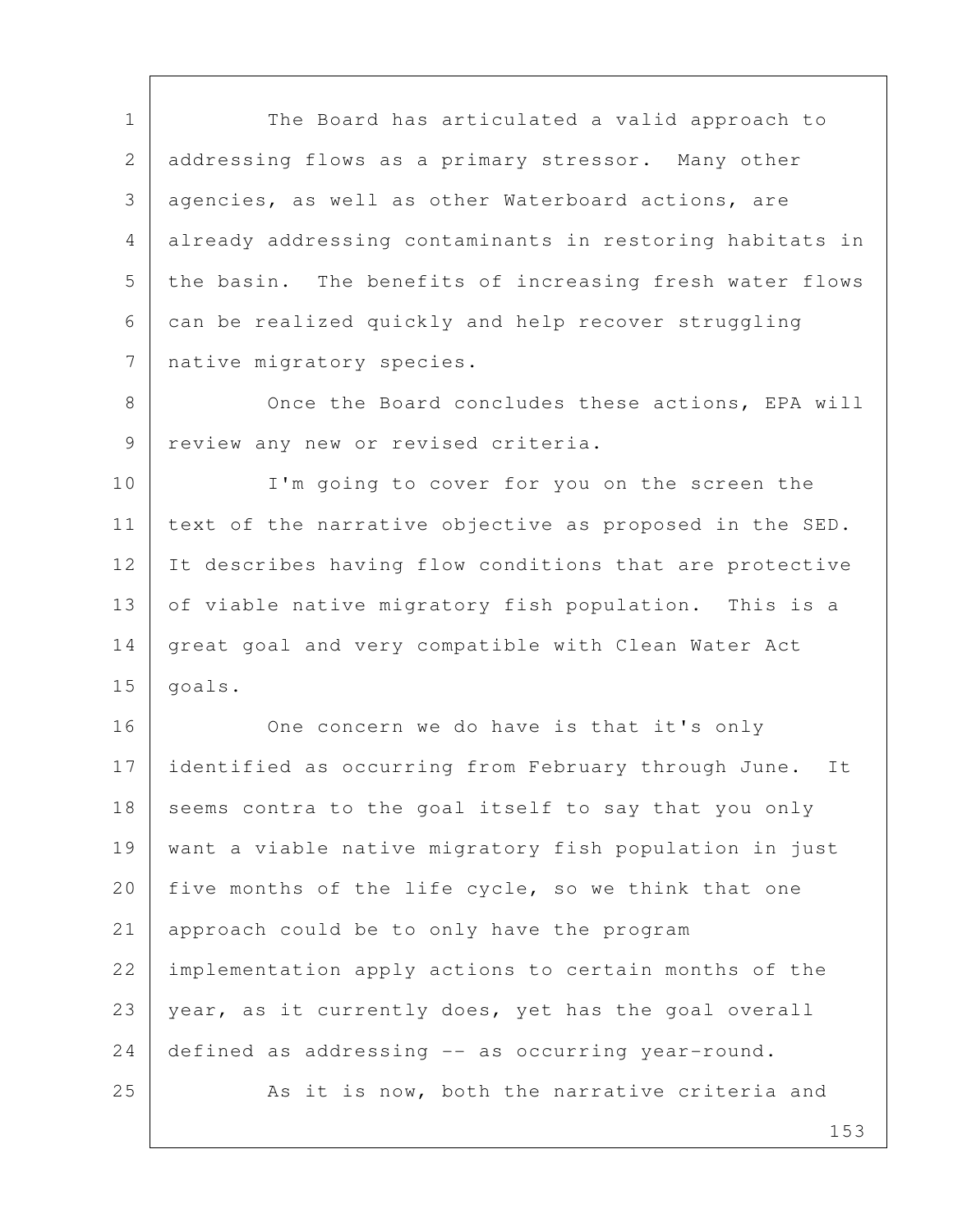1 The Board has articulated a valid approach to 2 addressing flows as a primary stressor. Many other 3 agencies, as well as other Waterboard actions, are 4 already addressing contaminants in restoring habitats in 5 the basin. The benefits of increasing fresh water flows 6 can be realized quickly and help recover struggling 7 | native migratory species.

8 Once the Board concludes these actions, EPA will 9 | review any new or revised criteria.

10 I'm going to cover for you on the screen the 11 | text of the narrative objective as proposed in the SED. 12 It describes having flow conditions that are protective 13 of viable native migratory fish population. This is a 14 great goal and very compatible with Clean Water Act 15 | goals.

16 One concern we do have is that it's only 17 identified as occurring from February through June. It 18 seems contra to the goal itself to say that you only 19 want a viable native migratory fish population in just 20 five months of the life cycle, so we think that one 21 approach could be to only have the program 22 implementation apply actions to certain months of the 23 year, as it currently does, yet has the goal overall 24 defined as addressing -- as occurring year-round. 25 As it is now, both the narrative criteria and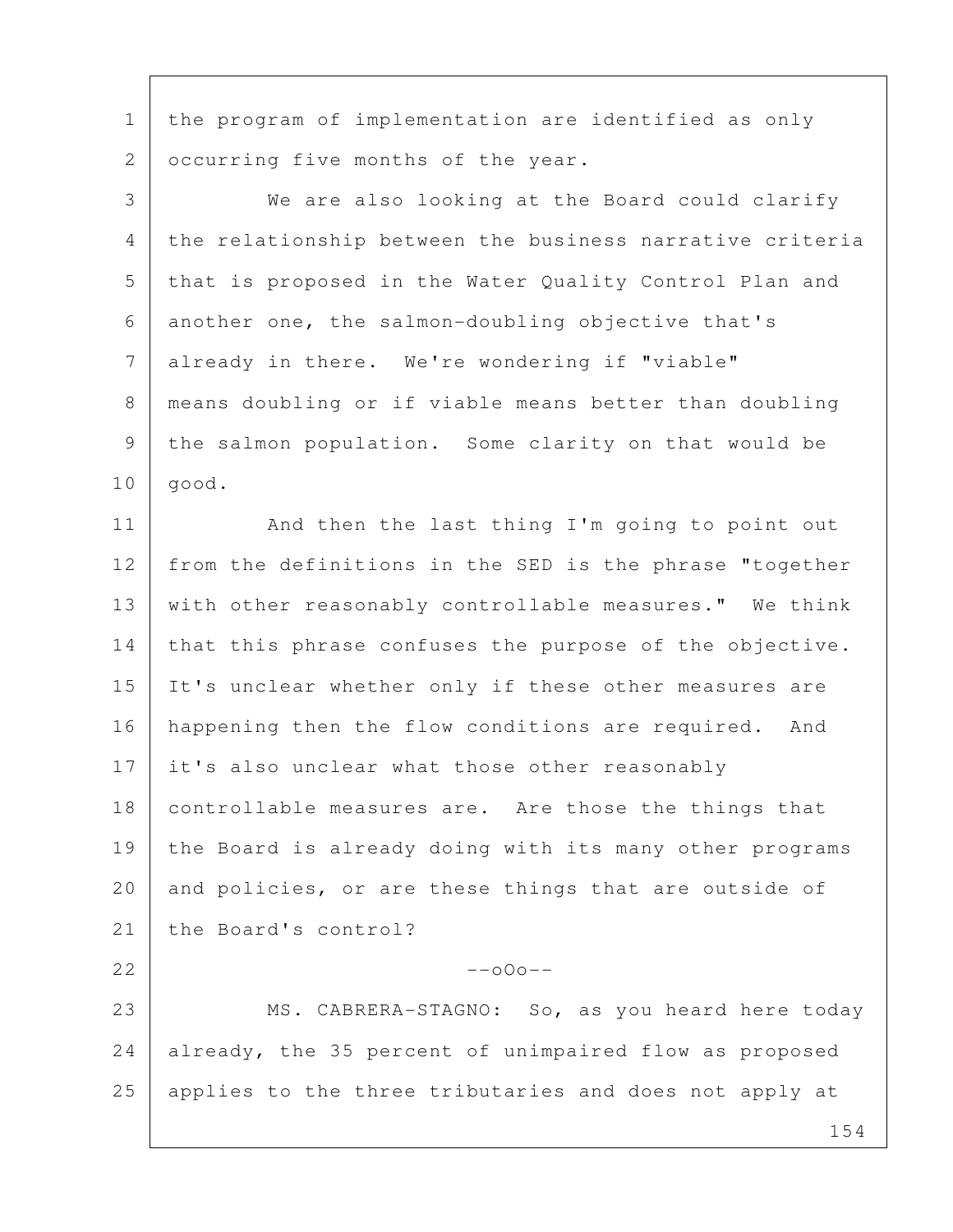1 | the program of implementation are identified as only 2 | occurring five months of the year.

 3 We are also looking at the Board could clarify 4 the relationship between the business narrative criteria 5 that is proposed in the Water Quality Control Plan and 6 another one, the salmon-doubling objective that's 7 already in there. We're wondering if "viable" 8 means doubling or if viable means better than doubling 9 the salmon population. Some clarity on that would be  $10$  good. 11 | And then the last thing I'm going to point out 12 from the definitions in the SED is the phrase "together 13 | with other reasonably controllable measures." We think 14 that this phrase confuses the purpose of the objective. 15 It's unclear whether only if these other measures are 16 | happening then the flow conditions are required. And 17 it's also unclear what those other reasonably 18 controllable measures are. Are those the things that

19 the Board is already doing with its many other programs 20 and policies, or are these things that are outside of 21 the Board's control?

 $22$  --000--

23 | MS. CABRERA-STAGNO: So, as you heard here today 24 already, the 35 percent of unimpaired flow as proposed 25 applies to the three tributaries and does not apply at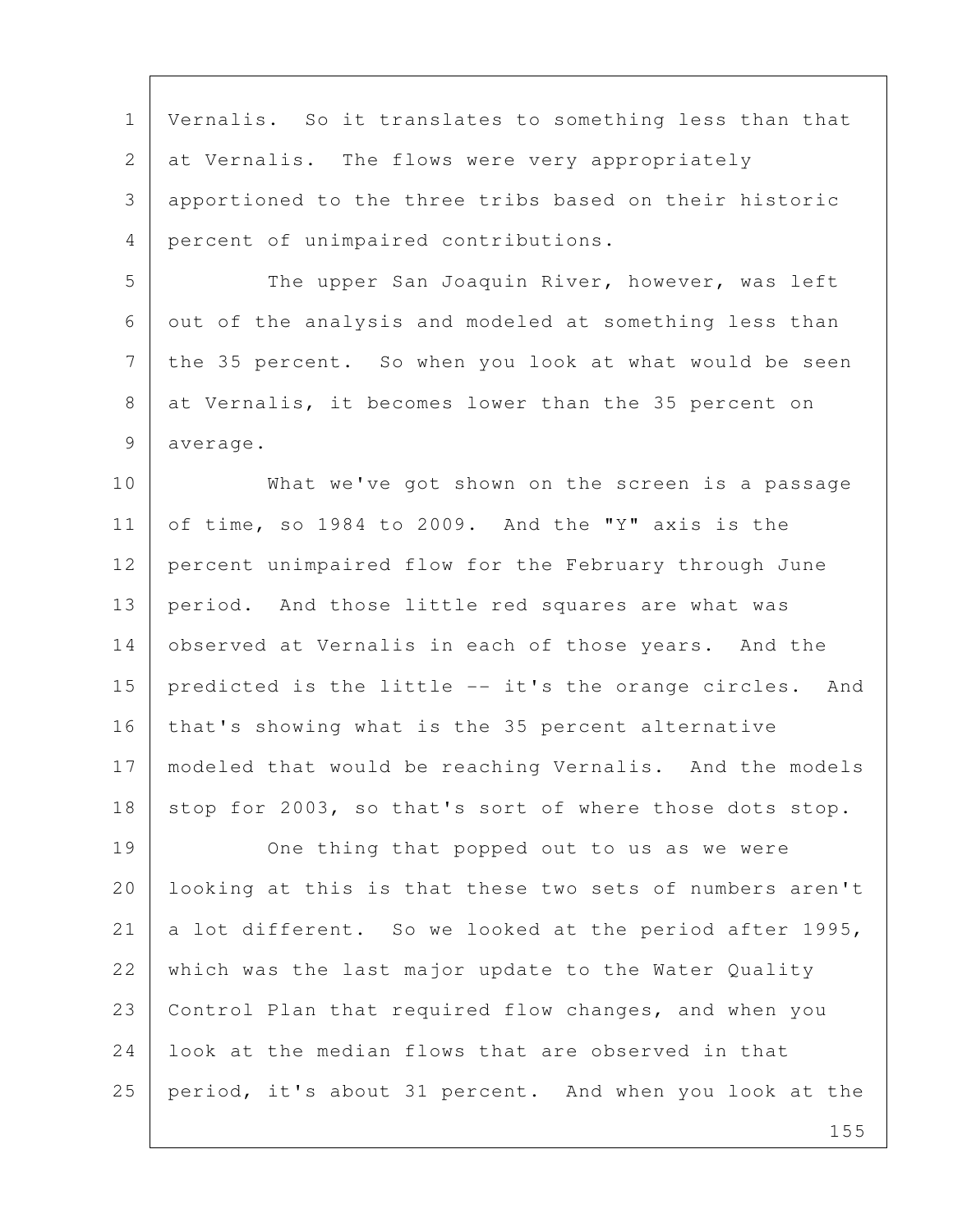1 Vernalis. So it translates to something less than that 2 at Vernalis. The flows were very appropriately 3 apportioned to the three tribs based on their historic 4 percent of unimpaired contributions.

5 The upper San Joaquin River, however, was left 6 out of the analysis and modeled at something less than 7 the 35 percent. So when you look at what would be seen 8 at Vernalis, it becomes lower than the 35 percent on 9 average.

10 What we've got shown on the screen is a passage 11 of time, so 1984 to 2009. And the "Y" axis is the 12 percent unimpaired flow for the February through June 13 period. And those little red squares are what was 14 observed at Vernalis in each of those years. And the 15 predicted is the little -- it's the orange circles. And 16 | that's showing what is the 35 percent alternative 17 | modeled that would be reaching Vernalis. And the models 18 stop for 2003, so that's sort of where those dots stop.

19 One thing that popped out to us as we were 20 | looking at this is that these two sets of numbers aren't 21 a lot different. So we looked at the period after 1995, 22 which was the last major update to the Water Quality 23 Control Plan that required flow changes, and when you 24 look at the median flows that are observed in that 25 period, it's about 31 percent. And when you look at the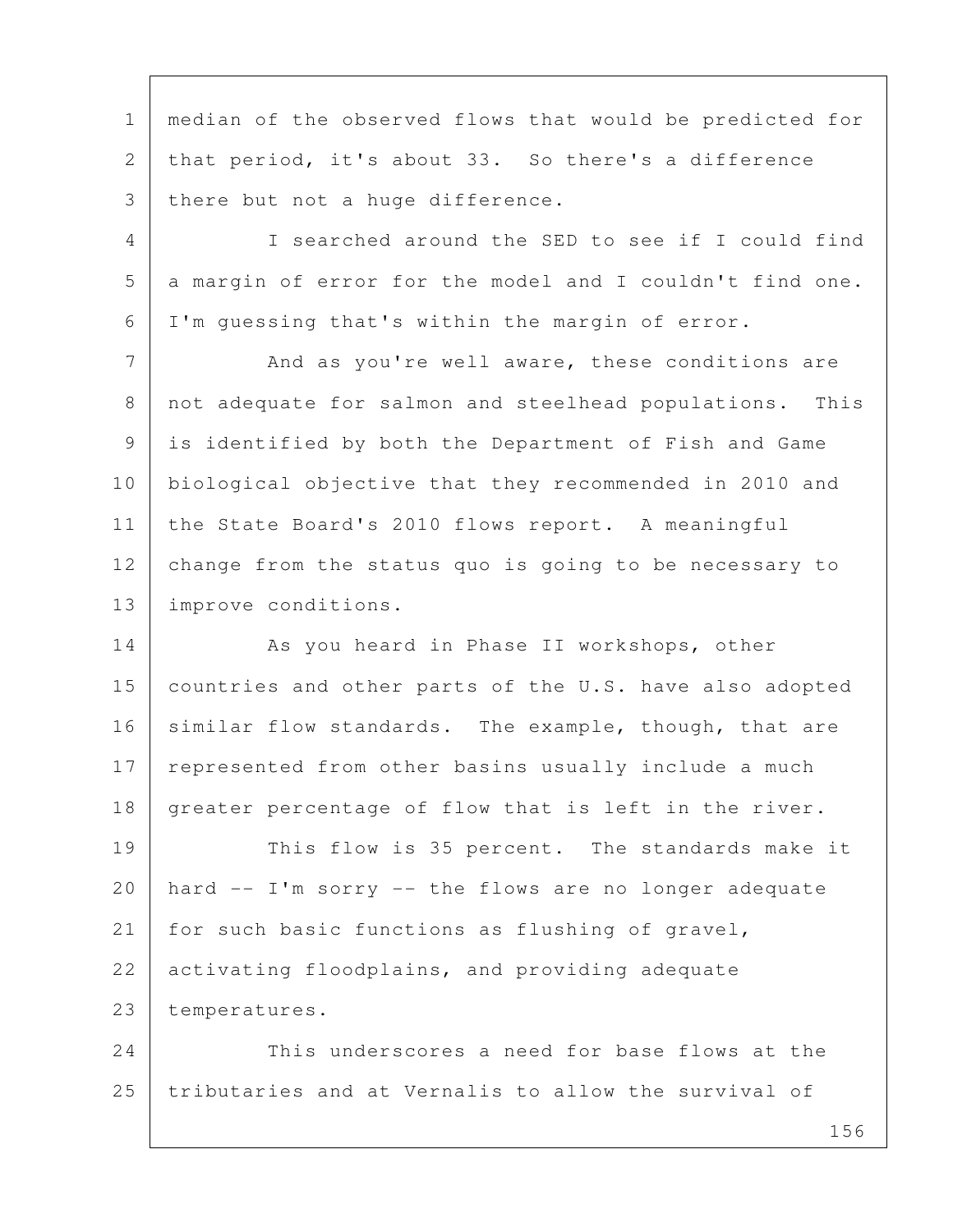1 median of the observed flows that would be predicted for 2 that period, it's about 33. So there's a difference 3 | there but not a huge difference.

 4 I searched around the SED to see if I could find 5 | a margin of error for the model and I couldn't find one. 6 I'm guessing that's within the margin of error.

7 And as you're well aware, these conditions are 8 not adequate for salmon and steelhead populations. This 9 is identified by both the Department of Fish and Game 10 biological objective that they recommended in 2010 and 11 the State Board's 2010 flows report. A meaningful 12 change from the status quo is going to be necessary to 13 improve conditions.

14 As you heard in Phase II workshops, other 15 countries and other parts of the U.S. have also adopted 16 similar flow standards. The example, though, that are 17 represented from other basins usually include a much 18 greater percentage of flow that is left in the river.

19 This flow is 35 percent. The standards make it  $20$  hard  $--$  I'm sorry  $--$  the flows are no longer adequate 21 for such basic functions as flushing of gravel, 22 activating floodplains, and providing adequate 23 temperatures.

24 This underscores a need for base flows at the 25 tributaries and at Vernalis to allow the survival of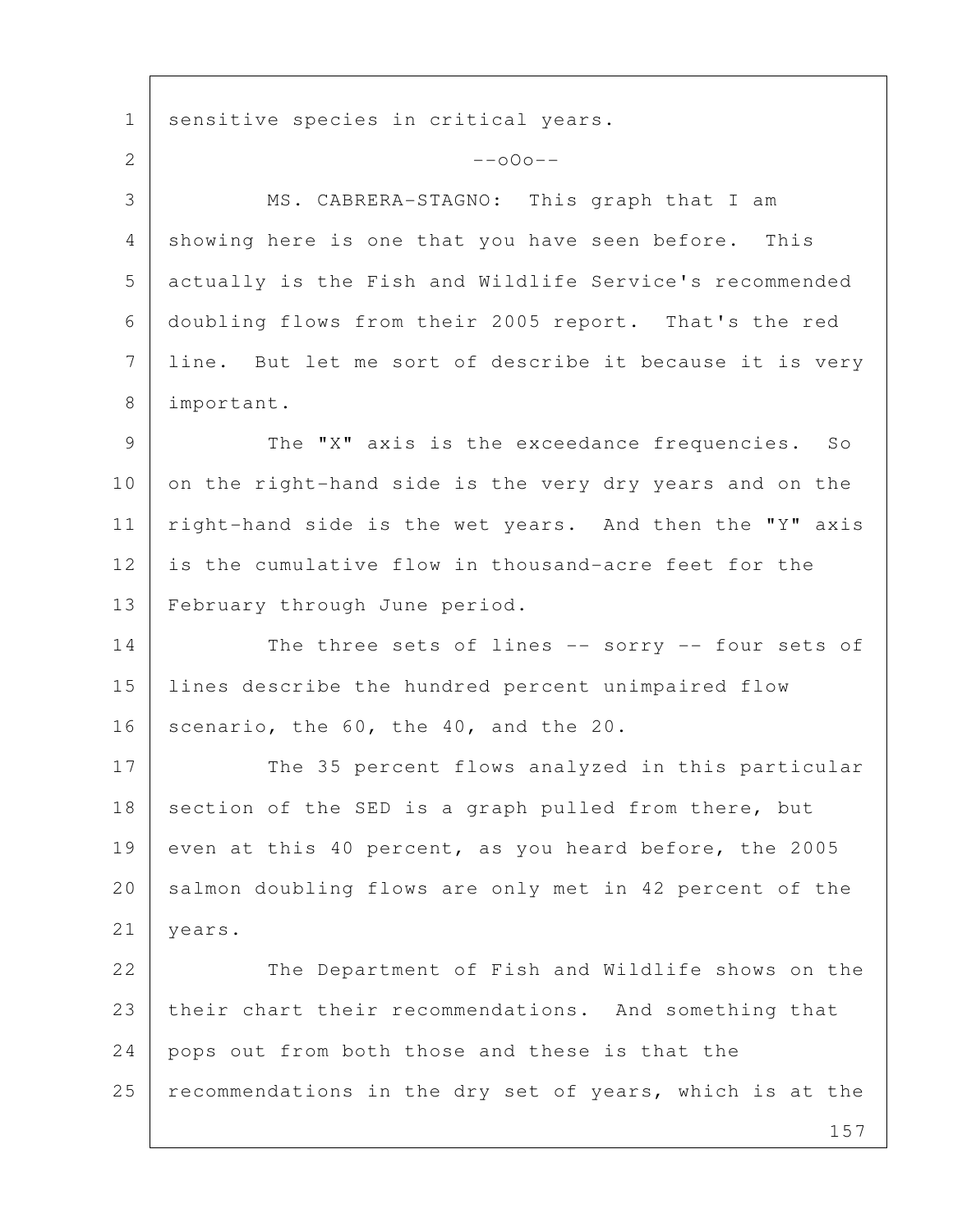1 | sensitive species in critical years.

 157 2  $-$ o $0$ o $-$  3 MS. CABRERA-STAGNO: This graph that I am 4 showing here is one that you have seen before. This 5 actually is the Fish and Wildlife Service's recommended 6 doubling flows from their 2005 report. That's the red 7 line. But let me sort of describe it because it is very 8 important. 9 The "X" axis is the exceedance frequencies. So 10 on the right-hand side is the very dry years and on the 11 | right-hand side is the wet years. And then the "Y" axis 12 is the cumulative flow in thousand-acre feet for the 13 February through June period. 14 The three sets of lines -- sorry -- four sets of 15 lines describe the hundred percent unimpaired flow 16 scenario, the  $60$ , the  $40$ , and the  $20$ . 17 The 35 percent flows analyzed in this particular 18 section of the SED is a graph pulled from there, but 19 even at this 40 percent, as you heard before, the 2005 20 salmon doubling flows are only met in 42 percent of the 21 years. 22 | The Department of Fish and Wildlife shows on the 23 their chart their recommendations. And something that 24 pops out from both those and these is that the  $25$  recommendations in the dry set of years, which is at the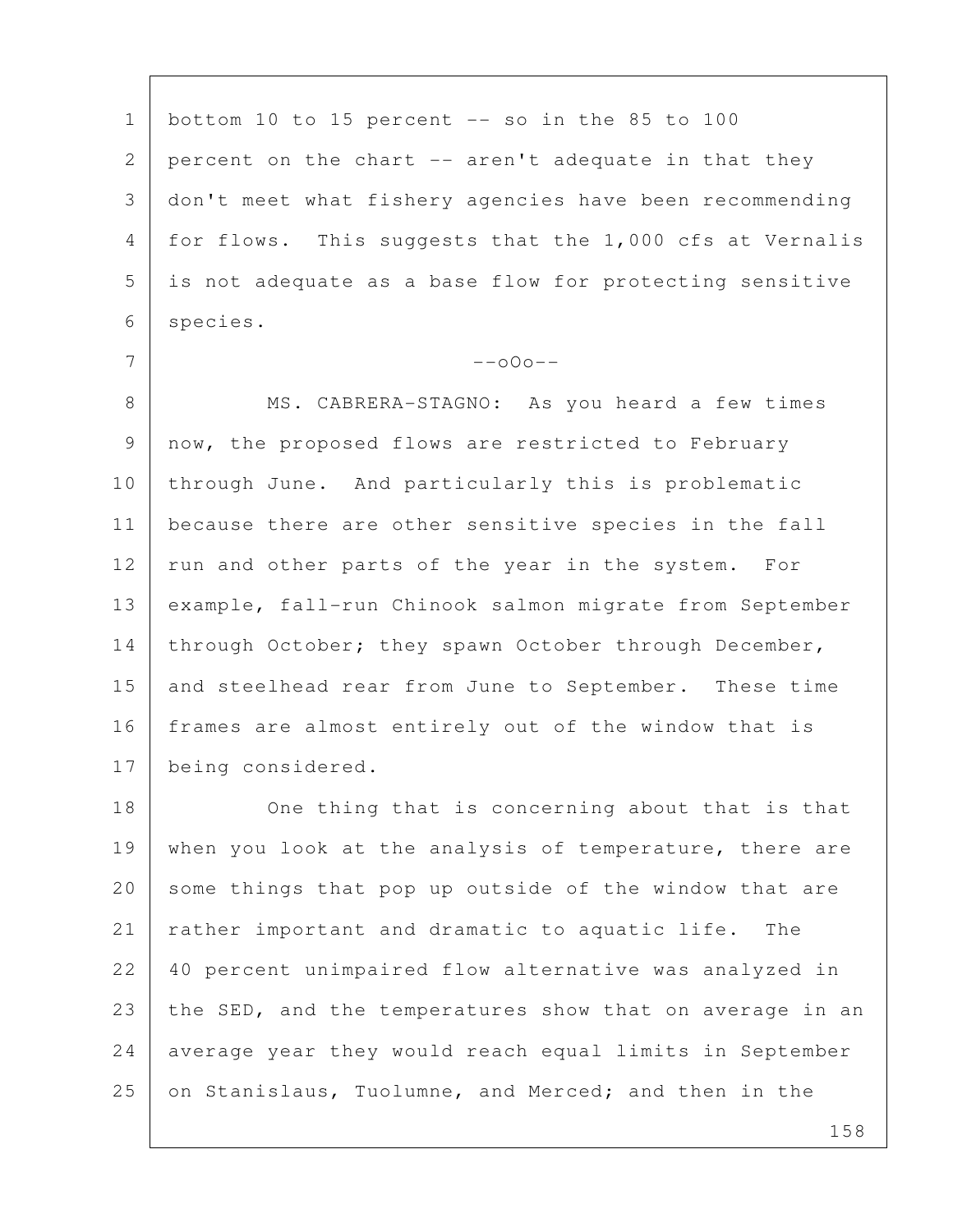1 | bottom 10 to 15 percent  $-$ - so in the 85 to 100 2 percent on the chart -- aren't adequate in that they 3 don't meet what fishery agencies have been recommending 4 for flows. This suggests that the 1,000 cfs at Vernalis 5 is not adequate as a base flow for protecting sensitive 6 species.

 $7$  --000--

8 | MS. CABRERA-STAGNO: As you heard a few times 9 now, the proposed flows are restricted to February 10 through June. And particularly this is problematic 11 because there are other sensitive species in the fall 12 run and other parts of the year in the system. For 13 example, fall-run Chinook salmon migrate from September 14 through October; they spawn October through December, 15 and steelhead rear from June to September. These time 16 | frames are almost entirely out of the window that is 17 being considered.

18 One thing that is concerning about that is that 19 when you look at the analysis of temperature, there are 20 some things that pop up outside of the window that are 21 | rather important and dramatic to aquatic life. The 22 40 percent unimpaired flow alternative was analyzed in 23 the SED, and the temperatures show that on average in an 24 | average year they would reach equal limits in September 25 on Stanislaus, Tuolumne, and Merced; and then in the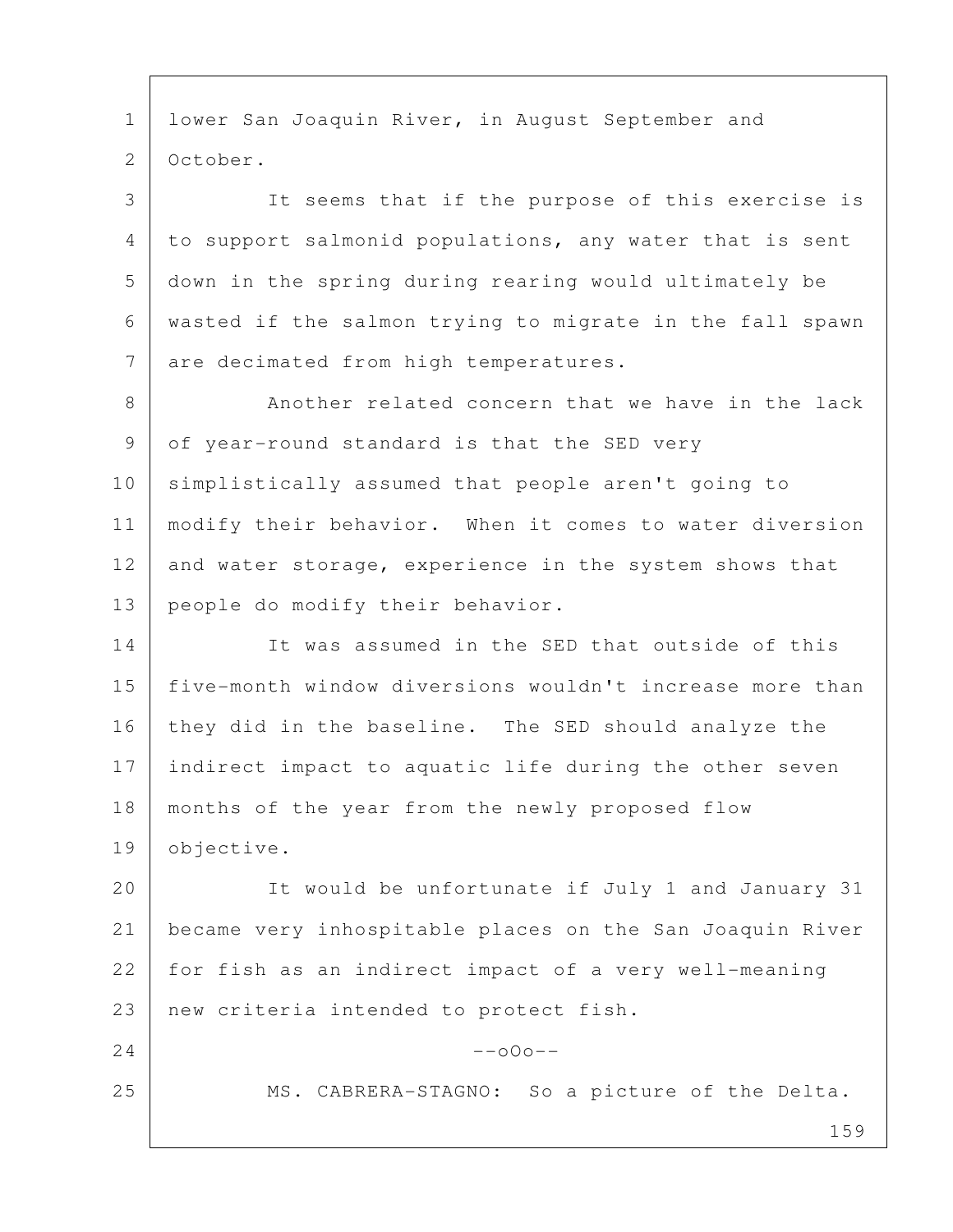1 lower San Joaquin River, in August September and 2 October.

 3 It seems that if the purpose of this exercise is 4 to support salmonid populations, any water that is sent 5 down in the spring during rearing would ultimately be 6 wasted if the salmon trying to migrate in the fall spawn 7 are decimated from high temperatures.

8 Another related concern that we have in the lack 9 of year-round standard is that the SED very 10 simplistically assumed that people aren't going to 11 modify their behavior. When it comes to water diversion 12 and water storage, experience in the system shows that 13 people do modify their behavior.

14 It was assumed in the SED that outside of this 15 five-month window diversions wouldn't increase more than 16 they did in the baseline. The SED should analyze the 17 indirect impact to aquatic life during the other seven 18 months of the year from the newly proposed flow 19 objective.

20 It would be unfortunate if July 1 and January 31 21 became very inhospitable places on the San Joaquin River 22 for fish as an indirect impact of a very well-meaning 23 new criteria intended to protect fish.

 $24$  --000--

25 | MS. CABRERA-STAGNO: So a picture of the Delta.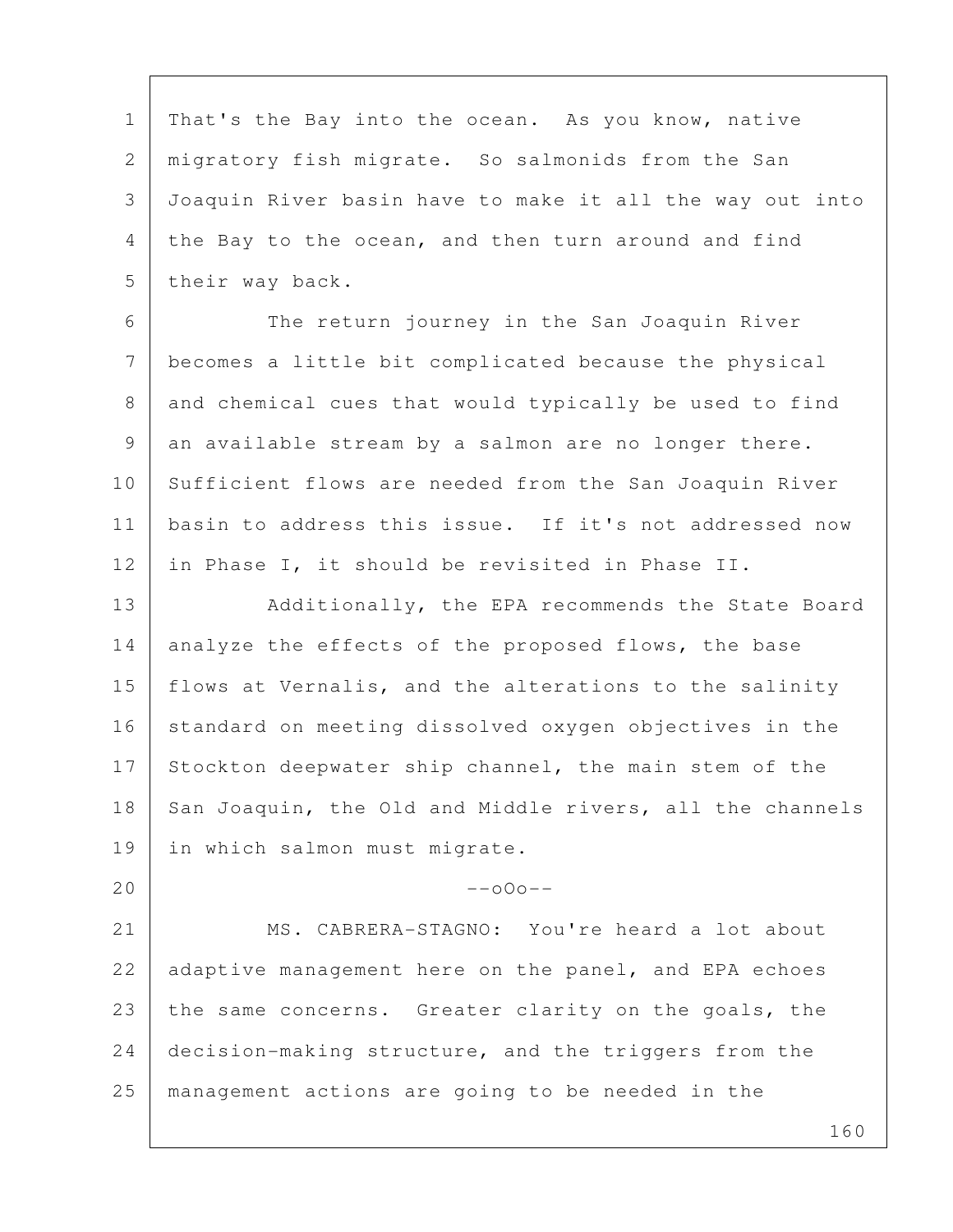1 | That's the Bay into the ocean. As you know, native 2 migratory fish migrate. So salmonids from the San 3 Joaquin River basin have to make it all the way out into 4 the Bay to the ocean, and then turn around and find 5 their way back.

 6 The return journey in the San Joaquin River 7 becomes a little bit complicated because the physical 8 and chemical cues that would typically be used to find 9 an available stream by a salmon are no longer there. 10 Sufficient flows are needed from the San Joaquin River 11 basin to address this issue. If it's not addressed now 12 in Phase I, it should be revisited in Phase II.

13 Additionally, the EPA recommends the State Board 14 analyze the effects of the proposed flows, the base 15 | flows at Vernalis, and the alterations to the salinity 16 standard on meeting dissolved oxygen objectives in the 17 Stockton deepwater ship channel, the main stem of the 18 San Joaquin, the Old and Middle rivers, all the channels 19 in which salmon must migrate.

## $20$  --o0o--

21 MS. CABRERA-STAGNO: You're heard a lot about 22 adaptive management here on the panel, and EPA echoes 23 the same concerns. Greater clarity on the goals, the 24 decision-making structure, and the triggers from the 25 management actions are going to be needed in the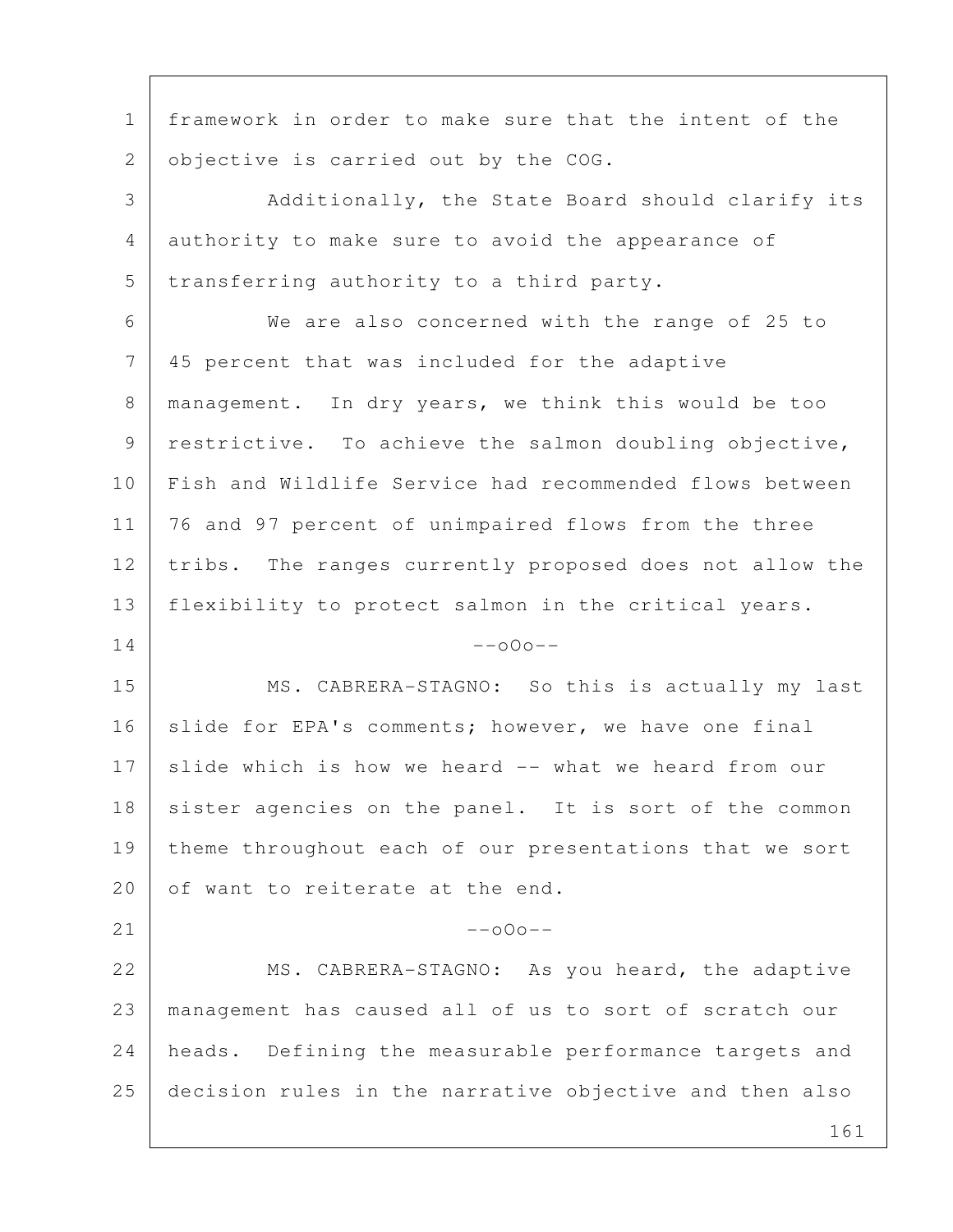161 1 framework in order to make sure that the intent of the 2 objective is carried out by the COG. 3 Additionally, the State Board should clarify its 4 authority to make sure to avoid the appearance of 5 transferring authority to a third party. 6 We are also concerned with the range of 25 to 7 45 percent that was included for the adaptive 8 | management. In dry years, we think this would be too 9 | restrictive. To achieve the salmon doubling objective, 10 Fish and Wildlife Service had recommended flows between 11 | 76 and 97 percent of unimpaired flows from the three 12 tribs. The ranges currently proposed does not allow the 13 flexibility to protect salmon in the critical years.  $14$  --000--15 MS. CABRERA-STAGNO: So this is actually my last 16 slide for EPA's comments; however, we have one final 17 slide which is how we heard -- what we heard from our 18 sister agencies on the panel. It is sort of the common 19 theme throughout each of our presentations that we sort 20 of want to reiterate at the end.  $21$  --000--22 MS. CABRERA-STAGNO: As you heard, the adaptive 23 management has caused all of us to sort of scratch our 24 heads. Defining the measurable performance targets and 25 decision rules in the narrative objective and then also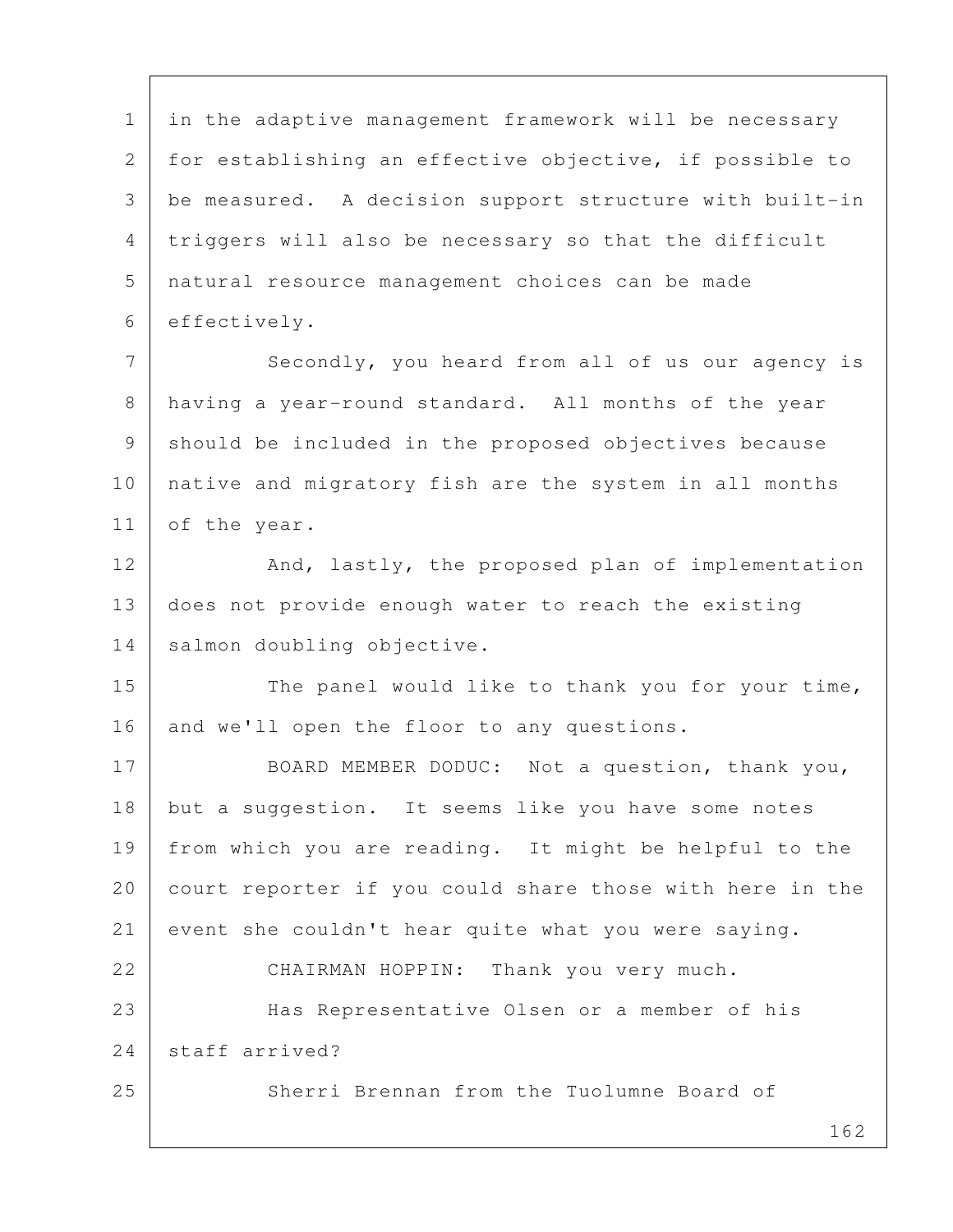1 in the adaptive management framework will be necessary 2 for establishing an effective objective, if possible to 3 be measured. A decision support structure with built-in 4 triggers will also be necessary so that the difficult 5 natural resource management choices can be made 6 effectively.

7 Secondly, you heard from all of us our agency is 8 having a year-round standard. All months of the year 9 should be included in the proposed objectives because 10 native and migratory fish are the system in all months 11 of the year.

12 And, lastly, the proposed plan of implementation 13 does not provide enough water to reach the existing 14 salmon doubling objective.

15 The panel would like to thank you for your time, 16 and we'll open the floor to any questions.

17 BOARD MEMBER DODUC: Not a question, thank you, 18 but a suggestion. It seems like you have some notes 19 from which you are reading. It might be helpful to the 20 court reporter if you could share those with here in the 21 event she couldn't hear quite what you were saying. 22 CHAIRMAN HOPPIN: Thank you very much. 23 Has Representative Olsen or a member of his 24 staff arrived?

25 Sherri Brennan from the Tuolumne Board of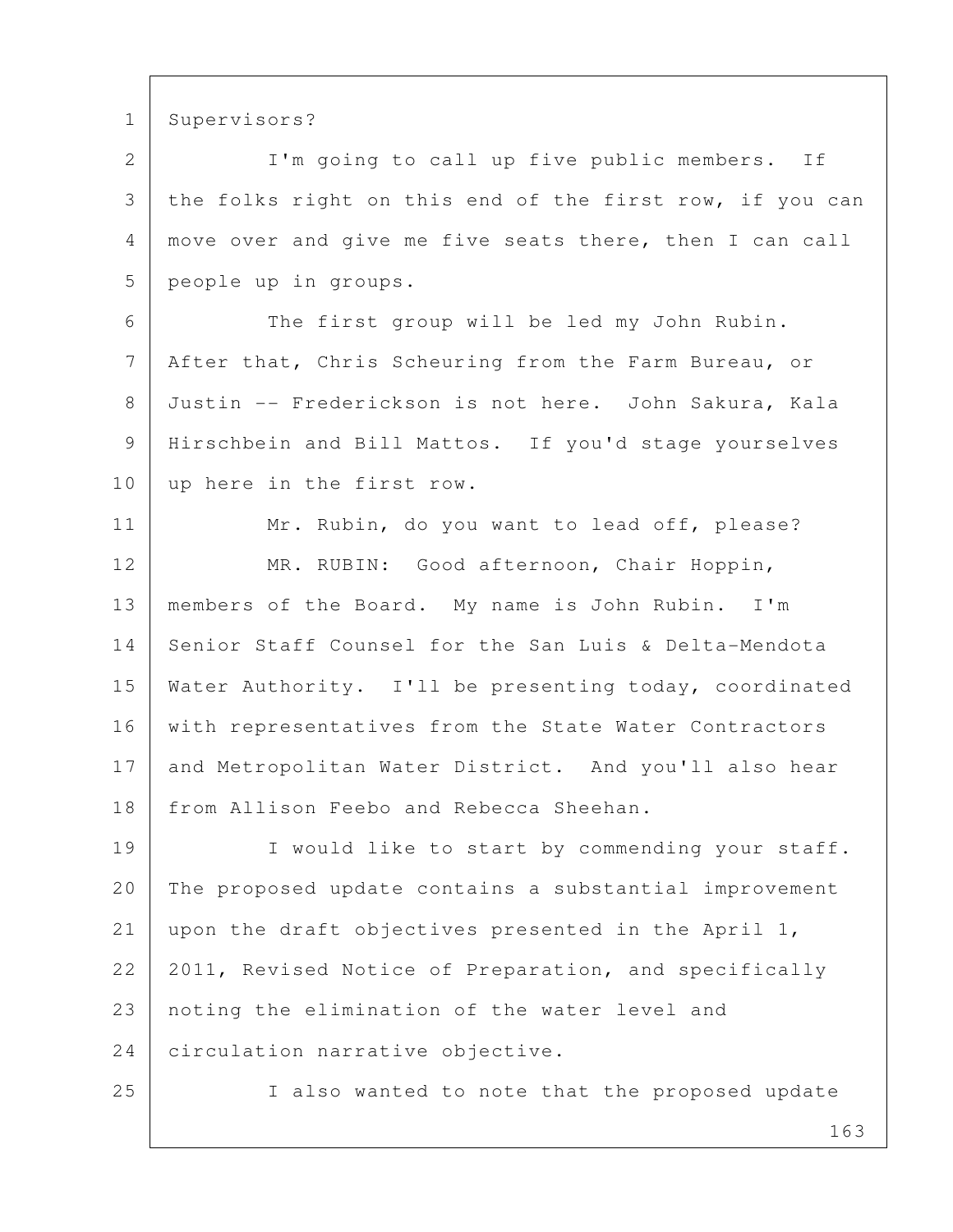1 Supervisors?

2 I'm going to call up five public members. If 3 the folks right on this end of the first row, if you can 4 move over and give me five seats there, then I can call 5 people up in groups.

 6 The first group will be led my John Rubin. 7 After that, Chris Scheuring from the Farm Bureau, or 8 Justin -- Frederickson is not here. John Sakura, Kala 9 Hirschbein and Bill Mattos. If you'd stage yourselves 10 up here in the first row.

11 Mr. Rubin, do you want to lead off, please? 12 MR. RUBIN: Good afternoon, Chair Hoppin, 13 members of the Board. My name is John Rubin. I'm 14 Senior Staff Counsel for the San Luis & Delta-Mendota 15 Water Authority. I'll be presenting today, coordinated 16 | with representatives from the State Water Contractors 17 and Metropolitan Water District. And you'll also hear 18 from Allison Feebo and Rebecca Sheehan.

19 | I would like to start by commending your staff. 20 The proposed update contains a substantial improvement 21 upon the draft objectives presented in the April 1, 22 2011, Revised Notice of Preparation, and specifically 23 noting the elimination of the water level and 24 circulation narrative objective.

25 | I also wanted to note that the proposed update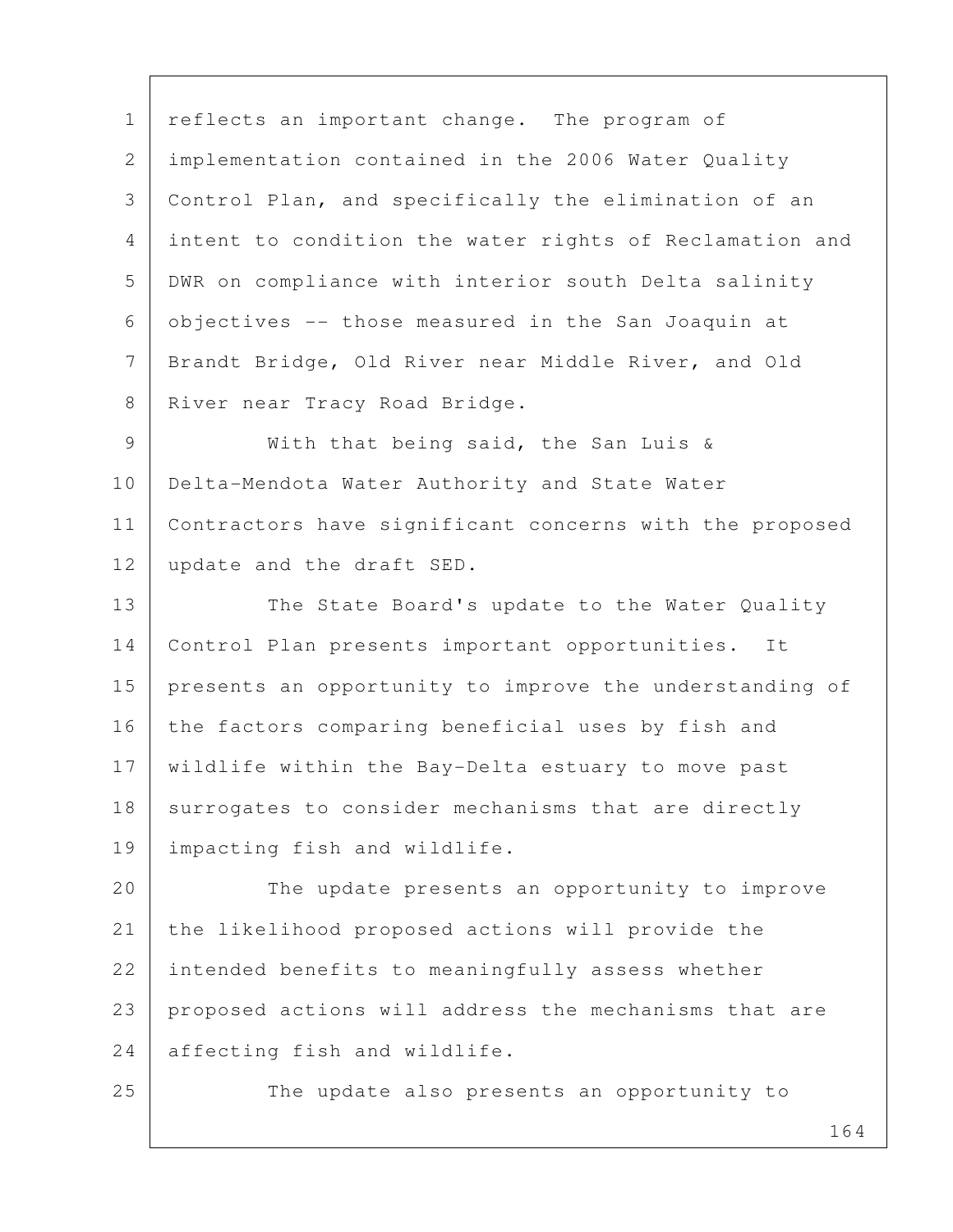1 | reflects an important change. The program of 2 implementation contained in the 2006 Water Quality 3 Control Plan, and specifically the elimination of an 4 intent to condition the water rights of Reclamation and 5 DWR on compliance with interior south Delta salinity 6 objectives -- those measured in the San Joaquin at 7 Brandt Bridge, Old River near Middle River, and Old 8 River near Tracy Road Bridge.

 9 With that being said, the San Luis & 10 | Delta-Mendota Water Authority and State Water 11 Contractors have significant concerns with the proposed 12 update and the draft SED.

13 The State Board's update to the Water Quality 14 Control Plan presents important opportunities. It 15 | presents an opportunity to improve the understanding of 16 the factors comparing beneficial uses by fish and 17 wildlife within the Bay-Delta estuary to move past 18 surrogates to consider mechanisms that are directly 19 impacting fish and wildlife.

20 The update presents an opportunity to improve 21 the likelihood proposed actions will provide the 22 intended benefits to meaningfully assess whether 23 proposed actions will address the mechanisms that are 24 affecting fish and wildlife.

25 The update also presents an opportunity to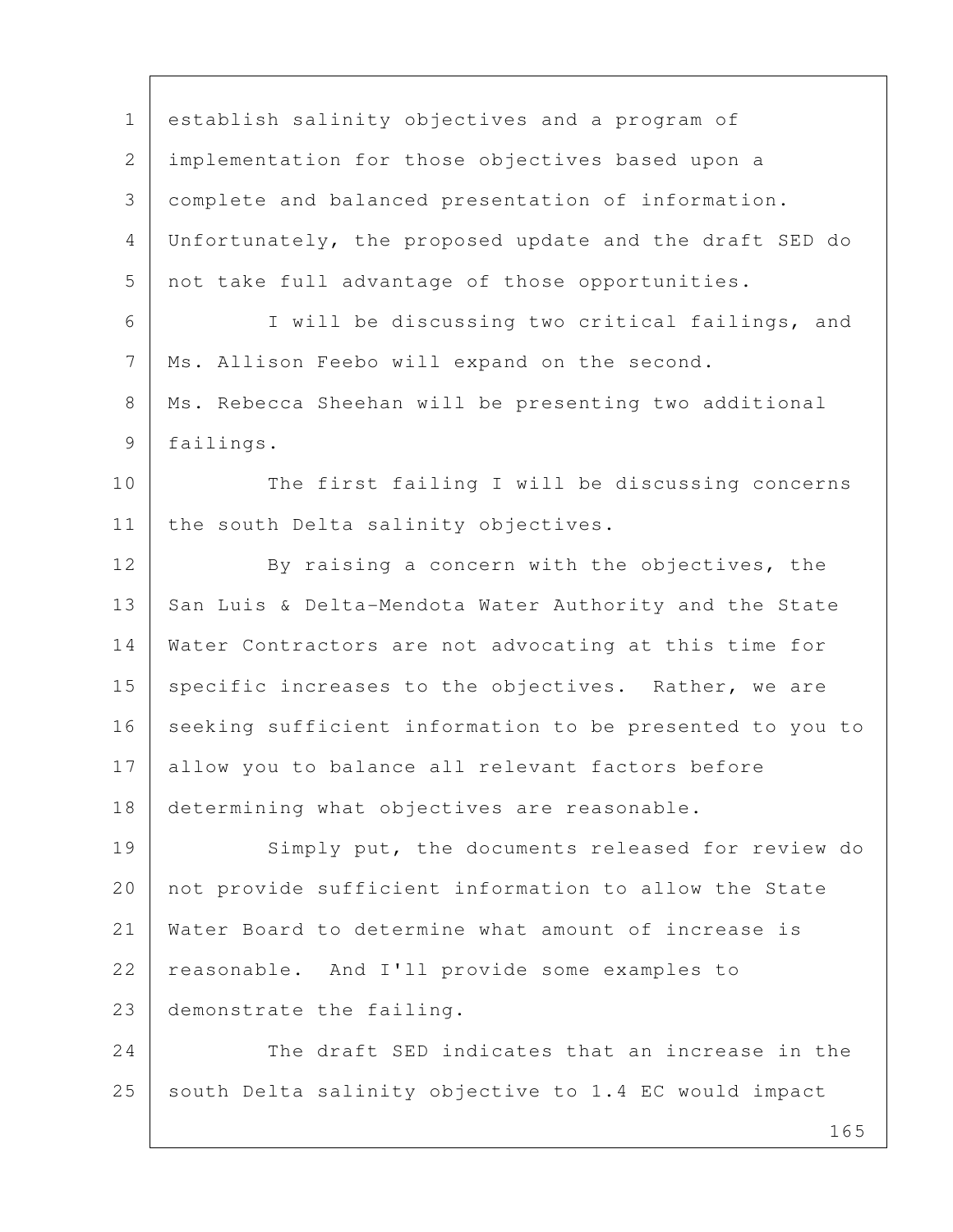1 establish salinity objectives and a program of 2 implementation for those objectives based upon a 3 complete and balanced presentation of information. 4 Unfortunately, the proposed update and the draft SED do 5 not take full advantage of those opportunities. 6 I will be discussing two critical failings, and 7 Ms. Allison Feebo will expand on the second. 8 | Ms. Rebecca Sheehan will be presenting two additional 9 failings. 10 The first failing I will be discussing concerns 11 | the south Delta salinity objectives. 12 By raising a concern with the objectives, the 13 San Luis & Delta-Mendota Water Authority and the State 14 Water Contractors are not advocating at this time for 15 | specific increases to the objectives. Rather, we are 16 seeking sufficient information to be presented to you to 17 allow you to balance all relevant factors before 18 determining what objectives are reasonable. 19 Simply put, the documents released for review do 20 | not provide sufficient information to allow the State 21 Water Board to determine what amount of increase is 22 reasonable. And I'll provide some examples to 23 demonstrate the failing. 24 The draft SED indicates that an increase in the 25 south Delta salinity objective to 1.4 EC would impact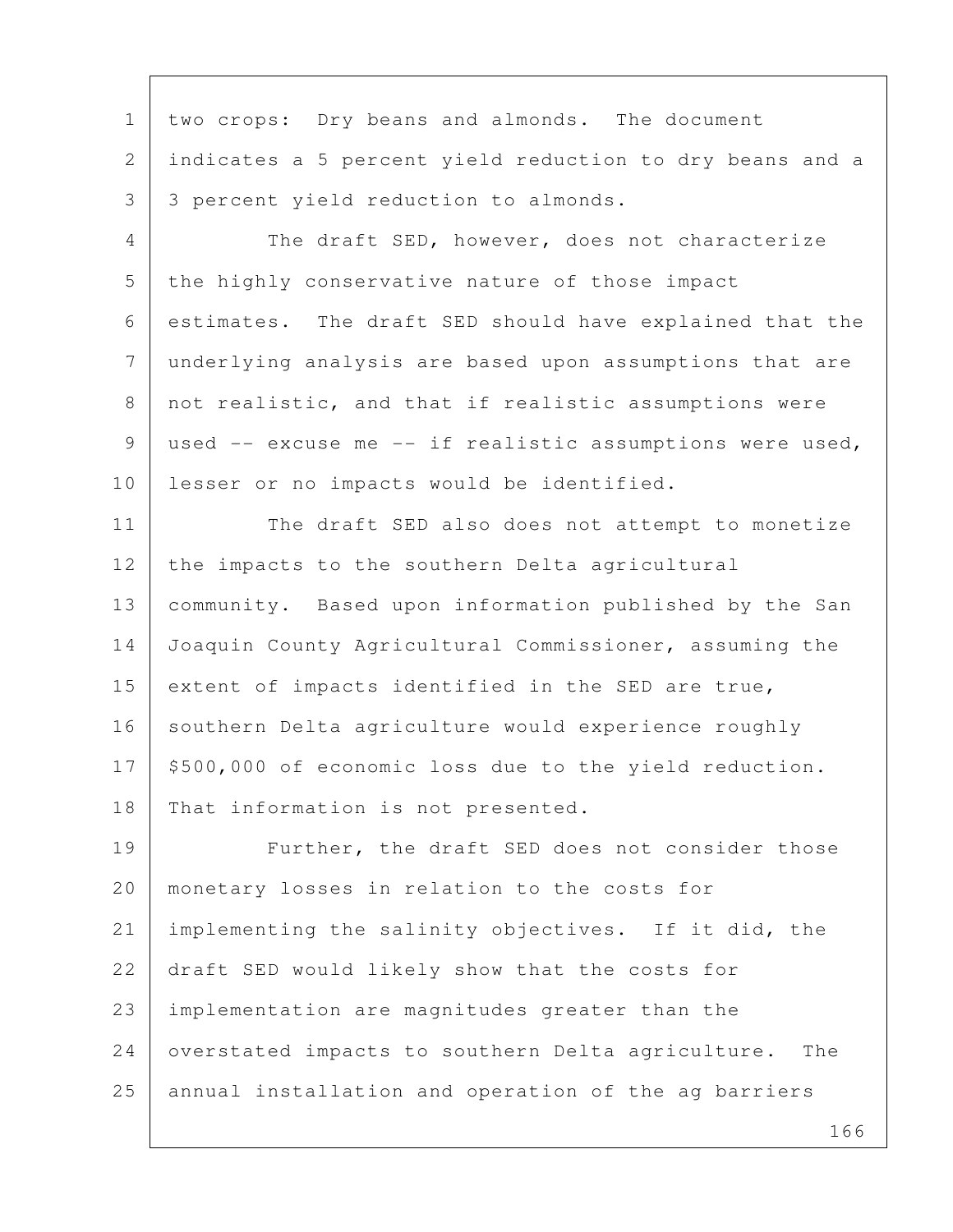1 | two crops: Dry beans and almonds. The document 2 indicates a 5 percent yield reduction to dry beans and a 3 | 3 percent yield reduction to almonds. 4 The draft SED, however, does not characterize 5 the highly conservative nature of those impact 6 estimates. The draft SED should have explained that the 7 underlying analysis are based upon assumptions that are 8 | not realistic, and that if realistic assumptions were 9 used -- excuse me -- if realistic assumptions were used, 10 | lesser or no impacts would be identified. 11 The draft SED also does not attempt to monetize 12 the impacts to the southern Delta agricultural 13 community. Based upon information published by the San 14 Joaquin County Agricultural Commissioner, assuming the 15 extent of impacts identified in the SED are true, 16 southern Delta agriculture would experience roughly 17 | \$500,000 of economic loss due to the yield reduction. 18 That information is not presented. 19 Further, the draft SED does not consider those 20 monetary losses in relation to the costs for 21 implementing the salinity objectives. If it did, the 22 draft SED would likely show that the costs for 23 implementation are magnitudes greater than the 24 | overstated impacts to southern Delta agriculture. The 25 annual installation and operation of the ag barriers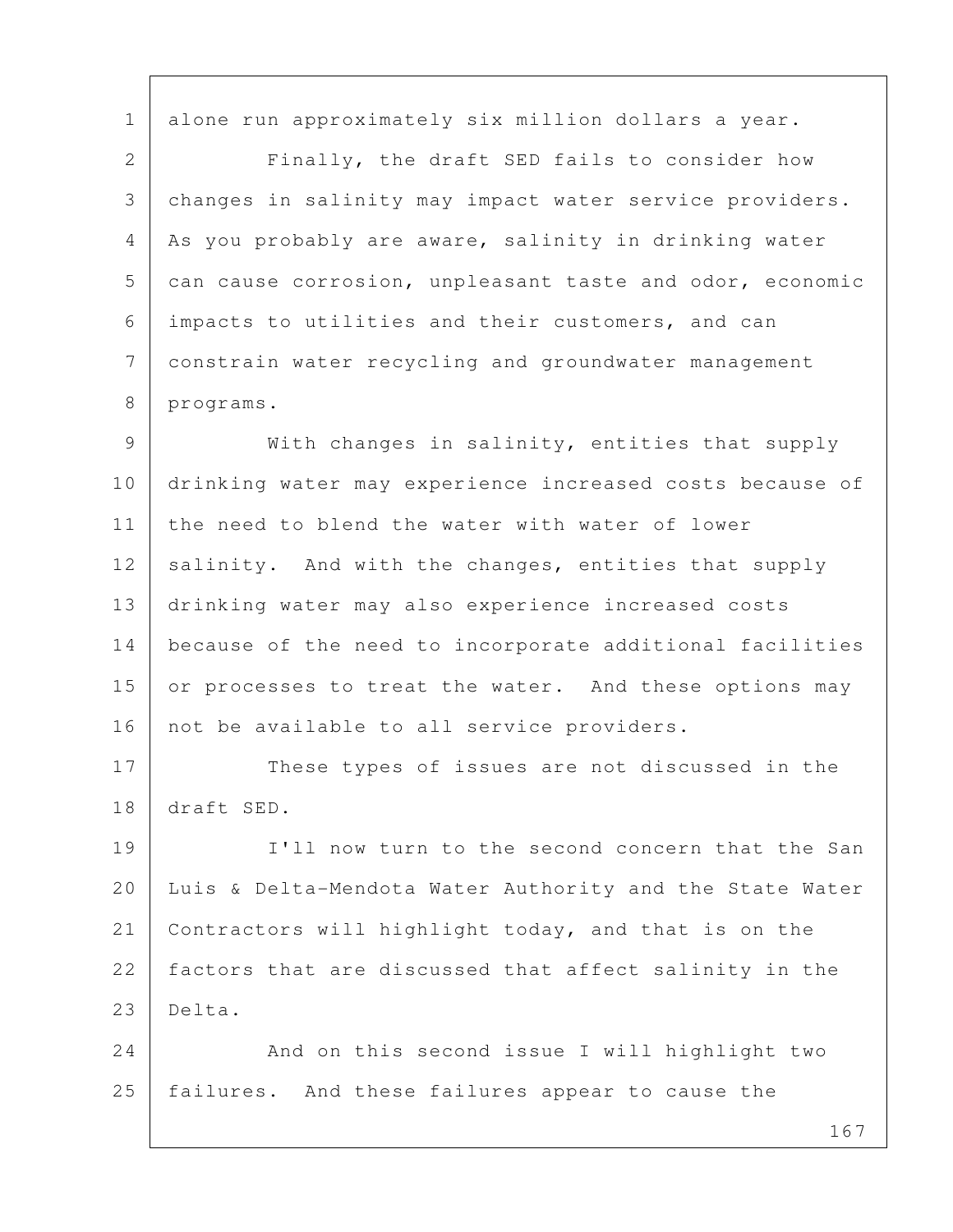1 alone run approximately six million dollars a year.

 2 Finally, the draft SED fails to consider how 3 changes in salinity may impact water service providers. 4 | As you probably are aware, salinity in drinking water 5 can cause corrosion, unpleasant taste and odor, economic 6 impacts to utilities and their customers, and can 7 constrain water recycling and groundwater management 8 programs.

9 | With changes in salinity, entities that supply 10 drinking water may experience increased costs because of 11 the need to blend the water with water of lower 12 salinity. And with the changes, entities that supply 13 drinking water may also experience increased costs 14 because of the need to incorporate additional facilities 15 or processes to treat the water. And these options may 16 | not be available to all service providers.

17 These types of issues are not discussed in the 18 draft SED.

19 I'll now turn to the second concern that the San 20 Luis & Delta-Mendota Water Authority and the State Water 21 Contractors will highlight today, and that is on the 22 factors that are discussed that affect salinity in the 23 Delta.

24 And on this second issue I will highlight two 25 | failures. And these failures appear to cause the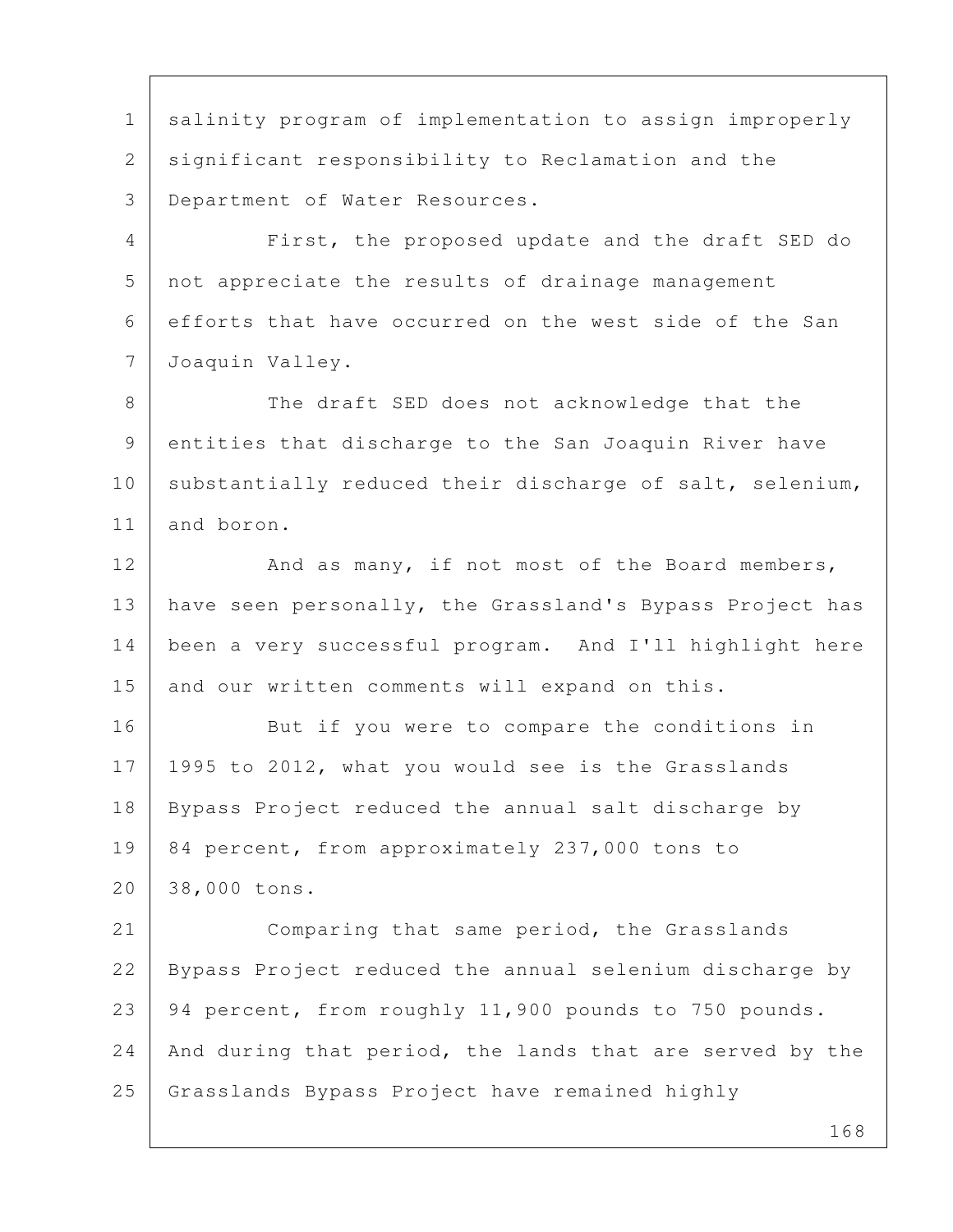1 salinity program of implementation to assign improperly 2 significant responsibility to Reclamation and the 3 Department of Water Resources.

 4 First, the proposed update and the draft SED do 5 not appreciate the results of drainage management 6 efforts that have occurred on the west side of the San 7 Joaquin Valley.

8 The draft SED does not acknowledge that the 9 entities that discharge to the San Joaquin River have 10 substantially reduced their discharge of salt, selenium, 11 and boron.

12 And as many, if not most of the Board members, 13 | have seen personally, the Grassland's Bypass Project has 14 been a very successful program. And I'll highlight here 15 and our written comments will expand on this.

16 But if you were to compare the conditions in 17 1995 to 2012, what you would see is the Grasslands 18 Bypass Project reduced the annual salt discharge by 19 84 percent, from approximately 237,000 tons to 20 38,000 tons.

21 Comparing that same period, the Grasslands 22 Bypass Project reduced the annual selenium discharge by 23 94 percent, from roughly 11,900 pounds to 750 pounds. 24 | And during that period, the lands that are served by the 25 Grasslands Bypass Project have remained highly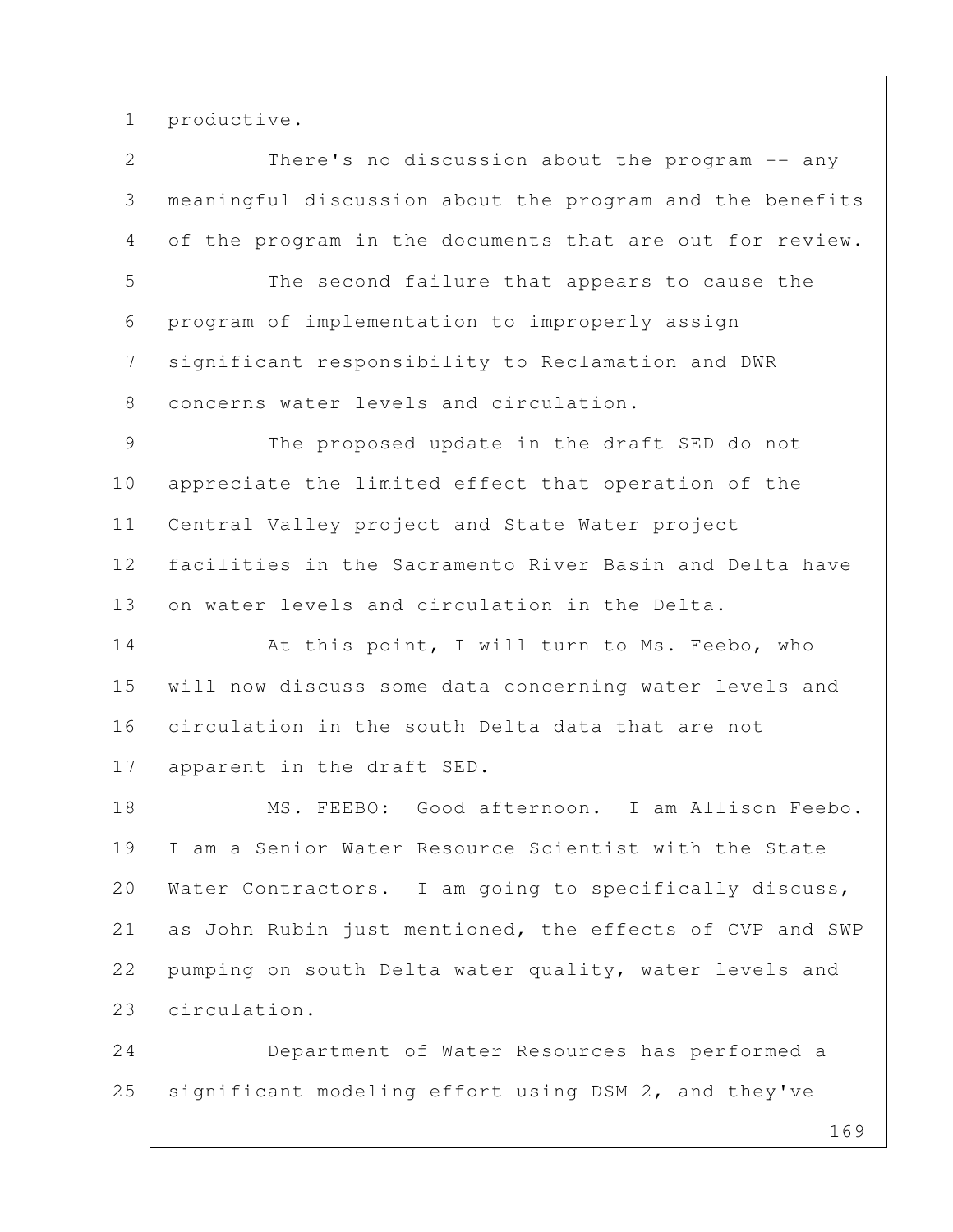1 productive.

2 There's no discussion about the program -- any 3 meaningful discussion about the program and the benefits 4 of the program in the documents that are out for review.

5 The second failure that appears to cause the 6 program of implementation to improperly assign 7 significant responsibility to Reclamation and DWR 8 concerns water levels and circulation.

 9 The proposed update in the draft SED do not 10 appreciate the limited effect that operation of the 11 Central Valley project and State Water project 12 facilities in the Sacramento River Basin and Delta have 13 on water levels and circulation in the Delta.

14 At this point, I will turn to Ms. Feebo, who 15 will now discuss some data concerning water levels and 16 circulation in the south Delta data that are not 17 | apparent in the draft SED.

18 MS. FEEBO: Good afternoon. I am Allison Feebo. 19 I am a Senior Water Resource Scientist with the State 20 | Water Contractors. I am going to specifically discuss, 21 as John Rubin just mentioned, the effects of CVP and SWP 22 pumping on south Delta water quality, water levels and 23 circulation.

24 Department of Water Resources has performed a 25 | significant modeling effort using DSM 2, and they've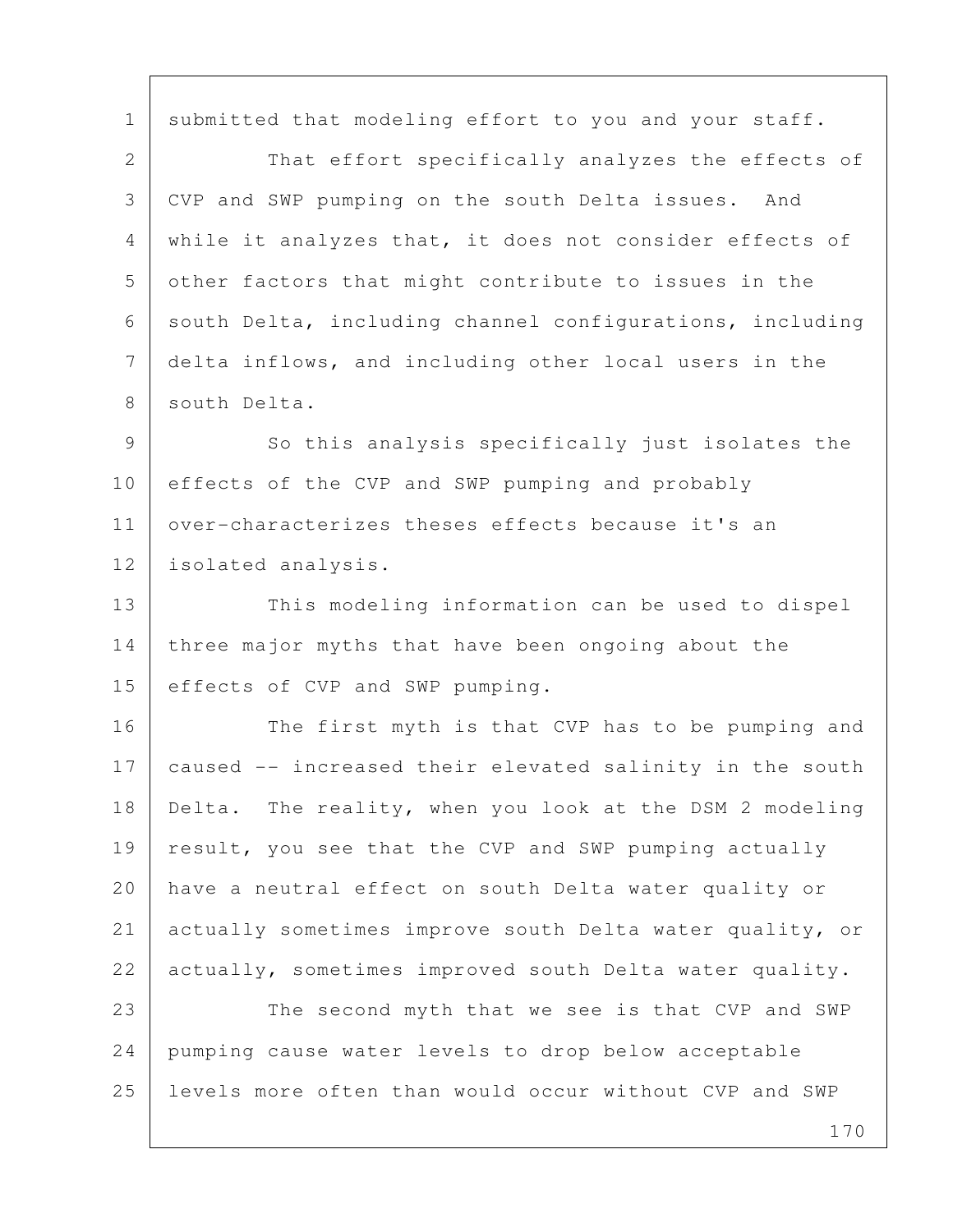1 submitted that modeling effort to you and your staff.

2 That effort specifically analyzes the effects of 3 CVP and SWP pumping on the south Delta issues. And 4 while it analyzes that, it does not consider effects of 5 other factors that might contribute to issues in the 6 south Delta, including channel configurations, including 7 delta inflows, and including other local users in the 8 south Delta.

9 So this analysis specifically just isolates the 10 effects of the CVP and SWP pumping and probably 11 over-characterizes theses effects because it's an 12 isolated analysis.

13 This modeling information can be used to dispel 14 three major myths that have been ongoing about the 15 effects of CVP and SWP pumping.

16 The first myth is that CVP has to be pumping and 17 caused -- increased their elevated salinity in the south 18 Delta. The reality, when you look at the DSM 2 modeling 19 result, you see that the CVP and SWP pumping actually 20 have a neutral effect on south Delta water quality or 21 actually sometimes improve south Delta water quality, or 22 actually, sometimes improved south Delta water quality.

23 The second myth that we see is that CVP and SWP 24 pumping cause water levels to drop below acceptable 25 levels more often than would occur without CVP and SWP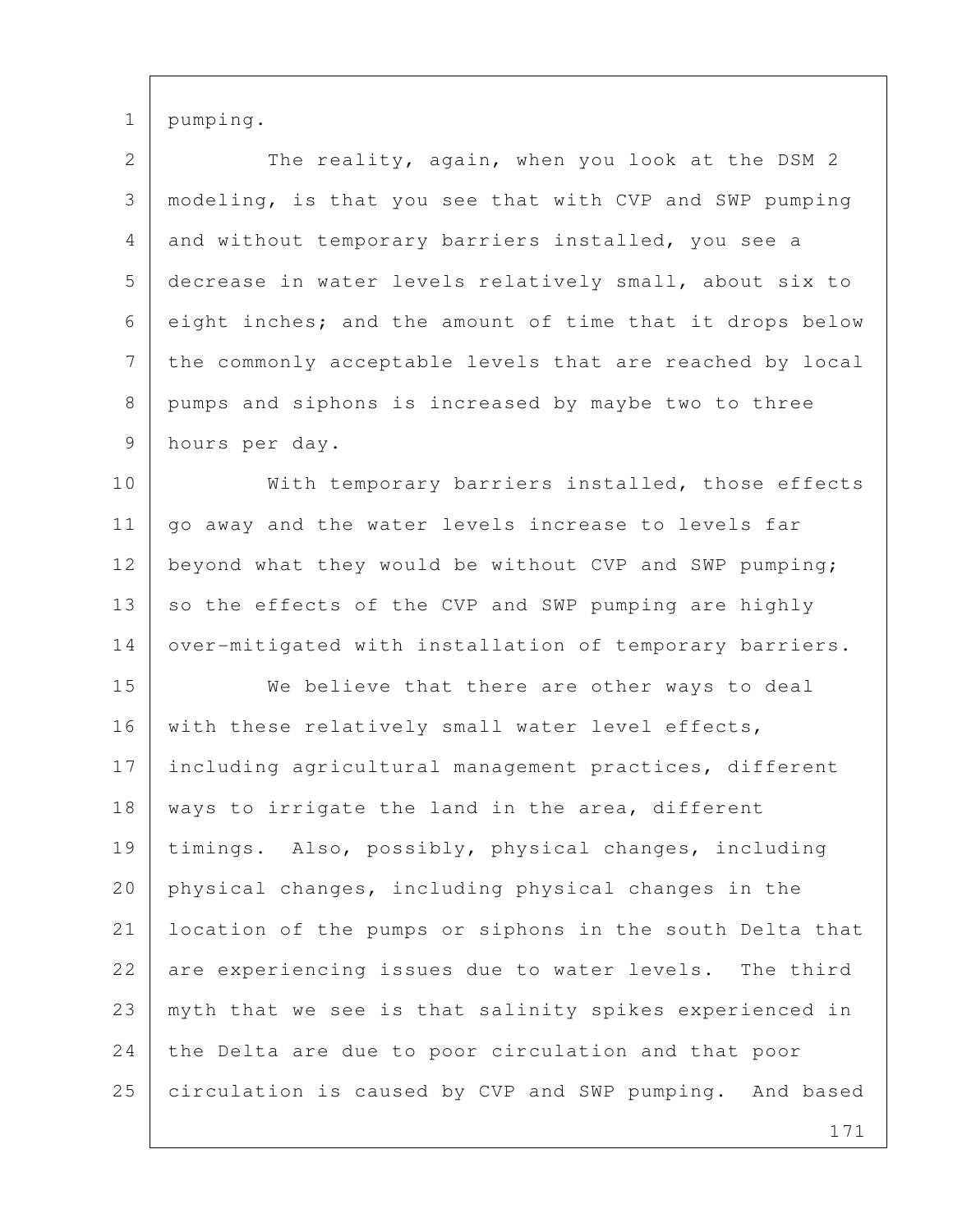1 pumping.

| $\overline{2}$ | The reality, again, when you look at the DSM 2           |
|----------------|----------------------------------------------------------|
| 3              | modeling, is that you see that with CVP and SWP pumping  |
| 4              | and without temporary barriers installed, you see a      |
| 5              | decrease in water levels relatively small, about six to  |
| 6              | eight inches; and the amount of time that it drops below |
| 7              | the commonly acceptable levels that are reached by local |
| 8              | pumps and siphons is increased by maybe two to three     |
| 9              | hours per day.                                           |
| 10             | With temporary barriers installed, those effects         |
| 11             | go away and the water levels increase to levels far      |
| 12             | beyond what they would be without CVP and SWP pumping;   |
| 13             | so the effects of the CVP and SWP pumping are highly     |
| 14             | over-mitigated with installation of temporary barriers.  |
| 15             | We believe that there are other ways to deal             |
| 16             | with these relatively small water level effects,         |
| 17             | including agricultural management practices, different   |
| 18             | ways to irrigate the land in the area, different         |
| 19             | timings. Also, possibly, physical changes, including     |
| 20             | physical changes, including physical changes in the      |
| 21             | location of the pumps or siphons in the south Delta that |
| 22             | are experiencing issues due to water levels. The third   |
| 23             | myth that we see is that salinity spikes experienced in  |
| 24             | the Delta are due to poor circulation and that poor      |
| 25             | circulation is caused by CVP and SWP pumping. And based  |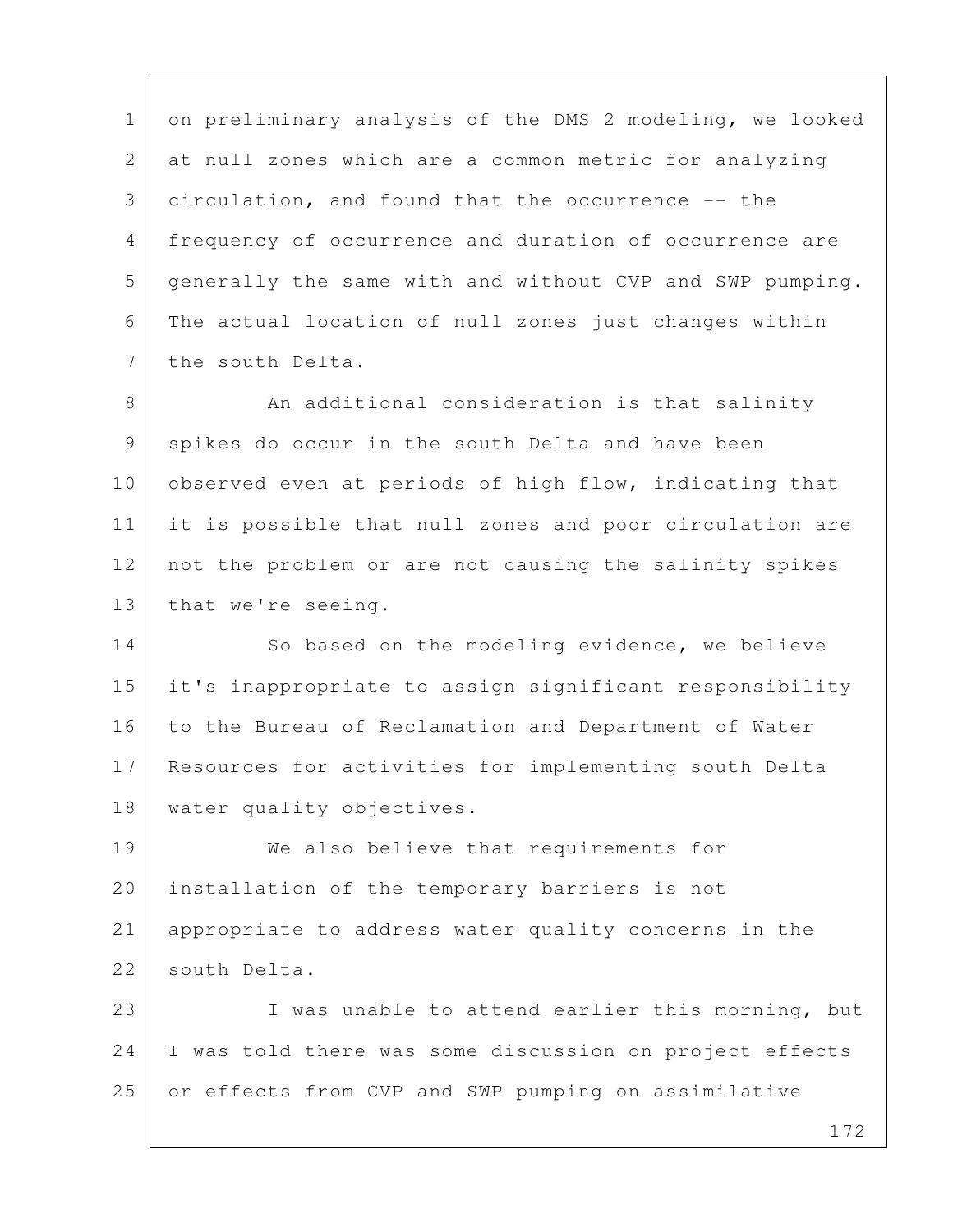1 on preliminary analysis of the DMS 2 modeling, we looked 2 at null zones which are a common metric for analyzing 3 circulation, and found that the occurrence -- the 4 frequency of occurrence and duration of occurrence are 5 generally the same with and without CVP and SWP pumping. 6 The actual location of null zones just changes within 7 the south Delta.

8 An additional consideration is that salinity 9 spikes do occur in the south Delta and have been 10 observed even at periods of high flow, indicating that 11 it is possible that null zones and poor circulation are 12 not the problem or are not causing the salinity spikes 13 | that we're seeing.

14 | So based on the modeling evidence, we believe 15 it's inappropriate to assign significant responsibility 16 to the Bureau of Reclamation and Department of Water 17 Resources for activities for implementing south Delta 18 | water quality objectives.

19 We also believe that requirements for 20 installation of the temporary barriers is not 21 appropriate to address water quality concerns in the 22 south Delta.

23 I was unable to attend earlier this morning, but 24 I was told there was some discussion on project effects 25 or effects from CVP and SWP pumping on assimilative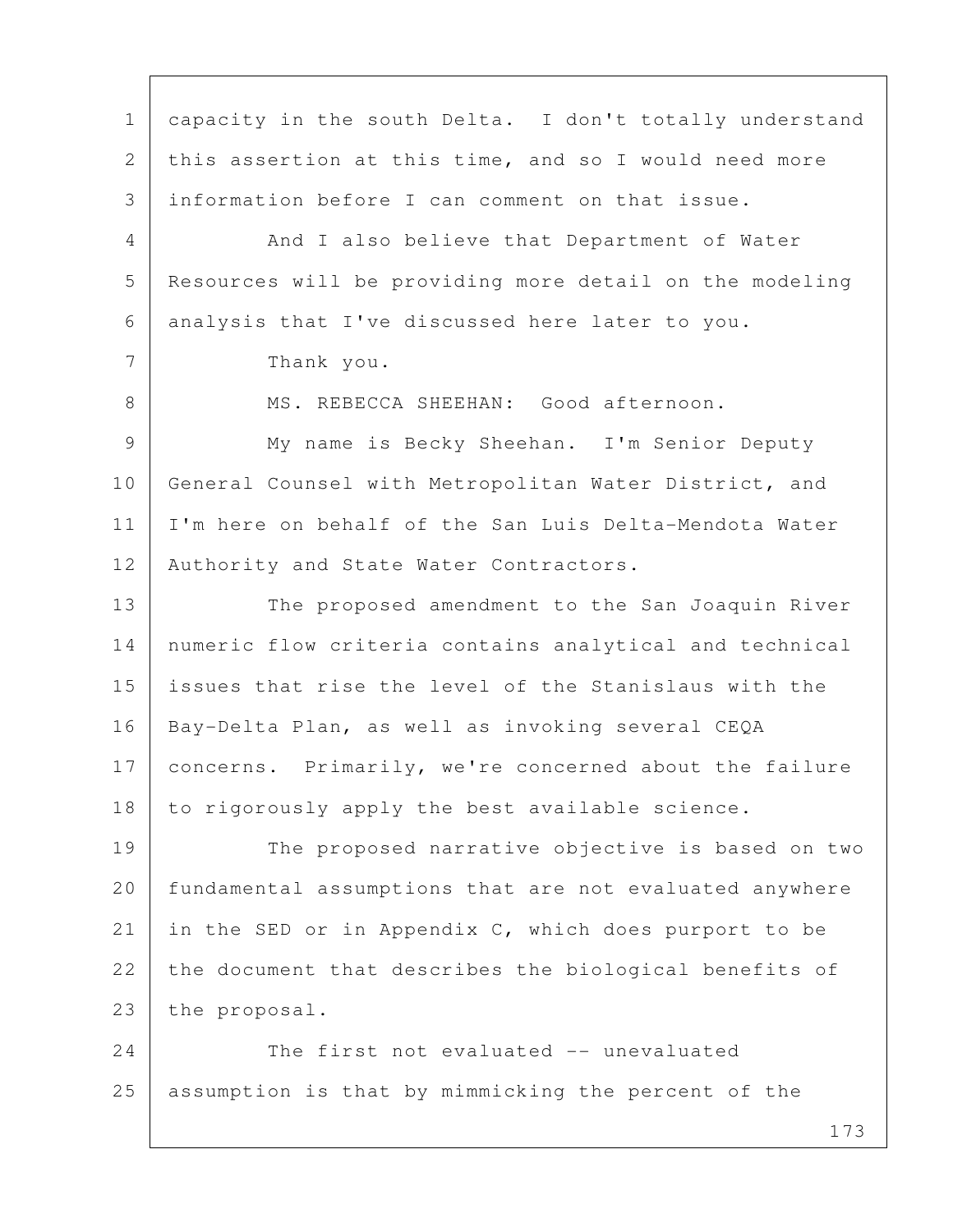1 capacity in the south Delta. I don't totally understand 2 this assertion at this time, and so I would need more 3 information before I can comment on that issue. 4 And I also believe that Department of Water 5 Resources will be providing more detail on the modeling 6 analysis that I've discussed here later to you. 7 Thank you. 8 MS. REBECCA SHEEHAN: Good afternoon. 9 My name is Becky Sheehan. I'm Senior Deputy 10 General Counsel with Metropolitan Water District, and 11 I'm here on behalf of the San Luis Delta-Mendota Water 12 | Authority and State Water Contractors. 13 The proposed amendment to the San Joaquin River 14 numeric flow criteria contains analytical and technical 15 issues that rise the level of the Stanislaus with the 16 Bay-Delta Plan, as well as invoking several CEQA 17 | concerns. Primarily, we're concerned about the failure 18 to rigorously apply the best available science. 19 The proposed narrative objective is based on two 20 | fundamental assumptions that are not evaluated anywhere 21 in the SED or in Appendix C, which does purport to be 22 the document that describes the biological benefits of 23 the proposal. 24 The first not evaluated -- unevaluated 25 assumption is that by mimmicking the percent of the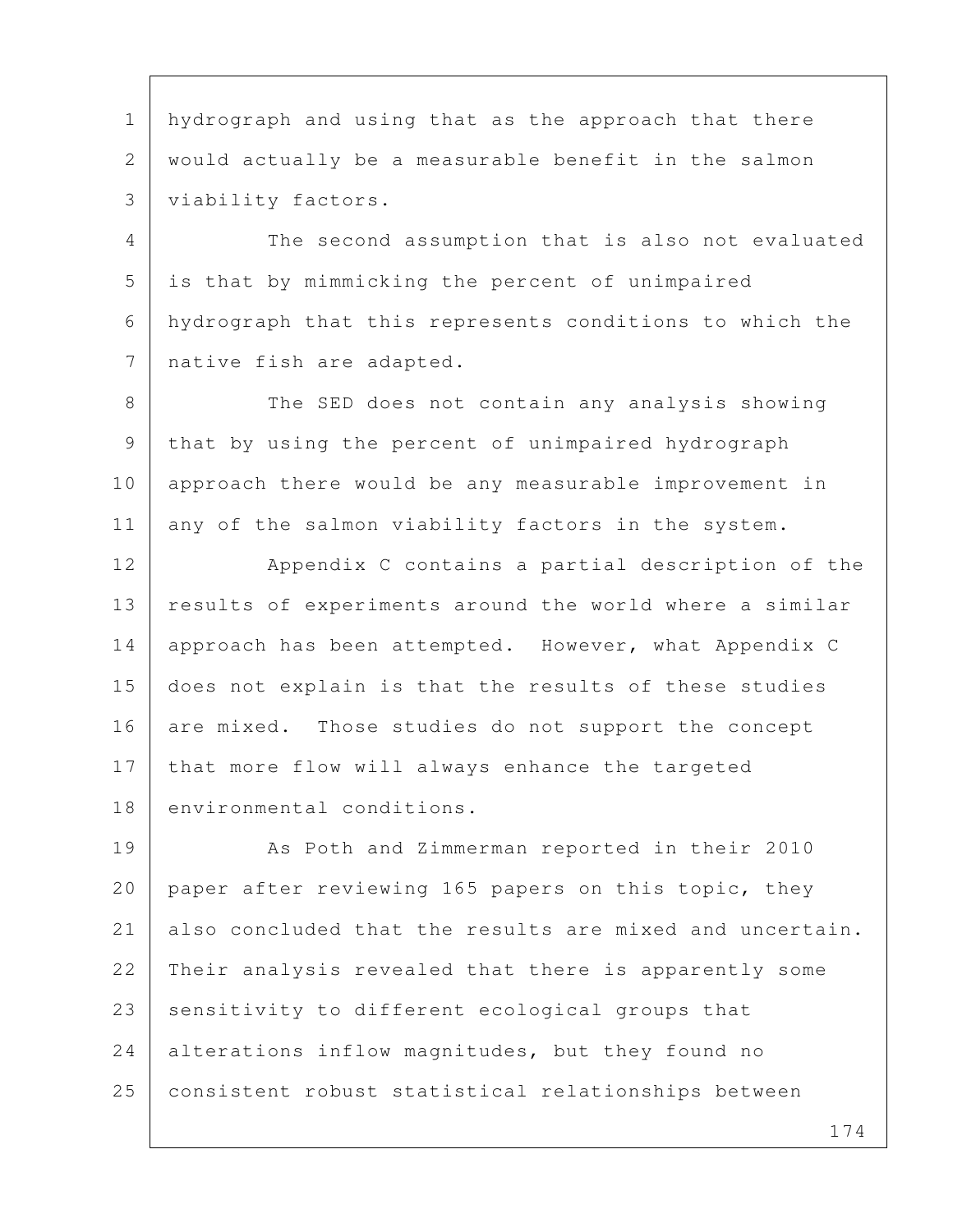1 hydrograph and using that as the approach that there 2 would actually be a measurable benefit in the salmon 3 viability factors.

 4 The second assumption that is also not evaluated 5 is that by mimmicking the percent of unimpaired 6 hydrograph that this represents conditions to which the 7 native fish are adapted.

8 The SED does not contain any analysis showing 9 that by using the percent of unimpaired hydrograph 10 approach there would be any measurable improvement in 11 any of the salmon viability factors in the system.

12 Appendix C contains a partial description of the 13 results of experiments around the world where a similar 14 approach has been attempted. However, what Appendix C 15 does not explain is that the results of these studies 16 are mixed. Those studies do not support the concept 17 that more flow will always enhance the targeted 18 environmental conditions.

19 As Poth and Zimmerman reported in their 2010 20 paper after reviewing 165 papers on this topic, they 21 also concluded that the results are mixed and uncertain. 22 Their analysis revealed that there is apparently some 23 sensitivity to different ecological groups that 24 alterations inflow magnitudes, but they found no 25 consistent robust statistical relationships between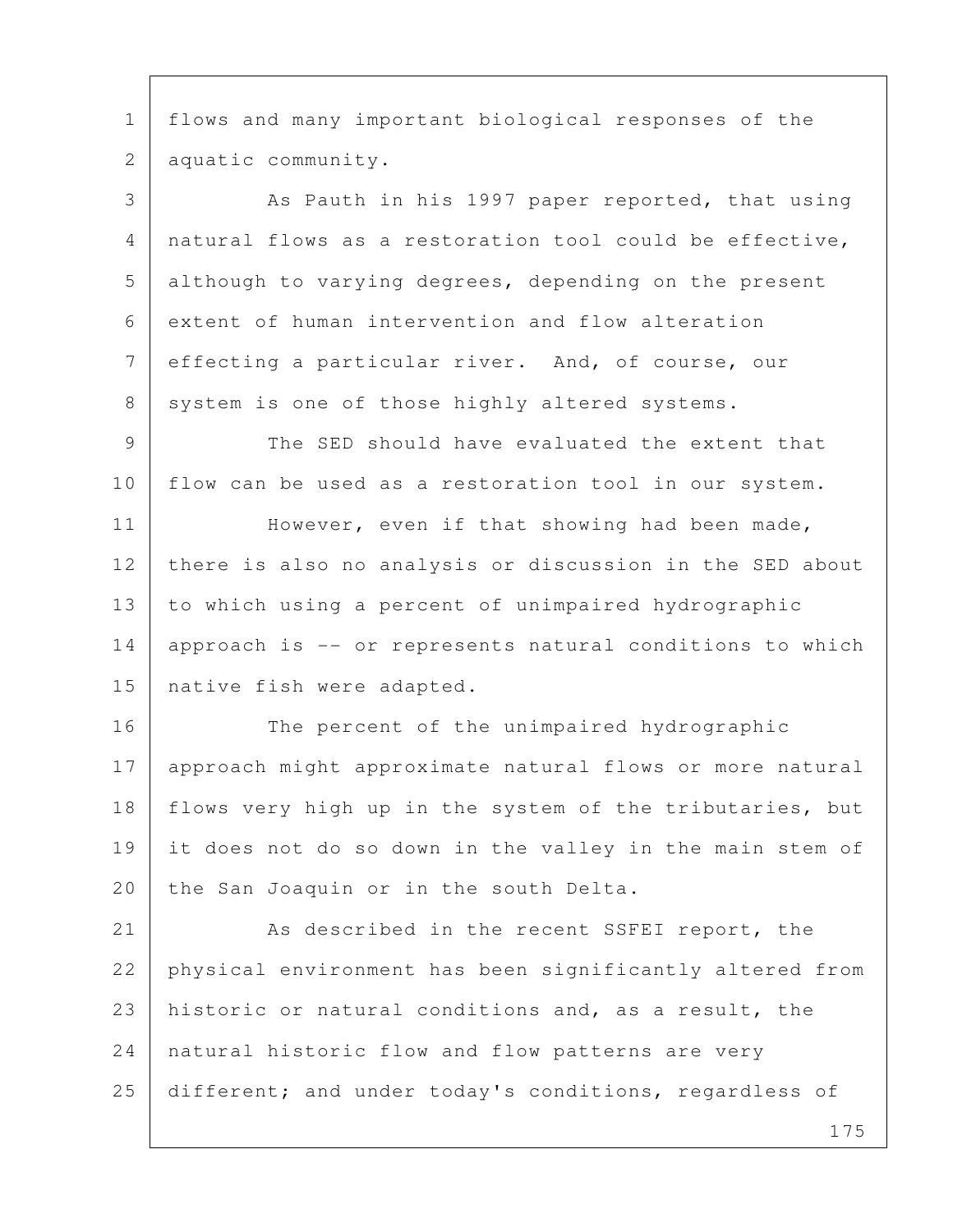1 flows and many important biological responses of the 2 aquatic community.

3 As Pauth in his 1997 paper reported, that using 4 natural flows as a restoration tool could be effective, 5 although to varying degrees, depending on the present 6 extent of human intervention and flow alteration 7 effecting a particular river. And, of course, our 8 system is one of those highly altered systems.

9 The SED should have evaluated the extent that 10 flow can be used as a restoration tool in our system.

11 | However, even if that showing had been made, 12 there is also no analysis or discussion in the SED about 13 to which using a percent of unimpaired hydrographic 14 approach is -- or represents natural conditions to which 15 | native fish were adapted.

16 The percent of the unimpaired hydrographic 17 approach might approximate natural flows or more natural 18 | flows very high up in the system of the tributaries, but 19 it does not do so down in the valley in the main stem of 20 the San Joaquin or in the south Delta.

21 As described in the recent SSFEI report, the 22 physical environment has been significantly altered from 23 historic or natural conditions and, as a result, the 24 | natural historic flow and flow patterns are very 25 different; and under today's conditions, regardless of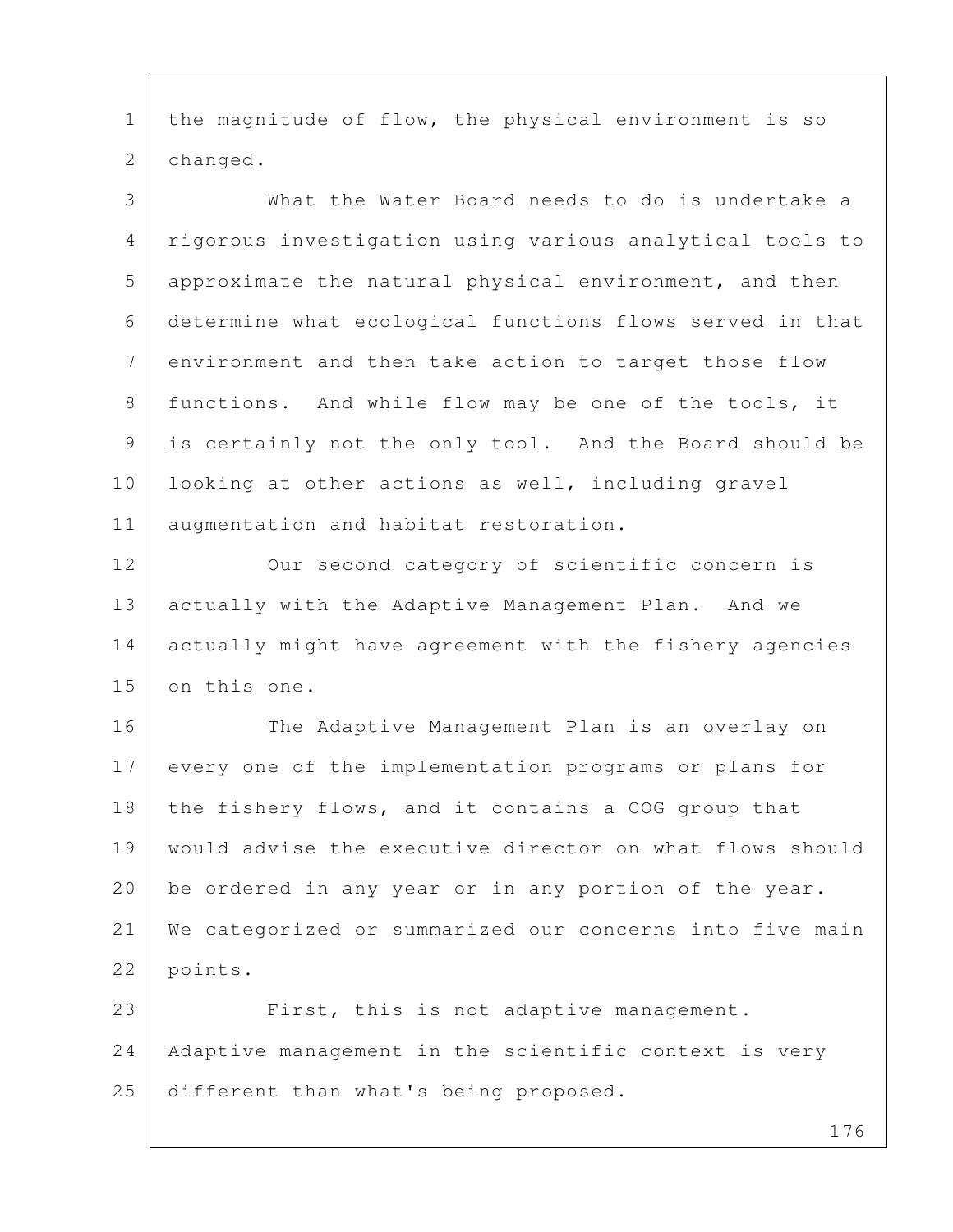1 | the magnitude of flow, the physical environment is so 2 changed.

 3 What the Water Board needs to do is undertake a 4 rigorous investigation using various analytical tools to 5 approximate the natural physical environment, and then 6 determine what ecological functions flows served in that 7 environment and then take action to target those flow 8 | functions. And while flow may be one of the tools, it 9 is certainly not the only tool. And the Board should be 10 looking at other actions as well, including gravel 11 | augmentation and habitat restoration.

12 Our second category of scientific concern is 13 actually with the Adaptive Management Plan. And we 14 actually might have agreement with the fishery agencies 15 on this one.

16 The Adaptive Management Plan is an overlay on 17 every one of the implementation programs or plans for 18 the fishery flows, and it contains a COG group that 19 would advise the executive director on what flows should 20 be ordered in any year or in any portion of the year. 21 We categorized or summarized our concerns into five main 22 points.

23 First, this is not adaptive management. 24 Adaptive management in the scientific context is very 25 different than what's being proposed.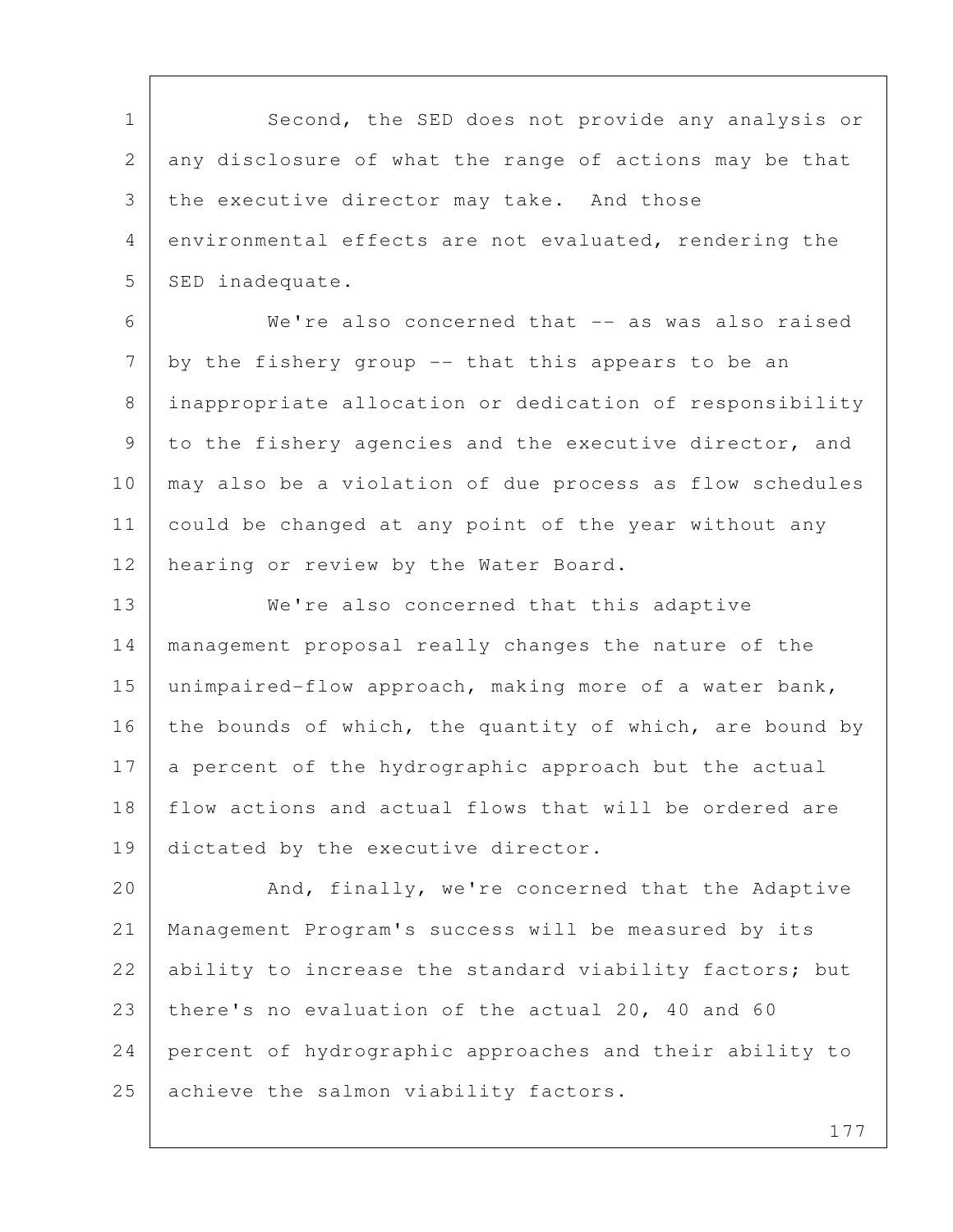1 Second, the SED does not provide any analysis or 2 any disclosure of what the range of actions may be that 3 the executive director may take. And those 4 environmental effects are not evaluated, rendering the 5 SED inadequate.

 6 We're also concerned that -- as was also raised  $7$  by the fishery group -- that this appears to be an 8 inappropriate allocation or dedication of responsibility 9 to the fishery agencies and the executive director, and 10 may also be a violation of due process as flow schedules 11 could be changed at any point of the year without any 12 | hearing or review by the Water Board.

13 We're also concerned that this adaptive 14 management proposal really changes the nature of the 15 unimpaired-flow approach, making more of a water bank, 16 the bounds of which, the quantity of which, are bound by 17 a percent of the hydrographic approach but the actual 18 flow actions and actual flows that will be ordered are 19 dictated by the executive director.

20 And, finally, we're concerned that the Adaptive 21 Management Program's success will be measured by its 22 ability to increase the standard viability factors; but 23 there's no evaluation of the actual 20, 40 and 60 24 percent of hydrographic approaches and their ability to 25 achieve the salmon viability factors.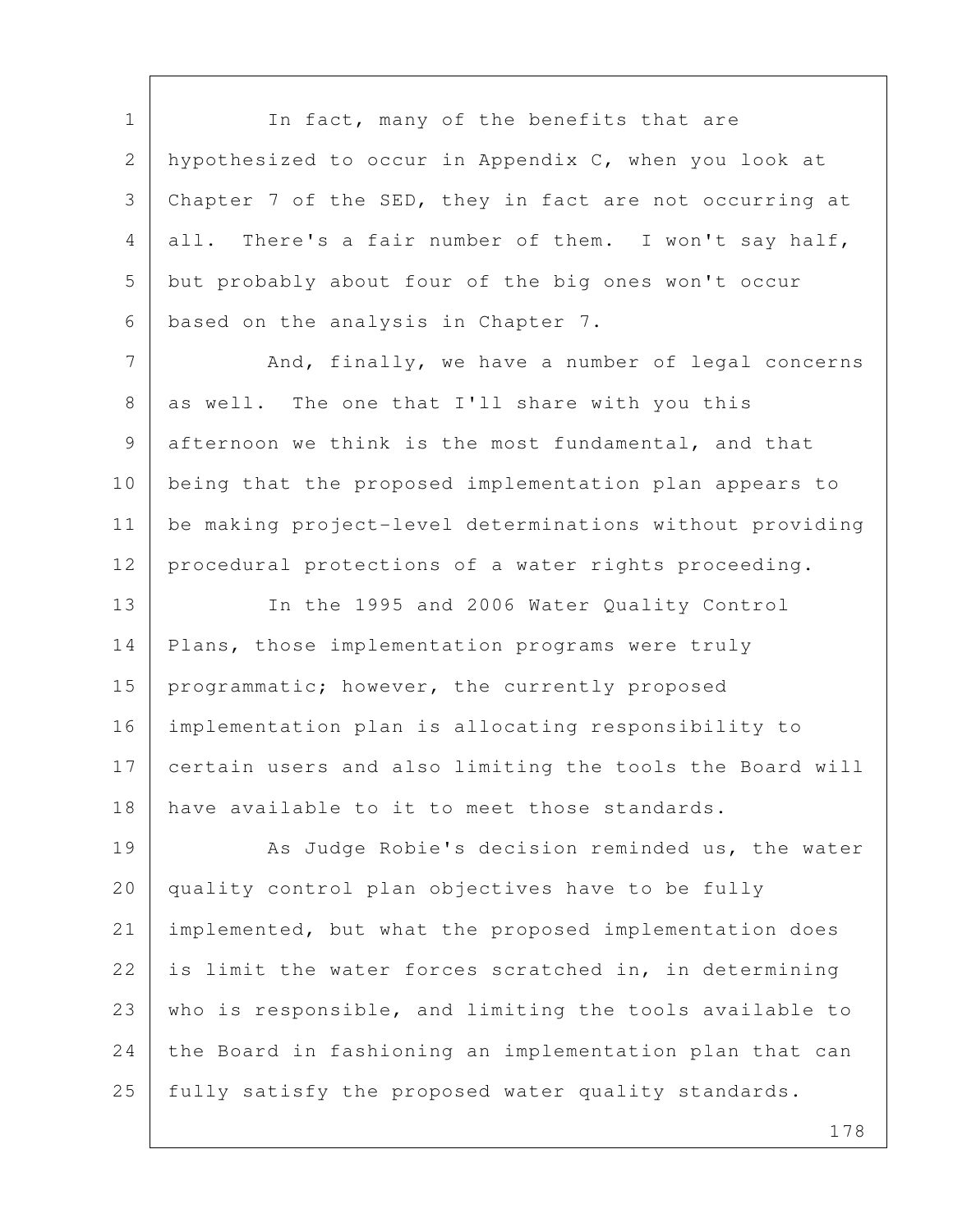1 In fact, many of the benefits that are 2 hypothesized to occur in Appendix C, when you look at 3 Chapter 7 of the SED, they in fact are not occurring at 4 all. There's a fair number of them. I won't say half, 5 but probably about four of the big ones won't occur 6 based on the analysis in Chapter 7. 7 And, finally, we have a number of legal concerns 8 as well. The one that I'll share with you this 9 afternoon we think is the most fundamental, and that 10 being that the proposed implementation plan appears to 11 be making project-level determinations without providing 12 | procedural protections of a water rights proceeding. 13 In the 1995 and 2006 Water Quality Control 14 | Plans, those implementation programs were truly 15 | programmatic; however, the currently proposed 16 implementation plan is allocating responsibility to 17 certain users and also limiting the tools the Board will 18 have available to it to meet those standards. 19 As Judge Robie's decision reminded us, the water 20 quality control plan objectives have to be fully 21 implemented, but what the proposed implementation does 22 is limit the water forces scratched in, in determining 23 who is responsible, and limiting the tools available to 24 the Board in fashioning an implementation plan that can 25 fully satisfy the proposed water quality standards.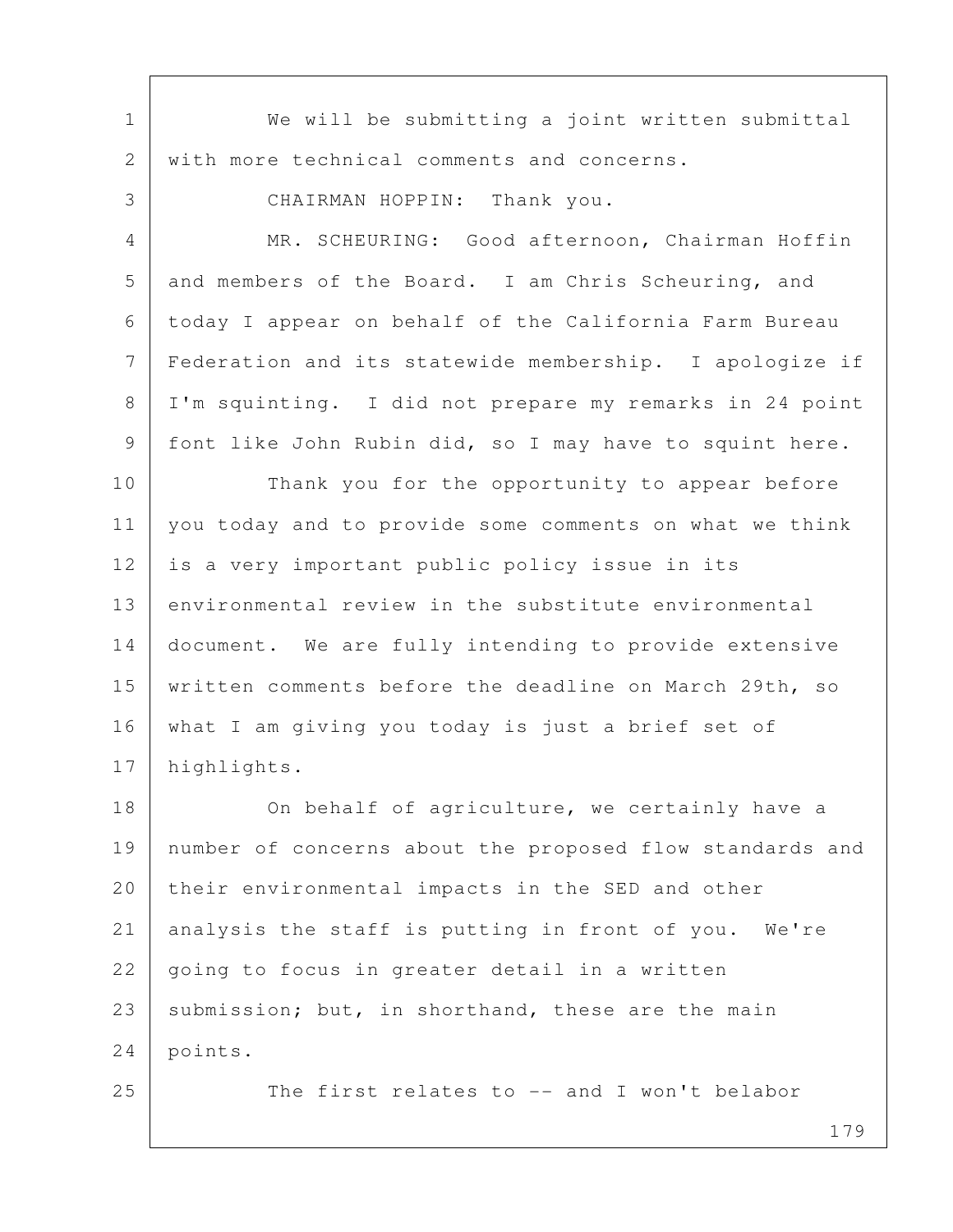| $\mathbf 1$    | We will be submitting a joint written submittal          |
|----------------|----------------------------------------------------------|
| $\mathbf{2}$   | with more technical comments and concerns.               |
| 3              | CHAIRMAN HOPPIN: Thank you.                              |
| $\overline{4}$ | MR. SCHEURING: Good afternoon, Chairman Hoffin           |
| 5              | and members of the Board. I am Chris Scheuring, and      |
| 6              | today I appear on behalf of the California Farm Bureau   |
| 7              | Federation and its statewide membership. I apologize if  |
| 8              | I'm squinting. I did not prepare my remarks in 24 point  |
| 9              | font like John Rubin did, so I may have to squint here.  |
| 10             | Thank you for the opportunity to appear before           |
| 11             | you today and to provide some comments on what we think  |
| 12             | is a very important public policy issue in its           |
| 13             | environmental review in the substitute environmental     |
| 14             | document. We are fully intending to provide extensive    |
| 15             | written comments before the deadline on March 29th, so   |
| 16             | what I am giving you today is just a brief set of        |
| 17             | highlights.                                              |
| 18             | On behalf of agriculture, we certainly have a            |
| 19             | number of concerns about the proposed flow standards and |
| 20             | their environmental impacts in the SED and other         |
| 21             | analysis the staff is putting in front of you. We're     |
| 22             | going to focus in greater detail in a written            |
| 23             | submission; but, in shorthand, these are the main        |
| 24             | points.                                                  |
| 25             | The first relates to -- and I won't belabor              |
|                |                                                          |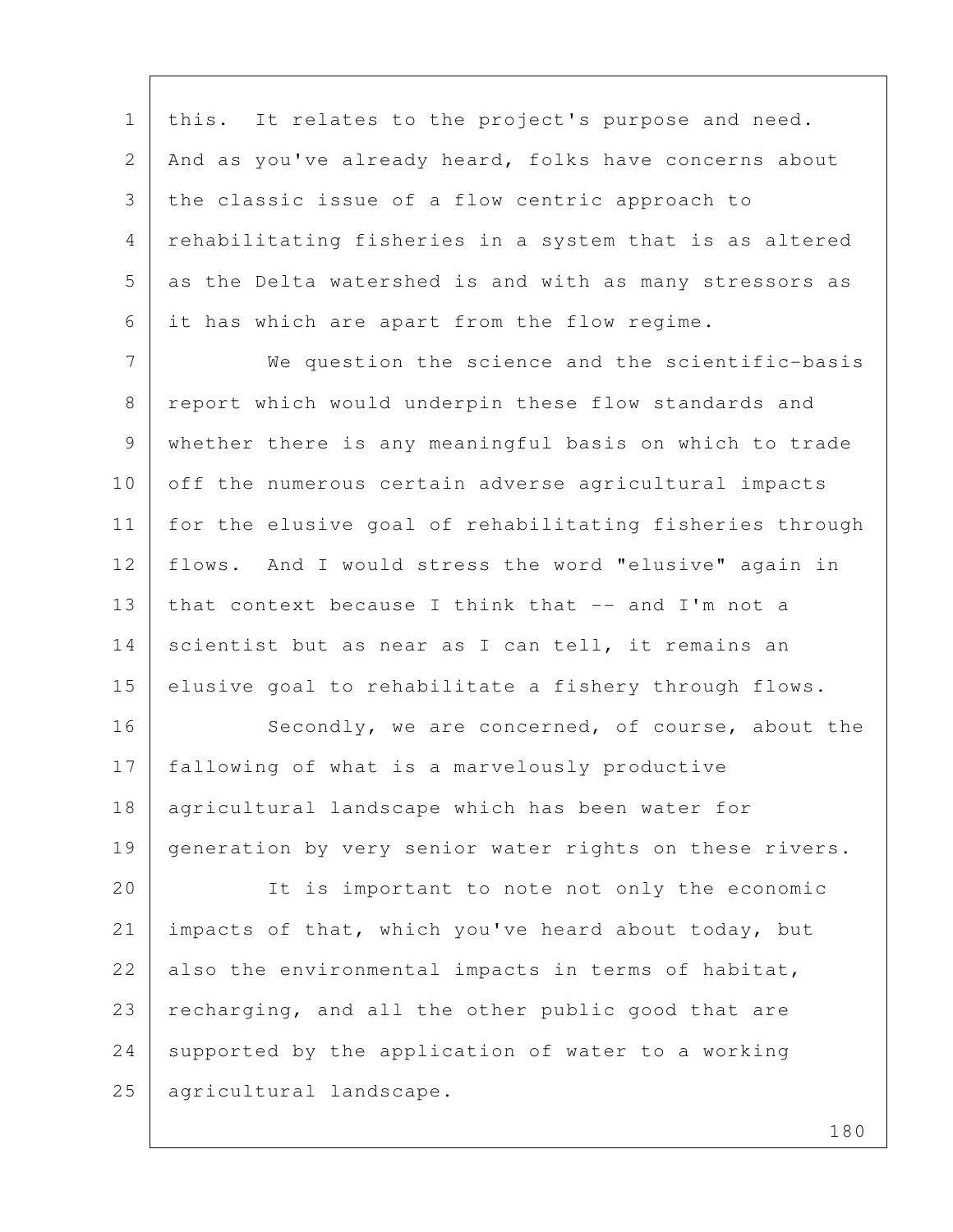1 | this. It relates to the project's purpose and need. 2 | And as you've already heard, folks have concerns about 3 the classic issue of a flow centric approach to 4 rehabilitating fisheries in a system that is as altered 5 as the Delta watershed is and with as many stressors as 6 it has which are apart from the flow regime.

 7 We question the science and the scientific-basis 8 report which would underpin these flow standards and 9 whether there is any meaningful basis on which to trade 10 off the numerous certain adverse agricultural impacts 11 for the elusive goal of rehabilitating fisheries through 12 flows. And I would stress the word "elusive" again in 13 | that context because I think that -- and I'm not a 14 scientist but as near as I can tell, it remains an 15 elusive goal to rehabilitate a fishery through flows.

16 Secondly, we are concerned, of course, about the 17 fallowing of what is a marvelously productive 18 agricultural landscape which has been water for 19 generation by very senior water rights on these rivers.

20 It is important to note not only the economic 21 impacts of that, which you've heard about today, but 22 also the environmental impacts in terms of habitat, 23 | recharging, and all the other public good that are 24 supported by the application of water to a working 25 | agricultural landscape.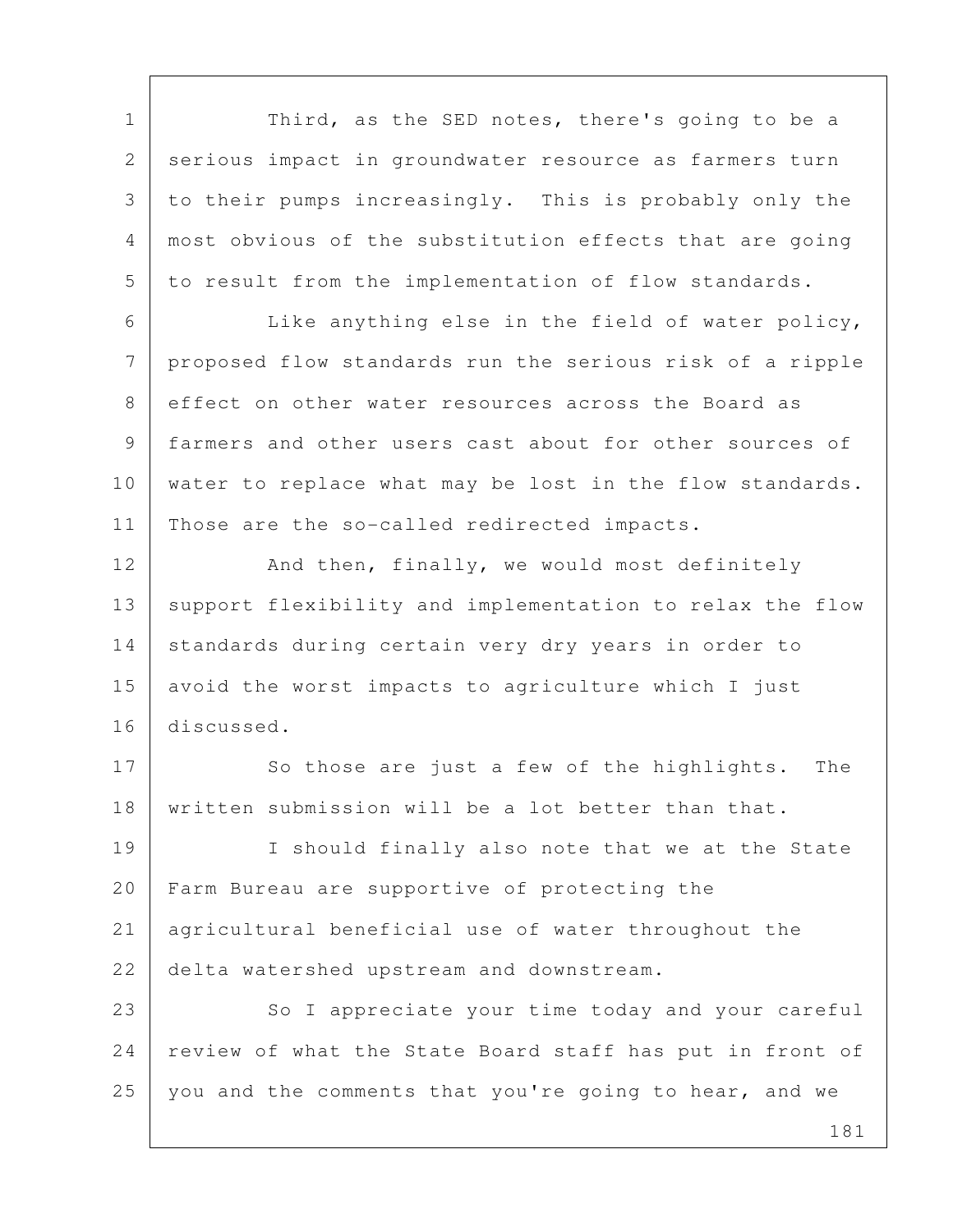1 Third, as the SED notes, there's going to be a 2 serious impact in groundwater resource as farmers turn 3 to their pumps increasingly. This is probably only the 4 most obvious of the substitution effects that are going 5 to result from the implementation of flow standards.

 6 Like anything else in the field of water policy, 7 proposed flow standards run the serious risk of a ripple 8 effect on other water resources across the Board as 9 farmers and other users cast about for other sources of 10 water to replace what may be lost in the flow standards. 11 Those are the so-called redirected impacts.

12 And then, finally, we would most definitely 13 support flexibility and implementation to relax the flow 14 | standards during certain very dry years in order to 15 avoid the worst impacts to agriculture which I just 16 discussed.

17 So those are just a few of the highlights. The 18 | written submission will be a lot better than that.

19 I should finally also note that we at the State 20 Farm Bureau are supportive of protecting the 21 agricultural beneficial use of water throughout the 22 delta watershed upstream and downstream.

23 | So I appreciate your time today and your careful 24 | review of what the State Board staff has put in front of 25 you and the comments that you're going to hear, and we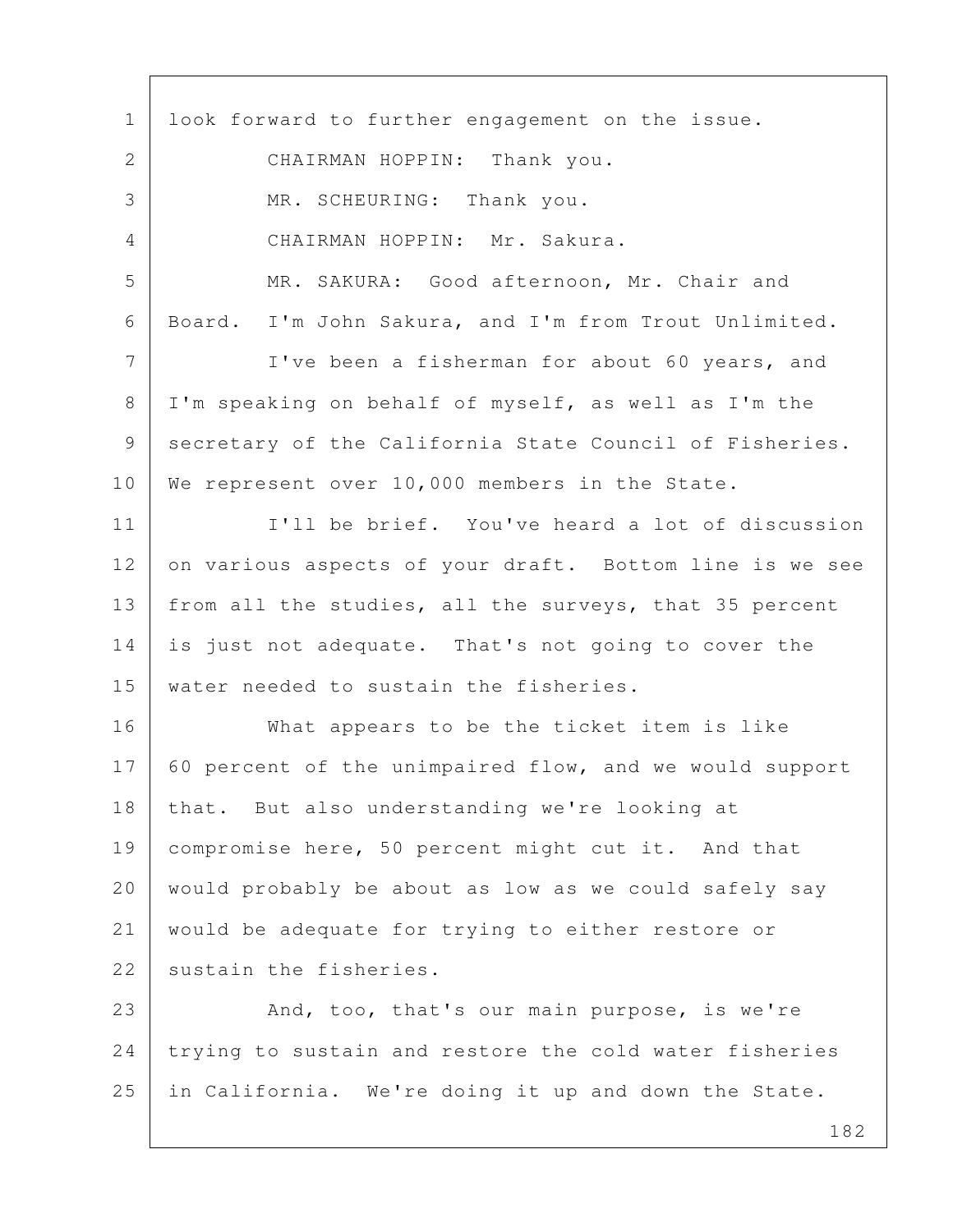1 look forward to further engagement on the issue. 2 CHAIRMAN HOPPIN: Thank you. 3 MR. SCHEURING: Thank you. 4 CHAIRMAN HOPPIN: Mr. Sakura. 5 MR. SAKURA: Good afternoon, Mr. Chair and 6 Board. I'm John Sakura, and I'm from Trout Unlimited. 7 I've been a fisherman for about 60 years, and 8 I'm speaking on behalf of myself, as well as I'm the 9 secretary of the California State Council of Fisheries. 10 We represent over 10,000 members in the State. 11 I'll be brief. You've heard a lot of discussion 12 on various aspects of your draft. Bottom line is we see 13 | from all the studies, all the surveys, that 35 percent 14 is just not adequate. That's not going to cover the 15 water needed to sustain the fisheries. 16 What appears to be the ticket item is like 17 60 percent of the unimpaired flow, and we would support 18 that. But also understanding we're looking at 19 | compromise here, 50 percent might cut it. And that 20 would probably be about as low as we could safely say 21 would be adequate for trying to either restore or 22 sustain the fisheries. 23 And, too, that's our main purpose, is we're 24 trying to sustain and restore the cold water fisheries 25 in California. We're doing it up and down the State.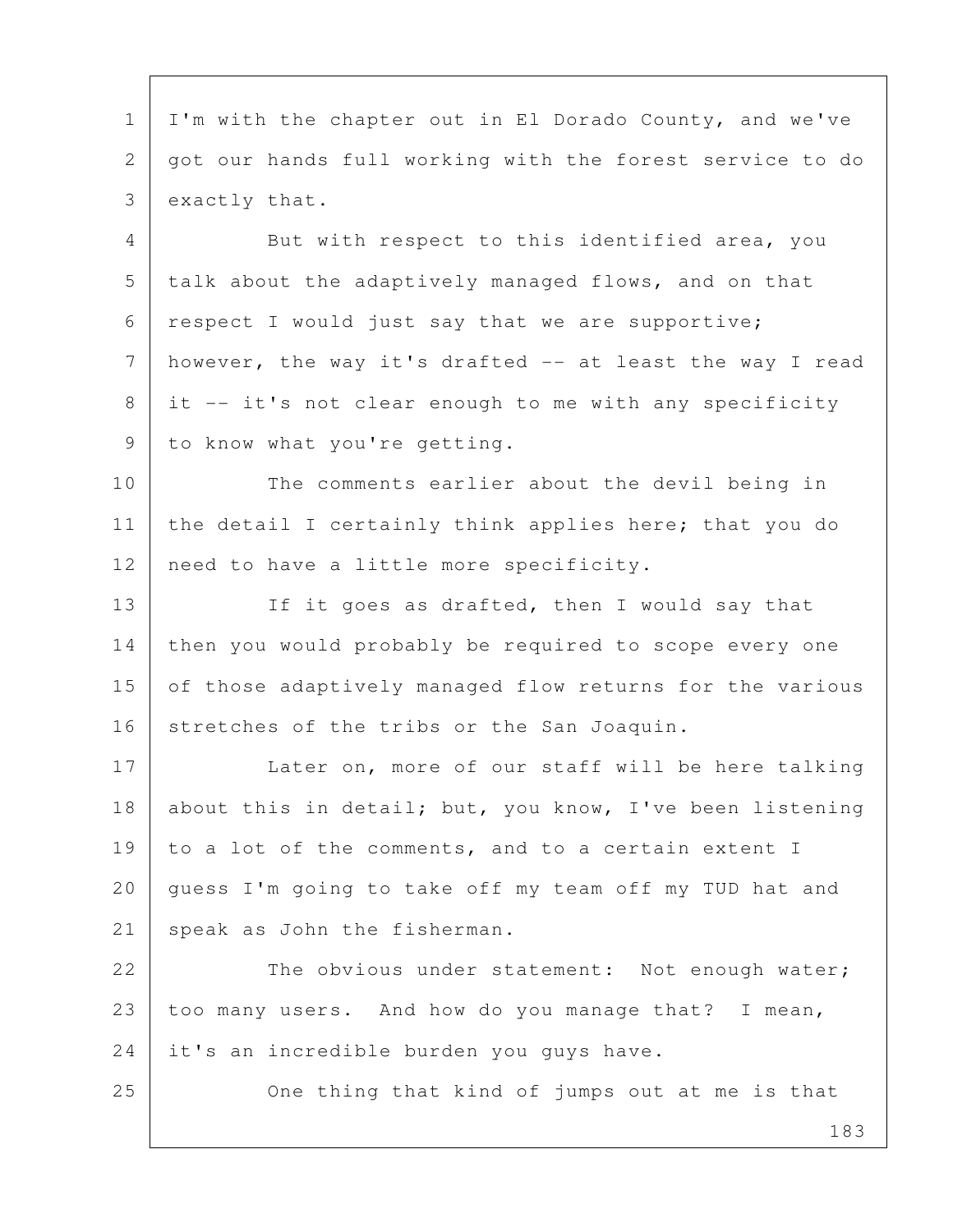1 I'm with the chapter out in El Dorado County, and we've 2 got our hands full working with the forest service to do 3 exactly that.

4 But with respect to this identified area, you 5 talk about the adaptively managed flows, and on that 6 respect I would just say that we are supportive; 7 however, the way it's drafted -- at least the way I read  $8$  it -- it's not clear enough to me with any specificity 9 to know what you're getting.

10 The comments earlier about the devil being in 11 | the detail I certainly think applies here; that you do 12 | need to have a little more specificity.

13 If it goes as drafted, then I would say that 14 then you would probably be required to scope every one 15 of those adaptively managed flow returns for the various 16 stretches of the tribs or the San Joaquin.

17 Later on, more of our staff will be here talking 18 about this in detail; but, you know, I've been listening 19 to a lot of the comments, and to a certain extent I 20 guess I'm going to take off my team off my TUD hat and 21 speak as John the fisherman.

22 The obvious under statement: Not enough water; 23 too many users. And how do you manage that? I mean, 24 it's an incredible burden you quys have.

25 One thing that kind of jumps out at me is that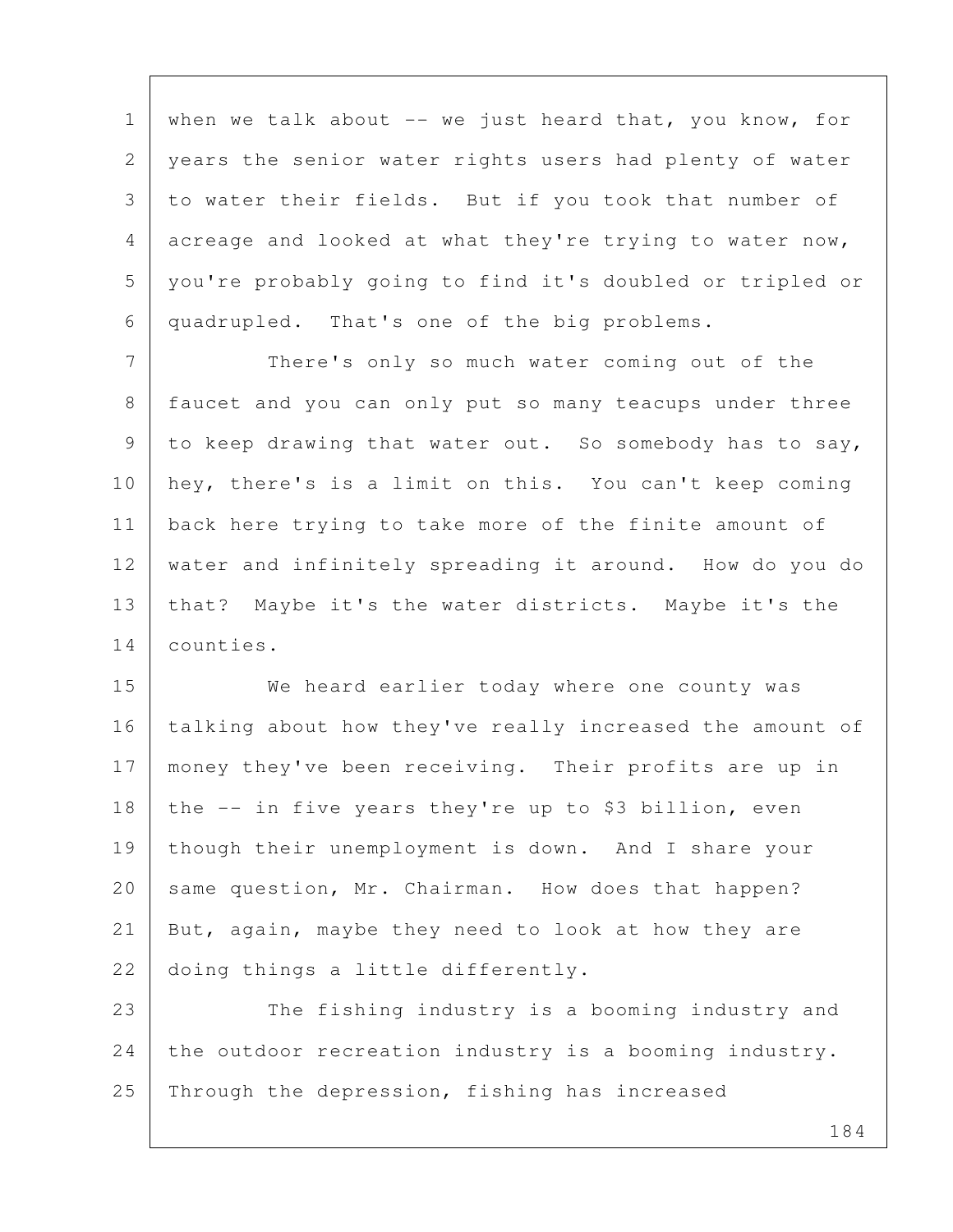1 when we talk about  $-$  we just heard that, you know, for 2 years the senior water rights users had plenty of water 3 to water their fields. But if you took that number of 4 acreage and looked at what they're trying to water now, 5 you're probably going to find it's doubled or tripled or 6 quadrupled. That's one of the big problems.

7 There's only so much water coming out of the 8 faucet and you can only put so many teacups under three 9 to keep drawing that water out. So somebody has to say, 10 hey, there's is a limit on this. You can't keep coming 11 back here trying to take more of the finite amount of 12 water and infinitely spreading it around. How do you do 13 that? Maybe it's the water districts. Maybe it's the 14 counties.

15 We heard earlier today where one county was 16 | talking about how they've really increased the amount of 17 | money they've been receiving. Their profits are up in 18 the  $-$  in five years they're up to \$3 billion, even 19 though their unemployment is down. And I share your 20 same question, Mr. Chairman. How does that happen? 21 But, again, maybe they need to look at how they are 22 doing things a little differently.

23 The fishing industry is a booming industry and 24 the outdoor recreation industry is a booming industry. 25 Through the depression, fishing has increased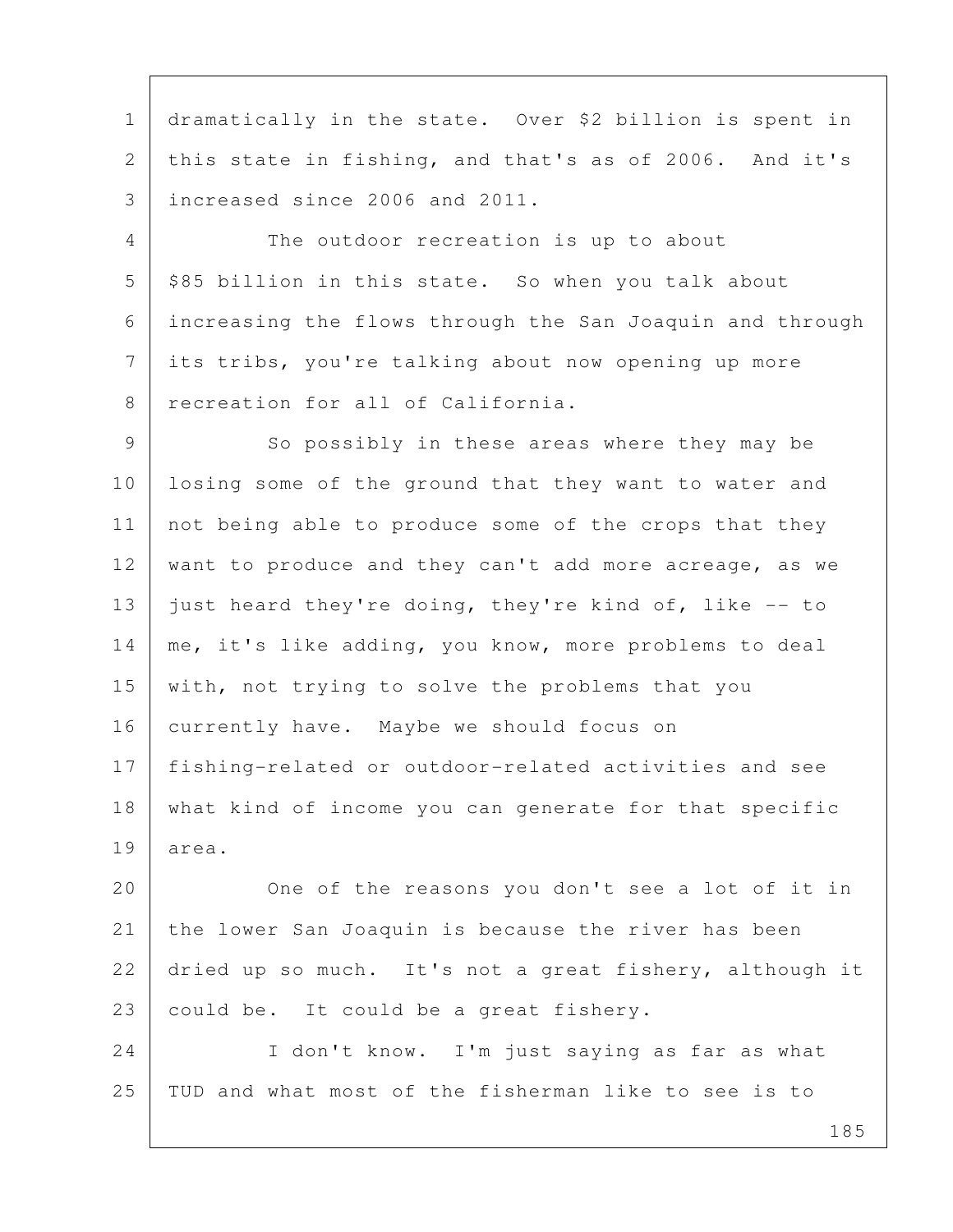1 dramatically in the state. Over \$2 billion is spent in 2 this state in fishing, and that's as of 2006. And it's 3 increased since 2006 and 2011.

 4 The outdoor recreation is up to about  $5$  \$85 billion in this state. So when you talk about 6 increasing the flows through the San Joaquin and through 7 its tribs, you're talking about now opening up more 8 recreation for all of California.

9 So possibly in these areas where they may be 10 losing some of the ground that they want to water and 11 | not being able to produce some of the crops that they 12 want to produce and they can't add more acreage, as we 13 just heard they're doing, they're kind of, like  $-$ - to 14 | me, it's like adding, you know, more problems to deal 15 with, not trying to solve the problems that you 16 currently have. Maybe we should focus on 17 fishing-related or outdoor-related activities and see 18 what kind of income you can generate for that specific 19 area.

20 One of the reasons you don't see a lot of it in 21 the lower San Joaquin is because the river has been 22 dried up so much. It's not a great fishery, although it 23 could be. It could be a great fishery.

24 I don't know. I'm just saying as far as what 25 TUD and what most of the fisherman like to see is to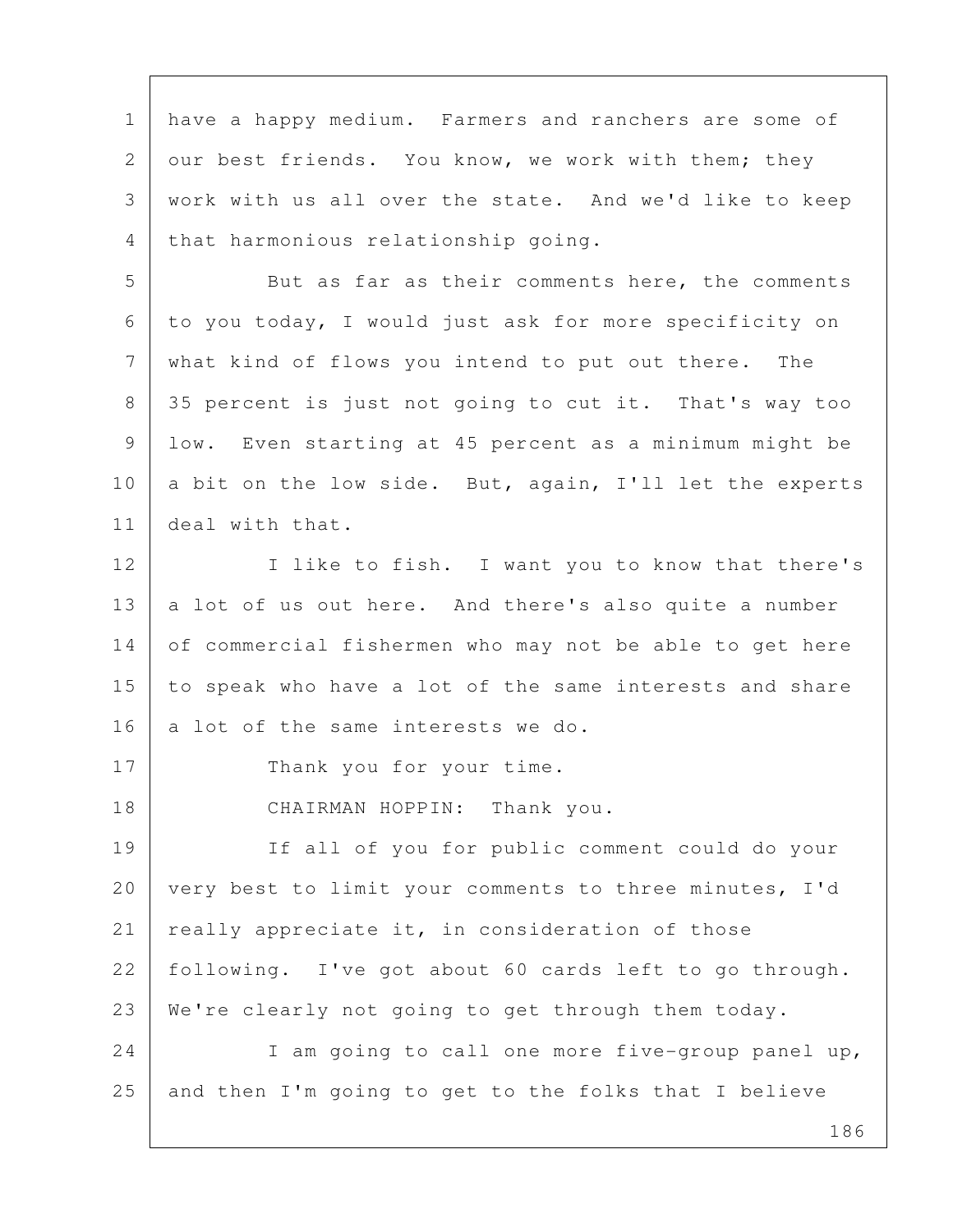1 have a happy medium. Farmers and ranchers are some of 2 our best friends. You know, we work with them; they 3 work with us all over the state. And we'd like to keep 4 that harmonious relationship going.

5 But as far as their comments here, the comments 6 to you today, I would just ask for more specificity on 7 what kind of flows you intend to put out there. The 8 35 percent is just not going to cut it. That's way too 9 low. Even starting at 45 percent as a minimum might be 10 a bit on the low side. But, again, I'll let the experts 11 deal with that.

12 I like to fish. I want you to know that there's 13 a lot of us out here. And there's also quite a number 14 of commercial fishermen who may not be able to get here 15 to speak who have a lot of the same interests and share 16 a lot of the same interests we do.

17 Thank you for your time.

18 CHAIRMAN HOPPIN: Thank you.

19 If all of you for public comment could do your 20 very best to limit your comments to three minutes, I'd 21 really appreciate it, in consideration of those 22 following. I've got about 60 cards left to go through. 23 We're clearly not going to get through them today.

24 I am going to call one more five-group panel up, 25 and then I'm going to get to the folks that I believe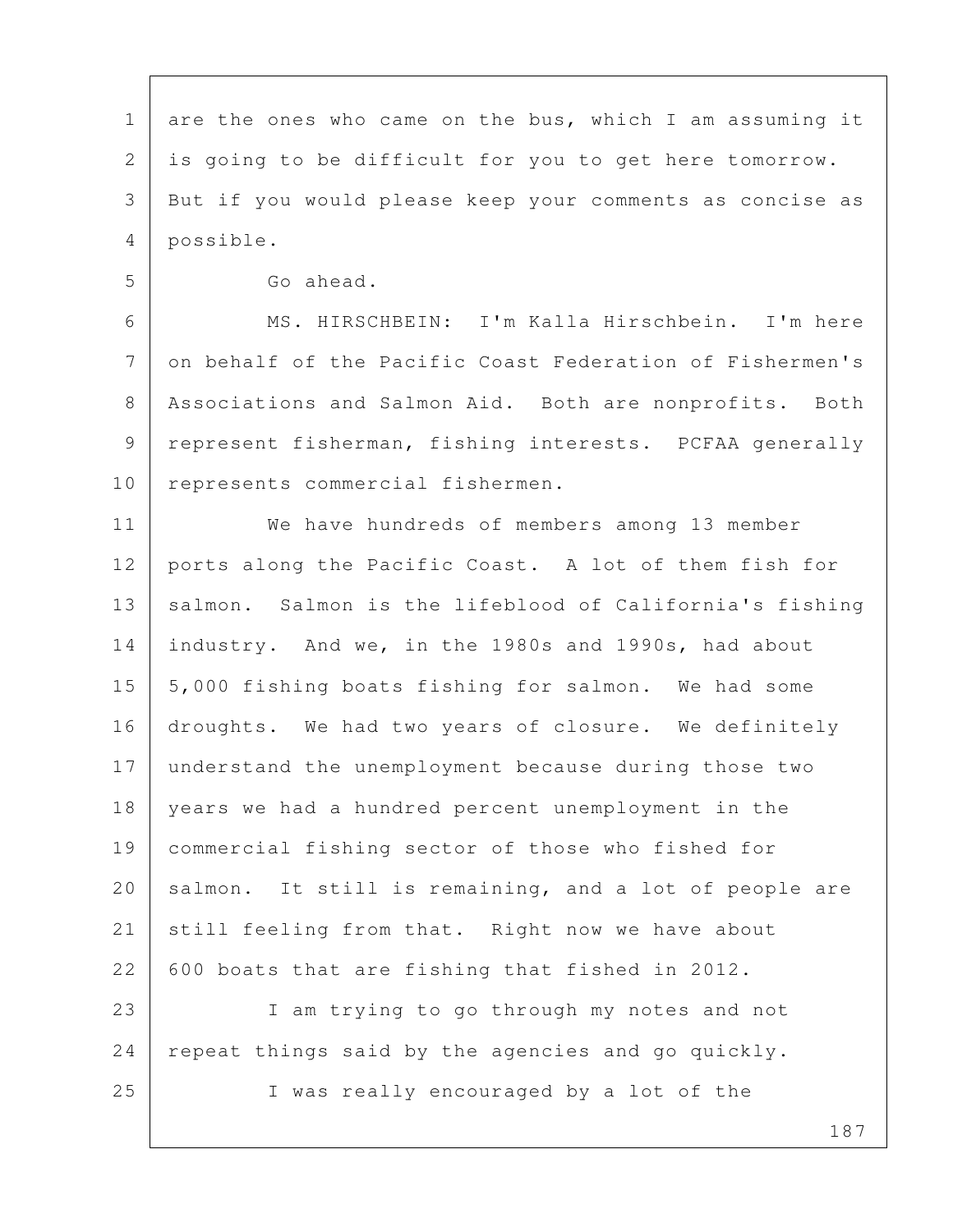1 are the ones who came on the bus, which I am assuming it 2 is going to be difficult for you to get here tomorrow. 3 But if you would please keep your comments as concise as 4 possible.

5 Go ahead.

 6 MS. HIRSCHBEIN: I'm Kalla Hirschbein. I'm here 7 on behalf of the Pacific Coast Federation of Fishermen's 8 | Associations and Salmon Aid. Both are nonprofits. Both 9 | represent fisherman, fishing interests. PCFAA generally 10 represents commercial fishermen.

11 We have hundreds of members among 13 member 12 ports along the Pacific Coast. A lot of them fish for 13 | salmon. Salmon is the lifeblood of California's fishing 14 industry. And we, in the 1980s and 1990s, had about 15 | 5,000 fishing boats fishing for salmon. We had some 16 droughts. We had two years of closure. We definitely 17 understand the unemployment because during those two 18 years we had a hundred percent unemployment in the 19 commercial fishing sector of those who fished for 20 salmon. It still is remaining, and a lot of people are 21 still feeling from that. Right now we have about 22 600 boats that are fishing that fished in 2012.

23 I am trying to go through my notes and not 24 repeat things said by the agencies and go quickly. 25 I was really encouraged by a lot of the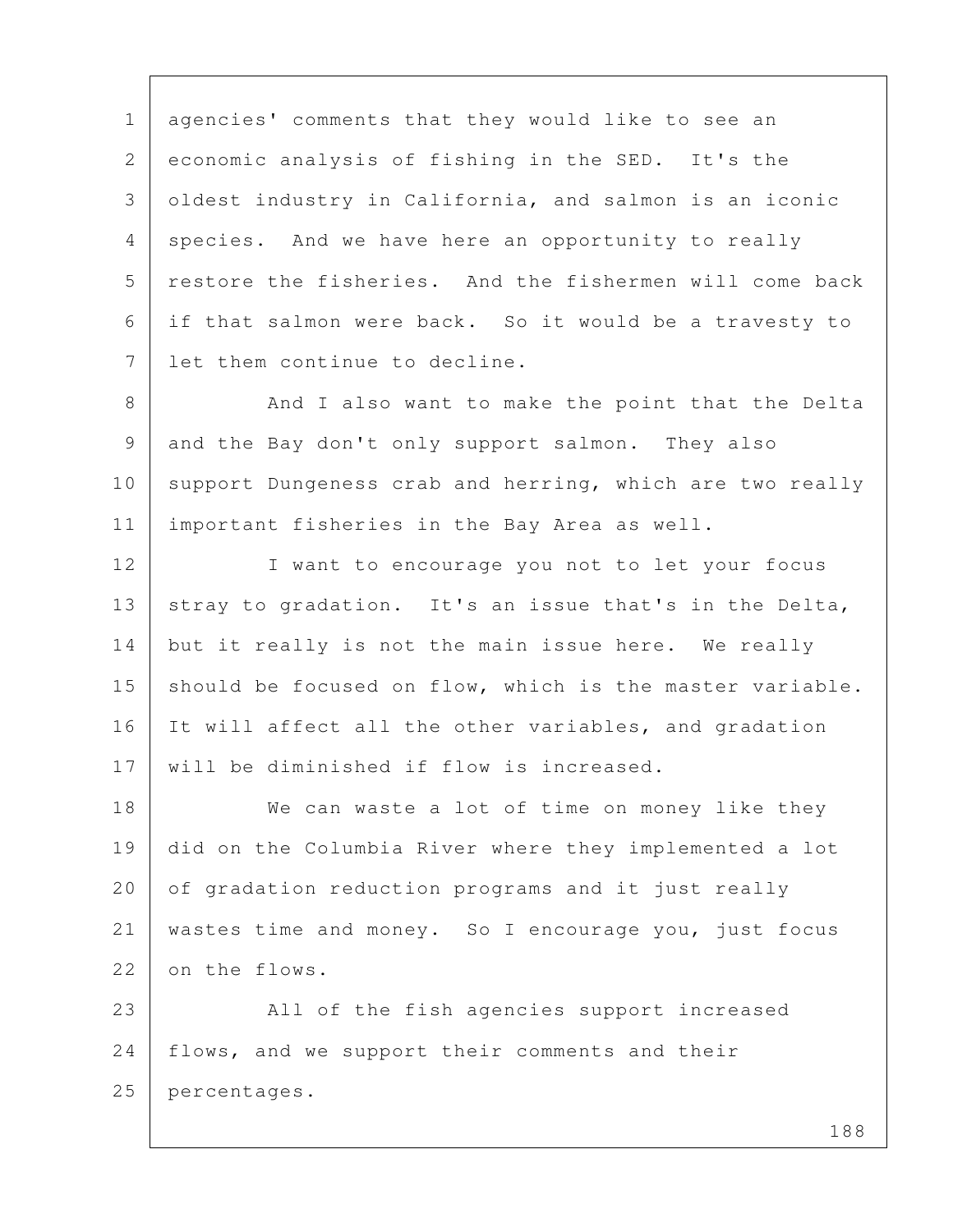1 agencies' comments that they would like to see an 2 economic analysis of fishing in the SED. It's the 3 oldest industry in California, and salmon is an iconic 4 species. And we have here an opportunity to really 5 restore the fisheries. And the fishermen will come back 6 if that salmon were back. So it would be a travesty to 7 l let them continue to decline.

8 And I also want to make the point that the Delta 9 and the Bay don't only support salmon. They also 10 support Dungeness crab and herring, which are two really 11 important fisheries in the Bay Area as well.

12 I want to encourage you not to let your focus 13 stray to gradation. It's an issue that's in the Delta, 14 but it really is not the main issue here. We really 15 should be focused on flow, which is the master variable. 16 It will affect all the other variables, and gradation 17 will be diminished if flow is increased.

18 We can waste a lot of time on money like they 19 did on the Columbia River where they implemented a lot 20 of gradation reduction programs and it just really 21 wastes time and money. So I encourage you, just focus 22 on the flows.

23 All of the fish agencies support increased 24 | flows, and we support their comments and their 25 percentages.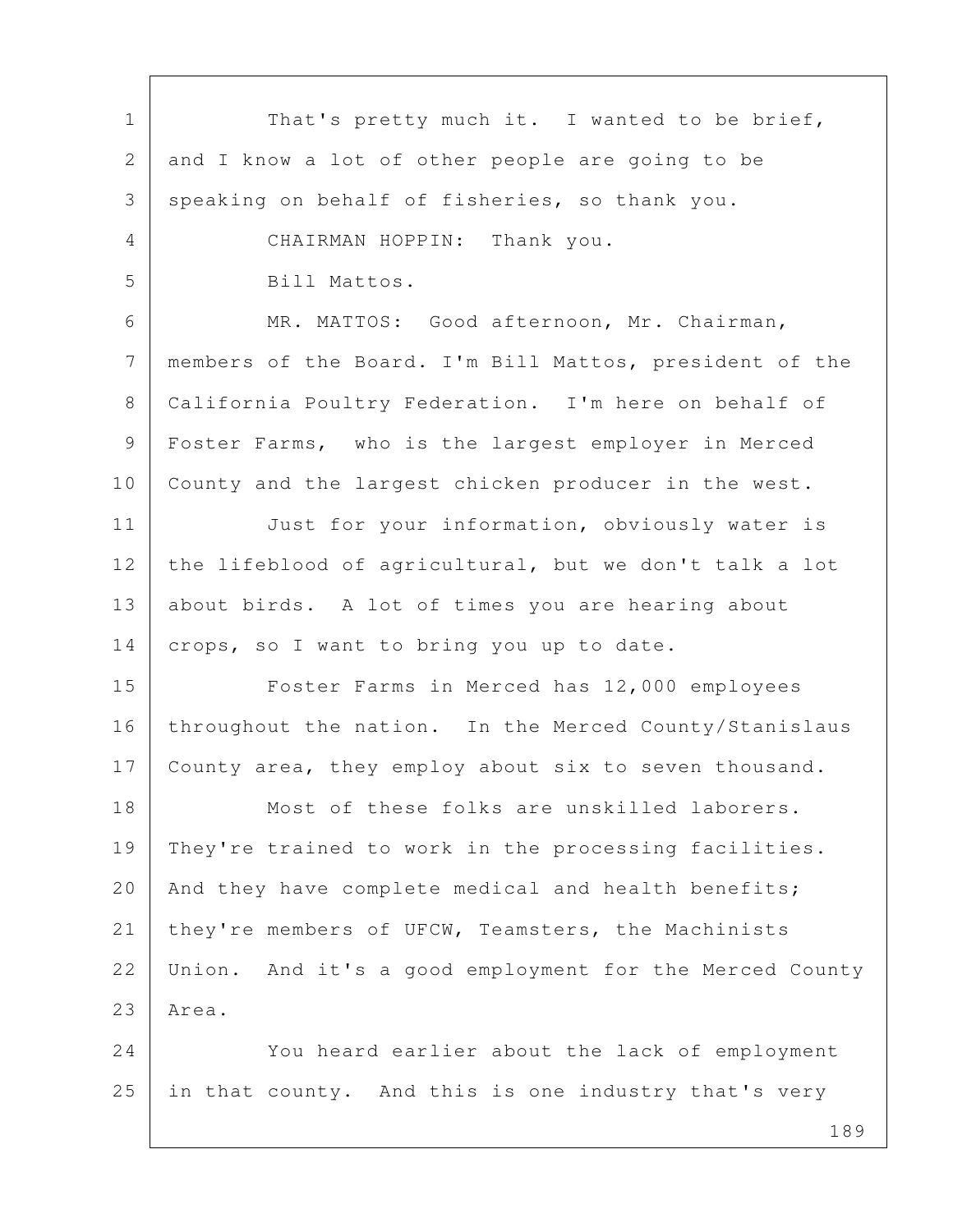| $\mathbf 1$  | That's pretty much it. I wanted to be brief,            |
|--------------|---------------------------------------------------------|
| $\mathbf{2}$ | and I know a lot of other people are going to be        |
| 3            | speaking on behalf of fisheries, so thank you.          |
| 4            | CHAIRMAN HOPPIN: Thank you.                             |
| 5            | Bill Mattos.                                            |
| 6            | MR. MATTOS: Good afternoon, Mr. Chairman,               |
| 7            | members of the Board. I'm Bill Mattos, president of the |
| 8            | California Poultry Federation. I'm here on behalf of    |
| 9            | Foster Farms, who is the largest employer in Merced     |
| 10           | County and the largest chicken producer in the west.    |
| 11           | Just for your information, obviously water is           |
| 12           | the lifeblood of agricultural, but we don't talk a lot  |
| 13           | about birds. A lot of times you are hearing about       |
| 14           | crops, so I want to bring you up to date.               |
| 15           | Foster Farms in Merced has 12,000 employees             |
| 16           | throughout the nation. In the Merced County/Stanislaus  |
| 17           | County area, they employ about six to seven thousand.   |
| 18           | Most of these folks are unskilled laborers.             |
| 19           | They're trained to work in the processing facilities.   |
| 20           | And they have complete medical and health benefits;     |
| 21           | they're members of UFCW, Teamsters, the Machinists      |
| 22           | Union. And it's a good employment for the Merced County |
| 23           | Area.                                                   |
| 24           | You heard earlier about the lack of employment          |
| 25           | in that county. And this is one industry that's very    |
|              |                                                         |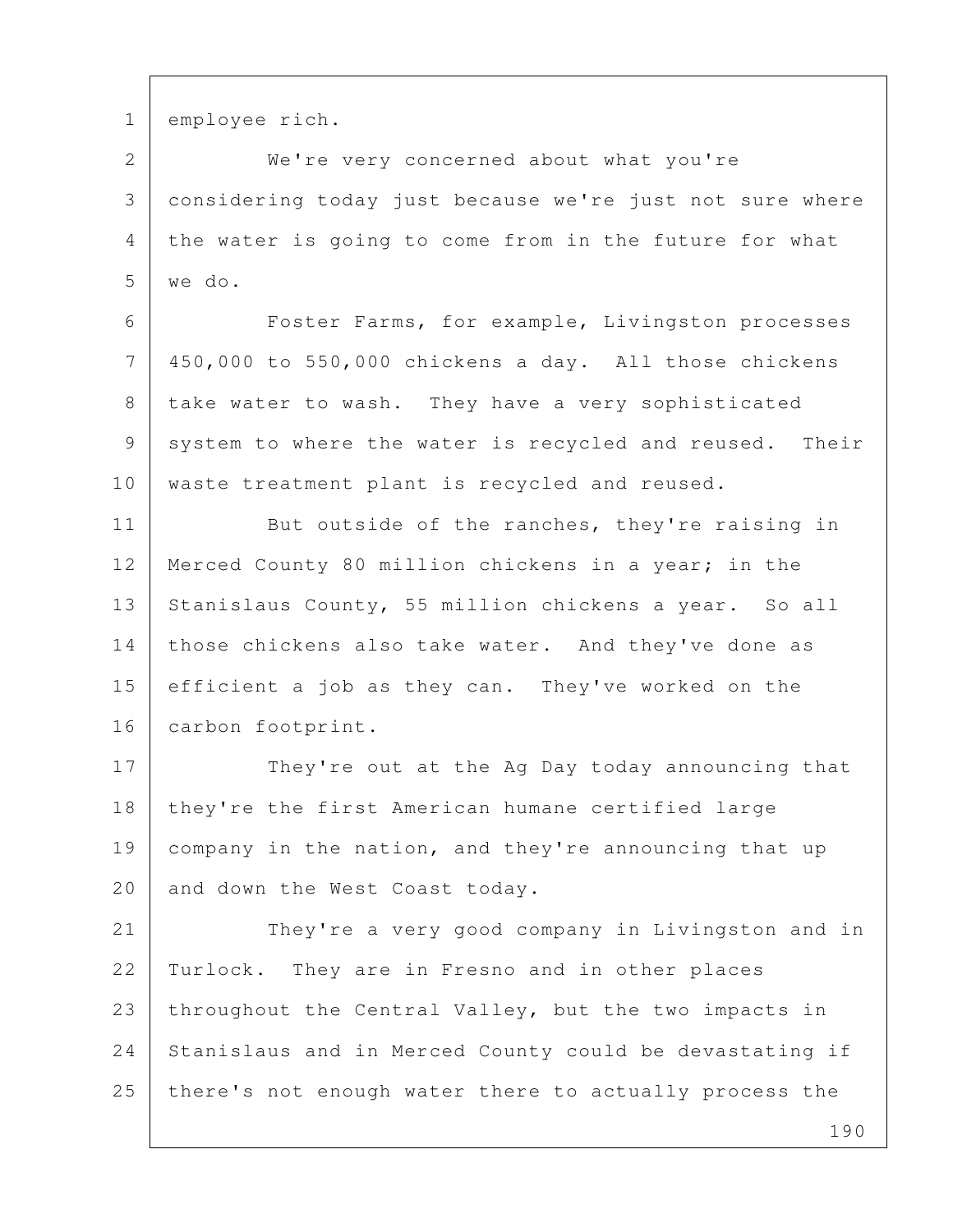1 employee rich.

 2 We're very concerned about what you're 3 considering today just because we're just not sure where 4 the water is going to come from in the future for what 5 we do.

 6 Foster Farms, for example, Livingston processes 7 450,000 to 550,000 chickens a day. All those chickens 8 | take water to wash. They have a very sophisticated 9 system to where the water is recycled and reused. Their 10 | waste treatment plant is recycled and reused.

11 But outside of the ranches, they're raising in 12 Merced County 80 million chickens in a year; in the 13 Stanislaus County, 55 million chickens a year. So all 14 those chickens also take water. And they've done as 15 efficient a job as they can. They've worked on the 16 | carbon footprint.

17 They're out at the Ag Day today announcing that 18 | they're the first American humane certified large 19 company in the nation, and they're announcing that up 20 and down the West Coast today.

21 They're a very good company in Livingston and in 22 Turlock. They are in Fresno and in other places 23 throughout the Central Valley, but the two impacts in 24 Stanislaus and in Merced County could be devastating if 25 there's not enough water there to actually process the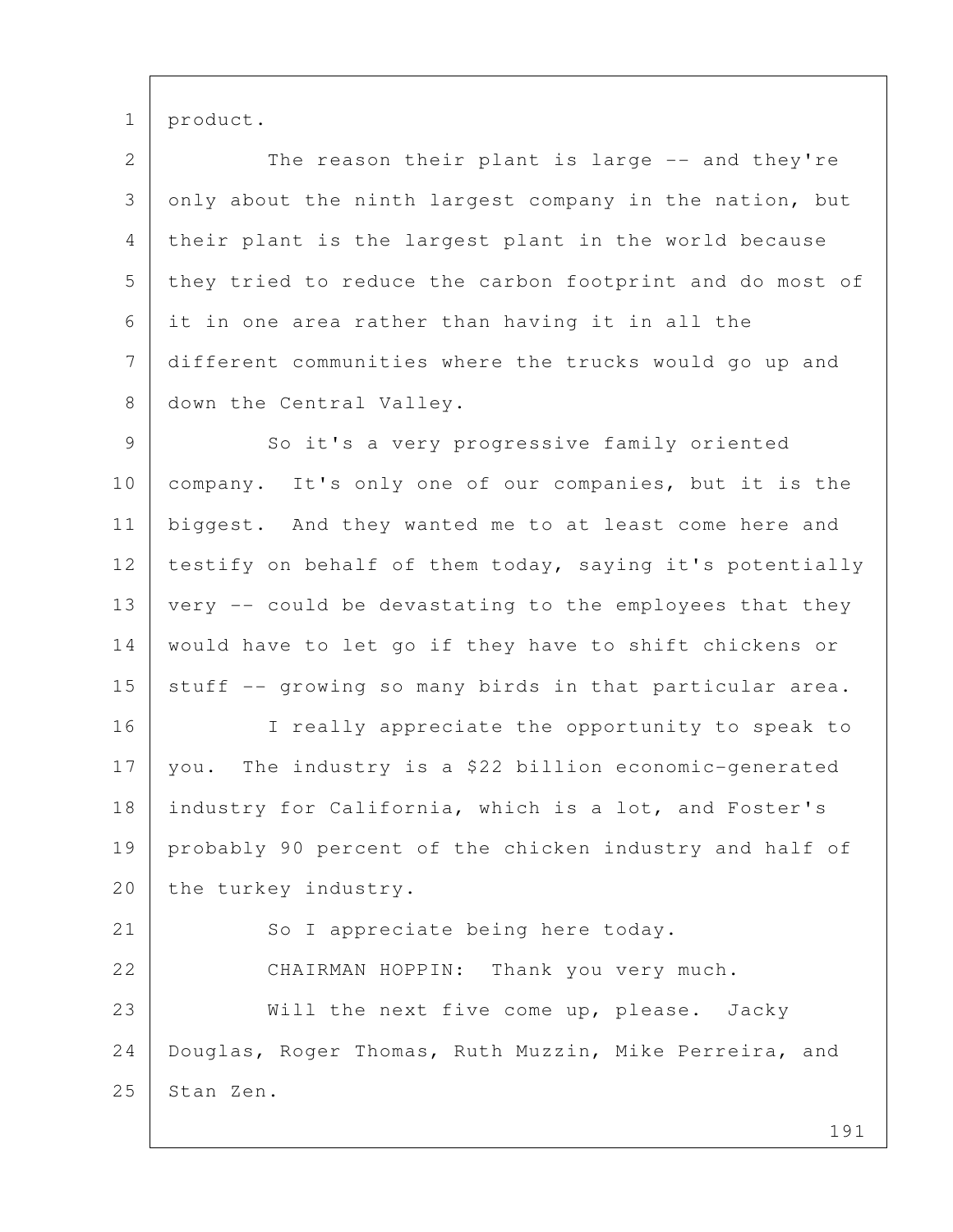1 product.

2 The reason their plant is large -- and they're  $3$  only about the ninth largest company in the nation, but 4 their plant is the largest plant in the world because 5 they tried to reduce the carbon footprint and do most of 6 it in one area rather than having it in all the 7 different communities where the trucks would go up and 8 down the Central Valley.

9 So it's a very progressive family oriented 10 company. It's only one of our companies, but it is the 11 biggest. And they wanted me to at least come here and 12 | testify on behalf of them today, saying it's potentially 13 very -- could be devastating to the employees that they 14 would have to let go if they have to shift chickens or 15 stuff  $-$  growing so many birds in that particular area.

16 | I really appreciate the opportunity to speak to 17 | you. The industry is a \$22 billion economic-generated 18 industry for California, which is a lot, and Foster's 19 probably 90 percent of the chicken industry and half of 20 the turkey industry.

21 So I appreciate being here today. 22 CHAIRMAN HOPPIN: Thank you very much. 23 Will the next five come up, please. Jacky 24 Douglas, Roger Thomas, Ruth Muzzin, Mike Perreira, and 25 Stan Zen.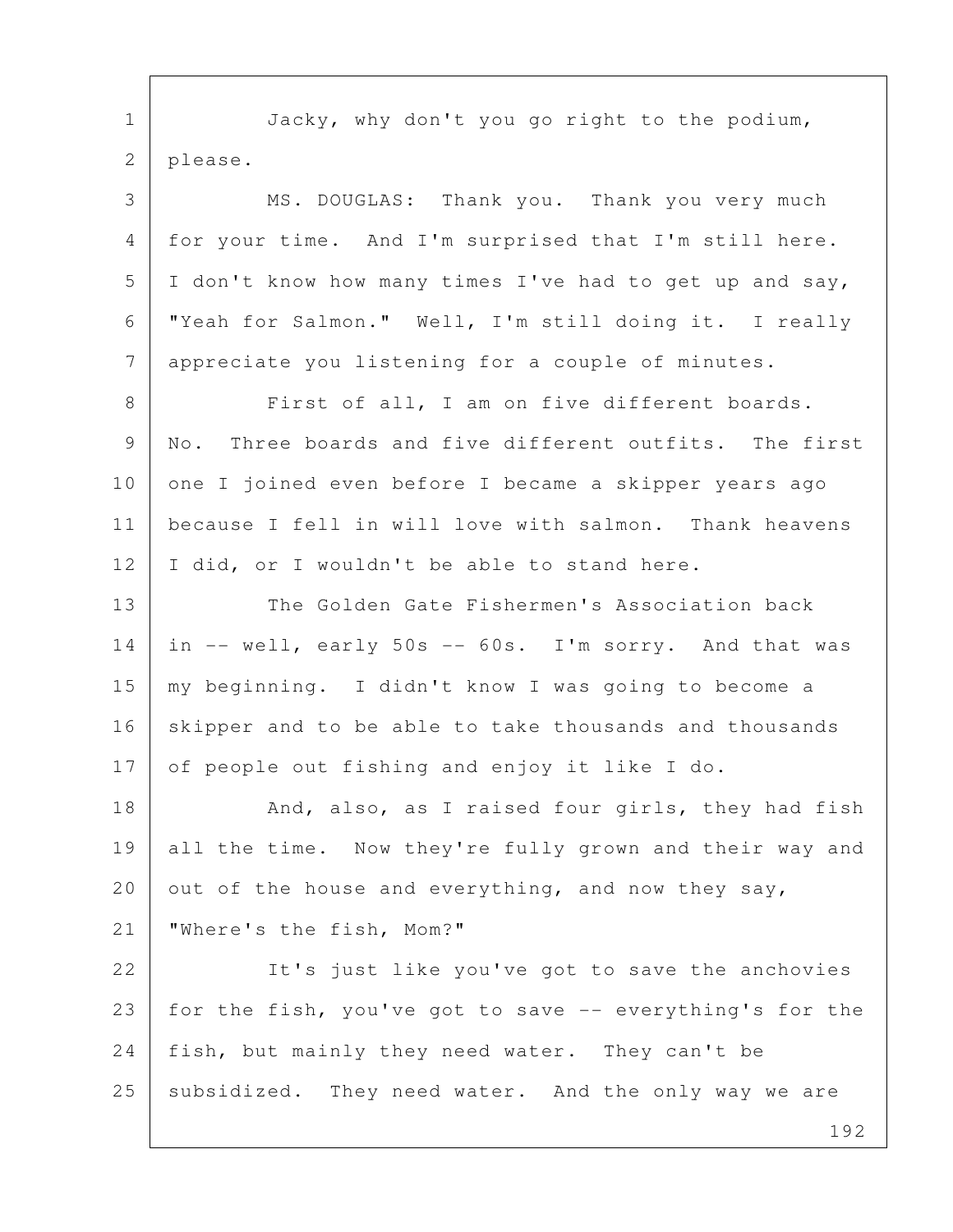192 1 Jacky, why don't you go right to the podium, 2 please. 3 MS. DOUGLAS: Thank you. Thank you very much 4 for your time. And I'm surprised that I'm still here. 5 I don't know how many times I've had to get up and say, 6 "Yeah for Salmon." Well, I'm still doing it. I really 7 appreciate you listening for a couple of minutes. 8 | First of all, I am on five different boards. 9 | No. Three boards and five different outfits. The first 10 one I joined even before I became a skipper years ago 11 because I fell in will love with salmon. Thank heavens 12 | I did, or I wouldn't be able to stand here. 13 The Golden Gate Fishermen's Association back 14 | in -- well, early 50s -- 60s. I'm sorry. And that was 15 my beginning. I didn't know I was going to become a 16 skipper and to be able to take thousands and thousands 17 of people out fishing and enjoy it like I do. 18 And, also, as I raised four girls, they had fish 19 all the time. Now they're fully grown and their way and 20 out of the house and everything, and now they say, 21 "Where's the fish, Mom?" 22 | It's just like you've got to save the anchovies 23 for the fish, you've got to save -- everything's for the 24 | fish, but mainly they need water. They can't be 25 subsidized. They need water. And the only way we are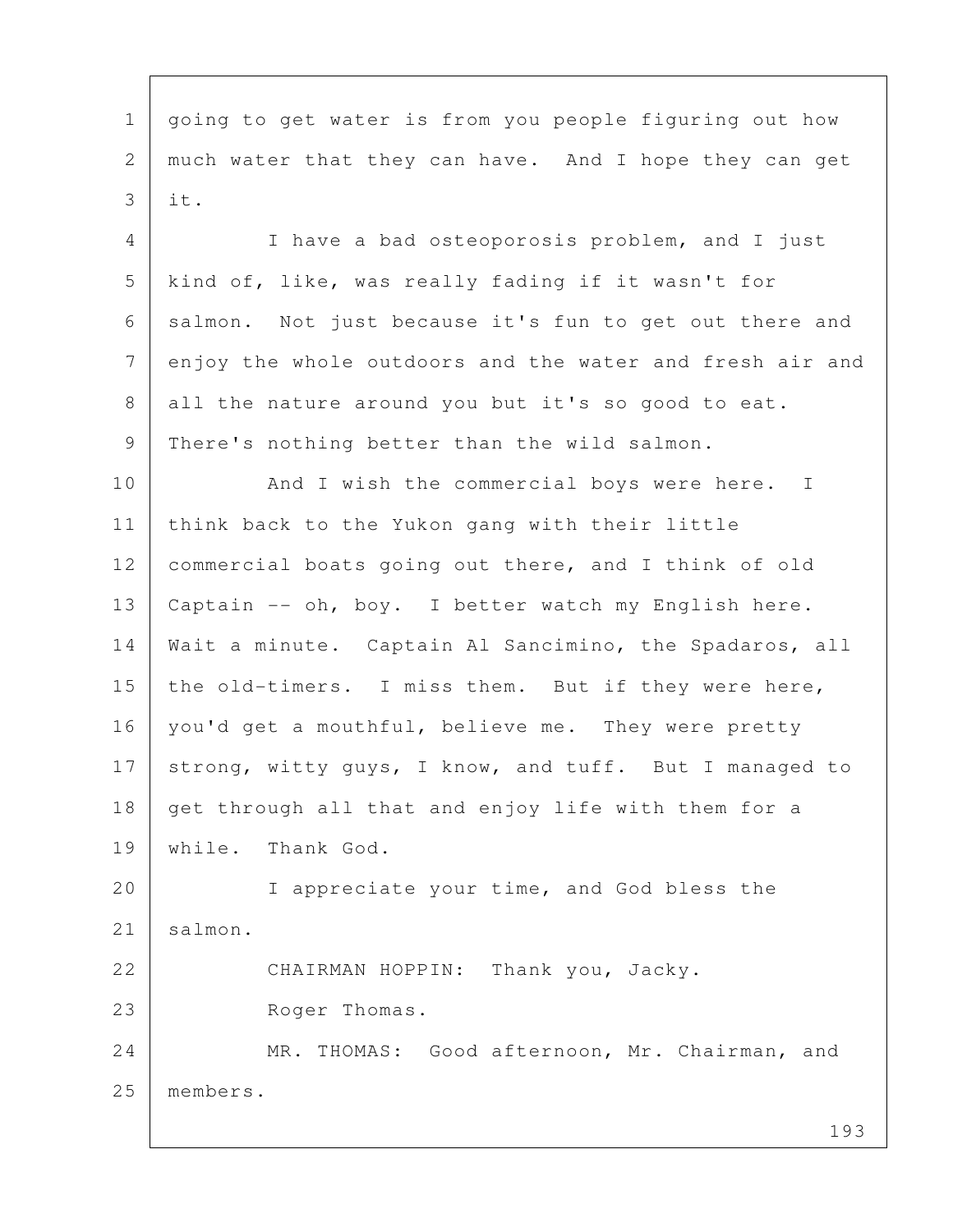1 | going to get water is from you people figuring out how 2 much water that they can have. And I hope they can get 3 it.

 4 I have a bad osteoporosis problem, and I just 5 kind of, like, was really fading if it wasn't for 6 salmon. Not just because it's fun to get out there and 7 enjoy the whole outdoors and the water and fresh air and 8 all the nature around you but it's so good to eat. 9 There's nothing better than the wild salmon.

10 And I wish the commercial boys were here. I 11 think back to the Yukon gang with their little 12 commercial boats going out there, and I think of old 13 Captain -- oh, boy. I better watch my English here. 14 Wait a minute. Captain Al Sancimino, the Spadaros, all 15 | the old-timers. I miss them. But if they were here, 16 | you'd get a mouthful, believe me. They were pretty 17 strong, witty guys, I know, and tuff. But I managed to 18 get through all that and enjoy life with them for a 19 while. Thank God.

20 I appreciate your time, and God bless the 21 | salmon.

22 CHAIRMAN HOPPIN: Thank you, Jacky. 23 Roger Thomas.

24 MR. THOMAS: Good afternoon, Mr. Chairman, and 25 members.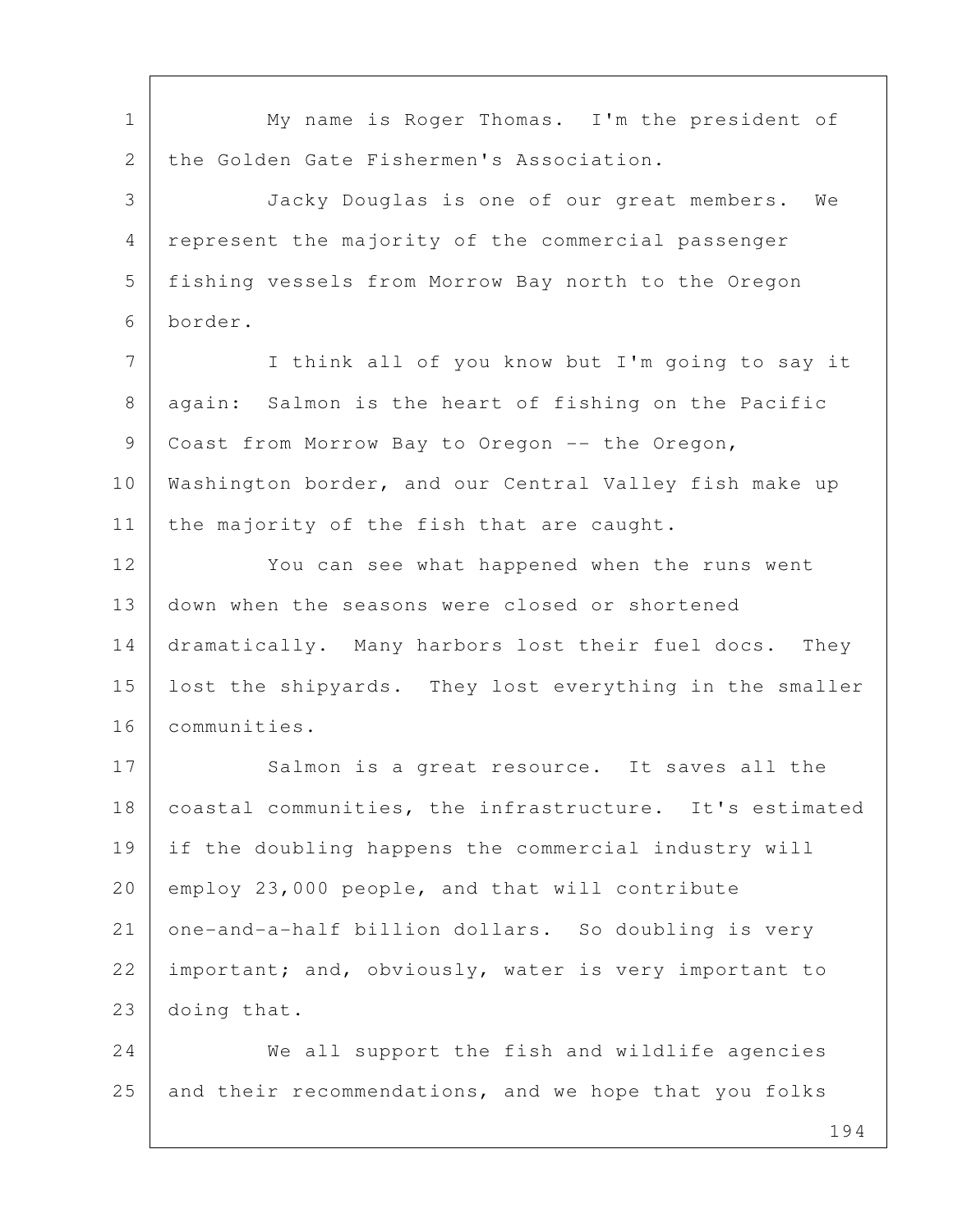1 My name is Roger Thomas. I'm the president of 2 the Golden Gate Fishermen's Association. 3 Jacky Douglas is one of our great members. We 4 represent the majority of the commercial passenger 5 fishing vessels from Morrow Bay north to the Oregon 6 border. 7 I think all of you know but I'm going to say it 8 | again: Salmon is the heart of fishing on the Pacific 9 Coast from Morrow Bay to Oregon -- the Oregon, 10 Washington border, and our Central Valley fish make up 11 the majority of the fish that are caught. 12 You can see what happened when the runs went 13 down when the seasons were closed or shortened 14 dramatically. Many harbors lost their fuel docs. They 15 lost the shipyards. They lost everything in the smaller 16 communities. 17 Salmon is a great resource. It saves all the 18 coastal communities, the infrastructure. It's estimated 19 if the doubling happens the commercial industry will 20 employ 23,000 people, and that will contribute 21 one-and-a-half billion dollars. So doubling is very 22 important; and, obviously, water is very important to 23 doing that. 24 We all support the fish and wildlife agencies 25 and their recommendations, and we hope that you folks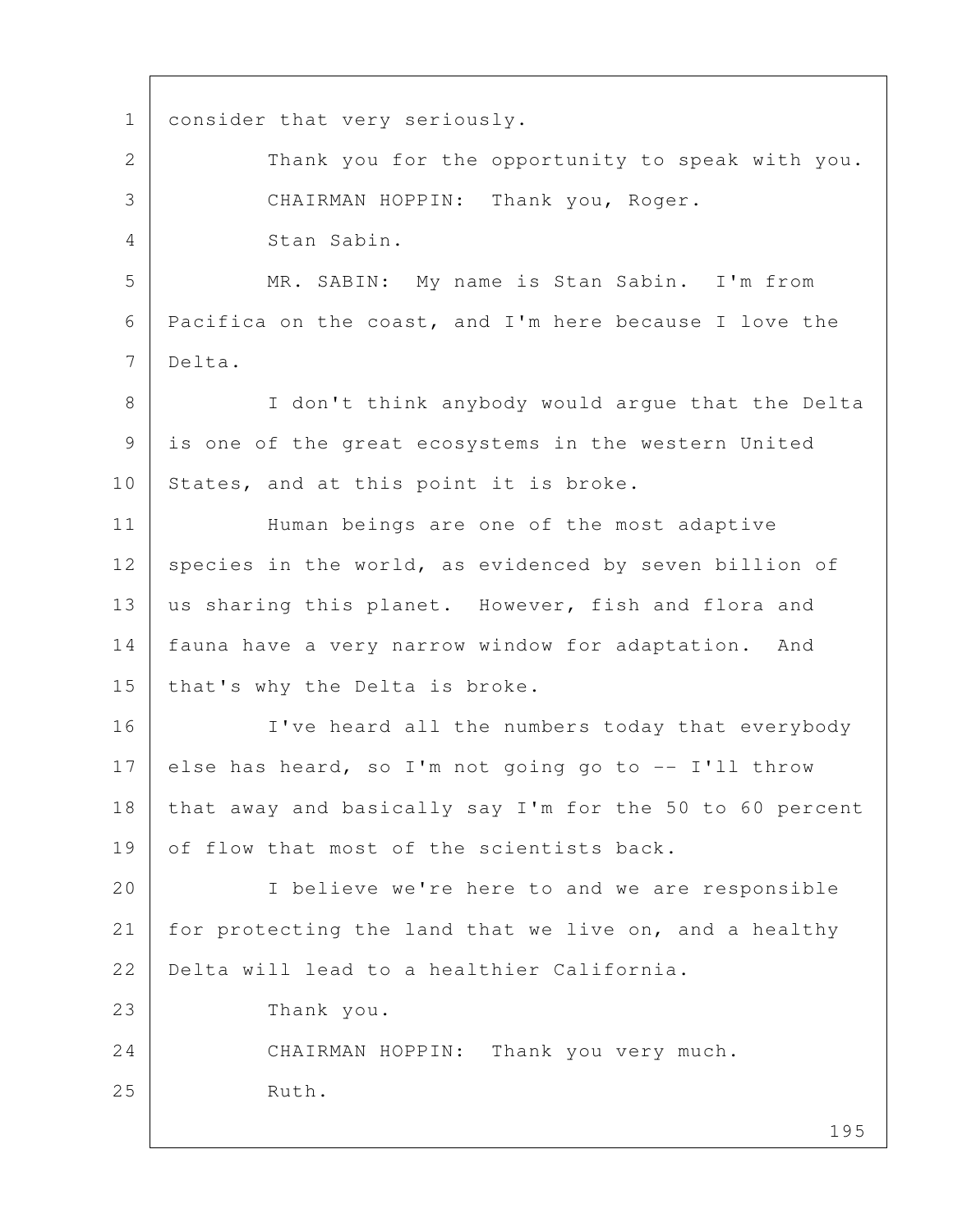1 consider that very seriously. 2 Thank you for the opportunity to speak with you. 3 CHAIRMAN HOPPIN: Thank you, Roger. 4 Stan Sabin. 5 MR. SABIN: My name is Stan Sabin. I'm from 6 Pacifica on the coast, and I'm here because I love the 7 Delta. 8 | I don't think anybody would argue that the Delta 9 is one of the great ecosystems in the western United 10 States, and at this point it is broke. 11 | Human beings are one of the most adaptive 12 species in the world, as evidenced by seven billion of 13 us sharing this planet. However, fish and flora and 14 fauna have a very narrow window for adaptation. And 15 | that's why the Delta is broke. 16 | I've heard all the numbers today that everybody 17 else has heard, so I'm not going go to  $-$ - I'll throw 18 that away and basically say I'm for the 50 to 60 percent 19 of flow that most of the scientists back. 20 I believe we're here to and we are responsible 21 for protecting the land that we live on, and a healthy 22 Delta will lead to a healthier California. 23 Thank you. 24 CHAIRMAN HOPPIN: Thank you very much. 25 Ruth.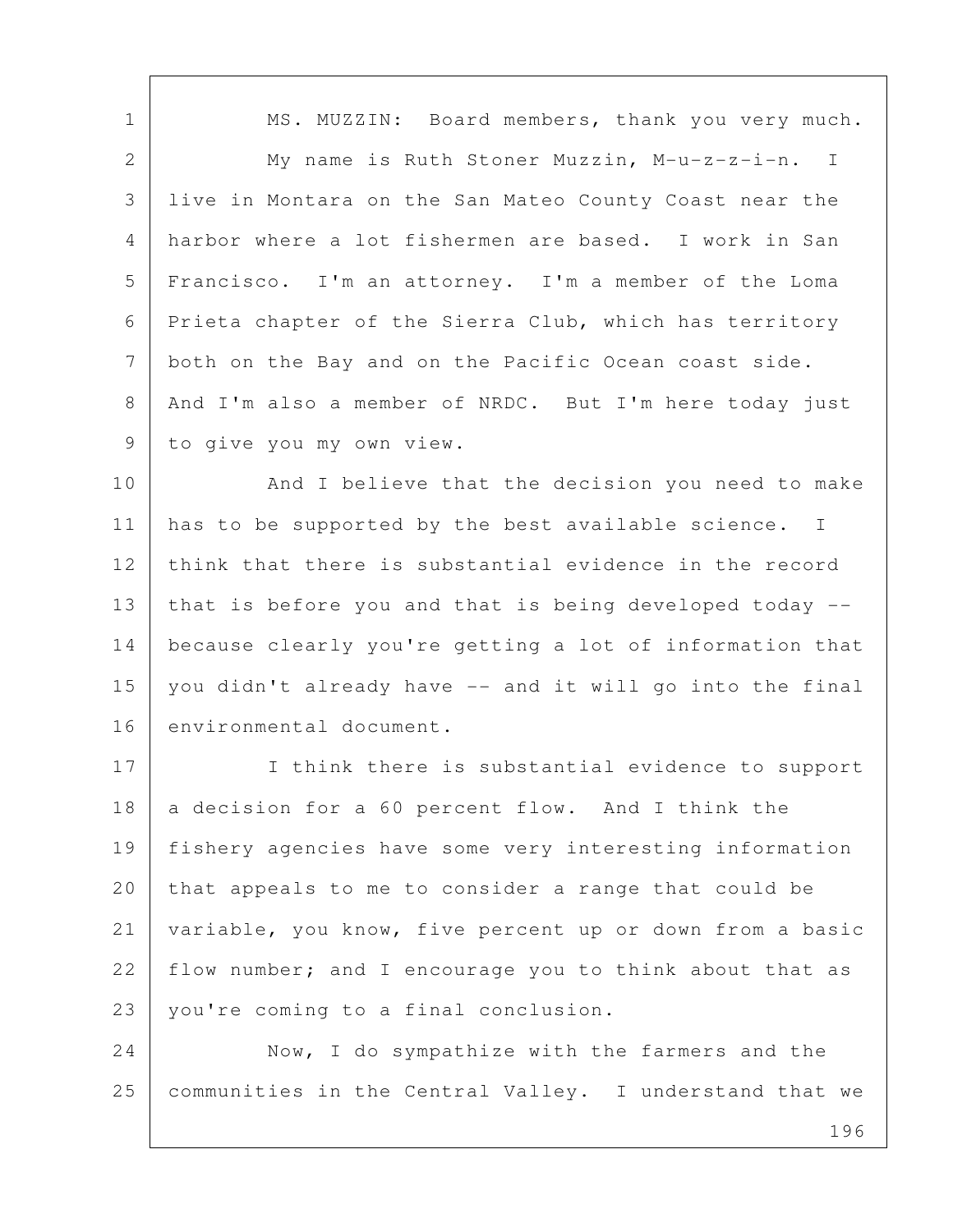1 | MS. MUZZIN: Board members, thank you very much. 2 My name is Ruth Stoner Muzzin, M-u-z-z-i-n. I 3 live in Montara on the San Mateo County Coast near the 4 harbor where a lot fishermen are based. I work in San 5 Francisco. I'm an attorney. I'm a member of the Loma 6 Prieta chapter of the Sierra Club, which has territory 7 both on the Bay and on the Pacific Ocean coast side. 8 | And I'm also a member of NRDC. But I'm here today just 9 to give you my own view.

10 And I believe that the decision you need to make 11 has to be supported by the best available science. I 12 think that there is substantial evidence in the record 13 that is before you and that is being developed today -- 14 because clearly you're getting a lot of information that 15 you didn't already have -- and it will go into the final 16 environmental document.

17 I think there is substantial evidence to support 18 a decision for a 60 percent flow. And I think the 19 fishery agencies have some very interesting information 20 that appeals to me to consider a range that could be 21 variable, you know, five percent up or down from a basic 22 flow number; and I encourage you to think about that as 23 | you're coming to a final conclusion.

24 Now, I do sympathize with the farmers and the 25 communities in the Central Valley. I understand that we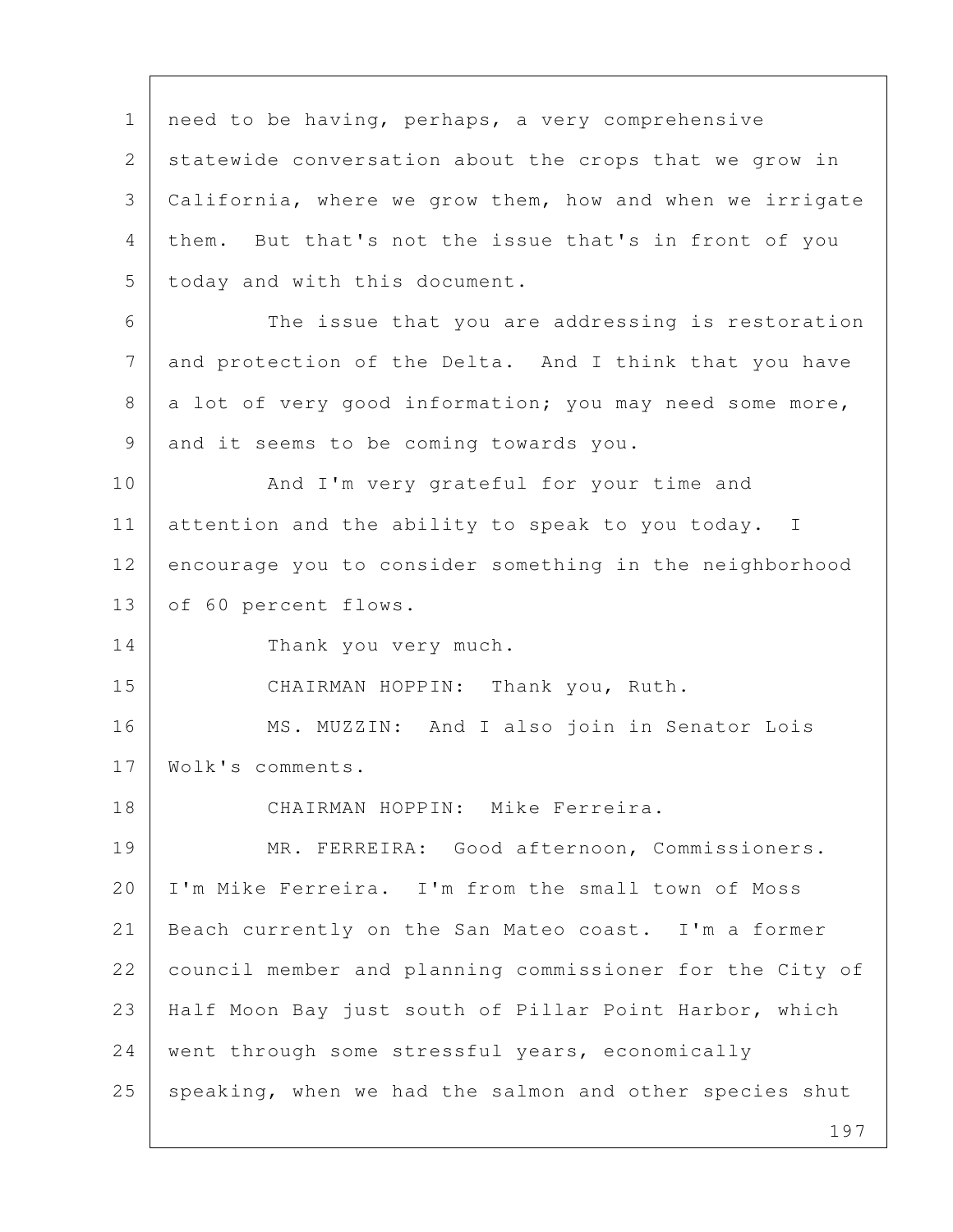1 | need to be having, perhaps, a very comprehensive 2 statewide conversation about the crops that we grow in 3 California, where we grow them, how and when we irrigate 4 them. But that's not the issue that's in front of you 5 today and with this document. 6 The issue that you are addressing is restoration 7 and protection of the Delta. And I think that you have  $8$  a lot of very good information; you may need some more, 9 and it seems to be coming towards you. 10 And I'm very grateful for your time and 11 attention and the ability to speak to you today. I 12 encourage you to consider something in the neighborhood 13 of 60 percent flows. 14 Thank you very much. 15 CHAIRMAN HOPPIN: Thank you, Ruth. 16 | MS. MUZZIN: And I also join in Senator Lois 17 Wolk's comments. 18 CHAIRMAN HOPPIN: Mike Ferreira. 19 MR. FERREIRA: Good afternoon, Commissioners. 20 I'm Mike Ferreira. I'm from the small town of Moss 21 Beach currently on the San Mateo coast. I'm a former 22 council member and planning commissioner for the City of 23 Half Moon Bay just south of Pillar Point Harbor, which 24 went through some stressful years, economically 25 speaking, when we had the salmon and other species shut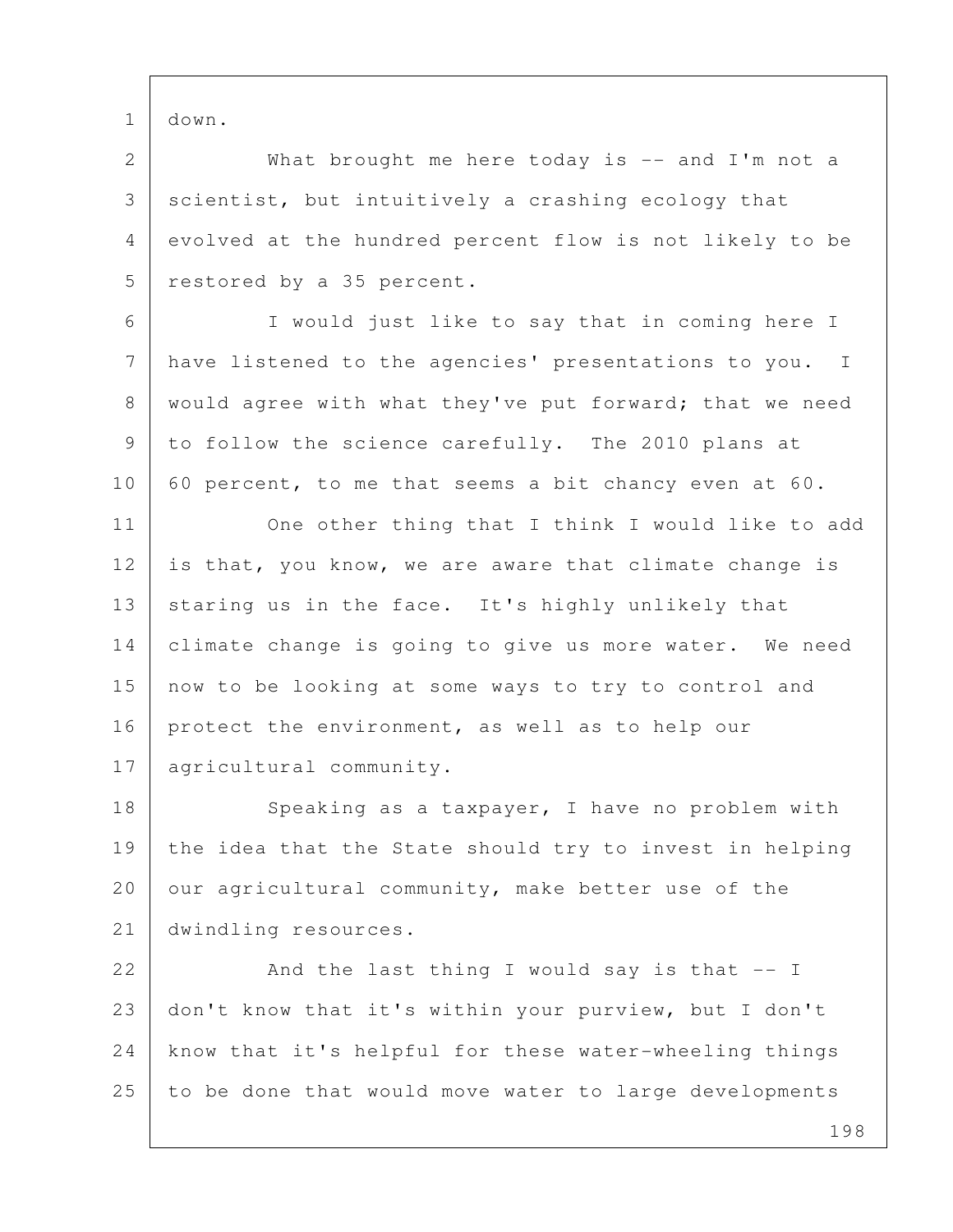1 down.

2 What brought me here today is -- and I'm not a 3 scientist, but intuitively a crashing ecology that 4 evolved at the hundred percent flow is not likely to be 5 restored by a 35 percent.

 6 I would just like to say that in coming here I 7 have listened to the agencies' presentations to you. I 8 | would agree with what they've put forward; that we need 9 to follow the science carefully. The 2010 plans at 10 60 percent, to me that seems a bit chancy even at 60.

11 One other thing that I think I would like to add 12 is that, you know, we are aware that climate change is 13 staring us in the face. It's highly unlikely that 14 climate change is going to give us more water. We need 15 now to be looking at some ways to try to control and 16 protect the environment, as well as to help our 17 | agricultural community.

18 Speaking as a taxpayer, I have no problem with 19 the idea that the State should try to invest in helping 20 our agricultural community, make better use of the 21 dwindling resources.

22 And the last thing I would say is that -- I 23 don't know that it's within your purview, but I don't 24 know that it's helpful for these water-wheeling things 25 to be done that would move water to large developments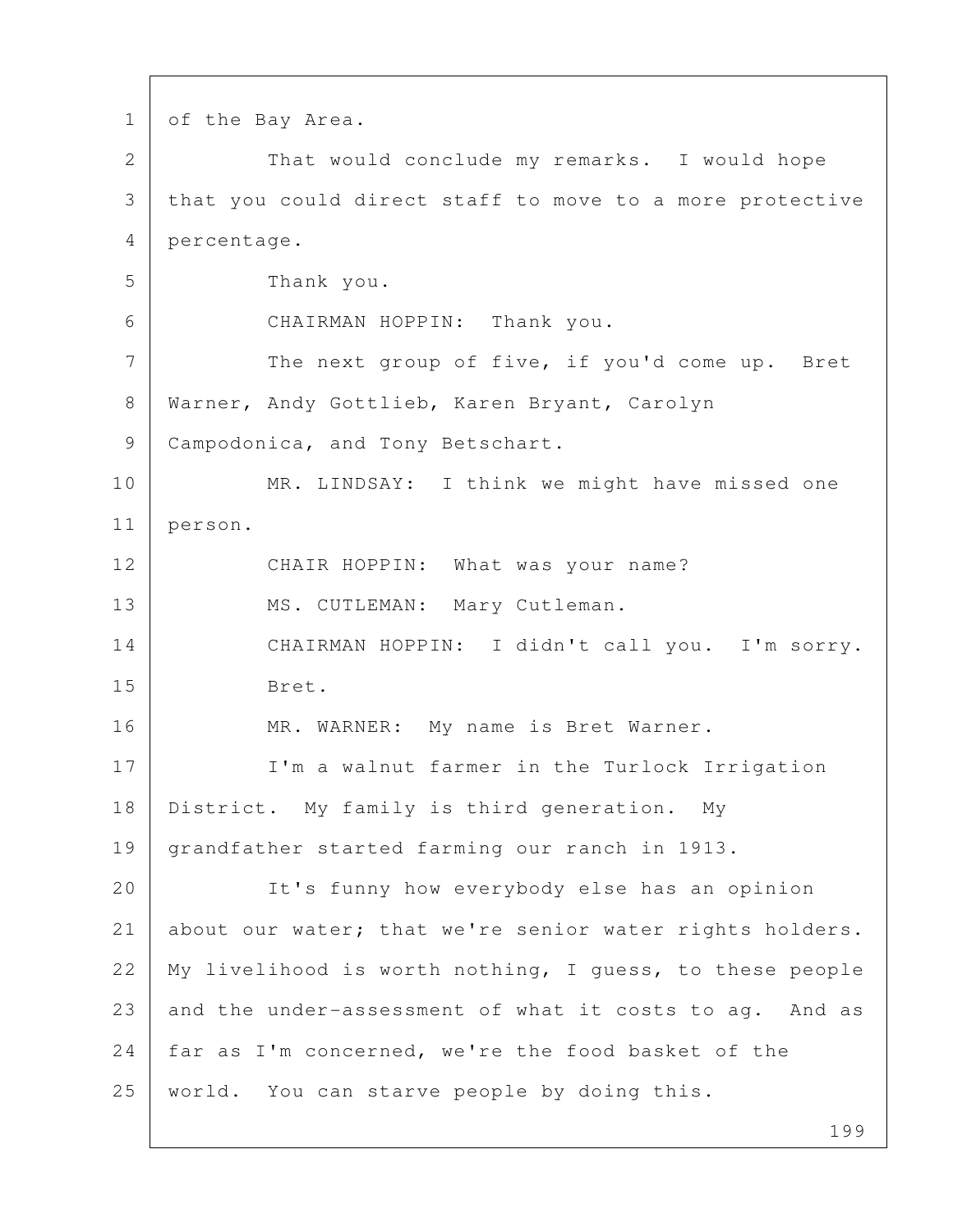1 of the Bay Area. 2 That would conclude my remarks. I would hope 3 that you could direct staff to move to a more protective 4 percentage. 5 Thank you. 6 CHAIRMAN HOPPIN: Thank you. 7 The next group of five, if you'd come up. Bret 8 Warner, Andy Gottlieb, Karen Bryant, Carolyn 9 | Campodonica, and Tony Betschart. 10 MR. LINDSAY: I think we might have missed one 11 person. 12 CHAIR HOPPIN: What was your name? 13 | MS. CUTLEMAN: Mary Cutleman. 14 CHAIRMAN HOPPIN: I didn't call you. I'm sorry. 15 Bret. 16 | MR. WARNER: My name is Bret Warner. 17 I'm a walnut farmer in the Turlock Irrigation 18 District. My family is third generation. My 19 grandfather started farming our ranch in 1913. 20 It's funny how everybody else has an opinion 21 about our water; that we're senior water rights holders. 22 My livelihood is worth nothing, I guess, to these people 23 and the under-assessment of what it costs to ag. And as 24 | far as I'm concerned, we're the food basket of the 25 world. You can starve people by doing this.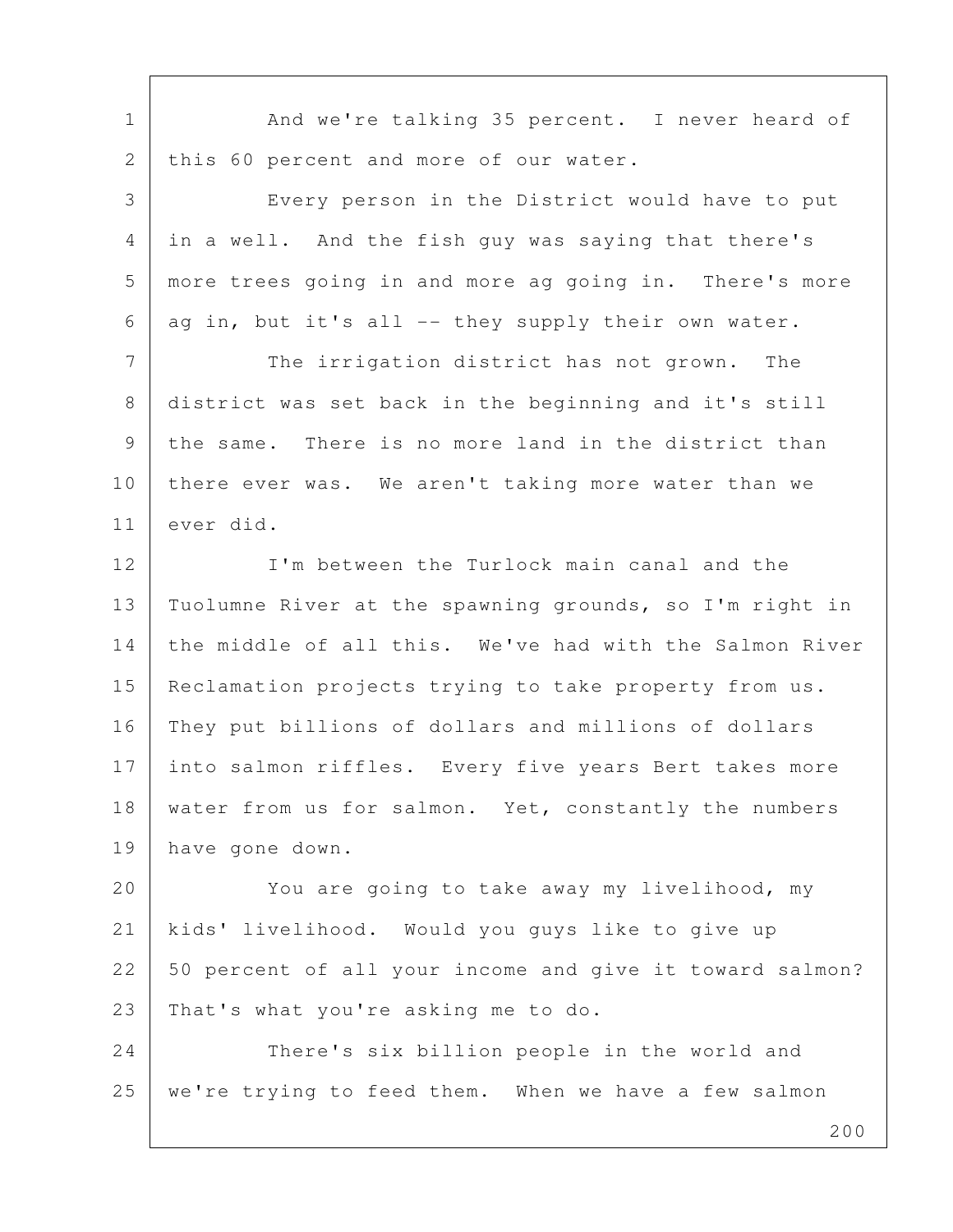| And we're talking 35 percent. I never heard of              |
|-------------------------------------------------------------|
| this 60 percent and more of our water.                      |
| Every person in the District would have to put              |
| in a well. And the fish guy was saying that there's         |
| more trees going in and more ag going in. There's more      |
| ag in, but it's all -- they supply their own water.         |
| The irrigation district has not grown.<br>The               |
| district was set back in the beginning and it's still       |
| the same. There is no more land in the district than        |
| there ever was. We aren't taking more water than we         |
| ever did.                                                   |
| I'm between the Turlock main canal and the                  |
| Tuolumne River at the spawning grounds, so I'm right in     |
| the middle of all this. We've had with the Salmon River     |
| Reclamation projects trying to take property from us.       |
| They put billions of dollars and millions of dollars        |
| 17<br>into salmon riffles. Every five years Bert takes more |
| water from us for salmon. Yet, constantly the numbers       |
| have gone down.                                             |
| You are going to take away my livelihood, my                |
| kids' livelihood. Would you guys like to give up            |
| 50 percent of all your income and give it toward salmon?    |
| That's what you're asking me to do.                         |
| There's six billion people in the world and                 |
| we're trying to feed them. When we have a few salmon        |
|                                                             |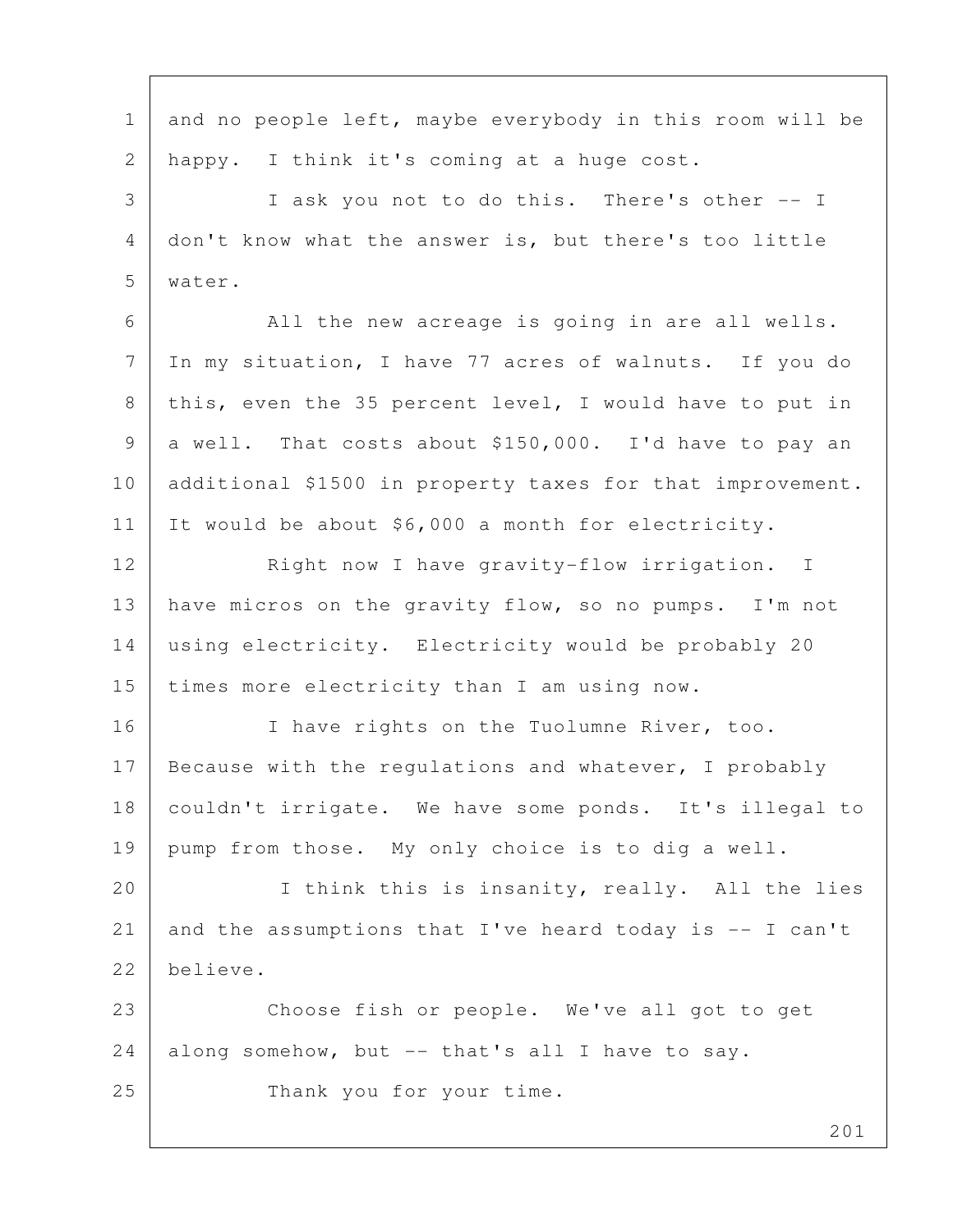201 1 and no people left, maybe everybody in this room will be 2 happy. I think it's coming at a huge cost. 3 I ask you not to do this. There's other -- I 4 don't know what the answer is, but there's too little 5 water. 6 All the new acreage is going in are all wells. 7 In my situation, I have 77 acres of walnuts. If you do 8 | this, even the 35 percent level, I would have to put in 9 a well. That costs about \$150,000. I'd have to pay an 10 additional \$1500 in property taxes for that improvement. 11 It would be about \$6,000 a month for electricity. 12 Right now I have gravity-flow irrigation. I 13 have micros on the gravity flow, so no pumps. I'm not 14 using electricity. Electricity would be probably 20 15 times more electricity than I am using now. 16 I have rights on the Tuolumne River, too. 17 Because with the regulations and whatever, I probably 18 couldn't irrigate. We have some ponds. It's illegal to 19 pump from those. My only choice is to dig a well. 20 | Think this is insanity, really. All the lies 21 and the assumptions that I've heard today is -- I can't 22 believe. 23 Choose fish or people. We've all got to get 24 along somehow, but -- that's all I have to say. 25 Thank you for your time.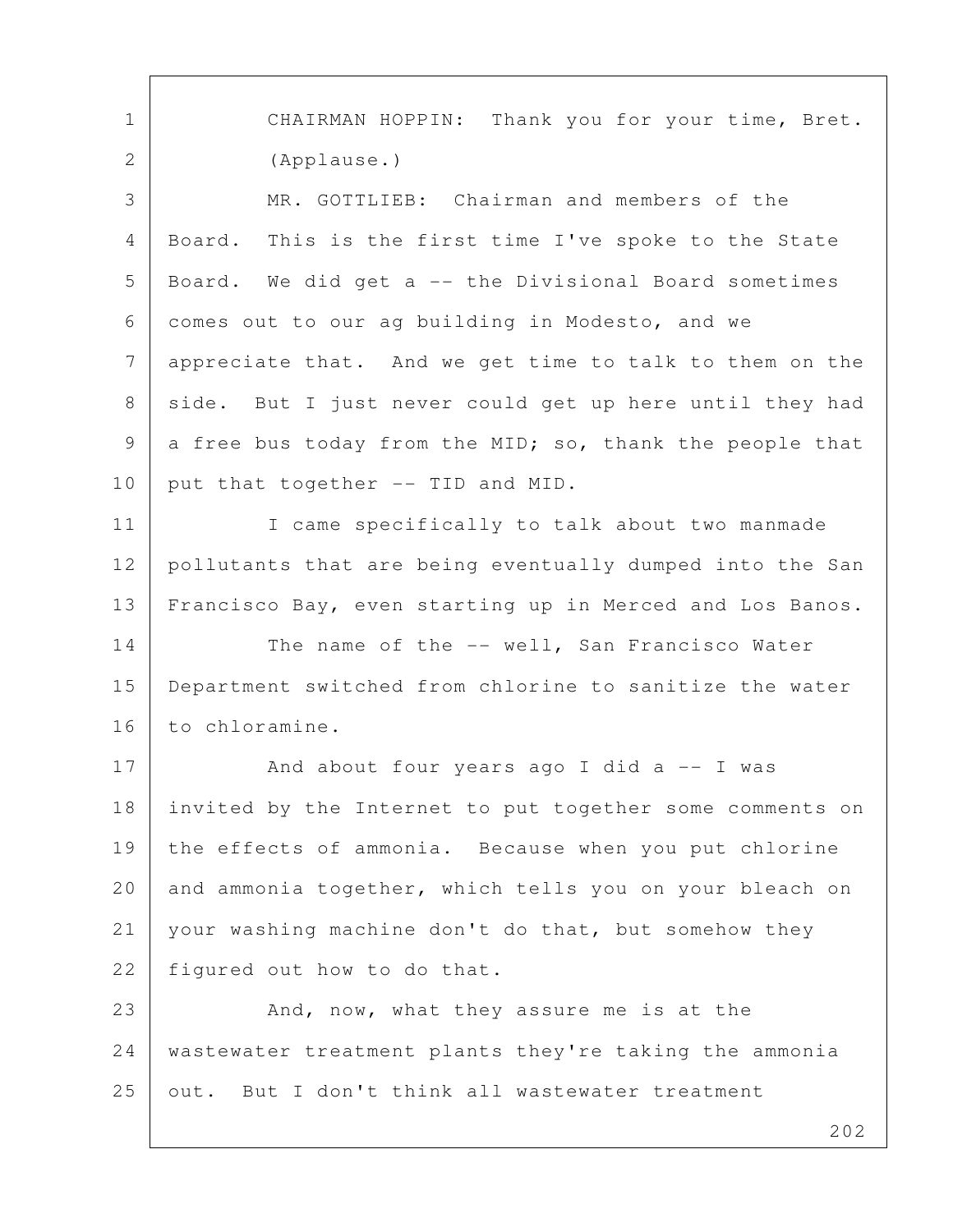1 | CHAIRMAN HOPPIN: Thank you for your time, Bret. 2 (Applause.) 3 MR. GOTTLIEB: Chairman and members of the 4 Board. This is the first time I've spoke to the State 5 Board. We did get a -- the Divisional Board sometimes 6 comes out to our ag building in Modesto, and we 7 appreciate that. And we get time to talk to them on the 8 side. But I just never could get up here until they had 9 a free bus today from the MID; so, thank the people that 10 put that together -- TID and MID. 11 | I came specifically to talk about two manmade 12 pollutants that are being eventually dumped into the San 13 Francisco Bay, even starting up in Merced and Los Banos. 14 The name of the -- well, San Francisco Water 15 Department switched from chlorine to sanitize the water 16 to chloramine. 17 And about four years ago I did a -- I was 18 invited by the Internet to put together some comments on 19 the effects of ammonia. Because when you put chlorine 20 and ammonia together, which tells you on your bleach on 21 your washing machine don't do that, but somehow they 22 figured out how to do that. 23 And, now, what they assure me is at the 24 wastewater treatment plants they're taking the ammonia

25 out. But I don't think all wastewater treatment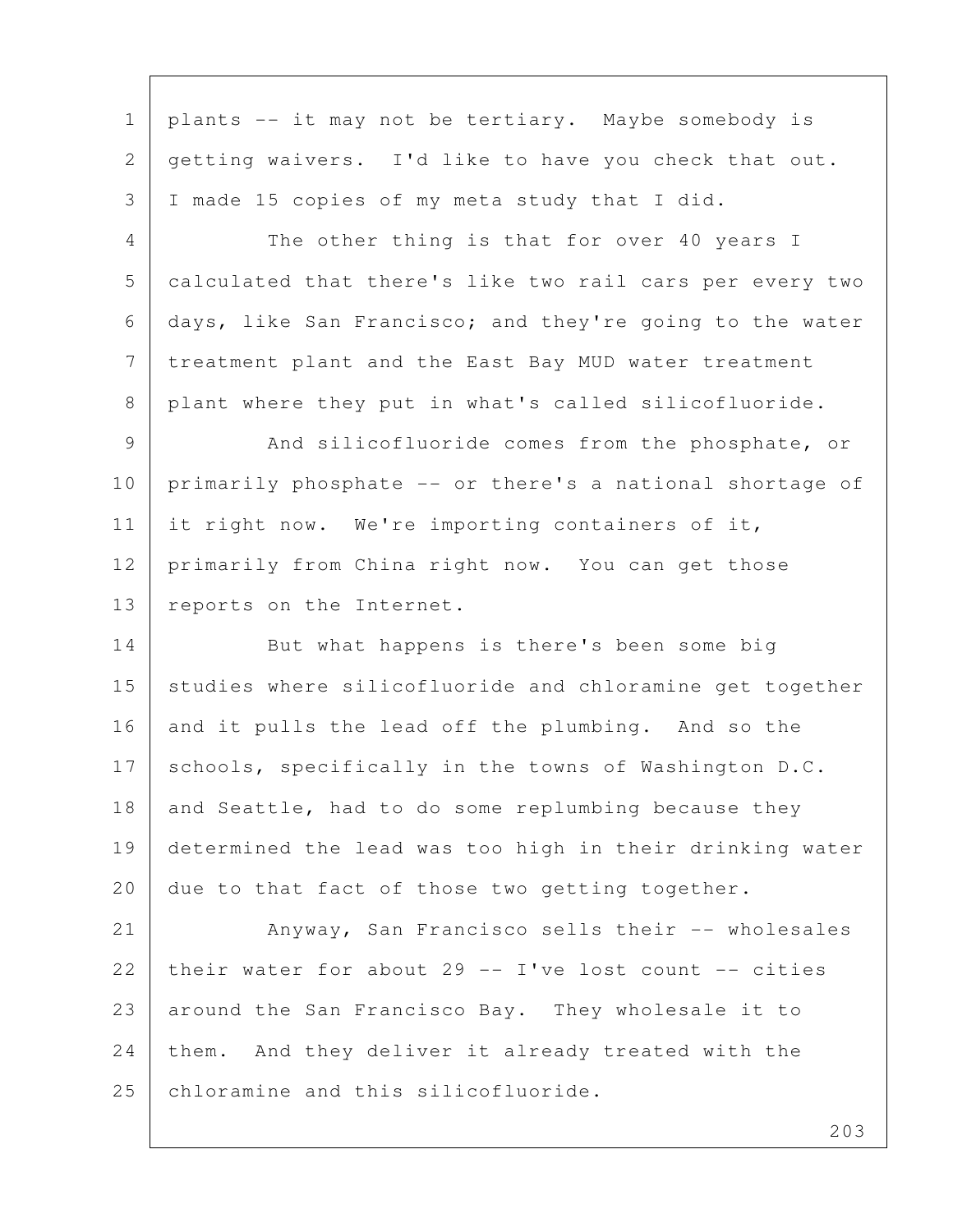1 plants -- it may not be tertiary. Maybe somebody is 2 getting waivers. I'd like to have you check that out. 3 I made 15 copies of my meta study that I did. 4 The other thing is that for over 40 years I 5 calculated that there's like two rail cars per every two 6 days, like San Francisco; and they're going to the water 7 treatment plant and the East Bay MUD water treatment 8 plant where they put in what's called silicofluoride. 9 And silicofluoride comes from the phosphate, or 10 primarily phosphate -- or there's a national shortage of 11 it right now. We're importing containers of it, 12 primarily from China right now. You can get those 13 reports on the Internet. 14 But what happens is there's been some big 15 studies where silicofluoride and chloramine get together 16 and it pulls the lead off the plumbing. And so the 17 schools, specifically in the towns of Washington D.C. 18 and Seattle, had to do some replumbing because they 19 determined the lead was too high in their drinking water 20 due to that fact of those two getting together. 21 Anyway, San Francisco sells their -- wholesales 22 their water for about 29 -- I've lost count -- cities 23 around the San Francisco Bay. They wholesale it to 24 them. And they deliver it already treated with the 25 chloramine and this silicofluoride.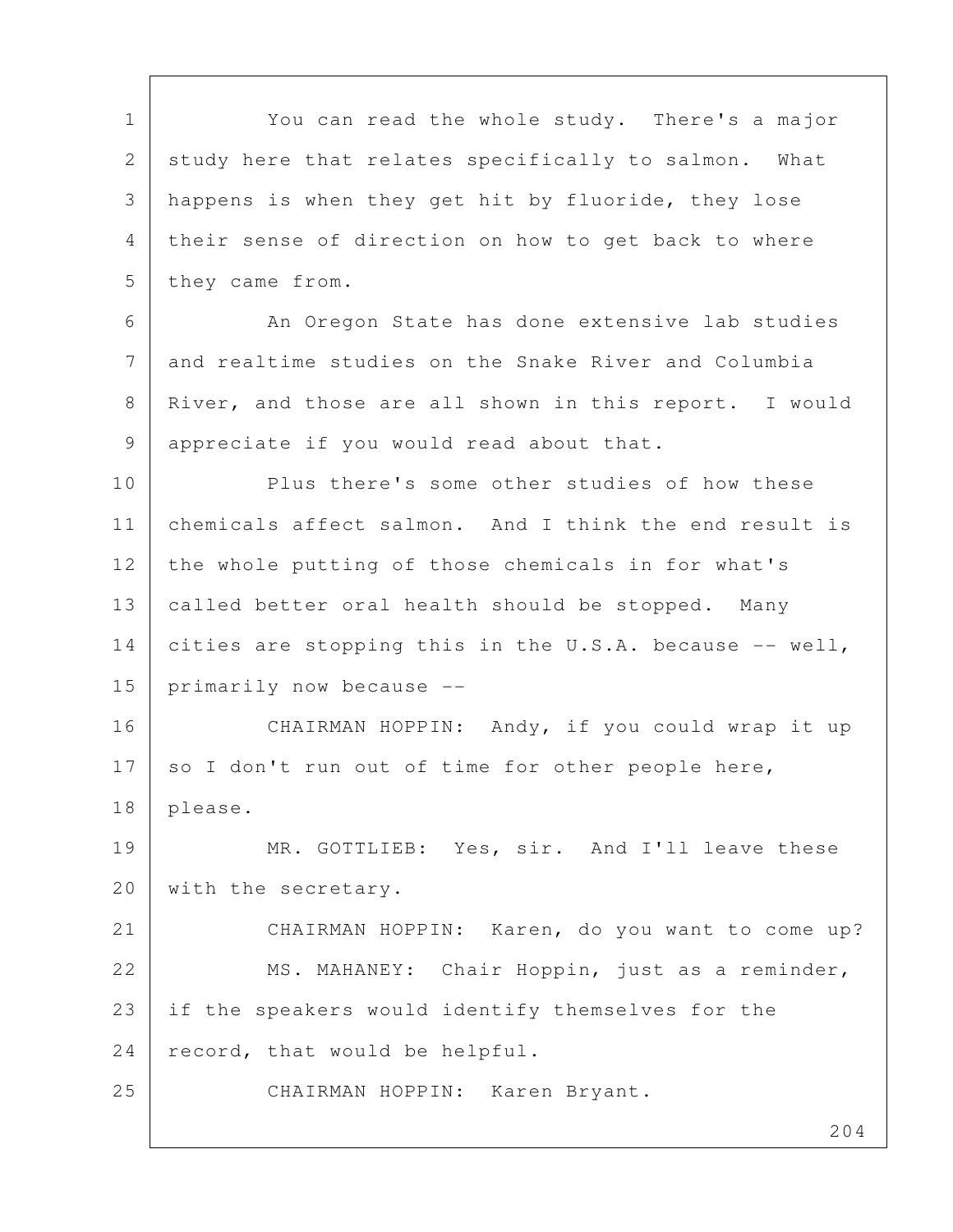204 1 You can read the whole study. There's a major 2 study here that relates specifically to salmon. What 3 happens is when they get hit by fluoride, they lose 4 their sense of direction on how to get back to where 5 they came from. 6 An Oregon State has done extensive lab studies 7 and realtime studies on the Snake River and Columbia 8 River, and those are all shown in this report. I would 9 appreciate if you would read about that. 10 Plus there's some other studies of how these 11 chemicals affect salmon. And I think the end result is 12 the whole putting of those chemicals in for what's 13 called better oral health should be stopped. Many 14 cities are stopping this in the U.S.A. because -- well, 15 primarily now because -- 16 CHAIRMAN HOPPIN: Andy, if you could wrap it up 17 so I don't run out of time for other people here, 18 please. 19 MR. GOTTLIEB: Yes, sir. And I'll leave these 20 | with the secretary. 21 CHAIRMAN HOPPIN: Karen, do you want to come up? 22 | MS. MAHANEY: Chair Hoppin, just as a reminder, 23 if the speakers would identify themselves for the 24 record, that would be helpful. 25 CHAIRMAN HOPPIN: Karen Bryant.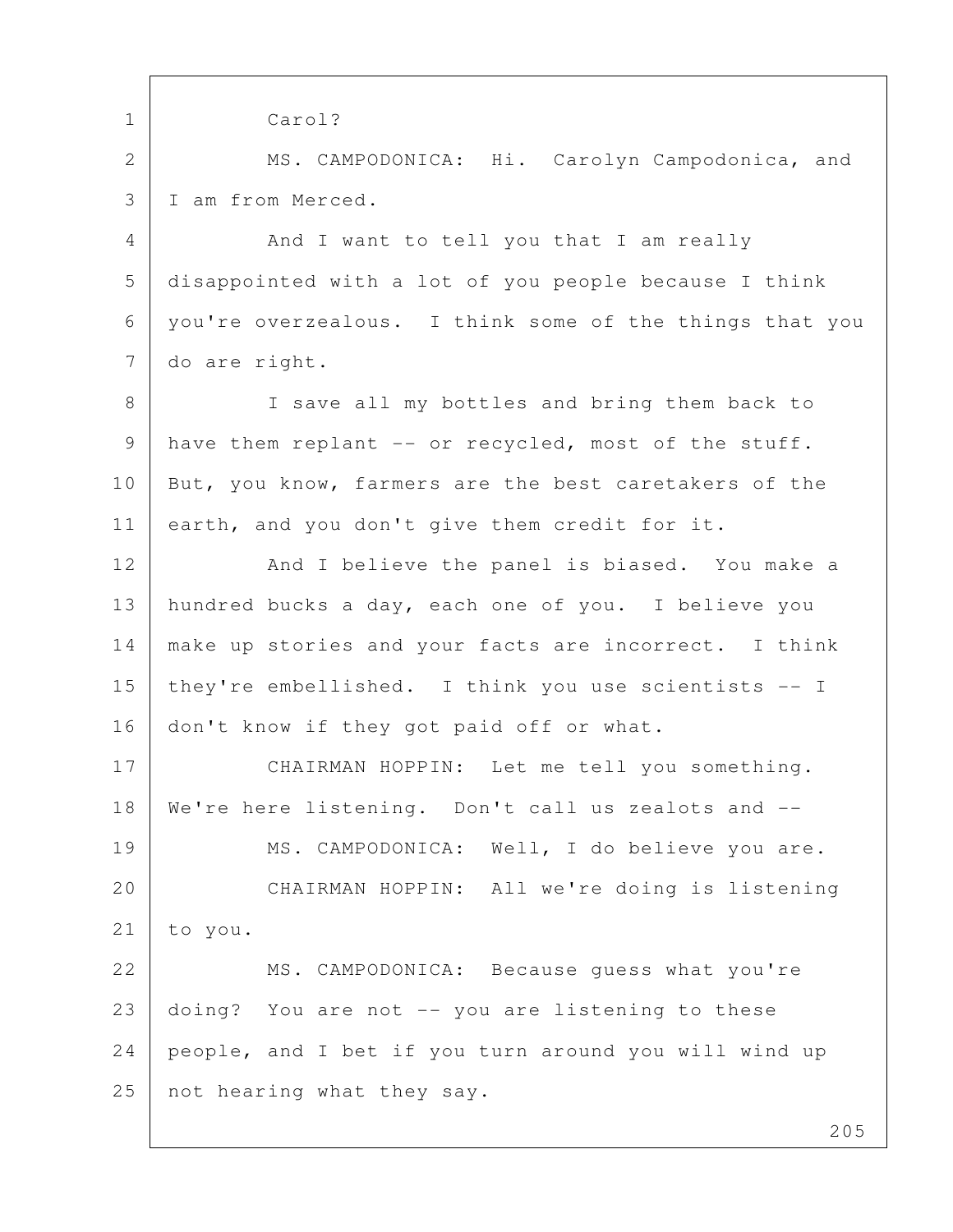205 1 Carol? 2 MS. CAMPODONICA: Hi. Carolyn Campodonica, and 3 I am from Merced. 4 And I want to tell you that I am really 5 disappointed with a lot of you people because I think 6 you're overzealous. I think some of the things that you 7 do are right. 8 | I save all my bottles and bring them back to 9 | have them replant -- or recycled, most of the stuff. 10 But, you know, farmers are the best caretakers of the 11 earth, and you don't give them credit for it. 12 And I believe the panel is biased. You make a 13 hundred bucks a day, each one of you. I believe you 14 make up stories and your facts are incorrect. I think 15 they're embellished. I think you use scientists -- I 16 don't know if they got paid off or what. 17 CHAIRMAN HOPPIN: Let me tell you something. 18 We're here listening. Don't call us zealots and -- 19 | MS. CAMPODONICA: Well, I do believe you are. 20 CHAIRMAN HOPPIN: All we're doing is listening 21 to you. 22 MS. CAMPODONICA: Because guess what you're 23 doing? You are not -- you are listening to these 24 people, and I bet if you turn around you will wind up 25 not hearing what they say.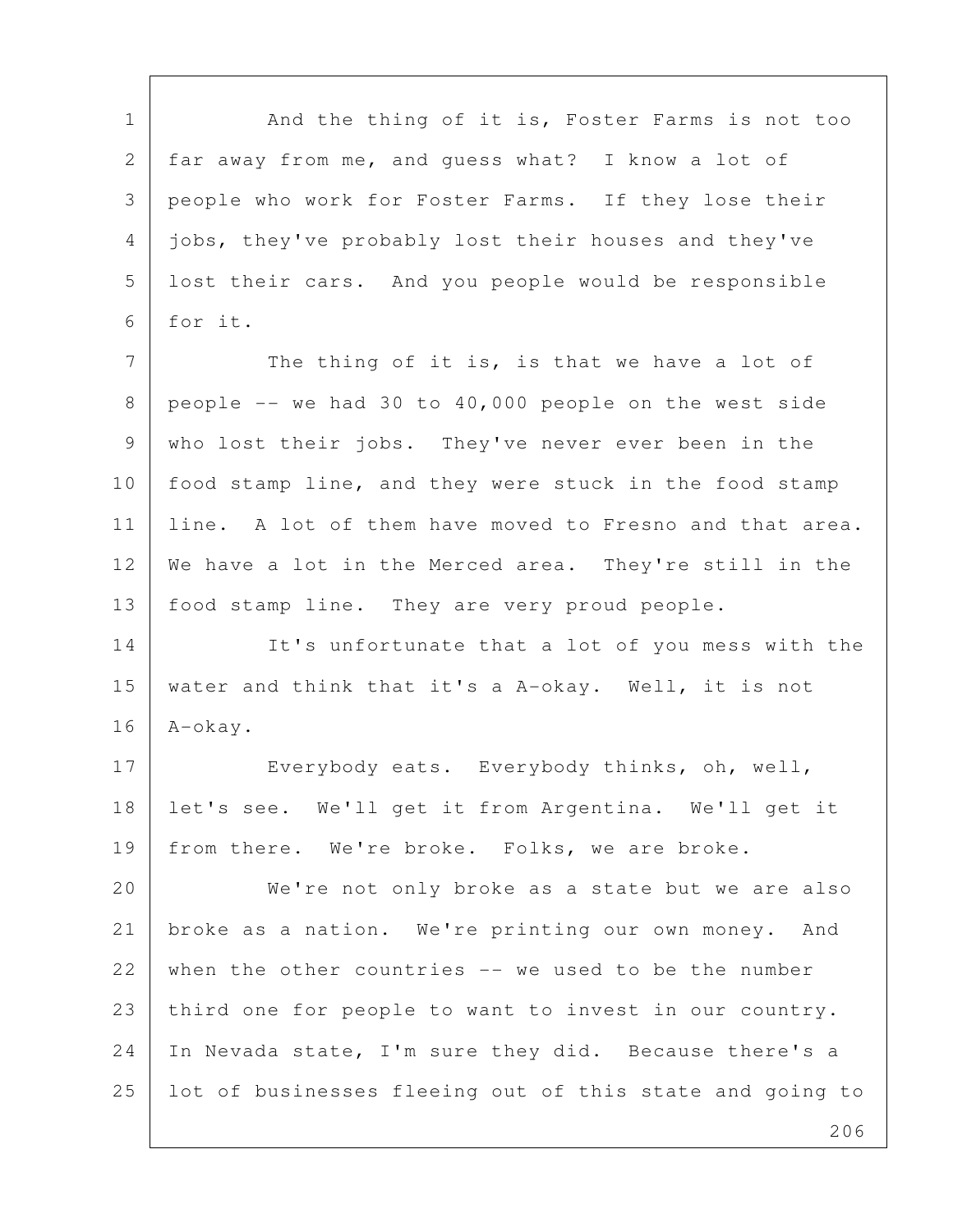1 | And the thing of it is, Foster Farms is not too 2 | far away from me, and guess what? I know a lot of 3 people who work for Foster Farms. If they lose their 4 jobs, they've probably lost their houses and they've 5 lost their cars. And you people would be responsible 6 for it. 7 The thing of it is, is that we have a lot of 8 people  $-$  we had 30 to 40,000 people on the west side 9 who lost their jobs. They've never ever been in the 10 | food stamp line, and they were stuck in the food stamp 11 | line. A lot of them have moved to Fresno and that area. 12 We have a lot in the Merced area. They're still in the 13 food stamp line. They are very proud people. 14 It's unfortunate that a lot of you mess with the 15 water and think that it's a A-okay. Well, it is not 16 A-okay. 17 Everybody eats. Everybody thinks, oh, well, 18 let's see. We'll get it from Argentina. We'll get it 19 from there. We're broke. Folks, we are broke. 20 We're not only broke as a state but we are also 21 broke as a nation. We're printing our own money. And 22 when the other countries -- we used to be the number 23 third one for people to want to invest in our country. 24 In Nevada state, I'm sure they did. Because there's a 25 lot of businesses fleeing out of this state and going to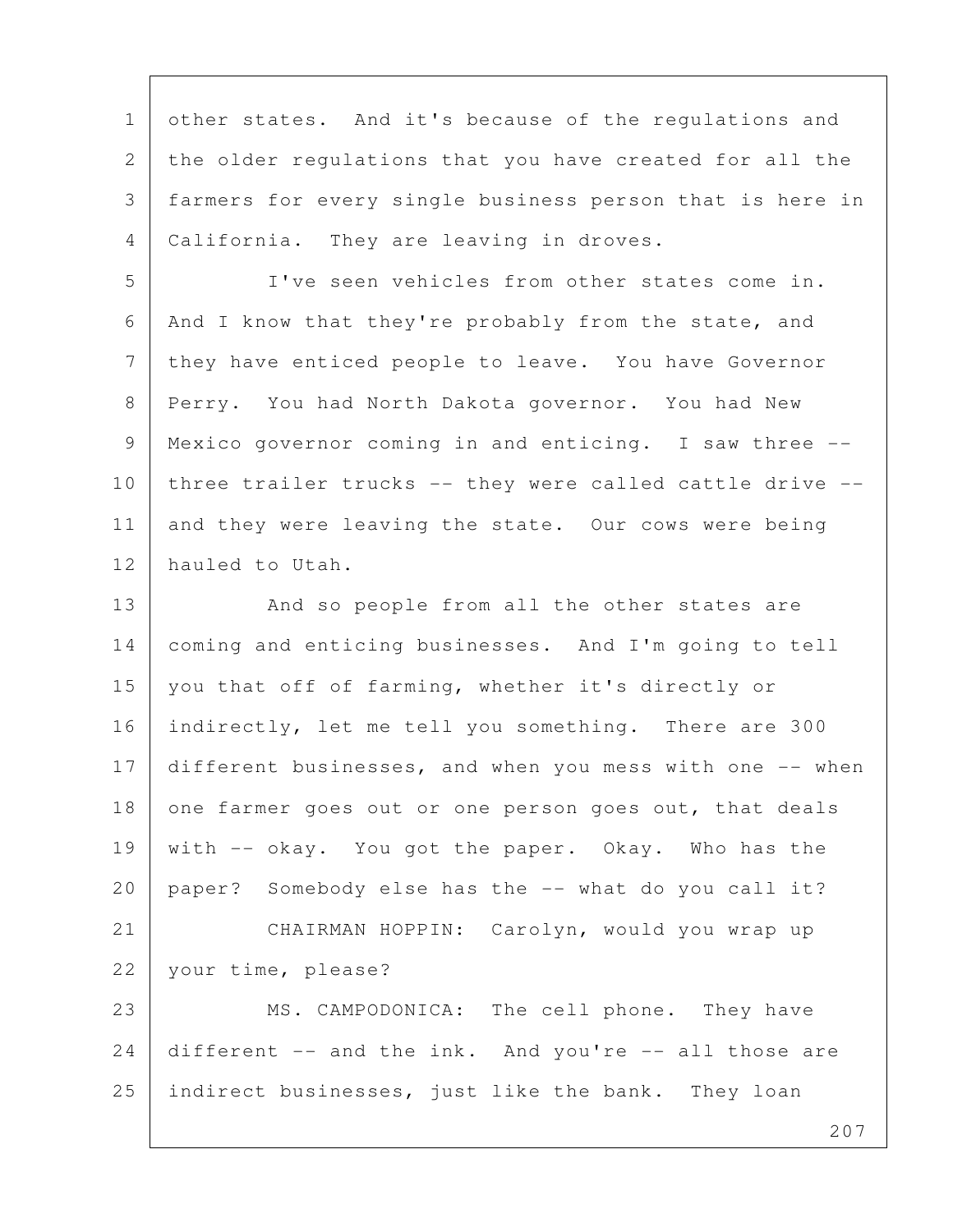1 other states. And it's because of the regulations and 2 the older regulations that you have created for all the 3 farmers for every single business person that is here in 4 | California. They are leaving in droves.

 5 I've seen vehicles from other states come in. 6 And I know that they're probably from the state, and 7 they have enticed people to leave. You have Governor 8 Perry. You had North Dakota governor. You had New 9 Mexico governor coming in and enticing. I saw three -- 10 three trailer trucks -- they were called cattle drive --11 and they were leaving the state. Our cows were being 12 hauled to Utah.

13 And so people from all the other states are 14 coming and enticing businesses. And I'm going to tell 15 you that off of farming, whether it's directly or 16 | indirectly, let me tell you something. There are 300 17 different businesses, and when you mess with one -- when 18 one farmer goes out or one person goes out, that deals 19 with -- okay. You got the paper. Okay. Who has the 20 paper? Somebody else has the -- what do you call it? 21 CHAIRMAN HOPPIN: Carolyn, would you wrap up 22 your time, please? 23 MS. CAMPODONICA: The cell phone. They have  $24$  different  $-$  and the ink. And you're  $-$  all those are 25 indirect businesses, just like the bank. They loan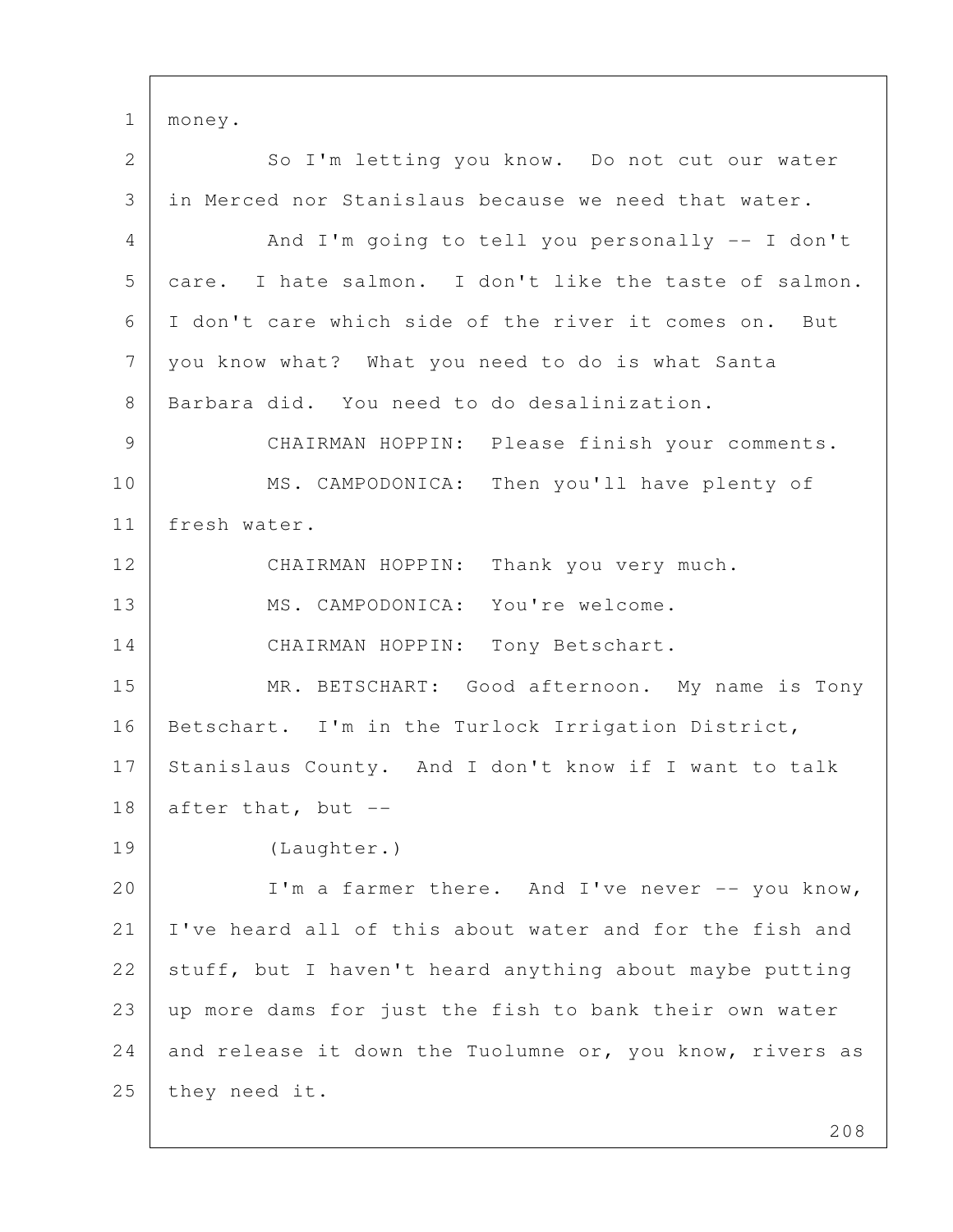1 money.

2 So I'm letting you know. Do not cut our water 3 I in Merced nor Stanislaus because we need that water. 4 And I'm going to tell you personally -- I don't 5 care. I hate salmon. I don't like the taste of salmon. 6 I don't care which side of the river it comes on. But 7 you know what? What you need to do is what Santa 8 Barbara did. You need to do desalinization. 9 CHAIRMAN HOPPIN: Please finish your comments. 10 MS. CAMPODONICA: Then you'll have plenty of 11 fresh water. 12 CHAIRMAN HOPPIN: Thank you very much. 13 | MS. CAMPODONICA: You're welcome. 14 CHAIRMAN HOPPIN: Tony Betschart. 15 | MR. BETSCHART: Good afternoon. My name is Tony 16 | Betschart. I'm in the Turlock Irrigation District, 17 Stanislaus County. And I don't know if I want to talk  $18$  after that, but  $-$ 19 (Laughter.) 20 | I'm a farmer there. And I've never -- you know, 21 I've heard all of this about water and for the fish and 22 stuff, but I haven't heard anything about maybe putting 23 up more dams for just the fish to bank their own water 24 and release it down the Tuolumne or, you know, rivers as 25 they need it.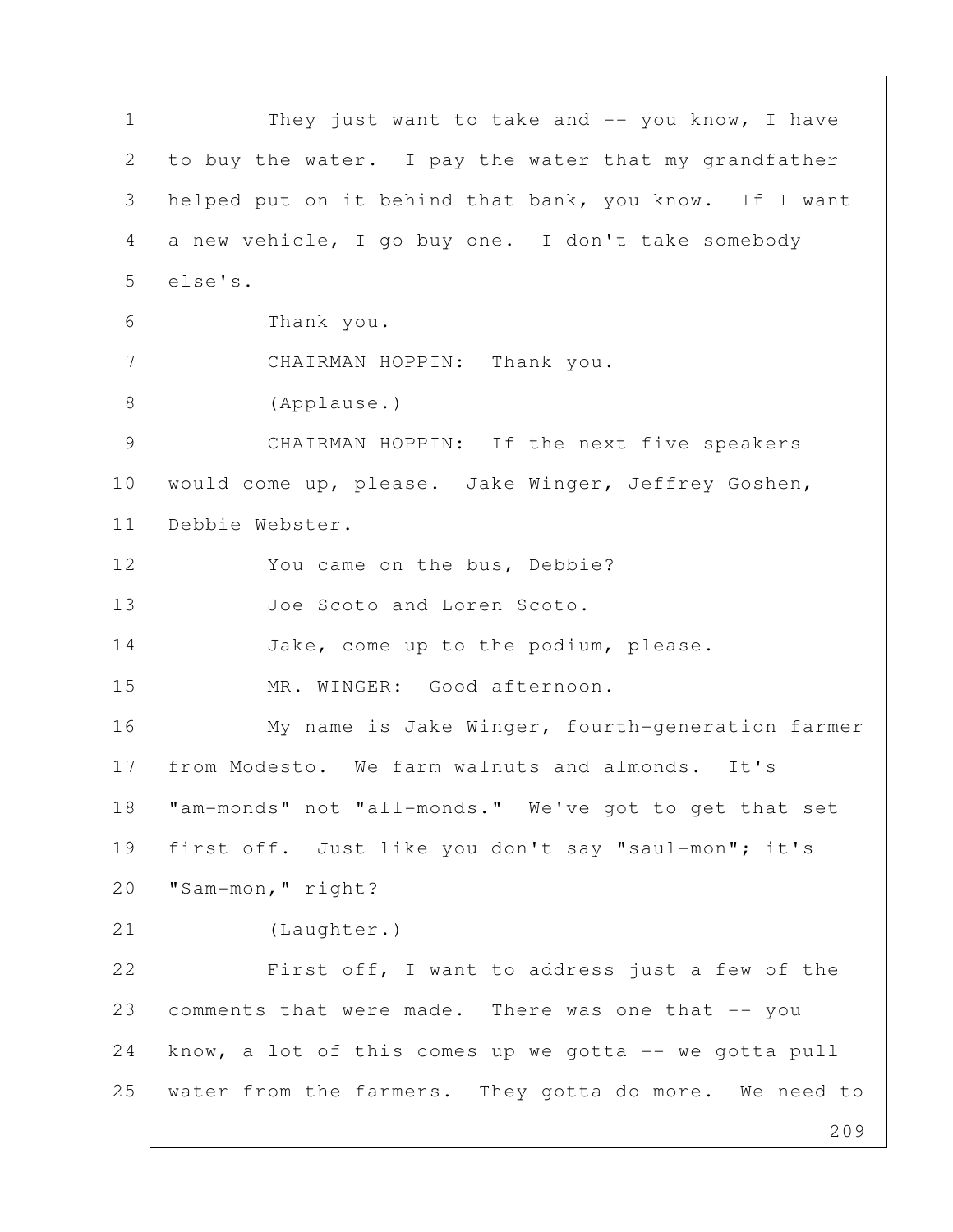209 1 They just want to take and -- you know, I have 2 to buy the water. I pay the water that my grandfather 3 helped put on it behind that bank, you know. If I want  $4$  a new vehicle, I go buy one. I don't take somebody 5 else's. 6 Thank you. 7 CHAIRMAN HOPPIN: Thank you. 8 (Applause.) 9 CHAIRMAN HOPPIN: If the next five speakers 10 | would come up, please. Jake Winger, Jeffrey Goshen, 11 Debbie Webster. 12 You came on the bus, Debbie? 13 Joe Scoto and Loren Scoto. 14 Jake, come up to the podium, please. 15 MR. WINGER: Good afternoon. 16 My name is Jake Winger, fourth-generation farmer 17 from Modesto. We farm walnuts and almonds. It's 18 "am-monds" not "all-monds." We've got to get that set 19 first off. Just like you don't say "saul-mon"; it's 20 | "Sam-mon," right? 21 (Laughter.) 22 First off, I want to address just a few of the 23 comments that were made. There was one that -- you  $24$  know, a lot of this comes up we gotta  $--$  we gotta pull 25 water from the farmers. They gotta do more. We need to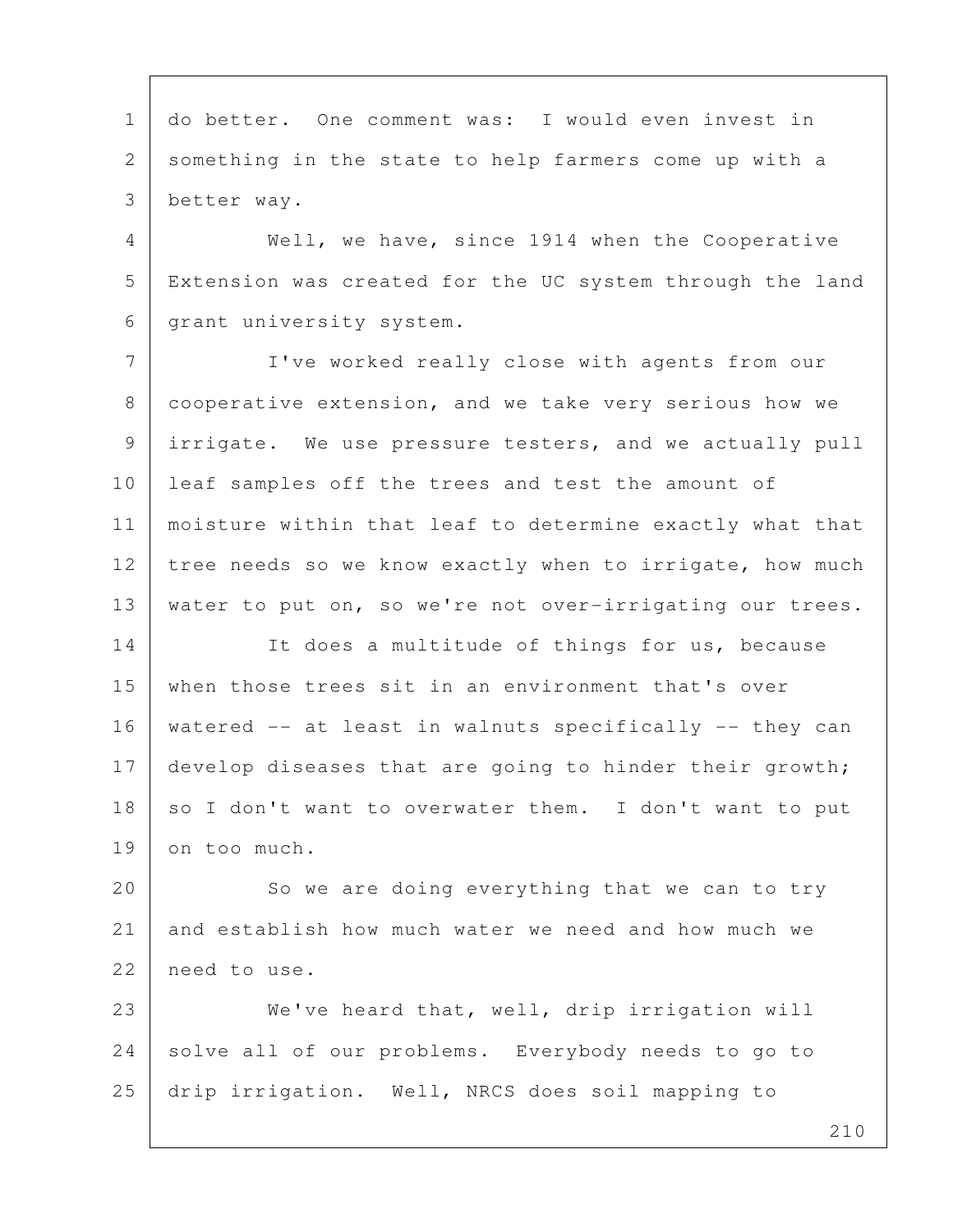1 do better. One comment was: I would even invest in 2 something in the state to help farmers come up with a 3 better way. 4 Well, we have, since 1914 when the Cooperative 5 Extension was created for the UC system through the land 6 | grant university system. 7 I've worked really close with agents from our 8 cooperative extension, and we take very serious how we 9 irrigate. We use pressure testers, and we actually pull 10 leaf samples off the trees and test the amount of 11 moisture within that leaf to determine exactly what that 12 tree needs so we know exactly when to irrigate, how much 13 water to put on, so we're not over-irrigating our trees. 14 It does a multitude of things for us, because 15 when those trees sit in an environment that's over 16 watered -- at least in walnuts specifically -- they can 17 develop diseases that are going to hinder their growth; 18 so I don't want to overwater them. I don't want to put 19 on too much. 20 So we are doing everything that we can to try 21 and establish how much water we need and how much we 22 need to use. 23 We've heard that, well, drip irrigation will 24 solve all of our problems. Everybody needs to go to 25 drip irrigation. Well, NRCS does soil mapping to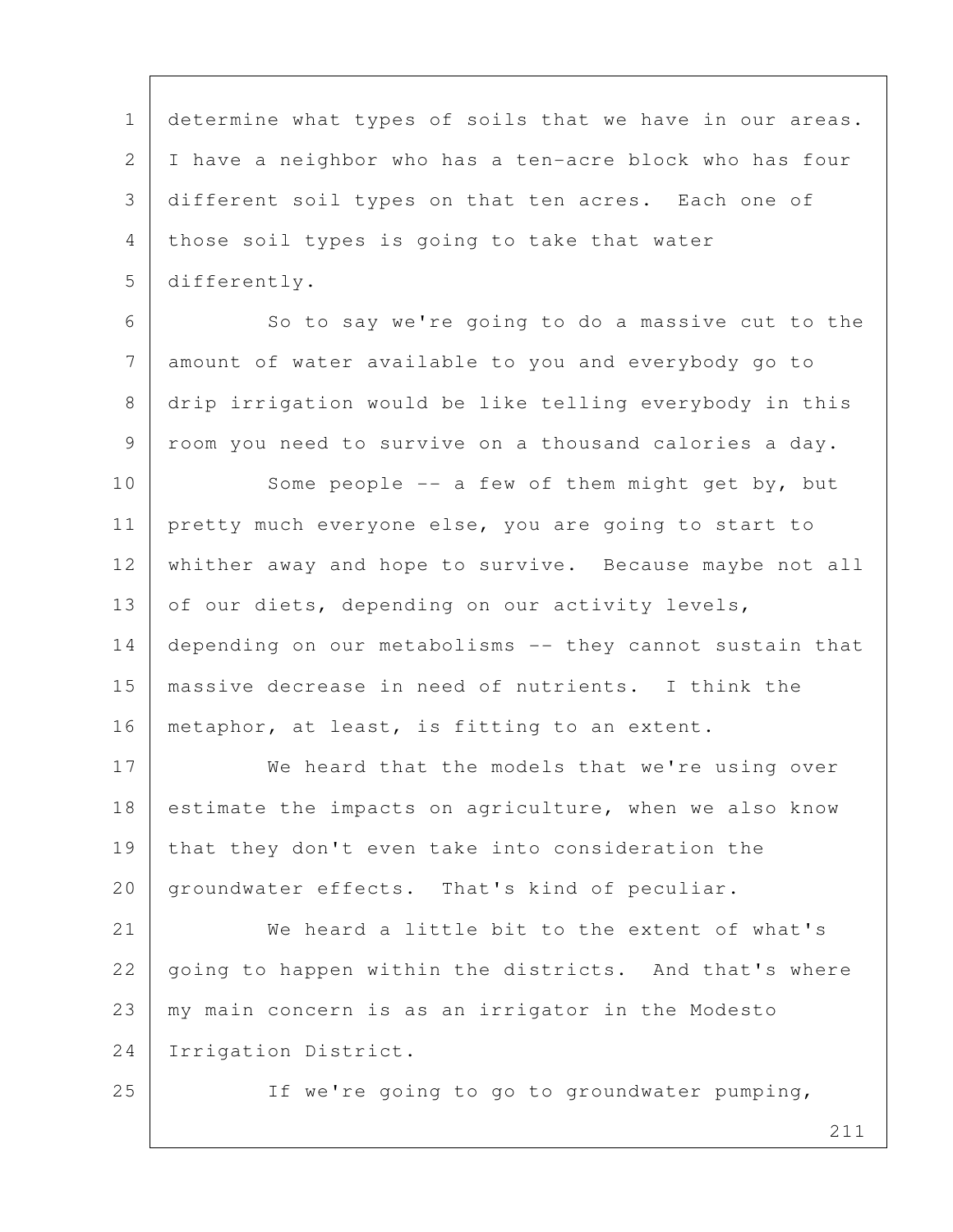1 determine what types of soils that we have in our areas. 2 I have a neighbor who has a ten-acre block who has four 3 different soil types on that ten acres. Each one of 4 | those soil types is going to take that water 5 differently.

6 So to say we're going to do a massive cut to the 7 amount of water available to you and everybody go to 8 drip irrigation would be like telling everybody in this 9 | room you need to survive on a thousand calories a day.

10 Some people -- a few of them might get by, but 11 pretty much everyone else, you are going to start to 12 whither away and hope to survive. Because maybe not all 13 of our diets, depending on our activity levels, 14 depending on our metabolisms -- they cannot sustain that 15 massive decrease in need of nutrients. I think the 16 | metaphor, at least, is fitting to an extent.

17 We heard that the models that we're using over 18 estimate the impacts on agriculture, when we also know 19 that they don't even take into consideration the 20 groundwater effects. That's kind of peculiar.

21 We heard a little bit to the extent of what's 22 going to happen within the districts. And that's where 23 my main concern is as an irrigator in the Modesto 24 Irrigation District.

25 If we're going to go to groundwater pumping,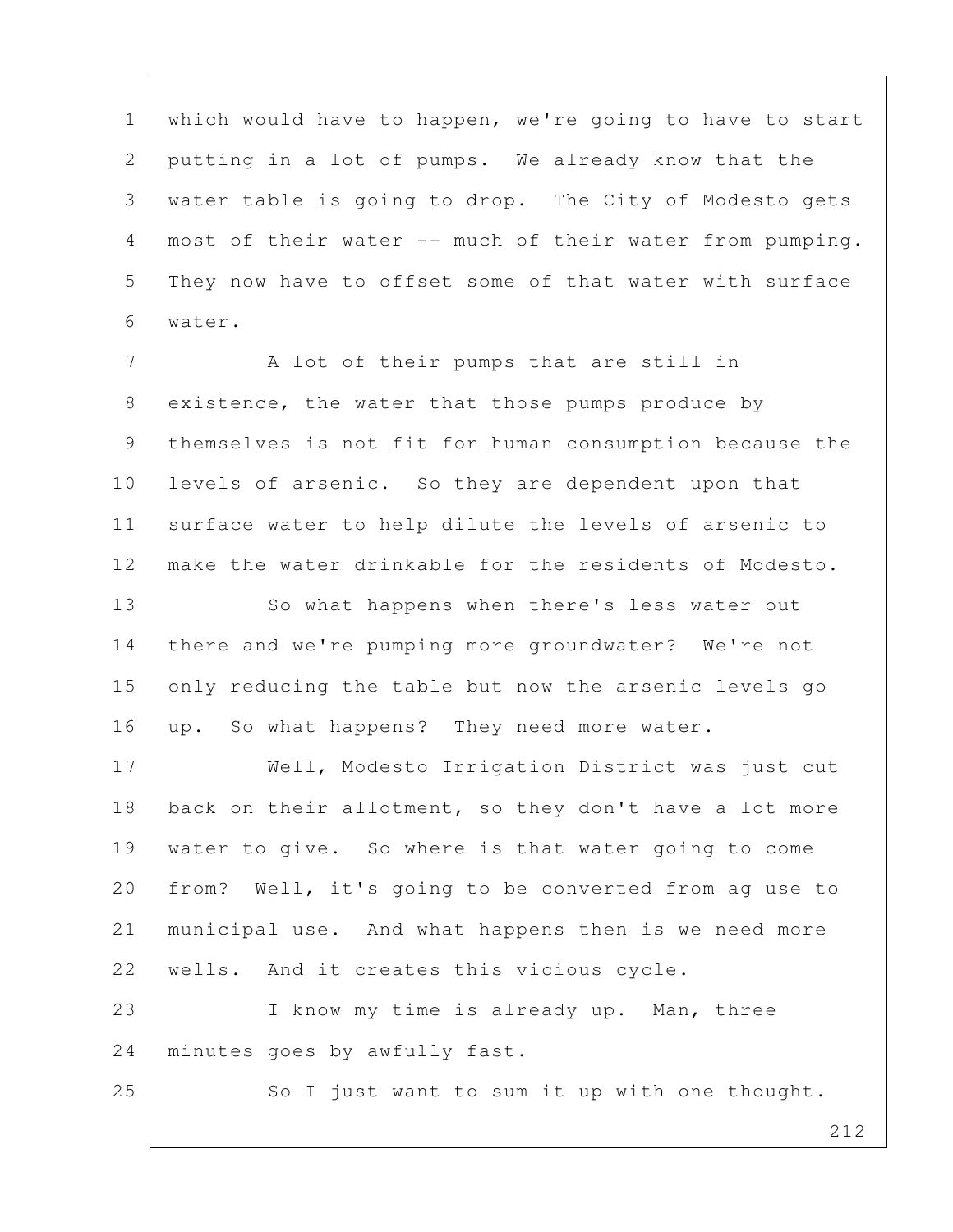1 which would have to happen, we're going to have to start 2 putting in a lot of pumps. We already know that the 3 water table is going to drop. The City of Modesto gets 4 most of their water -- much of their water from pumping. 5 They now have to offset some of that water with surface 6 water.

7 | A lot of their pumps that are still in 8 existence, the water that those pumps produce by 9 themselves is not fit for human consumption because the 10 levels of arsenic. So they are dependent upon that 11 | surface water to help dilute the levels of arsenic to 12 make the water drinkable for the residents of Modesto.

13 So what happens when there's less water out 14 there and we're pumping more groundwater? We're not 15 only reducing the table but now the arsenic levels go 16 | up. So what happens? They need more water.

17 | Well, Modesto Irrigation District was just cut 18 | back on their allotment, so they don't have a lot more 19 water to give. So where is that water going to come 20 | from? Well, it's going to be converted from ag use to 21 municipal use. And what happens then is we need more 22 | wells. And it creates this vicious cycle.

23 I know my time is already up. Man, three 24 minutes goes by awfully fast.

25 So I just want to sum it up with one thought.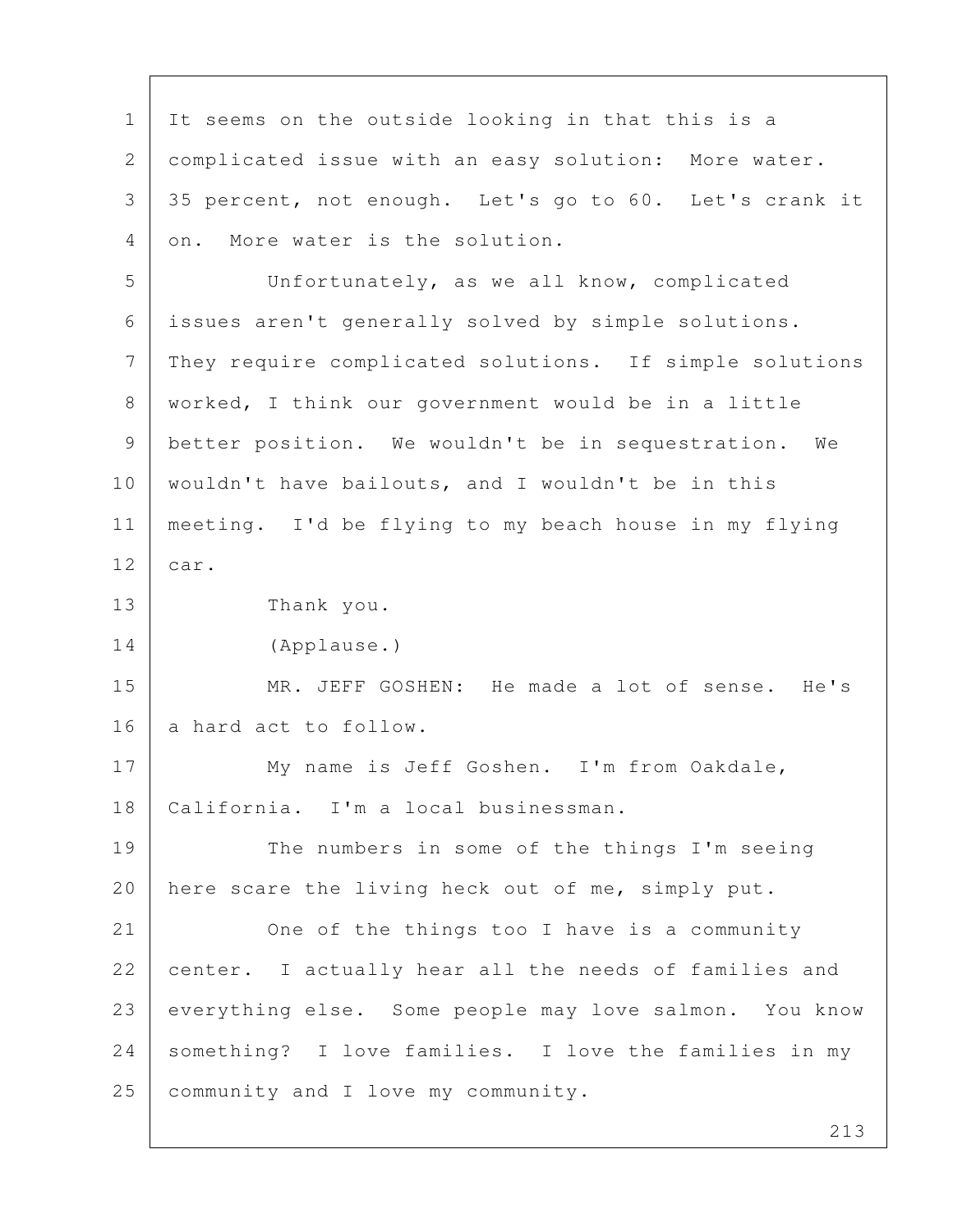1 It seems on the outside looking in that this is a 2 complicated issue with an easy solution: More water. 3 35 percent, not enough. Let's go to 60. Let's crank it 4 on. More water is the solution. 5 Unfortunately, as we all know, complicated 6 issues aren't generally solved by simple solutions. 7 | They require complicated solutions. If simple solutions 8 worked, I think our government would be in a little 9 better position. We wouldn't be in sequestration. We 10 wouldn't have bailouts, and I wouldn't be in this 11 meeting. I'd be flying to my beach house in my flying 12 car. 13 Thank you. 14 (Applause.) 15 MR. JEFF GOSHEN: He made a lot of sense. He's 16 a hard act to follow. 17 My name is Jeff Goshen. I'm from Oakdale, 18 California. I'm a local businessman. 19 The numbers in some of the things I'm seeing 20 | here scare the living heck out of me, simply put. 21 One of the things too I have is a community 22 center. I actually hear all the needs of families and 23 everything else. Some people may love salmon. You know 24 something? I love families. I love the families in my 25 community and I love my community.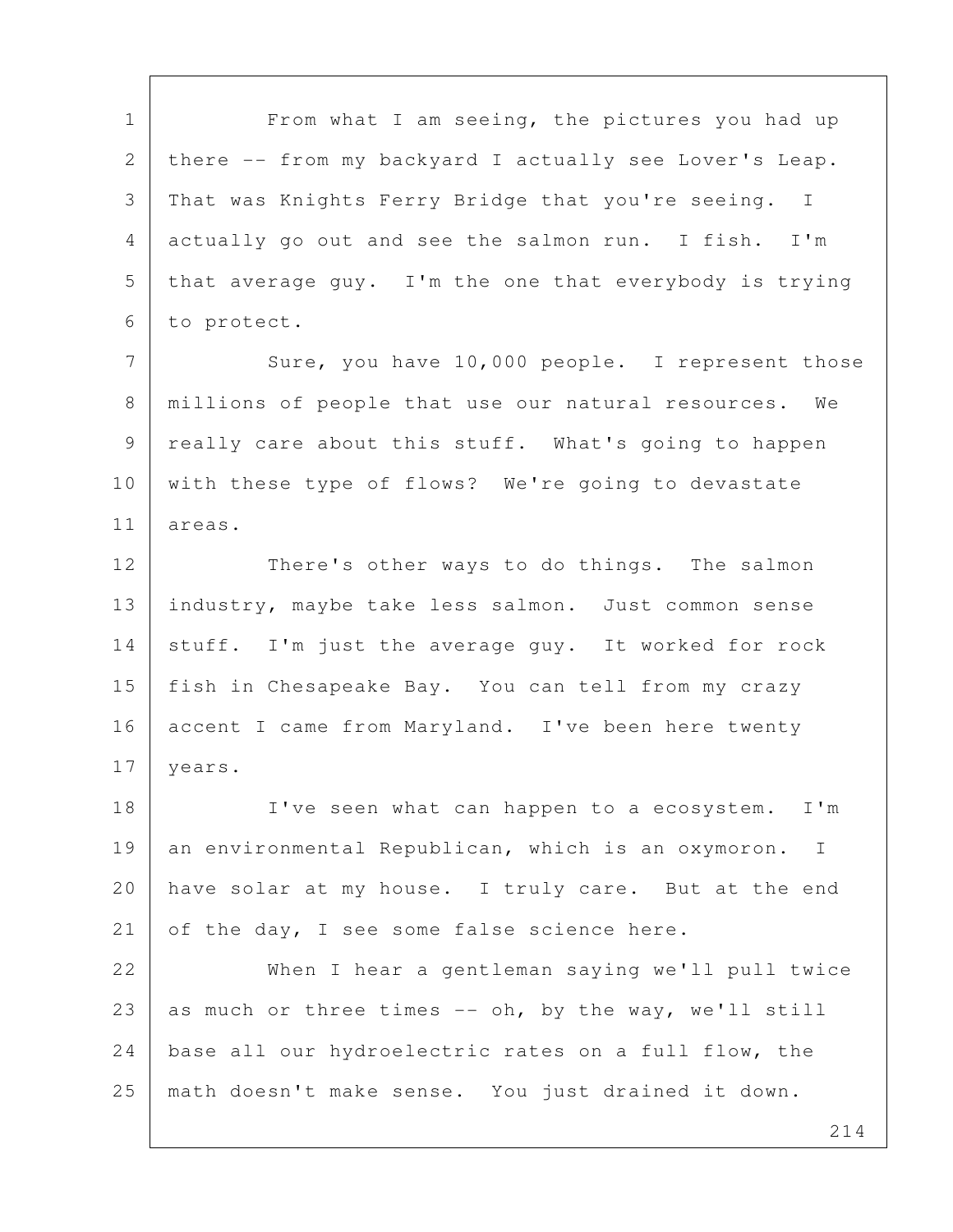1 From what I am seeing, the pictures you had up 2 there -- from my backyard I actually see Lover's Leap. 3 That was Knights Ferry Bridge that you're seeing. I 4 actually go out and see the salmon run. I fish. I'm 5 that average guy. I'm the one that everybody is trying 6 to protect.

7 Sure, you have 10,000 people. I represent those 8 millions of people that use our natural resources. We 9 really care about this stuff. What's going to happen 10 with these type of flows? We're going to devastate 11 areas.

12 There's other ways to do things. The salmon 13 industry, maybe take less salmon. Just common sense 14 stuff. I'm just the average guy. It worked for rock 15 fish in Chesapeake Bay. You can tell from my crazy 16 accent I came from Maryland. I've been here twenty 17 | years.

18 I've seen what can happen to a ecosystem. I'm 19 an environmental Republican, which is an oxymoron. I 20 | have solar at my house. I truly care. But at the end 21 of the day, I see some false science here.

22 When I hear a gentleman saying we'll pull twice 23 as much or three times  $--$  oh, by the way, we'll still 24 | base all our hydroelectric rates on a full flow, the 25 math doesn't make sense. You just drained it down.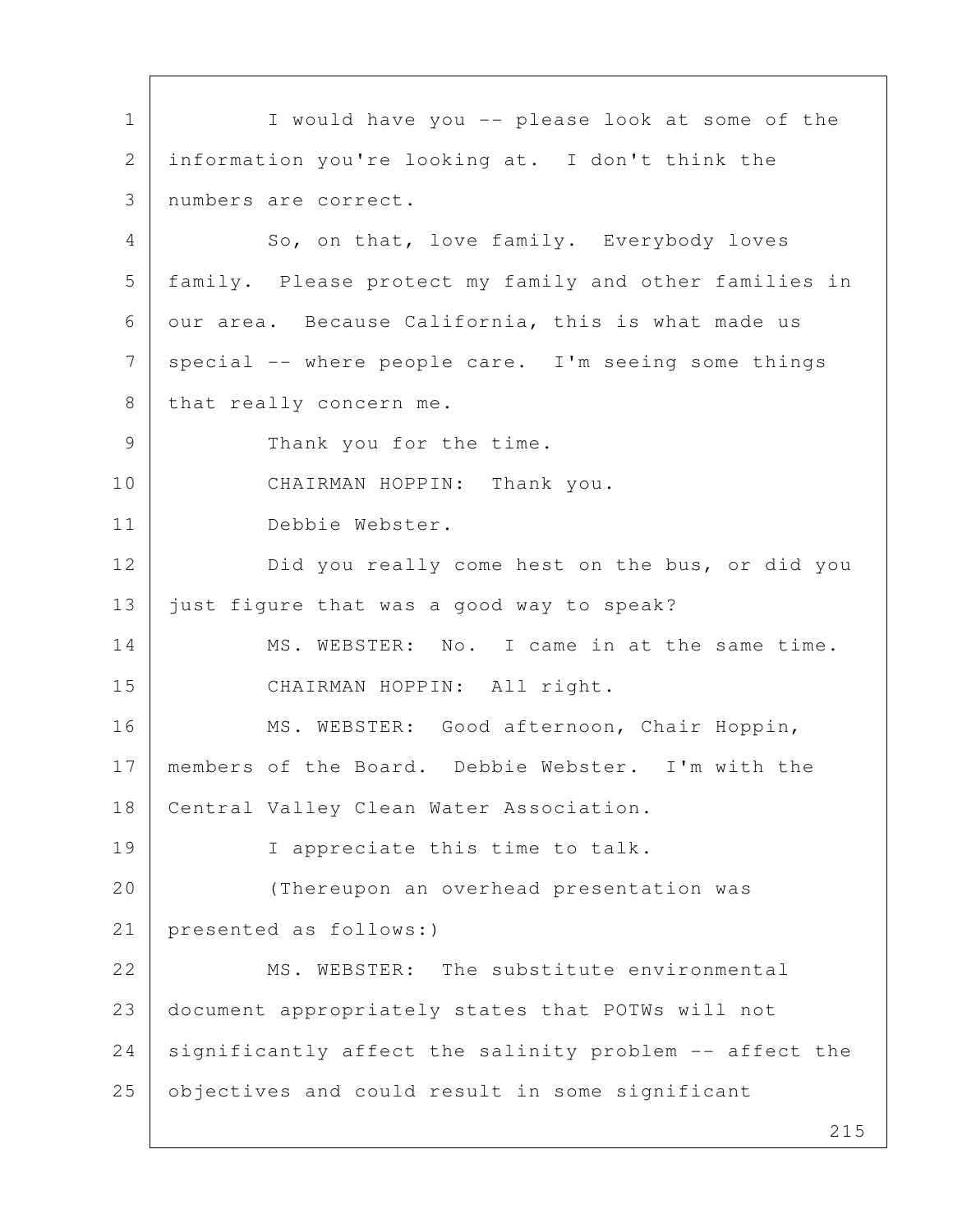215 1 I would have you -- please look at some of the 2 information you're looking at. I don't think the 3 numbers are correct. 4 So, on that, love family. Everybody loves 5 family. Please protect my family and other families in 6 our area. Because California, this is what made us  $7$  special -- where people care. I'm seeing some things 8 that really concern me. 9 Thank you for the time. 10 CHAIRMAN HOPPIN: Thank you. 11 Debbie Webster. 12 Did you really come hest on the bus, or did you 13 just figure that was a good way to speak? 14 MS. WEBSTER: No. I came in at the same time. 15 CHAIRMAN HOPPIN: All right. 16 | MS. WEBSTER: Good afternoon, Chair Hoppin, 17 members of the Board. Debbie Webster. I'm with the 18 | Central Valley Clean Water Association. 19 I appreciate this time to talk. 20 (Thereupon an overhead presentation was 21 presented as follows:) 22 MS. WEBSTER: The substitute environmental 23 document appropriately states that POTWs will not  $24$  significantly affect the salinity problem  $-$  affect the 25 objectives and could result in some significant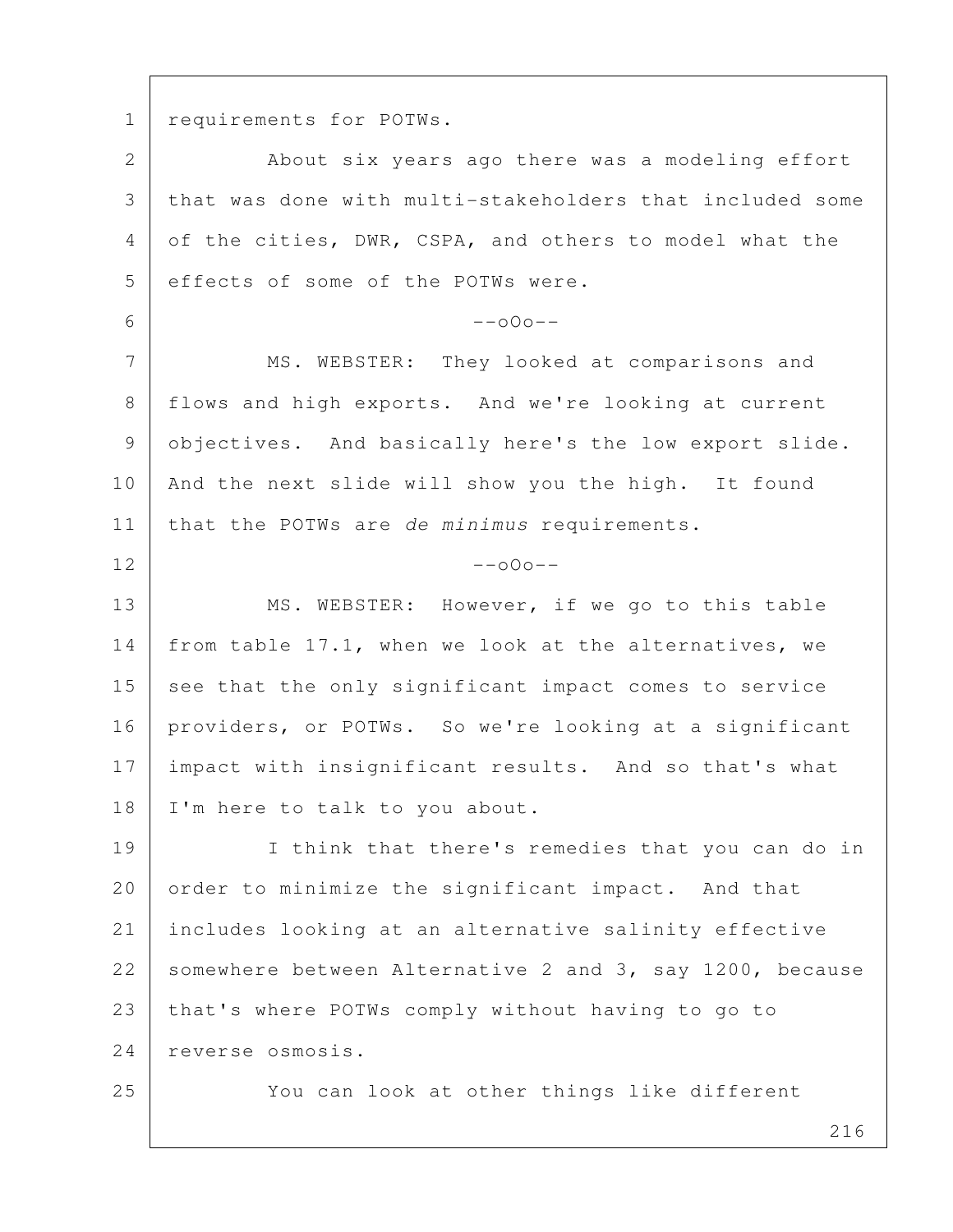1 requirements for POTWs.

| $\overline{2}$ | About six years ago there was a modeling effort          |
|----------------|----------------------------------------------------------|
| 3              | that was done with multi-stakeholders that included some |
| 4              | of the cities, DWR, CSPA, and others to model what the   |
| 5              | effects of some of the POTWs were.                       |
| 6              | $--000--$                                                |
| 7              | MS. WEBSTER: They looked at comparisons and              |
| 8              | flows and high exports. And we're looking at current     |
| 9              | objectives. And basically here's the low export slide.   |
| 10             | And the next slide will show you the high. It found      |
| 11             | that the POTWs are de minimus requirements.              |
| 12             | $--000--$                                                |
| 13             | MS. WEBSTER: However, if we go to this table             |
| 14             | from table 17.1, when we look at the alternatives, we    |
| 15             | see that the only significant impact comes to service    |
| 16             | providers, or POTWs. So we're looking at a significant   |
| 17             | impact with insignificant results. And so that's what    |
| 18             | I'm here to talk to you about.                           |
| 19             | I think that there's remedies that you can do in         |
| 20             | order to minimize the significant impact. And that       |
| 21             | includes looking at an alternative salinity effective    |
| 22             | somewhere between Alternative 2 and 3, say 1200, because |
| 23             | that's where POTWs comply without having to go to        |
| 24             | reverse osmosis.                                         |
| 25             | You can look at other things like different              |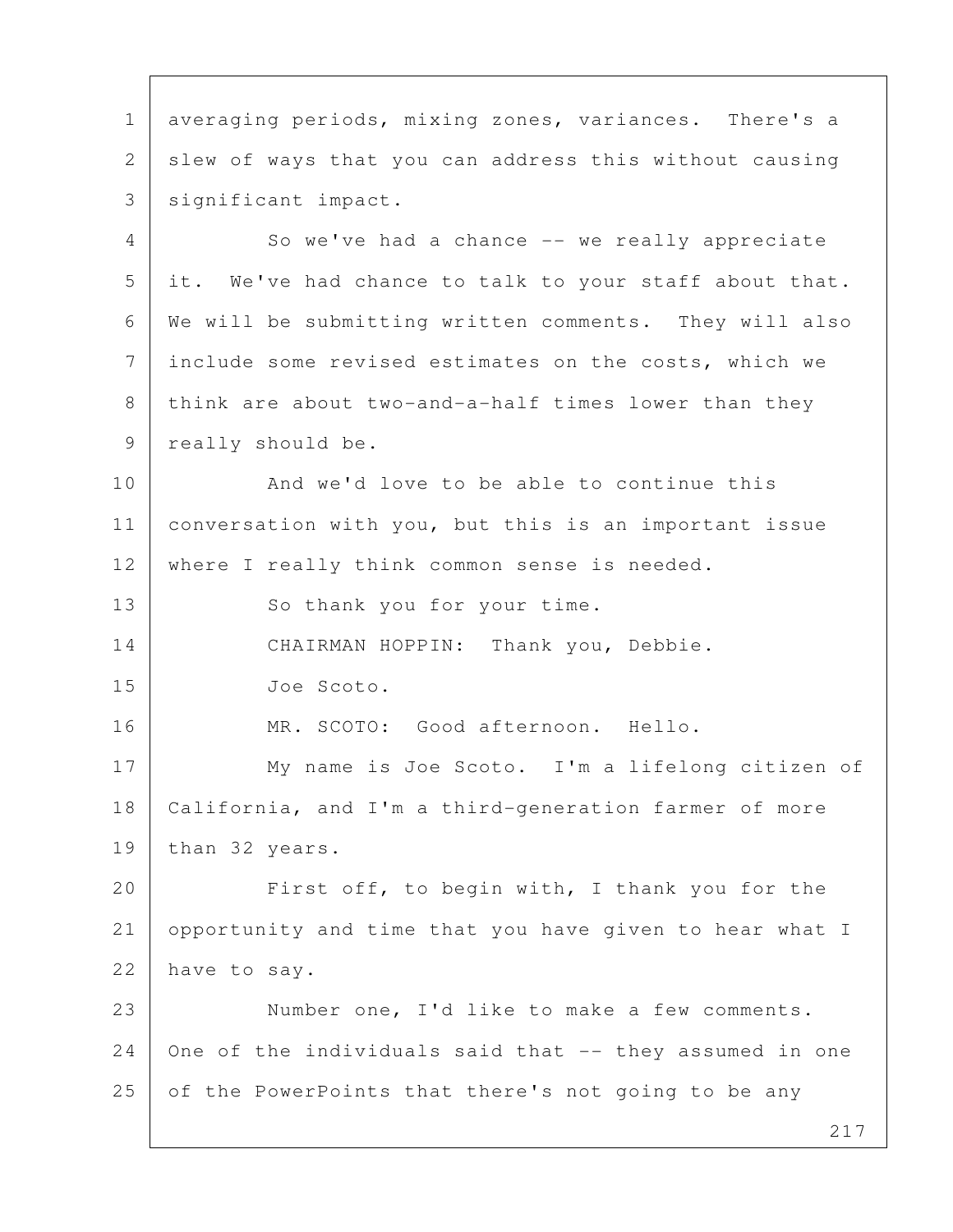1 averaging periods, mixing zones, variances. There's a 2 slew of ways that you can address this without causing 3 | significant impact. 4 So we've had a chance -- we really appreciate 5 it. We've had chance to talk to your staff about that. 6 We will be submitting written comments. They will also 7 include some revised estimates on the costs, which we  $8$  think are about two-and-a-half times lower than they 9 | really should be. 10 And we'd love to be able to continue this 11 | conversation with you, but this is an important issue 12 | where I really think common sense is needed. 13 So thank you for your time. 14 CHAIRMAN HOPPIN: Thank you, Debbie. 15 Joe Scoto. 16 MR. SCOTO: Good afternoon. Hello. 17 My name is Joe Scoto. I'm a lifelong citizen of 18 California, and I'm a third-generation farmer of more 19 than 32 years. 20 First off, to begin with, I thank you for the 21 opportunity and time that you have given to hear what I 22 have to say. 23 Number one, I'd like to make a few comments.  $24$  one of the individuals said that  $-$  they assumed in one 25 of the PowerPoints that there's not going to be any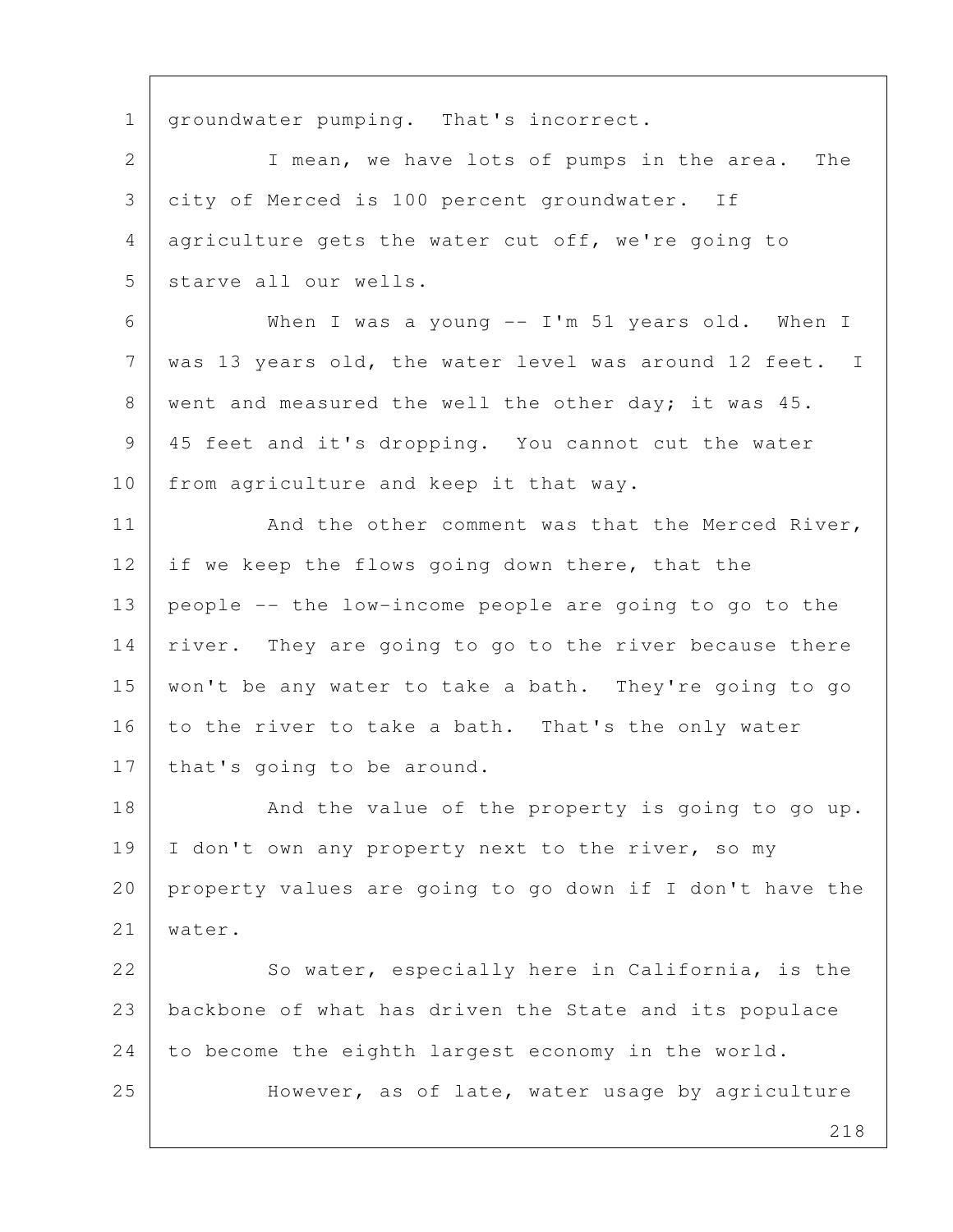1 | groundwater pumping. That's incorrect.

2 | T mean, we have lots of pumps in the area. The 3 city of Merced is 100 percent groundwater. If 4 agriculture gets the water cut off, we're going to 5 starve all our wells.

 6 When I was a young -- I'm 51 years old. When I 7 was 13 years old, the water level was around 12 feet. I 8 went and measured the well the other day; it was 45. 9 45 feet and it's dropping. You cannot cut the water 10 from agriculture and keep it that way.

11 | And the other comment was that the Merced River, 12 if we keep the flows going down there, that the 13 people -- the low-income people are going to go to the 14 | river. They are going to go to the river because there 15 won't be any water to take a bath. They're going to go 16 to the river to take a bath. That's the only water 17 | that's going to be around.

18 And the value of the property is going to go up. 19 | I don't own any property next to the river, so my 20 property values are going to go down if I don't have the 21 water.

22 So water, especially here in California, is the 23 backbone of what has driven the State and its populace 24 to become the eighth largest economy in the world. 25 | However, as of late, water usage by agriculture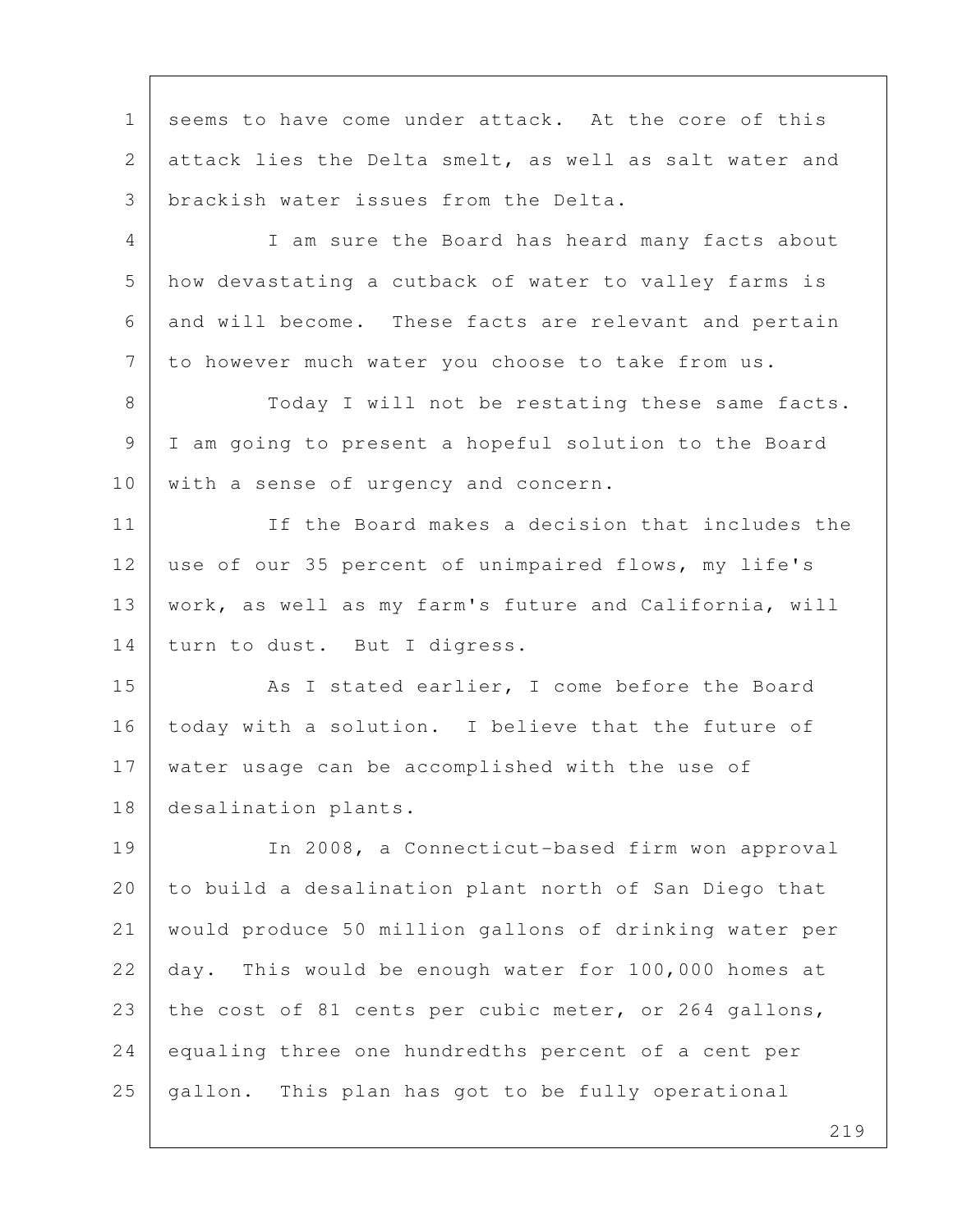1 seems to have come under attack. At the core of this 2 attack lies the Delta smelt, as well as salt water and 3 brackish water issues from the Delta. 4 I am sure the Board has heard many facts about 5 how devastating a cutback of water to valley farms is 6 and will become. These facts are relevant and pertain 7 to however much water you choose to take from us. 8 Today I will not be restating these same facts. 9 I am going to present a hopeful solution to the Board 10 with a sense of urgency and concern. 11 If the Board makes a decision that includes the 12 use of our 35 percent of unimpaired flows, my life's 13 work, as well as my farm's future and California, will 14 | turn to dust. But I digress. 15 As I stated earlier, I come before the Board 16 today with a solution. I believe that the future of 17 water usage can be accomplished with the use of 18 desalination plants. 19 In 2008, a Connecticut-based firm won approval 20 to build a desalination plant north of San Diego that 21 would produce 50 million gallons of drinking water per 22 day. This would be enough water for 100,000 homes at 23 the cost of 81 cents per cubic meter, or 264 gallons, 24 equaling three one hundredths percent of a cent per 25 gallon. This plan has got to be fully operational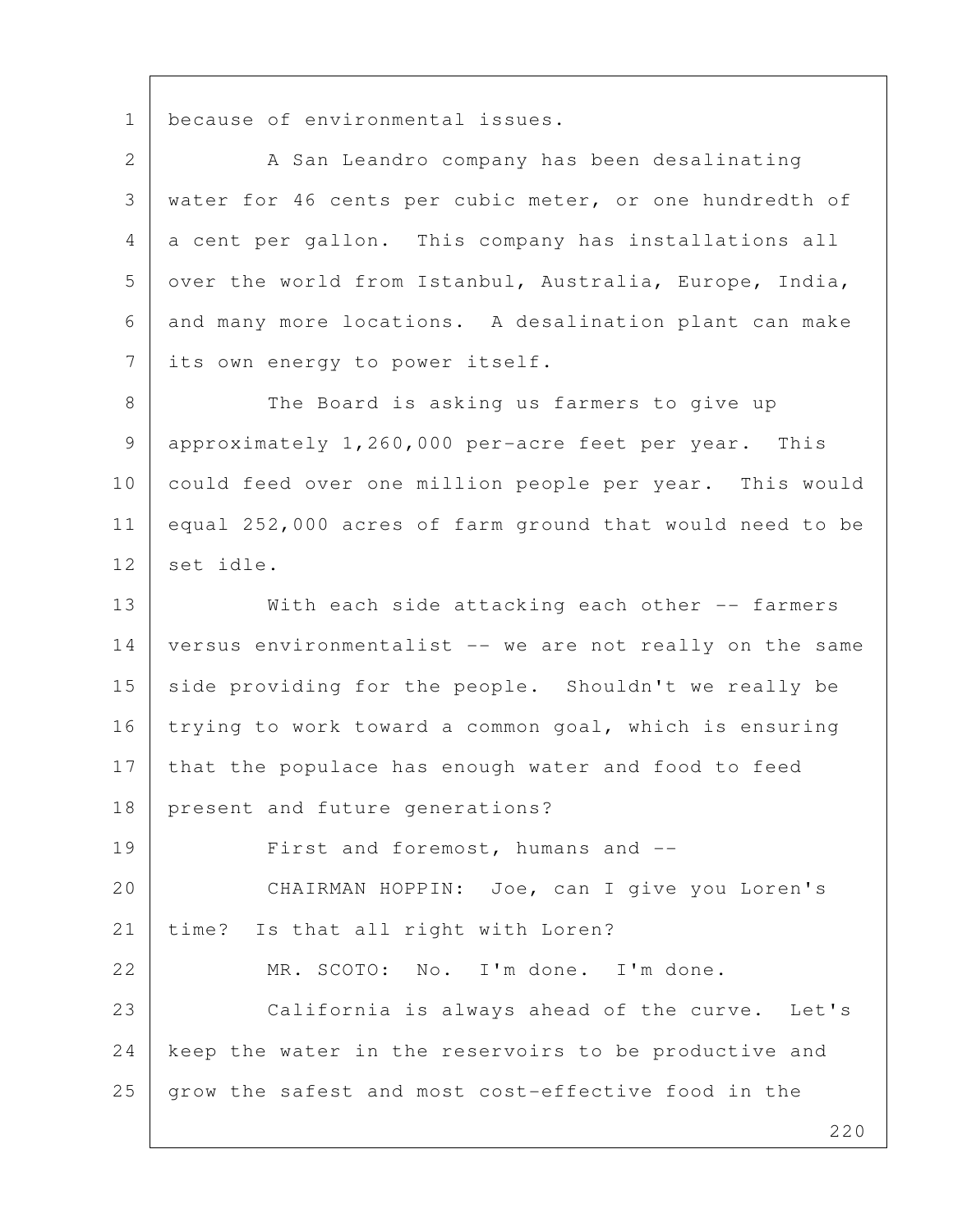1 because of environmental issues.

2 A San Leandro company has been desalinating 3 water for 46 cents per cubic meter, or one hundredth of 4 a cent per gallon. This company has installations all 5 over the world from Istanbul, Australia, Europe, India, 6 and many more locations. A desalination plant can make 7 its own energy to power itself.

8 The Board is asking us farmers to give up 9 approximately 1,260,000 per-acre feet per year. This 10 could feed over one million people per year. This would 11 equal 252,000 acres of farm ground that would need to be 12 set idle.

13 With each side attacking each other -- farmers 14 versus environmentalist -- we are not really on the same 15 side providing for the people. Shouldn't we really be 16 trying to work toward a common goal, which is ensuring 17 that the populace has enough water and food to feed 18 present and future generations? 19 First and foremost, humans and --20 CHAIRMAN HOPPIN: Joe, can I give you Loren's 21 | time? Is that all right with Loren? 22 MR. SCOTO: No. I'm done. I'm done. 23 California is always ahead of the curve. Let's 24 keep the water in the reservoirs to be productive and  $25$  grow the safest and most cost-effective food in the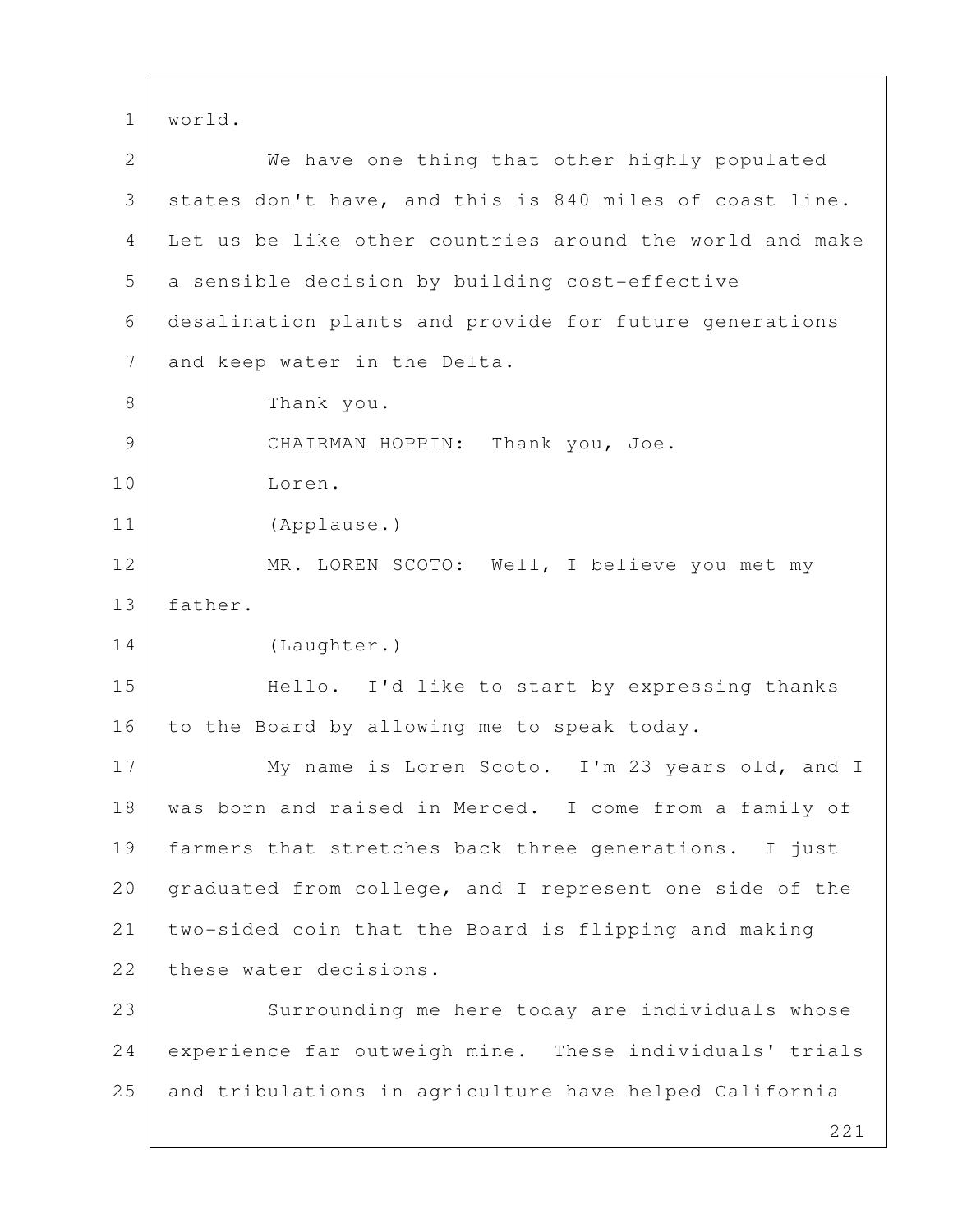1 world.

| $\overline{2}$ | We have one thing that other highly populated            |
|----------------|----------------------------------------------------------|
| 3              | states don't have, and this is 840 miles of coast line.  |
| 4              | Let us be like other countries around the world and make |
| 5              | a sensible decision by building cost-effective           |
| 6              | desalination plants and provide for future generations   |
| $7\phantom{.}$ | and keep water in the Delta.                             |
| 8              | Thank you.                                               |
| 9              | CHAIRMAN HOPPIN: Thank you, Joe.                         |
| 10             | Loren.                                                   |
| 11             | (Applause.)                                              |
| 12             | MR. LOREN SCOTO: Well, I believe you met my              |
| 13             | father.                                                  |
| 14             | (Laughter.)                                              |
| 15             | Hello. I'd like to start by expressing thanks            |
| 16             | to the Board by allowing me to speak today.              |
| 17             | My name is Loren Scoto. I'm 23 years old, and I          |
| 18             | was born and raised in Merced. I come from a family of   |
| 19             | farmers that stretches back three generations. I just    |
| 20             | graduated from college, and I represent one side of the  |
| 21             | two-sided coin that the Board is flipping and making     |
| 22             | these water decisions.                                   |
| 23             | Surrounding me here today are individuals whose          |
| 24             | experience far outweigh mine. These individuals' trials  |
| 25             | and tribulations in agriculture have helped California   |
|                | つつ1                                                      |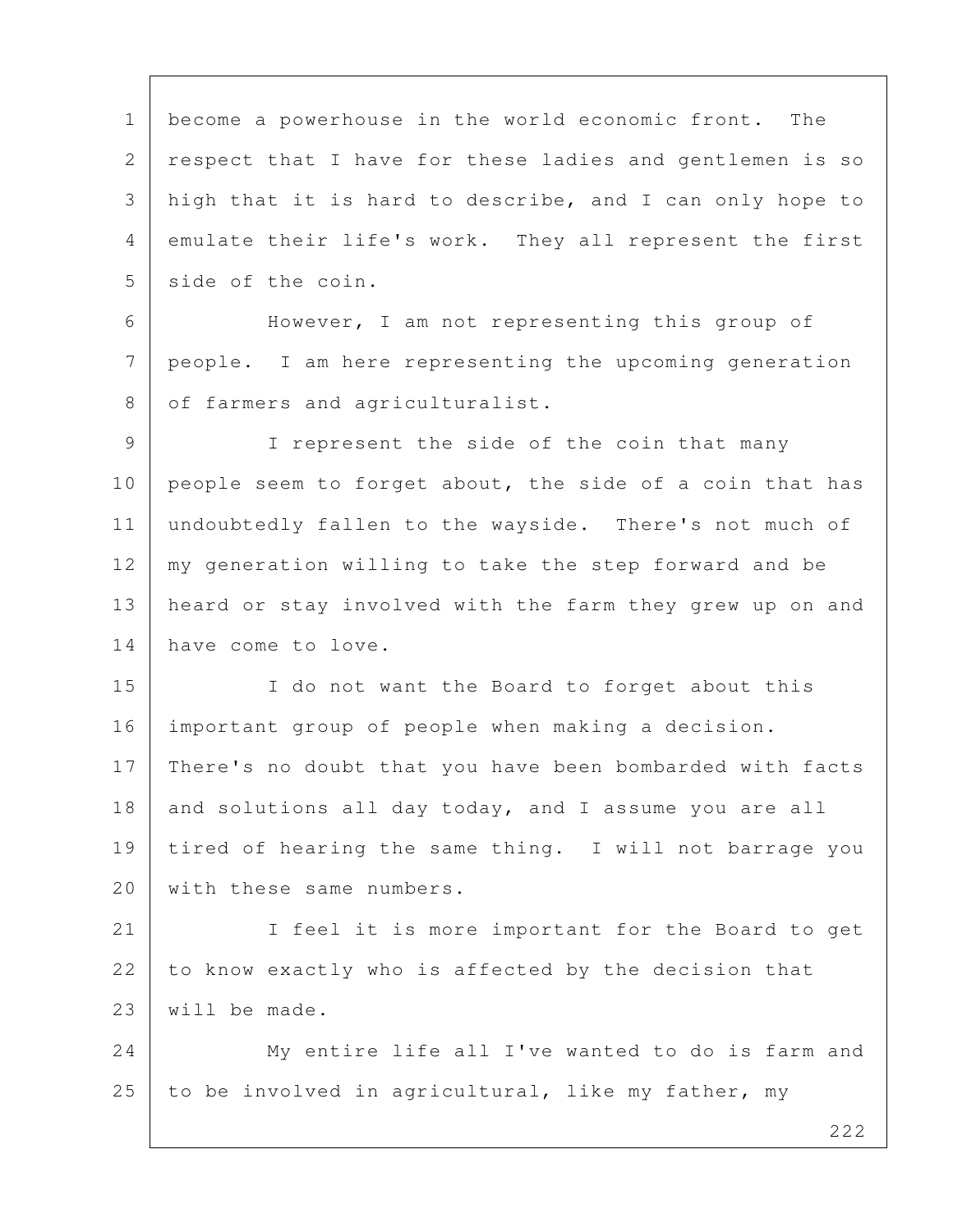1 become a powerhouse in the world economic front. The 2 respect that I have for these ladies and gentlemen is so 3 high that it is hard to describe, and I can only hope to 4 emulate their life's work. They all represent the first 5 side of the coin.

 6 However, I am not representing this group of 7 people. I am here representing the upcoming generation 8 of farmers and agriculturalist.

 9 I represent the side of the coin that many 10 people seem to forget about, the side of a coin that has 11 undoubtedly fallen to the wayside. There's not much of 12 | my generation willing to take the step forward and be 13 heard or stay involved with the farm they grew up on and 14 have come to love.

15 I do not want the Board to forget about this 16 important group of people when making a decision. 17 | There's no doubt that you have been bombarded with facts 18 and solutions all day today, and I assume you are all 19 tired of hearing the same thing. I will not barrage you 20 | with these same numbers.

21 I feel it is more important for the Board to get 22 to know exactly who is affected by the decision that 23 will be made.

24 My entire life all I've wanted to do is farm and 25 to be involved in agricultural, like my father, my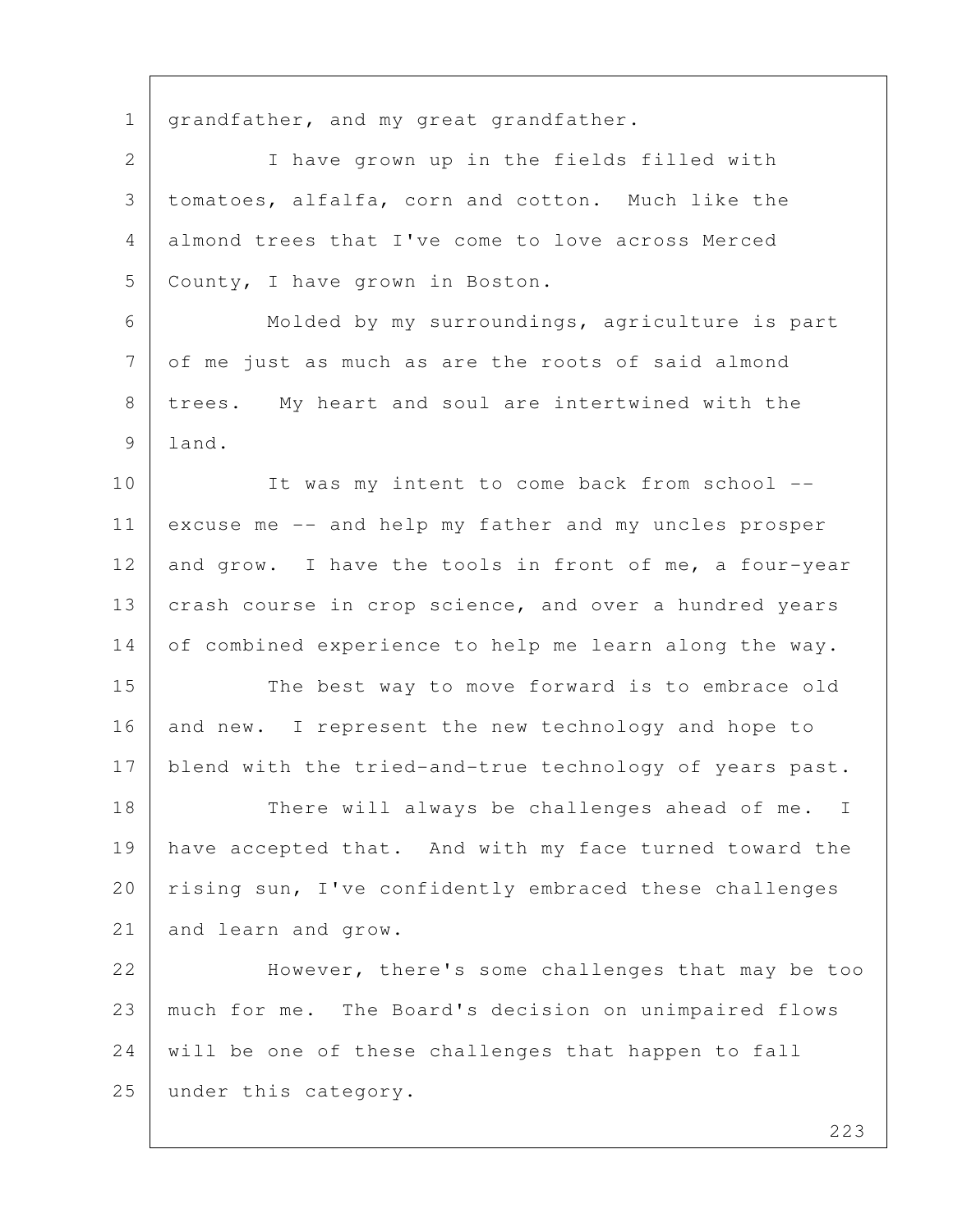1 | grandfather, and my great grandfather.

 2 I have grown up in the fields filled with 3 tomatoes, alfalfa, corn and cotton. Much like the 4 almond trees that I've come to love across Merced 5 County, I have grown in Boston.

6 Molded by my surroundings, agriculture is part 7 of me just as much as are the roots of said almond 8 | trees. My heart and soul are intertwined with the 9 land.

10 | It was my intent to come back from school --11 excuse me -- and help my father and my uncles prosper 12 and grow. I have the tools in front of me, a four-year 13 crash course in crop science, and over a hundred years 14 of combined experience to help me learn along the way.

15 The best way to move forward is to embrace old 16 and new. I represent the new technology and hope to 17 blend with the tried-and-true technology of years past.

18 There will always be challenges ahead of me. I 19 have accepted that. And with my face turned toward the 20 | rising sun, I've confidently embraced these challenges 21 and learn and grow.

22 However, there's some challenges that may be too 23 much for me. The Board's decision on unimpaired flows 24 will be one of these challenges that happen to fall 25 under this category.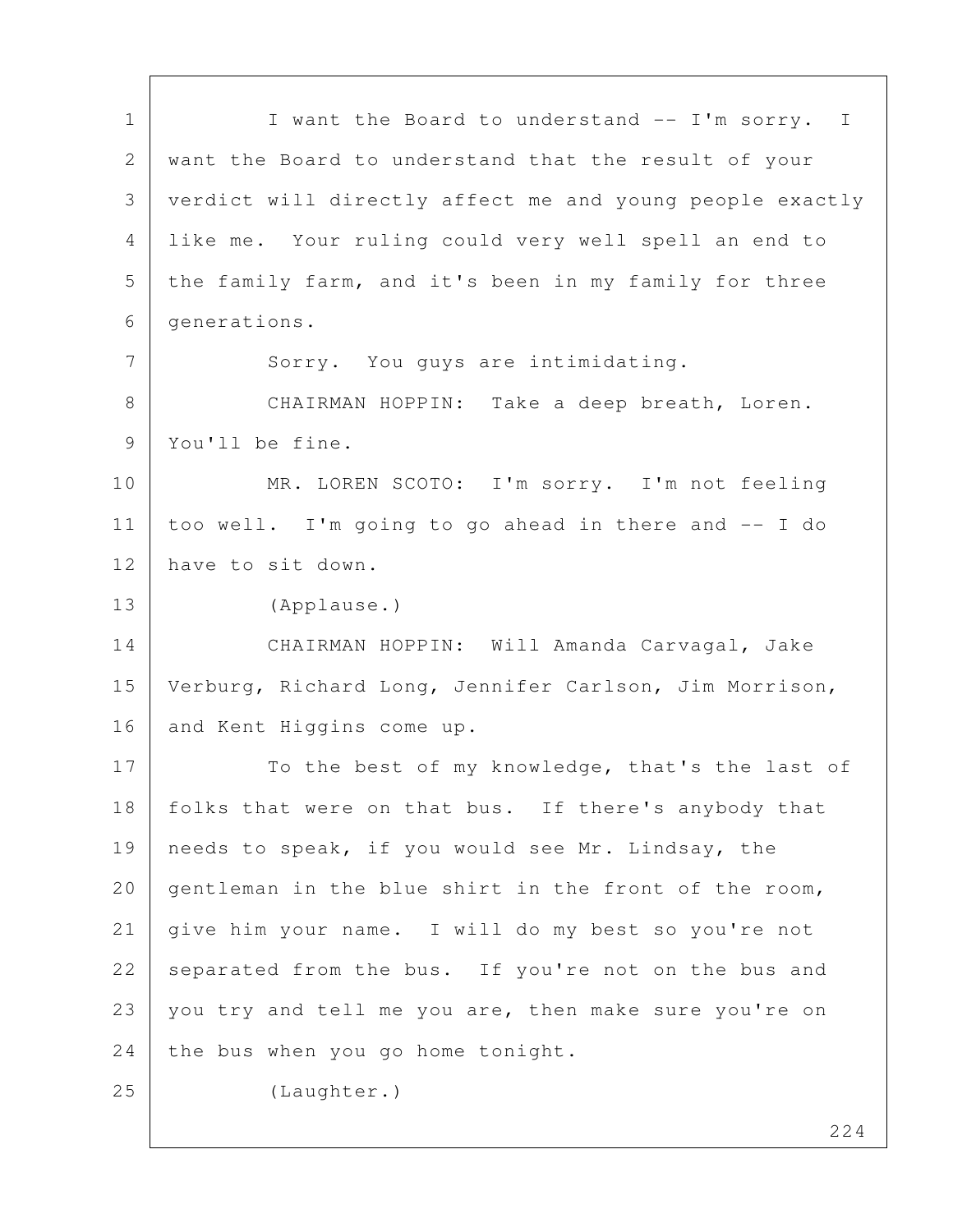1 | I want the Board to understand -- I'm sorry. I 2 want the Board to understand that the result of your 3 verdict will directly affect me and young people exactly 4 like me. Your ruling could very well spell an end to 5 the family farm, and it's been in my family for three 6 generations. 7 Sorry. You guys are intimidating. 8 | CHAIRMAN HOPPIN: Take a deep breath, Loren. 9 You'll be fine. 10 MR. LOREN SCOTO: I'm sorry. I'm not feeling 11 too well. I'm going to go ahead in there and -- I do 12 have to sit down. 13 (Applause.) 14 CHAIRMAN HOPPIN: Will Amanda Carvagal, Jake 15 Verburg, Richard Long, Jennifer Carlson, Jim Morrison, 16 and Kent Higgins come up. 17 To the best of my knowledge, that's the last of 18 | folks that were on that bus. If there's anybody that 19 | needs to speak, if you would see Mr. Lindsay, the 20 gentleman in the blue shirt in the front of the room, 21 give him your name. I will do my best so you're not 22 separated from the bus. If you're not on the bus and 23 you try and tell me you are, then make sure you're on 24 the bus when you go home tonight. 25 (Laughter.)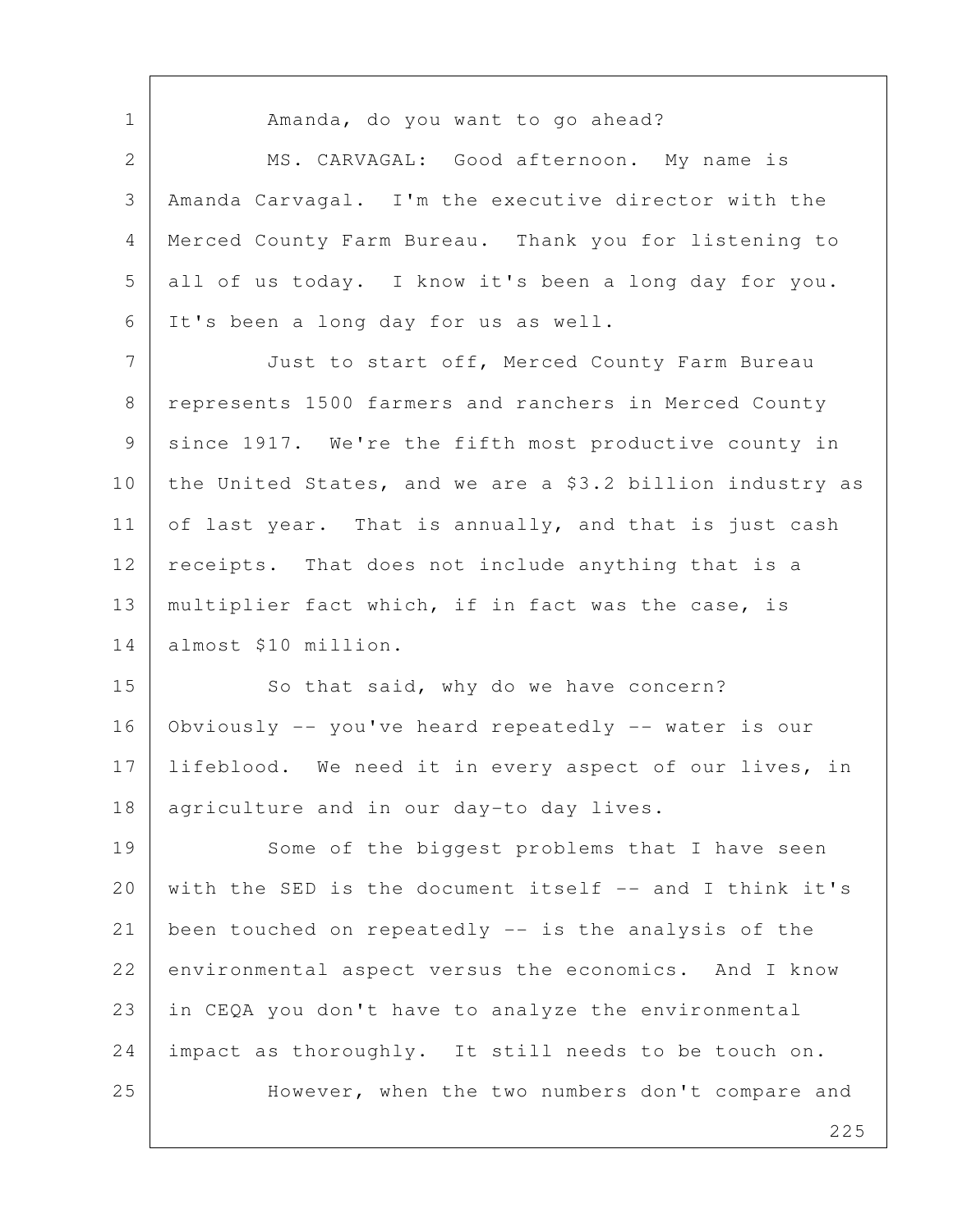1 | Amanda, do you want to go ahead? 2 MS. CARVAGAL: Good afternoon. My name is 3 Amanda Carvagal. I'm the executive director with the 4 Merced County Farm Bureau. Thank you for listening to 5 all of us today. I know it's been a long day for you. 6 It's been a long day for us as well. 7 Just to start off, Merced County Farm Bureau 8 represents 1500 farmers and ranchers in Merced County 9 since 1917. We're the fifth most productive county in 10 the United States, and we are a \$3.2 billion industry as 11 of last year. That is annually, and that is just cash 12 receipts. That does not include anything that is a 13 | multiplier fact which, if in fact was the case, is 14 almost \$10 million. 15 So that said, why do we have concern? 16 Obviously -- you've heard repeatedly -- water is our 17 | lifeblood. We need it in every aspect of our lives, in 18 | agriculture and in our day-to day lives. 19 Some of the biggest problems that I have seen 20 with the SED is the document itself -- and I think it's 21 been touched on repeatedly -- is the analysis of the 22 environmental aspect versus the economics. And I know 23 in CEQA you don't have to analyze the environmental 24 impact as thoroughly. It still needs to be touch on. 25 However, when the two numbers don't compare and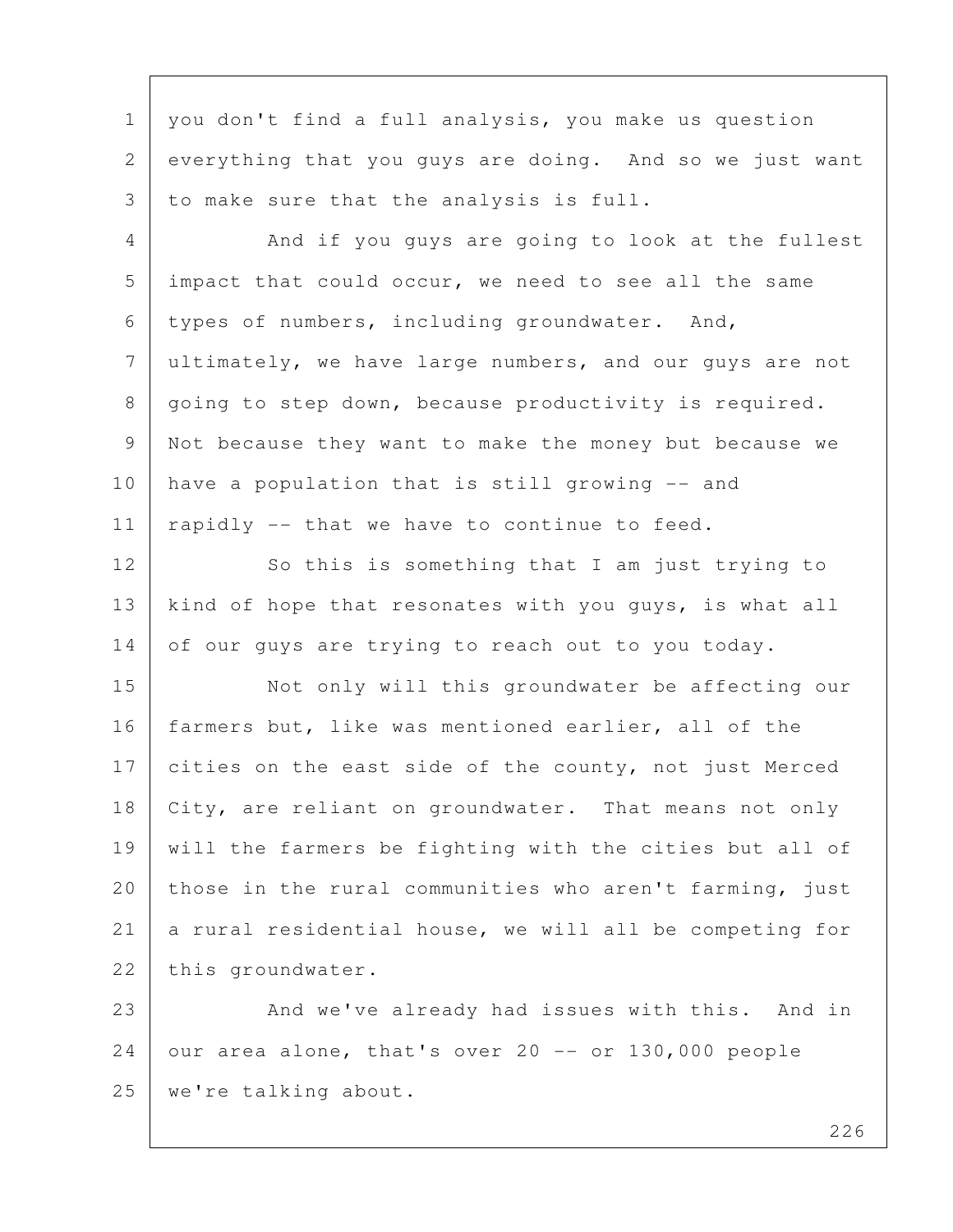1 | you don't find a full analysis, you make us question 2 everything that you guys are doing. And so we just want 3 to make sure that the analysis is full.

4 And if you guys are going to look at the fullest 5 impact that could occur, we need to see all the same 6 types of numbers, including groundwater. And, 7 ultimately, we have large numbers, and our guys are not 8 | going to step down, because productivity is required. 9 Not because they want to make the money but because we  $10$  have a population that is still growing  $-$  and 11 | rapidly  $-$  that we have to continue to feed.

12 So this is something that I am just trying to 13 | kind of hope that resonates with you guys, is what all 14 of our guys are trying to reach out to you today.

15 Not only will this groundwater be affecting our 16 | farmers but, like was mentioned earlier, all of the 17 cities on the east side of the county, not just Merced 18 | City, are reliant on groundwater. That means not only 19 will the farmers be fighting with the cities but all of 20 those in the rural communities who aren't farming, just 21 a rural residential house, we will all be competing for 22 this groundwater.

23 And we've already had issues with this. And in  $24$  our area alone, that's over 20 -- or 130,000 people 25 we're talking about.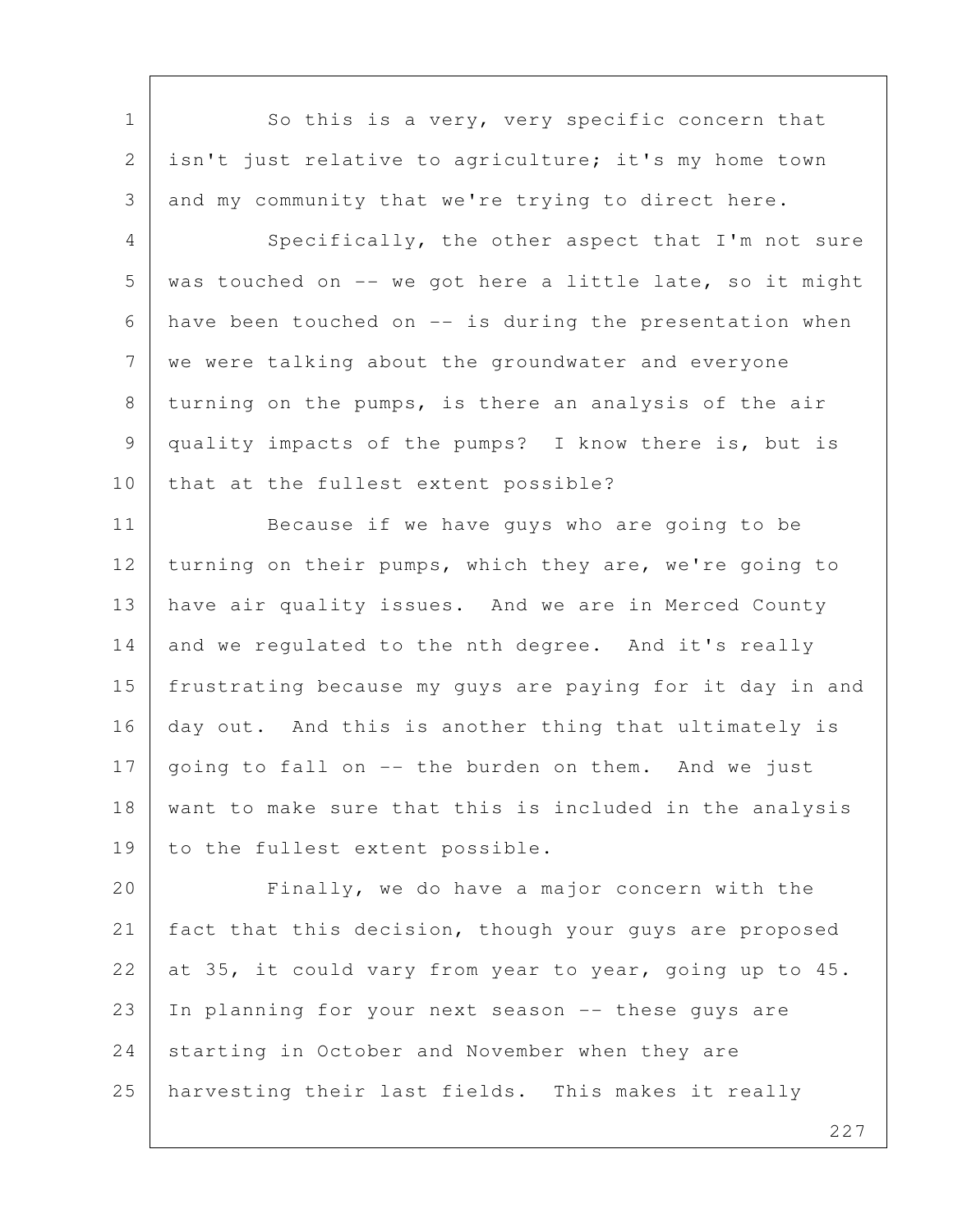1 So this is a very, very specific concern that 2 isn't just relative to agriculture; it's my home town 3 and my community that we're trying to direct here. 4 Specifically, the other aspect that I'm not sure  $5$  was touched on -- we got here a little late, so it might 6 have been touched on -- is during the presentation when 7 we were talking about the groundwater and everyone 8 | turning on the pumps, is there an analysis of the air 9 quality impacts of the pumps? I know there is, but is 10 that at the fullest extent possible? 11 Because if we have guys who are going to be 12 turning on their pumps, which they are, we're going to 13 have air quality issues. And we are in Merced County 14 and we regulated to the nth degree. And it's really 15 frustrating because my guys are paying for it day in and 16 day out. And this is another thing that ultimately is 17 going to fall on  $-$  the burden on them. And we just 18 want to make sure that this is included in the analysis 19 to the fullest extent possible. 20 Finally, we do have a major concern with the 21 fact that this decision, though your guys are proposed 22 at 35, it could vary from year to year, going up to 45. 23 In planning for your next season -- these guys are 24 starting in October and November when they are 25 harvesting their last fields. This makes it really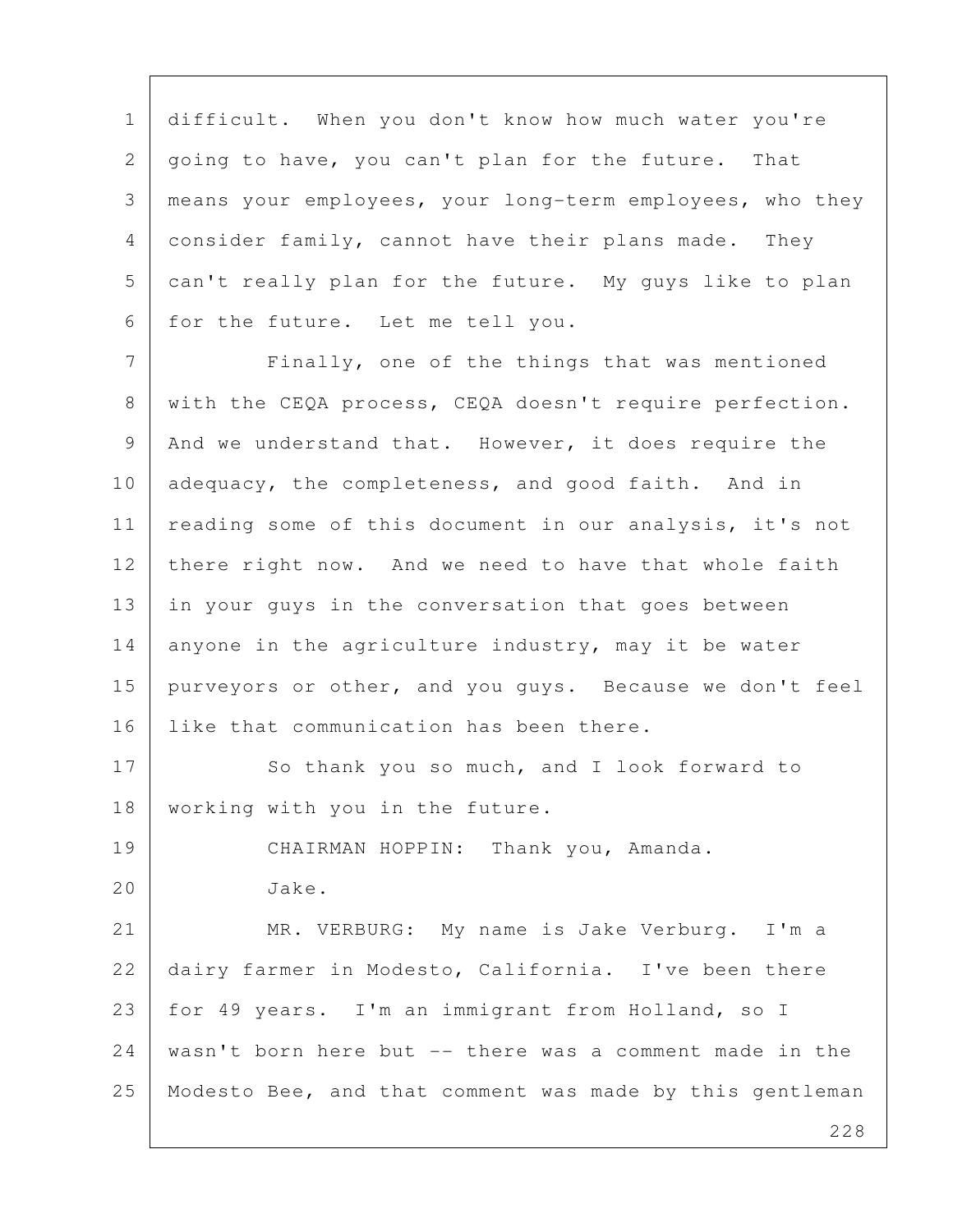1 difficult. When you don't know how much water you're 2 going to have, you can't plan for the future. That 3 means your employees, your long-term employees, who they 4 consider family, cannot have their plans made. They 5 can't really plan for the future. My guys like to plan 6 for the future. Let me tell you.

7 | Finally, one of the things that was mentioned 8 with the CEQA process, CEQA doesn't require perfection. 9 And we understand that. However, it does require the 10 adequacy, the completeness, and good faith. And in 11 reading some of this document in our analysis, it's not 12 there right now. And we need to have that whole faith 13 in your guys in the conversation that goes between 14 anyone in the agriculture industry, may it be water 15 purveyors or other, and you guys. Because we don't feel 16 Iike that communication has been there.

17 So thank you so much, and I look forward to 18 | working with you in the future.

19 CHAIRMAN HOPPIN: Thank you, Amanda.

20 Jake.

21 MR. VERBURG: My name is Jake Verburg. I'm a 22 dairy farmer in Modesto, California. I've been there 23 for 49 years. I'm an immigrant from Holland, so I 24 wasn't born here but -- there was a comment made in the 25 Modesto Bee, and that comment was made by this gentleman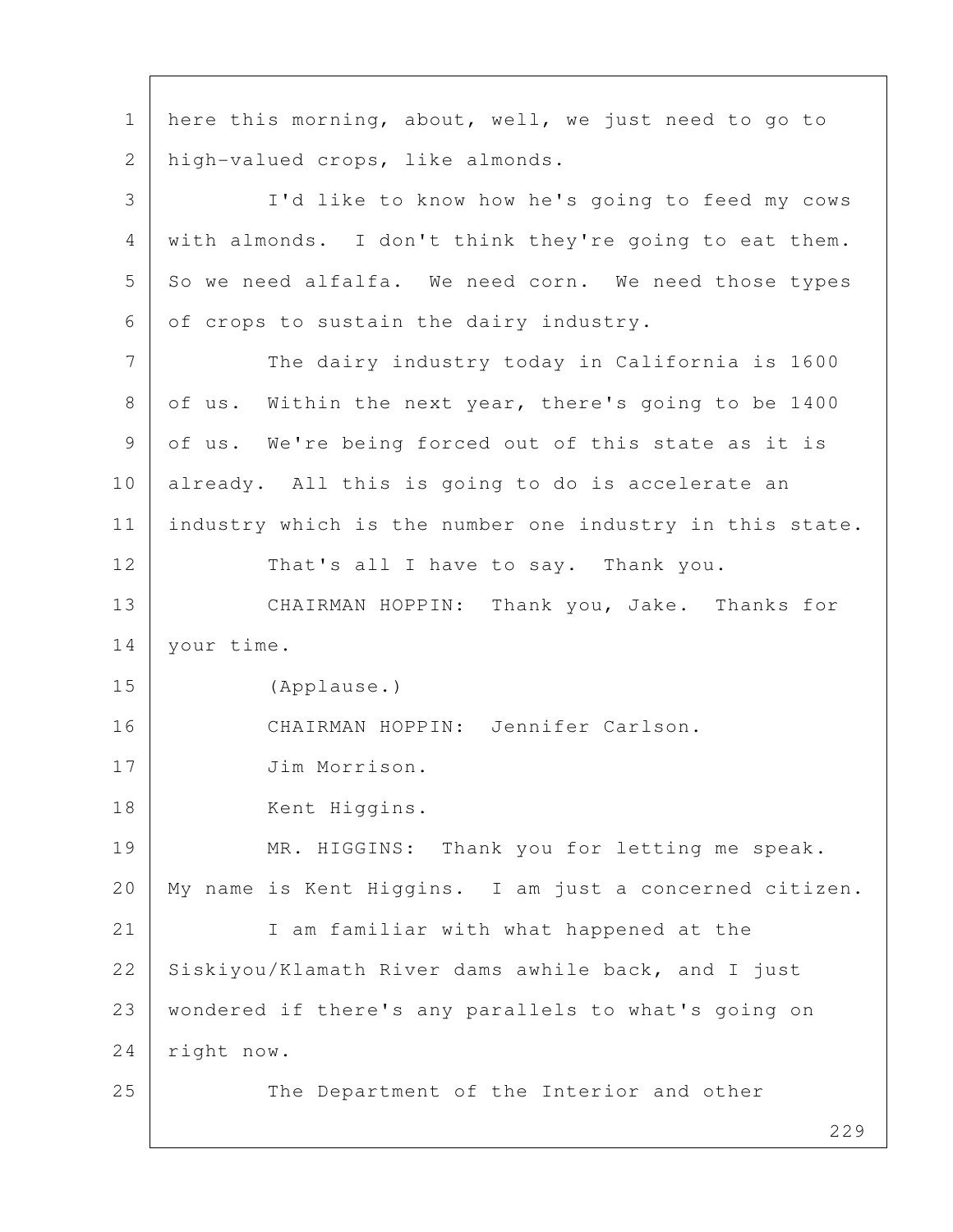229 1 here this morning, about, well, we just need to go to 2 high-valued crops, like almonds. 3 I'd like to know how he's going to feed my cows 4 with almonds. I don't think they're going to eat them.  $5$  So we need alfalfa. We need corn. We need those types 6 of crops to sustain the dairy industry. 7 The dairy industry today in California is 1600 8 of us. Within the next year, there's going to be 1400 9 of us. We're being forced out of this state as it is 10 already. All this is going to do is accelerate an 11 industry which is the number one industry in this state. 12 That's all I have to say. Thank you. 13 CHAIRMAN HOPPIN: Thank you, Jake. Thanks for 14 | your time. 15 (Applause.) 16 CHAIRMAN HOPPIN: Jennifer Carlson. 17 Jim Morrison. 18 Kent Higgins. 19 MR. HIGGINS: Thank you for letting me speak. 20 My name is Kent Higgins. I am just a concerned citizen. 21 I am familiar with what happened at the 22 Siskiyou/Klamath River dams awhile back, and I just 23 wondered if there's any parallels to what's going on 24 right now. 25 The Department of the Interior and other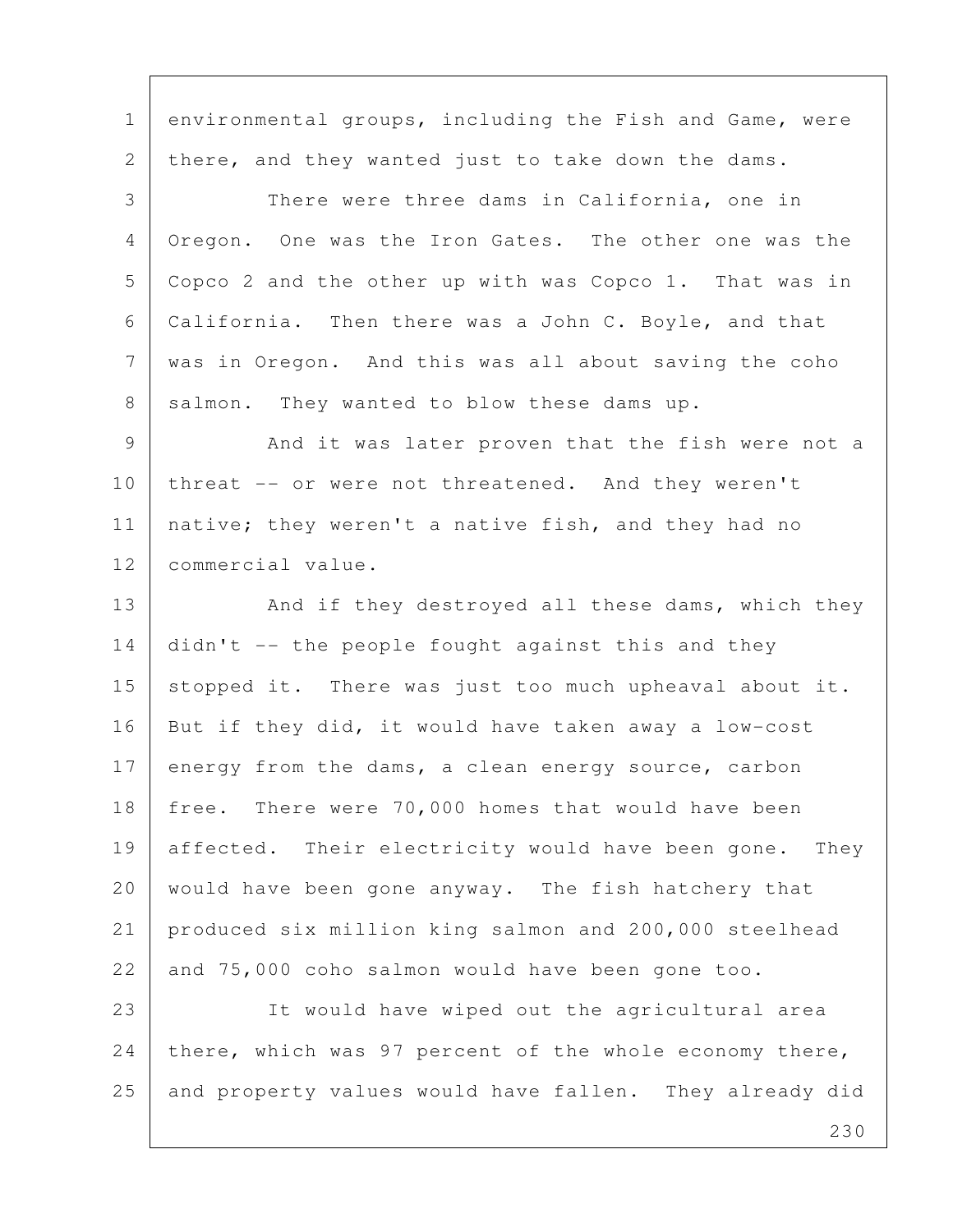1 environmental groups, including the Fish and Game, were 2 there, and they wanted just to take down the dams. 3 There were three dams in California, one in 4 Oregon. One was the Iron Gates. The other one was the 5 Copco 2 and the other up with was Copco 1. That was in 6 California. Then there was a John C. Boyle, and that 7 was in Oregon. And this was all about saving the coho 8 salmon. They wanted to blow these dams up. 9 And it was later proven that the fish were not a 10 threat -- or were not threatened. And they weren't 11 | native; they weren't a native fish, and they had no 12 commercial value. 13 And if they destroyed all these dams, which they 14 didn't -- the people fought against this and they 15 stopped it. There was just too much upheaval about it. 16 But if they did, it would have taken away a low-cost 17 energy from the dams, a clean energy source, carbon 18 free. There were 70,000 homes that would have been 19 affected. Their electricity would have been gone. They 20 would have been gone anyway. The fish hatchery that 21 produced six million king salmon and 200,000 steelhead 22 and 75,000 coho salmon would have been gone too. 23 It would have wiped out the agricultural area 24 there, which was 97 percent of the whole economy there,

25 and property values would have fallen. They already did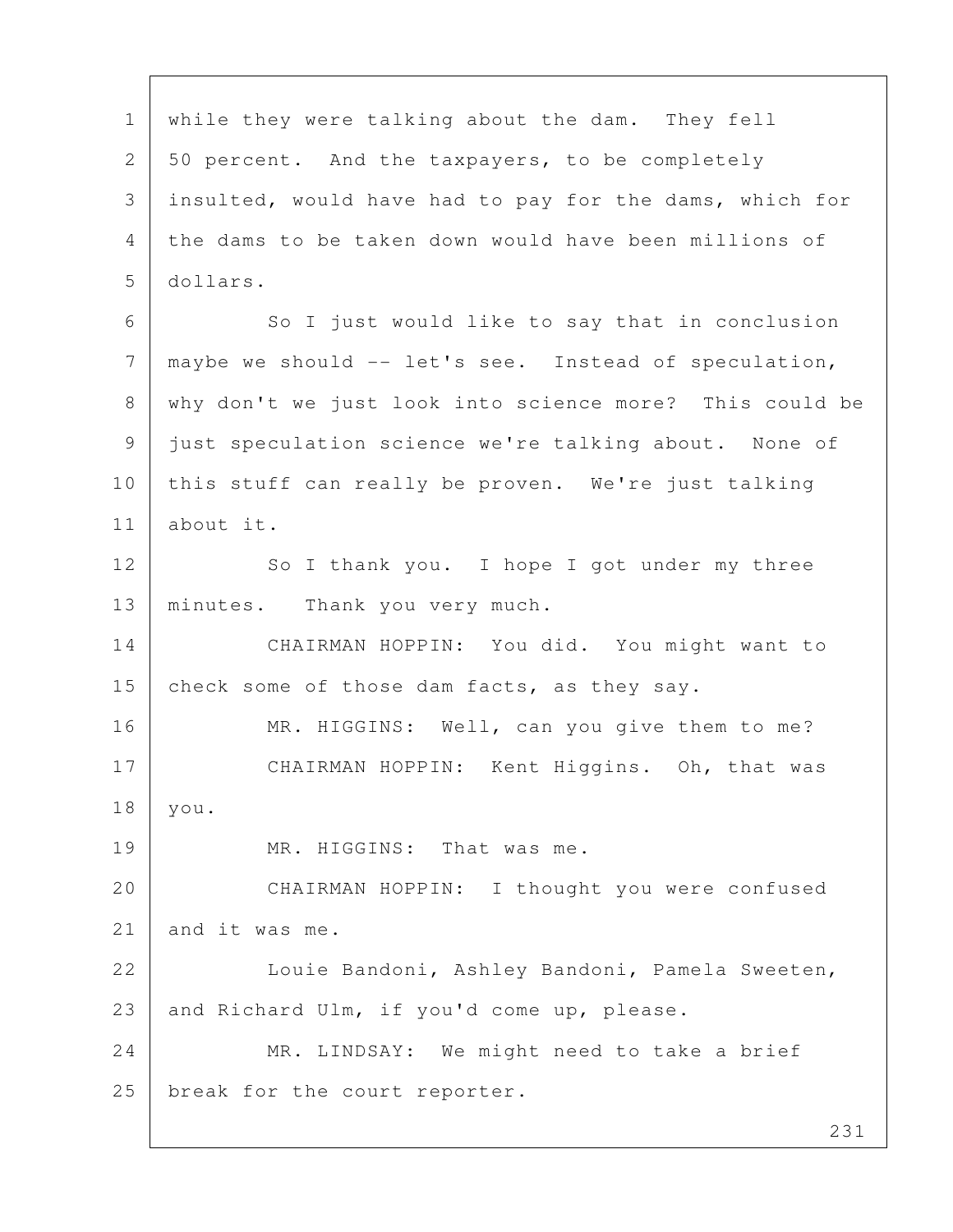1 while they were talking about the dam. They fell 2 50 percent. And the taxpayers, to be completely 3 insulted, would have had to pay for the dams, which for 4 the dams to be taken down would have been millions of 5 dollars. 6 So I just would like to say that in conclusion 7 maybe we should -- let's see. Instead of speculation, 8 why don't we just look into science more? This could be 9 just speculation science we're talking about. None of 10 this stuff can really be proven. We're just talking 11 about it. 12 So I thank you. I hope I got under my three 13 | minutes. Thank you very much. 14 CHAIRMAN HOPPIN: You did. You might want to 15 check some of those dam facts, as they say. 16 MR. HIGGINS: Well, can you give them to me? 17 CHAIRMAN HOPPIN: Kent Higgins. Oh, that was 18 you. 19 MR. HIGGINS: That was me. 20 CHAIRMAN HOPPIN: I thought you were confused 21 and it was me. 22 | Louie Bandoni, Ashley Bandoni, Pamela Sweeten, 23 and Richard Ulm, if you'd come up, please. 24 MR. LINDSAY: We might need to take a brief 25 | break for the court reporter.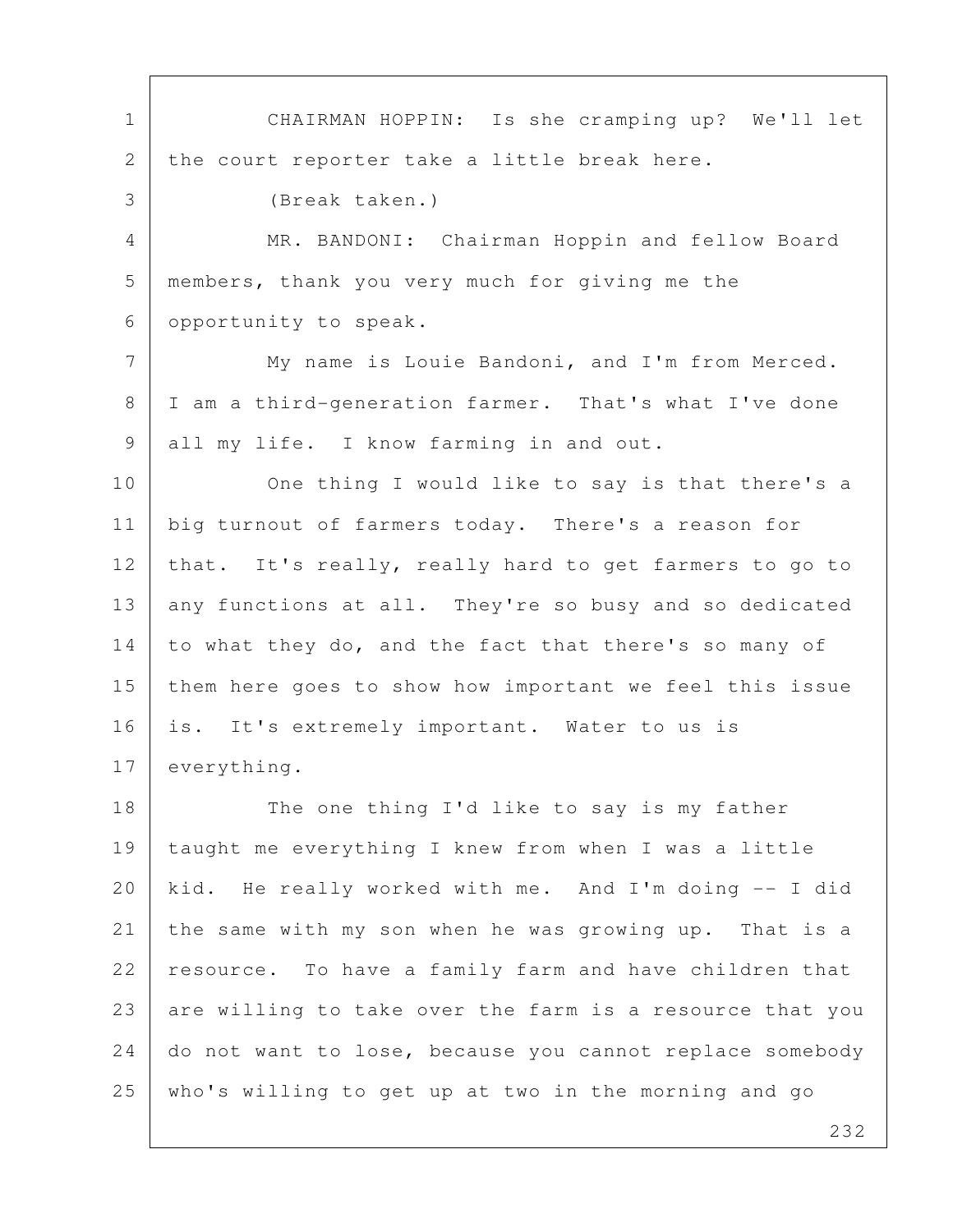1 CHAIRMAN HOPPIN: Is she cramping up? We'll let 2 the court reporter take a little break here. 3 (Break taken.) 4 MR. BANDONI: Chairman Hoppin and fellow Board 5 members, thank you very much for giving me the 6 opportunity to speak. 7 | My name is Louie Bandoni, and I'm from Merced. 8 | I am a third-generation farmer. That's what I've done 9 all my life. I know farming in and out. 10 One thing I would like to say is that there's a 11 | big turnout of farmers today. There's a reason for 12 that. It's really, really hard to get farmers to go to 13 any functions at all. They're so busy and so dedicated 14 to what they do, and the fact that there's so many of 15 them here goes to show how important we feel this issue 16 is. It's extremely important. Water to us is 17 everything. 18 The one thing I'd like to say is my father 19 taught me everything I knew from when I was a little 20 kid. He really worked with me. And I'm doing -- I did 21 the same with my son when he was growing up. That is a 22 resource. To have a family farm and have children that 23 are willing to take over the farm is a resource that you 24 do not want to lose, because you cannot replace somebody 25 who's willing to get up at two in the morning and go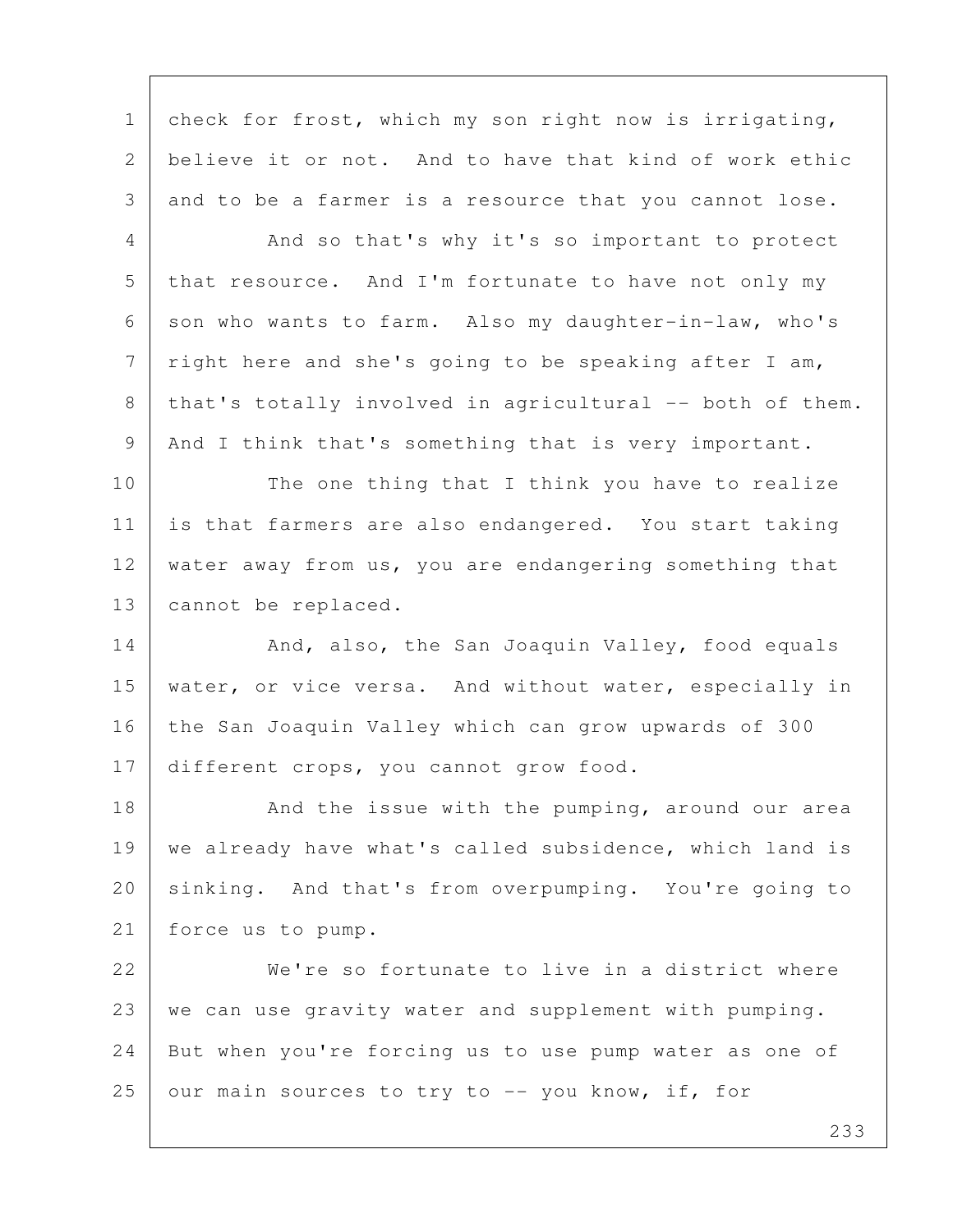1 check for frost, which my son right now is irrigating, 2 believe it or not. And to have that kind of work ethic 3 and to be a farmer is a resource that you cannot lose.

4 And so that's why it's so important to protect 5 that resource. And I'm fortunate to have not only my 6 son who wants to farm. Also my daughter-in-law, who's  $7$  right here and she's going to be speaking after I am,  $8$  that's totally involved in agricultural -- both of them. 9 And I think that's something that is very important.

10 The one thing that I think you have to realize 11 is that farmers are also endangered. You start taking 12 water away from us, you are endangering something that 13 cannot be replaced.

14 And, also, the San Joaquin Valley, food equals 15 water, or vice versa. And without water, especially in 16 the San Joaquin Valley which can grow upwards of 300 17 different crops, you cannot grow food.

18 And the issue with the pumping, around our area 19 | we already have what's called subsidence, which land is 20 sinking. And that's from overpumping. You're going to 21 force us to pump.

22 We're so fortunate to live in a district where 23 | we can use gravity water and supplement with pumping. 24 But when you're forcing us to use pump water as one of  $25$  our main sources to try to  $-$  you know, if, for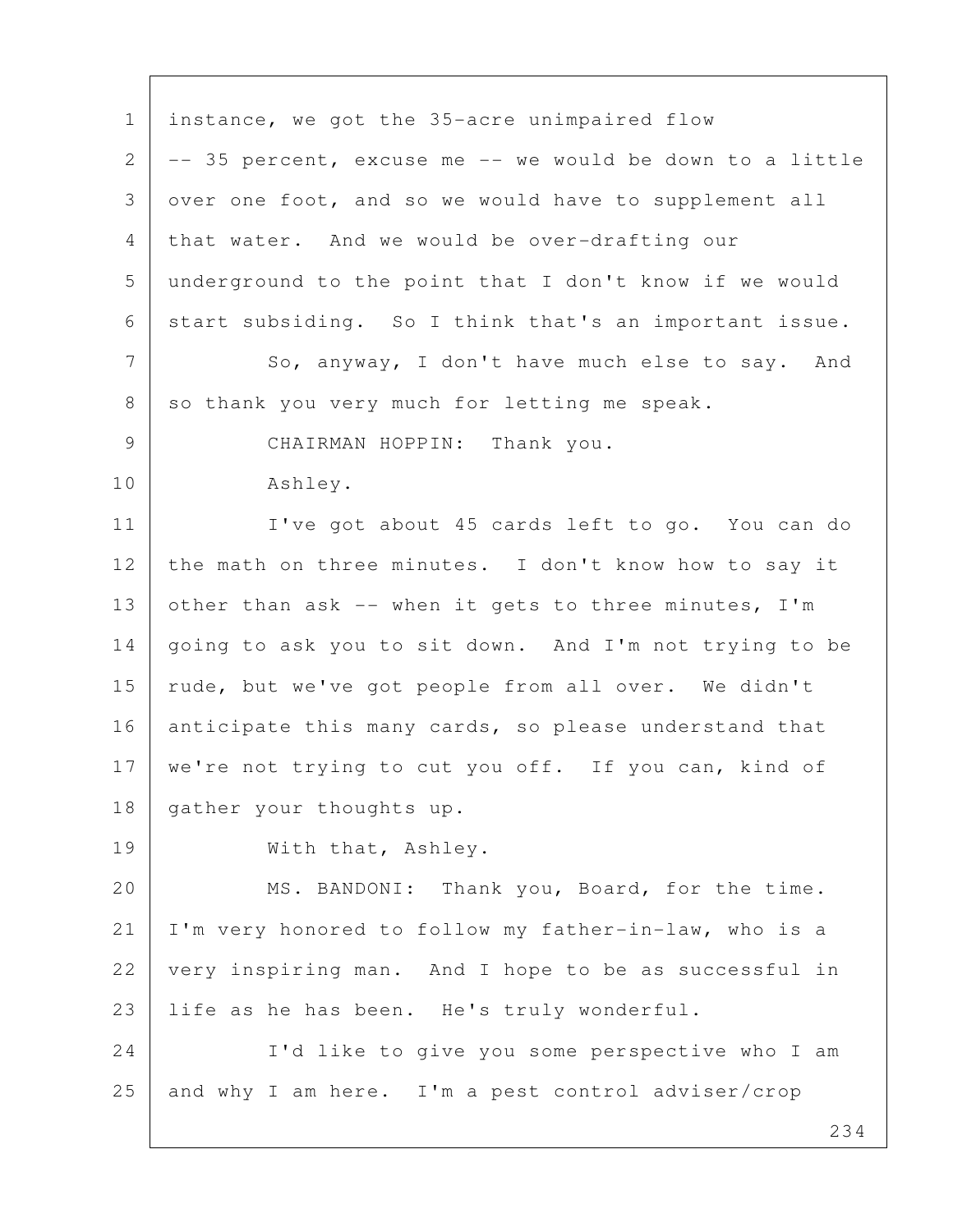1 instance, we got the 35-acre unimpaired flow  $2$  -- 35 percent, excuse me -- we would be down to a little 3 over one foot, and so we would have to supplement all 4 that water. And we would be over-drafting our 5 underground to the point that I don't know if we would 6 start subsiding. So I think that's an important issue. 7 So, anyway, I don't have much else to say. And 8 so thank you very much for letting me speak. 9 CHAIRMAN HOPPIN: Thank you. 10 Ashley. 11 | I've got about 45 cards left to go. You can do 12 the math on three minutes. I don't know how to say it 13 other than ask  $-$  when it gets to three minutes, I'm 14 going to ask you to sit down. And I'm not trying to be 15 | rude, but we've got people from all over. We didn't 16 anticipate this many cards, so please understand that 17 | we're not trying to cut you off. If you can, kind of 18 | gather your thoughts up. 19 With that, Ashley. 20 MS. BANDONI: Thank you, Board, for the time. 21 I'm very honored to follow my father-in-law, who is a 22 very inspiring man. And I hope to be as successful in 23 life as he has been. He's truly wonderful. 24 I'd like to give you some perspective who I am 25 and why I am here. I'm a pest control adviser/crop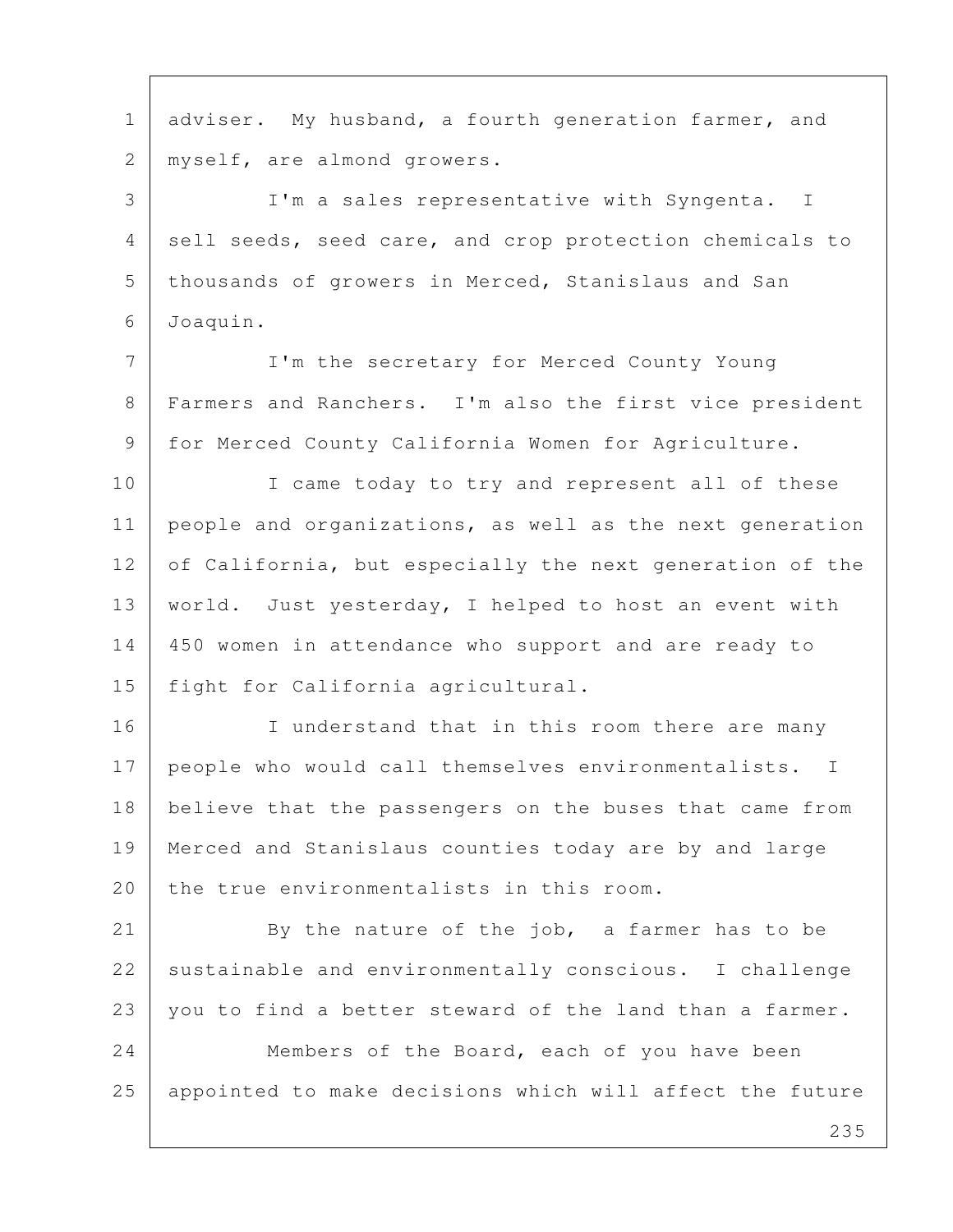235 1 adviser. My husband, a fourth generation farmer, and 2 | myself, are almond growers. 3 I'm a sales representative with Syngenta. I 4 sell seeds, seed care, and crop protection chemicals to 5 | thousands of growers in Merced, Stanislaus and San 6 Joaquin. 7 I'm the secretary for Merced County Young 8 Farmers and Ranchers. I'm also the first vice president 9 for Merced County California Women for Agriculture. 10 I came today to try and represent all of these 11 people and organizations, as well as the next generation 12 of California, but especially the next generation of the 13 | world. Just yesterday, I helped to host an event with 14 450 women in attendance who support and are ready to 15 fight for California agricultural. 16 I understand that in this room there are many 17 | people who would call themselves environmentalists. I 18 believe that the passengers on the buses that came from 19 Merced and Stanislaus counties today are by and large 20 the true environmentalists in this room. 21 By the nature of the job, a farmer has to be 22 sustainable and environmentally conscious. I challenge 23 you to find a better steward of the land than a farmer. 24 Members of the Board, each of you have been 25 appointed to make decisions which will affect the future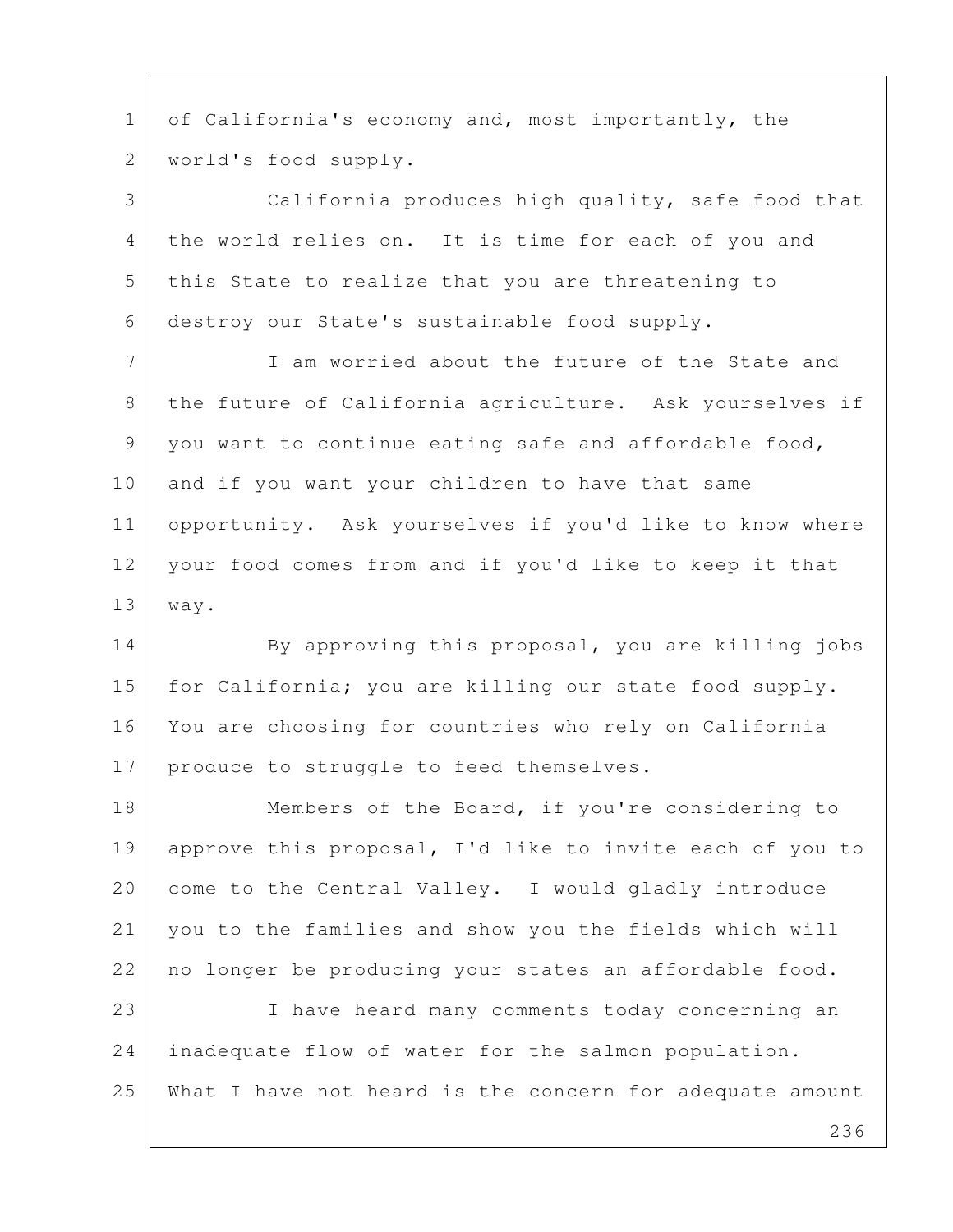1 of California's economy and, most importantly, the 2 world's food supply.

 3 California produces high quality, safe food that 4 the world relies on. It is time for each of you and 5 this State to realize that you are threatening to 6 destroy our State's sustainable food supply.

 7 I am worried about the future of the State and 8 the future of California agriculture. Ask yourselves if 9 you want to continue eating safe and affordable food, 10 and if you want your children to have that same 11 opportunity. Ask yourselves if you'd like to know where 12 your food comes from and if you'd like to keep it that 13 way.

14 By approving this proposal, you are killing jobs 15 | for California; you are killing our state food supply. 16 You are choosing for countries who rely on California 17 produce to struggle to feed themselves.

18 Members of the Board, if you're considering to 19 approve this proposal, I'd like to invite each of you to 20 come to the Central Valley. I would gladly introduce 21 you to the families and show you the fields which will 22 no longer be producing your states an affordable food.

23 I have heard many comments today concerning an 24 inadequate flow of water for the salmon population. 25 What I have not heard is the concern for adequate amount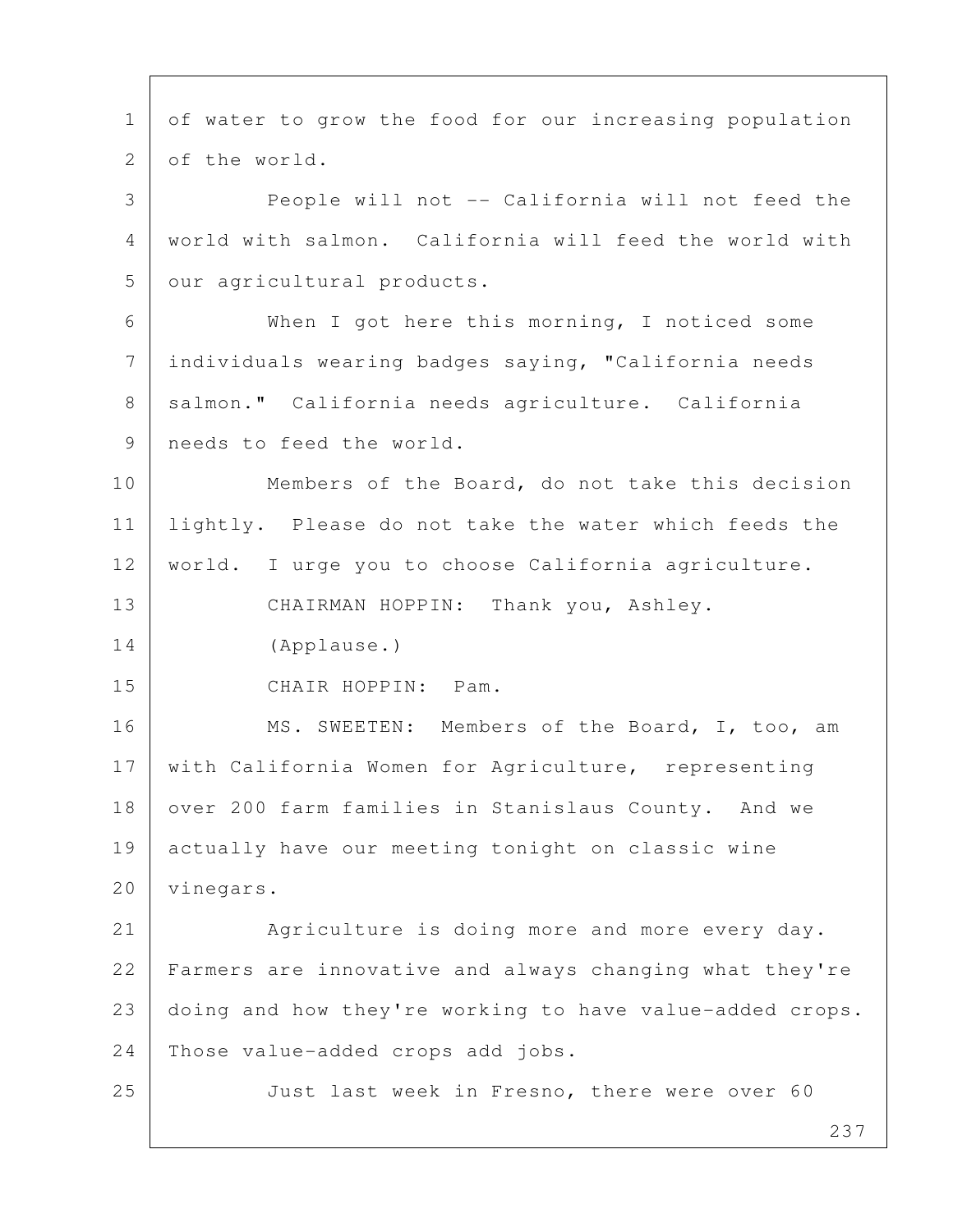237 1 of water to grow the food for our increasing population 2 of the world. 3 People will not -- California will not feed the 4 world with salmon. California will feed the world with 5 | our agricultural products. 6 When I got here this morning, I noticed some 7 individuals wearing badges saying, "California needs 8 | salmon." California needs agriculture. California 9 needs to feed the world. 10 Members of the Board, do not take this decision 11 lightly. Please do not take the water which feeds the 12 | world. I urge you to choose California agriculture. 13 CHAIRMAN HOPPIN: Thank you, Ashley. 14 (Applause.) 15 CHAIR HOPPIN: Pam. 16 MS. SWEETEN: Members of the Board, I, too, am 17 | with California Women for Agriculture, representing 18 over 200 farm families in Stanislaus County. And we 19 actually have our meeting tonight on classic wine 20 | vinegars. 21 Agriculture is doing more and more every day. 22 Farmers are innovative and always changing what they're 23 doing and how they're working to have value-added crops. 24 Those value-added crops add jobs. 25 Just last week in Fresno, there were over 60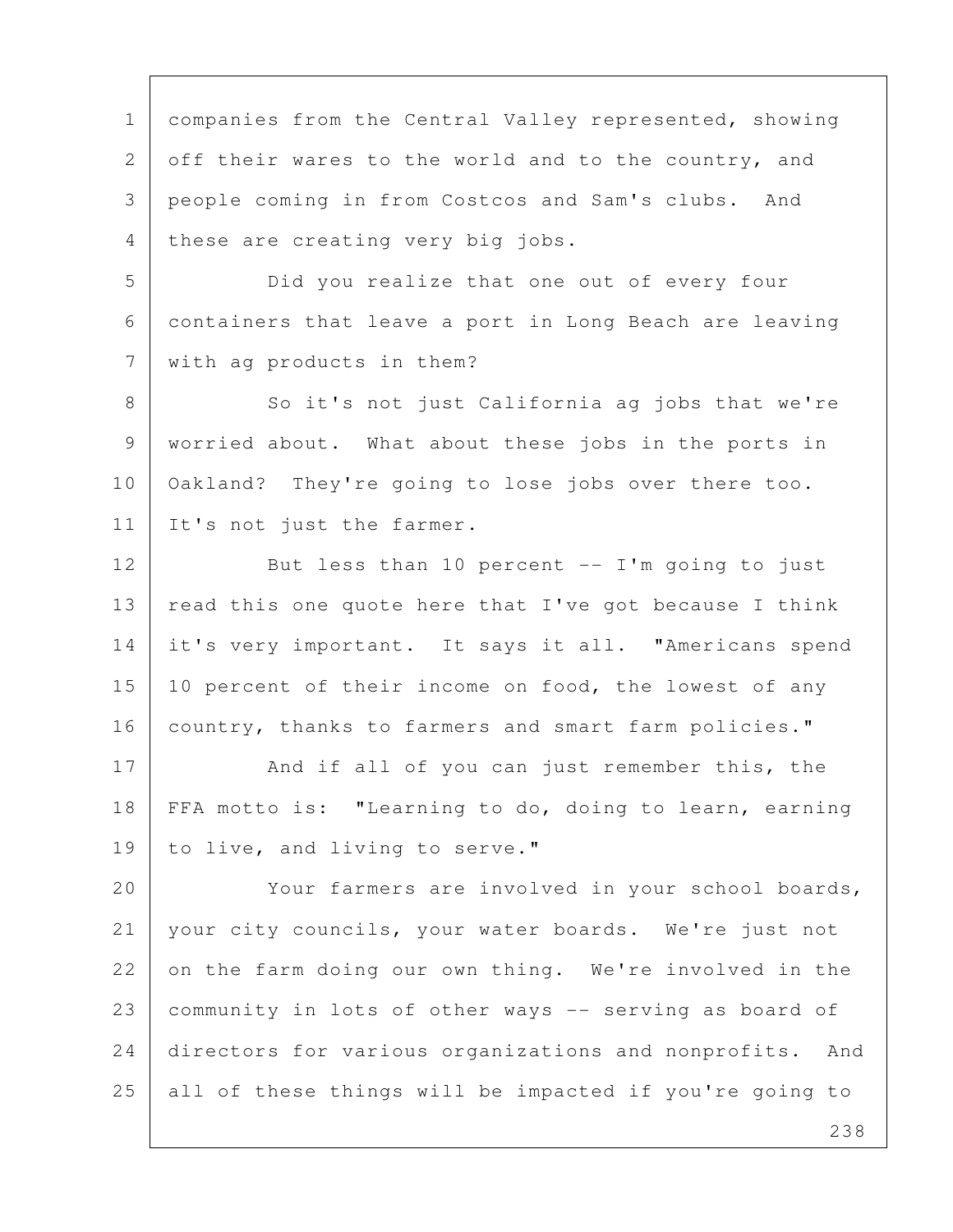1 | companies from the Central Valley represented, showing 2 off their wares to the world and to the country, and 3 people coming in from Costcos and Sam's clubs. And 4 these are creating very big jobs.

 5 Did you realize that one out of every four 6 containers that leave a port in Long Beach are leaving 7 with ag products in them?

8 So it's not just California ag jobs that we're 9 worried about. What about these jobs in the ports in 10 | Oakland? They're going to lose jobs over there too. 11 It's not just the farmer.

12 But less than 10 percent -- I'm going to just 13 | read this one quote here that I've got because I think 14 it's very important. It says it all. "Americans spend 15 | 10 percent of their income on food, the lowest of any 16 | country, thanks to farmers and smart farm policies."

17 And if all of you can just remember this, the 18 FFA motto is: "Learning to do, doing to learn, earning 19 to live, and living to serve."

20 Your farmers are involved in your school boards, 21 your city councils, your water boards. We're just not 22 on the farm doing our own thing. We're involved in the 23 community in lots of other ways -- serving as board of 24 directors for various organizations and nonprofits. And 25 all of these things will be impacted if you're going to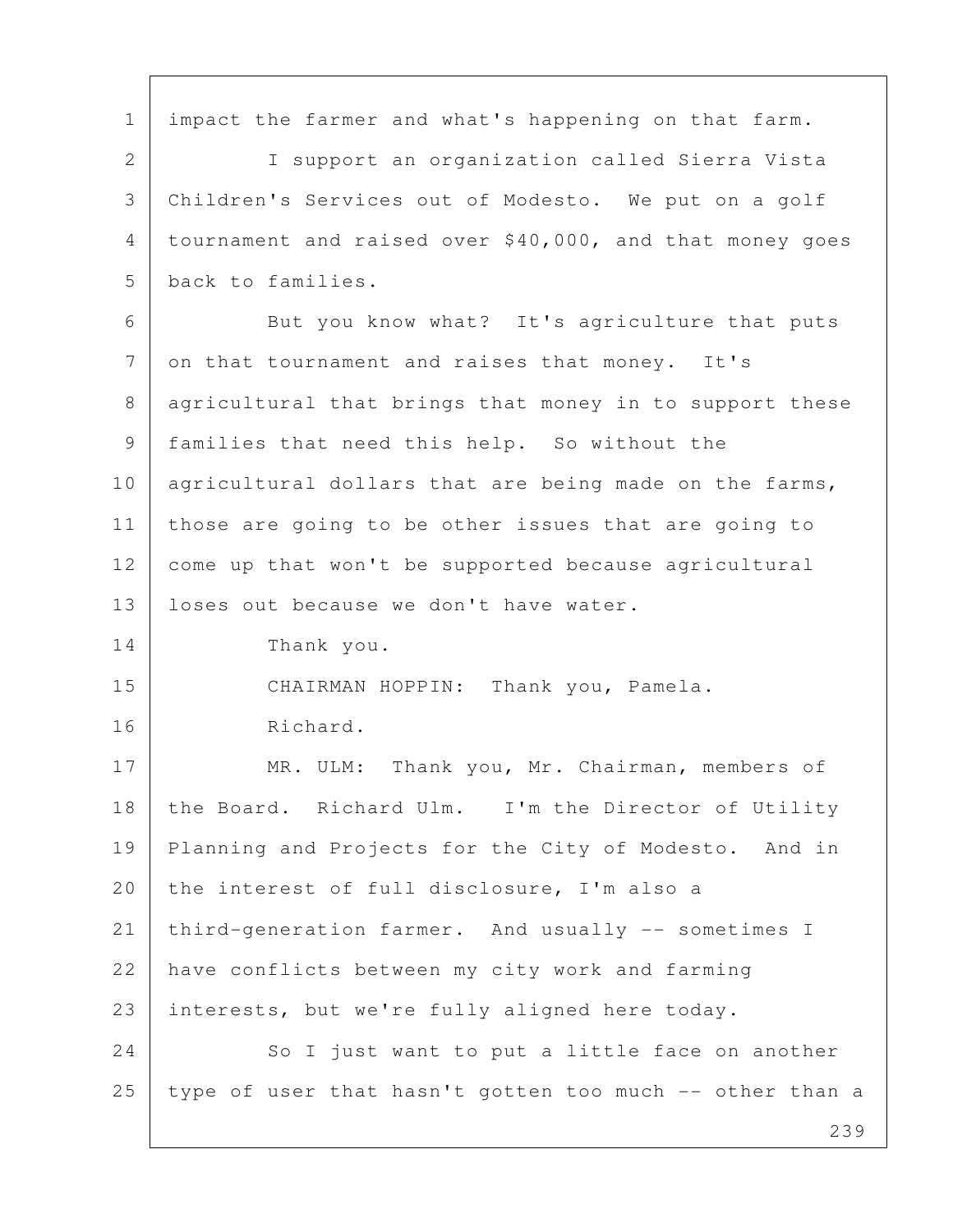1 | impact the farmer and what's happening on that farm. 2 I support an organization called Sierra Vista 3 Children's Services out of Modesto. We put on a golf 4 tournament and raised over \$40,000, and that money goes 5 back to families. 6 But you know what? It's agriculture that puts 7 on that tournament and raises that money. It's 8 | agricultural that brings that money in to support these 9 families that need this help. So without the 10 agricultural dollars that are being made on the farms, 11 | those are going to be other issues that are going to 12 come up that won't be supported because agricultural 13 | loses out because we don't have water. 14 Thank you. 15 CHAIRMAN HOPPIN: Thank you, Pamela. 16 Richard. 17 MR. ULM: Thank you, Mr. Chairman, members of 18 the Board. Richard Ulm. I'm the Director of Utility 19 Planning and Projects for the City of Modesto. And in 20 the interest of full disclosure, I'm also a 21 third-generation farmer. And usually -- sometimes I 22 have conflicts between my city work and farming 23 interests, but we're fully aligned here today. 24 So I just want to put a little face on another 25 type of user that hasn't gotten too much -- other than a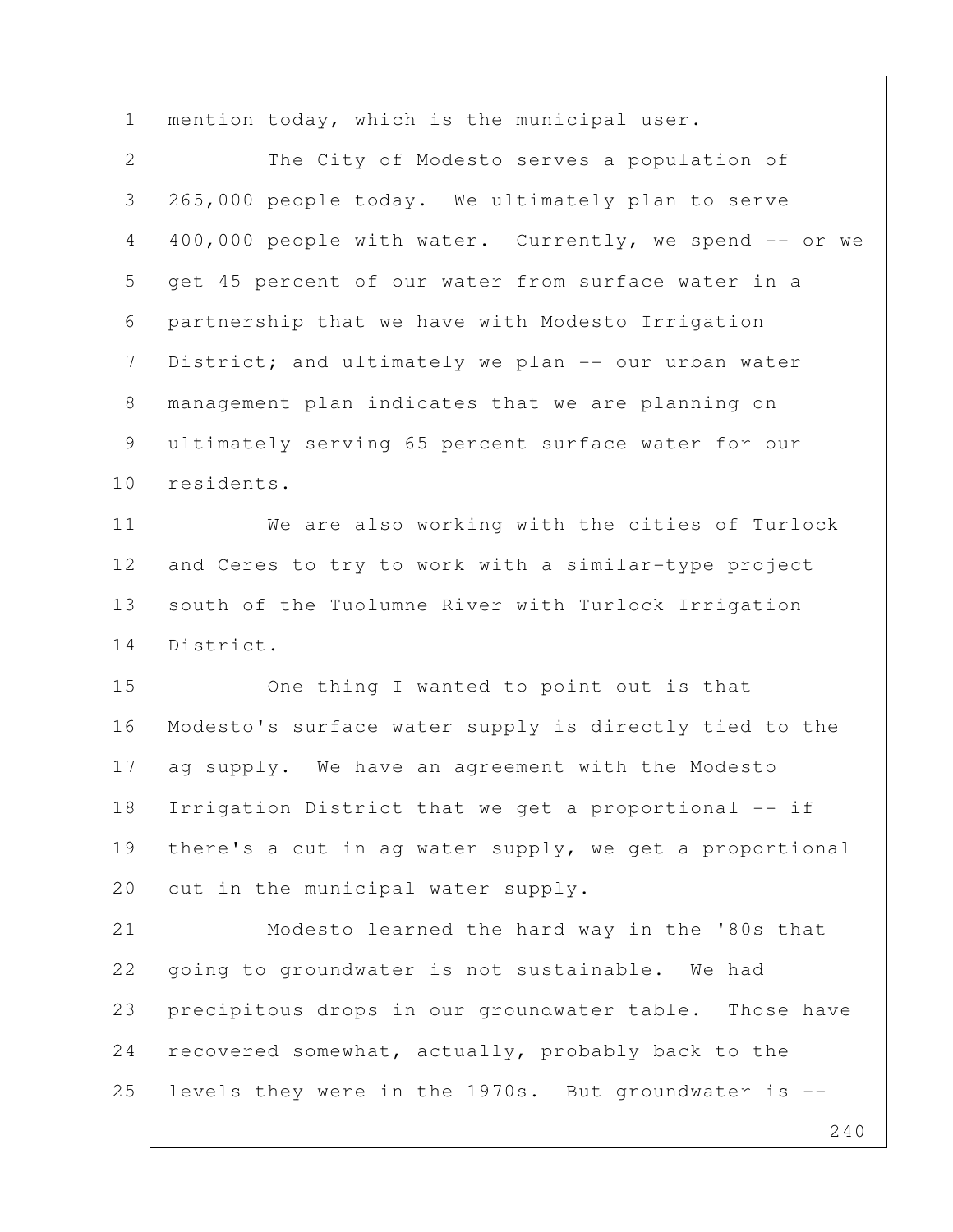1 | mention today, which is the municipal user. 2 The City of Modesto serves a population of 3 265,000 people today. We ultimately plan to serve 4 400,000 people with water. Currently, we spend -- or we 5 get 45 percent of our water from surface water in a 6 partnership that we have with Modesto Irrigation 7 District; and ultimately we plan -- our urban water 8 management plan indicates that we are planning on 9 ultimately serving 65 percent surface water for our 10 residents. 11 We are also working with the cities of Turlock 12 and Ceres to try to work with a similar-type project 13 south of the Tuolumne River with Turlock Irrigation 14 District. 15 One thing I wanted to point out is that 16 Modesto's surface water supply is directly tied to the 17 ag supply. We have an agreement with the Modesto 18 Irrigation District that we get a proportional -- if 19 | there's a cut in ag water supply, we get a proportional 20 cut in the municipal water supply. 21 Modesto learned the hard way in the '80s that 22 | going to groundwater is not sustainable. We had 23 precipitous drops in our groundwater table. Those have 24 recovered somewhat, actually, probably back to the 25 levels they were in the 1970s. But groundwater is --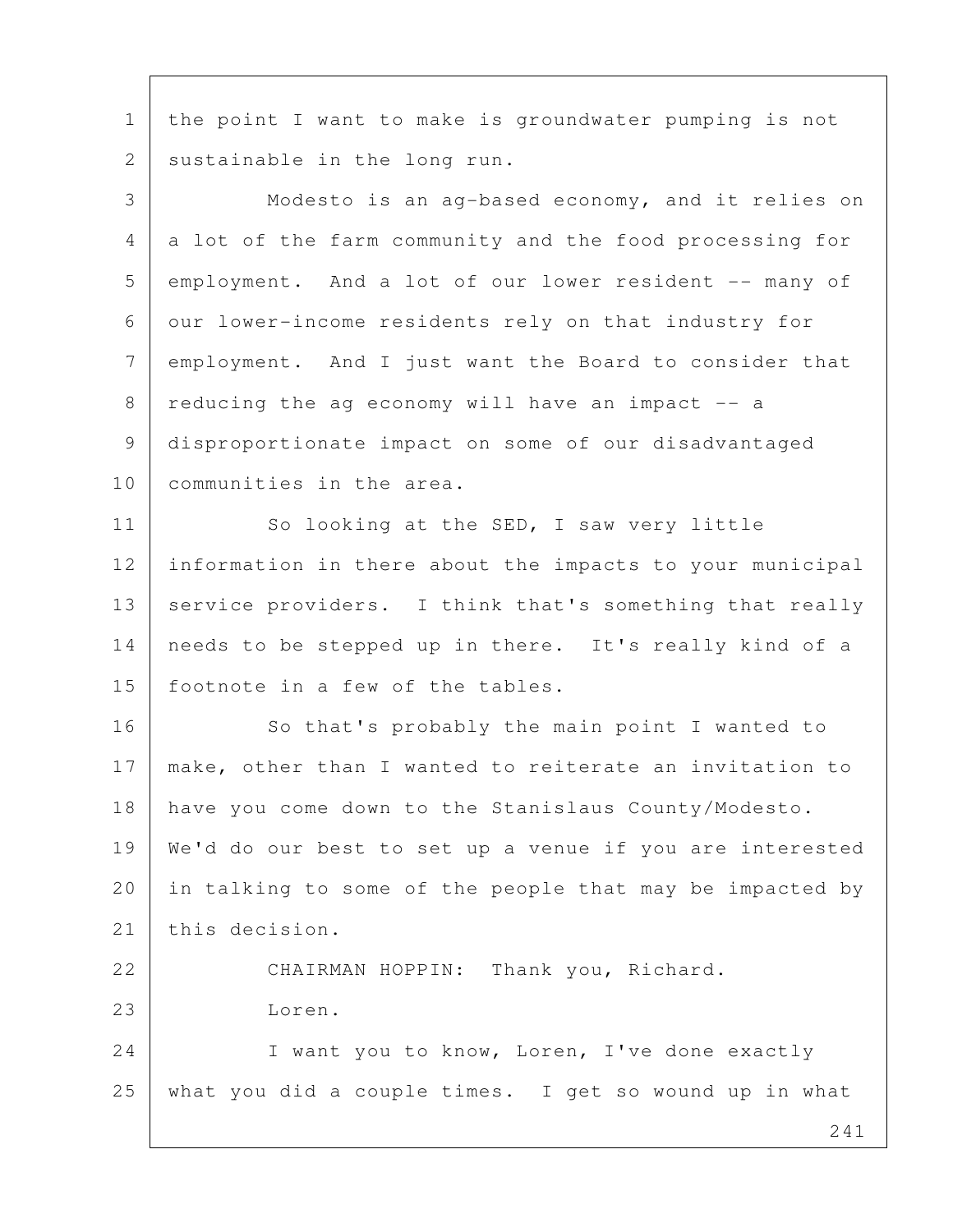1 | the point I want to make is groundwater pumping is not 2 sustainable in the long run.

 241 3 Modesto is an ag-based economy, and it relies on 4 a lot of the farm community and the food processing for 5 employment. And a lot of our lower resident -- many of 6 our lower-income residents rely on that industry for 7 employment. And I just want the Board to consider that 8 reducing the ag economy will have an impact -- a 9 disproportionate impact on some of our disadvantaged 10 communities in the area. 11 So looking at the SED, I saw very little 12 information in there about the impacts to your municipal 13 service providers. I think that's something that really 14 needs to be stepped up in there. It's really kind of a 15 footnote in a few of the tables. 16 So that's probably the main point I wanted to 17 make, other than I wanted to reiterate an invitation to 18 have you come down to the Stanislaus County/Modesto. 19 We'd do our best to set up a venue if you are interested 20 in talking to some of the people that may be impacted by 21 this decision. 22 CHAIRMAN HOPPIN: Thank you, Richard. 23 Loren. 24 I want you to know, Loren, I've done exactly 25 what you did a couple times. I get so wound up in what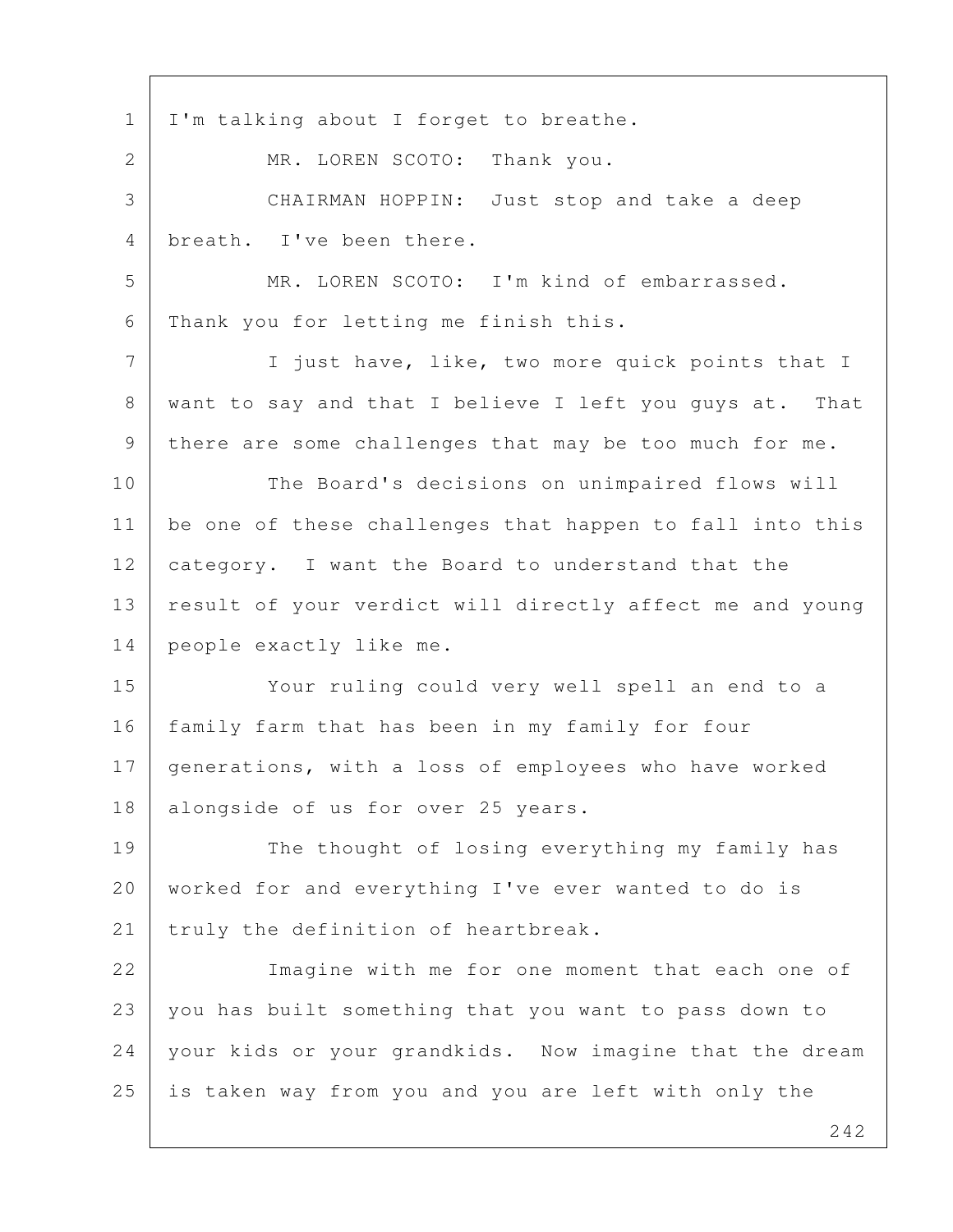1 | I'm talking about I forget to breathe. 2 MR. LOREN SCOTO: Thank you. 3 CHAIRMAN HOPPIN: Just stop and take a deep 4 breath. I've been there. 5 MR. LOREN SCOTO: I'm kind of embarrassed. 6 Thank you for letting me finish this. 7 | I just have, like, two more quick points that I 8 | want to say and that I believe I left you quys at. That 9 there are some challenges that may be too much for me. 10 The Board's decisions on unimpaired flows will 11 | be one of these challenges that happen to fall into this 12 category. I want the Board to understand that the 13 | result of your verdict will directly affect me and young 14 people exactly like me. 15 Your ruling could very well spell an end to a 16 | family farm that has been in my family for four 17 generations, with a loss of employees who have worked 18 | alongside of us for over 25 years. 19 The thought of losing everything my family has 20 worked for and everything I've ever wanted to do is 21 | truly the definition of heartbreak. 22 Imagine with me for one moment that each one of 23 you has built something that you want to pass down to 24 your kids or your grandkids. Now imagine that the dream 25 is taken way from you and you are left with only the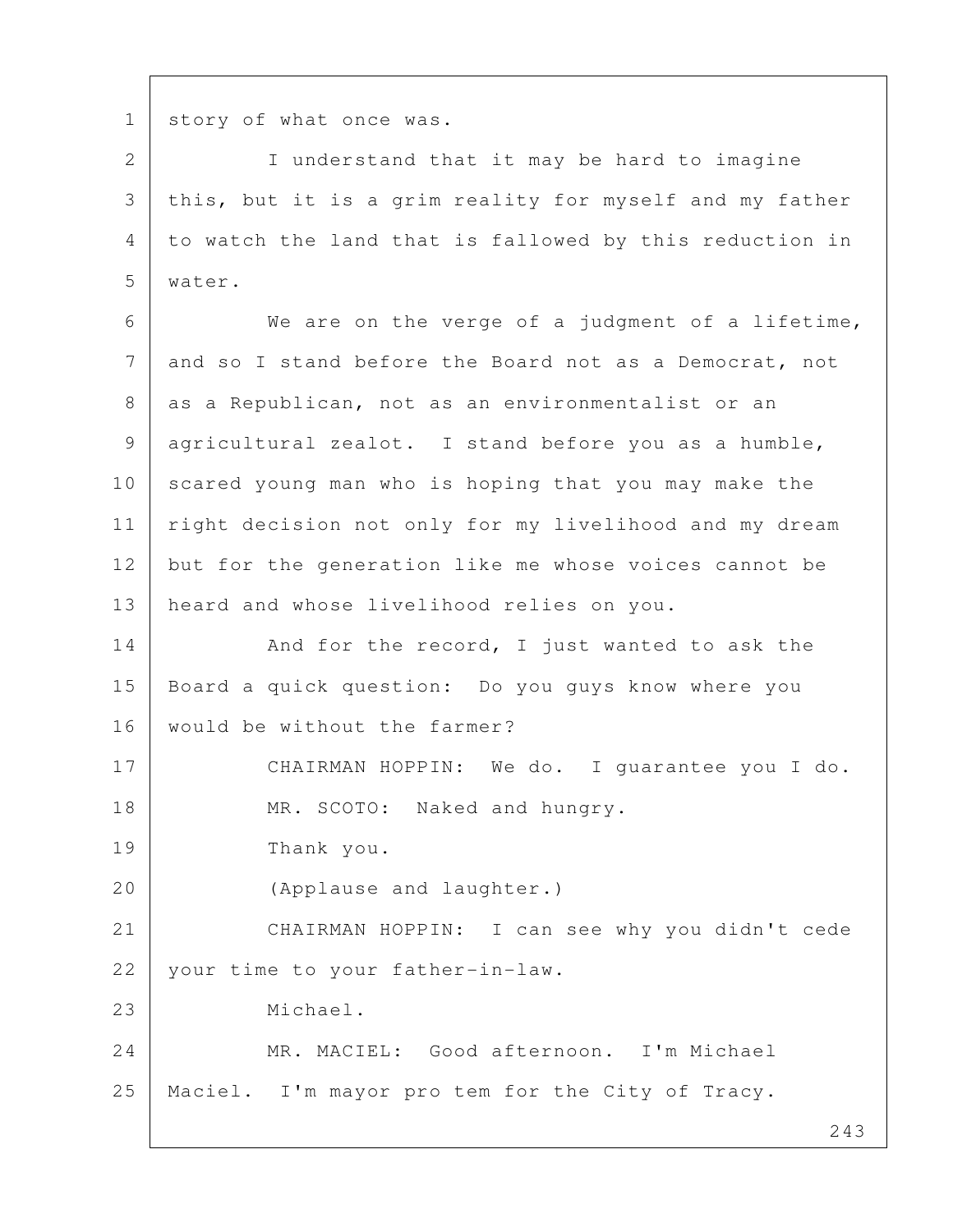1 story of what once was.

2 I understand that it may be hard to imagine 3 this, but it is a grim reality for myself and my father 4 to watch the land that is fallowed by this reduction in 5 water.

 6 We are on the verge of a judgment of a lifetime, 7 and so I stand before the Board not as a Democrat, not 8 | as a Republican, not as an environmentalist or an 9 agricultural zealot. I stand before you as a humble, 10 scared young man who is hoping that you may make the 11 | right decision not only for my livelihood and my dream 12 but for the generation like me whose voices cannot be 13 heard and whose livelihood relies on you.

14 And for the record, I just wanted to ask the 15 Board a quick question: Do you guys know where you 16 | would be without the farmer?

17 CHAIRMAN HOPPIN: We do. I quarantee you I do. 18 MR. SCOTO: Naked and hungry.

19 Thank you.

20 (Applause and laughter.)

21 CHAIRMAN HOPPIN: I can see why you didn't cede 22 your time to your father-in-law.

23 Michael.

24 MR. MACIEL: Good afternoon. I'm Michael 25 Maciel. I'm mayor pro tem for the City of Tracy.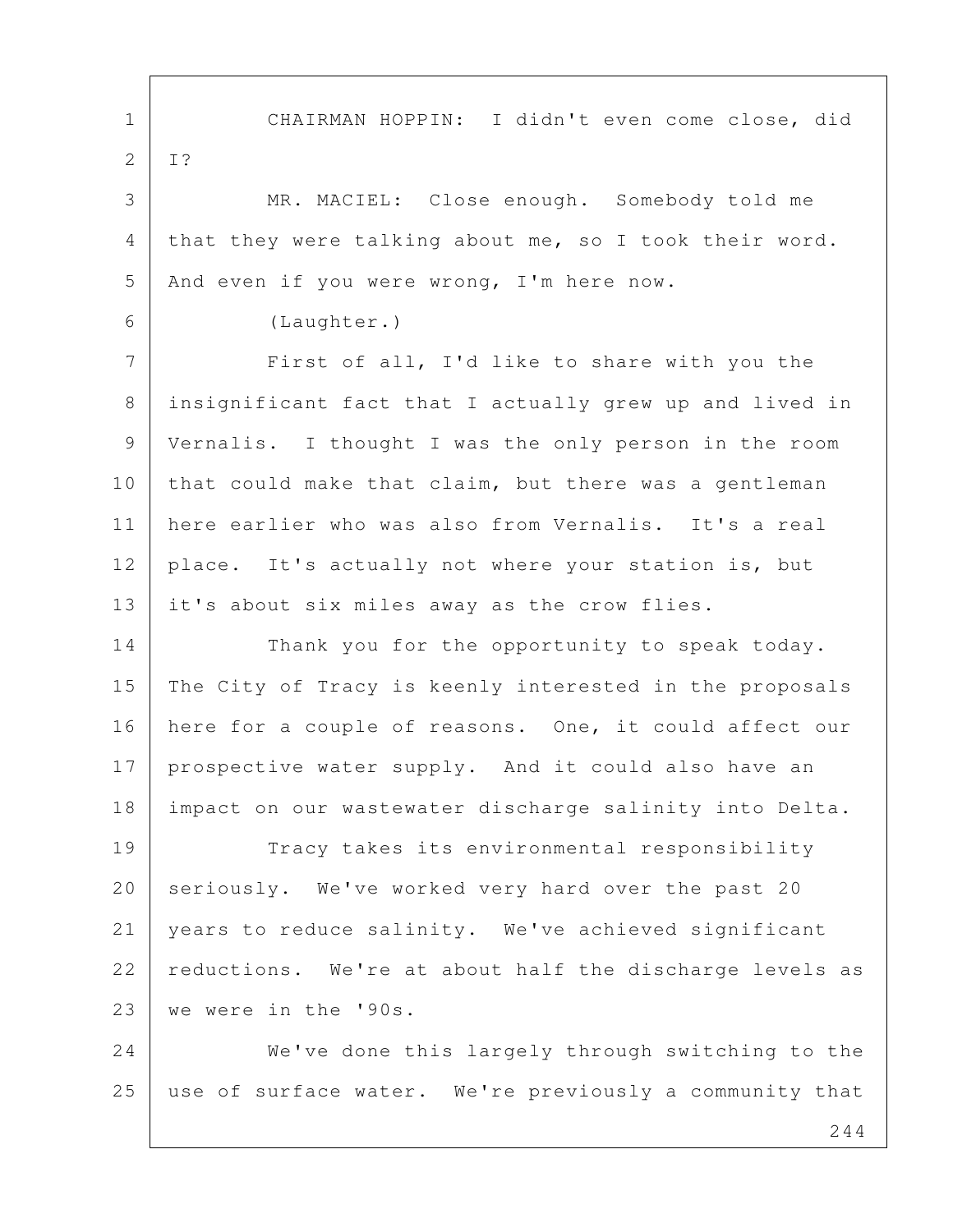1 CHAIRMAN HOPPIN: I didn't even come close, did 2 I? 3 MR. MACIEL: Close enough. Somebody told me 4 that they were talking about me, so I took their word. 5 | And even if you were wrong, I'm here now. 6 (Laughter.) 7 First of all, I'd like to share with you the 8 insignificant fact that I actually grew up and lived in 9 Vernalis. I thought I was the only person in the room 10 that could make that claim, but there was a gentleman 11 here earlier who was also from Vernalis. It's a real 12 | place. It's actually not where your station is, but 13 it's about six miles away as the crow flies. 14 Thank you for the opportunity to speak today. 15 The City of Tracy is keenly interested in the proposals 16 here for a couple of reasons. One, it could affect our 17 prospective water supply. And it could also have an 18 impact on our wastewater discharge salinity into Delta. 19 Tracy takes its environmental responsibility 20 seriously. We've worked very hard over the past 20 21 years to reduce salinity. We've achieved significant 22 reductions. We're at about half the discharge levels as 23 we were in the '90s. 24 We've done this largely through switching to the

25 | use of surface water. We're previously a community that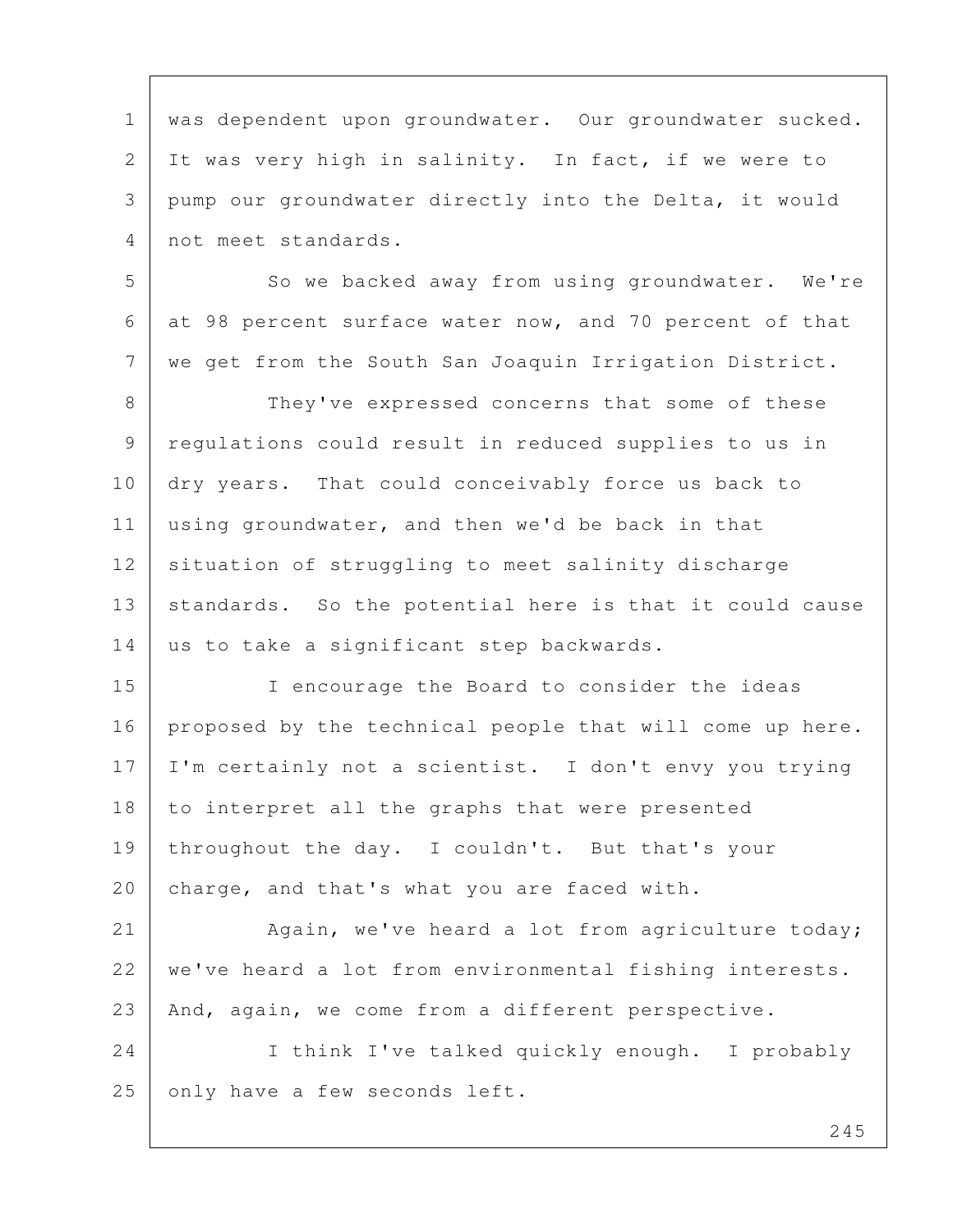1 | was dependent upon groundwater. Our groundwater sucked. 2 It was very high in salinity. In fact, if we were to 3 pump our groundwater directly into the Delta, it would 4 not meet standards.

5 So we backed away from using groundwater. We're 6 at 98 percent surface water now, and 70 percent of that 7 we get from the South San Joaquin Irrigation District.

8 They've expressed concerns that some of these 9 regulations could result in reduced supplies to us in 10 dry years. That could conceivably force us back to 11 using groundwater, and then we'd be back in that 12 situation of struggling to meet salinity discharge 13 | standards. So the potential here is that it could cause 14 us to take a significant step backwards.

15 I encourage the Board to consider the ideas 16 | proposed by the technical people that will come up here. 17 I'm certainly not a scientist. I don't envy you trying 18 to interpret all the graphs that were presented 19 throughout the day. I couldn't. But that's your 20 charge, and that's what you are faced with.

21 Again, we've heard a lot from agriculture today; 22 we've heard a lot from environmental fishing interests. 23 And, again, we come from a different perspective.

24 I think I've talked quickly enough. I probably 25 only have a few seconds left.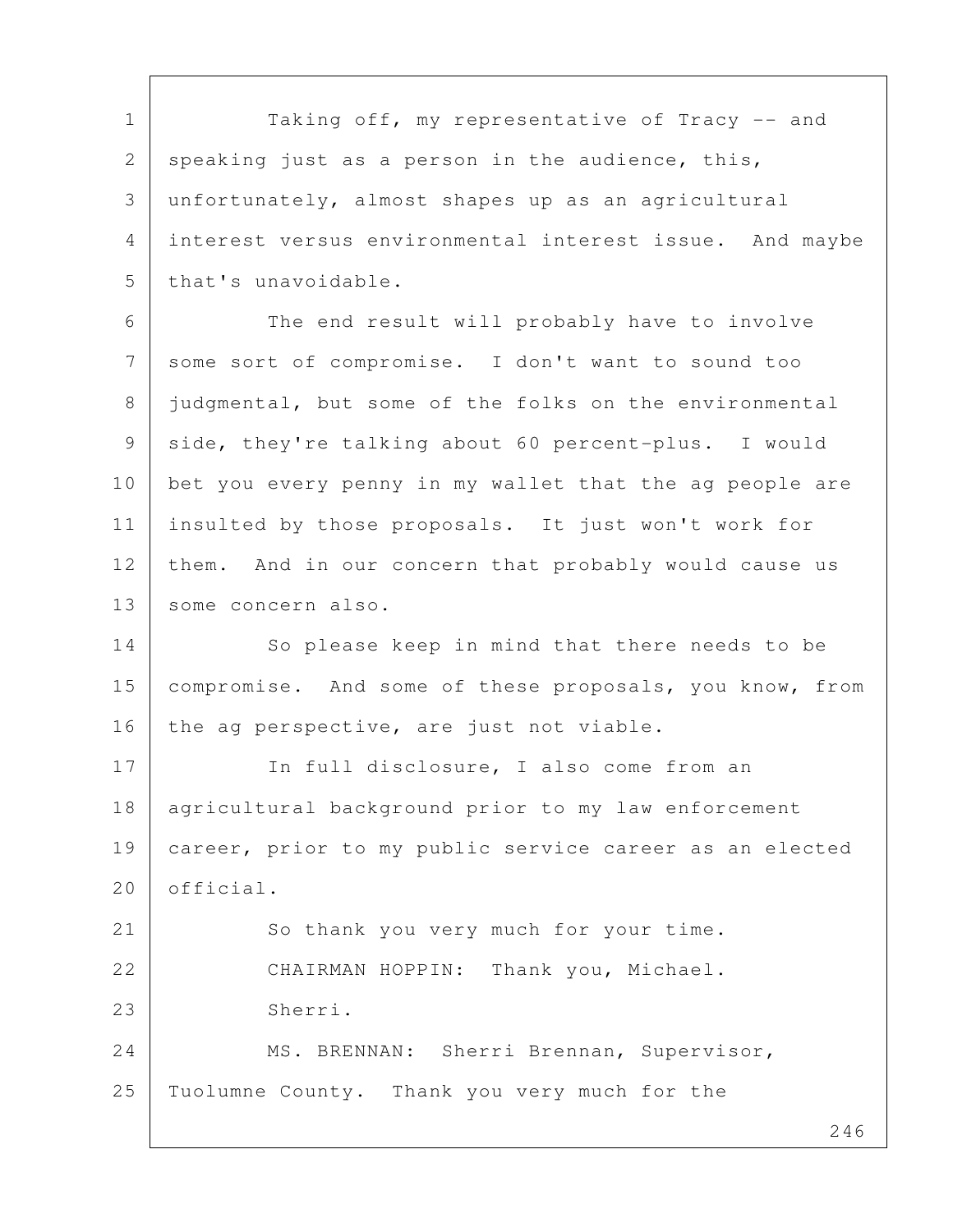1 | Taking off, my representative of Tracy -- and 2 speaking just as a person in the audience, this, 3 unfortunately, almost shapes up as an agricultural 4 interest versus environmental interest issue. And maybe 5 that's unavoidable.

6 The end result will probably have to involve 7 some sort of compromise. I don't want to sound too 8 | judgmental, but some of the folks on the environmental 9 side, they're talking about 60 percent-plus. I would 10 bet you every penny in my wallet that the ag people are 11 insulted by those proposals. It just won't work for 12 them. And in our concern that probably would cause us 13 | some concern also.

14 So please keep in mind that there needs to be 15 compromise. And some of these proposals, you know, from 16 the ag perspective, are just not viable.

17 In full disclosure, I also come from an 18 agricultural background prior to my law enforcement 19 career, prior to my public service career as an elected 20 official.

21 So thank you very much for your time. 22 CHAIRMAN HOPPIN: Thank you, Michael. 23 Sherri. 24 MS. BRENNAN: Sherri Brennan, Supervisor,

25 Tuolumne County. Thank you very much for the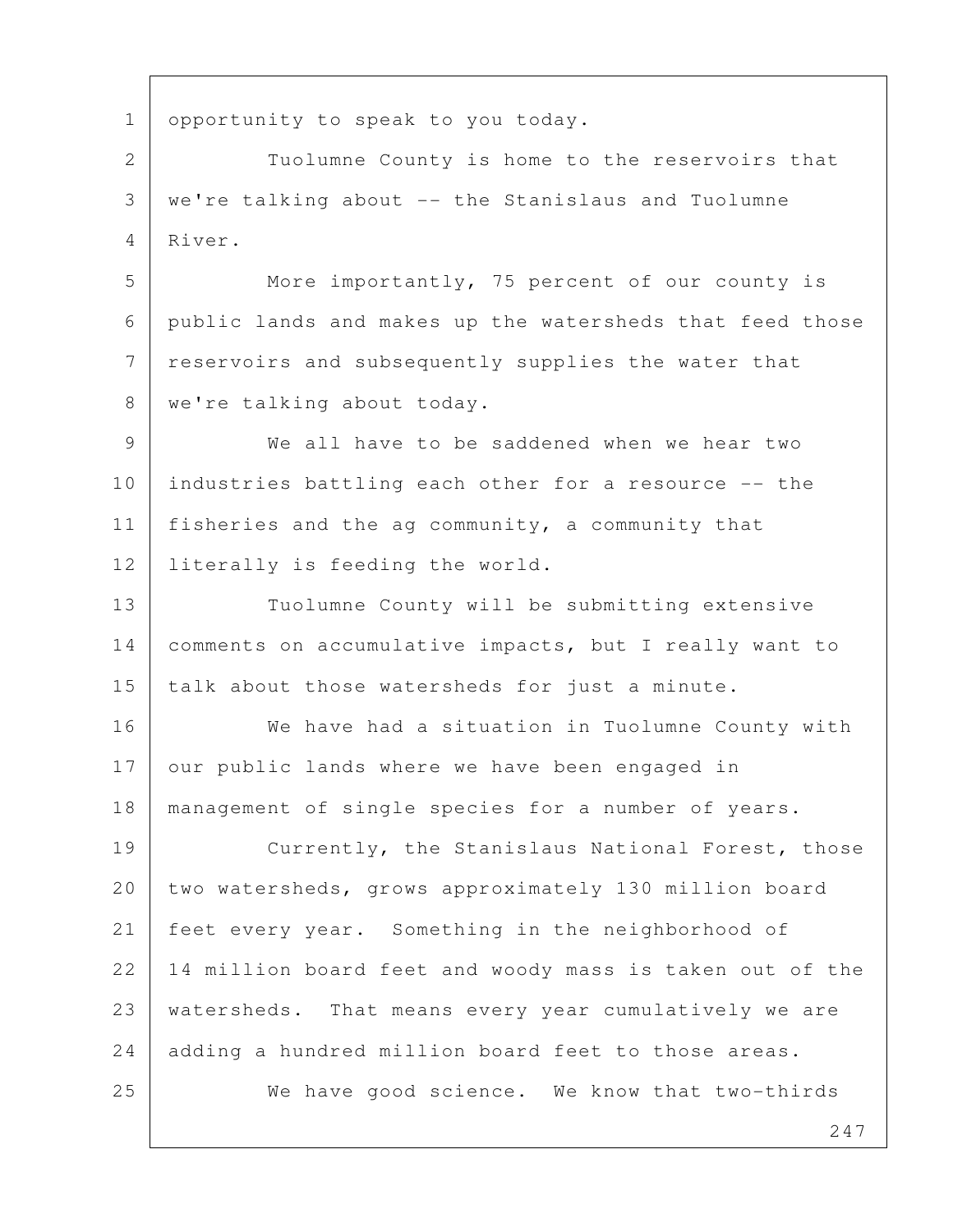1 opportunity to speak to you today.

2 Tuolumne County is home to the reservoirs that 3 we're talking about -- the Stanislaus and Tuolumne 4 River.

5 More importantly, 75 percent of our county is 6 public lands and makes up the watersheds that feed those 7 reservoirs and subsequently supplies the water that 8 | we're talking about today.

 9 We all have to be saddened when we hear two 10 industries battling each other for a resource -- the 11 | fisheries and the ag community, a community that 12 literally is feeding the world.

13 Tuolumne County will be submitting extensive 14 comments on accumulative impacts, but I really want to 15 talk about those watersheds for just a minute.

16 | We have had a situation in Tuolumne County with 17 our public lands where we have been engaged in 18 management of single species for a number of years. 19 | Currently, the Stanislaus National Forest, those 20 two watersheds, grows approximately 130 million board 21 feet every year. Something in the neighborhood of 22 14 million board feet and woody mass is taken out of the 23 | watersheds. That means every year cumulatively we are 24 adding a hundred million board feet to those areas. 25 We have good science. We know that two-thirds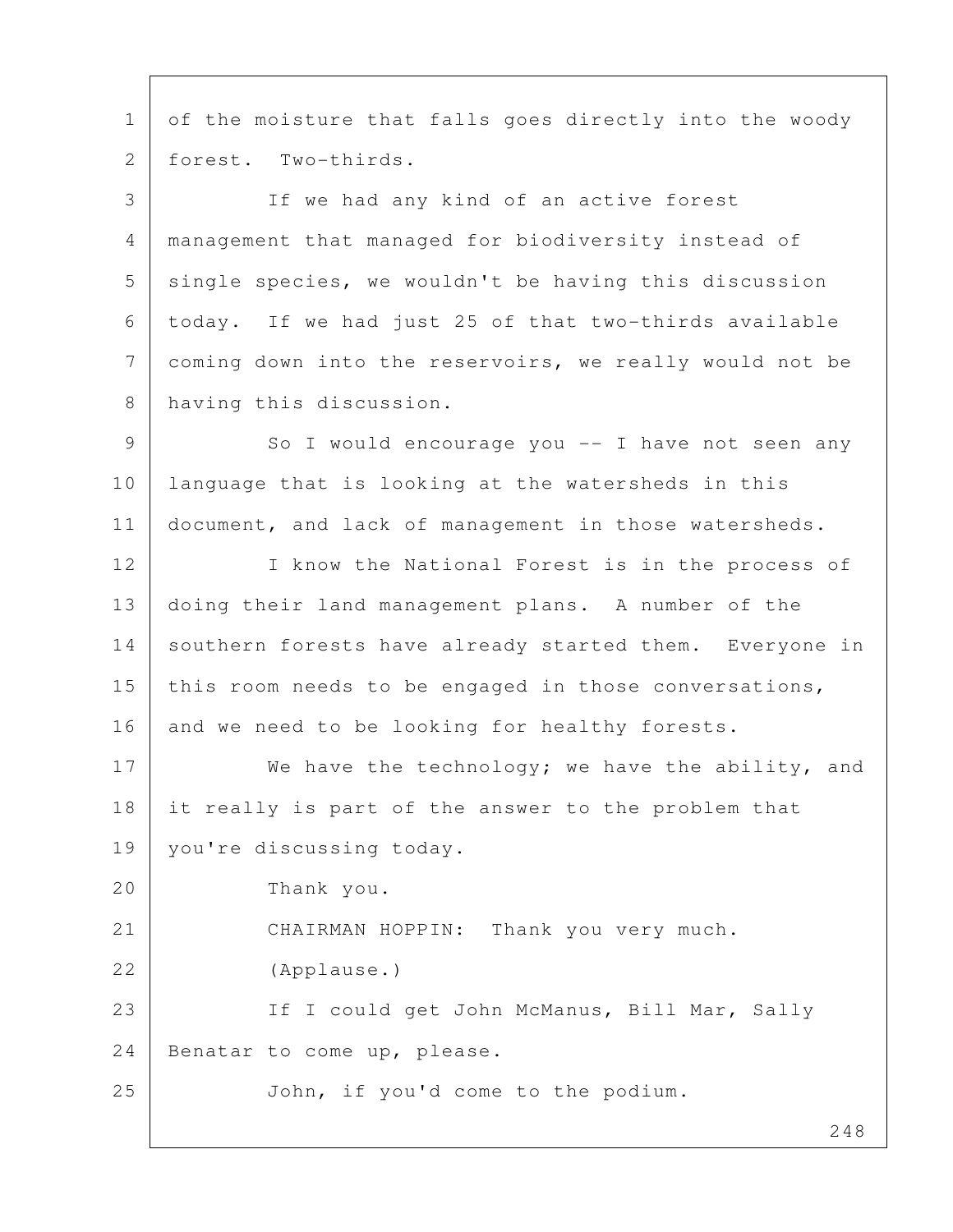1 of the moisture that falls goes directly into the woody 2 forest. Two-thirds.

 3 If we had any kind of an active forest 4 management that managed for biodiversity instead of  $5$  single species, we wouldn't be having this discussion 6 today. If we had just 25 of that two-thirds available 7 coming down into the reservoirs, we really would not be 8 having this discussion.

9 So I would encourage you -- I have not seen any 10 language that is looking at the watersheds in this 11 document, and lack of management in those watersheds.

12 I know the National Forest is in the process of 13 doing their land management plans. A number of the 14 southern forests have already started them. Everyone in 15 | this room needs to be engaged in those conversations, 16 and we need to be looking for healthy forests.

17 We have the technology; we have the ability, and 18 it really is part of the answer to the problem that 19 | you're discussing today.

20 Thank you.

21 CHAIRMAN HOPPIN: Thank you very much.

22 (Applause.)

23 | If I could get John McManus, Bill Mar, Sally 24 Benatar to come up, please.

25 John, if you'd come to the podium.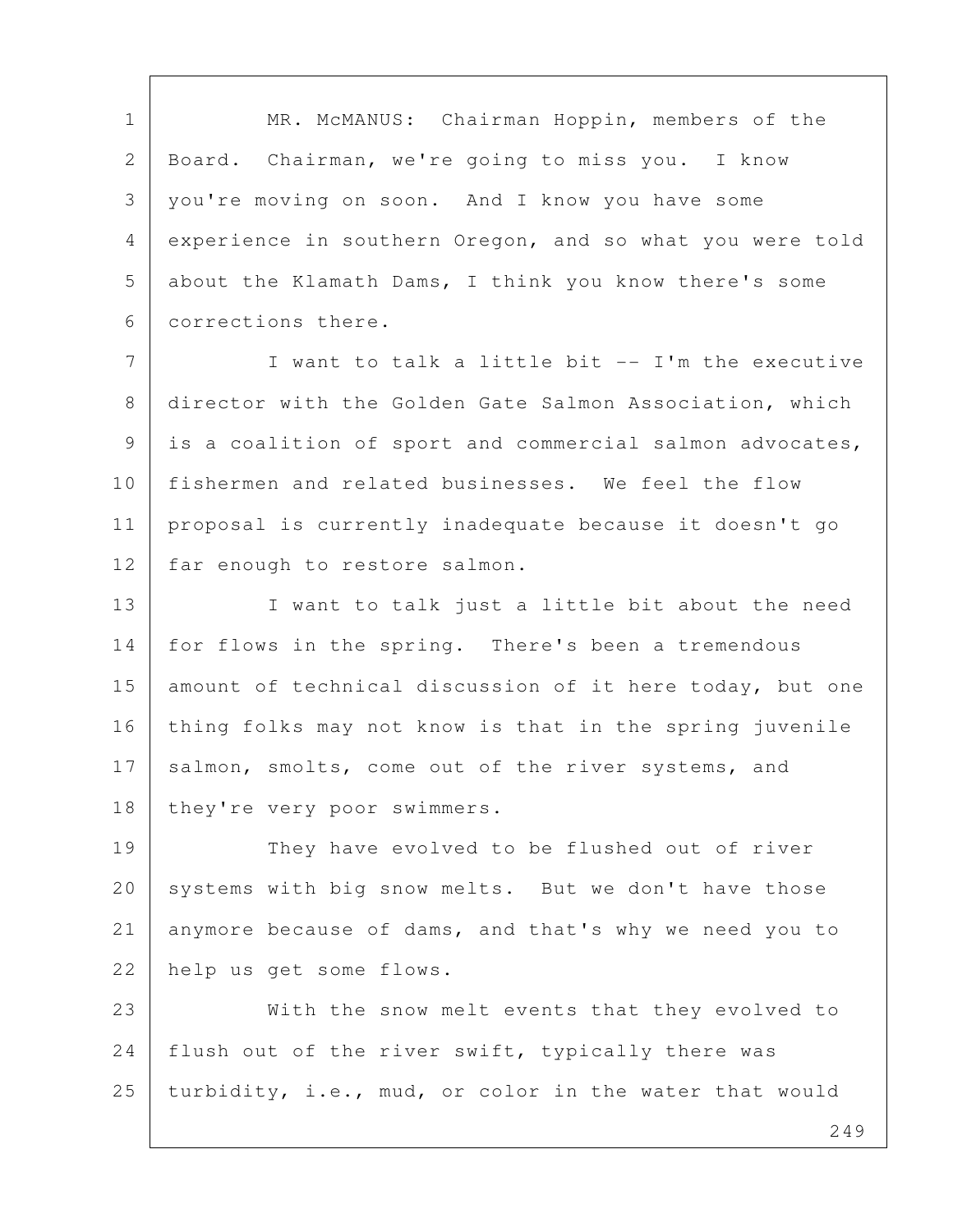1 | MR. McMANUS: Chairman Hoppin, members of the 2 Board. Chairman, we're going to miss you. I know 3 you're moving on soon. And I know you have some 4 experience in southern Oregon, and so what you were told 5 about the Klamath Dams, I think you know there's some 6 corrections there.

7 | Twant to talk a little bit -- I'm the executive 8 director with the Golden Gate Salmon Association, which 9 is a coalition of sport and commercial salmon advocates, 10 fishermen and related businesses. We feel the flow 11 proposal is currently inadequate because it doesn't go 12 | far enough to restore salmon.

13 I want to talk just a little bit about the need 14 for flows in the spring. There's been a tremendous 15 amount of technical discussion of it here today, but one 16 thing folks may not know is that in the spring juvenile 17 salmon, smolts, come out of the river systems, and 18 they're very poor swimmers.

19 They have evolved to be flushed out of river 20 systems with big snow melts. But we don't have those 21 anymore because of dams, and that's why we need you to 22 help us get some flows.

23 With the snow melt events that they evolved to 24 | flush out of the river swift, typically there was 25 turbidity, i.e., mud, or color in the water that would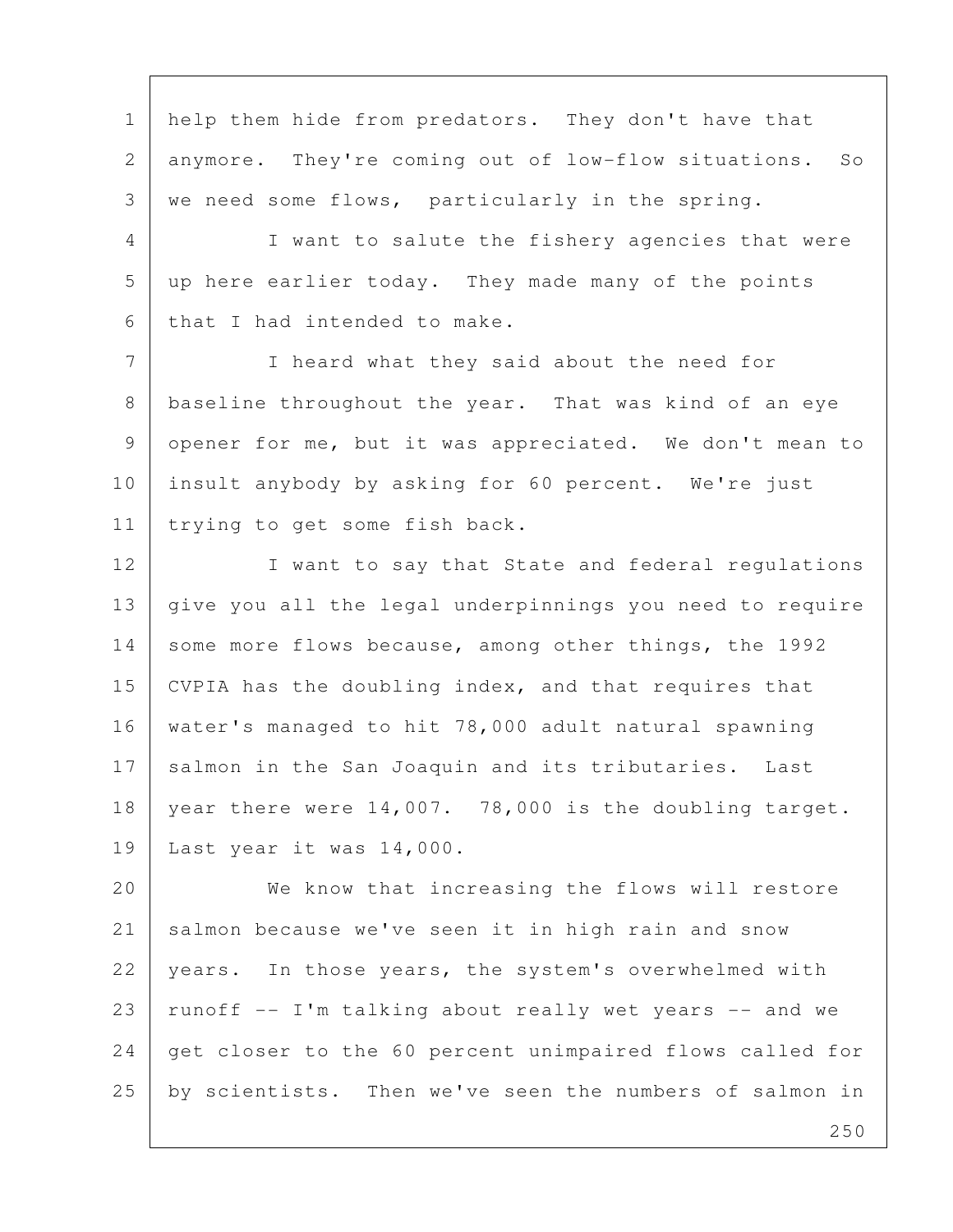1 | help them hide from predators. They don't have that 2 anymore. They're coming out of low-flow situations. So  $3$  we need some flows, particularly in the spring. 4 I want to salute the fishery agencies that were 5 up here earlier today. They made many of the points 6 that I had intended to make. 7 I heard what they said about the need for 8 baseline throughout the year. That was kind of an eye 9 opener for me, but it was appreciated. We don't mean to 10 insult anybody by asking for 60 percent. We're just 11 | trying to get some fish back. 12 I want to say that State and federal regulations

13 give you all the legal underpinnings you need to require 14 some more flows because, among other things, the 1992 15 CVPIA has the doubling index, and that requires that 16 water's managed to hit 78,000 adult natural spawning 17 salmon in the San Joaquin and its tributaries. Last 18 | year there were 14,007. 78,000 is the doubling target. 19 Last year it was 14,000.

20 We know that increasing the flows will restore 21 salmon because we've seen it in high rain and snow 22 years. In those years, the system's overwhelmed with  $23$  runoff  $-$  I'm talking about really wet years  $-$  and we 24 get closer to the 60 percent unimpaired flows called for 25 | by scientists. Then we've seen the numbers of salmon in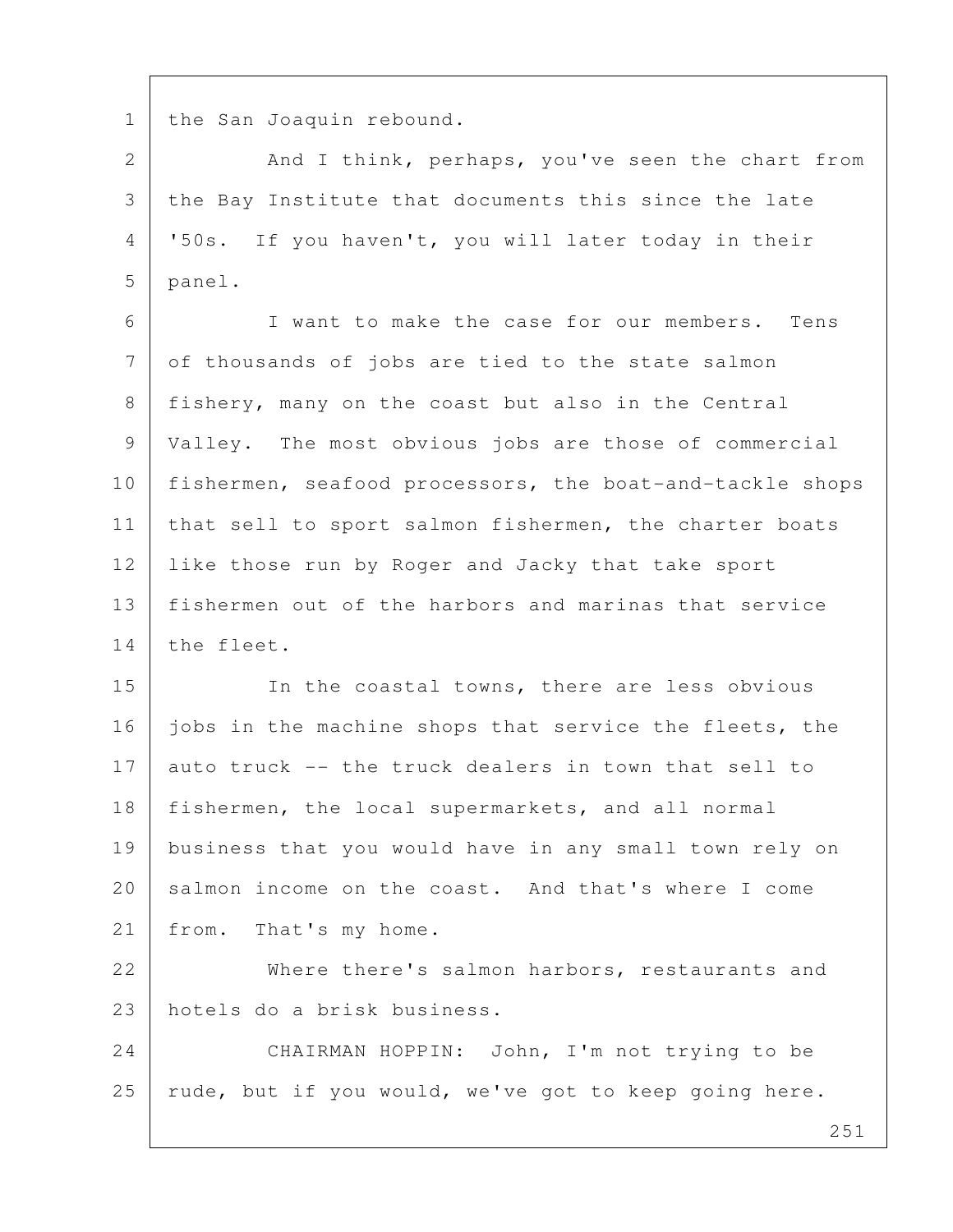1 the San Joaquin rebound.

2 And I think, perhaps, you've seen the chart from 3 the Bay Institute that documents this since the late 4 '50s. If you haven't, you will later today in their 5 panel.

 6 I want to make the case for our members. Tens 7 of thousands of jobs are tied to the state salmon 8 fishery, many on the coast but also in the Central 9 Valley. The most obvious jobs are those of commercial 10 fishermen, seafood processors, the boat-and-tackle shops 11 | that sell to sport salmon fishermen, the charter boats 12 Iike those run by Roger and Jacky that take sport 13 fishermen out of the harbors and marinas that service 14 the fleet.

15 In the coastal towns, there are less obvious 16 jobs in the machine shops that service the fleets, the 17 auto truck -- the truck dealers in town that sell to 18 fishermen, the local supermarkets, and all normal 19 business that you would have in any small town rely on 20 salmon income on the coast. And that's where I come 21 | from. That's my home.

22 Where there's salmon harbors, restaurants and 23 hotels do a brisk business.

24 CHAIRMAN HOPPIN: John, I'm not trying to be 25 | rude, but if you would, we've got to keep going here.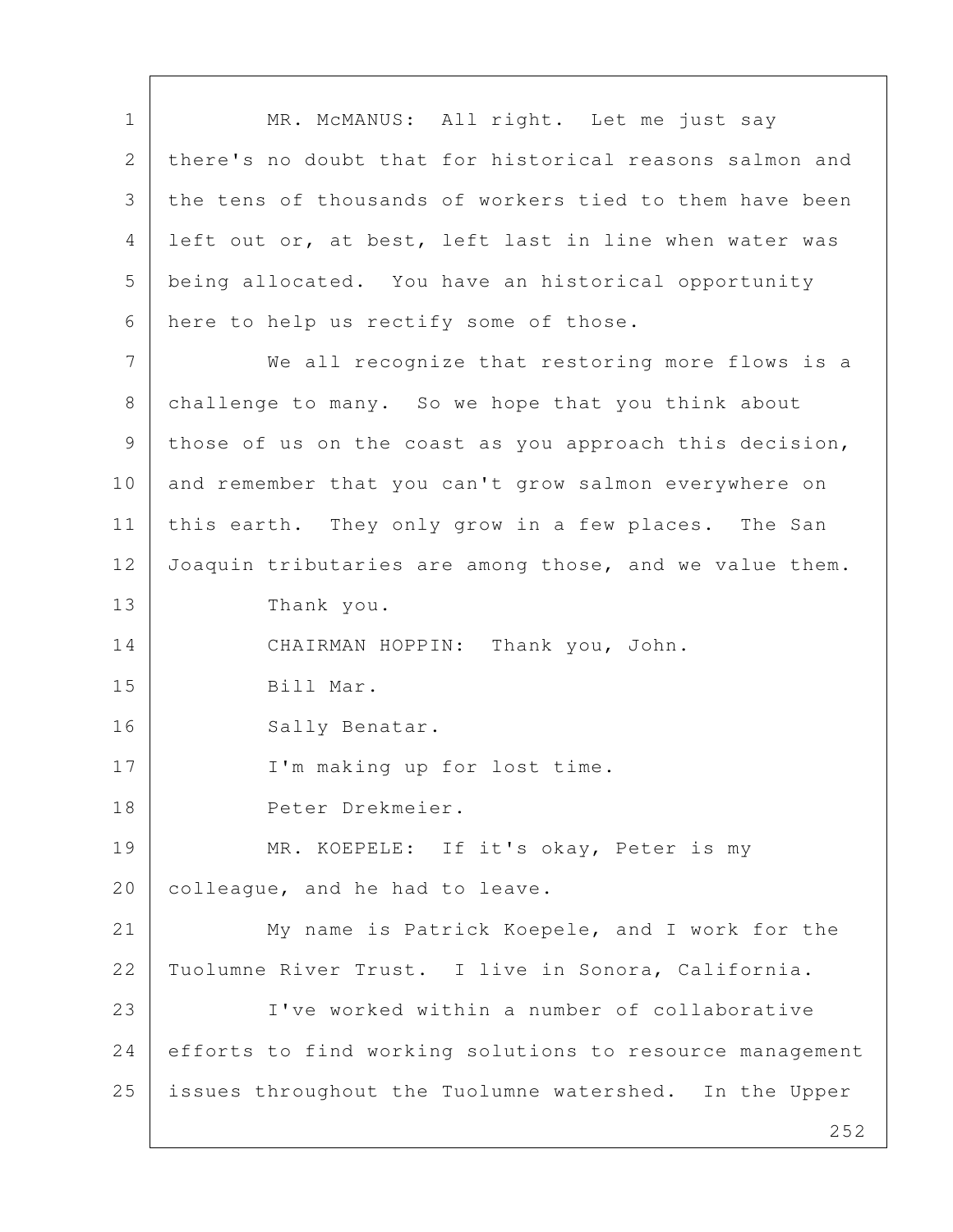1 | MR. McMANUS: All right. Let me just say 2 there's no doubt that for historical reasons salmon and 3 the tens of thousands of workers tied to them have been 4 left out or, at best, left last in line when water was 5 being allocated. You have an historical opportunity 6 here to help us rectify some of those. 7 We all recognize that restoring more flows is a 8 challenge to many. So we hope that you think about 9 those of us on the coast as you approach this decision, 10 and remember that you can't grow salmon everywhere on 11 | this earth. They only grow in a few places. The San 12 Joaquin tributaries are among those, and we value them. 13 Thank you. 14 CHAIRMAN HOPPIN: Thank you, John. 15 Bill Mar. 16 Sally Benatar. 17 | I'm making up for lost time. 18 Peter Drekmeier. 19 | MR. KOEPELE: If it's okay, Peter is my 20 | colleague, and he had to leave. 21 My name is Patrick Koepele, and I work for the 22 Tuolumne River Trust. I live in Sonora, California. 23 I've worked within a number of collaborative 24 efforts to find working solutions to resource management 25 issues throughout the Tuolumne watershed. In the Upper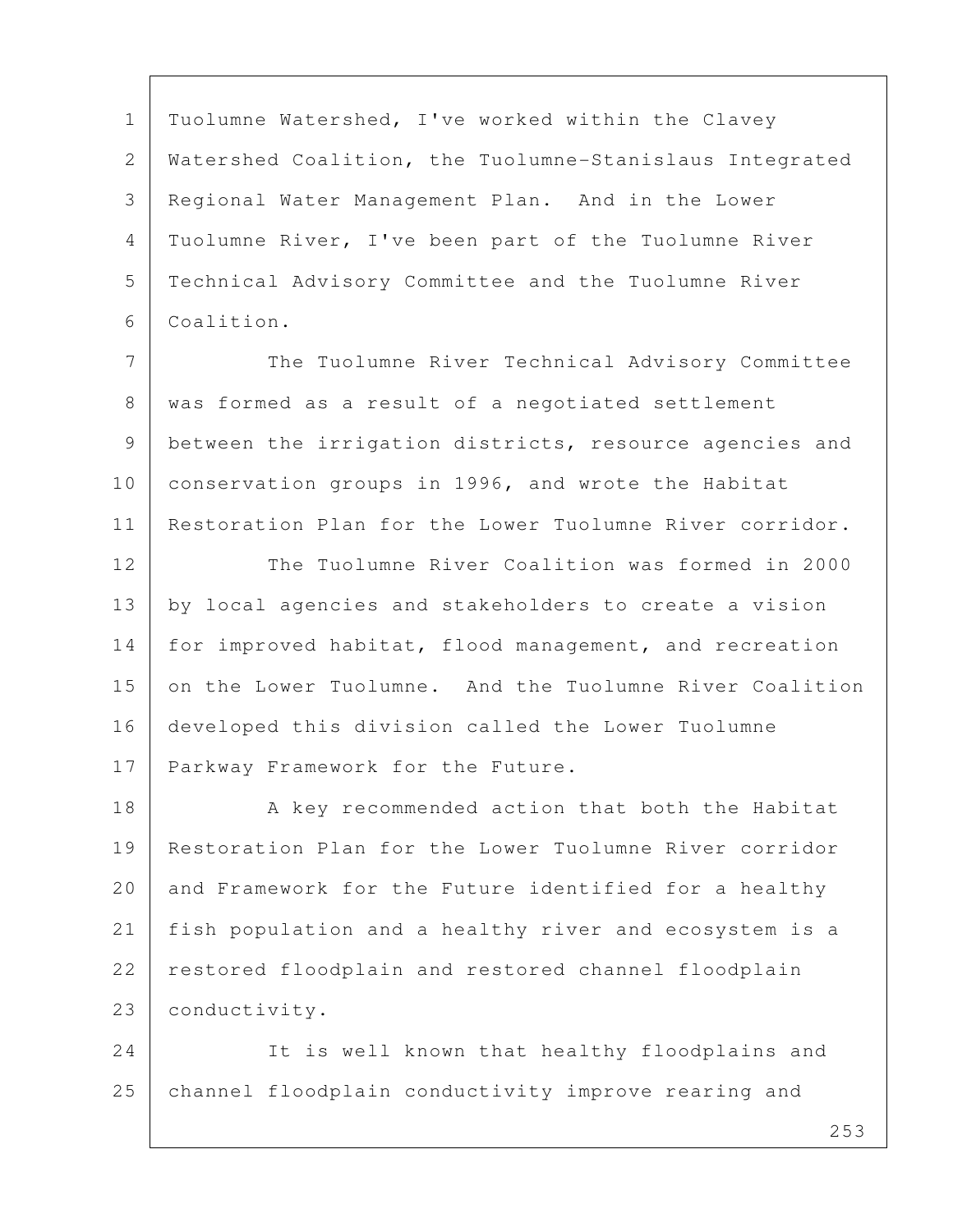1 | Tuolumne Watershed, I've worked within the Clavey 2 Watershed Coalition, the Tuolumne-Stanislaus Integrated 3 Regional Water Management Plan. And in the Lower 4 Tuolumne River, I've been part of the Tuolumne River 5 Technical Advisory Committee and the Tuolumne River 6 Coalition.

7 The Tuolumne River Technical Advisory Committee 8 was formed as a result of a negotiated settlement 9 between the irrigation districts, resource agencies and 10 conservation groups in 1996, and wrote the Habitat 11 Restoration Plan for the Lower Tuolumne River corridor.

12 The Tuolumne River Coalition was formed in 2000 13 by local agencies and stakeholders to create a vision 14 for improved habitat, flood management, and recreation 15 on the Lower Tuolumne. And the Tuolumne River Coalition 16 developed this division called the Lower Tuolumne 17 Parkway Framework for the Future.

18 A key recommended action that both the Habitat 19 Restoration Plan for the Lower Tuolumne River corridor 20 and Framework for the Future identified for a healthy 21 fish population and a healthy river and ecosystem is a 22 restored floodplain and restored channel floodplain 23 conductivity.

24 It is well known that healthy floodplains and 25 channel floodplain conductivity improve rearing and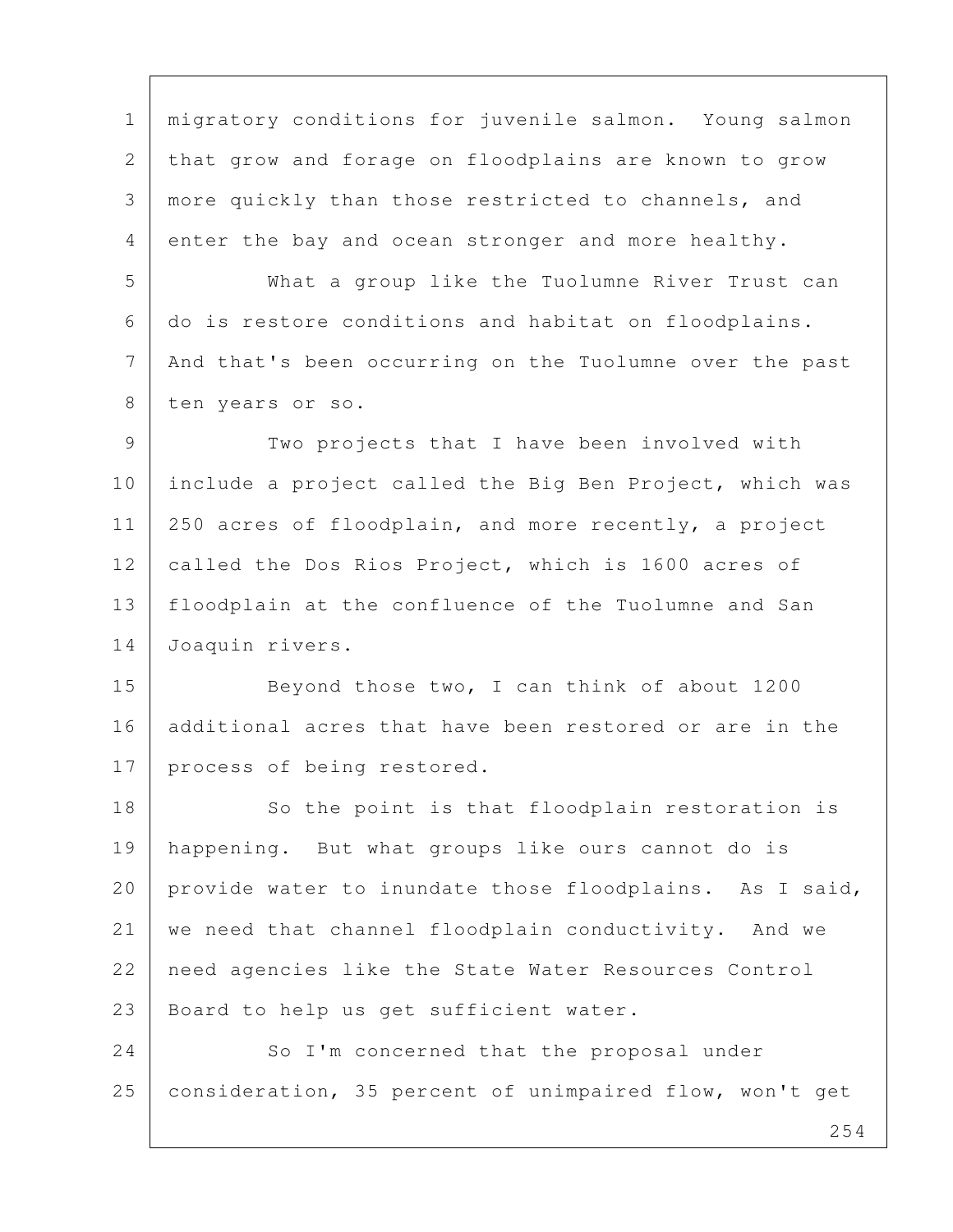1 migratory conditions for juvenile salmon. Young salmon 2 that grow and forage on floodplains are known to grow 3 more quickly than those restricted to channels, and 4 enter the bay and ocean stronger and more healthy.

 5 What a group like the Tuolumne River Trust can 6 do is restore conditions and habitat on floodplains. 7 | And that's been occurring on the Tuolumne over the past 8 ten years or so.

9 Two projects that I have been involved with 10 include a project called the Big Ben Project, which was 11 | 250 acres of floodplain, and more recently, a project 12 called the Dos Rios Project, which is 1600 acres of 13 floodplain at the confluence of the Tuolumne and San 14 Joaquin rivers.

15 Beyond those two, I can think of about 1200 16 additional acres that have been restored or are in the 17 process of being restored.

18 So the point is that floodplain restoration is 19 happening. But what groups like ours cannot do is 20 provide water to inundate those floodplains. As I said, 21 we need that channel floodplain conductivity. And we 22 | need agencies like the State Water Resources Control 23 | Board to help us get sufficient water.

24 So I'm concerned that the proposal under 25 consideration, 35 percent of unimpaired flow, won't get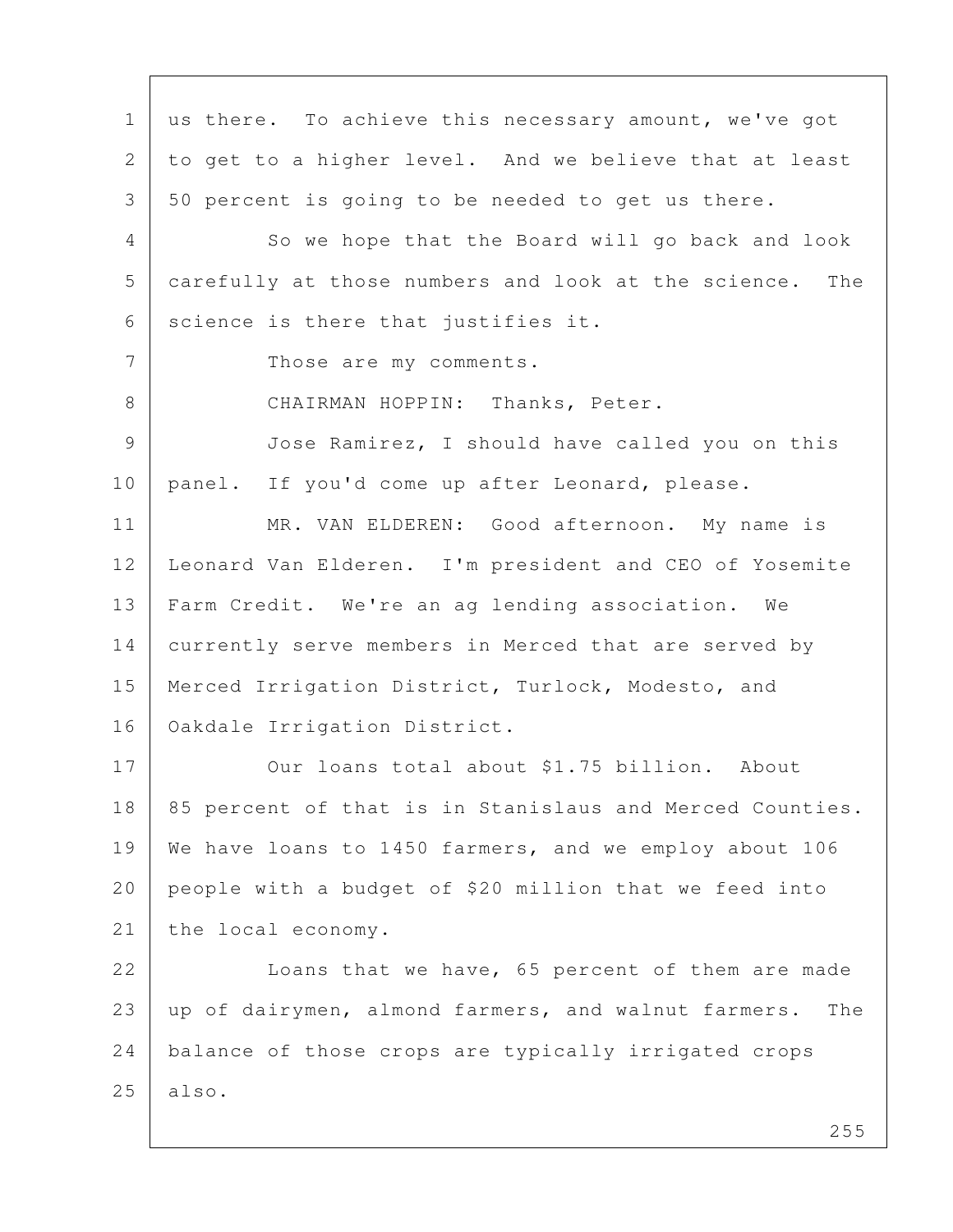1 us there. To achieve this necessary amount, we've got 2 to get to a higher level. And we believe that at least 3 50 percent is going to be needed to get us there. 4 So we hope that the Board will go back and look 5 carefully at those numbers and look at the science. The  $6$  science is there that justifies it. 7 Those are my comments. 8 CHAIRMAN HOPPIN: Thanks, Peter. 9 Jose Ramirez, I should have called you on this 10 | panel. If you'd come up after Leonard, please. 11 MR. VAN ELDEREN: Good afternoon. My name is 12 Leonard Van Elderen. I'm president and CEO of Yosemite 13 Farm Credit. We're an ag lending association. We 14 currently serve members in Merced that are served by 15 | Merced Irrigation District, Turlock, Modesto, and 16 Oakdale Irrigation District. 17 Our loans total about \$1.75 billion. About 18 | 85 percent of that is in Stanislaus and Merced Counties. 19 We have loans to 1450 farmers, and we employ about 106 20 people with a budget of \$20 million that we feed into 21 the local economy. 22 Loans that we have, 65 percent of them are made 23 up of dairymen, almond farmers, and walnut farmers. The 24 balance of those crops are typically irrigated crops  $25$  also.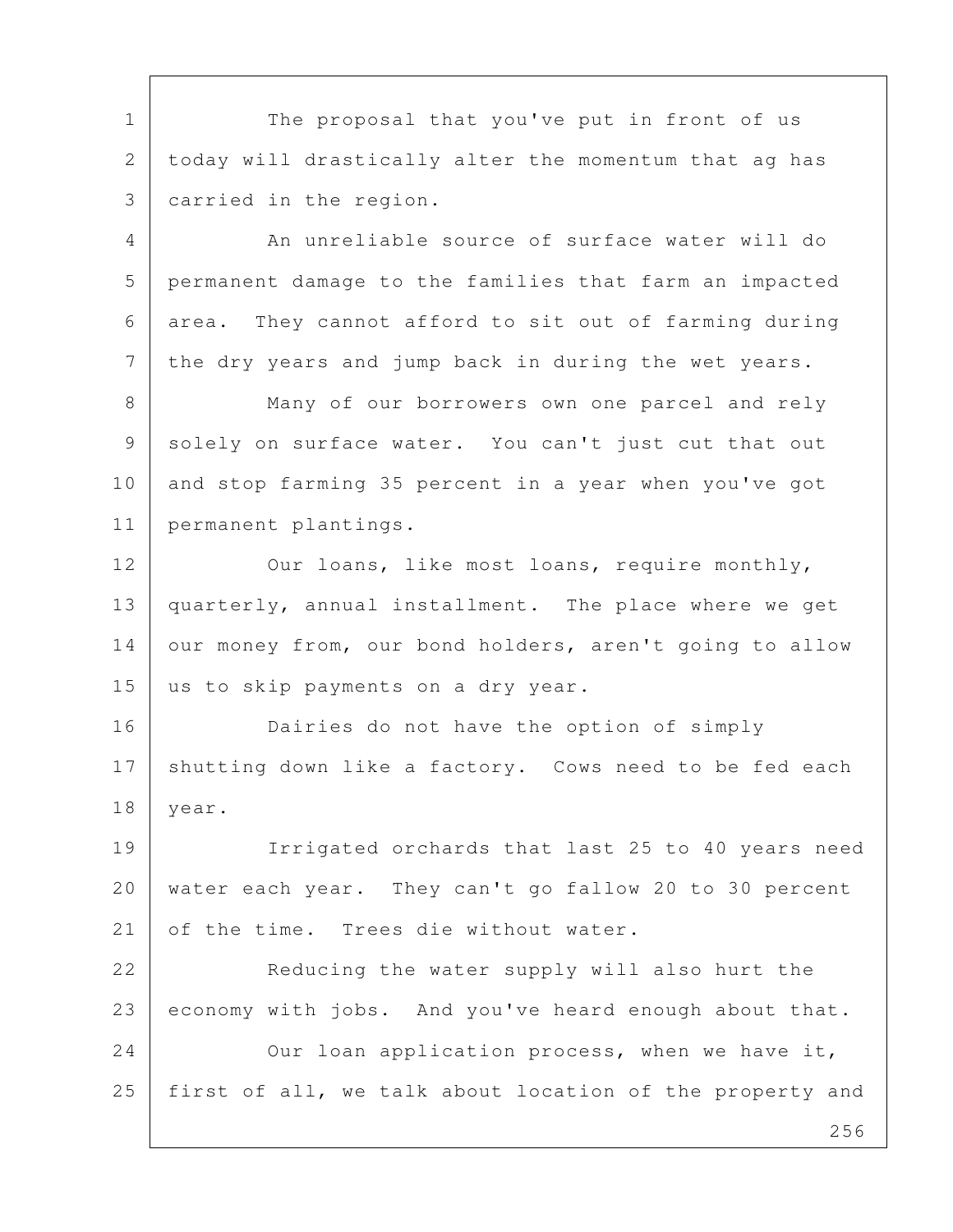1 The proposal that you've put in front of us 2 today will drastically alter the momentum that ag has 3 carried in the region.

4 An unreliable source of surface water will do 5 permanent damage to the families that farm an impacted 6 area. They cannot afford to sit out of farming during 7 | the dry years and jump back in during the wet years.

8 Many of our borrowers own one parcel and rely 9 solely on surface water. You can't just cut that out 10 and stop farming 35 percent in a year when you've got 11 permanent plantings.

12 Our loans, like most loans, require monthly, 13 quarterly, annual installment. The place where we get 14 our money from, our bond holders, aren't going to allow 15 us to skip payments on a dry year.

16 Dairies do not have the option of simply 17 | shutting down like a factory. Cows need to be fed each 18 year.

19 Irrigated orchards that last 25 to 40 years need 20 water each year. They can't go fallow 20 to 30 percent 21 of the time. Trees die without water.

22 Reducing the water supply will also hurt the 23 economy with jobs. And you've heard enough about that. 24 Our loan application process, when we have it, 25 first of all, we talk about location of the property and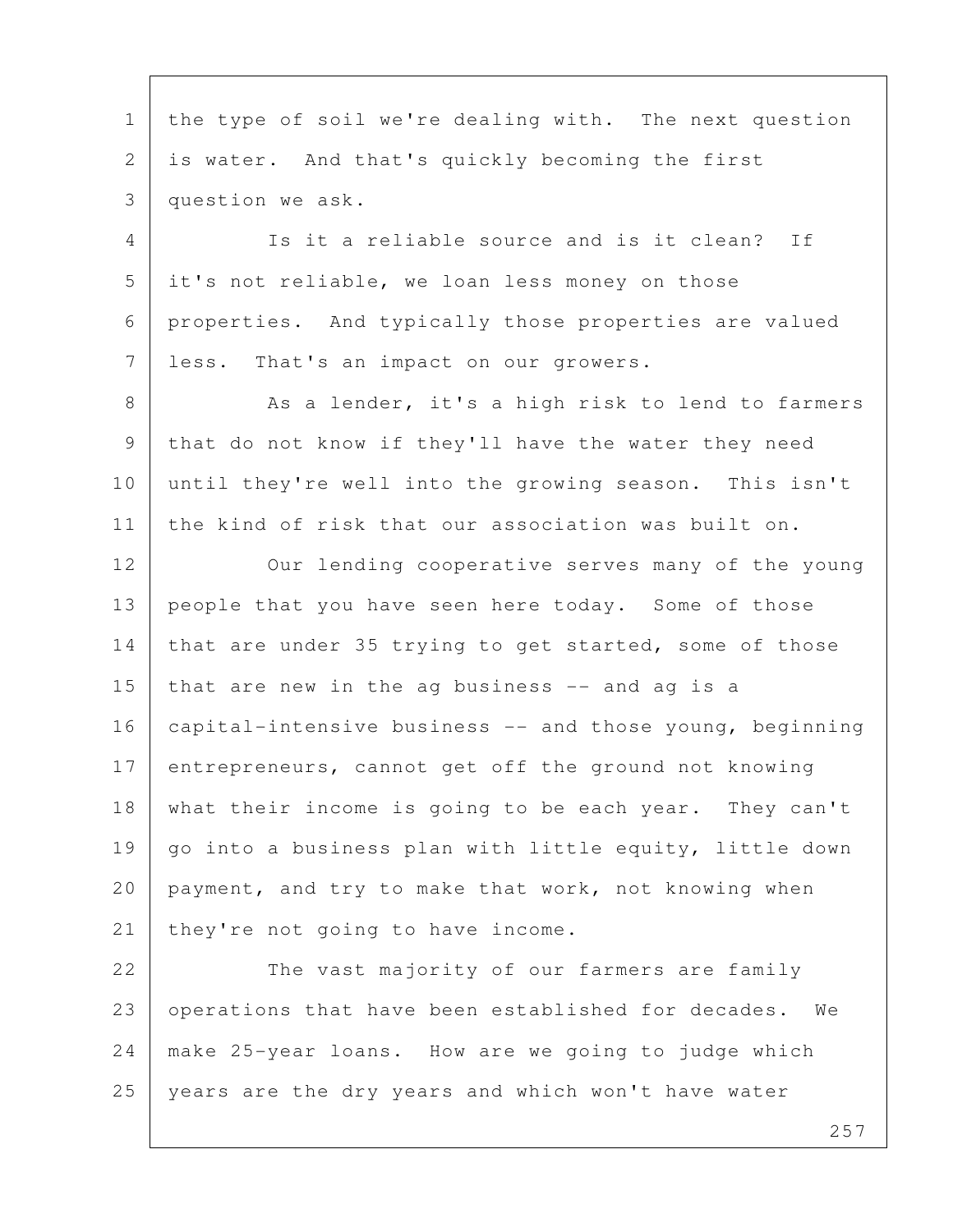1 | the type of soil we're dealing with. The next question 2 is water. And that's quickly becoming the first 3 question we ask. 4 Is it a reliable source and is it clean? If 5 it's not reliable, we loan less money on those 6 properties. And typically those properties are valued 7 less. That's an impact on our growers. 8 As a lender, it's a high risk to lend to farmers 9 that do not know if they'll have the water they need 10 until they're well into the growing season. This isn't 11 the kind of risk that our association was built on. 12 Our lending cooperative serves many of the young 13 people that you have seen here today. Some of those 14 that are under 35 trying to get started, some of those 15 that are new in the ag business  $-$  and ag is a 16 capital-intensive business -- and those young, beginning 17 entrepreneurs, cannot get off the ground not knowing 18 what their income is going to be each year. They can't 19  $\vert$  go into a business plan with little equity, little down 20 payment, and try to make that work, not knowing when 21 | they're not going to have income. 22 The vast majority of our farmers are family 23 | operations that have been established for decades. We 24 make 25-year loans. How are we going to judge which 25 years are the dry years and which won't have water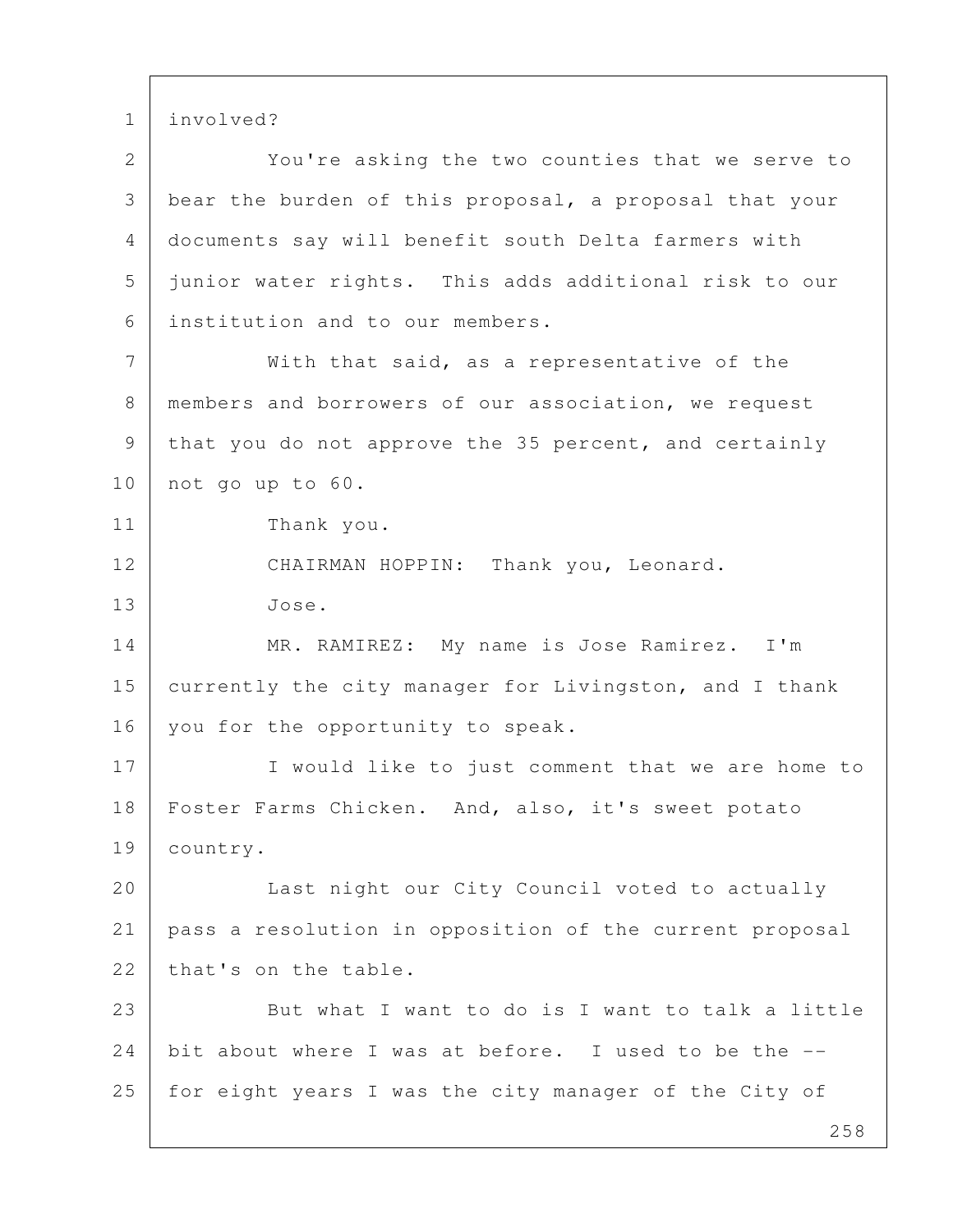1 involved?

2 You're asking the two counties that we serve to 3 bear the burden of this proposal, a proposal that your 4 documents say will benefit south Delta farmers with 5 junior water rights. This adds additional risk to our 6 institution and to our members. 7 With that said, as a representative of the 8 | members and borrowers of our association, we request 9 | that you do not approve the 35 percent, and certainly 10 not go up to 60. 11 Thank you. 12 CHAIRMAN HOPPIN: Thank you, Leonard. 13 Jose. 14 MR. RAMIREZ: My name is Jose Ramirez. I'm 15 currently the city manager for Livingston, and I thank 16 you for the opportunity to speak. 17 I would like to just comment that we are home to 18 | Foster Farms Chicken. And, also, it's sweet potato 19 country. 20 Last night our City Council voted to actually 21 pass a resolution in opposition of the current proposal 22 that's on the table. 23 But what I want to do is I want to talk a little 24 bit about where I was at before. I used to be the --25 | for eight years I was the city manager of the City of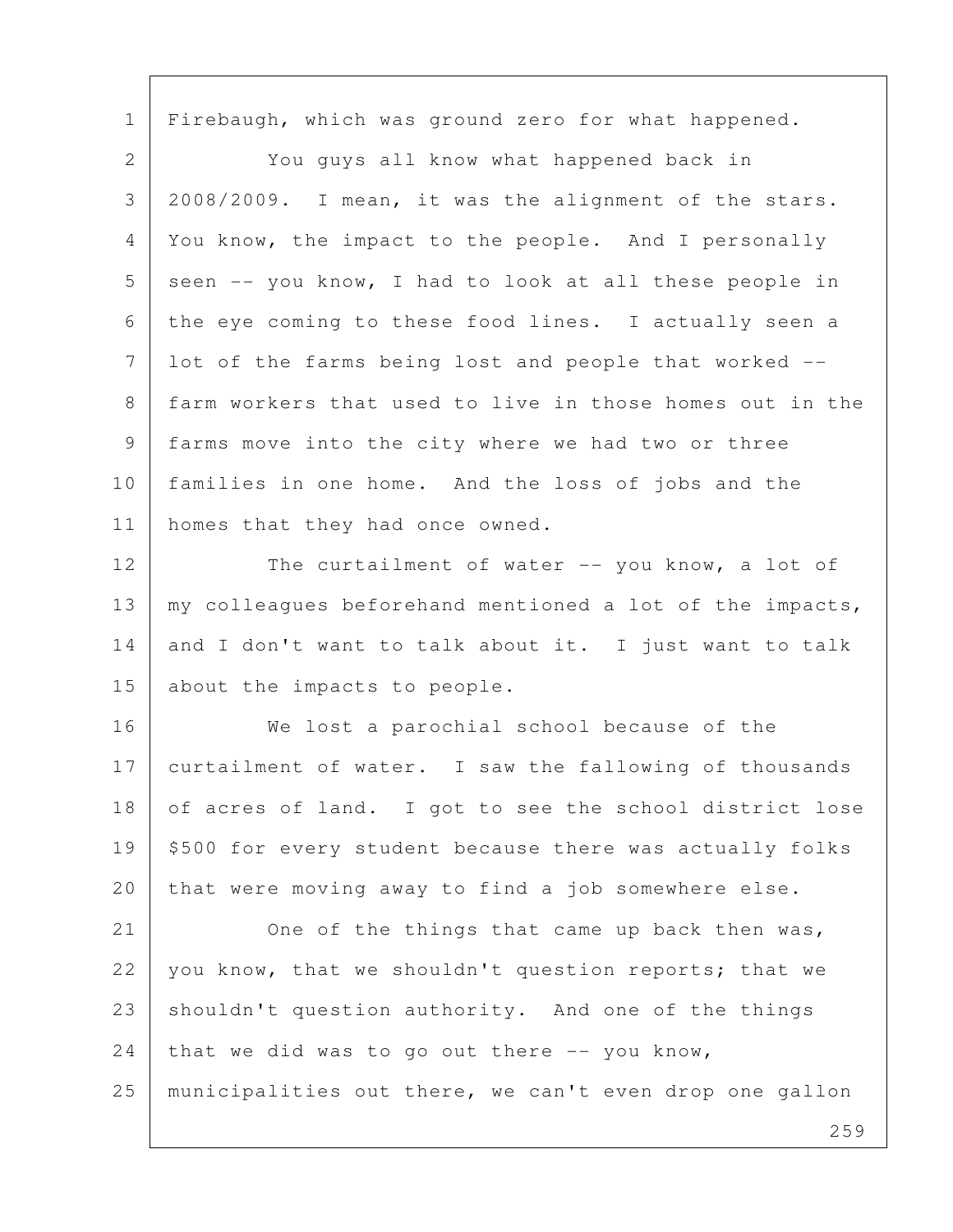1 | Firebaugh, which was ground zero for what happened.

 2 You guys all know what happened back in 3 2008/2009. I mean, it was the alignment of the stars. 4 You know, the impact to the people. And I personally  $5$  seen  $-$  you know, I had to look at all these people in 6 the eye coming to these food lines. I actually seen a 7 lot of the farms being lost and people that worked -- 8 farm workers that used to live in those homes out in the 9 farms move into the city where we had two or three 10 families in one home. And the loss of jobs and the 11 | homes that they had once owned.

12 The curtailment of water -- you know, a lot of 13 | my colleagues beforehand mentioned a lot of the impacts, 14 and I don't want to talk about it. I just want to talk 15 about the impacts to people.

16 We lost a parochial school because of the 17 curtailment of water. I saw the fallowing of thousands 18 of acres of land. I got to see the school district lose 19 | \$500 for every student because there was actually folks 20 that were moving away to find a job somewhere else.

21 One of the things that came up back then was, 22 you know, that we shouldn't question reports; that we 23 shouldn't question authority. And one of the things  $24$  that we did was to go out there  $-$ - you know, 25 municipalities out there, we can't even drop one gallon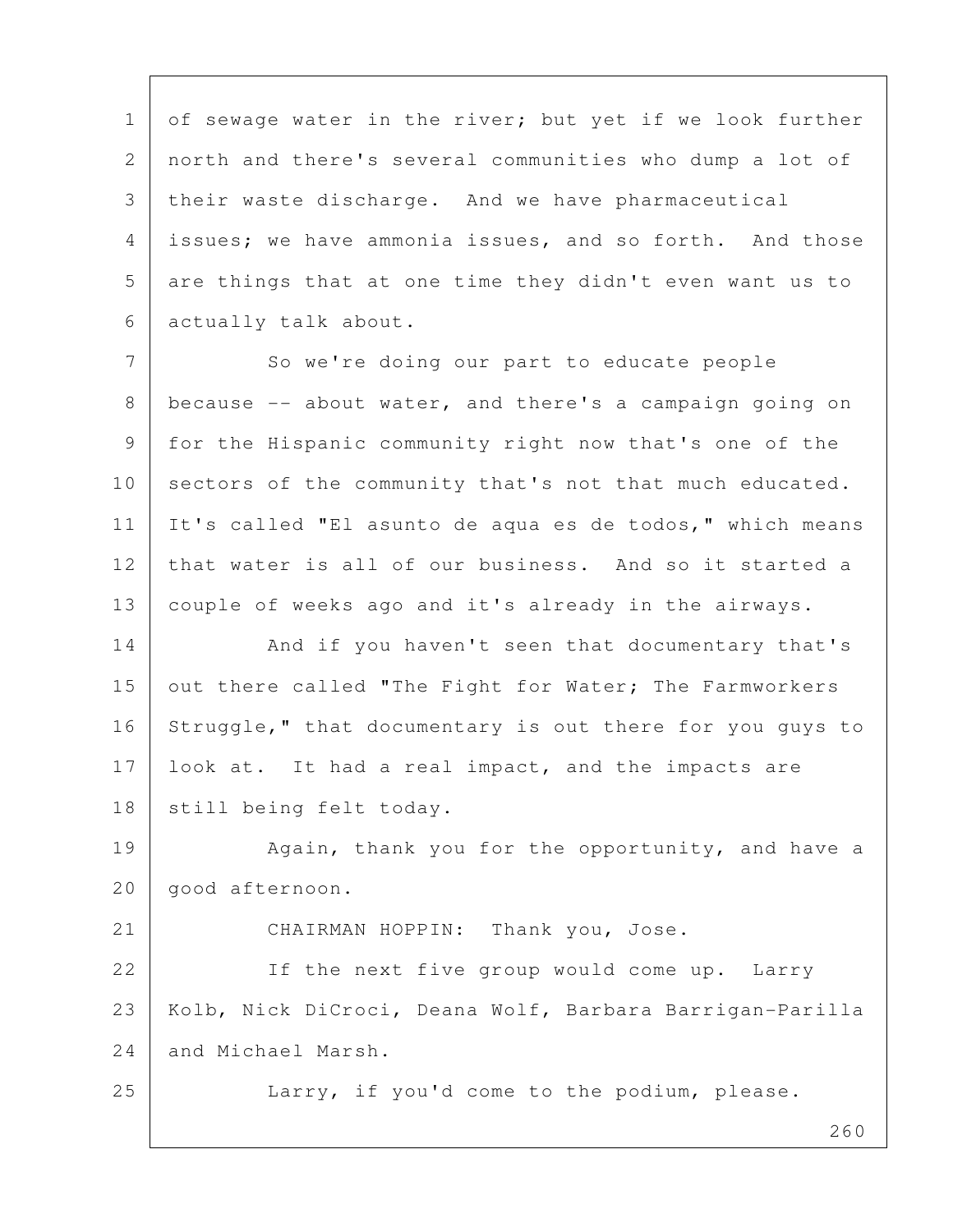1 of sewage water in the river; but yet if we look further 2 north and there's several communities who dump a lot of 3 | their waste discharge. And we have pharmaceutical 4 issues; we have ammonia issues, and so forth. And those 5 are things that at one time they didn't even want us to 6 actually talk about.

7 So we're doing our part to educate people 8 because -- about water, and there's a campaign going on 9 for the Hispanic community right now that's one of the 10 sectors of the community that's not that much educated. 11 It's called "El asunto de aqua es de todos," which means 12 that water is all of our business. And so it started a 13 couple of weeks ago and it's already in the airways.

14 And if you haven't seen that documentary that's 15 out there called "The Fight for Water; The Farmworkers 16 Struggle," that documentary is out there for you guys to 17 look at. It had a real impact, and the impacts are 18 | still being felt today.

19 Again, thank you for the opportunity, and have a 20 good afternoon.

21 CHAIRMAN HOPPIN: Thank you, Jose. 22 If the next five group would come up. Larry 23 | Kolb, Nick DiCroci, Deana Wolf, Barbara Barrigan-Parilla 24 and Michael Marsh.

25 Larry, if you'd come to the podium, please.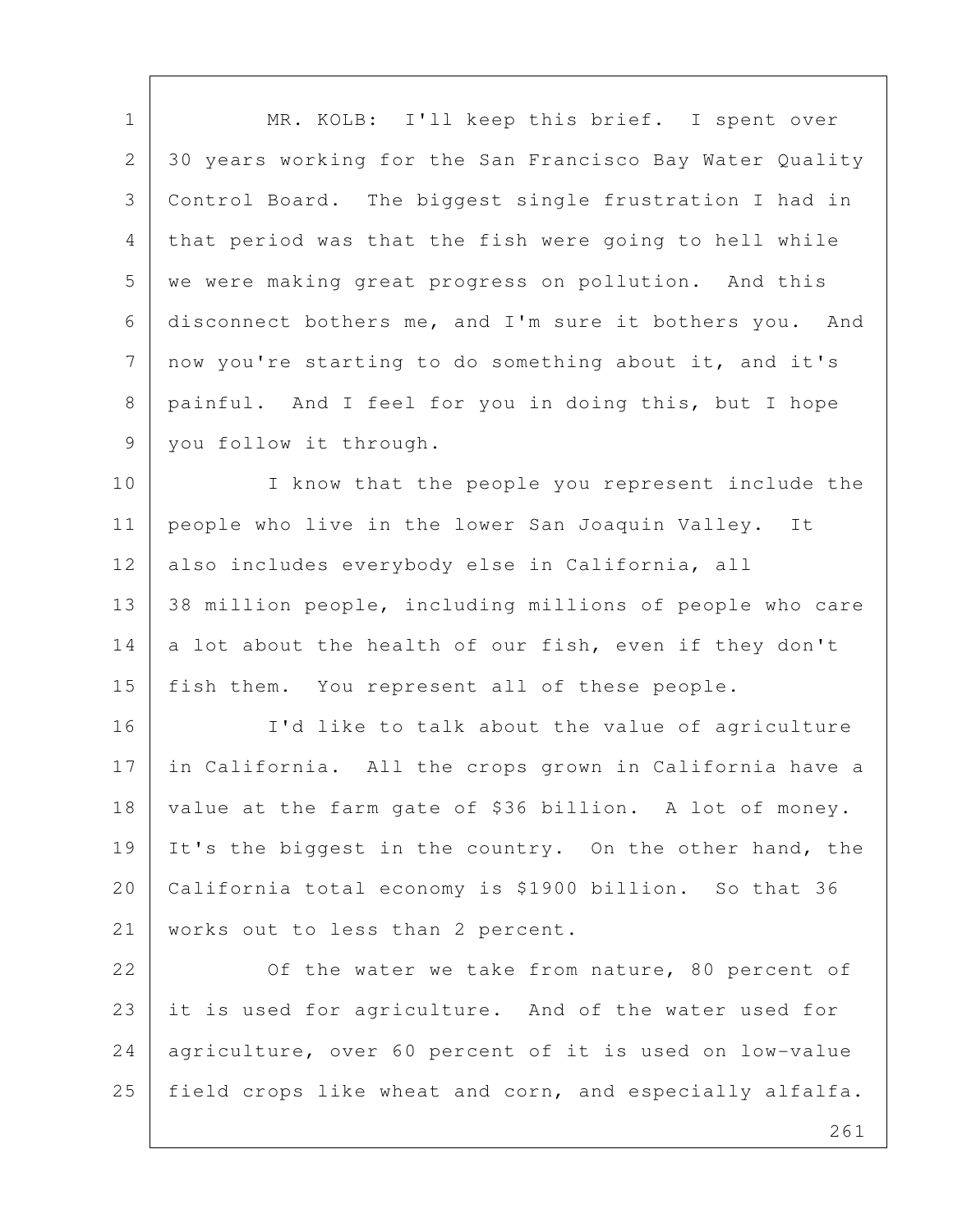1 | MR. KOLB: I'll keep this brief. I spent over 2 30 years working for the San Francisco Bay Water Quality 3 Control Board. The biggest single frustration I had in 4 that period was that the fish were going to hell while 5 we were making great progress on pollution. And this 6 disconnect bothers me, and I'm sure it bothers you. And 7 now you're starting to do something about it, and it's 8 | painful. And I feel for you in doing this, but I hope 9 | you follow it through.

10 I know that the people you represent include the 11 | people who live in the lower San Joaquin Valley. It 12 also includes everybody else in California, all 13 38 million people, including millions of people who care 14 a lot about the health of our fish, even if they don't 15 | fish them. You represent all of these people.

16 | I'd like to talk about the value of agriculture 17 in California. All the crops grown in California have a 18 value at the farm gate of \$36 billion. A lot of money. 19 It's the biggest in the country. On the other hand, the 20 California total economy is \$1900 billion. So that 36 21 | works out to less than 2 percent.

22 Of the water we take from nature, 80 percent of 23 it is used for agriculture. And of the water used for 24 agriculture, over 60 percent of it is used on low-value 25 field crops like wheat and corn, and especially alfalfa.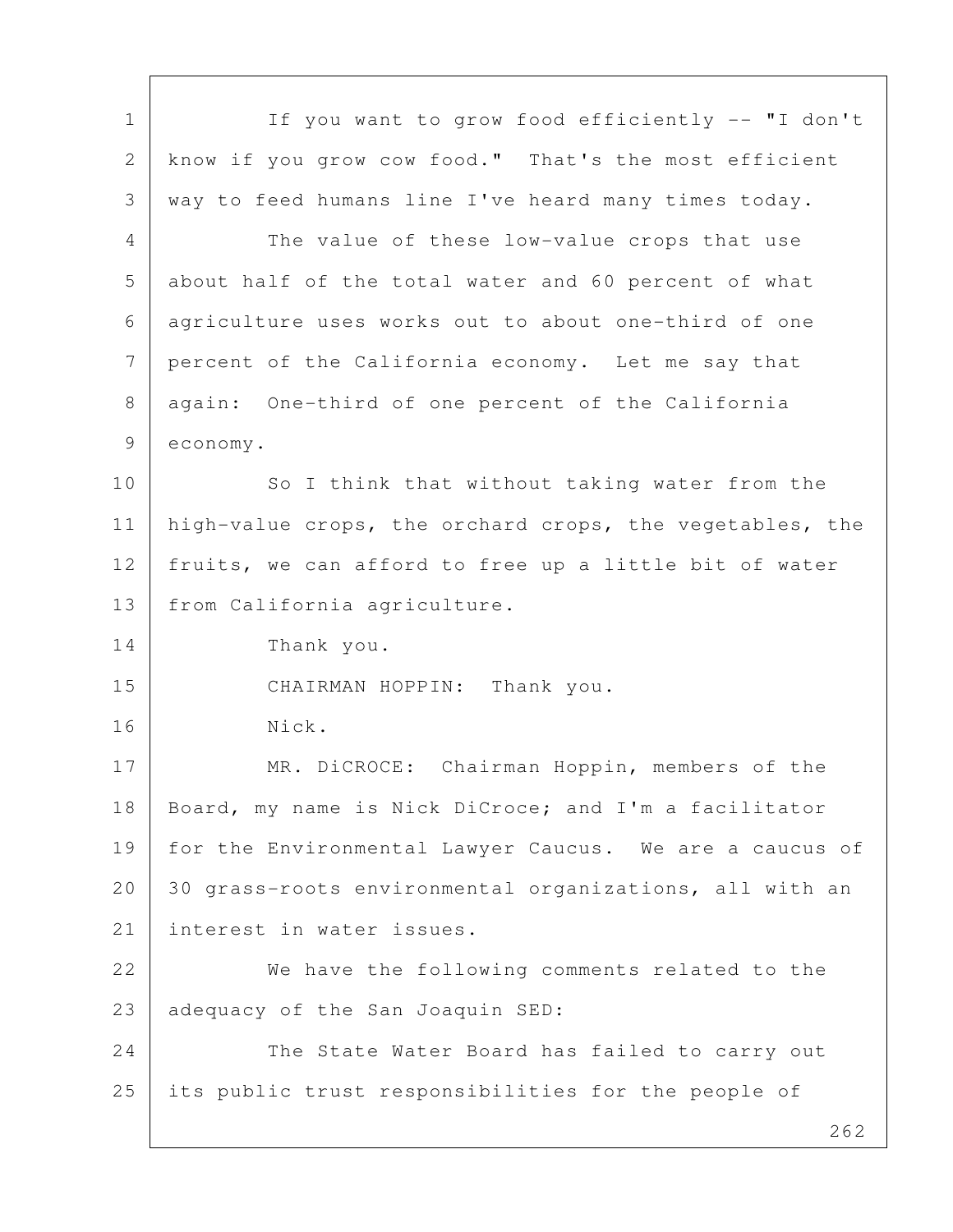| $\mathbf 1$ | If you want to grow food efficiently -- "I don't         |
|-------------|----------------------------------------------------------|
| 2           | know if you grow cow food." That's the most efficient    |
| 3           | way to feed humans line I've heard many times today.     |
| 4           | The value of these low-value crops that use              |
| 5           | about half of the total water and 60 percent of what     |
| 6           | agriculture uses works out to about one-third of one     |
| 7           | percent of the California economy. Let me say that       |
| 8           | again: One-third of one percent of the California        |
| 9           | economy.                                                 |
| 10          | So I think that without taking water from the            |
| 11          | high-value crops, the orchard crops, the vegetables, the |
| 12          | fruits, we can afford to free up a little bit of water   |
| 13          | from California agriculture.                             |
| 14          | Thank you.                                               |
| 15          | CHAIRMAN HOPPIN: Thank you.                              |
| 16          | Nick.                                                    |
| 17          | MR. DiCROCE: Chairman Hoppin, members of the             |
| 18          | Board, my name is Nick DiCroce; and I'm a facilitator    |
| 19          | for the Environmental Lawyer Caucus. We are a caucus of  |
| 20          | 30 grass-roots environmental organizations, all with an  |
| 21          | interest in water issues.                                |
| 22          | We have the following comments related to the            |
| 23          | adequacy of the San Joaquin SED:                         |
| 24          | The State Water Board has failed to carry out            |
| 25          | its public trust responsibilities for the people of      |
|             | 262                                                      |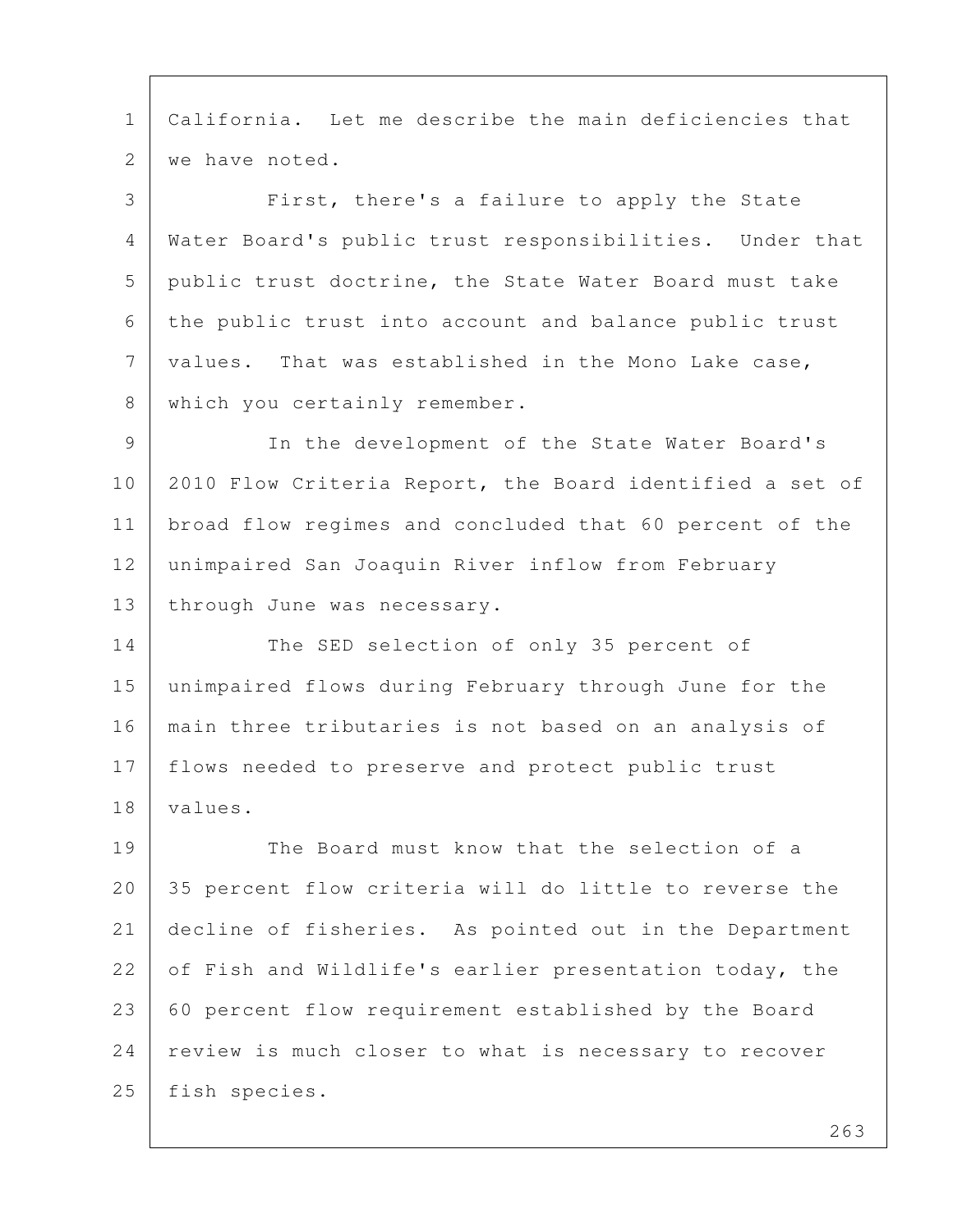1 California. Let me describe the main deficiencies that 2 we have noted. 3 First, there's a failure to apply the State 4 Water Board's public trust responsibilities. Under that 5 public trust doctrine, the State Water Board must take 6 the public trust into account and balance public trust 7 values. That was established in the Mono Lake case, 8 which you certainly remember. 9 In the development of the State Water Board's 10 2010 Flow Criteria Report, the Board identified a set of 11 broad flow regimes and concluded that 60 percent of the 12 unimpaired San Joaquin River inflow from February 13 | through June was necessary. 14 The SED selection of only 35 percent of 15 unimpaired flows during February through June for the 16 main three tributaries is not based on an analysis of 17 flows needed to preserve and protect public trust 18 values.

19 The Board must know that the selection of a 20 35 percent flow criteria will do little to reverse the 21 decline of fisheries. As pointed out in the Department 22 of Fish and Wildlife's earlier presentation today, the 23 60 percent flow requirement established by the Board 24 review is much closer to what is necessary to recover 25 fish species.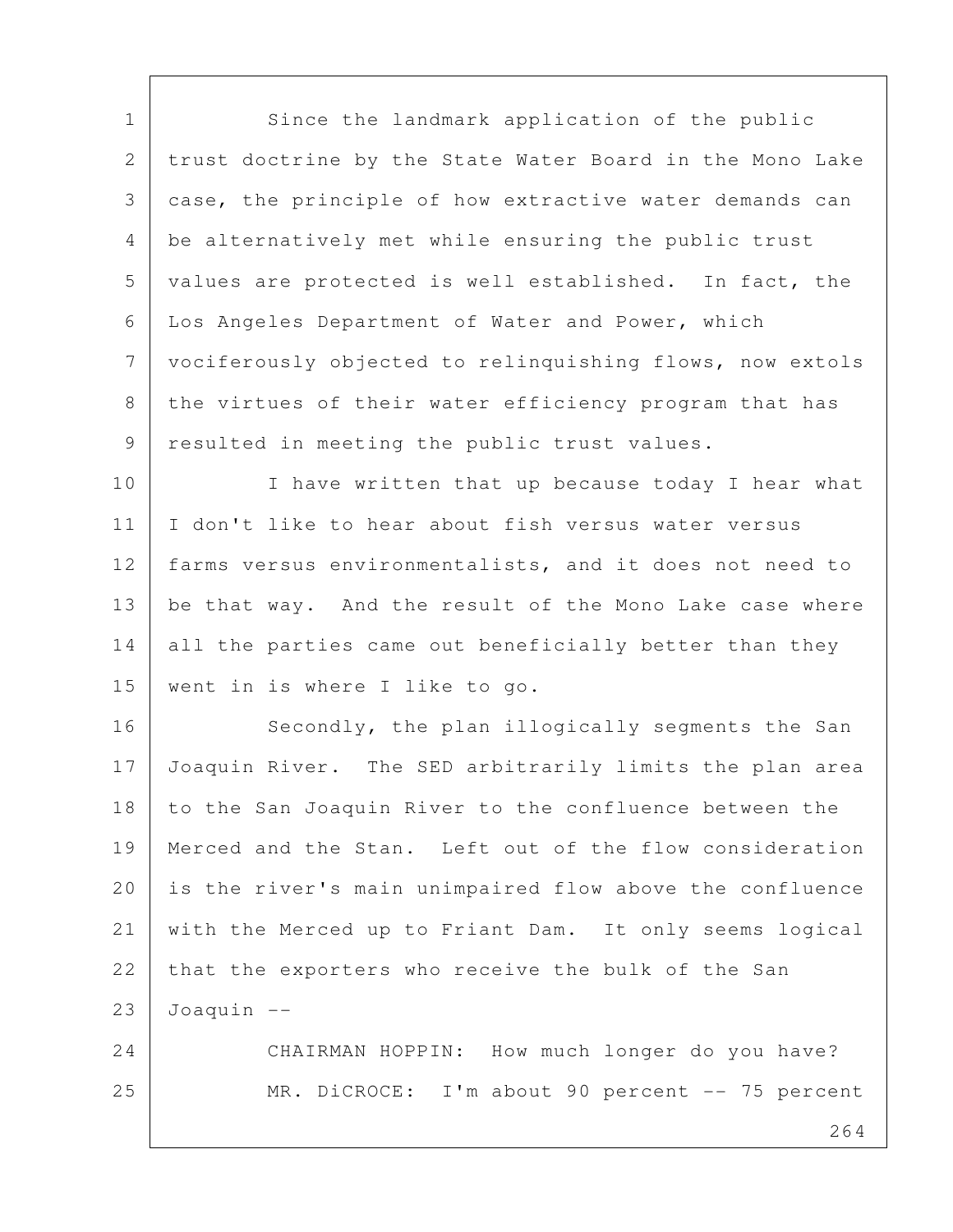1 Since the landmark application of the public 2 trust doctrine by the State Water Board in the Mono Lake 3 case, the principle of how extractive water demands can 4 be alternatively met while ensuring the public trust 5 values are protected is well established. In fact, the 6 Los Angeles Department of Water and Power, which 7 vociferously objected to relinquishing flows, now extols 8 the virtues of their water efficiency program that has 9 resulted in meeting the public trust values.

10 I have written that up because today I hear what 11 I don't like to hear about fish versus water versus 12 farms versus environmentalists, and it does not need to 13 | be that way. And the result of the Mono Lake case where 14 all the parties came out beneficially better than they 15 went in is where I like to go.

16 Secondly, the plan illogically segments the San 17 Joaquin River. The SED arbitrarily limits the plan area 18 to the San Joaquin River to the confluence between the 19 Merced and the Stan. Left out of the flow consideration 20 is the river's main unimpaired flow above the confluence 21 with the Merced up to Friant Dam. It only seems logical 22 that the exporters who receive the bulk of the San  $23$  Joaquin  $-$ 

24 CHAIRMAN HOPPIN: How much longer do you have? 25 | MR. DiCROCE: I'm about 90 percent -- 75 percent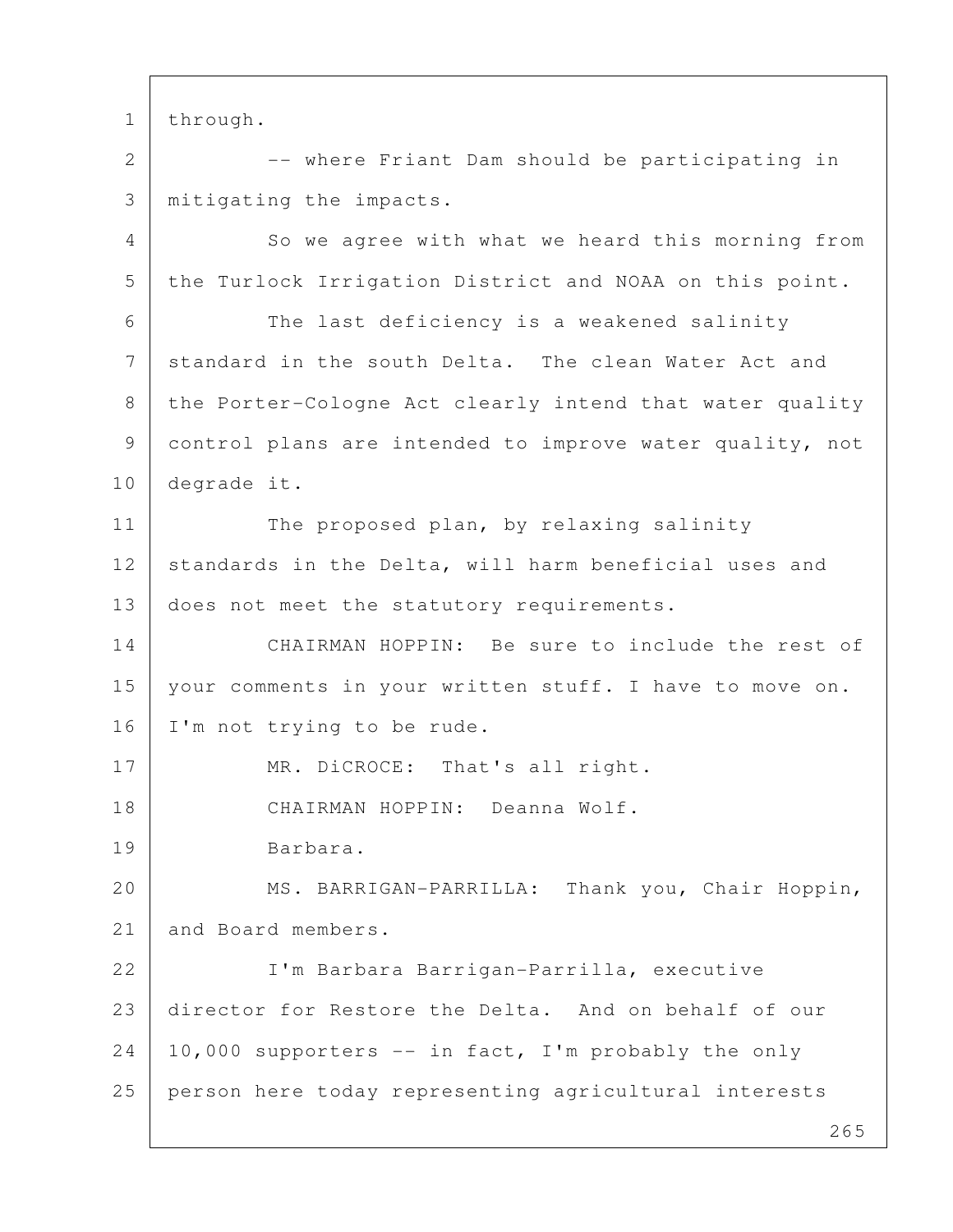1 through.

2 | The Priant Dam should be participating in 3 mitigating the impacts.

4 So we agree with what we heard this morning from 5 the Turlock Irrigation District and NOAA on this point. 6 The last deficiency is a weakened salinity 7 standard in the south Delta. The clean Water Act and 8 the Porter-Cologne Act clearly intend that water quality 9 control plans are intended to improve water quality, not 10 degrade it. 11 The proposed plan, by relaxing salinity 12 standards in the Delta, will harm beneficial uses and 13 does not meet the statutory requirements. 14 CHAIRMAN HOPPIN: Be sure to include the rest of 15 your comments in your written stuff. I have to move on. 16 I'm not trying to be rude. 17 MR. DiCROCE: That's all right. 18 CHAIRMAN HOPPIN: Deanna Wolf. 19 Barbara. 20 | MS. BARRIGAN-PARRILLA: Thank you, Chair Hoppin, 21 and Board members. 22 I'm Barbara Barrigan-Parrilla, executive 23 director for Restore the Delta. And on behalf of our  $24$  | 10,000 supporters  $--$  in fact, I'm probably the only 25 person here today representing agricultural interests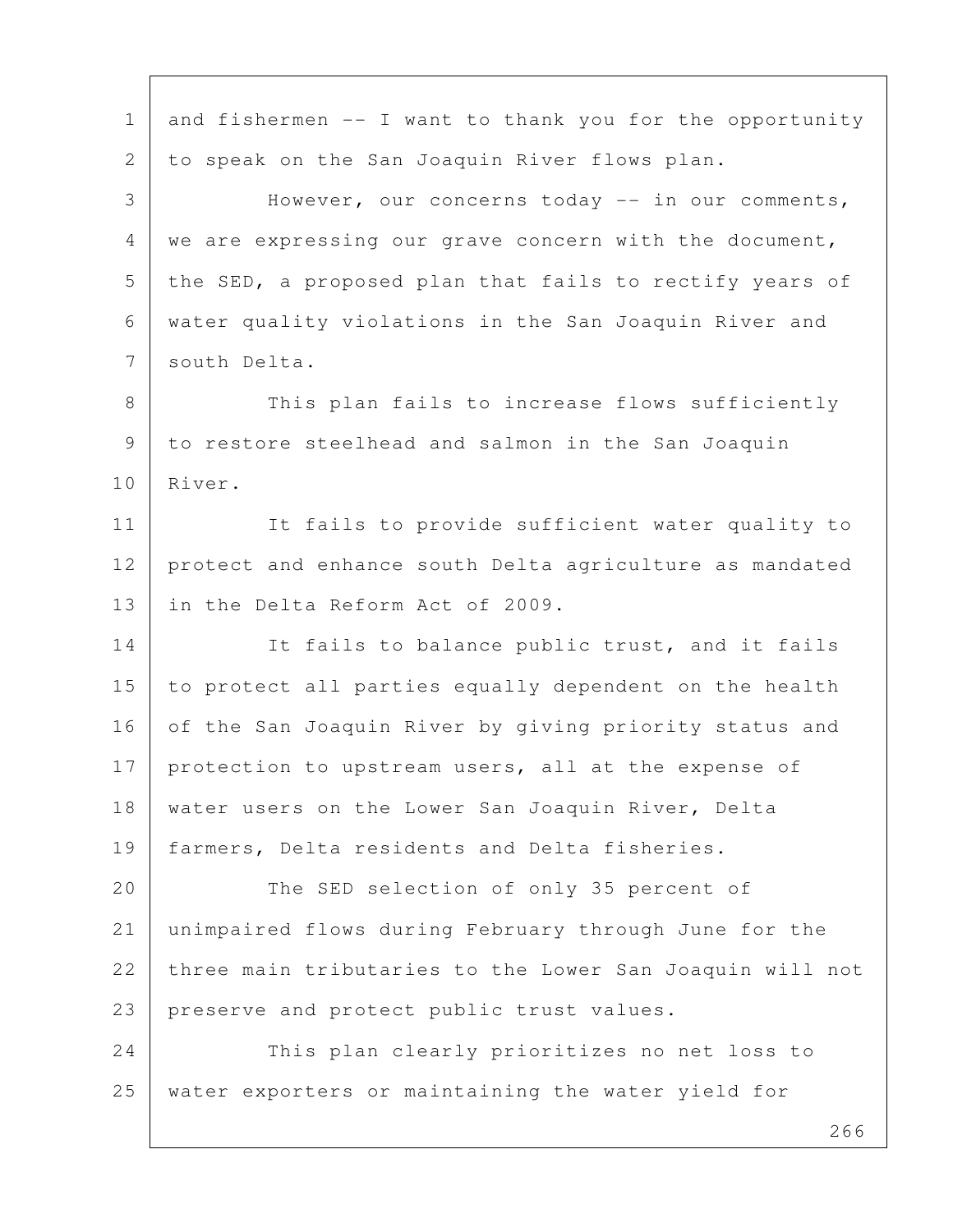1 and fishermen  $--$  I want to thank you for the opportunity 2 to speak on the San Joaquin River flows plan. 3 However, our concerns today -- in our comments, 4 we are expressing our grave concern with the document, 5 the SED, a proposed plan that fails to rectify years of 6 water quality violations in the San Joaquin River and 7 south Delta. 8 This plan fails to increase flows sufficiently 9 to restore steelhead and salmon in the San Joaquin 10 River. 11 It fails to provide sufficient water quality to 12 protect and enhance south Delta agriculture as mandated 13 in the Delta Reform Act of 2009. 14 It fails to balance public trust, and it fails 15 to protect all parties equally dependent on the health 16 of the San Joaquin River by giving priority status and 17 protection to upstream users, all at the expense of 18 | water users on the Lower San Joaquin River, Delta 19 farmers, Delta residents and Delta fisheries. 20 The SED selection of only 35 percent of 21 unimpaired flows during February through June for the 22 three main tributaries to the Lower San Joaquin will not 23 | preserve and protect public trust values. 24 This plan clearly prioritizes no net loss to 25 water exporters or maintaining the water yield for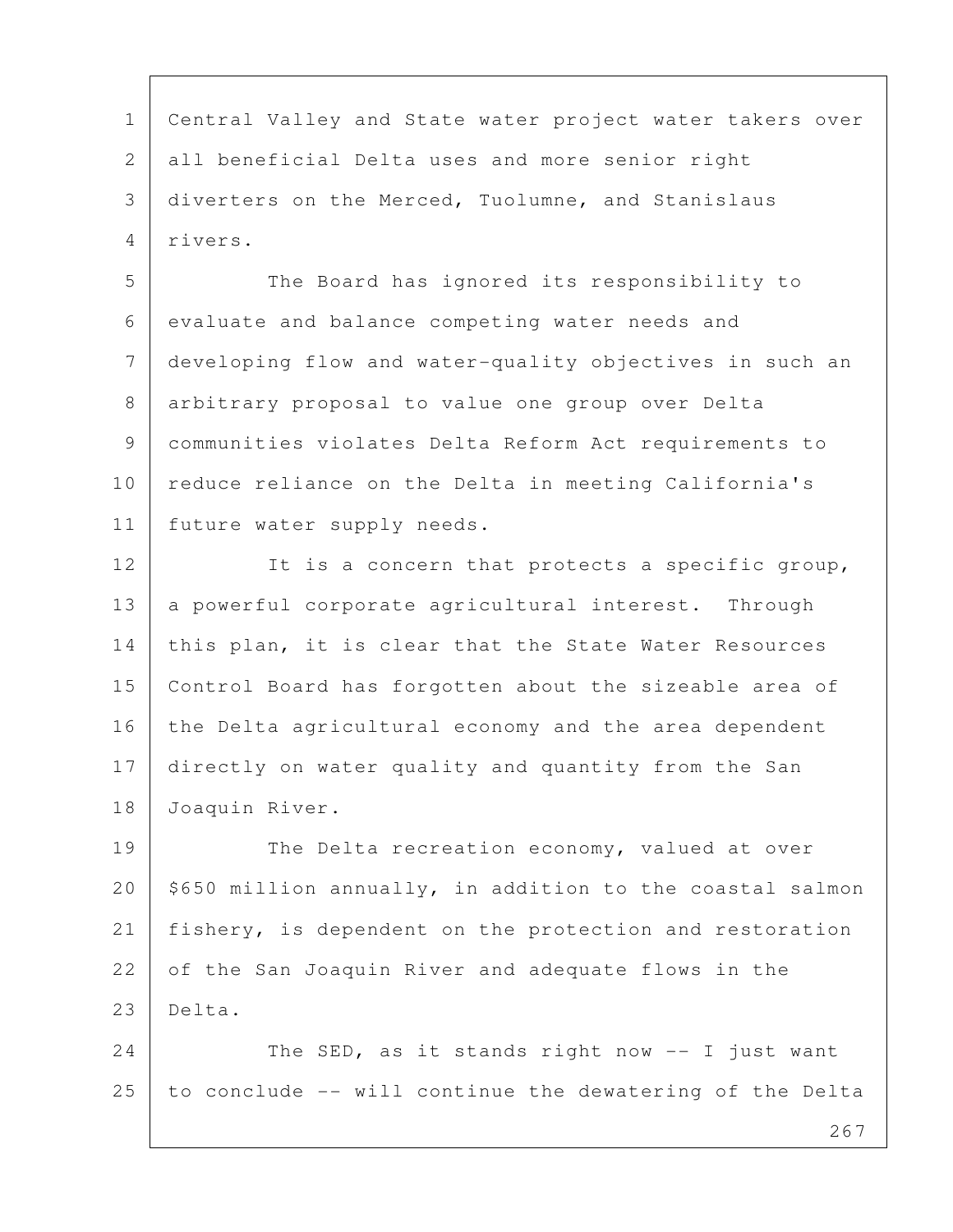1 Central Valley and State water project water takers over 2 all beneficial Delta uses and more senior right 3 diverters on the Merced, Tuolumne, and Stanislaus 4 rivers.

5 The Board has ignored its responsibility to 6 evaluate and balance competing water needs and 7 developing flow and water-quality objectives in such an 8 arbitrary proposal to value one group over Delta 9 communities violates Delta Reform Act requirements to 10 reduce reliance on the Delta in meeting California's 11 future water supply needs.

12 It is a concern that protects a specific group, 13 a powerful corporate agricultural interest. Through 14 this plan, it is clear that the State Water Resources 15 Control Board has forgotten about the sizeable area of 16 the Delta agricultural economy and the area dependent 17 directly on water quality and quantity from the San 18 Joaquin River.

19 The Delta recreation economy, valued at over  $20$  \$650 million annually, in addition to the coastal salmon 21 fishery, is dependent on the protection and restoration 22 of the San Joaquin River and adequate flows in the 23 Delta.

24 The SED, as it stands right now  $-$  I just want  $25$  to conclude  $-$ - will continue the dewatering of the Delta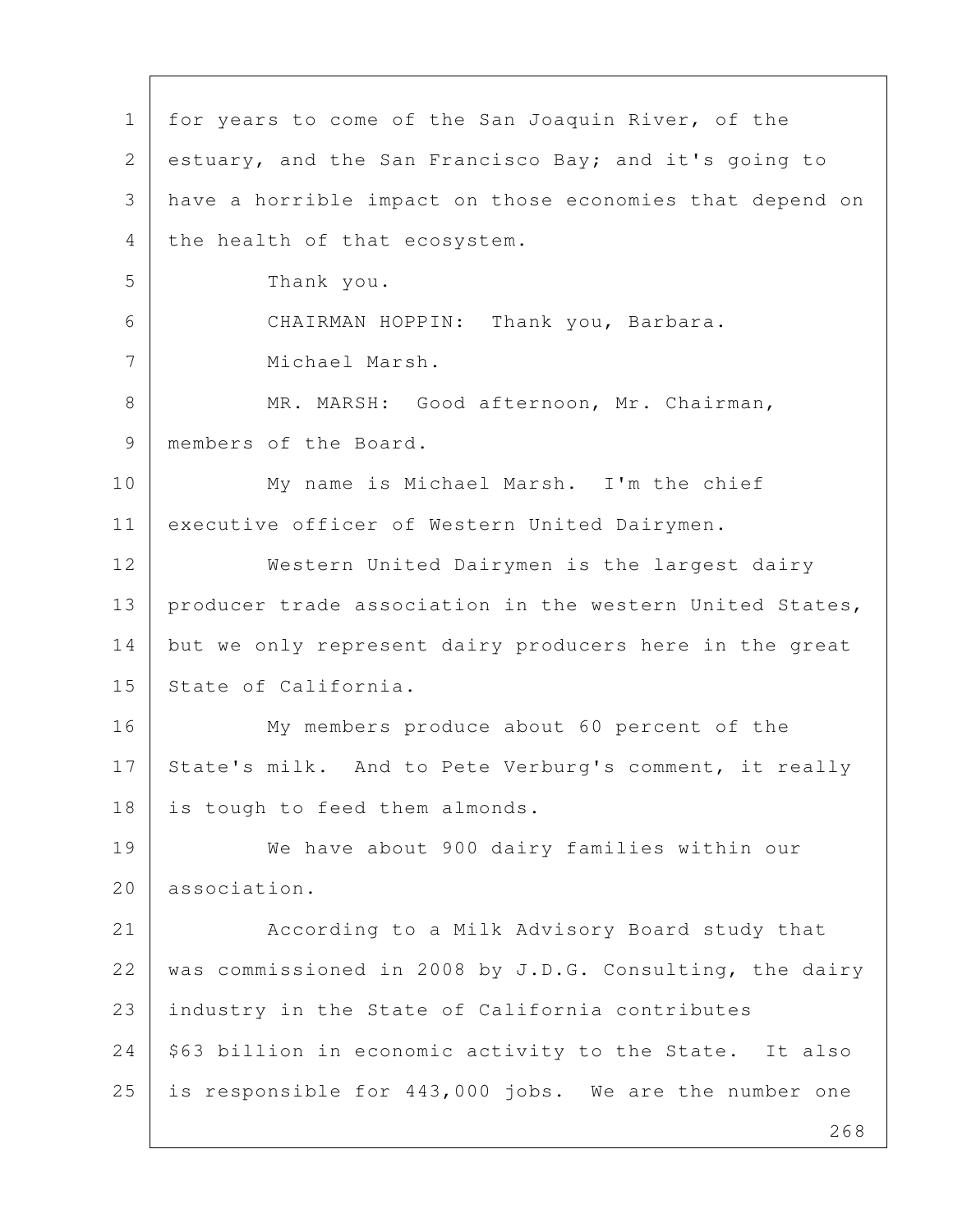268 1 for years to come of the San Joaquin River, of the 2 estuary, and the San Francisco Bay; and it's going to 3 have a horrible impact on those economies that depend on 4 the health of that ecosystem. 5 Thank you. 6 CHAIRMAN HOPPIN: Thank you, Barbara. 7 Michael Marsh. 8 MR. MARSH: Good afternoon, Mr. Chairman, 9 | members of the Board. 10 My name is Michael Marsh. I'm the chief 11 executive officer of Western United Dairymen. 12 Western United Dairymen is the largest dairy 13 | producer trade association in the western United States, 14 but we only represent dairy producers here in the great 15 State of California. 16 My members produce about 60 percent of the 17 State's milk. And to Pete Verburg's comment, it really 18 is tough to feed them almonds. 19 We have about 900 dairy families within our 20 association. 21 According to a Milk Advisory Board study that 22 | was commissioned in 2008 by J.D.G. Consulting, the dairy 23 industry in the State of California contributes 24 | \$63 billion in economic activity to the State. It also 25 is responsible for 443,000 jobs. We are the number one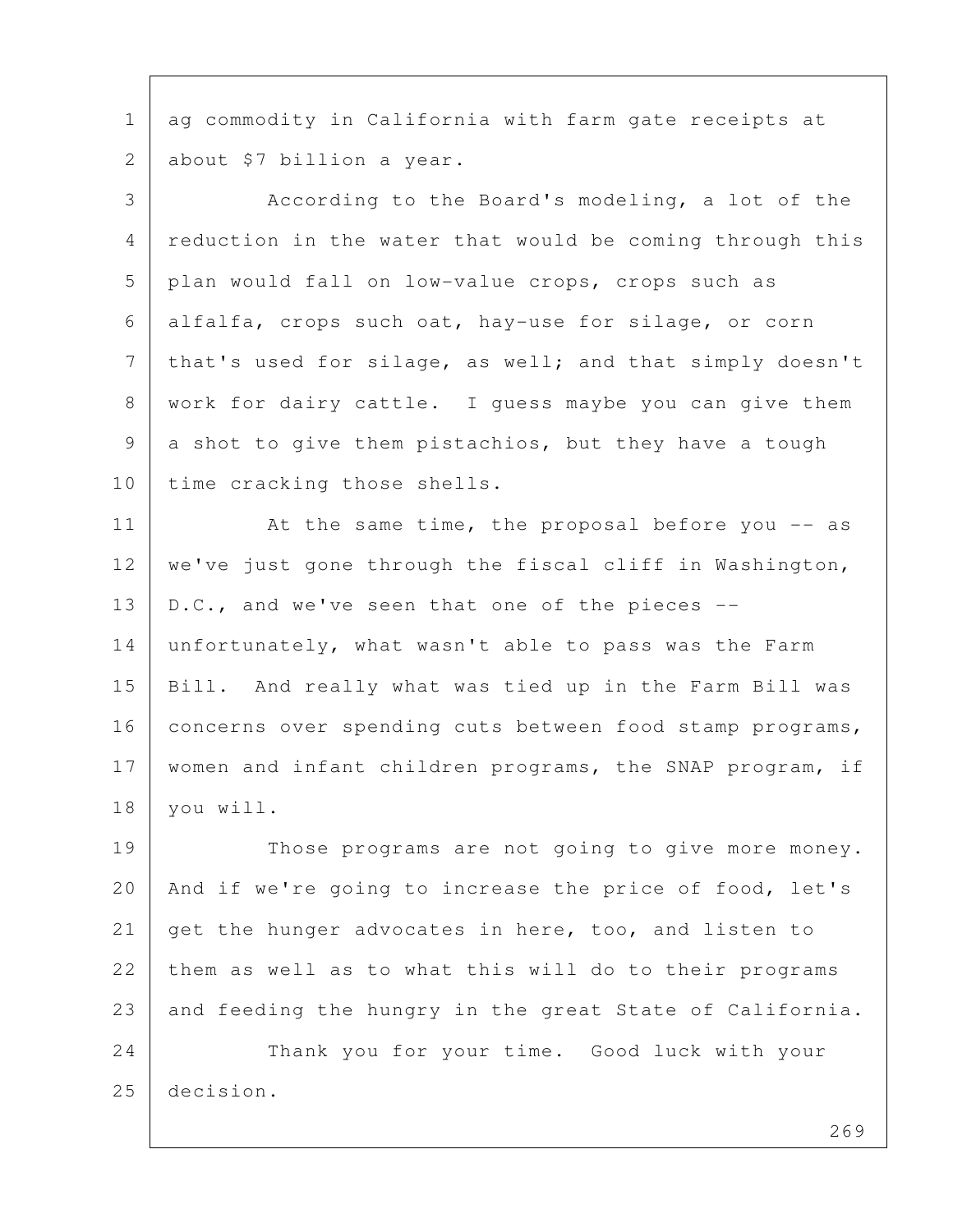1 ag commodity in California with farm gate receipts at 2 about \$7 billion a year.

 3 According to the Board's modeling, a lot of the 4 reduction in the water that would be coming through this 5 plan would fall on low-value crops, crops such as 6 alfalfa, crops such oat, hay-use for silage, or corn 7 | that's used for silage, as well; and that simply doesn't 8 | work for dairy cattle. I guess maybe you can give them 9 a shot to give them pistachios, but they have a tough 10 time cracking those shells.

11 At the same time, the proposal before you -- as 12 | we've just gone through the fiscal cliff in Washington, 13 | D.C., and we've seen that one of the pieces  $-$ -14 unfortunately, what wasn't able to pass was the Farm 15 Bill. And really what was tied up in the Farm Bill was 16 concerns over spending cuts between food stamp programs, 17 women and infant children programs, the SNAP program, if 18 you will.

19 | Those programs are not going to give more money. 20 | And if we're going to increase the price of food, let's 21 get the hunger advocates in here, too, and listen to 22 them as well as to what this will do to their programs 23 and feeding the hungry in the great State of California.

24 Thank you for your time. Good luck with your 25 decision.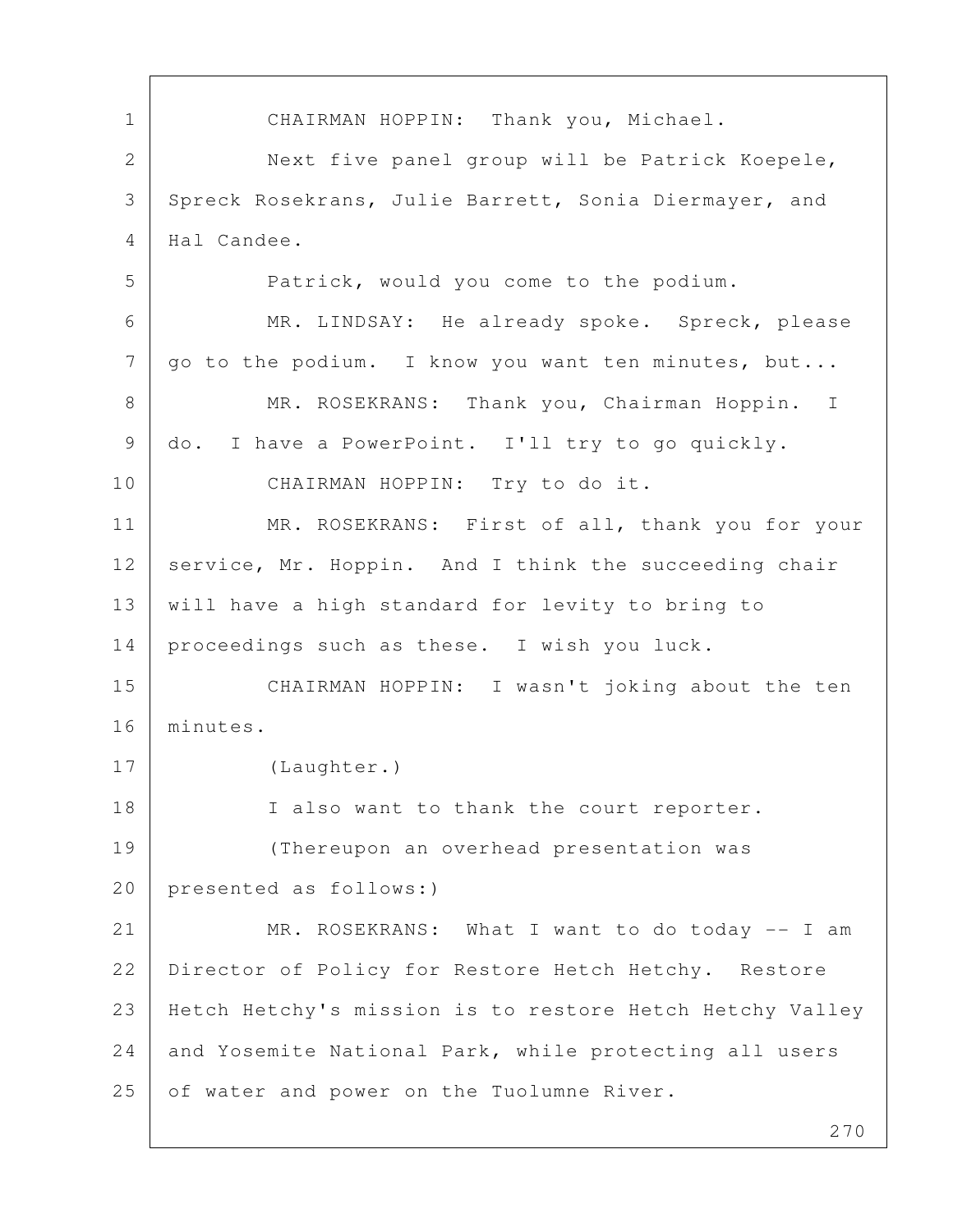1 CHAIRMAN HOPPIN: Thank you, Michael. 2 Next five panel group will be Patrick Koepele, 3 Spreck Rosekrans, Julie Barrett, Sonia Diermayer, and 4 Hal Candee. 5 Patrick, would you come to the podium. 6 MR. LINDSAY: He already spoke. Spreck, please  $7$  | go to the podium. I know you want ten minutes, but... 8 | MR. ROSEKRANS: Thank you, Chairman Hoppin. I 9 do. I have a PowerPoint. I'll try to go quickly. 10 CHAIRMAN HOPPIN: Try to do it. 11 | MR. ROSEKRANS: First of all, thank you for your 12 service, Mr. Hoppin. And I think the succeeding chair 13 will have a high standard for levity to bring to 14 proceedings such as these. I wish you luck. 15 CHAIRMAN HOPPIN: I wasn't joking about the ten 16 minutes. 17 (Laughter.) 18 I also want to thank the court reporter. 19 (Thereupon an overhead presentation was 20 presented as follows:) 21 MR. ROSEKRANS: What I want to do today -- I am 22 Director of Policy for Restore Hetch Hetchy. Restore 23 Hetch Hetchy's mission is to restore Hetch Hetchy Valley 24 and Yosemite National Park, while protecting all users 25 of water and power on the Tuolumne River.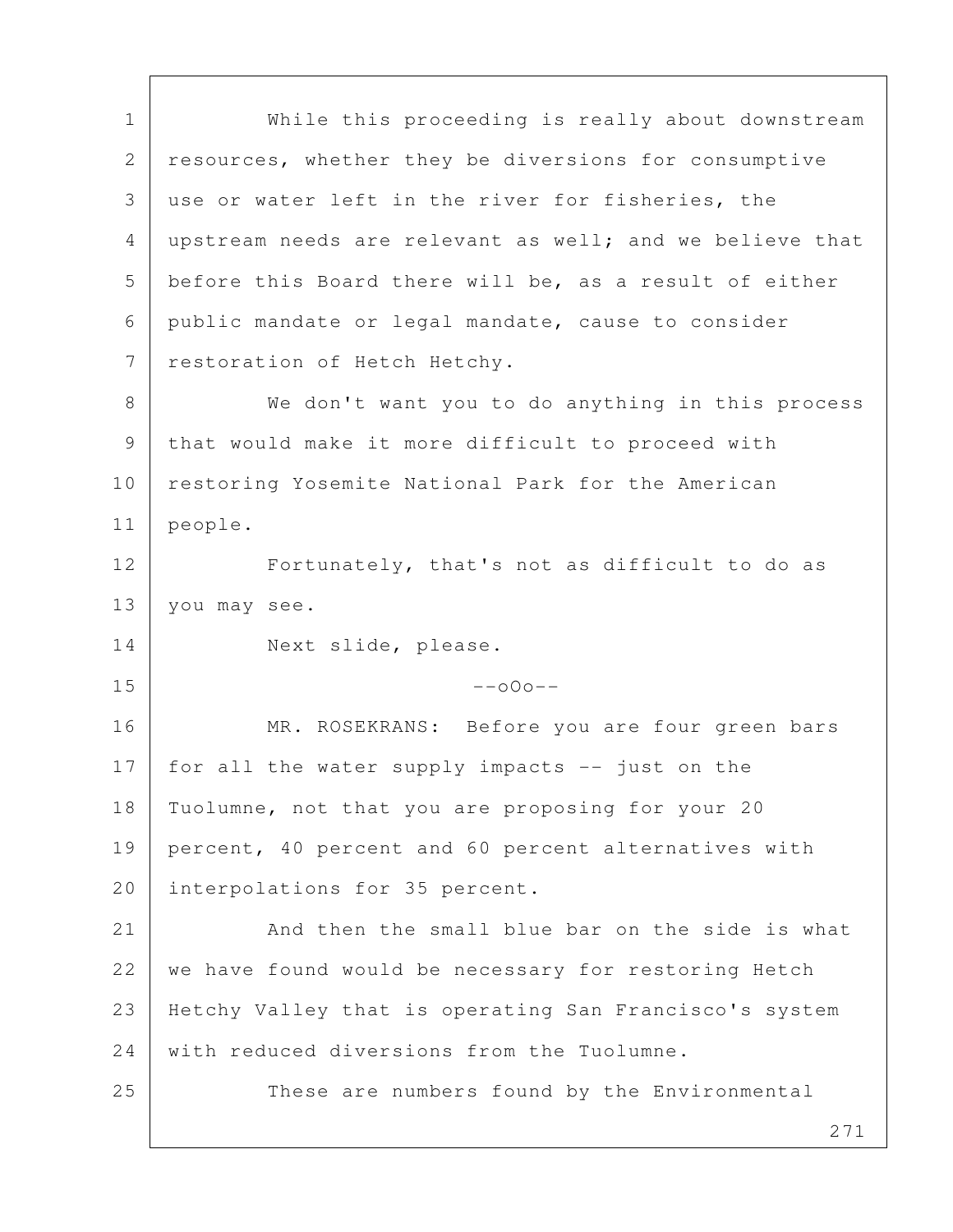271 1 While this proceeding is really about downstream 2 resources, whether they be diversions for consumptive 3 use or water left in the river for fisheries, the 4 upstream needs are relevant as well; and we believe that 5 before this Board there will be, as a result of either 6 public mandate or legal mandate, cause to consider 7 restoration of Hetch Hetchy. 8 | We don't want you to do anything in this process 9 that would make it more difficult to proceed with 10 | restoring Yosemite National Park for the American 11 people. 12 Fortunately, that's not as difficult to do as 13 you may see. 14 Next slide, please.  $15$  --000--16 | MR. ROSEKRANS: Before you are four green bars 17 for all the water supply impacts -- just on the 18 | Tuolumne, not that you are proposing for your 20 19 percent, 40 percent and 60 percent alternatives with 20 interpolations for 35 percent. 21 And then the small blue bar on the side is what 22 we have found would be necessary for restoring Hetch 23 Hetchy Valley that is operating San Francisco's system 24 with reduced diversions from the Tuolumne. 25 These are numbers found by the Environmental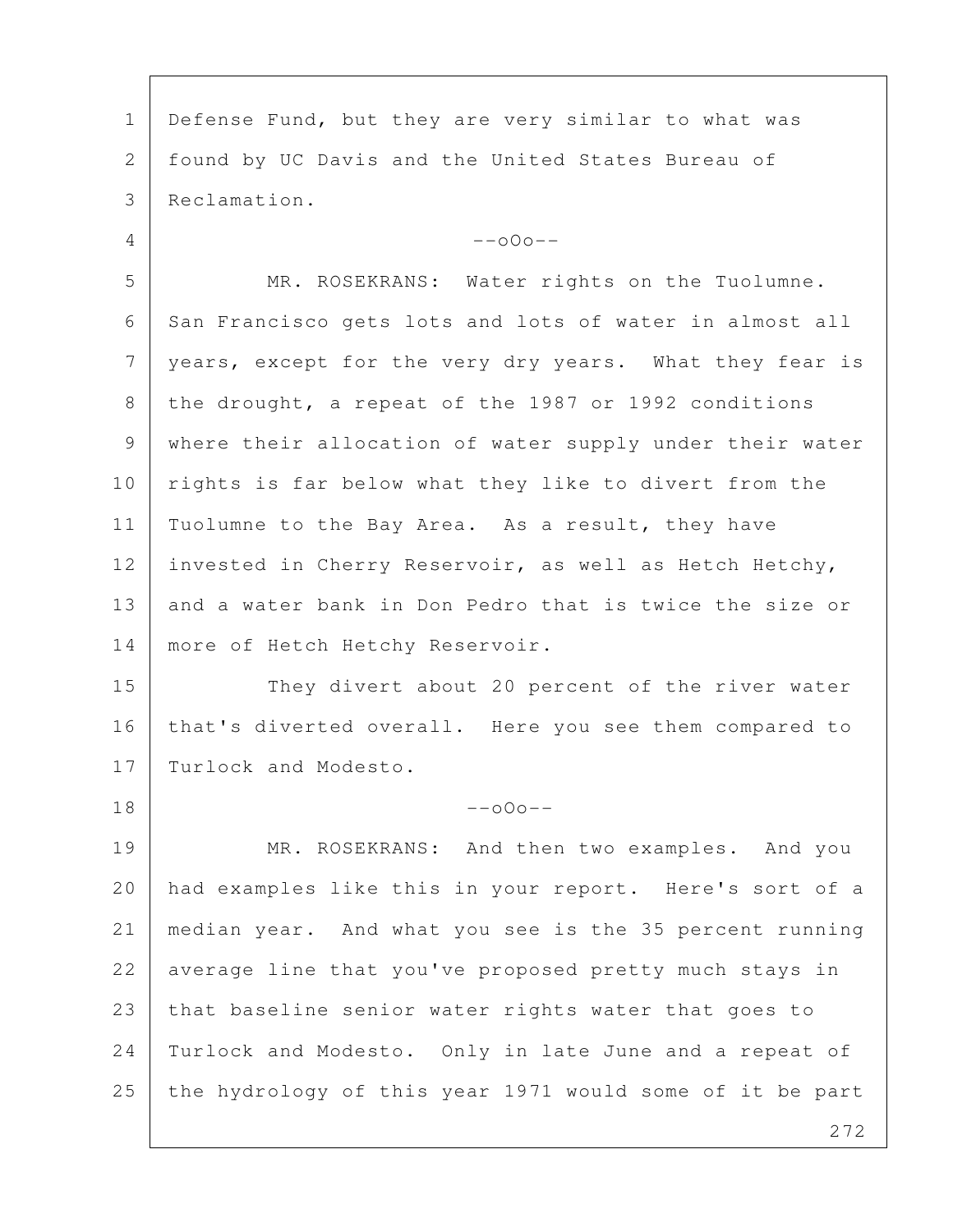1 | Defense Fund, but they are very similar to what was 2 found by UC Davis and the United States Bureau of 3 Reclamation.  $4$  --000-- 5 MR. ROSEKRANS: Water rights on the Tuolumne. 6 San Francisco gets lots and lots of water in almost all 7 | years, except for the very dry years. What they fear is 8 the drought, a repeat of the 1987 or 1992 conditions 9 where their allocation of water supply under their water 10 rights is far below what they like to divert from the 11 | Tuolumne to the Bay Area. As a result, they have 12 invested in Cherry Reservoir, as well as Hetch Hetchy, 13 and a water bank in Don Pedro that is twice the size or 14 | more of Hetch Hetchy Reservoir. 15 They divert about 20 percent of the river water 16 | that's diverted overall. Here you see them compared to 17 Turlock and Modesto.  $18$  --000--19 MR. ROSEKRANS: And then two examples. And you 20 had examples like this in your report. Here's sort of a 21 median year. And what you see is the 35 percent running 22 average line that you've proposed pretty much stays in 23 that baseline senior water rights water that goes to 24 Turlock and Modesto. Only in late June and a repeat of 25 the hydrology of this year 1971 would some of it be part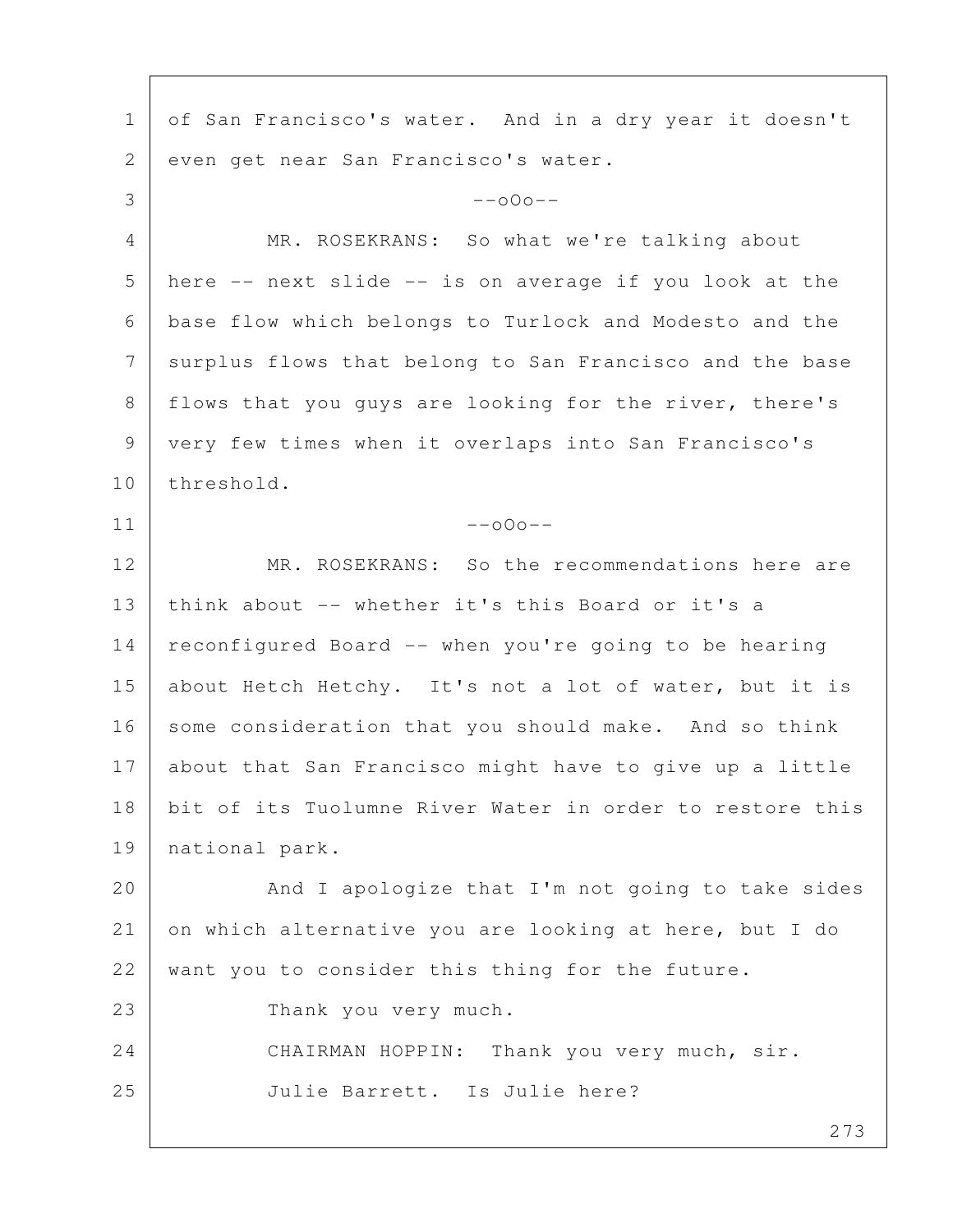273 1 of San Francisco's water. And in a dry year it doesn't 2 | even get near San Francisco's water.  $3$  --000-- 4 MR. ROSEKRANS: So what we're talking about 5 here -- next slide -- is on average if you look at the 6 base flow which belongs to Turlock and Modesto and the 7 surplus flows that belong to San Francisco and the base 8 | flows that you guys are looking for the river, there's 9 very few times when it overlaps into San Francisco's 10 threshold.  $11$  --000--12 MR. ROSEKRANS: So the recommendations here are 13 think about -- whether it's this Board or it's a 14 reconfigured Board -- when you're going to be hearing 15 about Hetch Hetchy. It's not a lot of water, but it is 16 some consideration that you should make. And so think 17 about that San Francisco might have to give up a little 18 bit of its Tuolumne River Water in order to restore this 19 national park. 20 | And I apologize that I'm not going to take sides 21 on which alternative you are looking at here, but I do 22 want you to consider this thing for the future. 23 Thank you very much. 24 CHAIRMAN HOPPIN: Thank you very much, sir. 25 Julie Barrett. Is Julie here?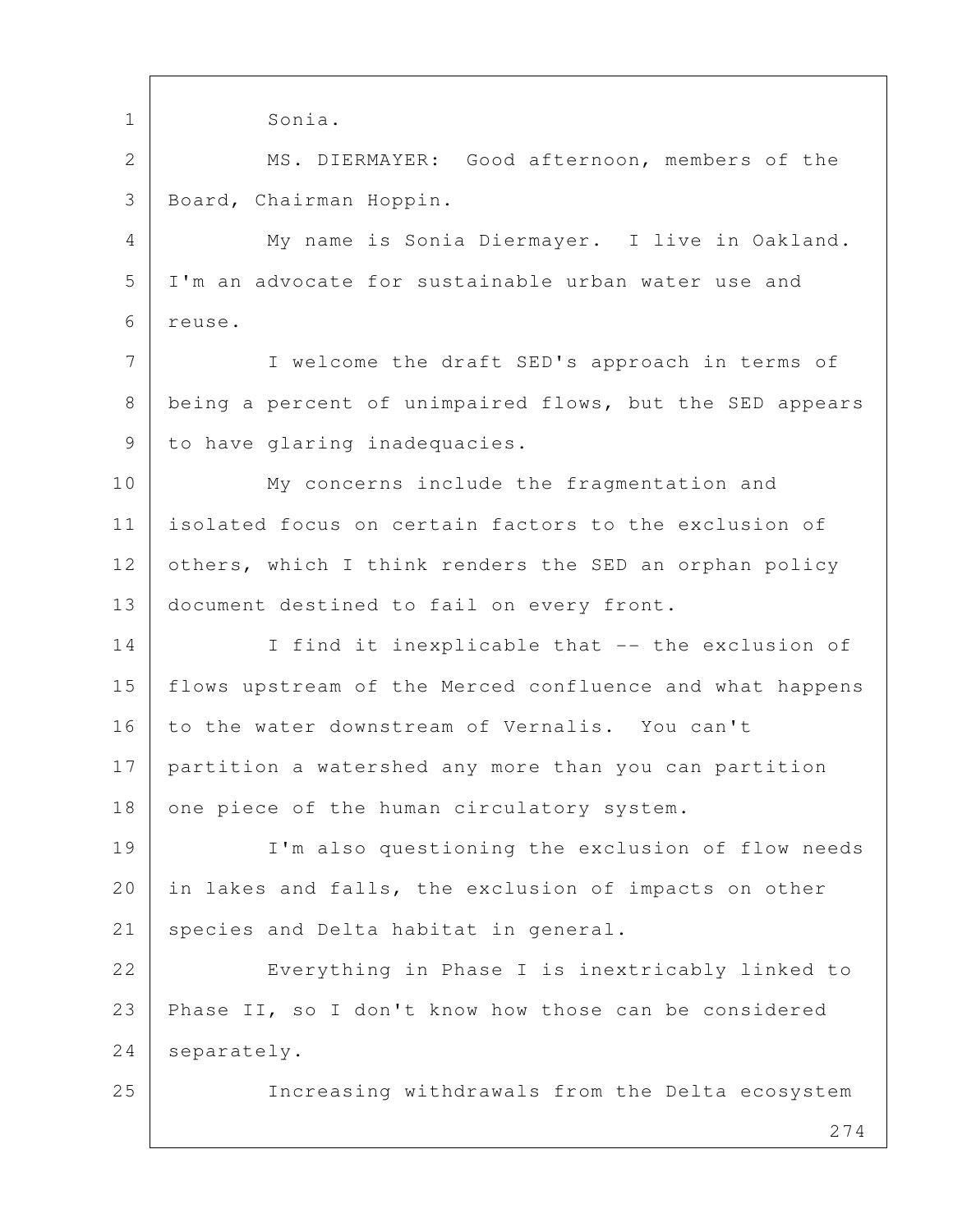274 1 Sonia. 2 MS. DIERMAYER: Good afternoon, members of the 3 Board, Chairman Hoppin. 4 My name is Sonia Diermayer. I live in Oakland. 5 I'm an advocate for sustainable urban water use and 6 reuse. 7 | I welcome the draft SED's approach in terms of 8 being a percent of unimpaired flows, but the SED appears 9 to have glaring inadequacies. 10 | My concerns include the fragmentation and 11 isolated focus on certain factors to the exclusion of 12 others, which I think renders the SED an orphan policy 13 document destined to fail on every front. 14 I find it inexplicable that -- the exclusion of 15 flows upstream of the Merced confluence and what happens 16 to the water downstream of Vernalis. You can't 17 partition a watershed any more than you can partition 18 one piece of the human circulatory system. 19 I'm also questioning the exclusion of flow needs 20 in lakes and falls, the exclusion of impacts on other 21 | species and Delta habitat in general. 22 Everything in Phase I is inextricably linked to 23 Phase II, so I don't know how those can be considered 24 | separately. 25 Increasing withdrawals from the Delta ecosystem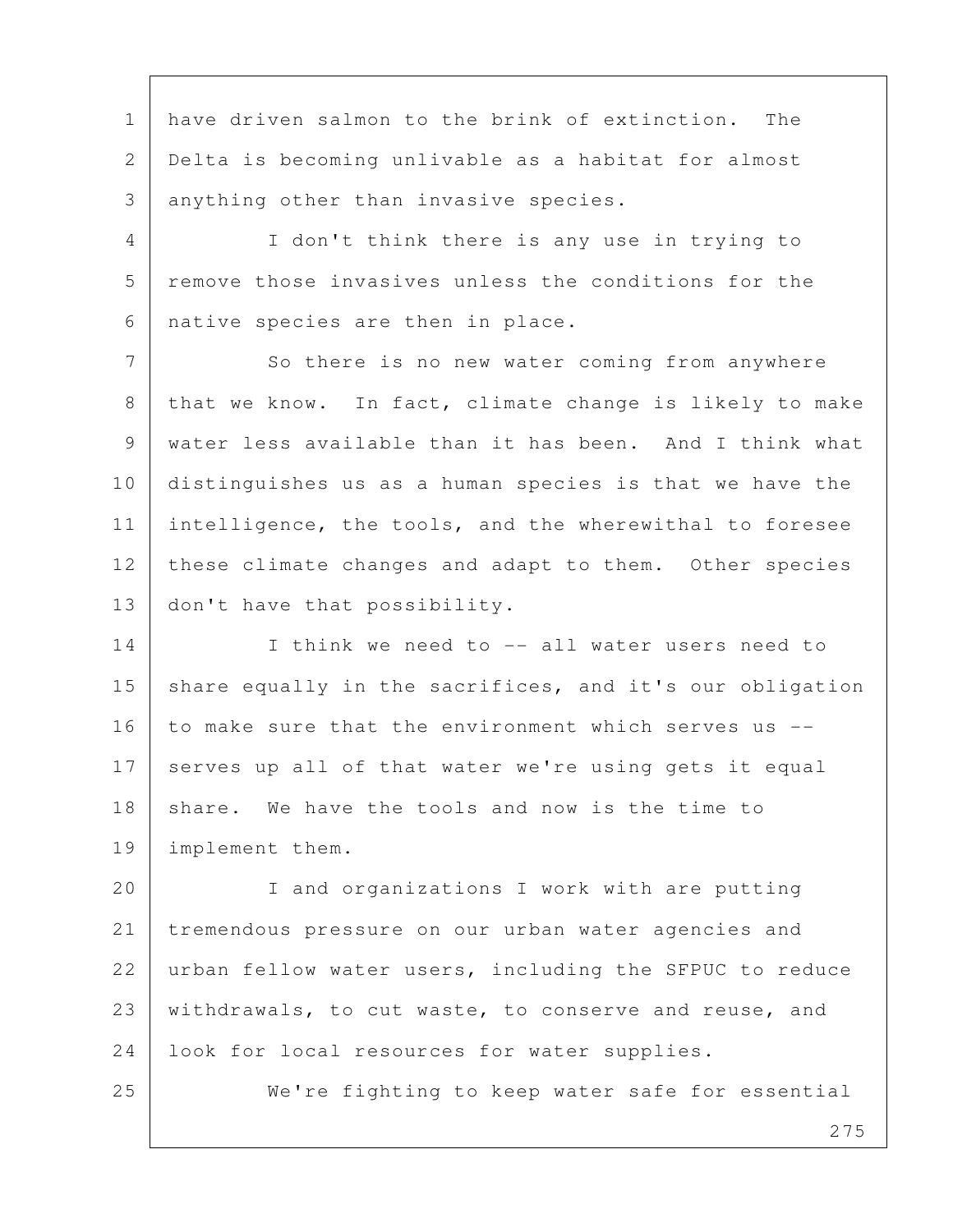1 have driven salmon to the brink of extinction. The 2 Delta is becoming unlivable as a habitat for almost 3 anything other than invasive species.

 4 I don't think there is any use in trying to 5 remove those invasives unless the conditions for the 6 native species are then in place.

7 So there is no new water coming from anywhere 8 | that we know. In fact, climate change is likely to make 9 | water less available than it has been. And I think what 10 distinguishes us as a human species is that we have the 11 intelligence, the tools, and the wherewithal to foresee 12 these climate changes and adapt to them. Other species 13 | don't have that possibility.

14 I think we need to -- all water users need to 15 share equally in the sacrifices, and it's our obligation 16 to make sure that the environment which serves us --17 serves up all of that water we're using gets it equal 18 share. We have the tools and now is the time to 19 implement them.

20 I and organizations I work with are putting 21 tremendous pressure on our urban water agencies and 22 urban fellow water users, including the SFPUC to reduce 23 withdrawals, to cut waste, to conserve and reuse, and 24 | look for local resources for water supplies.

25 We're fighting to keep water safe for essential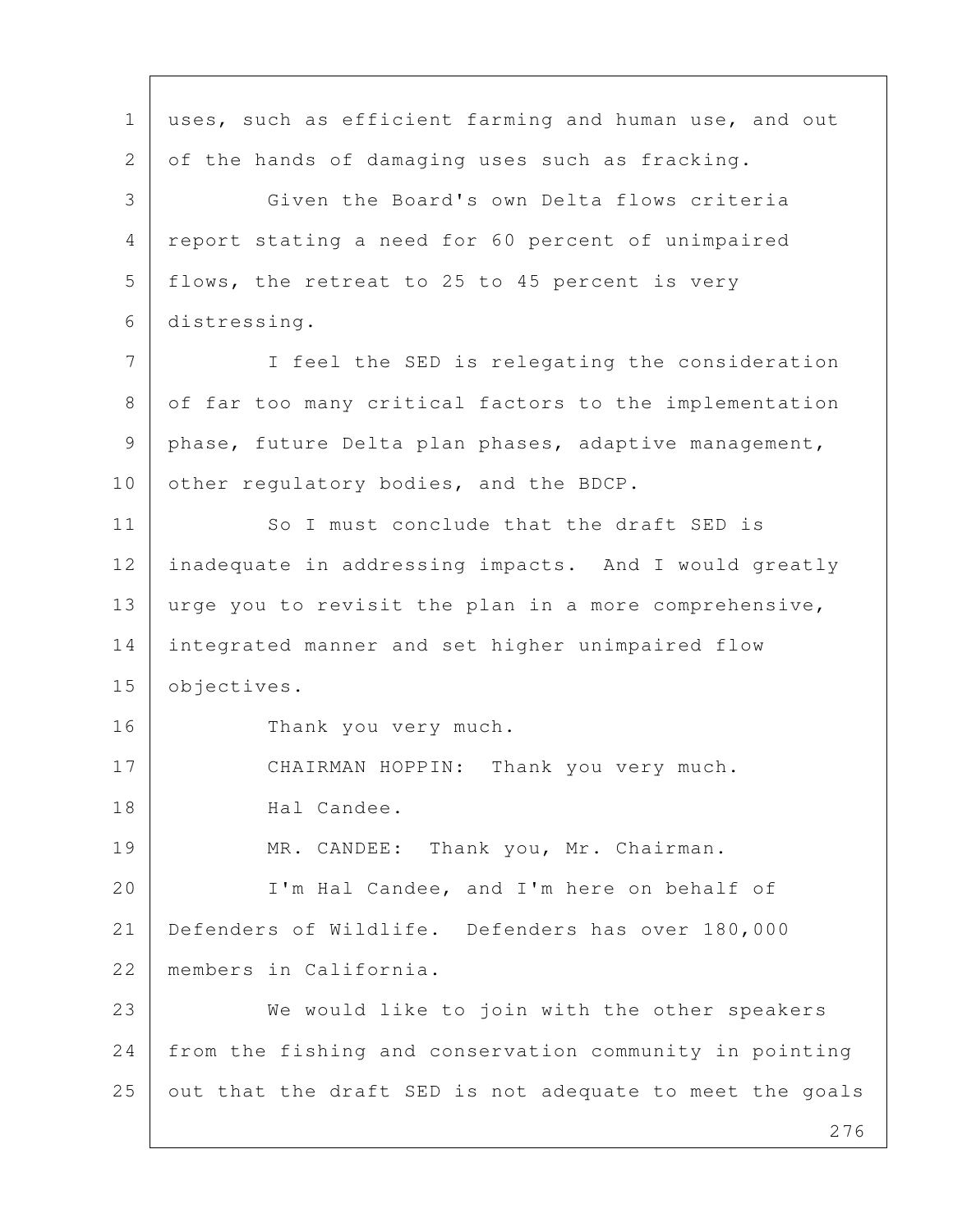276 1 uses, such as efficient farming and human use, and out 2 of the hands of damaging uses such as fracking. 3 Given the Board's own Delta flows criteria 4 report stating a need for 60 percent of unimpaired 5 | flows, the retreat to 25 to 45 percent is very 6 distressing. 7 I feel the SED is relegating the consideration 8 of far too many critical factors to the implementation 9 phase, future Delta plan phases, adaptive management, 10 other regulatory bodies, and the BDCP. 11 So I must conclude that the draft SED is 12 inadequate in addressing impacts. And I would greatly 13 urge you to revisit the plan in a more comprehensive, 14 integrated manner and set higher unimpaired flow 15 objectives. 16 Thank you very much. 17 | CHAIRMAN HOPPIN: Thank you very much. 18 Hal Candee. 19 | MR. CANDEE: Thank you, Mr. Chairman. 20 | I'm Hal Candee, and I'm here on behalf of 21 Defenders of Wildlife. Defenders has over 180,000 22 members in California. 23 We would like to join with the other speakers 24 from the fishing and conservation community in pointing  $25$  out that the draft SED is not adequate to meet the goals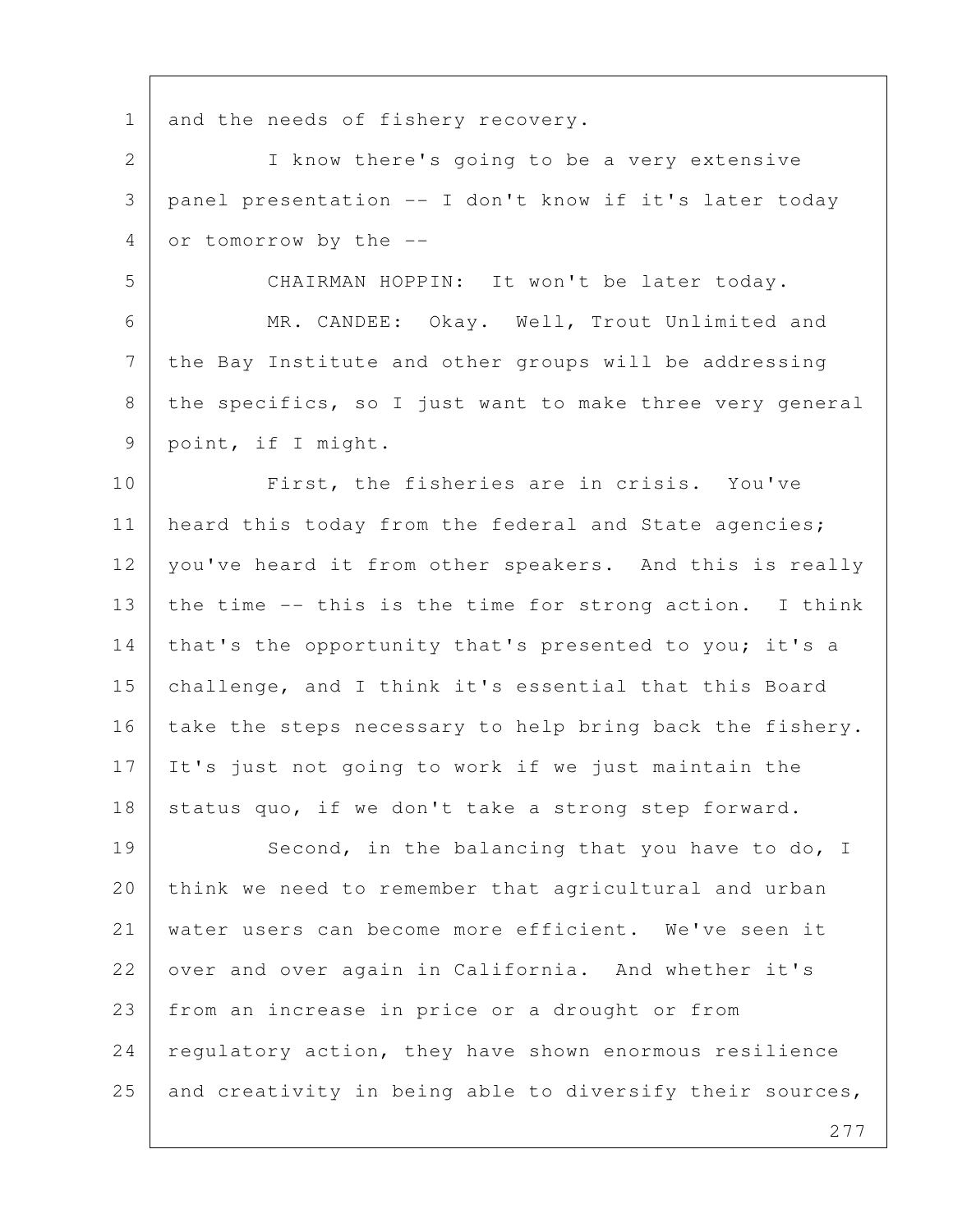1 and the needs of fishery recovery.

 2 I know there's going to be a very extensive 3 panel presentation -- I don't know if it's later today 4 or tomorrow by the --

5 CHAIRMAN HOPPIN: It won't be later today.

 6 MR. CANDEE: Okay. Well, Trout Unlimited and 7 the Bay Institute and other groups will be addressing 8 | the specifics, so I just want to make three very general 9 point, if I might.

10 First, the fisheries are in crisis. You've 11 | heard this today from the federal and State agencies; 12 | you've heard it from other speakers. And this is really 13 the time  $--$  this is the time for strong action. I think 14 | that's the opportunity that's presented to you; it's a 15 | challenge, and I think it's essential that this Board 16 take the steps necessary to help bring back the fishery. 17 It's just not going to work if we just maintain the 18 status quo, if we don't take a strong step forward.

19 Second, in the balancing that you have to do, I 20 think we need to remember that agricultural and urban 21 water users can become more efficient. We've seen it 22 over and over again in California. And whether it's 23 from an increase in price or a drought or from 24 regulatory action, they have shown enormous resilience 25 and creativity in being able to diversify their sources,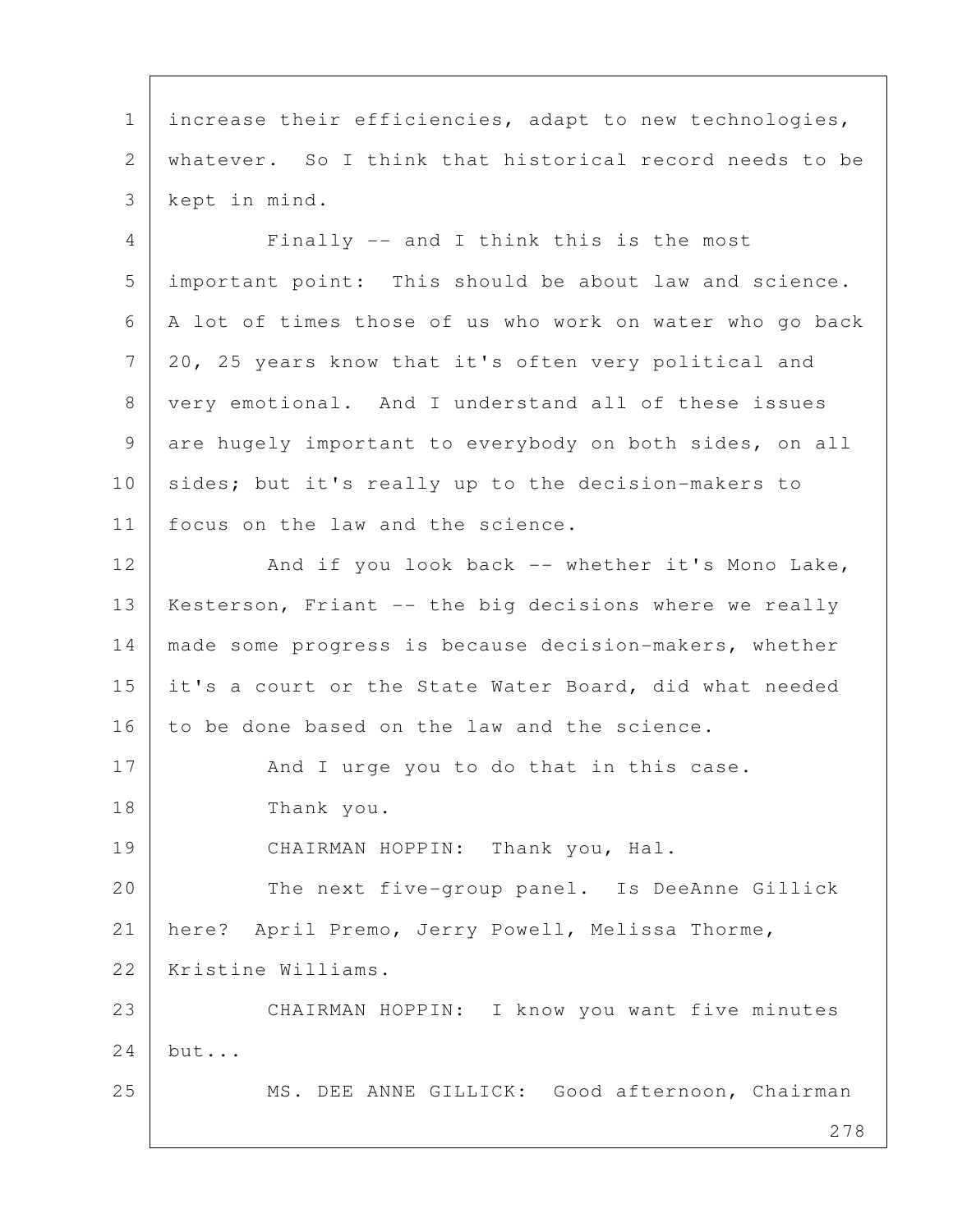1 | increase their efficiencies, adapt to new technologies, 2 whatever. So I think that historical record needs to be 3 kept in mind.

 4 Finally -- and I think this is the most 5 important point: This should be about law and science. 6 A lot of times those of us who work on water who go back 7 20, 25 years know that it's often very political and 8 very emotional. And I understand all of these issues 9 are hugely important to everybody on both sides, on all 10 sides; but it's really up to the decision-makers to 11 | focus on the law and the science.

12 And if you look back -- whether it's Mono Lake, 13 | Kesterson, Friant -- the big decisions where we really 14 made some progress is because decision-makers, whether 15 it's a court or the State Water Board, did what needed 16 to be done based on the law and the science.

17 And I urge you to do that in this case. 18 Thank you.

19 CHAIRMAN HOPPIN: Thank you, Hal.

20 The next five-group panel. Is DeeAnne Gillick 21 here? April Premo, Jerry Powell, Melissa Thorme,

22 Kristine Williams.

23 CHAIRMAN HOPPIN: I know you want five minutes 24 but...

25 MS. DEE ANNE GILLICK: Good afternoon, Chairman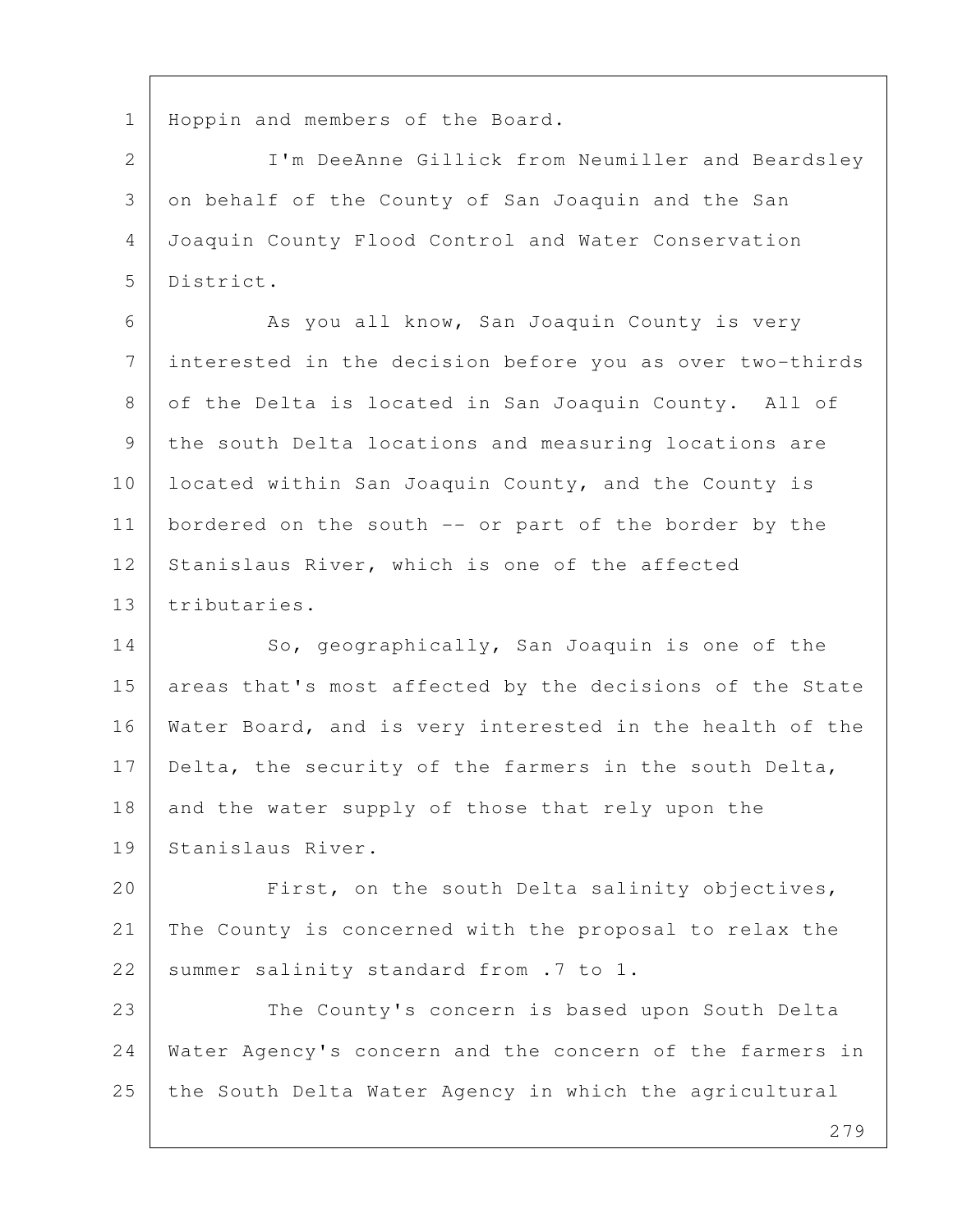1 Hoppin and members of the Board.

 2 I'm DeeAnne Gillick from Neumiller and Beardsley 3 on behalf of the County of San Joaquin and the San 4 Joaquin County Flood Control and Water Conservation 5 District.

6 As you all know, San Joaquin County is very 7 interested in the decision before you as over two-thirds 8 of the Delta is located in San Joaquin County. All of 9 the south Delta locations and measuring locations are 10 | located within San Joaquin County, and the County is 11 | bordered on the south -- or part of the border by the 12 Stanislaus River, which is one of the affected 13 tributaries.

14 So, geographically, San Joaquin is one of the 15 areas that's most affected by the decisions of the State 16 | Water Board, and is very interested in the health of the 17 Delta, the security of the farmers in the south Delta, 18 and the water supply of those that rely upon the 19 Stanislaus River.

20 First, on the south Delta salinity objectives, 21 The County is concerned with the proposal to relax the 22 summer salinity standard from .7 to 1.

23 The County's concern is based upon South Delta 24 Water Agency's concern and the concern of the farmers in 25 the South Delta Water Agency in which the agricultural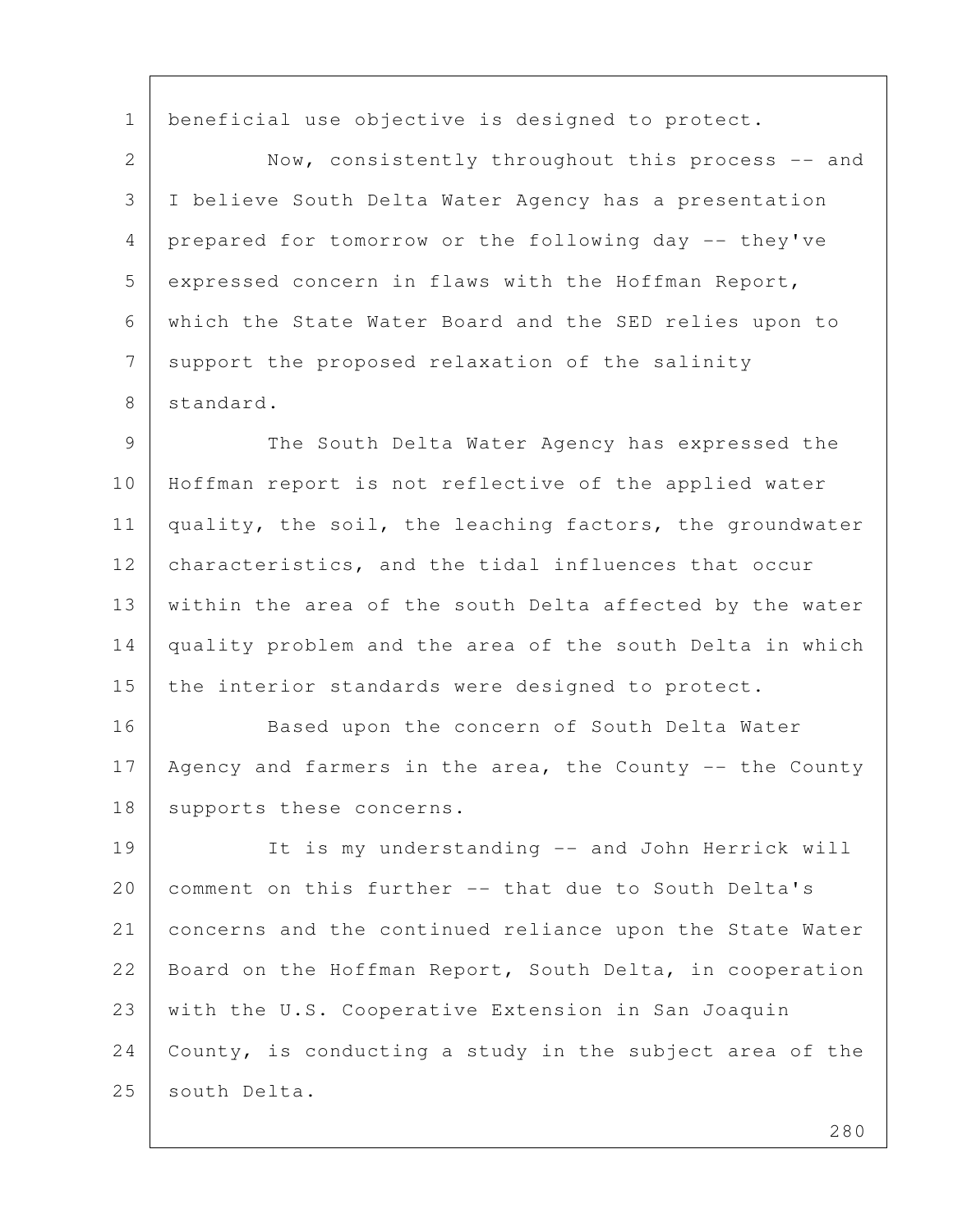1 | beneficial use objective is designed to protect.

2 Now, consistently throughout this process -- and 3 I believe South Delta Water Agency has a presentation 4 prepared for tomorrow or the following day -- they've 5 expressed concern in flaws with the Hoffman Report, 6 which the State Water Board and the SED relies upon to 7 support the proposed relaxation of the salinity 8 standard.

 9 The South Delta Water Agency has expressed the 10 Hoffman report is not reflective of the applied water 11 quality, the soil, the leaching factors, the groundwater 12 characteristics, and the tidal influences that occur 13 within the area of the south Delta affected by the water 14 quality problem and the area of the south Delta in which 15 the interior standards were designed to protect.

16 Based upon the concern of South Delta Water 17 | Agency and farmers in the area, the County -- the County 18 supports these concerns.

19 It is my understanding -- and John Herrick will 20 comment on this further -- that due to South Delta's 21 concerns and the continued reliance upon the State Water 22 | Board on the Hoffman Report, South Delta, in cooperation 23 with the U.S. Cooperative Extension in San Joaquin  $24$  County, is conducting a study in the subject area of the 25 south Delta.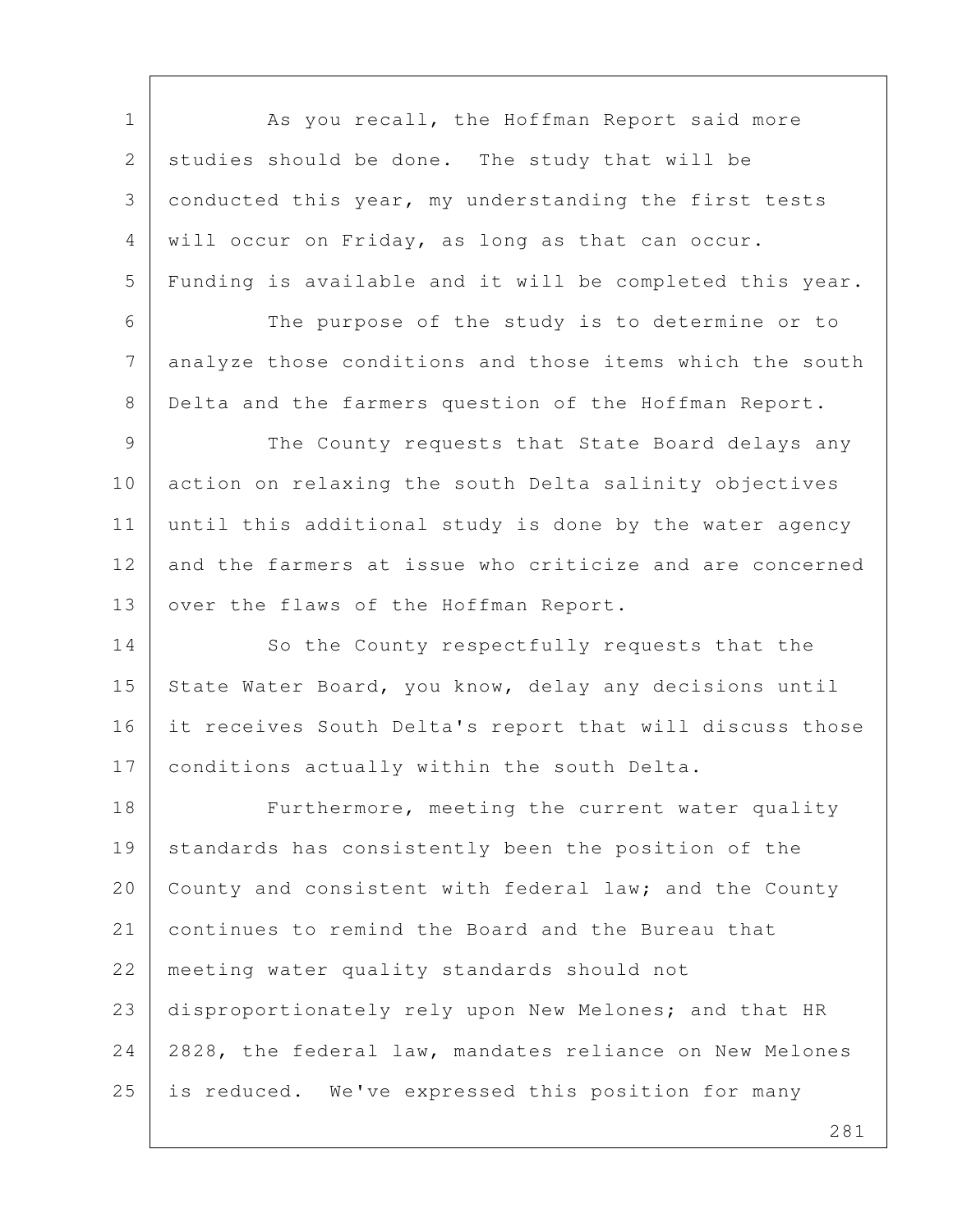1 As you recall, the Hoffman Report said more 2 studies should be done. The study that will be 3 conducted this year, my understanding the first tests 4 will occur on Friday, as long as that can occur. 5 Funding is available and it will be completed this year. 6 The purpose of the study is to determine or to 7 analyze those conditions and those items which the south 8 Delta and the farmers question of the Hoffman Report. 9 The County requests that State Board delays any 10 action on relaxing the south Delta salinity objectives 11 until this additional study is done by the water agency 12 and the farmers at issue who criticize and are concerned 13 | over the flaws of the Hoffman Report. 14 So the County respectfully requests that the 15 State Water Board, you know, delay any decisions until 16 it receives South Delta's report that will discuss those 17 conditions actually within the south Delta. 18 Furthermore, meeting the current water quality 19 standards has consistently been the position of the 20 County and consistent with federal law; and the County 21 continues to remind the Board and the Bureau that 22 meeting water quality standards should not 23 disproportionately rely upon New Melones; and that HR 24 2828, the federal law, mandates reliance on New Melones 25 is reduced. We've expressed this position for many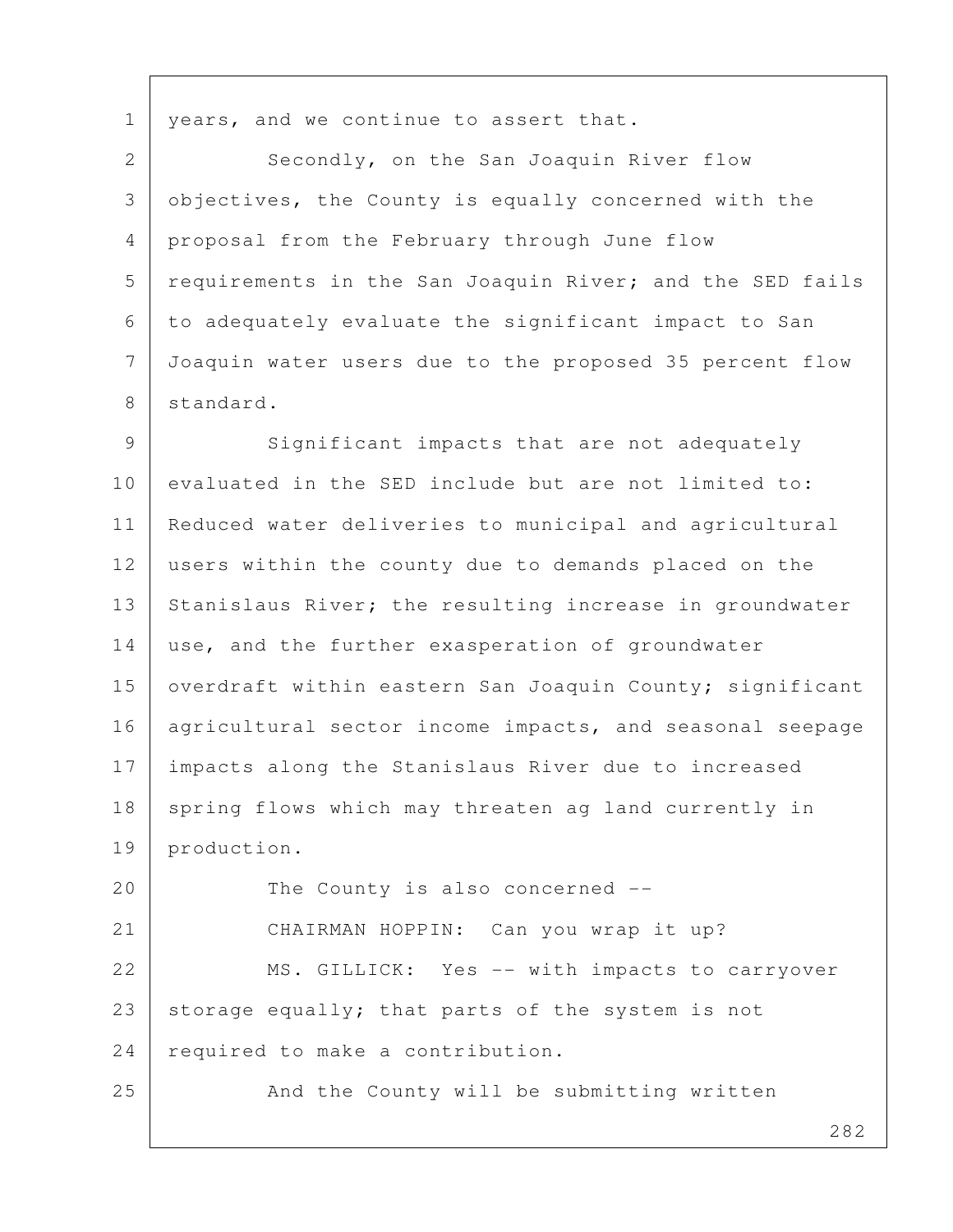1 | years, and we continue to assert that.

2 Secondly, on the San Joaquin River flow 3 objectives, the County is equally concerned with the 4 proposal from the February through June flow 5 requirements in the San Joaquin River; and the SED fails 6 to adequately evaluate the significant impact to San 7 Joaquin water users due to the proposed 35 percent flow 8 standard.

9 Significant impacts that are not adequately 10 evaluated in the SED include but are not limited to: 11 Reduced water deliveries to municipal and agricultural 12 users within the county due to demands placed on the 13 Stanislaus River; the resulting increase in groundwater 14 use, and the further exasperation of groundwater 15 | overdraft within eastern San Joaquin County; significant 16 | agricultural sector income impacts, and seasonal seepage 17 impacts along the Stanislaus River due to increased 18 spring flows which may threaten ag land currently in 19 production.

20 The County is also concerned --21 CHAIRMAN HOPPIN: Can you wrap it up? 22 MS. GILLICK: Yes -- with impacts to carryover 23 storage equally; that parts of the system is not 24 required to make a contribution.

25 And the County will be submitting written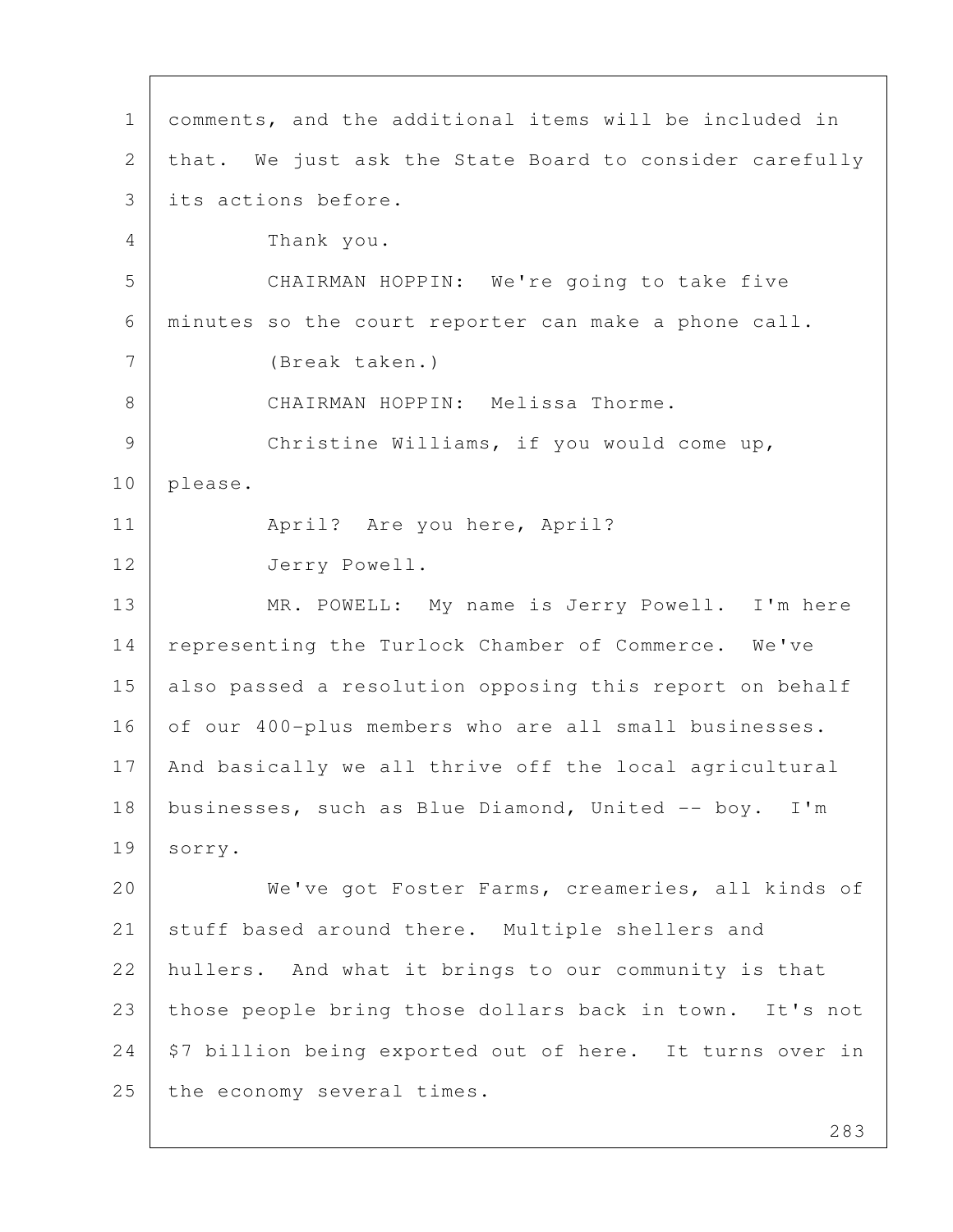1 comments, and the additional items will be included in 2 that. We just ask the State Board to consider carefully 3 its actions before. 4 Thank you. 5 CHAIRMAN HOPPIN: We're going to take five 6 minutes so the court reporter can make a phone call. 7 (Break taken.) 8 CHAIRMAN HOPPIN: Melissa Thorme. 9 | Christine Williams, if you would come up, 10 please. 11 | April? Are you here, April? 12 Jerry Powell. 13 | MR. POWELL: My name is Jerry Powell. I'm here 14 representing the Turlock Chamber of Commerce. We've 15 | also passed a resolution opposing this report on behalf 16 of our 400-plus members who are all small businesses. 17 | And basically we all thrive off the local agricultural 18 businesses, such as Blue Diamond, United -- boy. I'm 19 sorry. 20 We've got Foster Farms, creameries, all kinds of 21 stuff based around there. Multiple shellers and 22 hullers. And what it brings to our community is that 23 those people bring those dollars back in town. It's not  $24$   $\frac{1}{24}$  \$7 billion being exported out of here. It turns over in 25 the economy several times.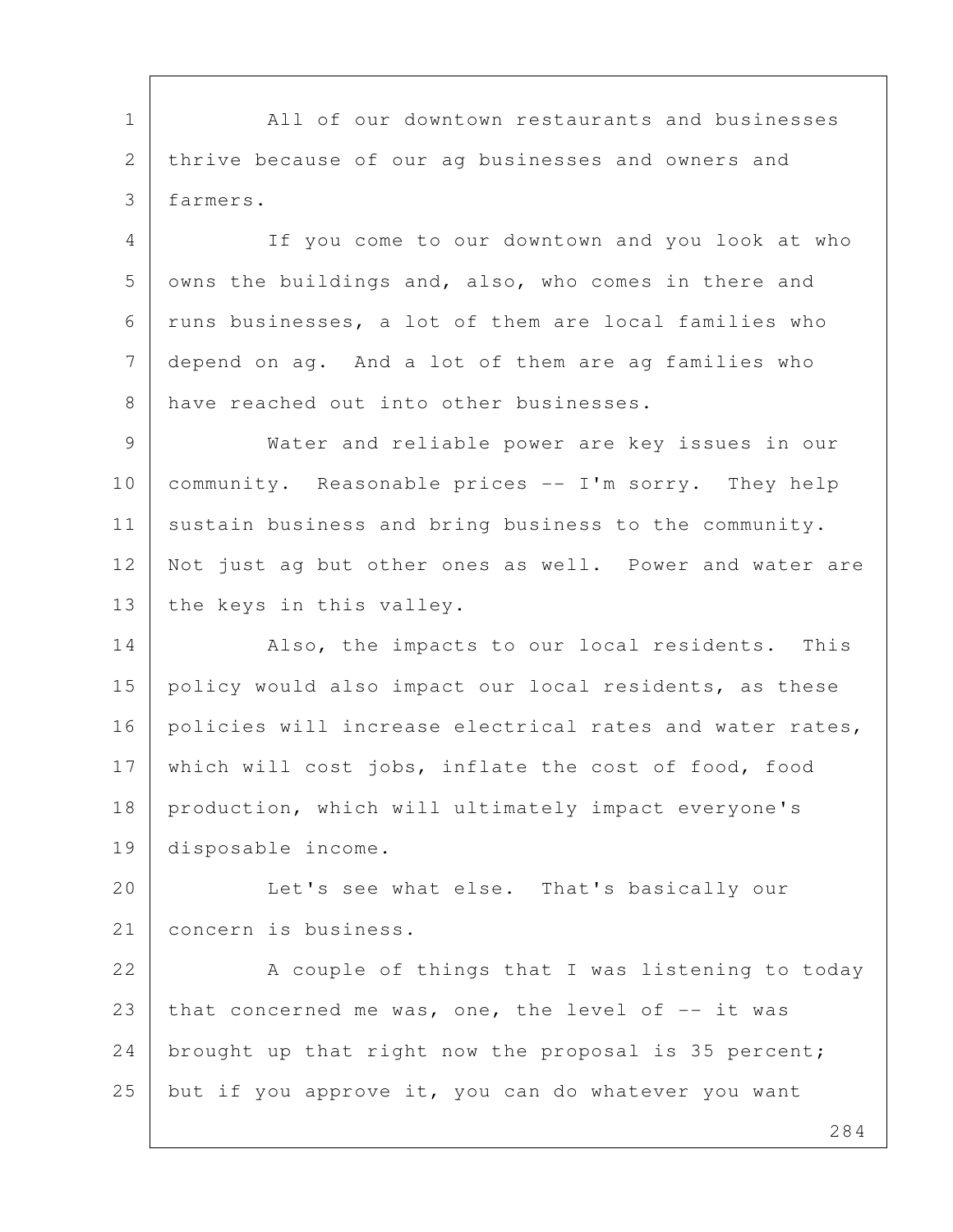1 All of our downtown restaurants and businesses 2 thrive because of our ag businesses and owners and 3 farmers.

 4 If you come to our downtown and you look at who 5 owns the buildings and, also, who comes in there and 6 runs businesses, a lot of them are local families who 7 depend on ag. And a lot of them are ag families who 8 have reached out into other businesses.

 9 Water and reliable power are key issues in our 10 community. Reasonable prices -- I'm sorry. They help 11 sustain business and bring business to the community. 12 Not just ag but other ones as well. Power and water are 13 the keys in this valley.

14 Also, the impacts to our local residents. This 15 policy would also impact our local residents, as these 16 policies will increase electrical rates and water rates, 17 which will cost jobs, inflate the cost of food, food 18 production, which will ultimately impact everyone's 19 disposable income.

20 Let's see what else. That's basically our 21 concern is business.

22 A couple of things that I was listening to today 23 that concerned me was, one, the level of  $-$ - it was 24 | brought up that right now the proposal is 35 percent; 25 but if you approve it, you can do whatever you want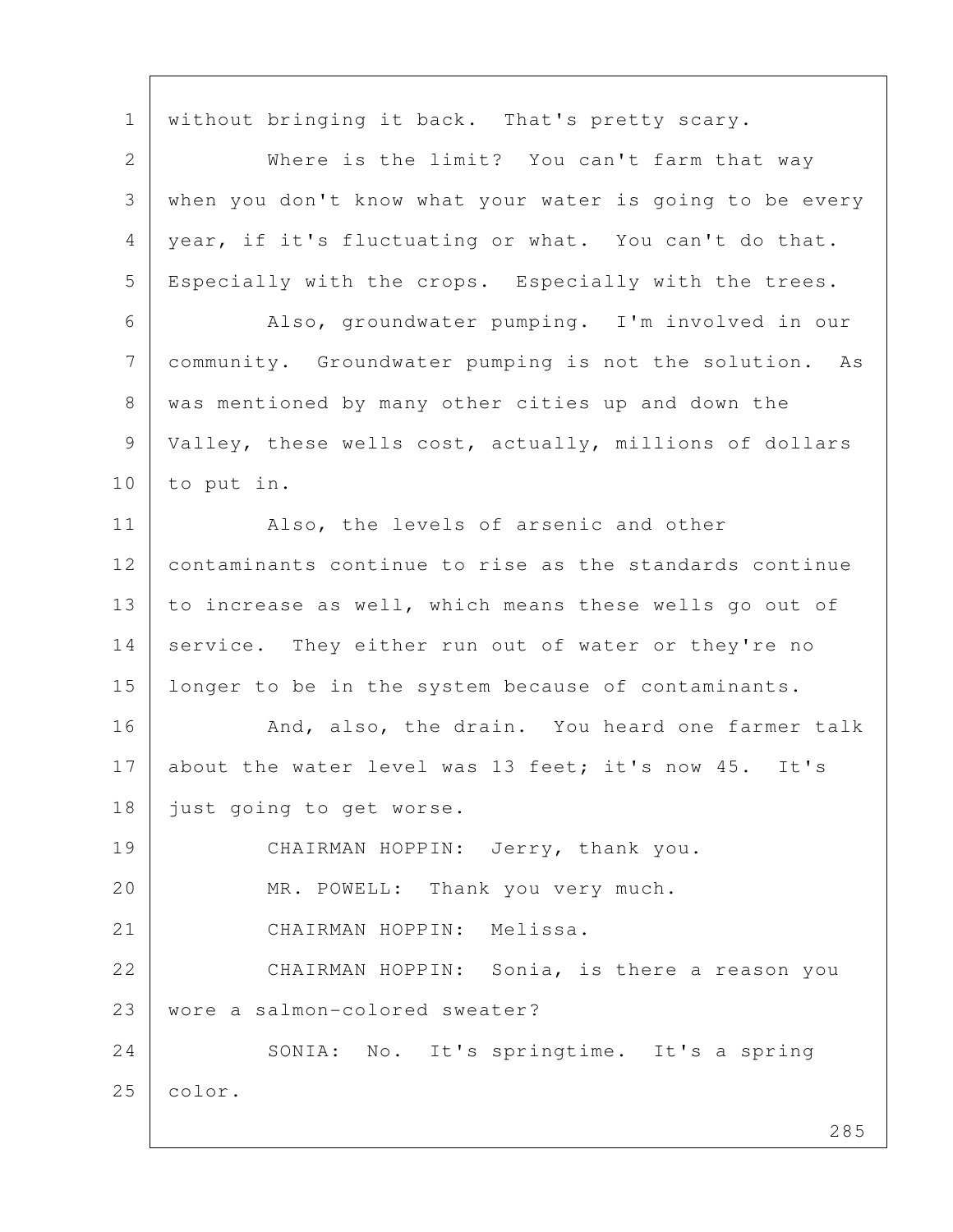1 without bringing it back. That's pretty scary. 2 Where is the limit? You can't farm that way 3 when you don't know what your water is going to be every 4 year, if it's fluctuating or what. You can't do that. 5 Especially with the crops. Especially with the trees. 6 Also, groundwater pumping. I'm involved in our 7 community. Groundwater pumping is not the solution. As 8 was mentioned by many other cities up and down the 9 Valley, these wells cost, actually, millions of dollars 10 to put in. 11 Also, the levels of arsenic and other 12 contaminants continue to rise as the standards continue 13 to increase as well, which means these wells go out of 14 service. They either run out of water or they're no 15 longer to be in the system because of contaminants. 16 | And, also, the drain. You heard one farmer talk 17 about the water level was 13 feet; it's now 45. It's 18 | just going to get worse. 19 CHAIRMAN HOPPIN: Jerry, thank you. 20 MR. POWELL: Thank you very much. 21 CHAIRMAN HOPPIN: Melissa. 22 CHAIRMAN HOPPIN: Sonia, is there a reason you 23 wore a salmon-colored sweater? 24 SONIA: No. It's springtime. It's a spring 25 color.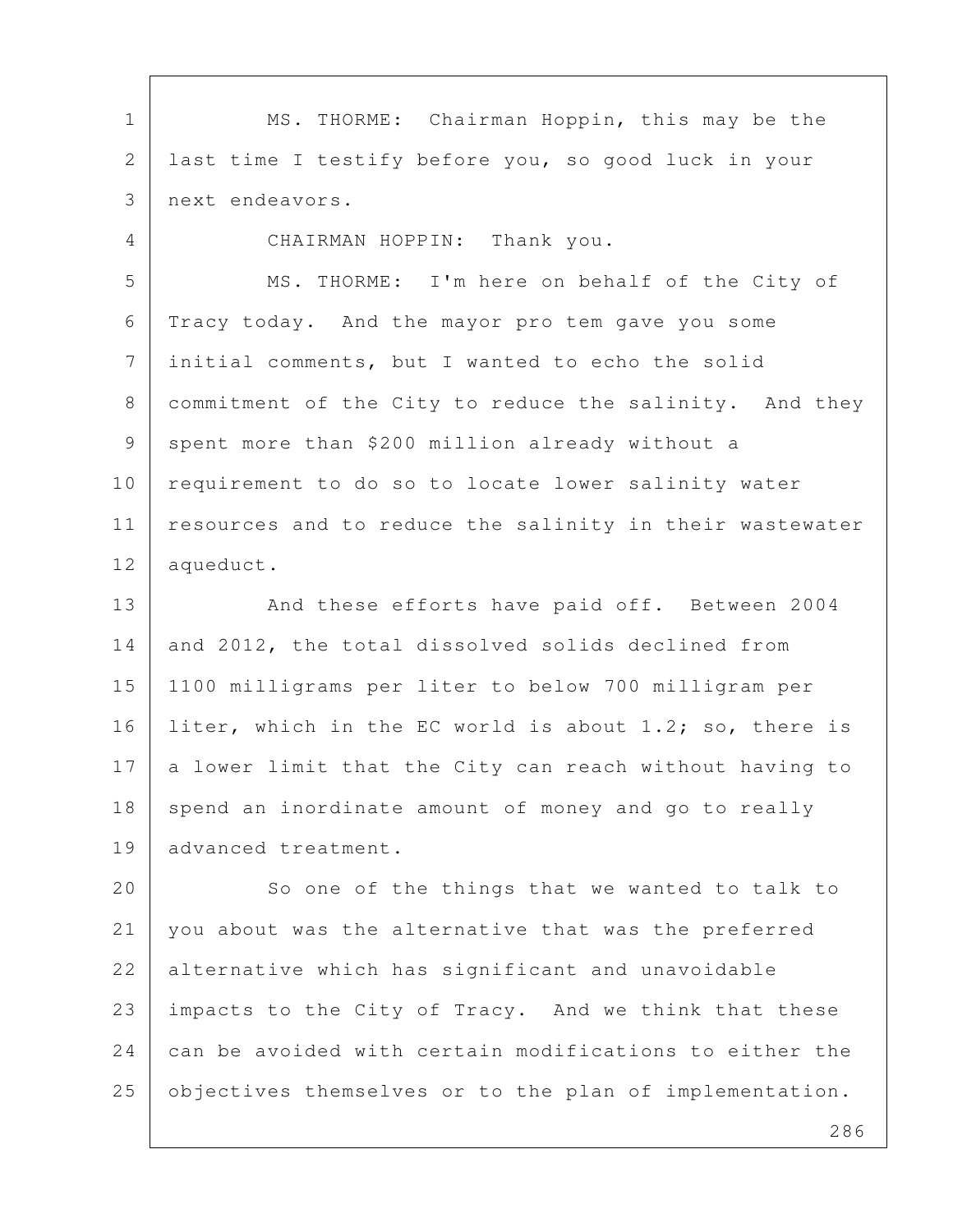1 MS. THORME: Chairman Hoppin, this may be the 2 last time I testify before you, so good luck in your 3 next endeavors. 4 CHAIRMAN HOPPIN: Thank you. 5 MS. THORME: I'm here on behalf of the City of

 6 Tracy today. And the mayor pro tem gave you some 7 initial comments, but I wanted to echo the solid 8 | commitment of the City to reduce the salinity. And they 9 spent more than \$200 million already without a 10 | requirement to do so to locate lower salinity water 11 | resources and to reduce the salinity in their wastewater 12 aqueduct.

13 | And these efforts have paid off. Between 2004 14 and 2012, the total dissolved solids declined from 15 1100 milligrams per liter to below 700 milligram per 16 | liter, which in the EC world is about 1.2; so, there is  $17$  a lower limit that the City can reach without having to 18 spend an inordinate amount of money and go to really 19 advanced treatment.

20 So one of the things that we wanted to talk to 21 you about was the alternative that was the preferred 22 alternative which has significant and unavoidable 23 impacts to the City of Tracy. And we think that these 24 can be avoided with certain modifications to either the 25 objectives themselves or to the plan of implementation.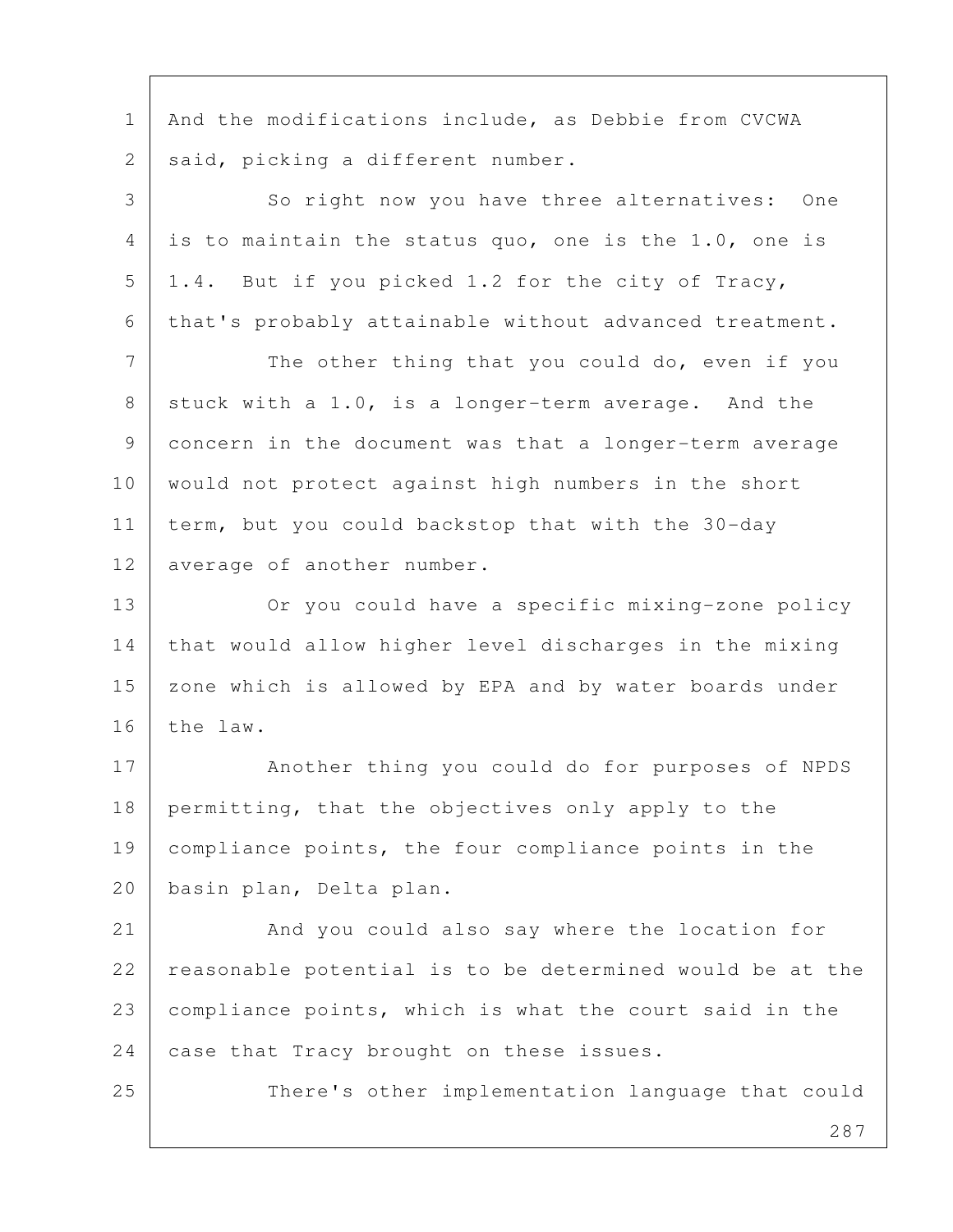1 | And the modifications include, as Debbie from CVCWA 2 | said, picking a different number.

3 So right now you have three alternatives: One 4 is to maintain the status quo, one is the 1.0, one is  $5$  | 1.4. But if you picked 1.2 for the city of Tracy, 6 that's probably attainable without advanced treatment.

7 The other thing that you could do, even if you 8 stuck with a 1.0, is a longer-term average. And the 9 concern in the document was that a longer-term average 10 would not protect against high numbers in the short 11 | term, but you could backstop that with the 30-day 12 average of another number.

13 Or you could have a specific mixing-zone policy 14 that would allow higher level discharges in the mixing 15 | zone which is allowed by EPA and by water boards under 16 the law.

17 | Another thing you could do for purposes of NPDS 18 permitting, that the objectives only apply to the 19 compliance points, the four compliance points in the 20 basin plan, Delta plan.

21 And you could also say where the location for 22 reasonable potential is to be determined would be at the 23 compliance points, which is what the court said in the 24 case that Tracy brought on these issues.

25 There's other implementation language that could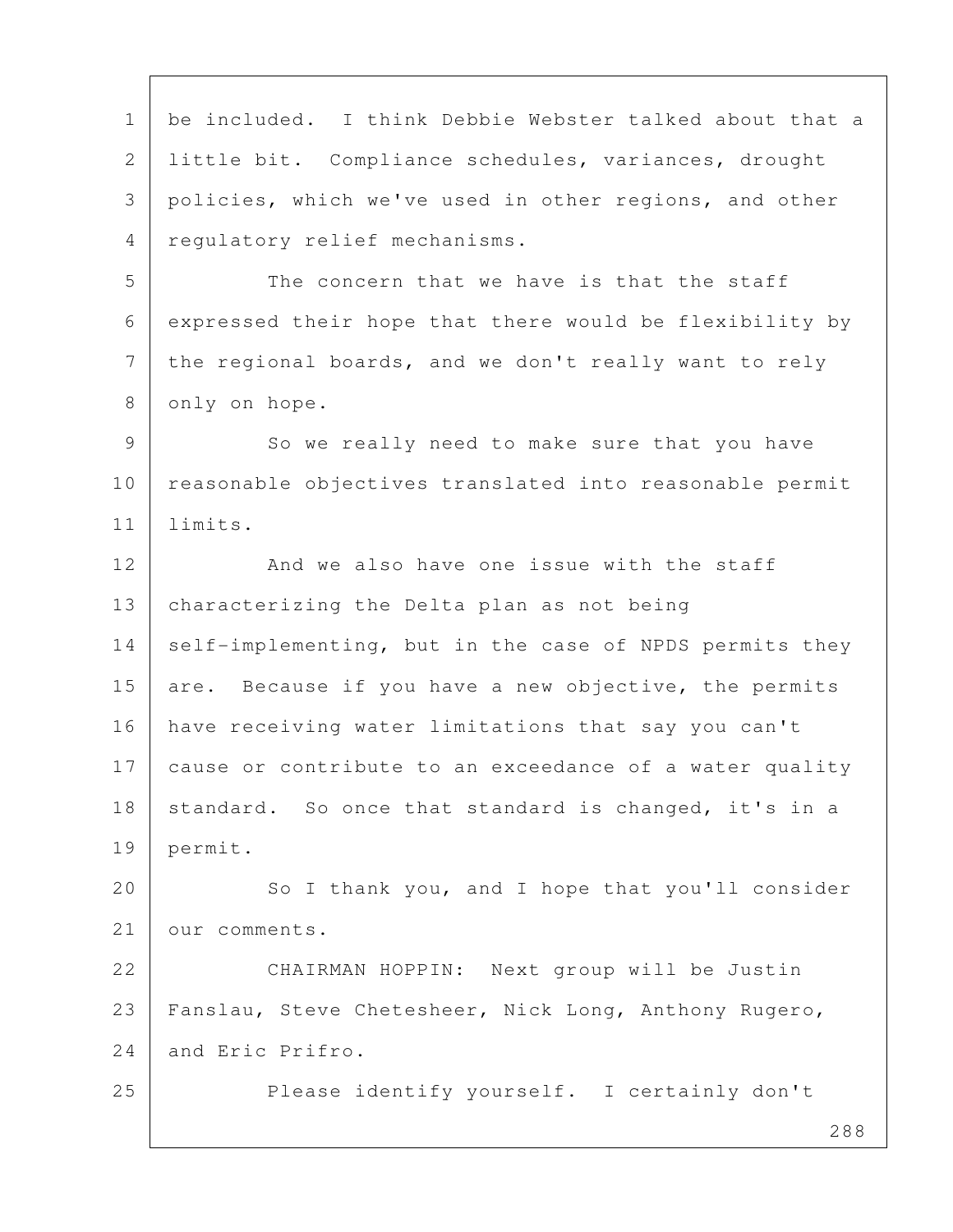288 1 be included. I think Debbie Webster talked about that a 2 little bit. Compliance schedules, variances, drought 3 policies, which we've used in other regions, and other 4 regulatory relief mechanisms. 5 The concern that we have is that the staff 6 expressed their hope that there would be flexibility by 7 | the regional boards, and we don't really want to rely 8 only on hope. 9 So we really need to make sure that you have 10 | reasonable objectives translated into reasonable permit 11 limits. 12 And we also have one issue with the staff 13 characterizing the Delta plan as not being 14 self-implementing, but in the case of NPDS permits they 15 are. Because if you have a new objective, the permits 16 have receiving water limitations that say you can't 17 cause or contribute to an exceedance of a water quality 18 standard. So once that standard is changed, it's in a 19 permit. 20 So I thank you, and I hope that you'll consider 21 our comments. 22 CHAIRMAN HOPPIN: Next group will be Justin 23 | Fanslau, Steve Chetesheer, Nick Long, Anthony Rugero, 24 and Eric Prifro. 25 Please identify yourself. I certainly don't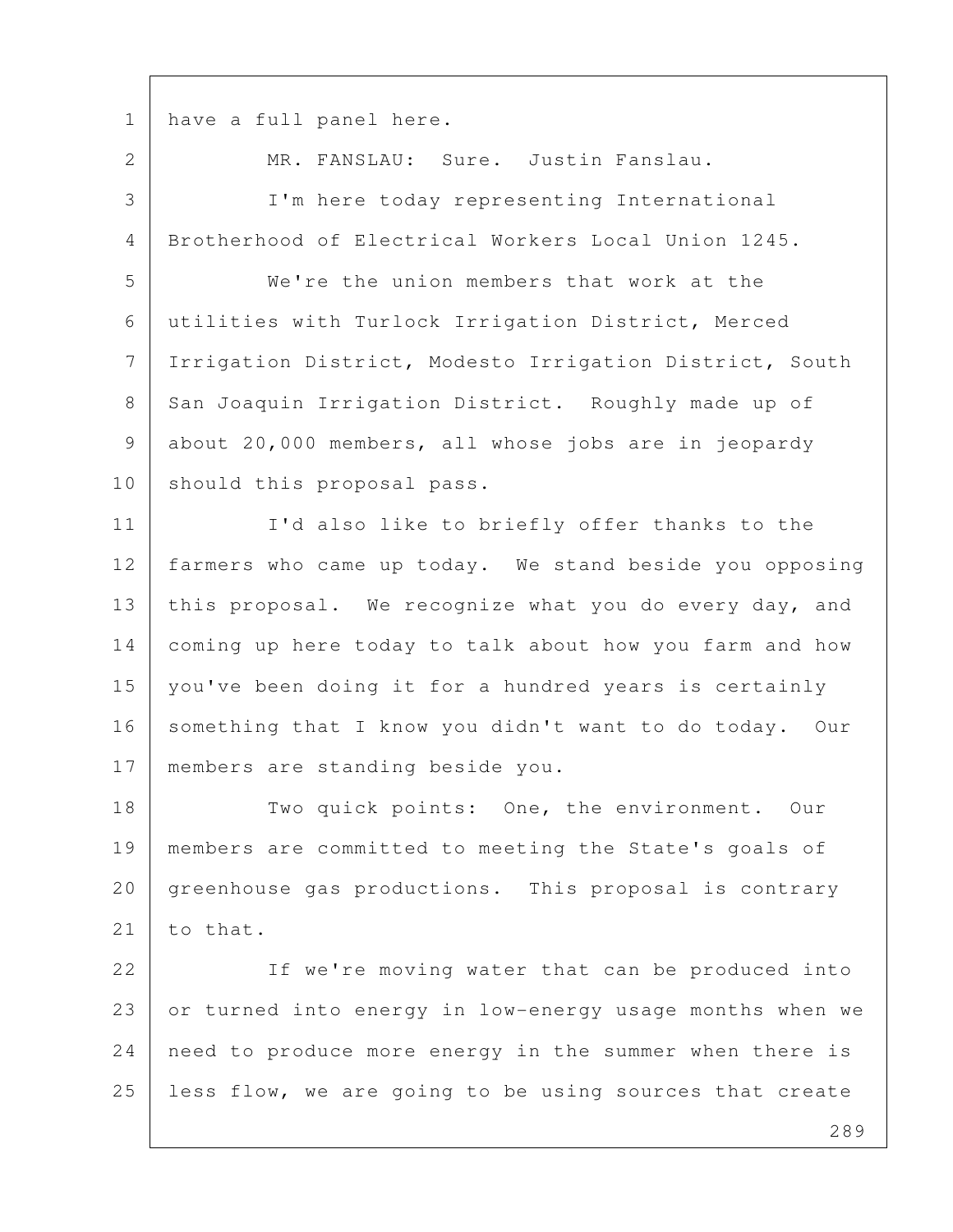1 have a full panel here.

 2 MR. FANSLAU: Sure. Justin Fanslau. 3 I'm here today representing International 4 Brotherhood of Electrical Workers Local Union 1245. 5 We're the union members that work at the 6 utilities with Turlock Irrigation District, Merced 7 Irrigation District, Modesto Irrigation District, South 8 San Joaquin Irrigation District. Roughly made up of 9 about 20,000 members, all whose jobs are in jeopardy 10 should this proposal pass. 11 | I'd also like to briefly offer thanks to the 12 farmers who came up today. We stand beside you opposing 13 this proposal. We recognize what you do every day, and 14 coming up here today to talk about how you farm and how 15 you've been doing it for a hundred years is certainly 16 something that I know you didn't want to do today. Our 17 members are standing beside you. 18 Two quick points: One, the environment. Our 19 members are committed to meeting the State's goals of 20 greenhouse gas productions. This proposal is contrary  $21$  to that. 22 | If we're moving water that can be produced into 23 or turned into energy in low-energy usage months when we

25 less flow, we are going to be using sources that create

24 need to produce more energy in the summer when there is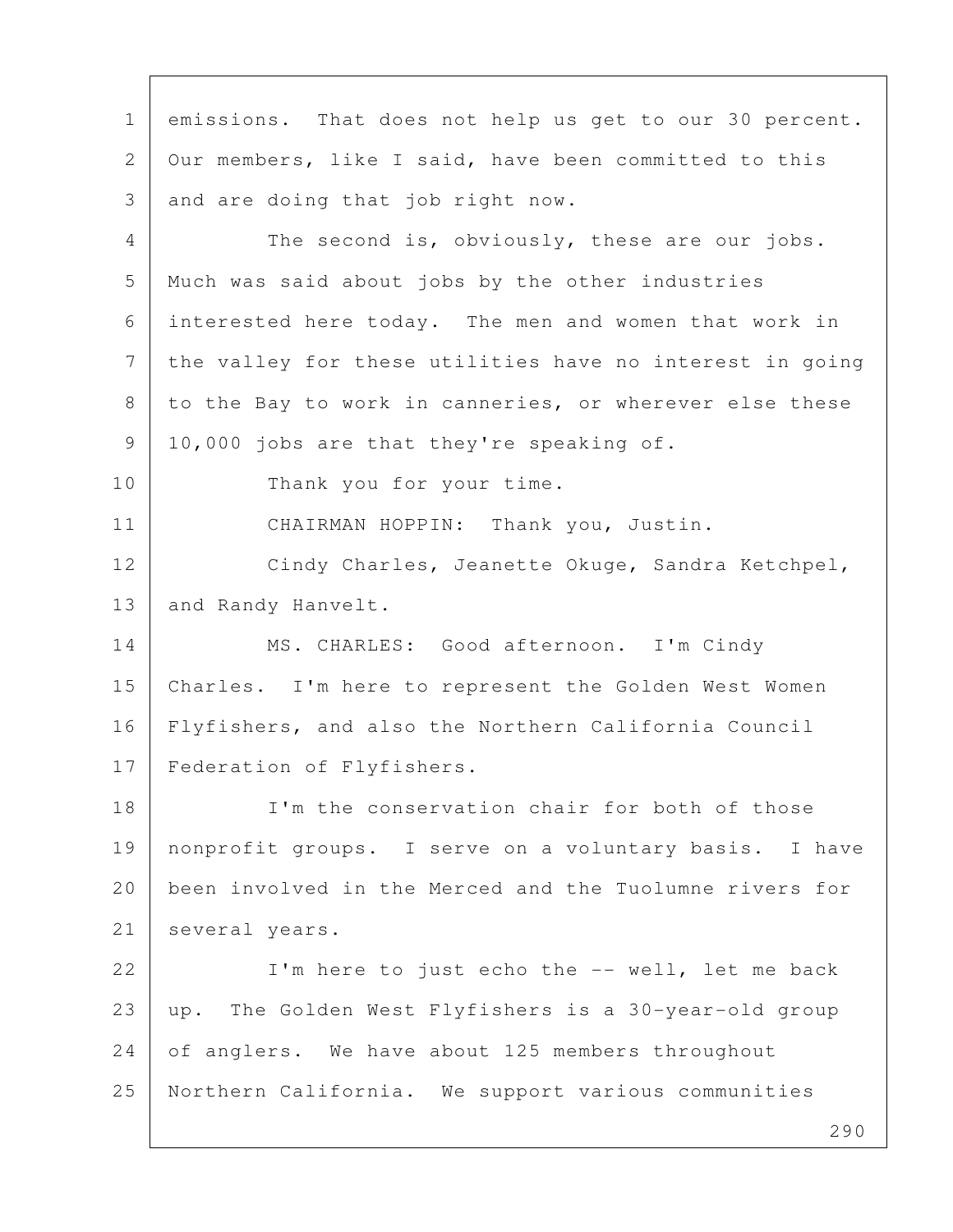290 1 emissions. That does not help us get to our 30 percent. 2 Our members, like I said, have been committed to this 3 and are doing that job right now. 4 The second is, obviously, these are our jobs. 5 Much was said about jobs by the other industries 6 interested here today. The men and women that work in 7 the valley for these utilities have no interest in going 8 to the Bay to work in canneries, or wherever else these 9 | 10,000 jobs are that they're speaking of. 10 Thank you for your time. 11 | CHAIRMAN HOPPIN: Thank you, Justin. 12 Cindy Charles, Jeanette Okuge, Sandra Ketchpel, 13 | and Randy Hanvelt. 14 | MS. CHARLES: Good afternoon. I'm Cindy 15 Charles. I'm here to represent the Golden West Women 16 Flyfishers, and also the Northern California Council 17 | Federation of Flyfishers. 18 I'm the conservation chair for both of those 19 nonprofit groups. I serve on a voluntary basis. I have 20 been involved in the Merced and the Tuolumne rivers for 21 several years. 22 | I'm here to just echo the -- well, let me back 23 up. The Golden West Flyfishers is a 30-year-old group 24 of anglers. We have about 125 members throughout 25 Northern California. We support various communities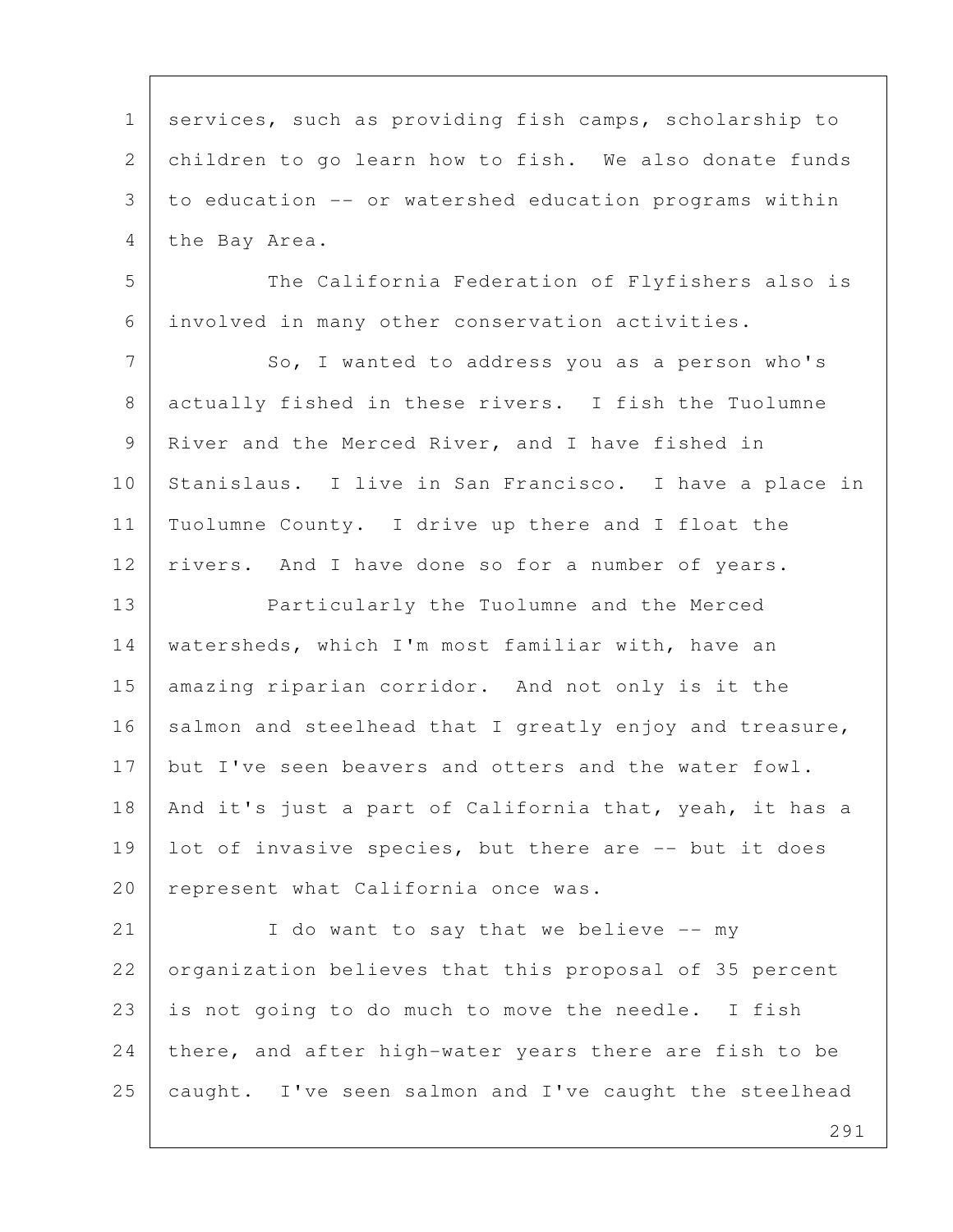1 | services, such as providing fish camps, scholarship to 2 children to go learn how to fish. We also donate funds 3 to education -- or watershed education programs within 4 the Bay Area. 5 The California Federation of Flyfishers also is 6 involved in many other conservation activities. 7 So, I wanted to address you as a person who's 8 actually fished in these rivers. I fish the Tuolumne 9 River and the Merced River, and I have fished in 10 Stanislaus. I live in San Francisco. I have a place in 11 Tuolumne County. I drive up there and I float the 12 | rivers. And I have done so for a number of years. 13 Particularly the Tuolumne and the Merced 14 watersheds, which I'm most familiar with, have an 15 amazing riparian corridor. And not only is it the  $16$  salmon and steelhead that I greatly enjoy and treasure, 17 but I've seen beavers and otters and the water fowl. 18 | And it's just a part of California that, yeah, it has a 19 | lot of invasive species, but there are -- but it does 20 | represent what California once was. 21 I do want to say that we believe -- my 22 organization believes that this proposal of 35 percent 23 is not going to do much to move the needle. I fish  $24$  there, and after high-water years there are fish to be 25  $\vert$  caught. I've seen salmon and I've caught the steelhead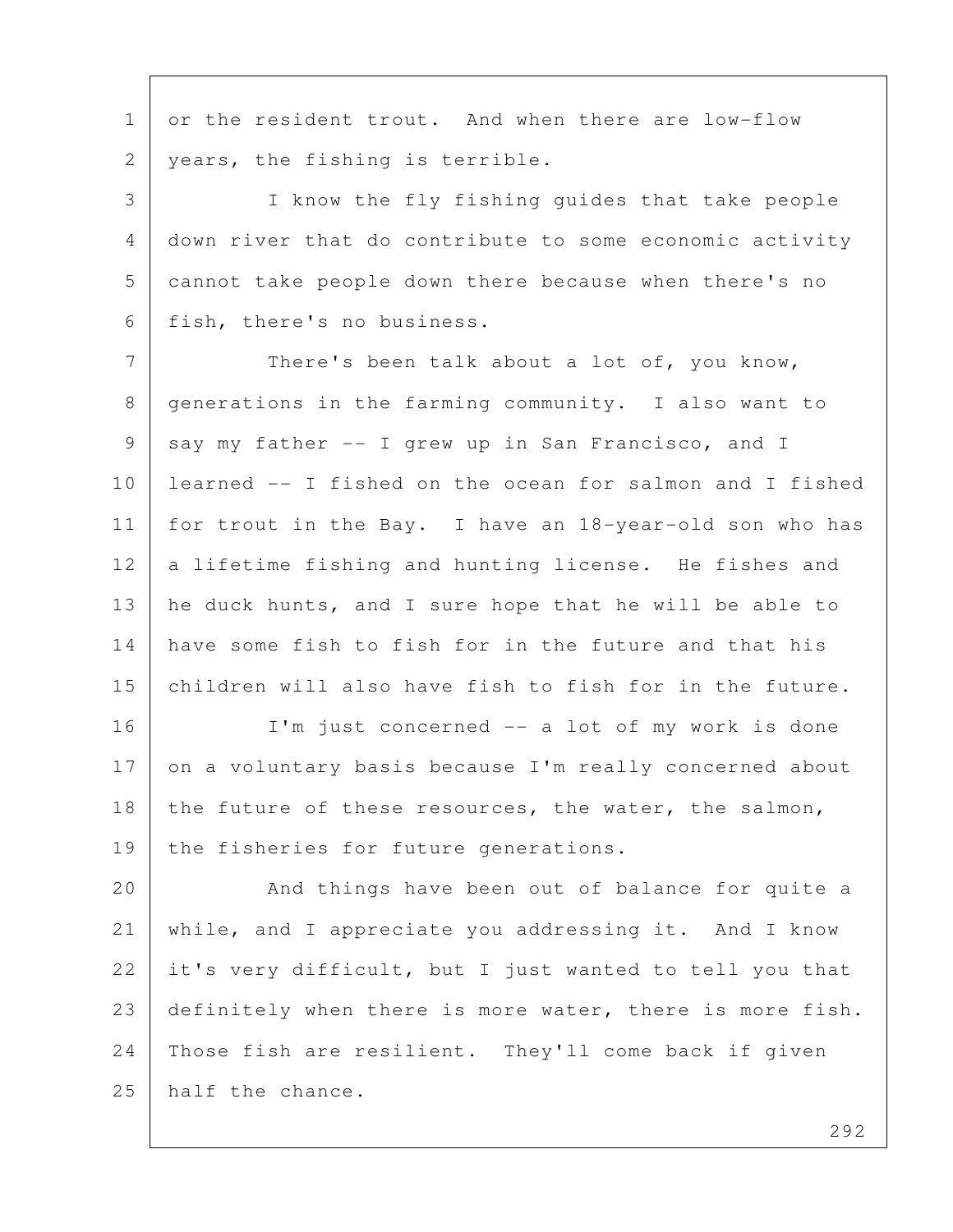1 or the resident trout. And when there are low-flow 2 | years, the fishing is terrible.

 3 I know the fly fishing guides that take people 4 down river that do contribute to some economic activity 5 cannot take people down there because when there's no 6 fish, there's no business.

7 There's been talk about a lot of, you know, 8 | generations in the farming community. I also want to 9 say my father -- I grew up in San Francisco, and I 10 learned -- I fished on the ocean for salmon and I fished 11 for trout in the Bay. I have an 18-year-old son who has 12 a lifetime fishing and hunting license. He fishes and 13 | he duck hunts, and I sure hope that he will be able to 14 have some fish to fish for in the future and that his 15 children will also have fish to fish for in the future.

16 I'm just concerned -- a lot of my work is done 17 on a voluntary basis because I'm really concerned about 18 the future of these resources, the water, the salmon, 19 the fisheries for future generations.

20 | And things have been out of balance for quite a 21 while, and I appreciate you addressing it. And I know 22 it's very difficult, but I just wanted to tell you that 23 definitely when there is more water, there is more fish. 24 Those fish are resilient. They'll come back if given 25 half the chance.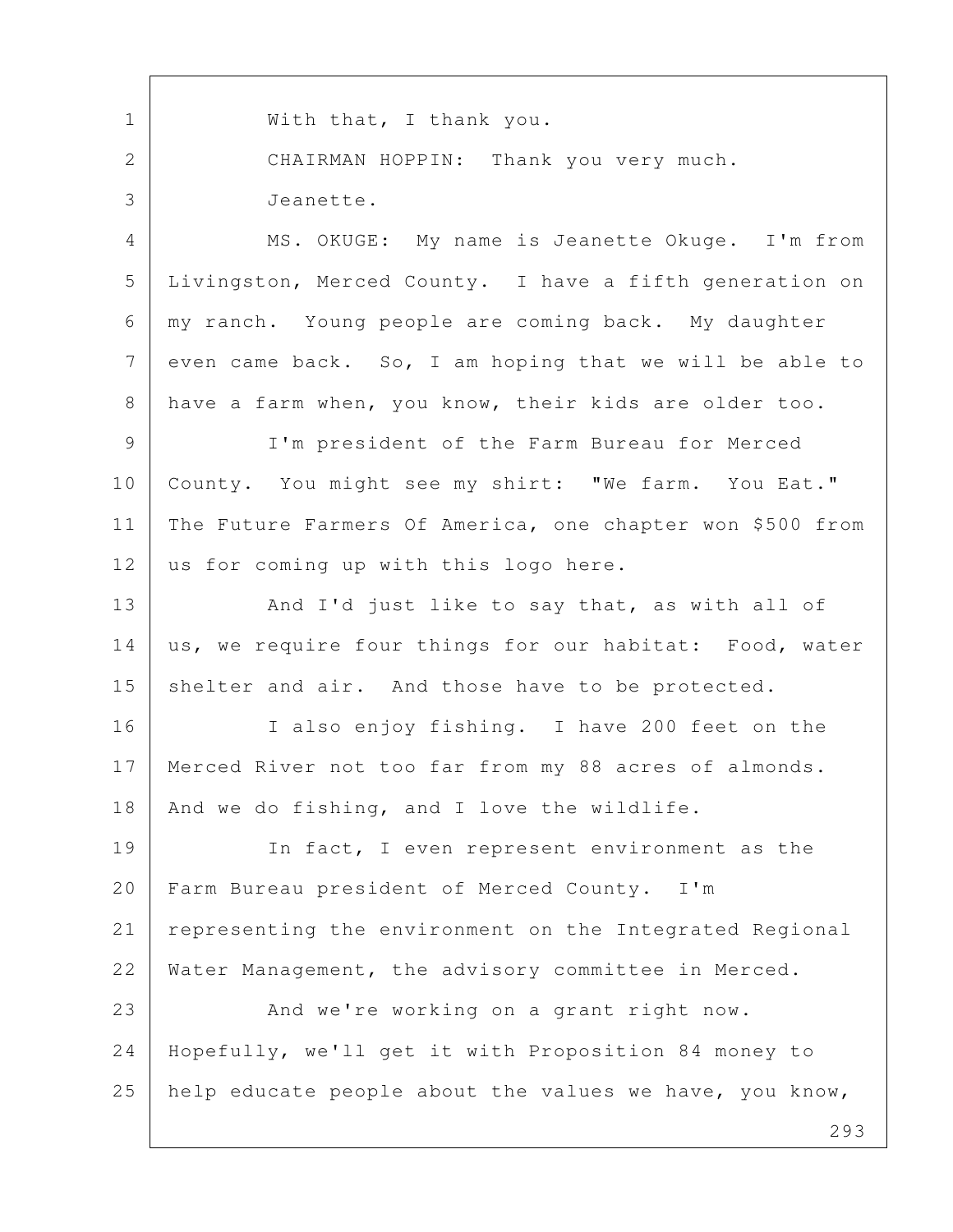293 1 | With that, I thank you. 2 CHAIRMAN HOPPIN: Thank you very much. 3 Jeanette. 4 MS. OKUGE: My name is Jeanette Okuge. I'm from 5 Livingston, Merced County. I have a fifth generation on 6 my ranch. Young people are coming back. My daughter  $7$  even came back. So, I am hoping that we will be able to 8 have a farm when, you know, their kids are older too. 9 I'm president of the Farm Bureau for Merced 10 | County. You might see my shirt: "We farm. You Eat." 11 The Future Farmers Of America, one chapter won \$500 from 12 us for coming up with this logo here. 13 And I'd just like to say that, as with all of 14 us, we require four things for our habitat: Food, water 15 shelter and air. And those have to be protected. 16 I also enjoy fishing. I have 200 feet on the 17 Merced River not too far from my 88 acres of almonds. 18 | And we do fishing, and I love the wildlife. 19 In fact, I even represent environment as the 20 Farm Bureau president of Merced County. I'm 21 representing the environment on the Integrated Regional 22 Water Management, the advisory committee in Merced. 23 And we're working on a grant right now. 24 Hopefully, we'll get it with Proposition 84 money to 25 help educate people about the values we have, you know,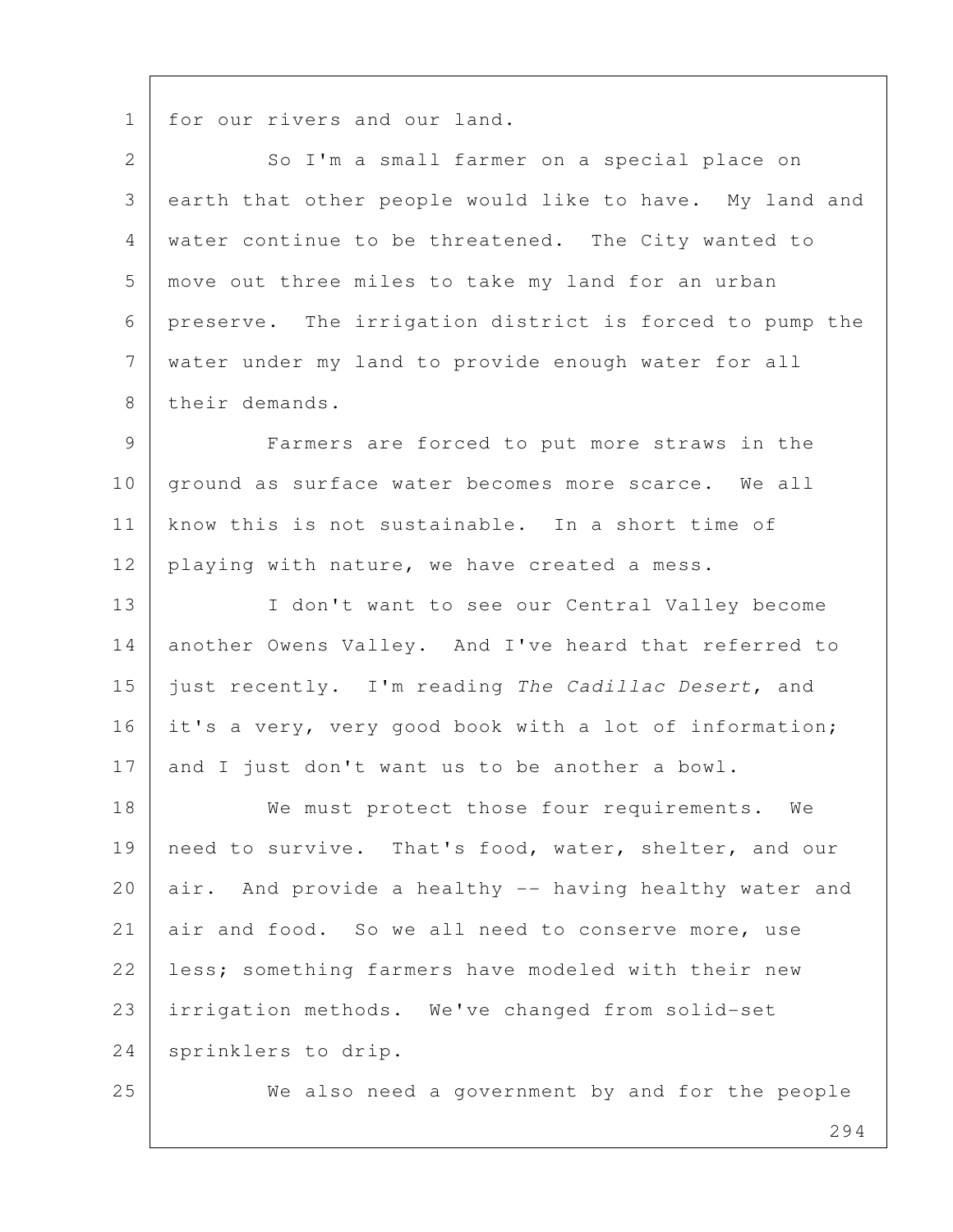1 for our rivers and our land.

2 So I'm a small farmer on a special place on 3 earth that other people would like to have. My land and 4 water continue to be threatened. The City wanted to 5 move out three miles to take my land for an urban 6 preserve. The irrigation district is forced to pump the 7 water under my land to provide enough water for all 8 their demands.

 9 Farmers are forced to put more straws in the 10 ground as surface water becomes more scarce. We all 11 know this is not sustainable. In a short time of 12 playing with nature, we have created a mess.

13 I don't want to see our Central Valley become 14 another Owens Valley. And I've heard that referred to 15 just recently. I'm reading The Cadillac Desert, and 16 it's a very, very good book with a lot of information; 17 and I just don't want us to be another a bowl.

18 We must protect those four requirements. We 19 need to survive. That's food, water, shelter, and our 20 air. And provide a healthy -- having healthy water and 21 air and food. So we all need to conserve more, use 22 less; something farmers have modeled with their new 23 irrigation methods. We've changed from solid-set 24 sprinklers to drip.

25 We also need a government by and for the people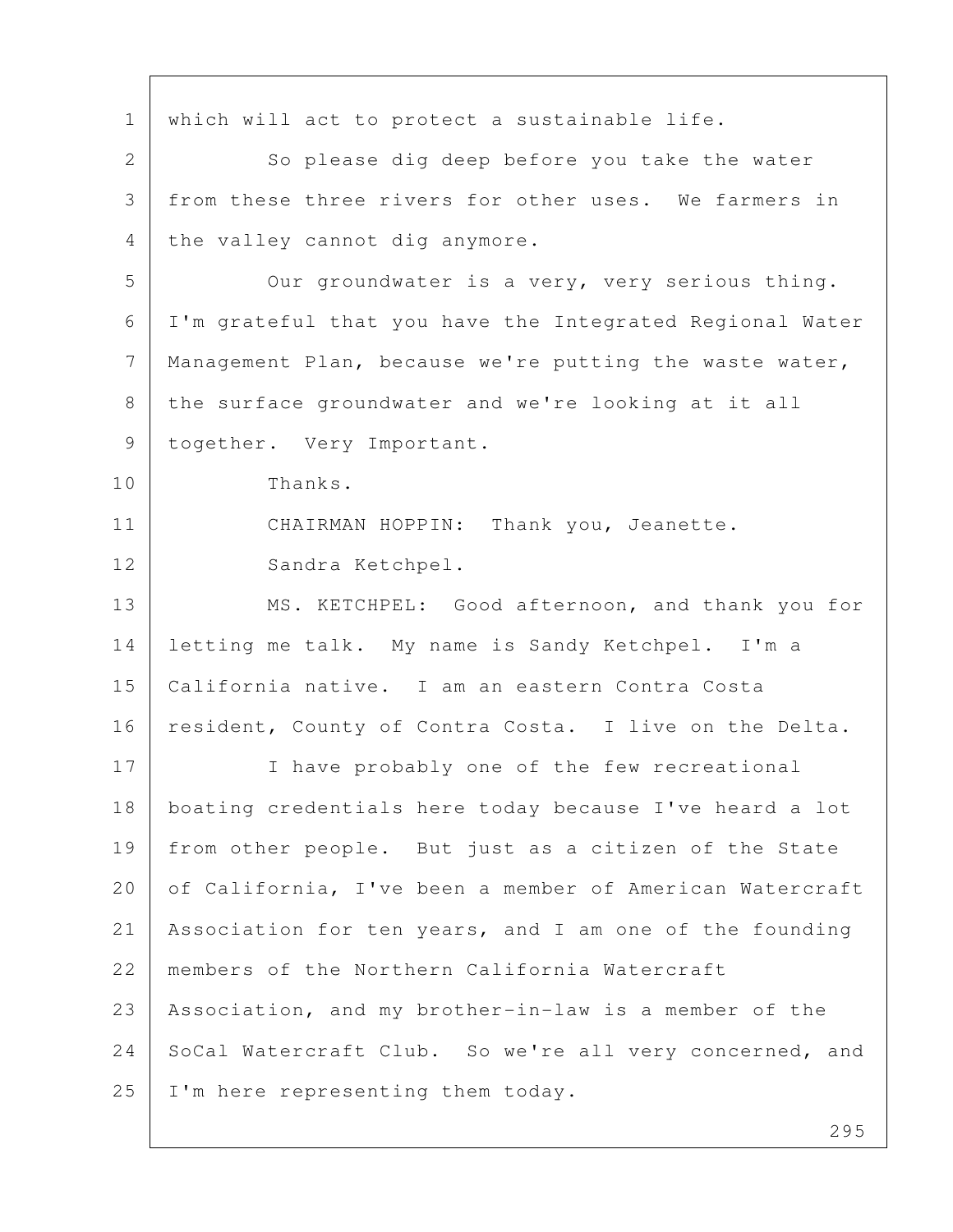1 which will act to protect a sustainable life. 2 So please dig deep before you take the water 3 from these three rivers for other uses. We farmers in 4 the valley cannot dig anymore. 5 Our groundwater is a very, very serious thing. 6 I'm grateful that you have the Integrated Regional Water 7 Management Plan, because we're putting the waste water, 8 the surface groundwater and we're looking at it all 9 | together. Very Important. 10 Thanks. 11 CHAIRMAN HOPPIN: Thank you, Jeanette. 12 Sandra Ketchpel. 13 MS. KETCHPEL: Good afternoon, and thank you for 14 letting me talk. My name is Sandy Ketchpel. I'm a 15 California native. I am an eastern Contra Costa 16 | resident, County of Contra Costa. I live on the Delta. 17 I have probably one of the few recreational 18 boating credentials here today because I've heard a lot 19 from other people. But just as a citizen of the State 20 of California, I've been a member of American Watercraft 21 Association for ten years, and I am one of the founding 22 members of the Northern California Watercraft 23 Association, and my brother-in-law is a member of the 24 SoCal Watercraft Club. So we're all very concerned, and 25 | I'm here representing them today.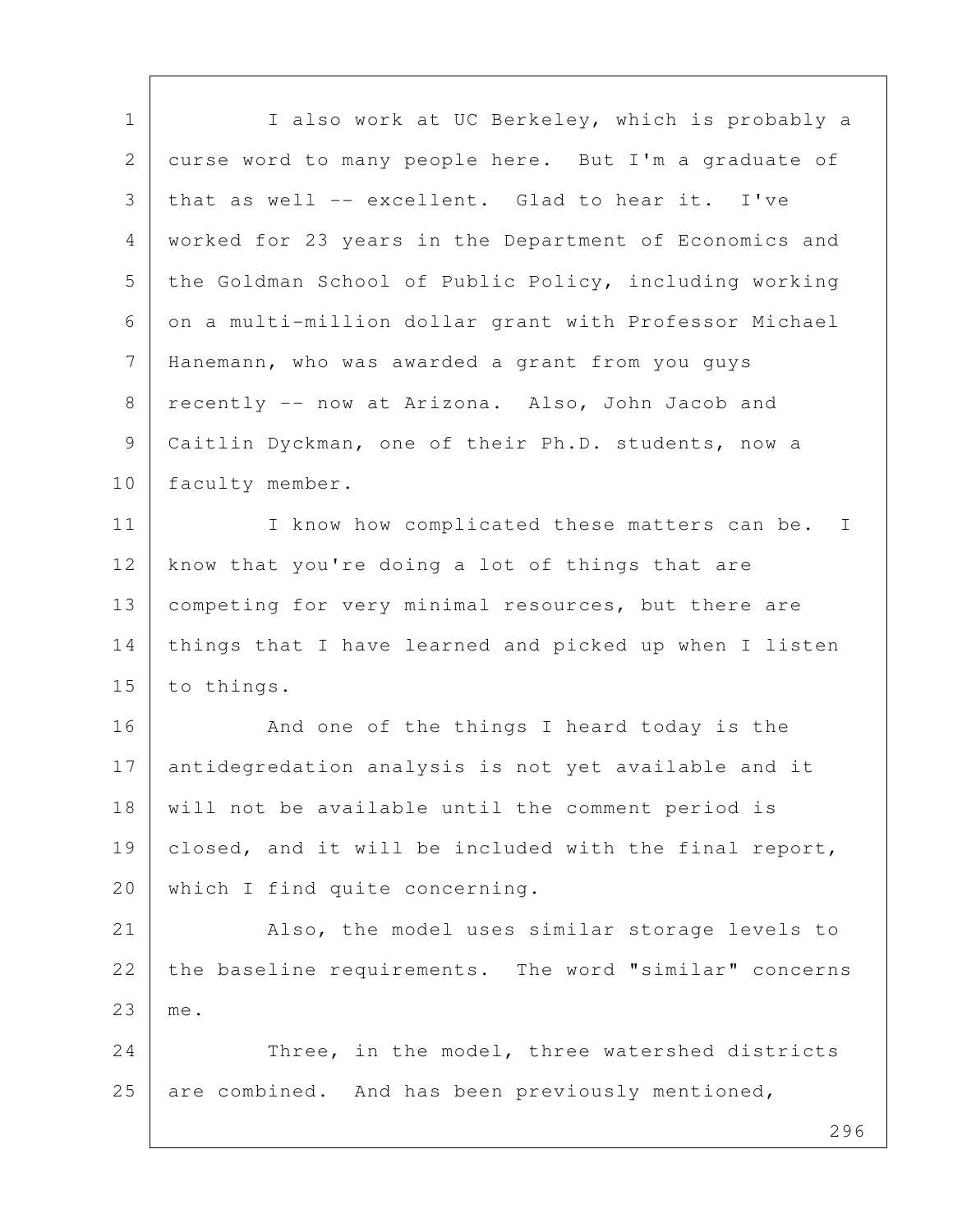| $\mathbf 1$ | I also work at UC Berkeley, which is probably a        |
|-------------|--------------------------------------------------------|
| 2           | curse word to many people here. But I'm a graduate of  |
| 3           | that as well -- excellent. Glad to hear it. I've       |
| 4           | worked for 23 years in the Department of Economics and |
| 5           | the Goldman School of Public Policy, including working |
| 6           | on a multi-million dollar grant with Professor Michael |
| 7           | Hanemann, who was awarded a grant from you guys        |
| 8           | recently -- now at Arizona. Also, John Jacob and       |
| 9           | Caitlin Dyckman, one of their Ph.D. students, now a    |
| 10          | faculty member.                                        |
| 11          | I know how complicated these matters can be. I         |
| 12          | know that you're doing a lot of things that are        |
| 13          | competing for very minimal resources, but there are    |
| 14          | things that I have learned and picked up when I listen |
| 15          | to things.                                             |
| 16          | And one of the things I heard today is the             |
| 17          | antidegredation analysis is not yet available and it   |
| 18          | will not be available until the comment period is      |
| 19          | closed, and it will be included with the final report, |
| 20          | which I find quite concerning.                         |
| 21          | Also, the model uses similar storage levels to         |
| 22          | the baseline requirements. The word "similar" concerns |
| 23          | me.                                                    |
| 24          | Three, in the model, three watershed districts         |
| 25          | are combined. And has been previously mentioned,       |
|             |                                                        |

Г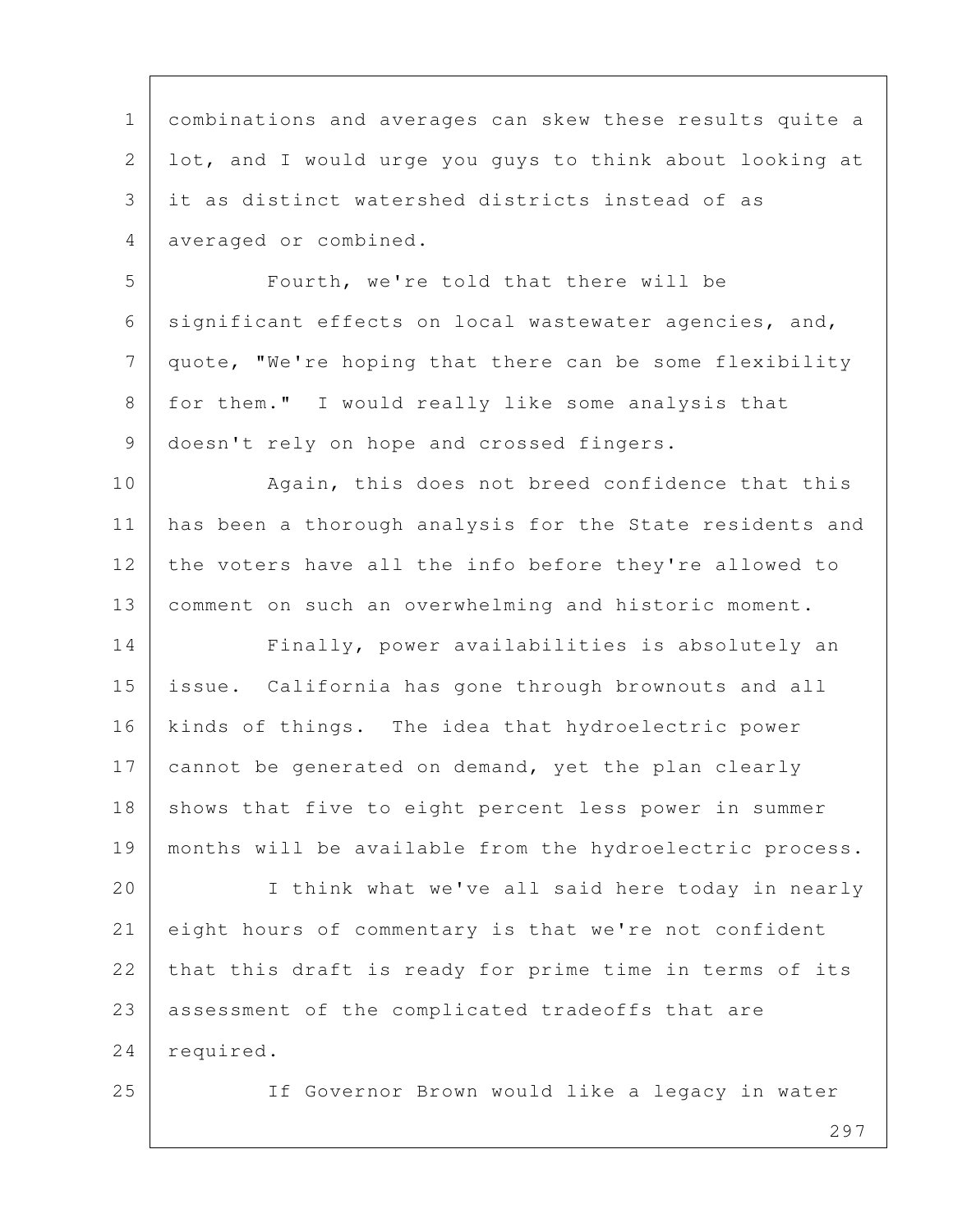1 combinations and averages can skew these results quite a 2 lot, and I would urge you guys to think about looking at 3 it as distinct watershed districts instead of as 4 averaged or combined.

 5 Fourth, we're told that there will be 6 significant effects on local wastewater agencies, and, 7 quote, "We're hoping that there can be some flexibility 8 for them." I would really like some analysis that 9 | doesn't rely on hope and crossed fingers.

10 | Again, this does not breed confidence that this 11 has been a thorough analysis for the State residents and 12 the voters have all the info before they're allowed to 13 comment on such an overwhelming and historic moment.

14 Finally, power availabilities is absolutely an 15 issue. California has gone through brownouts and all 16 | kinds of things. The idea that hydroelectric power 17 cannot be generated on demand, yet the plan clearly 18 | shows that five to eight percent less power in summer 19 months will be available from the hydroelectric process.

20 I think what we've all said here today in nearly 21 eight hours of commentary is that we're not confident 22 that this draft is ready for prime time in terms of its 23 assessment of the complicated tradeoffs that are 24 required.

25 If Governor Brown would like a legacy in water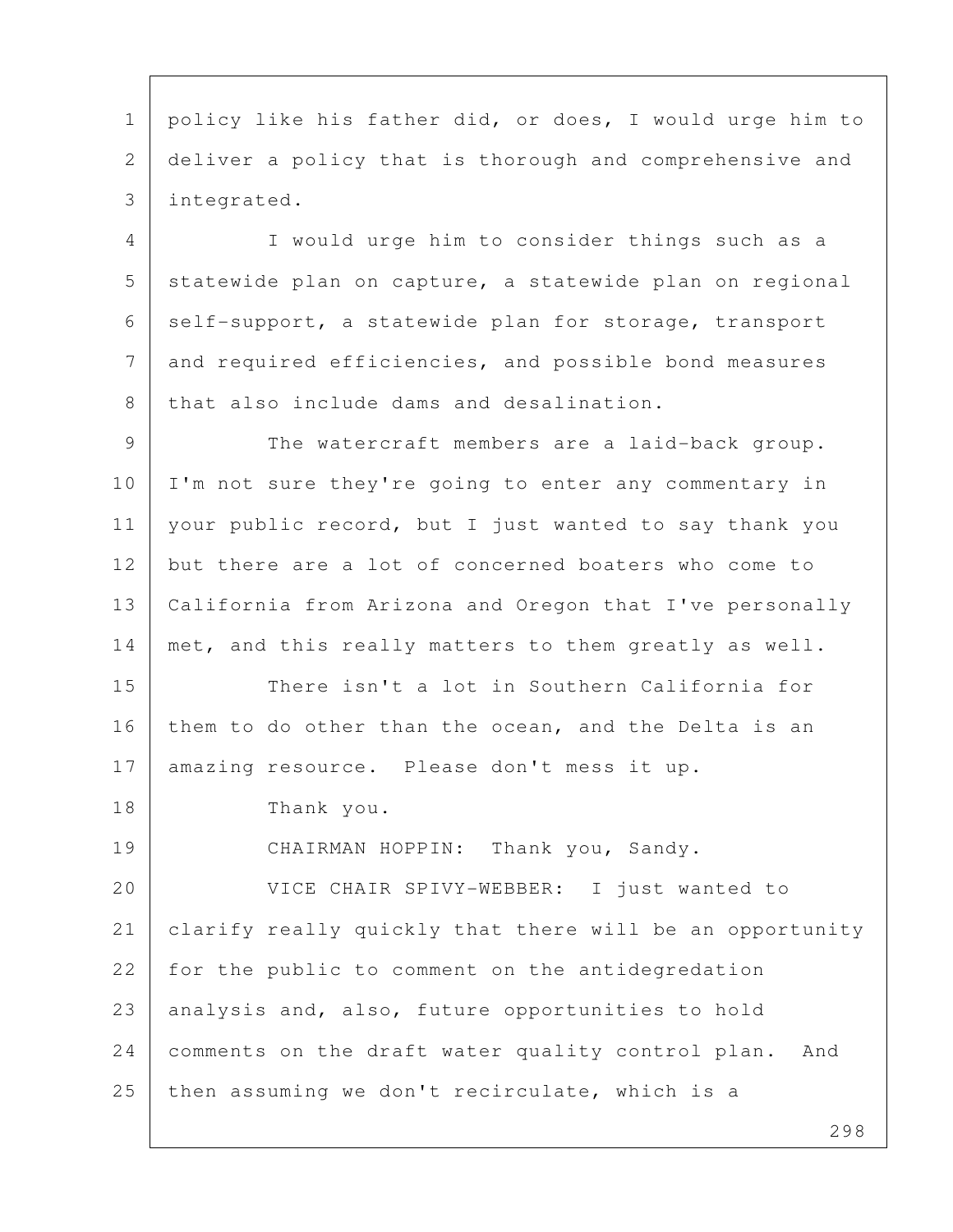1 policy like his father did, or does, I would urge him to 2 deliver a policy that is thorough and comprehensive and 3 integrated.

 4 I would urge him to consider things such as a 5 statewide plan on capture, a statewide plan on regional 6 self-support, a statewide plan for storage, transport 7 and required efficiencies, and possible bond measures 8 that also include dams and desalination.

9 The watercraft members are a laid-back group. 10 I'm not sure they're going to enter any commentary in 11 | your public record, but I just wanted to say thank you 12 but there are a lot of concerned boaters who come to 13 California from Arizona and Oregon that I've personally 14 | met, and this really matters to them greatly as well.

15 There isn't a lot in Southern California for 16 them to do other than the ocean, and the Delta is an 17 amazing resource. Please don't mess it up.

18 Thank you.

19 CHAIRMAN HOPPIN: Thank you, Sandy.

20 VICE CHAIR SPIVY-WEBBER: I just wanted to 21 clarify really quickly that there will be an opportunity 22 for the public to comment on the antidegredation 23 analysis and, also, future opportunities to hold 24 comments on the draft water quality control plan. And 25 then assuming we don't recirculate, which is a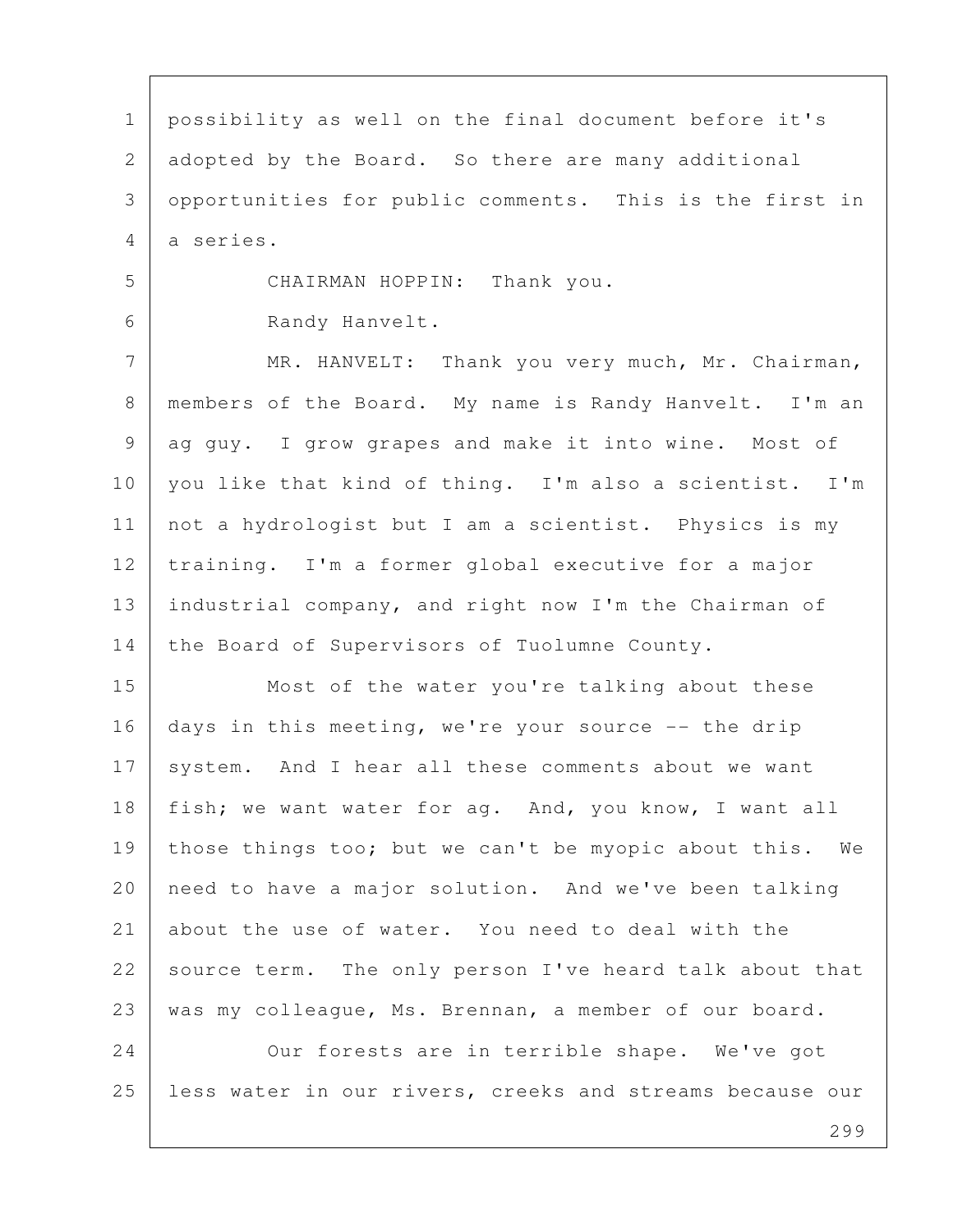1 possibility as well on the final document before it's 2 adopted by the Board. So there are many additional 3 opportunities for public comments. This is the first in 4 a series. 5 CHAIRMAN HOPPIN: Thank you. 6 Randy Hanvelt. 7 MR. HANVELT: Thank you very much, Mr. Chairman, 8 members of the Board. My name is Randy Hanvelt. I'm an 9 ag guy. I grow grapes and make it into wine. Most of 10 you like that kind of thing. I'm also a scientist. I'm 11 | not a hydrologist but I am a scientist. Physics is my 12 | training. I'm a former global executive for a major 13 industrial company, and right now I'm the Chairman of 14 the Board of Supervisors of Tuolumne County. 15 Most of the water you're talking about these 16 days in this meeting, we're your source -- the drip 17 system. And I hear all these comments about we want 18 | fish; we want water for ag. And, you know, I want all 19 | those things too; but we can't be myopic about this. We 20 need to have a major solution. And we've been talking 21 about the use of water. You need to deal with the 22 source term. The only person I've heard talk about that 23 was my colleague, Ms. Brennan, a member of our board. 24 Our forests are in terrible shape. We've got 25 | less water in our rivers, creeks and streams because our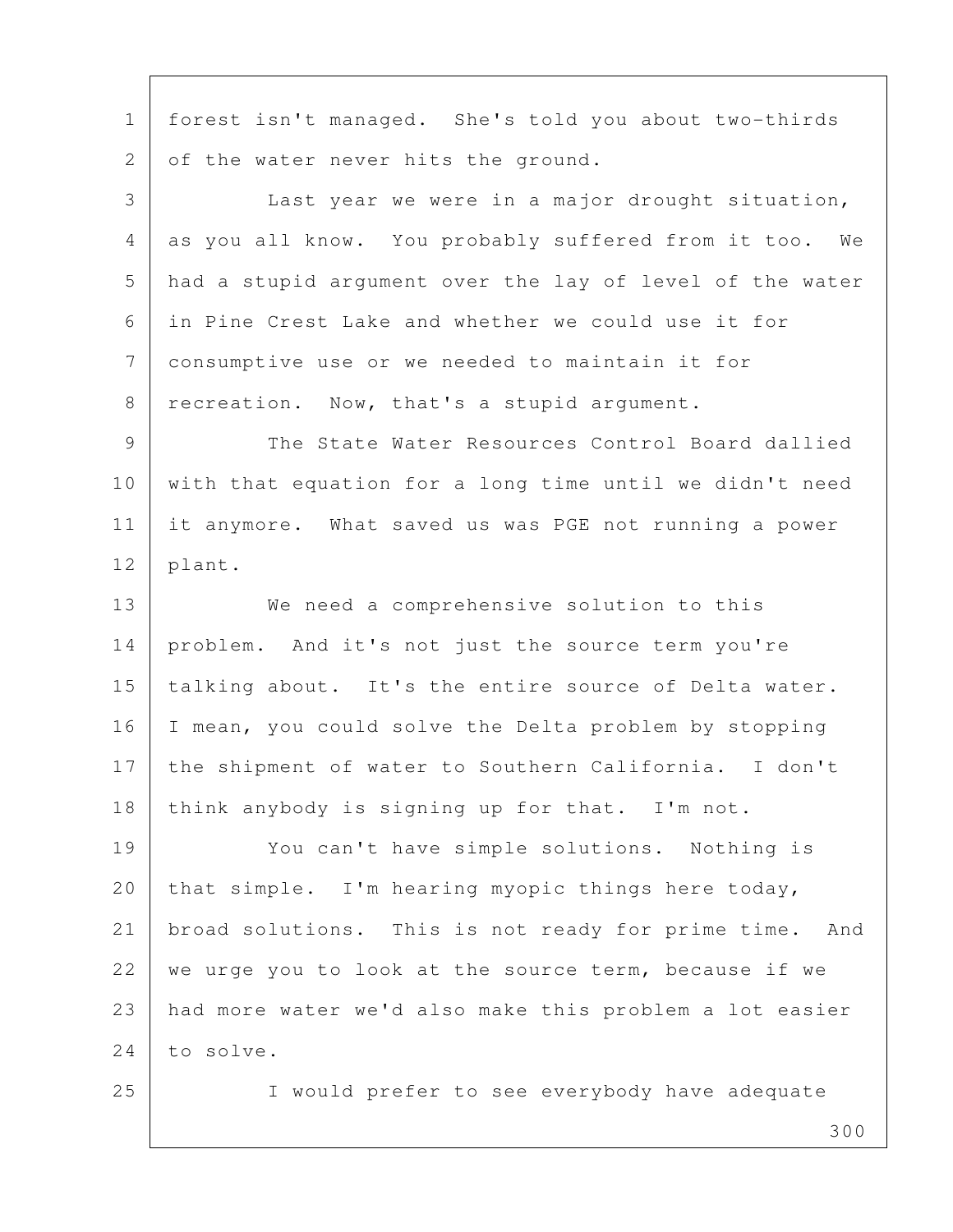1 forest isn't managed. She's told you about two-thirds 2 of the water never hits the ground.

 3 Last year we were in a major drought situation, 4 as you all know. You probably suffered from it too. We 5 had a stupid argument over the lay of level of the water 6 in Pine Crest Lake and whether we could use it for 7 consumptive use or we needed to maintain it for 8 recreation. Now, that's a stupid argument.

9 The State Water Resources Control Board dallied 10 with that equation for a long time until we didn't need 11 it anymore. What saved us was PGE not running a power 12 plant.

13 We need a comprehensive solution to this 14 problem. And it's not just the source term you're 15 | talking about. It's the entire source of Delta water. 16 I mean, you could solve the Delta problem by stopping 17 | the shipment of water to Southern California. I don't 18 think anybody is signing up for that. I'm not.

19 You can't have simple solutions. Nothing is 20 | that simple. I'm hearing myopic things here today, 21 | broad solutions. This is not ready for prime time. And  $22$  we urge you to look at the source term, because if we 23 had more water we'd also make this problem a lot easier 24 to solve.

25 I would prefer to see everybody have adequate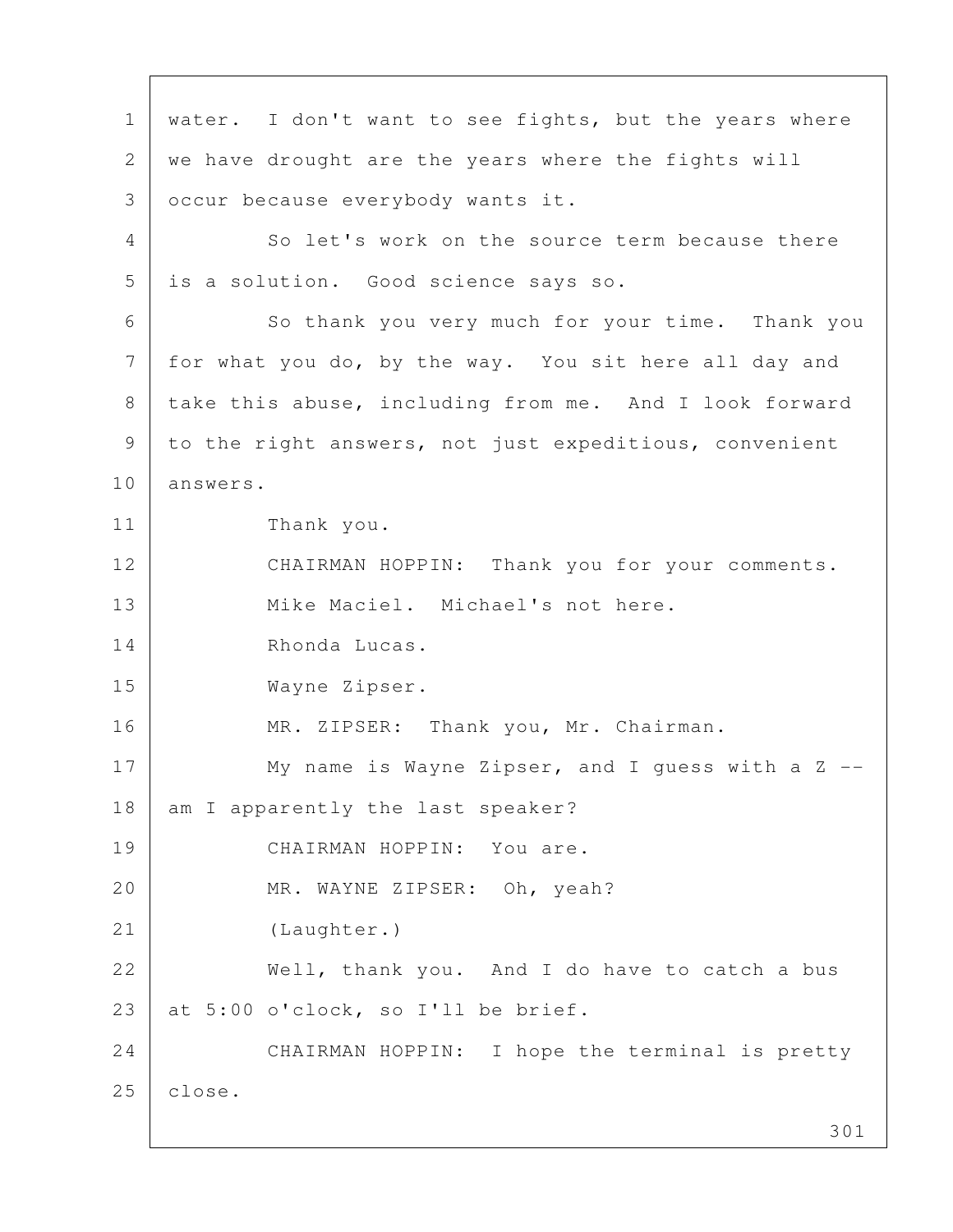301 1 | water. I don't want to see fights, but the years where 2 we have drought are the years where the fights will 3 occur because everybody wants it. 4 So let's work on the source term because there 5 is a solution. Good science says so. 6 So thank you very much for your time. Thank you 7 for what you do, by the way. You sit here all day and 8 take this abuse, including from me. And I look forward 9 | to the right answers, not just expeditious, convenient 10 answers. 11 Thank you. 12 CHAIRMAN HOPPIN: Thank you for your comments. 13 Mike Maciel. Michael's not here. 14 Rhonda Lucas. 15 Wayne Zipser. 16 MR. ZIPSER: Thank you, Mr. Chairman. 17 My name is Wayne Zipser, and I quess with a Z --18 | am I apparently the last speaker? 19 CHAIRMAN HOPPIN: You are. 20 MR. WAYNE ZIPSER: Oh, yeah? 21 (Laughter.) 22 Well, thank you. And I do have to catch a bus 23 | at  $5:00$  o'clock, so I'll be brief. 24 CHAIRMAN HOPPIN: I hope the terminal is pretty 25 | close.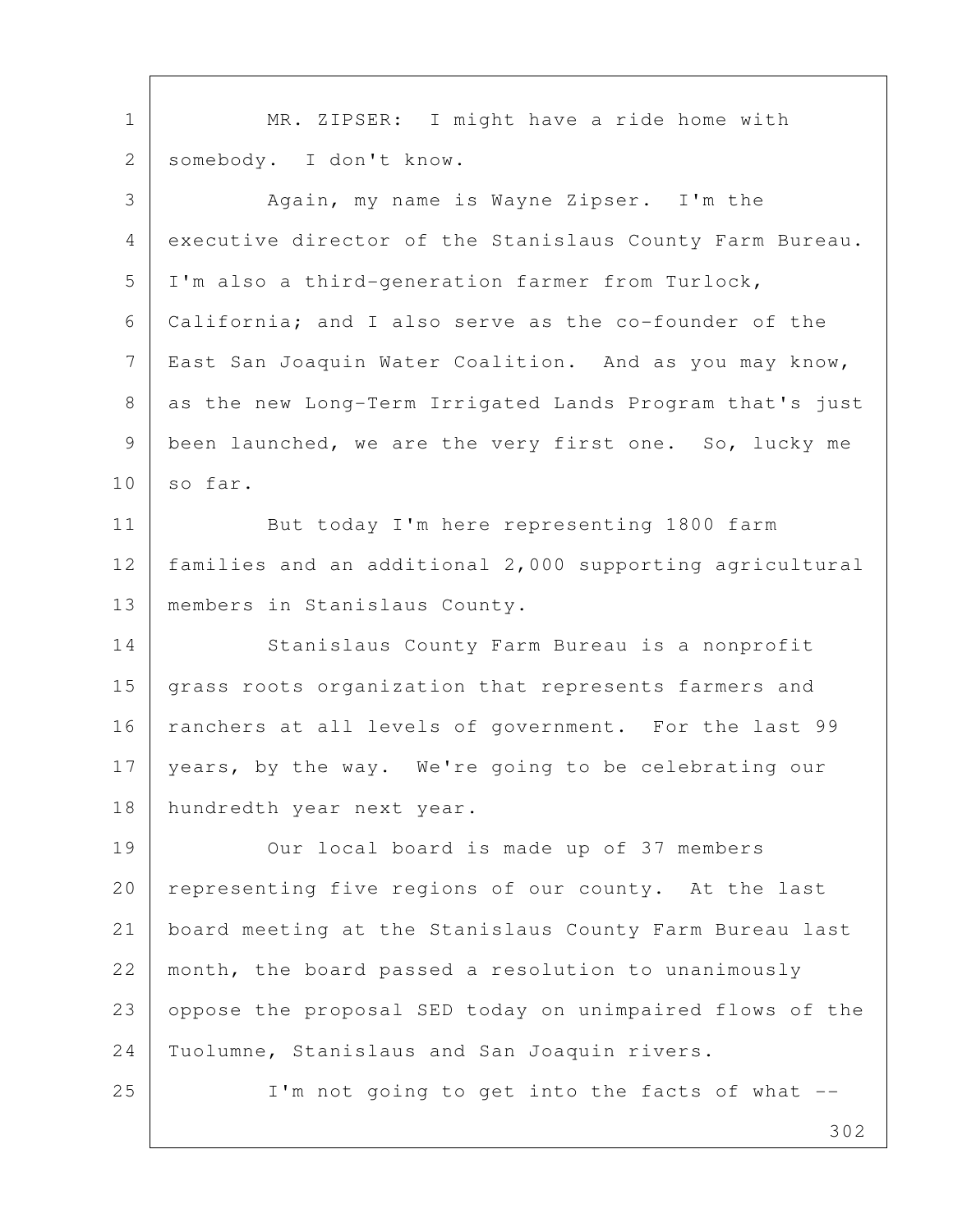1 | MR. ZIPSER: I might have a ride home with 2 somebody. I don't know. 3 Again, my name is Wayne Zipser. I'm the 4 executive director of the Stanislaus County Farm Bureau. 5 | I'm also a third-generation farmer from Turlock, 6 California; and I also serve as the co-founder of the 7 | East San Joaquin Water Coalition. And as you may know, 8 as the new Long-Term Irrigated Lands Program that's just 9 been launched, we are the very first one. So, lucky me  $10 \mid so far.$ 11 But today I'm here representing 1800 farm 12 families and an additional 2,000 supporting agricultural 13 | members in Stanislaus County. 14 Stanislaus County Farm Bureau is a nonprofit 15 | grass roots organization that represents farmers and 16 | ranchers at all levels of government. For the last 99 17 years, by the way. We're going to be celebrating our 18 hundredth year next year. 19 Our local board is made up of 37 members 20 representing five regions of our county. At the last

21 board meeting at the Stanislaus County Farm Bureau last 22 month, the board passed a resolution to unanimously 23 oppose the proposal SED today on unimpaired flows of the 24 Tuolumne, Stanislaus and San Joaquin rivers.

25 | I'm not going to get into the facts of what --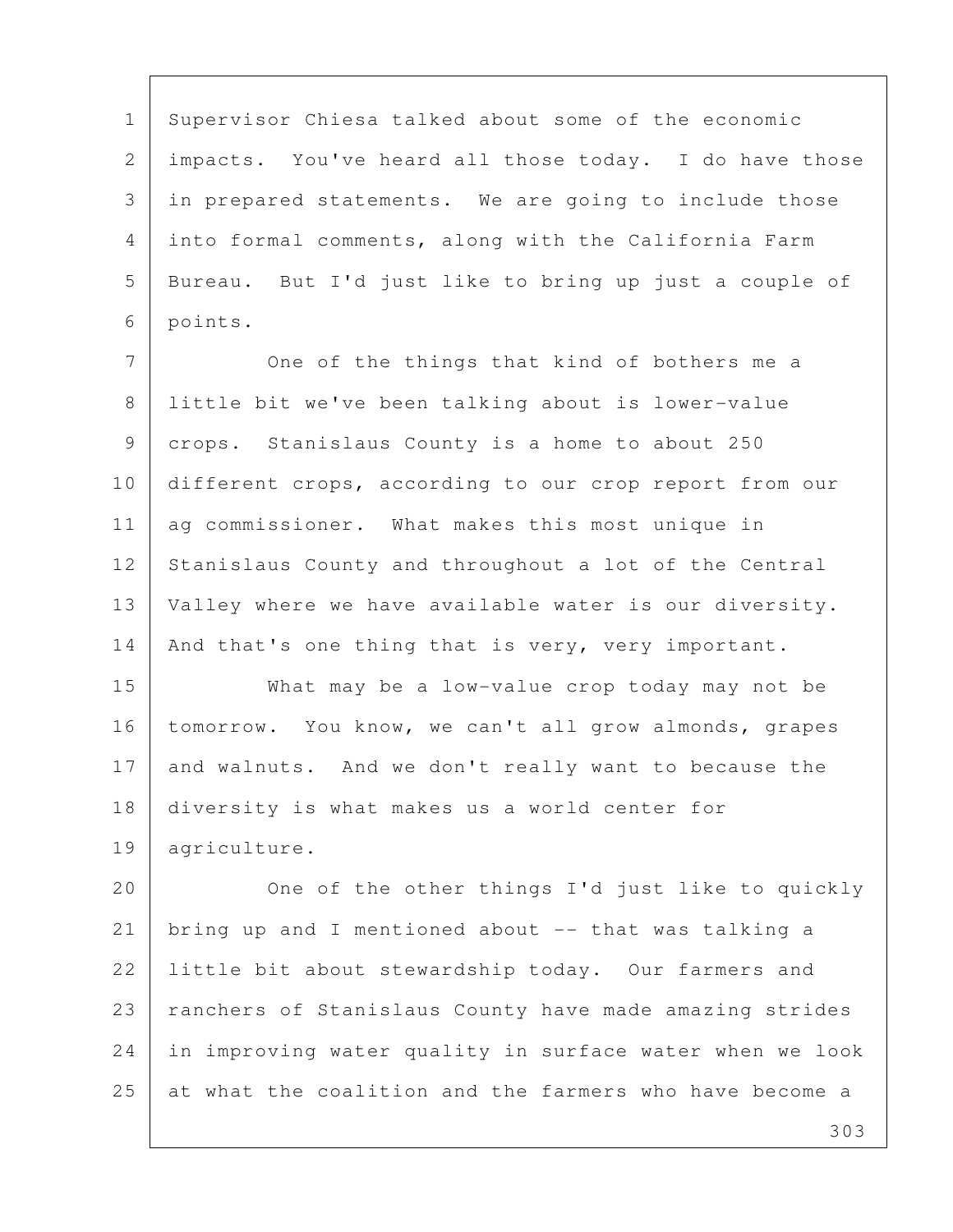1 Supervisor Chiesa talked about some of the economic 2 impacts. You've heard all those today. I do have those 3 in prepared statements. We are going to include those 4 into formal comments, along with the California Farm 5 Bureau. But I'd just like to bring up just a couple of 6 points.

7 One of the things that kind of bothers me a 8 little bit we've been talking about is lower-value 9 crops. Stanislaus County is a home to about 250 10 different crops, according to our crop report from our 11 | ag commissioner. What makes this most unique in 12 Stanislaus County and throughout a lot of the Central 13 | Valley where we have available water is our diversity. 14 | And that's one thing that is very, very important.

15 What may be a low-value crop today may not be 16 | tomorrow. You know, we can't all grow almonds, grapes 17 and walnuts. And we don't really want to because the 18 diversity is what makes us a world center for 19 agriculture.

20 One of the other things I'd just like to quickly 21 bring up and I mentioned about -- that was talking a 22 Iittle bit about stewardship today. Our farmers and 23 | ranchers of Stanislaus County have made amazing strides 24 in improving water quality in surface water when we look 25 at what the coalition and the farmers who have become a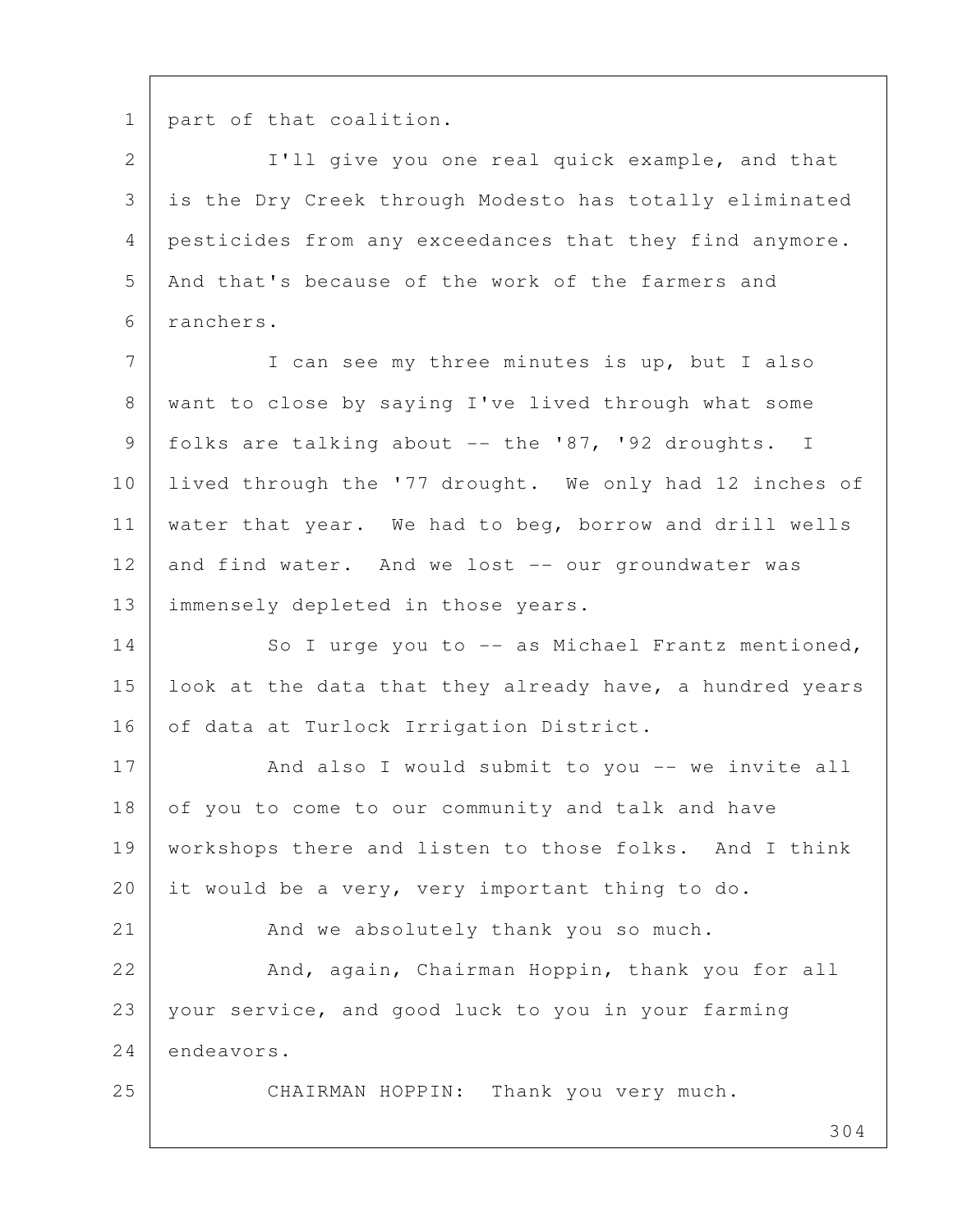1 part of that coalition.

 2 I'll give you one real quick example, and that 3 is the Dry Creek through Modesto has totally eliminated 4 pesticides from any exceedances that they find anymore. 5 And that's because of the work of the farmers and 6 ranchers.

7 I can see my three minutes is up, but I also 8 want to close by saying I've lived through what some 9 folks are talking about -- the '87, '92 droughts. I 10 lived through the '77 drought. We only had 12 inches of 11 water that year. We had to beg, borrow and drill wells 12 and find water. And we lost -- our groundwater was 13 | immensely depleted in those years.

14 So I urge you to -- as Michael Frantz mentioned, 15 | look at the data that they already have, a hundred years 16 of data at Turlock Irrigation District.

17 And also I would submit to you -- we invite all 18 of you to come to our community and talk and have 19 workshops there and listen to those folks. And I think 20 it would be a very, very important thing to do.

21 And we absolutely thank you so much.

22 And, again, Chairman Hoppin, thank you for all 23 your service, and good luck to you in your farming 24 endeavors.

25 CHAIRMAN HOPPIN: Thank you very much.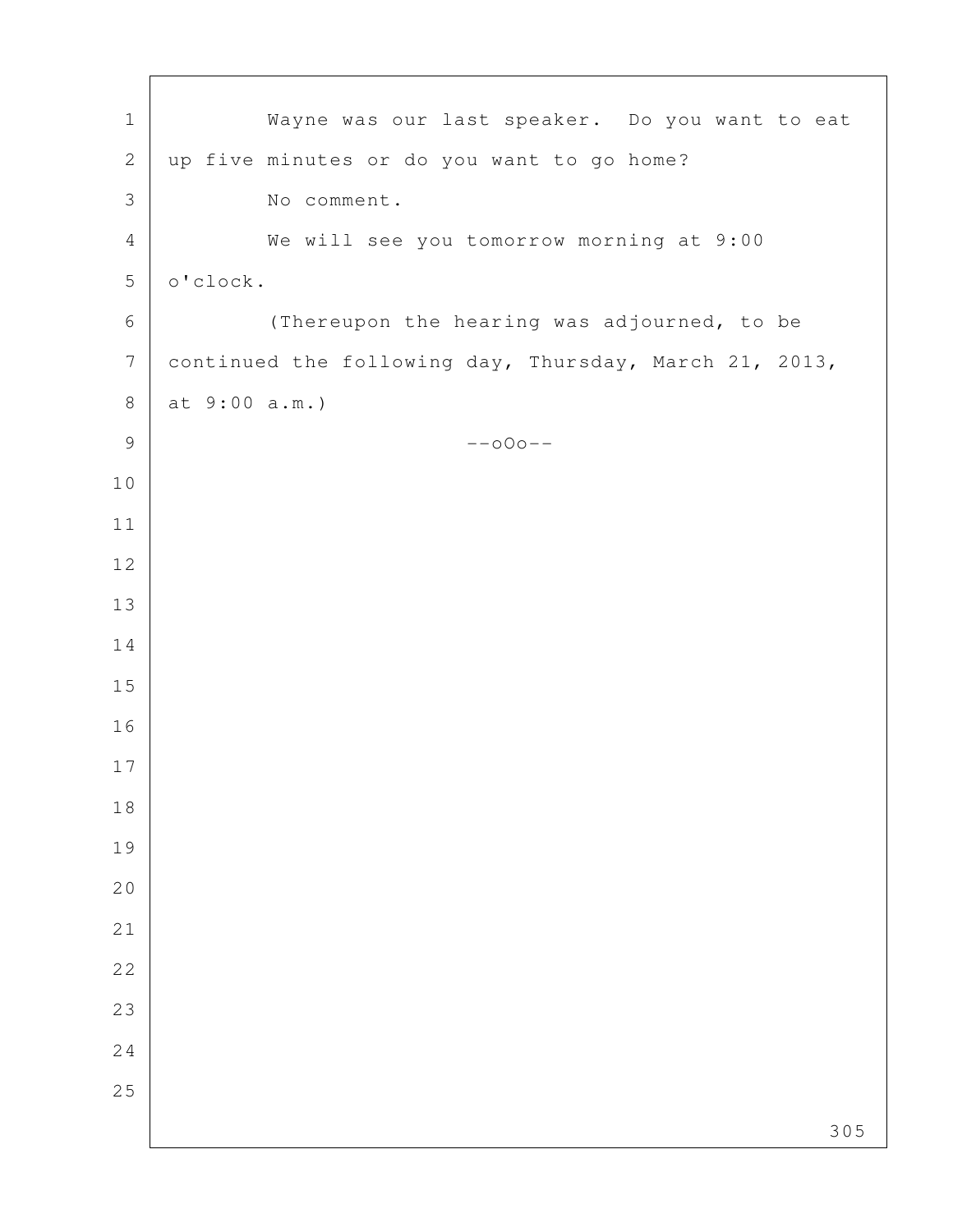| $\mathbf 1$      | Wayne was our last speaker. Do you want to eat         |
|------------------|--------------------------------------------------------|
| $\mathbf{2}$     | up five minutes or do you want to go home?             |
| $\mathfrak{Z}$   | No comment.                                            |
| $\overline{4}$   | We will see you tomorrow morning at 9:00               |
| 5                | o'clock.                                               |
| $\epsilon$       | (Thereupon the hearing was adjourned, to be            |
| $\boldsymbol{7}$ | continued the following day, Thursday, March 21, 2013, |
| $\,8\,$          | at 9:00 a.m.)                                          |
| $\mathsf 9$      | $--000--$                                              |
| 10               |                                                        |
| $11$             |                                                        |
| 12               |                                                        |
| 13               |                                                        |
| 14               |                                                        |
| 15               |                                                        |
| 16               |                                                        |
| 17               |                                                        |
| $1\,8$           |                                                        |
| 19               |                                                        |
| 20               |                                                        |
| 21               |                                                        |
| 22               |                                                        |
| 23               |                                                        |
| 24               |                                                        |
| 25               |                                                        |
|                  | 305                                                    |